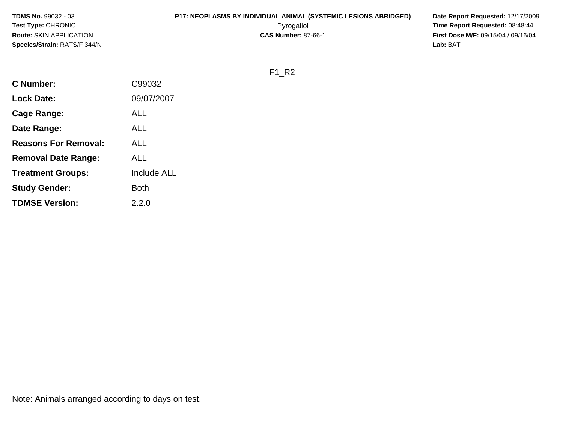### **P17: NEOPLASMS BY INDIVIDUAL ANIMAL (SYSTEMIC LESIONS ABRIDGED) Date Report Requested:** 12/17/2009

Pyrogallol Pyrogallol **Pyrogallol Time Report Requested:** 08:48:44<br>**CAS Number:** 87-66-1 **Time Report Requested:** 09/15/04 / 09/16/04 **First Dose M/F:** 09/15/04 / 09/16/04<br>Lab: BAT **Lab:** BAT

F1\_R2

| C Number:                   | C99032             |
|-----------------------------|--------------------|
| <b>Lock Date:</b>           | 09/07/2007         |
| Cage Range:                 | ALL                |
| Date Range:                 | ALL                |
| <b>Reasons For Removal:</b> | ALL                |
| <b>Removal Date Range:</b>  | ALL                |
| <b>Treatment Groups:</b>    | <b>Include ALL</b> |
| <b>Study Gender:</b>        | Both               |
| <b>TDMSE Version:</b>       | 2.2.0              |
|                             |                    |

Note: Animals arranged according to days on test.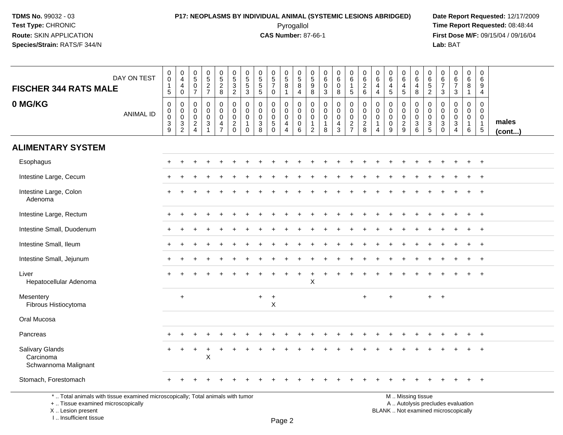### **P17: NEOPLASMS BY INDIVIDUAL ANIMAL (SYSTEMIC LESIONS ABRIDGED) Date Report Requested:** 12/17/2009 Pyrogallol Pyrogallol **Pyrogallol Time Report Requested:** 08:48:44<br>**CAS Number:** 87-66-1 **Time Report Requested:** 09/15/04 / 09/16/04

**First Dose M/F:** 09/15/04 / 09/16/04<br>Lab: BAT **Lab:** BAT

| <b>FISCHER 344 RATS MALE</b>                                                    | DAY ON TEST      | $\pmb{0}$<br>$\ddot{\mathbf{0}}$<br>$\mathbf{1}$<br>$\overline{5}$ | $\begin{smallmatrix}0\0\4\end{smallmatrix}$<br>$\overline{4}$<br>$\mathbf 0$ | $\begin{array}{c} 0 \\ 5 \end{array}$<br>$\frac{0}{7}$        | $0,52$<br>7                                                                | $0$<br>$5$<br>$2$<br>$8$                         | $\begin{array}{c} 0 \\ 5 \\ 3 \\ 2 \end{array}$          | 0<br>$\overline{5}$<br>$\,$ 5 $\,$<br>3      | $\begin{array}{c} 0 \\ 5 \\ 5 \end{array}$<br>$5\phantom{.0}$ | $\begin{array}{c} 0 \\ 5 \\ 7 \end{array}$<br>0                         | $\begin{array}{c} 0 \\ 5 \end{array}$<br>$\bf 8$<br>$\mathbf{1}$    | $\begin{array}{c} 0 \\ 5 \\ 8 \end{array}$<br>$\overline{4}$       | $\mathbf 0$<br>$\sqrt{5}$<br>$\boldsymbol{9}$<br>8                | $\pmb{0}$<br>6<br>$\mathbf 0$<br>3                             | $_{6}^{\rm 0}$<br>$\pmb{0}$<br>8          | $\begin{array}{c} 0 \\ 6 \end{array}$<br>$\mathbf{1}$<br>$\overline{5}$ | $\begin{array}{c} 0 \\ 6 \end{array}$<br>$\frac{2}{6}$         | $\mathbf 0$<br>$6\phantom{a}$<br>$\overline{4}$<br>4                          | $\pmb{0}$<br>6<br>$\overline{4}$<br>$\sqrt{5}$                             | 0<br>6<br>$\overline{4}$<br>5                    | $_{6}^{\rm 0}$<br>$\overline{\mathbf{4}}$<br>8 | $\pmb{0}$<br>$6\phantom{a}$<br>$\frac{5}{2}$                     | 0<br>$\,6\,$<br>$\overline{7}$<br>$\mathbf{3}$                | $\begin{array}{c} 0 \\ 6 \end{array}$<br>$\overline{7}$<br>3                | $\boldsymbol{0}$<br>6<br>$\bf 8$<br>$\mathbf{1}$     | $\mathbf 0$<br>$6\phantom{a}$<br>9<br>4                       |                 |
|---------------------------------------------------------------------------------|------------------|--------------------------------------------------------------------|------------------------------------------------------------------------------|---------------------------------------------------------------|----------------------------------------------------------------------------|--------------------------------------------------|----------------------------------------------------------|----------------------------------------------|---------------------------------------------------------------|-------------------------------------------------------------------------|---------------------------------------------------------------------|--------------------------------------------------------------------|-------------------------------------------------------------------|----------------------------------------------------------------|-------------------------------------------|-------------------------------------------------------------------------|----------------------------------------------------------------|-------------------------------------------------------------------------------|----------------------------------------------------------------------------|--------------------------------------------------|------------------------------------------------|------------------------------------------------------------------|---------------------------------------------------------------|-----------------------------------------------------------------------------|------------------------------------------------------|---------------------------------------------------------------|-----------------|
| 0 MG/KG                                                                         | <b>ANIMAL ID</b> | $\pmb{0}$<br>$\mathbf 0$<br>$\mathbf 0$<br>3<br>$\overline{9}$     | $\mathbf 0$<br>$\mathbf 0$<br>$\mathbf 0$<br>$\frac{3}{2}$                   | $\pmb{0}$<br>$\boldsymbol{0}$<br>$\mathbf 0$<br>$\frac{2}{4}$ | $\pmb{0}$<br>$\mathsf{O}\xspace$<br>$\pmb{0}$<br>$\ensuremath{\mathsf{3}}$ | 0<br>$\mathbf 0$<br>$\mathbf 0$<br>$\frac{4}{7}$ | $\pmb{0}$<br>$\mathbf 0$<br>$\mathsf 0$<br>$\frac{2}{0}$ | 0<br>$\mathbf 0$<br>$\mathbf{0}$<br>$\Omega$ | $\mathsf{O}\xspace$<br>$\mathbf 0$<br>$\mathbf 0$<br>$_8^3$   | 0<br>$\mathsf{O}\xspace$<br>$\pmb{0}$<br>$\overline{5}$<br>$\mathbf{0}$ | 0<br>$\mathbf 0$<br>$\mathbf 0$<br>$\overline{4}$<br>$\overline{4}$ | $\boldsymbol{0}$<br>$\mathbf 0$<br>$\mathbf 0$<br>$\mathbf 0$<br>6 | 0<br>$\mathbf 0$<br>$\mathbf 0$<br>$\mathbf{1}$<br>$\overline{2}$ | $\mathbf 0$<br>$\mathbf 0$<br>$\mathbf 0$<br>$\mathbf{1}$<br>8 | 0<br>$\overline{0}$<br>0<br>$\frac{4}{3}$ | $\pmb{0}$<br>$\mathbf 0$<br>$\frac{0}{2}$                               | $\pmb{0}$<br>$\mathsf{O}\xspace$<br>$\pmb{0}$<br>$\frac{2}{8}$ | $\mathbf 0$<br>$\mathbf 0$<br>$\mathbf 0$<br>$\overline{1}$<br>$\overline{4}$ | $\mathbf 0$<br>$\mathbf 0$<br>$\mathbf 0$<br>$\mathbf 0$<br>$\overline{9}$ | 0<br>$\mathbf 0$<br>$\mathbf 0$<br>$\frac{2}{9}$ | 0<br>$\pmb{0}$<br>$\mathbf 0$<br>$\frac{3}{6}$ | $\pmb{0}$<br>$\mathsf{O}\xspace$<br>$\mathbf 0$<br>$\frac{3}{5}$ | $\mathbf 0$<br>$\mathbf 0$<br>$\mathbf 0$<br>3<br>$\mathbf 0$ | $\mathbf 0$<br>$\mathbf 0$<br>$\mathbf 0$<br>$\mathbf{3}$<br>$\overline{4}$ | 0<br>$\mathbf 0$<br>$\mathbf 0$<br>$\mathbf{1}$<br>6 | 0<br>$\mathbf 0$<br>$\mathbf 0$<br>$\mathbf{1}$<br>$\sqrt{5}$ | males<br>(cont) |
| <b>ALIMENTARY SYSTEM</b>                                                        |                  |                                                                    |                                                                              |                                                               |                                                                            |                                                  |                                                          |                                              |                                                               |                                                                         |                                                                     |                                                                    |                                                                   |                                                                |                                           |                                                                         |                                                                |                                                                               |                                                                            |                                                  |                                                |                                                                  |                                                               |                                                                             |                                                      |                                                               |                 |
| Esophagus                                                                       |                  |                                                                    |                                                                              |                                                               |                                                                            |                                                  |                                                          |                                              |                                                               |                                                                         |                                                                     |                                                                    |                                                                   |                                                                |                                           |                                                                         |                                                                |                                                                               |                                                                            |                                                  |                                                |                                                                  |                                                               |                                                                             |                                                      | $^{+}$                                                        |                 |
| Intestine Large, Cecum                                                          |                  |                                                                    |                                                                              |                                                               |                                                                            |                                                  |                                                          |                                              |                                                               |                                                                         |                                                                     |                                                                    |                                                                   |                                                                |                                           |                                                                         |                                                                |                                                                               |                                                                            |                                                  |                                                |                                                                  |                                                               |                                                                             |                                                      |                                                               |                 |
| Intestine Large, Colon<br>Adenoma                                               |                  |                                                                    |                                                                              |                                                               |                                                                            |                                                  |                                                          |                                              |                                                               |                                                                         |                                                                     |                                                                    |                                                                   |                                                                |                                           |                                                                         |                                                                |                                                                               |                                                                            |                                                  |                                                |                                                                  |                                                               |                                                                             |                                                      |                                                               |                 |
| Intestine Large, Rectum                                                         |                  |                                                                    |                                                                              |                                                               |                                                                            |                                                  |                                                          |                                              |                                                               |                                                                         |                                                                     |                                                                    |                                                                   |                                                                |                                           |                                                                         |                                                                |                                                                               |                                                                            |                                                  |                                                |                                                                  |                                                               |                                                                             |                                                      | $\overline{1}$                                                |                 |
| Intestine Small, Duodenum                                                       |                  |                                                                    |                                                                              |                                                               |                                                                            |                                                  |                                                          |                                              |                                                               |                                                                         |                                                                     |                                                                    |                                                                   |                                                                |                                           |                                                                         |                                                                |                                                                               |                                                                            |                                                  |                                                |                                                                  |                                                               |                                                                             |                                                      | $\overline{1}$                                                |                 |
| Intestine Small, Ileum                                                          |                  |                                                                    |                                                                              |                                                               |                                                                            |                                                  |                                                          |                                              |                                                               |                                                                         |                                                                     |                                                                    |                                                                   |                                                                |                                           |                                                                         |                                                                |                                                                               |                                                                            |                                                  |                                                |                                                                  |                                                               |                                                                             |                                                      | $\overline{1}$                                                |                 |
| Intestine Small, Jejunum                                                        |                  |                                                                    |                                                                              |                                                               |                                                                            |                                                  |                                                          |                                              |                                                               |                                                                         |                                                                     |                                                                    |                                                                   |                                                                |                                           |                                                                         |                                                                |                                                                               |                                                                            |                                                  |                                                |                                                                  |                                                               |                                                                             |                                                      |                                                               |                 |
| Liver<br>Hepatocellular Adenoma                                                 |                  |                                                                    |                                                                              |                                                               |                                                                            |                                                  |                                                          |                                              |                                                               |                                                                         |                                                                     |                                                                    | $\times$                                                          |                                                                |                                           |                                                                         |                                                                |                                                                               |                                                                            |                                                  |                                                |                                                                  |                                                               |                                                                             | $\ddot{}$                                            | $\overline{1}$                                                |                 |
| Mesentery<br>Fibrous Histiocytoma                                               |                  |                                                                    | $\ddot{}$                                                                    |                                                               |                                                                            |                                                  |                                                          |                                              | $+$                                                           | $+$<br>X                                                                |                                                                     |                                                                    |                                                                   |                                                                |                                           |                                                                         | $\ddot{}$                                                      |                                                                               | $\ddot{}$                                                                  |                                                  |                                                | $+$                                                              | $+$                                                           |                                                                             |                                                      |                                                               |                 |
| Oral Mucosa                                                                     |                  |                                                                    |                                                                              |                                                               |                                                                            |                                                  |                                                          |                                              |                                                               |                                                                         |                                                                     |                                                                    |                                                                   |                                                                |                                           |                                                                         |                                                                |                                                                               |                                                                            |                                                  |                                                |                                                                  |                                                               |                                                                             |                                                      |                                                               |                 |
| Pancreas                                                                        |                  |                                                                    |                                                                              |                                                               |                                                                            |                                                  |                                                          |                                              |                                                               |                                                                         |                                                                     |                                                                    |                                                                   |                                                                |                                           |                                                                         |                                                                |                                                                               |                                                                            |                                                  |                                                |                                                                  |                                                               |                                                                             |                                                      | $^{+}$                                                        |                 |
| Salivary Glands<br>Carcinoma<br>Schwannoma Malignant                            |                  |                                                                    |                                                                              | $\div$                                                        | $\boldsymbol{\mathsf{X}}$                                                  |                                                  |                                                          |                                              |                                                               |                                                                         |                                                                     |                                                                    |                                                                   |                                                                |                                           |                                                                         |                                                                |                                                                               |                                                                            |                                                  |                                                |                                                                  |                                                               |                                                                             |                                                      |                                                               |                 |
| Stomach, Forestomach                                                            |                  |                                                                    |                                                                              |                                                               |                                                                            |                                                  |                                                          |                                              |                                                               |                                                                         |                                                                     |                                                                    |                                                                   |                                                                |                                           |                                                                         |                                                                |                                                                               |                                                                            |                                                  |                                                |                                                                  |                                                               |                                                                             |                                                      |                                                               |                 |
| *  Total animals with tissue examined microscopically; Total animals with tumor |                  |                                                                    |                                                                              |                                                               |                                                                            |                                                  |                                                          |                                              |                                                               |                                                                         |                                                                     |                                                                    |                                                                   |                                                                |                                           |                                                                         |                                                                |                                                                               |                                                                            |                                                  | M  Missing tissue                              |                                                                  |                                                               |                                                                             |                                                      |                                                               |                 |

+ .. Tissue examined microscopically

X .. Lesion present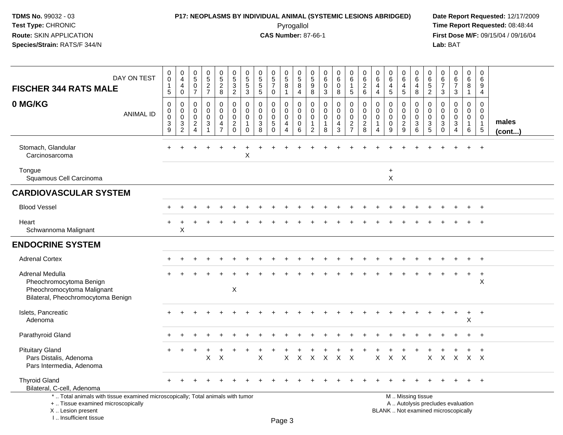### **P17: NEOPLASMS BY INDIVIDUAL ANIMAL (SYSTEMIC LESIONS ABRIDGED) Date Report Requested:** 12/17/2009 Pyrogallol Pyrogallol **Pyrogallol Time Report Requested:** 08:48:44<br>**CAS Number:** 87-66-1 **Time Report Requested:** 08/15/04 / 09/16/04

**First Dose M/F:** 09/15/04 / 09/16/04<br>Lab: BAT **Lab:** BAT

| DAY ON TEST<br><b>FISCHER 344 RATS MALE</b>                                                                                               | 0<br>$\pmb{0}$<br>$\mathbf{1}$<br>$\overline{5}$                | 0<br>$\overline{4}$<br>$\overline{4}$<br>$\mathbf 0$       | 0<br>$\sqrt{5}$<br>$\mathbf 0$<br>$\overline{7}$                           | 0<br>$\frac{5}{2}$                                                   | $0$<br>5<br>2<br>8                                        | $\begin{array}{c} 0 \\ 5 \\ 3 \end{array}$<br>$\overline{2}$                       | $\begin{array}{c} 0 \\ 5 \\ 5 \end{array}$<br>$\mathfrak{Z}$                     | 0<br>5<br>5<br>5                                        | $\begin{array}{c} 0 \\ 5 \\ 7 \end{array}$<br>$\mathbf 0$        | 0<br>$\frac{5}{8}$<br>$\mathbf{1}$                                                 | 0<br>5<br>8<br>4                                    | 0<br>$\frac{5}{9}$<br>8                                        | 0<br>$\,6\,$<br>$\mathbf 0$<br>3                            | 0<br>$\,6\,$<br>$\mathbf 0$<br>8        | $\mathbf 0$<br>$6\overline{6}$<br>$\mathbf{1}$<br>$\overline{5}$    | 0<br>$\,6\,$<br>$\overline{c}$<br>6                    | 0<br>$\,6\,$<br>$\overline{4}$<br>$\overline{4}$                           | 0<br>6<br>$\overline{a}$<br>5                                   | 0<br>$\,6\,$<br>4<br>5                              | 0<br>$6\overline{6}$<br>$\overline{4}$<br>8  | 0<br>$\,6$<br>$\overline{5}$<br>$\overline{2}$ | 0<br>$6\phantom{1}$<br>$\overline{7}$<br>3                          | $\begin{array}{c} 0 \\ 6 \end{array}$<br>$\overline{7}$<br>$\mathbf{3}$  | 0<br>$\,6\,$<br>$\overline{8}$<br>$\mathbf{1}$       | 0<br>6<br>9<br>4                                                          |                 |
|-------------------------------------------------------------------------------------------------------------------------------------------|-----------------------------------------------------------------|------------------------------------------------------------|----------------------------------------------------------------------------|----------------------------------------------------------------------|-----------------------------------------------------------|------------------------------------------------------------------------------------|----------------------------------------------------------------------------------|---------------------------------------------------------|------------------------------------------------------------------|------------------------------------------------------------------------------------|-----------------------------------------------------|----------------------------------------------------------------|-------------------------------------------------------------|-----------------------------------------|---------------------------------------------------------------------|--------------------------------------------------------|----------------------------------------------------------------------------|-----------------------------------------------------------------|-----------------------------------------------------|----------------------------------------------|------------------------------------------------|---------------------------------------------------------------------|--------------------------------------------------------------------------|------------------------------------------------------|---------------------------------------------------------------------------|-----------------|
| 0 MG/KG<br><b>ANIMAL ID</b>                                                                                                               | $\mathbf 0$<br>$\boldsymbol{0}$<br>$\mathbf 0$<br>$\frac{3}{9}$ | $\mathbf 0$<br>$\mathbf 0$<br>$\mathbf 0$<br>$\frac{3}{2}$ | $\mathbf 0$<br>$\Omega$<br>$\mathbf 0$<br>$\overline{2}$<br>$\overline{4}$ | $\mathbf 0$<br>$\Omega$<br>$\mathbf 0$<br>$\sqrt{3}$<br>$\mathbf{1}$ | 0<br>0<br>$\mathbf 0$<br>$\overline{4}$<br>$\overline{7}$ | $\mathbf 0$<br>$\mathbf 0$<br>$\mathsf{O}\xspace$<br>$\overline{c}$<br>$\mathbf 0$ | $\mathbf 0$<br>$\mathbf 0$<br>$\mathsf{O}\xspace$<br>$\mathbf{1}$<br>$\mathbf 0$ | $\mathbf 0$<br>$\mathbf 0$<br>$\mathbf 0$<br>$_{8}^{3}$ | $\mathbf 0$<br>$\Omega$<br>$\mathbf 0$<br>$\sqrt{5}$<br>$\Omega$ | $\mathbf 0$<br>$\mathbf 0$<br>$\boldsymbol{0}$<br>$\overline{4}$<br>$\overline{4}$ | $\mathbf 0$<br>$\mathbf 0$<br>$\mathbf 0$<br>0<br>6 | $\mathbf 0$<br>$\Omega$<br>0<br>$\mathbf{1}$<br>$\overline{2}$ | $\mathbf 0$<br>$\Omega$<br>$\mathbf 0$<br>$\mathbf{1}$<br>8 | $\mathbf 0$<br>0<br>$\pmb{0}$<br>4<br>3 | 0<br>$\mathbf 0$<br>$\mathbf 0$<br>$\overline{c}$<br>$\overline{7}$ | $\mathbf 0$<br>0<br>$\mathbf 0$<br>$\overline{c}$<br>8 | $\mathbf 0$<br>$\Omega$<br>$\mathbf 0$<br>$\overline{1}$<br>$\overline{4}$ | $\mathbf 0$<br>$\Omega$<br>$\mathbf 0$<br>$\boldsymbol{0}$<br>9 | 0<br>$\Omega$<br>$\mathbf 0$<br>$\overline{a}$<br>9 | 0<br>0<br>$\mathbf 0$<br>3<br>$6\phantom{1}$ | 0<br>0<br>$\mathsf{O}$<br>$\frac{3}{5}$        | $\mathbf 0$<br>$\Omega$<br>$\mathbf 0$<br>$\sqrt{3}$<br>$\mathbf 0$ | $\mathbf 0$<br>$\Omega$<br>$\mathbf 0$<br>$\mathbf{3}$<br>$\overline{4}$ | 0<br>$\mathbf 0$<br>$\mathbf 0$<br>$\mathbf{1}$<br>6 | $\mathbf 0$<br>$\Omega$<br>$\mathbf 0$<br>$\mathbf{1}$<br>$5\phantom{.0}$ | males<br>(cont) |
| Stomach, Glandular<br>Carcinosarcoma                                                                                                      |                                                                 |                                                            |                                                                            |                                                                      |                                                           |                                                                                    | $\boldsymbol{\mathsf{X}}$                                                        |                                                         |                                                                  |                                                                                    |                                                     |                                                                |                                                             |                                         |                                                                     |                                                        |                                                                            |                                                                 |                                                     |                                              |                                                |                                                                     |                                                                          |                                                      |                                                                           |                 |
| Tongue<br>Squamous Cell Carcinoma                                                                                                         |                                                                 |                                                            |                                                                            |                                                                      |                                                           |                                                                                    |                                                                                  |                                                         |                                                                  |                                                                                    |                                                     |                                                                |                                                             |                                         |                                                                     |                                                        |                                                                            | $\ddot{}$<br>X                                                  |                                                     |                                              |                                                |                                                                     |                                                                          |                                                      |                                                                           |                 |
| <b>CARDIOVASCULAR SYSTEM</b>                                                                                                              |                                                                 |                                                            |                                                                            |                                                                      |                                                           |                                                                                    |                                                                                  |                                                         |                                                                  |                                                                                    |                                                     |                                                                |                                                             |                                         |                                                                     |                                                        |                                                                            |                                                                 |                                                     |                                              |                                                |                                                                     |                                                                          |                                                      |                                                                           |                 |
| <b>Blood Vessel</b>                                                                                                                       |                                                                 |                                                            |                                                                            |                                                                      |                                                           |                                                                                    |                                                                                  |                                                         |                                                                  |                                                                                    |                                                     |                                                                |                                                             |                                         |                                                                     |                                                        |                                                                            |                                                                 |                                                     |                                              |                                                |                                                                     |                                                                          |                                                      | $\overline{+}$                                                            |                 |
| Heart<br>Schwannoma Malignant                                                                                                             |                                                                 | Χ                                                          |                                                                            |                                                                      |                                                           |                                                                                    |                                                                                  |                                                         |                                                                  |                                                                                    |                                                     |                                                                |                                                             |                                         |                                                                     |                                                        |                                                                            |                                                                 |                                                     |                                              |                                                |                                                                     |                                                                          |                                                      |                                                                           |                 |
| <b>ENDOCRINE SYSTEM</b>                                                                                                                   |                                                                 |                                                            |                                                                            |                                                                      |                                                           |                                                                                    |                                                                                  |                                                         |                                                                  |                                                                                    |                                                     |                                                                |                                                             |                                         |                                                                     |                                                        |                                                                            |                                                                 |                                                     |                                              |                                                |                                                                     |                                                                          |                                                      |                                                                           |                 |
| <b>Adrenal Cortex</b>                                                                                                                     |                                                                 |                                                            |                                                                            |                                                                      |                                                           |                                                                                    |                                                                                  |                                                         |                                                                  |                                                                                    |                                                     |                                                                |                                                             |                                         |                                                                     |                                                        |                                                                            |                                                                 |                                                     |                                              |                                                |                                                                     |                                                                          |                                                      |                                                                           |                 |
| Adrenal Medulla<br>Pheochromocytoma Benign<br>Pheochromocytoma Malignant<br>Bilateral, Pheochromocytoma Benign                            |                                                                 |                                                            |                                                                            |                                                                      |                                                           | $\boldsymbol{\mathsf{X}}$                                                          |                                                                                  |                                                         |                                                                  |                                                                                    |                                                     |                                                                |                                                             |                                         |                                                                     |                                                        |                                                                            |                                                                 |                                                     |                                              |                                                |                                                                     |                                                                          | $\ddot{}$                                            | $\ddot{}$<br>X                                                            |                 |
| Islets, Pancreatic<br>Adenoma                                                                                                             |                                                                 |                                                            |                                                                            |                                                                      |                                                           |                                                                                    |                                                                                  |                                                         |                                                                  |                                                                                    |                                                     |                                                                |                                                             |                                         |                                                                     |                                                        |                                                                            |                                                                 |                                                     |                                              |                                                |                                                                     |                                                                          | $\ddot{}$<br>X                                       | $+$                                                                       |                 |
| Parathyroid Gland                                                                                                                         |                                                                 |                                                            |                                                                            |                                                                      |                                                           |                                                                                    |                                                                                  |                                                         |                                                                  |                                                                                    |                                                     |                                                                |                                                             |                                         |                                                                     |                                                        |                                                                            |                                                                 |                                                     |                                              |                                                |                                                                     |                                                                          |                                                      |                                                                           |                 |
| <b>Pituitary Gland</b><br>Pars Distalis, Adenoma<br>Pars Intermedia, Adenoma                                                              | $+$                                                             | $\ddot{}$                                                  | $\ddot{}$                                                                  | X                                                                    | $\boldsymbol{\mathsf{X}}$                                 |                                                                                    |                                                                                  | X                                                       |                                                                  | X                                                                                  | $\sf X$                                             | $\boldsymbol{\mathsf{X}}$                                      | X                                                           | $\sf X$                                 | $\boldsymbol{\mathsf{X}}$                                           |                                                        | $\pmb{\times}$                                                             | $\mathsf{X}$                                                    | $\boldsymbol{\mathsf{X}}$                           |                                              | X                                              | $\mathsf{X}$                                                        | $\sf X$                                                                  |                                                      | $X \times$                                                                |                 |
| <b>Thyroid Gland</b><br>Bilateral, C-cell, Adenoma                                                                                        |                                                                 |                                                            |                                                                            |                                                                      |                                                           |                                                                                    |                                                                                  |                                                         |                                                                  |                                                                                    |                                                     |                                                                |                                                             |                                         |                                                                     |                                                        |                                                                            |                                                                 |                                                     |                                              |                                                |                                                                     |                                                                          |                                                      | $\overline{ }$                                                            |                 |
| *  Total animals with tissue examined microscopically; Total animals with tumor<br>+  Tissue examined microscopically<br>X Lesion present |                                                                 |                                                            |                                                                            |                                                                      |                                                           |                                                                                    |                                                                                  |                                                         |                                                                  |                                                                                    |                                                     |                                                                |                                                             |                                         |                                                                     |                                                        |                                                                            | BLANK  Not examined microscopically                             |                                                     | M. Missing tissue                            |                                                |                                                                     | A  Autolysis precludes evaluation                                        |                                                      |                                                                           |                 |

I .. Insufficient tissue

Page 3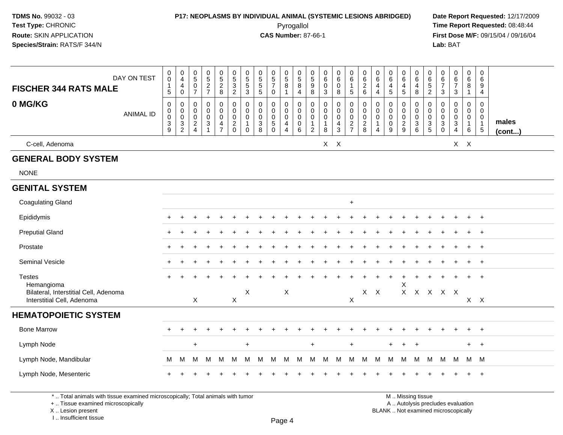### **P17: NEOPLASMS BY INDIVIDUAL ANIMAL (SYSTEMIC LESIONS ABRIDGED) Date Report Requested:** 12/17/2009

Pyrogallol Pyrogallol **Pyrogallol Time Report Requested:** 08:48:44<br>**CAS Number:** 87-66-1 **Time Report Requested:** 09/15/04 / 09/16/04 **First Dose M/F:** 09/15/04 / 09/16/04 Lab: BAT **Lab:** BAT

| <b>FISCHER 344 RATS MALE</b><br>0 MG/KG                             | DAY ON TEST<br><b>ANIMAL ID</b> | $\,0\,$<br>$\mathbf 0$<br>$\mathbf{1}$<br>5<br>$\boldsymbol{0}$<br>$\pmb{0}$<br>$\pmb{0}$<br>$\sqrt{3}$ | 0<br>$\overline{4}$<br>4<br>0<br>0<br>$\pmb{0}$<br>$\pmb{0}$<br>$\ensuremath{\mathsf{3}}$ | $\begin{matrix} 0 \\ 5 \end{matrix}$<br>$\mathbf 0$<br>$\overline{7}$<br>$\mathbf 0$<br>0<br>0<br>$\frac{2}{4}$ | $\begin{array}{c} 0 \\ 5 \end{array}$<br>$\frac{2}{7}$<br>0<br>$\pmb{0}$<br>$\pmb{0}$<br>$\ensuremath{\mathsf{3}}$ | $\begin{array}{c} 0 \\ 5 \end{array}$<br>$\sqrt{2}$<br>8<br>0<br>$\mathsf{O}\xspace$<br>$\mathbf 0$<br>$\overline{4}$ | $\begin{array}{c} 0 \\ 5 \end{array}$<br>$\frac{3}{2}$<br>$\pmb{0}$<br>$\mathbf 0$<br>$\mathbf 0$<br>$\overline{c}$ | $\pmb{0}$<br>$\sqrt{5}$<br>$\sqrt{5}$<br>$\mathbf{3}$<br>$\mathbf 0$<br>0<br>$\mathbf 0$<br>1 | $\pmb{0}$<br>$\overline{5}$<br>$\sqrt{5}$<br>$\sqrt{5}$<br>$\mathbf 0$<br>$\pmb{0}$<br>$\mathbf 0$<br>$\ensuremath{\mathsf{3}}$ | $\begin{matrix} 0 \\ 5 \end{matrix}$<br>$\overline{7}$<br>$\mathbf 0$<br>0<br>$\mathbf 0$<br>$\mathbf 0$<br>$\sqrt{5}$ | $\begin{array}{c} 0 \\ 5 \end{array}$<br>$\bf 8$<br>$\mathbf{1}$<br>$\mathbf 0$<br>$\mathbf 0$<br>$\mathbf 0$<br>$\overline{4}$ | $\begin{array}{c} 0 \\ 5 \end{array}$<br>$\, 8$<br>4<br>$\mathbf 0$<br>$\mathsf 0$<br>$\pmb{0}$<br>$\pmb{0}$ | $\frac{0}{5}$<br>$\boldsymbol{9}$<br>8<br>$\mathbf 0$<br>$\mathbf 0$<br>$\mathbf 0$<br>$\overline{1}$ | $\mathbf 0$<br>$\,6\,$<br>$\mathbf 0$<br>3<br>$\mathbf 0$<br>$\pmb{0}$<br>$\mathbf 0$<br>$\mathbf{1}$ | $\pmb{0}$<br>$\,6\,$<br>$\pmb{0}$<br>8<br>0<br>$\pmb{0}$<br>$\mathbf 0$<br>$\overline{4}$ | 0<br>$\,6\,$<br>$\mathbf 1$<br>5<br>$\pmb{0}$<br>$\pmb{0}$<br>$\pmb{0}$<br>$\frac{2}{7}$ | 0<br>$\,6\,$<br>$\overline{2}$<br>6<br>$\mathbf 0$<br>$\mathbf 0$<br>0<br>$\overline{c}$ | 0<br>$\,6\,$<br>$\overline{4}$<br>$\overline{a}$<br>$\mathbf 0$<br>0<br>0<br>-1 | $\begin{array}{c} 0 \\ 6 \end{array}$<br>$\overline{\mathbf{4}}$<br>$\sqrt{5}$<br>$\mathbf 0$<br>$\pmb{0}$<br>$\pmb{0}$<br>$\pmb{0}$ | 0<br>$\,6\,$<br>$\overline{\mathbf{4}}$<br>$\sqrt{5}$<br>0<br>$\mathbf 0$<br>$\mathsf{O}\xspace$<br>$\sqrt{2}$ | $\pmb{0}$<br>$\,6\,$<br>$\overline{4}$<br>8<br>$\mathbf 0$<br>$\mathbf 0$<br>$\mathbf 0$<br>$\ensuremath{\mathsf{3}}$ | 0<br>$\,6\,$<br>$\,$ 5 $\,$<br>$\overline{c}$<br>0<br>0<br>0<br>3 | 0<br>$\,6\,$<br>$\overline{7}$<br>3<br>$\mathbf 0$<br>$\mathbf 0$<br>0<br>$\ensuremath{\mathsf{3}}$ | $_{6}^{\rm 0}$<br>$\overline{7}$<br>$\mathbf{3}$<br>$\mathbf 0$<br>$\mathsf 0$<br>$\pmb{0}$<br>$\mathbf{3}$ | 0<br>6<br>8<br>$\mathbf{1}$<br>0<br>$\overline{0}$<br>$\overline{0}$<br>$\mathbf{1}$ | 0<br>$\,6\,$<br>9<br>$\overline{4}$<br>$\mathbf 0$<br>$\mathbf 0$<br>$\mathbf 0$<br>$\overline{1}$ | males  |
|---------------------------------------------------------------------|---------------------------------|---------------------------------------------------------------------------------------------------------|-------------------------------------------------------------------------------------------|-----------------------------------------------------------------------------------------------------------------|--------------------------------------------------------------------------------------------------------------------|-----------------------------------------------------------------------------------------------------------------------|---------------------------------------------------------------------------------------------------------------------|-----------------------------------------------------------------------------------------------|---------------------------------------------------------------------------------------------------------------------------------|------------------------------------------------------------------------------------------------------------------------|---------------------------------------------------------------------------------------------------------------------------------|--------------------------------------------------------------------------------------------------------------|-------------------------------------------------------------------------------------------------------|-------------------------------------------------------------------------------------------------------|-------------------------------------------------------------------------------------------|------------------------------------------------------------------------------------------|------------------------------------------------------------------------------------------|---------------------------------------------------------------------------------|--------------------------------------------------------------------------------------------------------------------------------------|----------------------------------------------------------------------------------------------------------------|-----------------------------------------------------------------------------------------------------------------------|-------------------------------------------------------------------|-----------------------------------------------------------------------------------------------------|-------------------------------------------------------------------------------------------------------------|--------------------------------------------------------------------------------------|----------------------------------------------------------------------------------------------------|--------|
|                                                                     |                                 | 9                                                                                                       | $\overline{c}$                                                                            |                                                                                                                 | $\overline{1}$                                                                                                     | $\overline{7}$                                                                                                        | $\mathbf 0$                                                                                                         | $\mathbf{0}$                                                                                  | 8                                                                                                                               | $\Omega$                                                                                                               | $\overline{4}$                                                                                                                  | 6                                                                                                            | $\overline{2}$                                                                                        | 8                                                                                                     | $\sqrt{3}$                                                                                |                                                                                          | 8                                                                                        | $\boldsymbol{\Lambda}$                                                          | 9                                                                                                                                    | 9                                                                                                              | 6                                                                                                                     | 5                                                                 | $\Omega$                                                                                            | $\overline{4}$                                                                                              | 6                                                                                    | $\sqrt{5}$                                                                                         | (cont) |
| C-cell, Adenoma                                                     |                                 |                                                                                                         |                                                                                           |                                                                                                                 |                                                                                                                    |                                                                                                                       |                                                                                                                     |                                                                                               |                                                                                                                                 |                                                                                                                        |                                                                                                                                 |                                                                                                              |                                                                                                       | $X$ $X$                                                                                               |                                                                                           |                                                                                          |                                                                                          |                                                                                 |                                                                                                                                      |                                                                                                                |                                                                                                                       |                                                                   |                                                                                                     |                                                                                                             | $X$ $X$                                                                              |                                                                                                    |        |
| <b>GENERAL BODY SYSTEM</b>                                          |                                 |                                                                                                         |                                                                                           |                                                                                                                 |                                                                                                                    |                                                                                                                       |                                                                                                                     |                                                                                               |                                                                                                                                 |                                                                                                                        |                                                                                                                                 |                                                                                                              |                                                                                                       |                                                                                                       |                                                                                           |                                                                                          |                                                                                          |                                                                                 |                                                                                                                                      |                                                                                                                |                                                                                                                       |                                                                   |                                                                                                     |                                                                                                             |                                                                                      |                                                                                                    |        |
| <b>NONE</b>                                                         |                                 |                                                                                                         |                                                                                           |                                                                                                                 |                                                                                                                    |                                                                                                                       |                                                                                                                     |                                                                                               |                                                                                                                                 |                                                                                                                        |                                                                                                                                 |                                                                                                              |                                                                                                       |                                                                                                       |                                                                                           |                                                                                          |                                                                                          |                                                                                 |                                                                                                                                      |                                                                                                                |                                                                                                                       |                                                                   |                                                                                                     |                                                                                                             |                                                                                      |                                                                                                    |        |
| <b>GENITAL SYSTEM</b>                                               |                                 |                                                                                                         |                                                                                           |                                                                                                                 |                                                                                                                    |                                                                                                                       |                                                                                                                     |                                                                                               |                                                                                                                                 |                                                                                                                        |                                                                                                                                 |                                                                                                              |                                                                                                       |                                                                                                       |                                                                                           |                                                                                          |                                                                                          |                                                                                 |                                                                                                                                      |                                                                                                                |                                                                                                                       |                                                                   |                                                                                                     |                                                                                                             |                                                                                      |                                                                                                    |        |
| <b>Coagulating Gland</b>                                            |                                 |                                                                                                         |                                                                                           |                                                                                                                 |                                                                                                                    |                                                                                                                       |                                                                                                                     |                                                                                               |                                                                                                                                 |                                                                                                                        |                                                                                                                                 |                                                                                                              |                                                                                                       |                                                                                                       |                                                                                           | $+$                                                                                      |                                                                                          |                                                                                 |                                                                                                                                      |                                                                                                                |                                                                                                                       |                                                                   |                                                                                                     |                                                                                                             |                                                                                      |                                                                                                    |        |
| Epididymis                                                          |                                 |                                                                                                         |                                                                                           |                                                                                                                 |                                                                                                                    |                                                                                                                       |                                                                                                                     |                                                                                               |                                                                                                                                 |                                                                                                                        |                                                                                                                                 |                                                                                                              |                                                                                                       |                                                                                                       |                                                                                           |                                                                                          |                                                                                          |                                                                                 |                                                                                                                                      |                                                                                                                |                                                                                                                       |                                                                   |                                                                                                     |                                                                                                             | $\ddot{}$                                                                            | $+$                                                                                                |        |
| <b>Preputial Gland</b>                                              |                                 |                                                                                                         |                                                                                           |                                                                                                                 |                                                                                                                    |                                                                                                                       |                                                                                                                     |                                                                                               |                                                                                                                                 |                                                                                                                        |                                                                                                                                 |                                                                                                              |                                                                                                       |                                                                                                       |                                                                                           |                                                                                          |                                                                                          |                                                                                 |                                                                                                                                      |                                                                                                                |                                                                                                                       |                                                                   |                                                                                                     |                                                                                                             | $+$                                                                                  | $+$                                                                                                |        |
| Prostate                                                            |                                 |                                                                                                         |                                                                                           |                                                                                                                 |                                                                                                                    |                                                                                                                       |                                                                                                                     |                                                                                               |                                                                                                                                 |                                                                                                                        |                                                                                                                                 |                                                                                                              |                                                                                                       |                                                                                                       |                                                                                           |                                                                                          |                                                                                          |                                                                                 |                                                                                                                                      |                                                                                                                |                                                                                                                       |                                                                   |                                                                                                     |                                                                                                             | $\ddot{}$                                                                            | $+$                                                                                                |        |
| <b>Seminal Vesicle</b>                                              |                                 |                                                                                                         |                                                                                           |                                                                                                                 |                                                                                                                    |                                                                                                                       |                                                                                                                     |                                                                                               |                                                                                                                                 |                                                                                                                        |                                                                                                                                 |                                                                                                              |                                                                                                       |                                                                                                       |                                                                                           |                                                                                          |                                                                                          |                                                                                 |                                                                                                                                      |                                                                                                                |                                                                                                                       |                                                                   |                                                                                                     |                                                                                                             | $\ddot{}$                                                                            | $+$                                                                                                |        |
| <b>Testes</b><br>Hemangioma                                         |                                 |                                                                                                         |                                                                                           |                                                                                                                 |                                                                                                                    |                                                                                                                       |                                                                                                                     |                                                                                               |                                                                                                                                 |                                                                                                                        |                                                                                                                                 |                                                                                                              |                                                                                                       |                                                                                                       |                                                                                           |                                                                                          |                                                                                          |                                                                                 |                                                                                                                                      | +<br>X                                                                                                         |                                                                                                                       |                                                                   |                                                                                                     |                                                                                                             | $+$                                                                                  | $+$                                                                                                |        |
| Bilateral, Interstitial Cell, Adenoma<br>Interstitial Cell, Adenoma |                                 |                                                                                                         |                                                                                           | $\sf X$                                                                                                         |                                                                                                                    |                                                                                                                       | X                                                                                                                   | $\pmb{\times}$                                                                                |                                                                                                                                 |                                                                                                                        | X                                                                                                                               |                                                                                                              |                                                                                                       |                                                                                                       |                                                                                           | X                                                                                        | $X$ $X$                                                                                  |                                                                                 |                                                                                                                                      |                                                                                                                | X X X X X                                                                                                             |                                                                   |                                                                                                     |                                                                                                             |                                                                                      | $X$ $X$                                                                                            |        |
| <b>HEMATOPOIETIC SYSTEM</b>                                         |                                 |                                                                                                         |                                                                                           |                                                                                                                 |                                                                                                                    |                                                                                                                       |                                                                                                                     |                                                                                               |                                                                                                                                 |                                                                                                                        |                                                                                                                                 |                                                                                                              |                                                                                                       |                                                                                                       |                                                                                           |                                                                                          |                                                                                          |                                                                                 |                                                                                                                                      |                                                                                                                |                                                                                                                       |                                                                   |                                                                                                     |                                                                                                             |                                                                                      |                                                                                                    |        |
| <b>Bone Marrow</b>                                                  |                                 |                                                                                                         |                                                                                           |                                                                                                                 |                                                                                                                    |                                                                                                                       |                                                                                                                     |                                                                                               |                                                                                                                                 |                                                                                                                        |                                                                                                                                 |                                                                                                              |                                                                                                       |                                                                                                       |                                                                                           |                                                                                          |                                                                                          |                                                                                 |                                                                                                                                      |                                                                                                                |                                                                                                                       |                                                                   |                                                                                                     |                                                                                                             | $\ddot{}$                                                                            | $+$                                                                                                |        |
| Lymph Node                                                          |                                 |                                                                                                         |                                                                                           | $\ddot{}$                                                                                                       |                                                                                                                    |                                                                                                                       |                                                                                                                     | $\ddot{}$                                                                                     |                                                                                                                                 |                                                                                                                        |                                                                                                                                 |                                                                                                              | $\ddot{}$                                                                                             |                                                                                                       |                                                                                           | $\ddot{}$                                                                                |                                                                                          |                                                                                 | $+$                                                                                                                                  | $\ddot{}$                                                                                                      | $+$                                                                                                                   |                                                                   |                                                                                                     |                                                                                                             | $+$                                                                                  | $+$                                                                                                |        |
| Lymph Node, Mandibular                                              |                                 | M                                                                                                       | M                                                                                         | м                                                                                                               | M                                                                                                                  | M                                                                                                                     | M                                                                                                                   | M                                                                                             | M                                                                                                                               | M                                                                                                                      | M                                                                                                                               | M                                                                                                            | М                                                                                                     | M                                                                                                     | M                                                                                         | M                                                                                        | M                                                                                        | M                                                                               | M                                                                                                                                    | M                                                                                                              | M                                                                                                                     | M                                                                 | M                                                                                                   | M                                                                                                           | M M                                                                                  |                                                                                                    |        |
| Lymph Node, Mesenteric                                              |                                 |                                                                                                         |                                                                                           |                                                                                                                 |                                                                                                                    |                                                                                                                       |                                                                                                                     |                                                                                               |                                                                                                                                 |                                                                                                                        |                                                                                                                                 |                                                                                                              |                                                                                                       |                                                                                                       |                                                                                           |                                                                                          |                                                                                          |                                                                                 |                                                                                                                                      |                                                                                                                |                                                                                                                       |                                                                   |                                                                                                     |                                                                                                             | +                                                                                    | $+$                                                                                                |        |

\* .. Total animals with tissue examined microscopically; Total animals with tumor

+ .. Tissue examined microscopically

X .. Lesion present

I .. Insufficient tissue

 M .. Missing tissuey the contract of the contract of the contract of the contract of the contract of  $\mathsf A$  . Autolysis precludes evaluation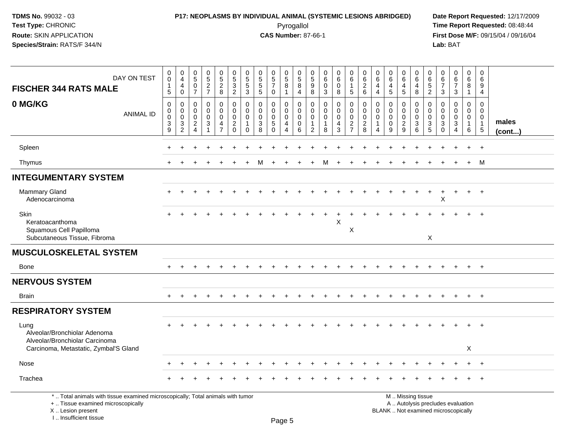### **P17: NEOPLASMS BY INDIVIDUAL ANIMAL (SYSTEMIC LESIONS ABRIDGED) Date Report Requested:** 12/17/2009 Pyrogallol Pyrogallol **Pyrogallol Time Report Requested:** 08:48:44<br>**CAS Number:** 87-66-1 **Time Report Requested:** 08/15/04 / 09/16/04

**First Dose M/F:** 09/15/04 / 09/16/04<br>Lab: BAT **Lab:** BAT

| DAY ON TEST<br><b>FISCHER 344 RATS MALE</b>                                                                                                                         | $_0^0$<br>1<br>$5\phantom{.0}$                | $_4^{\rm 0}$<br>$\overline{4}$<br>$\mathbf 0$    | 0<br>$\overline{5}$<br>$\mathsf{O}\xspace$<br>$\overline{7}$        | $0$<br>5<br>2<br>7                                            | 0<br>$\overline{5}$<br>$\overline{c}$<br>8   | 0<br>$\overline{5}$<br>3<br>$\overline{2}$                                   | $\frac{0}{5}$<br>$\,$ 5 $\,$<br>3      | 0<br>$\sqrt{5}$<br>$\sqrt{5}$<br>5            | $\begin{smallmatrix}0\0\5\end{smallmatrix}$<br>$\overline{7}$<br>$\mathbf 0$ | $\begin{array}{c} 0 \\ 5 \end{array}$<br>8<br>$\overline{1}$     | 0<br>$\overline{5}$<br>$\, 8$<br>$\overline{4}$     | 0<br>$\sqrt{5}$<br>$\boldsymbol{9}$<br>8          | 0<br>6<br>$\Omega$<br>3                          | 0<br>$6\overline{6}$<br>$\mathsf 0$<br>8 | 0<br>$6\overline{6}$<br>$\mathbf{1}$<br>5 | $\pmb{0}$<br>6<br>$\overline{c}$<br>$6\phantom{1}$ | 0<br>$\,6\,$<br>4<br>$\overline{4}$                   | 0<br>$\,6\,$<br>$\overline{4}$<br>$\sqrt{5}$         | 0<br>$\,6\,$<br>4<br>$\sqrt{5}$               | 0<br>$6\phantom{1}6$<br>4<br>8                        | 0<br>6<br>5<br>$\overline{2}$                 | 0<br>6<br>$\overline{7}$<br>$\mathbf{3}$      | $_{6}^{\rm 0}$<br>$\overline{7}$<br>3                                    | 0<br>$6\overline{6}$<br>8<br>$\mathbf{1}$                      | 0<br>$\,6\,$<br>9<br>$\overline{4}$                                          |                 |
|---------------------------------------------------------------------------------------------------------------------------------------------------------------------|-----------------------------------------------|--------------------------------------------------|---------------------------------------------------------------------|---------------------------------------------------------------|----------------------------------------------|------------------------------------------------------------------------------|----------------------------------------|-----------------------------------------------|------------------------------------------------------------------------------|------------------------------------------------------------------|-----------------------------------------------------|---------------------------------------------------|--------------------------------------------------|------------------------------------------|-------------------------------------------|----------------------------------------------------|-------------------------------------------------------|------------------------------------------------------|-----------------------------------------------|-------------------------------------------------------|-----------------------------------------------|-----------------------------------------------|--------------------------------------------------------------------------|----------------------------------------------------------------|------------------------------------------------------------------------------|-----------------|
| 0 MG/KG<br><b>ANIMAL ID</b>                                                                                                                                         | 0<br>0<br>0<br>$\ensuremath{\mathsf{3}}$<br>9 | $\mathbf 0$<br>0<br>$\mathbf 0$<br>$\frac{3}{2}$ | $\mathbf 0$<br>0<br>$\mathbf 0$<br>$\overline{c}$<br>$\overline{4}$ | $\mathbf 0$<br>$\Omega$<br>$\mathbf 0$<br>3<br>$\overline{1}$ | 0<br>0<br>$\mathbf 0$<br>4<br>$\overline{7}$ | $\mathbf 0$<br>$\mathbf 0$<br>$\mathbf 0$<br>$\boldsymbol{2}$<br>$\mathbf 0$ | 0<br>0<br>$\mathbf 0$<br>1<br>$\Omega$ | $\mathbf 0$<br>$\Omega$<br>$\Omega$<br>3<br>8 | $\mathbf 0$<br>$\Omega$<br>0<br>$\sqrt{5}$<br>$\Omega$                       | $\mathbf 0$<br>$\mathbf 0$<br>$\mathbf 0$<br>4<br>$\overline{4}$ | $\mathbf 0$<br>0<br>$\mathbf 0$<br>$\mathbf 0$<br>6 | $\mathbf 0$<br>$\Omega$<br>$\mathbf{0}$<br>1<br>2 | $\mathbf 0$<br>$\Omega$<br>$\mathbf 0$<br>1<br>8 | 0<br>0<br>$\mathbf 0$<br>4<br>3          | 0<br>$\mathbf 0$<br>0<br>$\frac{2}{7}$    | $\mathbf 0$<br>0<br>$\mathbf 0$<br>$\frac{2}{8}$   | $\mathbf 0$<br>$\Omega$<br>$\Omega$<br>$\overline{4}$ | $\mathbf 0$<br>$\mathbf{0}$<br>$\mathbf 0$<br>0<br>9 | 0<br>$\Omega$<br>$\mathbf 0$<br>$\frac{2}{9}$ | $\mathbf 0$<br>0<br>$\overline{0}$<br>$\sqrt{3}$<br>6 | 0<br>$\Omega$<br>$\mathbf 0$<br>$\frac{3}{5}$ | 0<br>$\Omega$<br>$\mathbf 0$<br>3<br>$\Omega$ | $\mathbf 0$<br>$\Omega$<br>$\mathbf 0$<br>3<br>$\overline{4}$            | $\mathbf 0$<br>$\mathbf 0$<br>$\mathbf 0$<br>$\mathbf{1}$<br>6 | $\mathbf 0$<br>$\mathbf 0$<br>$\mathbf 0$<br>$\mathbf{1}$<br>$5\phantom{.0}$ | males<br>(cont) |
| Spleen                                                                                                                                                              |                                               |                                                  |                                                                     |                                                               |                                              |                                                                              |                                        |                                               |                                                                              |                                                                  |                                                     |                                                   |                                                  |                                          |                                           |                                                    |                                                       |                                                      |                                               |                                                       |                                               |                                               |                                                                          |                                                                | $+$                                                                          |                 |
| Thymus                                                                                                                                                              |                                               |                                                  |                                                                     |                                                               |                                              |                                                                              |                                        | м                                             |                                                                              |                                                                  |                                                     | $\ddot{}$                                         | M                                                | $\ddot{}$                                |                                           |                                                    |                                                       |                                                      |                                               |                                                       |                                               |                                               |                                                                          | $+$                                                            | M                                                                            |                 |
| <b>INTEGUMENTARY SYSTEM</b>                                                                                                                                         |                                               |                                                  |                                                                     |                                                               |                                              |                                                                              |                                        |                                               |                                                                              |                                                                  |                                                     |                                                   |                                                  |                                          |                                           |                                                    |                                                       |                                                      |                                               |                                                       |                                               |                                               |                                                                          |                                                                |                                                                              |                 |
| <b>Mammary Gland</b><br>Adenocarcinoma                                                                                                                              |                                               |                                                  |                                                                     |                                                               |                                              |                                                                              |                                        |                                               |                                                                              |                                                                  |                                                     |                                                   |                                                  |                                          |                                           |                                                    |                                                       |                                                      |                                               |                                                       |                                               | X                                             |                                                                          | $\ddot{}$                                                      | $^{+}$                                                                       |                 |
| <b>Skin</b><br>Keratoacanthoma<br>Squamous Cell Papilloma<br>Subcutaneous Tissue, Fibroma                                                                           |                                               |                                                  |                                                                     |                                                               |                                              |                                                                              |                                        |                                               |                                                                              |                                                                  |                                                     |                                                   |                                                  | Χ                                        | X                                         |                                                    |                                                       |                                                      |                                               |                                                       | X                                             |                                               |                                                                          |                                                                |                                                                              |                 |
| <b>MUSCULOSKELETAL SYSTEM</b>                                                                                                                                       |                                               |                                                  |                                                                     |                                                               |                                              |                                                                              |                                        |                                               |                                                                              |                                                                  |                                                     |                                                   |                                                  |                                          |                                           |                                                    |                                                       |                                                      |                                               |                                                       |                                               |                                               |                                                                          |                                                                |                                                                              |                 |
| Bone                                                                                                                                                                | $+$                                           | $\div$                                           |                                                                     |                                                               | ÷                                            |                                                                              |                                        |                                               |                                                                              |                                                                  |                                                     |                                                   |                                                  |                                          |                                           |                                                    |                                                       |                                                      | $\pm$                                         |                                                       |                                               |                                               | $+$                                                                      | $+$                                                            | $+$                                                                          |                 |
| <b>NERVOUS SYSTEM</b>                                                                                                                                               |                                               |                                                  |                                                                     |                                                               |                                              |                                                                              |                                        |                                               |                                                                              |                                                                  |                                                     |                                                   |                                                  |                                          |                                           |                                                    |                                                       |                                                      |                                               |                                                       |                                               |                                               |                                                                          |                                                                |                                                                              |                 |
| <b>Brain</b>                                                                                                                                                        | $+$                                           | $\div$                                           |                                                                     |                                                               |                                              |                                                                              |                                        |                                               |                                                                              |                                                                  |                                                     |                                                   |                                                  |                                          |                                           |                                                    |                                                       |                                                      | $\ddot{}$                                     |                                                       |                                               |                                               | $+$                                                                      | $+$                                                            | $+$                                                                          |                 |
| <b>RESPIRATORY SYSTEM</b>                                                                                                                                           |                                               |                                                  |                                                                     |                                                               |                                              |                                                                              |                                        |                                               |                                                                              |                                                                  |                                                     |                                                   |                                                  |                                          |                                           |                                                    |                                                       |                                                      |                                               |                                                       |                                               |                                               |                                                                          |                                                                |                                                                              |                 |
| Lung<br>Alveolar/Bronchiolar Adenoma<br>Alveolar/Bronchiolar Carcinoma                                                                                              |                                               |                                                  |                                                                     |                                                               |                                              |                                                                              |                                        |                                               |                                                                              |                                                                  |                                                     |                                                   |                                                  |                                          |                                           |                                                    |                                                       |                                                      |                                               |                                                       |                                               |                                               |                                                                          | $\ddot{}$                                                      | $+$                                                                          |                 |
| Carcinoma, Metastatic, Zymbal'S Gland                                                                                                                               |                                               |                                                  |                                                                     |                                                               |                                              |                                                                              |                                        |                                               |                                                                              |                                                                  |                                                     |                                                   |                                                  |                                          |                                           |                                                    |                                                       |                                                      |                                               |                                                       |                                               |                                               |                                                                          | X                                                              |                                                                              |                 |
| Nose                                                                                                                                                                |                                               |                                                  |                                                                     |                                                               |                                              |                                                                              |                                        |                                               |                                                                              |                                                                  |                                                     |                                                   |                                                  |                                          |                                           |                                                    |                                                       |                                                      |                                               |                                                       |                                               |                                               |                                                                          |                                                                | $+$                                                                          |                 |
| Trachea                                                                                                                                                             |                                               |                                                  |                                                                     |                                                               |                                              |                                                                              |                                        |                                               |                                                                              |                                                                  |                                                     |                                                   |                                                  |                                          |                                           |                                                    |                                                       |                                                      |                                               |                                                       |                                               |                                               |                                                                          |                                                                |                                                                              |                 |
| *  Total animals with tissue examined microscopically; Total animals with tumor<br>+  Tissue examined microscopically<br>X  Lesion present<br>I Insufficient tissue |                                               |                                                  |                                                                     |                                                               |                                              |                                                                              |                                        |                                               |                                                                              | DaoE                                                             |                                                     |                                                   |                                                  |                                          |                                           |                                                    |                                                       |                                                      |                                               | M  Missing tissue                                     |                                               |                                               | A  Autolysis precludes evaluation<br>BLANK  Not examined microscopically |                                                                |                                                                              |                 |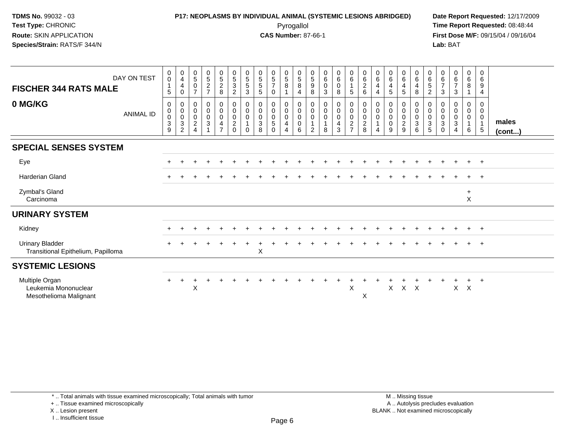### **P17: NEOPLASMS BY INDIVIDUAL ANIMAL (SYSTEMIC LESIONS ABRIDGED) Date Report Requested:** 12/17/2009 Pyrogallol Pyrogallol **Pyrogallol Time Report Requested:** 08:48:44<br>**CAS Number:** 87-66-1 **Time Report Requested:** 09/15/04 / 09/16/04

**First Dose M/F:** 09/15/04 / 09/16/04 Lab: BAT **Lab:** BAT

| DAY ON TEST<br><b>FISCHER 344 RATS MALE</b><br>0 MG/KG           | $\pmb{0}$<br>$\mathsf 0$<br>$\sqrt{5}$<br>0              | $\begin{smallmatrix}0\\4\end{smallmatrix}$<br>$\overline{\mathbf{4}}$<br>$\boldsymbol{0}$<br>$\mathbf 0$ | $\begin{array}{c} 0 \\ 5 \end{array}$<br>$\pmb{0}$<br>$\overline{7}$<br>0 | $\begin{array}{c} 0 \\ 5 \end{array}$<br>$\overline{c}$<br>$\overline{7}$<br>0 | $\begin{array}{c} 0 \\ 5 \end{array}$<br>$\sqrt{2}$<br>8<br>0                   | $\begin{array}{c} 0 \\ 5 \end{array}$<br>$\sqrt{3}$<br>$\boldsymbol{2}$<br>$\pmb{0}$ | $\begin{array}{c} 0 \\ 5 \\ 5 \end{array}$<br>$\mathbf{3}$<br>$\mathbf 0$ | $\begin{array}{c} 0 \\ 5 \\ 5 \end{array}$<br>$\sqrt{5}$<br>0 | $\begin{array}{c} 0 \\ 5 \end{array}$<br>$\overline{7}$<br>0<br>0 | $\begin{array}{c} 0 \\ 5 \\ 8 \end{array}$<br>0         | $\begin{array}{c} 0 \\ 5 \\ 8 \end{array}$<br>$\overline{4}$<br>$\pmb{0}$ | $\begin{smallmatrix}0\0\5\end{smallmatrix}$<br>$\boldsymbol{9}$<br>8<br>0 | $\begin{array}{c} 0 \\ 6 \end{array}$<br>$\pmb{0}$<br>3<br>$\mathbf 0$ | $\begin{array}{c} 0 \\ 6 \end{array}$<br>$\pmb{0}$<br>8<br>$\mathbf 0$ | $_{6}^{\rm 0}$<br>$\mathbf{1}$<br>$5\phantom{.0}$<br>$\pmb{0}$                 | $_{6}^{\rm 0}$<br>$\sqrt{2}$<br>6<br>$\pmb{0}$  | $\begin{array}{c} 0 \\ 6 \end{array}$<br>4<br>$\overline{4}$<br>0 | $\begin{array}{c} 0 \\ 6 \end{array}$<br>$\overline{4}$<br>$\overline{5}$<br>$\pmb{0}$ | $_{6}^{\rm 0}$<br>$\overline{\mathbf{4}}$<br>5<br>0    | $\begin{matrix} 0 \\ 6 \end{matrix}$<br>$\overline{\mathbf{4}}$<br>8<br>0 | $\begin{array}{c} 0 \\ 6 \\ 5 \end{array}$<br>$\overline{2}$<br>0 | $\pmb{0}$<br>$\begin{array}{c} 6 \\ 7 \end{array}$<br>$\sqrt{3}$<br>0 | $\begin{array}{c} 0 \\ 6 \end{array}$<br>$\overline{7}$<br>$\sqrt{3}$<br>0 | $\begin{array}{c} 0 \\ 6 \\ 8 \end{array}$<br>0         | $\pmb{0}$<br>$\,6\,$<br>$\boldsymbol{9}$<br>$\overline{4}$<br>0 |                       |
|------------------------------------------------------------------|----------------------------------------------------------|----------------------------------------------------------------------------------------------------------|---------------------------------------------------------------------------|--------------------------------------------------------------------------------|---------------------------------------------------------------------------------|--------------------------------------------------------------------------------------|---------------------------------------------------------------------------|---------------------------------------------------------------|-------------------------------------------------------------------|---------------------------------------------------------|---------------------------------------------------------------------------|---------------------------------------------------------------------------|------------------------------------------------------------------------|------------------------------------------------------------------------|--------------------------------------------------------------------------------|-------------------------------------------------|-------------------------------------------------------------------|----------------------------------------------------------------------------------------|--------------------------------------------------------|---------------------------------------------------------------------------|-------------------------------------------------------------------|-----------------------------------------------------------------------|----------------------------------------------------------------------------|---------------------------------------------------------|-----------------------------------------------------------------|-----------------------|
| <b>ANIMAL ID</b>                                                 | $\pmb{0}$<br>$\pmb{0}$<br>$\sqrt{3}$<br>$\boldsymbol{9}$ | $\pmb{0}$<br>$\pmb{0}$<br>$\sqrt{3}$<br>$\overline{c}$                                                   | $\pmb{0}$<br>$\pmb{0}$<br>$\boldsymbol{2}$<br>$\overline{\mathbf{4}}$     | $\mathsf{O}\xspace$<br>$\mathbf 0$<br>$\mathbf{3}$                             | $\mathsf{O}\xspace$<br>$\mathbf 0$<br>$\overline{\mathbf{4}}$<br>$\overline{7}$ | $\mathbf 0$<br>$\mathbf 0$<br>$\boldsymbol{2}$<br>$\Omega$                           | $\pmb{0}$<br>$\pmb{0}$<br>$\Omega$                                        | $\mathsf 0$<br>$\pmb{0}$<br>$\sqrt{3}$<br>8                   | $\mathbf 0$<br>$\mathbf 0$<br>5<br>$\Omega$                       | $\pmb{0}$<br>$\ddot{\mathbf{0}}$<br>$\overline{4}$<br>4 | $\mathbf 0$<br>$\mathbf 0$<br>$\pmb{0}$<br>6                              | 0<br>0<br>2                                                               | $\pmb{0}$<br>$\pmb{0}$<br>$\overline{1}$<br>8                          | $\mathbf 0$<br>$\mathbf 0$<br>$\overline{\mathbf{4}}$<br>3             | $\mathsf{O}\xspace$<br>$\mathsf{O}\xspace$<br>$\overline{c}$<br>$\overline{7}$ | $\mathbf 0$<br>$\pmb{0}$<br>$\overline{c}$<br>8 | 0<br>$\mathbf 0$<br>4                                             | $\pmb{0}$<br>$\pmb{0}$<br>$\mathbf 0$<br>9                                             | $\pmb{0}$<br>$\pmb{0}$<br>$\overline{\mathbf{c}}$<br>9 | $\mathbf 0$<br>$\mathbf 0$<br>$\ensuremath{\mathsf{3}}$<br>6              | $\mathsf{O}$<br>$\pmb{0}$<br>$\mathsf 3$<br>5                     | 0<br>$\pmb{0}$<br>$\ensuremath{\mathsf{3}}$<br>$\Omega$               | $\pmb{0}$<br>$\pmb{0}$<br>$\sqrt{3}$<br>$\overline{4}$                     | $\overline{0}$<br>$\overline{0}$<br>$\overline{1}$<br>6 | $\mathbf 0$<br>$\overline{0}$<br>$\overline{1}$<br>5            | males<br>$($ cont $)$ |
| <b>SPECIAL SENSES SYSTEM</b>                                     |                                                          |                                                                                                          |                                                                           |                                                                                |                                                                                 |                                                                                      |                                                                           |                                                               |                                                                   |                                                         |                                                                           |                                                                           |                                                                        |                                                                        |                                                                                |                                                 |                                                                   |                                                                                        |                                                        |                                                                           |                                                                   |                                                                       |                                                                            |                                                         |                                                                 |                       |
| Eye                                                              |                                                          |                                                                                                          |                                                                           |                                                                                |                                                                                 |                                                                                      |                                                                           |                                                               |                                                                   |                                                         |                                                                           |                                                                           |                                                                        |                                                                        |                                                                                |                                                 |                                                                   |                                                                                        |                                                        |                                                                           |                                                                   |                                                                       |                                                                            | $+$                                                     | $+$                                                             |                       |
| <b>Harderian Gland</b>                                           |                                                          |                                                                                                          |                                                                           |                                                                                |                                                                                 |                                                                                      |                                                                           |                                                               |                                                                   |                                                         |                                                                           |                                                                           |                                                                        |                                                                        |                                                                                |                                                 |                                                                   |                                                                                        |                                                        |                                                                           |                                                                   |                                                                       |                                                                            | $\ddot{}$                                               | $+$                                                             |                       |
| Zymbal's Gland<br>Carcinoma                                      |                                                          |                                                                                                          |                                                                           |                                                                                |                                                                                 |                                                                                      |                                                                           |                                                               |                                                                   |                                                         |                                                                           |                                                                           |                                                                        |                                                                        |                                                                                |                                                 |                                                                   |                                                                                        |                                                        |                                                                           |                                                                   |                                                                       |                                                                            | $\ddot{}$<br>$\mathsf X$                                |                                                                 |                       |
| <b>URINARY SYSTEM</b>                                            |                                                          |                                                                                                          |                                                                           |                                                                                |                                                                                 |                                                                                      |                                                                           |                                                               |                                                                   |                                                         |                                                                           |                                                                           |                                                                        |                                                                        |                                                                                |                                                 |                                                                   |                                                                                        |                                                        |                                                                           |                                                                   |                                                                       |                                                                            |                                                         |                                                                 |                       |
| Kidney                                                           |                                                          |                                                                                                          |                                                                           |                                                                                |                                                                                 |                                                                                      |                                                                           |                                                               |                                                                   |                                                         |                                                                           |                                                                           |                                                                        |                                                                        |                                                                                |                                                 |                                                                   |                                                                                        |                                                        |                                                                           |                                                                   |                                                                       |                                                                            |                                                         | $+$                                                             |                       |
| <b>Urinary Bladder</b><br>Transitional Epithelium, Papilloma     |                                                          |                                                                                                          |                                                                           |                                                                                |                                                                                 |                                                                                      |                                                                           | X                                                             |                                                                   |                                                         |                                                                           |                                                                           |                                                                        |                                                                        |                                                                                |                                                 |                                                                   |                                                                                        |                                                        |                                                                           |                                                                   |                                                                       |                                                                            | $\div$                                                  | $+$                                                             |                       |
| <b>SYSTEMIC LESIONS</b>                                          |                                                          |                                                                                                          |                                                                           |                                                                                |                                                                                 |                                                                                      |                                                                           |                                                               |                                                                   |                                                         |                                                                           |                                                                           |                                                                        |                                                                        |                                                                                |                                                 |                                                                   |                                                                                        |                                                        |                                                                           |                                                                   |                                                                       |                                                                            |                                                         |                                                                 |                       |
| Multiple Organ<br>Leukemia Mononuclear<br>Mesothelioma Malignant | $\pm$                                                    |                                                                                                          | $\boldsymbol{\mathsf{X}}$                                                 |                                                                                |                                                                                 |                                                                                      |                                                                           |                                                               |                                                                   |                                                         |                                                                           |                                                                           |                                                                        |                                                                        | $\mathsf X$                                                                    | X                                               |                                                                   | X                                                                                      | $\mathsf{X}$                                           | $\mathsf{X}$                                                              |                                                                   |                                                                       | X                                                                          | $\pm$<br>$\boldsymbol{\mathsf{X}}$                      | $^{+}$                                                          |                       |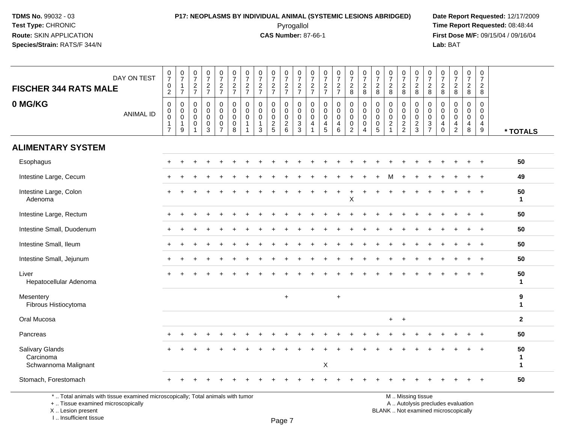### **P17: NEOPLASMS BY INDIVIDUAL ANIMAL (SYSTEMIC LESIONS ABRIDGED) Date Report Requested:** 12/17/2009 Pyrogallol Pyrogallol **Pyrogallol Time Report Requested:** 08:48:44<br>**CAS Number:** 87-66-1 **Time Report Requested:** 09/15/04 / 09/16/04

**First Dose M/F:** 09/15/04 / 09/16/04 Lab: BAT **Lab:** BAT

| <b>FISCHER 344 RATS MALE</b>                         | DAY ON TEST      | $\frac{0}{7}$<br>$\pmb{0}$<br>$\overline{2}$                                | $\frac{0}{7}$<br>$\mathbf{1}$<br>$\overline{7}$                     | $\frac{0}{7}$<br>$\frac{2}{7}$                                             | $\begin{smallmatrix}0\\7\end{smallmatrix}$<br>$\frac{2}{7}$                | $\frac{0}{7}$<br>$\frac{2}{7}$                                  | $\frac{0}{7}$<br>$\frac{2}{7}$                                                 | $\frac{0}{7}$<br>$\frac{2}{7}$                                 | $\frac{0}{7}$<br>$\frac{2}{7}$                                | $\frac{0}{7}$<br>$\frac{2}{7}$                             | $\frac{0}{7}$<br>$\frac{2}{7}$         | $\frac{0}{7}$<br>$\frac{2}{7}$                             | $\frac{0}{7}$<br>$\frac{2}{7}$                                                      | $\frac{0}{7}$<br>$\frac{2}{7}$                        | $\frac{0}{7}$<br>$\frac{2}{7}$                                            | $\frac{0}{7}$<br>$\frac{2}{8}$                                   | $\frac{0}{7}$<br>$\sqrt{2}$<br>8                                           | $\frac{0}{7}$<br>$\sqrt{2}$<br>8                    | $\frac{0}{7}$<br>$\frac{2}{8}$                                            | $\frac{0}{7}$<br>$\overline{c}$<br>8                     | $\frac{0}{7}$<br>$_{8}^2$                        | $\frac{0}{7}$<br>$\frac{2}{8}$                                | $\frac{0}{7}$<br>$\overline{c}$<br>8                        | $\frac{0}{7}$<br>$\sqrt{2}$<br>8                                           | $\frac{0}{7}$<br>$\frac{2}{8}$                         | $\frac{0}{7}$<br>$\overline{2}$<br>8                                            |                                    |
|------------------------------------------------------|------------------|-----------------------------------------------------------------------------|---------------------------------------------------------------------|----------------------------------------------------------------------------|----------------------------------------------------------------------------|-----------------------------------------------------------------|--------------------------------------------------------------------------------|----------------------------------------------------------------|---------------------------------------------------------------|------------------------------------------------------------|----------------------------------------|------------------------------------------------------------|-------------------------------------------------------------------------------------|-------------------------------------------------------|---------------------------------------------------------------------------|------------------------------------------------------------------|----------------------------------------------------------------------------|-----------------------------------------------------|---------------------------------------------------------------------------|----------------------------------------------------------|--------------------------------------------------|---------------------------------------------------------------|-------------------------------------------------------------|----------------------------------------------------------------------------|--------------------------------------------------------|---------------------------------------------------------------------------------|------------------------------------|
| 0 MG/KG                                              | <b>ANIMAL ID</b> | $\mathsf{O}\xspace$<br>$_{\rm 0}^{\rm 0}$<br>$\mathbf{1}$<br>$\overline{7}$ | $\pmb{0}$<br>$_{\rm 0}^{\rm 0}$<br>$\mathbf{1}$<br>$\boldsymbol{9}$ | $\mathbf 0$<br>$\mathbf 0$<br>$\mathbf 0$<br>$\mathbf 0$<br>$\overline{1}$ | $\mathbf 0$<br>$\mathbf 0$<br>$\mathbf 0$<br>$\mathbf 0$<br>$\overline{3}$ | $\mathbf{0}$<br>0<br>$\mathbf 0$<br>$\pmb{0}$<br>$\overline{7}$ | $\mathbf 0$<br>$\pmb{0}$<br>$\ddot{\mathbf{0}}$<br>$\pmb{0}$<br>$\overline{8}$ | $\mathbf 0$<br>$\mathbf 0$<br>$\mathbf 0$<br>$\mathbf{1}$<br>1 | $\mathbf 0$<br>$\mathbf 0$<br>$\mathbf 0$<br>$\mathbf 1$<br>3 | $\mathbf 0$<br>$\mathbf 0$<br>$\mathbf 0$<br>$\frac{2}{5}$ | 0<br>0<br>$\mathsf 0$<br>$\frac{2}{6}$ | $\mathbf 0$<br>$\mathbf 0$<br>$\mathbf 0$<br>$\frac{3}{3}$ | $\mathbf 0$<br>$\mathsf{O}\xspace$<br>$\mathbf 0$<br>$\overline{4}$<br>$\mathbf{1}$ | $\mathbf 0$<br>0<br>0<br>$\overline{\mathbf{4}}$<br>5 | $\mathbf 0$<br>$\pmb{0}$<br>$\pmb{0}$<br>$\overline{4}$<br>$6\phantom{a}$ | $\mathbf 0$<br>$_{\rm 0}^{\rm 0}$<br>$\pmb{0}$<br>$\overline{2}$ | $\mathbf 0$<br>$\mathbf 0$<br>$\mathbf 0$<br>$\mathbf 0$<br>$\overline{4}$ | $\mathbf 0$<br>$\mathbf 0$<br>$\mathbf 0$<br>0<br>5 | 0<br>$\mathsf{O}\xspace$<br>$\mathbf 0$<br>$\overline{2}$<br>$\mathbf{1}$ | $\mathbf 0$<br>$\mathbf 0$<br>$\pmb{0}$<br>$\frac{2}{2}$ | 0<br>$\mathbf 0$<br>$\mathbf 0$<br>$\frac{2}{3}$ | $\mathbf 0$<br>$\mathbf 0$<br>$\overline{0}$<br>$\frac{3}{7}$ | $\mathbf 0$<br>$\mathbf 0$<br>$\mathbf{0}$<br>4<br>$\Omega$ | $\mathbf 0$<br>$\Omega$<br>$\mathbf 0$<br>$\overline{4}$<br>$\overline{2}$ | $\mathbf 0$<br>$\mathbf 0$<br>0<br>$\overline{4}$<br>8 | $\mathbf 0$<br>$\mathbf 0$<br>$\mathbf 0$<br>$\overline{4}$<br>$\boldsymbol{9}$ | * TOTALS                           |
| <b>ALIMENTARY SYSTEM</b>                             |                  |                                                                             |                                                                     |                                                                            |                                                                            |                                                                 |                                                                                |                                                                |                                                               |                                                            |                                        |                                                            |                                                                                     |                                                       |                                                                           |                                                                  |                                                                            |                                                     |                                                                           |                                                          |                                                  |                                                               |                                                             |                                                                            |                                                        |                                                                                 |                                    |
| Esophagus                                            |                  | $\div$                                                                      |                                                                     |                                                                            |                                                                            |                                                                 |                                                                                |                                                                |                                                               |                                                            |                                        |                                                            |                                                                                     |                                                       |                                                                           |                                                                  |                                                                            |                                                     |                                                                           |                                                          |                                                  |                                                               |                                                             |                                                                            |                                                        | $\overline{+}$                                                                  | 50                                 |
| Intestine Large, Cecum                               |                  |                                                                             |                                                                     |                                                                            |                                                                            |                                                                 |                                                                                |                                                                |                                                               |                                                            |                                        |                                                            |                                                                                     |                                                       |                                                                           |                                                                  |                                                                            |                                                     |                                                                           |                                                          |                                                  |                                                               |                                                             |                                                                            |                                                        | $\ddot{}$                                                                       | 49                                 |
| Intestine Large, Colon<br>Adenoma                    |                  |                                                                             |                                                                     |                                                                            |                                                                            |                                                                 |                                                                                |                                                                |                                                               |                                                            |                                        |                                                            |                                                                                     |                                                       |                                                                           | $\mathsf X$                                                      |                                                                            |                                                     |                                                                           |                                                          |                                                  |                                                               |                                                             |                                                                            |                                                        |                                                                                 | 50<br>$\mathbf{1}$                 |
| Intestine Large, Rectum                              |                  |                                                                             |                                                                     |                                                                            |                                                                            |                                                                 |                                                                                |                                                                |                                                               |                                                            |                                        |                                                            |                                                                                     |                                                       |                                                                           |                                                                  |                                                                            |                                                     |                                                                           |                                                          |                                                  |                                                               |                                                             |                                                                            |                                                        |                                                                                 | 50                                 |
| Intestine Small, Duodenum                            |                  | $\pm$                                                                       |                                                                     |                                                                            |                                                                            |                                                                 |                                                                                |                                                                |                                                               |                                                            |                                        |                                                            |                                                                                     |                                                       |                                                                           |                                                                  |                                                                            |                                                     |                                                                           |                                                          |                                                  |                                                               |                                                             |                                                                            |                                                        | $\overline{+}$                                                                  | 50                                 |
| Intestine Small, Ileum                               |                  |                                                                             |                                                                     |                                                                            |                                                                            |                                                                 |                                                                                |                                                                |                                                               |                                                            |                                        |                                                            |                                                                                     |                                                       |                                                                           |                                                                  |                                                                            |                                                     |                                                                           |                                                          |                                                  |                                                               |                                                             |                                                                            |                                                        |                                                                                 | 50                                 |
| Intestine Small, Jejunum                             |                  | $\pm$                                                                       |                                                                     |                                                                            |                                                                            |                                                                 |                                                                                |                                                                |                                                               |                                                            |                                        |                                                            |                                                                                     |                                                       |                                                                           |                                                                  |                                                                            |                                                     |                                                                           |                                                          |                                                  |                                                               |                                                             |                                                                            |                                                        | $\overline{+}$                                                                  | 50                                 |
| Liver<br>Hepatocellular Adenoma                      |                  |                                                                             |                                                                     |                                                                            |                                                                            |                                                                 |                                                                                |                                                                |                                                               |                                                            |                                        |                                                            |                                                                                     |                                                       |                                                                           |                                                                  |                                                                            |                                                     |                                                                           |                                                          |                                                  |                                                               |                                                             |                                                                            |                                                        |                                                                                 | 50<br>$\mathbf{1}$                 |
| Mesentery<br>Fibrous Histiocytoma                    |                  |                                                                             |                                                                     |                                                                            |                                                                            |                                                                 |                                                                                |                                                                |                                                               |                                                            | $\ddot{}$                              |                                                            |                                                                                     |                                                       | $+$                                                                       |                                                                  |                                                                            |                                                     |                                                                           |                                                          |                                                  |                                                               |                                                             |                                                                            |                                                        |                                                                                 | 9<br>$\mathbf{1}$                  |
| Oral Mucosa                                          |                  |                                                                             |                                                                     |                                                                            |                                                                            |                                                                 |                                                                                |                                                                |                                                               |                                                            |                                        |                                                            |                                                                                     |                                                       |                                                                           |                                                                  |                                                                            |                                                     | $+$ $+$                                                                   |                                                          |                                                  |                                                               |                                                             |                                                                            |                                                        |                                                                                 | $\overline{2}$                     |
| Pancreas                                             |                  |                                                                             |                                                                     |                                                                            |                                                                            |                                                                 |                                                                                |                                                                |                                                               |                                                            |                                        |                                                            |                                                                                     |                                                       |                                                                           |                                                                  |                                                                            |                                                     |                                                                           |                                                          |                                                  |                                                               |                                                             |                                                                            |                                                        |                                                                                 | 50                                 |
| Salivary Glands<br>Carcinoma<br>Schwannoma Malignant |                  |                                                                             |                                                                     |                                                                            |                                                                            |                                                                 |                                                                                |                                                                |                                                               |                                                            |                                        |                                                            |                                                                                     | X                                                     |                                                                           |                                                                  |                                                                            |                                                     |                                                                           |                                                          |                                                  |                                                               |                                                             |                                                                            |                                                        |                                                                                 | 50<br>$\mathbf{1}$<br>$\mathbf{1}$ |
| Stomach, Forestomach                                 |                  |                                                                             |                                                                     |                                                                            |                                                                            |                                                                 |                                                                                |                                                                |                                                               |                                                            |                                        |                                                            |                                                                                     |                                                       |                                                                           |                                                                  |                                                                            |                                                     |                                                                           |                                                          |                                                  |                                                               |                                                             |                                                                            |                                                        |                                                                                 | 50                                 |

\* .. Total animals with tissue examined microscopically; Total animals with tumor

+ .. Tissue examined microscopically

X .. Lesion present

I .. Insufficient tissue

y the contract of the contract of the contract of the contract of the contract of  $\mathsf A$  . Autolysis precludes evaluation Lesion present BLANK .. Not examined microscopically

M .. Missing tissue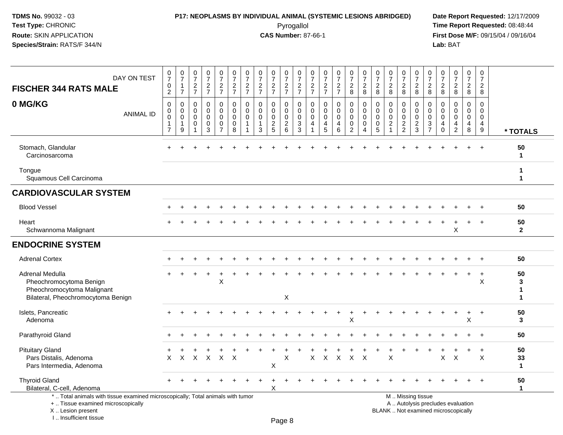## **P17: NEOPLASMS BY INDIVIDUAL ANIMAL (SYSTEMIC LESIONS ABRIDGED) Date Report Requested:** 12/17/2009

Pyrogallol Pyrogallol **Pyrogallol Time Report Requested:** 08:48:44<br>**CAS Number:** 87-66-1 **Time Report Requested:** 09/15/04 / 09/16/04 **First Dose M/F:** 09/15/04 / 09/16/04<br>Lab: BAT **Lab:** BAT

| DAY ON TEST<br><b>FISCHER 344 RATS MALE</b>                                                                           | $\frac{0}{7}$<br>$\pmb{0}$<br>$\overline{2}$                                     | $\frac{0}{7}$<br>1<br>$\overline{7}$                 | $\frac{0}{7}$<br>$rac{2}{7}$         | $\frac{0}{7}$<br>$\frac{2}{7}$                 | $\mathbf 0$<br>$\overline{7}$<br>$rac{2}{7}$                        | $\frac{0}{7}$<br>$\frac{2}{7}$                    | $\frac{0}{7}$<br>$rac{2}{7}$                             | $\frac{0}{7}$<br>$\frac{2}{7}$                                 | $\frac{0}{7}$<br>$rac{2}{7}$        | 0<br>$\overline{7}$<br>$\frac{2}{7}$                      | $\pmb{0}$<br>$\overline{7}$<br>$\frac{2}{7}$               | 0<br>$\overline{7}$<br>$\frac{2}{7}$                           | 0<br>$\overline{7}$<br>$\frac{2}{7}$          | $\frac{0}{7}$<br>$\frac{2}{7}$         | $\begin{smallmatrix}0\\7\end{smallmatrix}$<br>$\frac{2}{8}$            | $\frac{0}{7}$<br>$\boldsymbol{2}$<br>8                                     | $\frac{0}{7}$<br>$_{\rm 8}^2$                                   | $\pmb{0}$<br>$\overline{7}$<br>$\sqrt{2}$<br>8                             | $\frac{0}{7}$<br>$\overline{c}$<br>8          | 0<br>$\overline{7}$<br>$\overline{c}$<br>8       | $\pmb{0}$<br>$\overline{7}$<br>$\overline{c}$<br>8                                       | 0<br>$\overline{7}$<br>$\frac{2}{8}$                        | $\frac{0}{7}$<br>$\boldsymbol{2}$<br>8                     | $\frac{0}{7}$<br>$\overline{a}$<br>$\,8\,$ | 0<br>$\overline{7}$<br>$\overline{a}$<br>8             |                                       |
|-----------------------------------------------------------------------------------------------------------------------|----------------------------------------------------------------------------------|------------------------------------------------------|--------------------------------------|------------------------------------------------|---------------------------------------------------------------------|---------------------------------------------------|----------------------------------------------------------|----------------------------------------------------------------|-------------------------------------|-----------------------------------------------------------|------------------------------------------------------------|----------------------------------------------------------------|-----------------------------------------------|----------------------------------------|------------------------------------------------------------------------|----------------------------------------------------------------------------|-----------------------------------------------------------------|----------------------------------------------------------------------------|-----------------------------------------------|--------------------------------------------------|------------------------------------------------------------------------------------------|-------------------------------------------------------------|------------------------------------------------------------|--------------------------------------------|--------------------------------------------------------|---------------------------------------|
| 0 MG/KG<br><b>ANIMAL ID</b>                                                                                           | $\boldsymbol{0}$<br>$\mathbf 0$<br>$\mathbf 0$<br>$\mathbf{1}$<br>$\overline{7}$ | 0<br>$\mathbf 0$<br>$\mathbf 0$<br>$\mathbf{1}$<br>9 | 0<br>$\Omega$<br>$\Omega$<br>0<br>-1 | 0<br>$\Omega$<br>$\mathbf 0$<br>$\pmb{0}$<br>3 | 0<br>$\overline{0}$<br>$\mathbf 0$<br>$\mathbf 0$<br>$\overline{7}$ | 0<br>$\mathbf 0$<br>$\mathbf 0$<br>$\pmb{0}$<br>8 | $\mathbf 0$<br>$\Omega$<br>$\Omega$<br>$\mathbf{1}$<br>1 | $\mathbf 0$<br>$\mathbf 0$<br>$\mathbf 0$<br>$\mathbf{1}$<br>3 | 0<br>$\Omega$<br>0<br>$\frac{2}{5}$ | 0<br>$\mathbf 0$<br>0<br>$\overline{c}$<br>$6\phantom{a}$ | $\mathbf 0$<br>$\mathbf 0$<br>$\mathbf 0$<br>$\frac{3}{3}$ | $\mathbf 0$<br>$\Omega$<br>$\mathbf{0}$<br>4<br>$\overline{1}$ | $\mathbf 0$<br>$\Omega$<br>$\Omega$<br>4<br>5 | 0<br>$\Omega$<br>$\mathbf 0$<br>4<br>6 | $\pmb{0}$<br>$\mathbf 0$<br>$\mathbf 0$<br>$\pmb{0}$<br>$\overline{2}$ | $\mathbf 0$<br>$\mathbf 0$<br>$\mathbf 0$<br>$\mathbf 0$<br>$\overline{4}$ | $\mathbf 0$<br>$\Omega$<br>$\mathbf 0$<br>$\boldsymbol{0}$<br>5 | $\mathbf 0$<br>$\mathbf{0}$<br>$\mathbf 0$<br>$\sqrt{2}$<br>$\overline{1}$ | 0<br>$\Omega$<br>$\mathbf 0$<br>$\frac{2}{2}$ | 0<br>$\mathbf 0$<br>$\mathbf 0$<br>$\frac{2}{3}$ | $\mathbf 0$<br>$\mathbf 0$<br>$\mathbf 0$<br>$\ensuremath{\mathsf{3}}$<br>$\overline{7}$ | $\mathbf 0$<br>$\Omega$<br>$\mathbf 0$<br>4<br>$\mathbf{0}$ | $\mathbf 0$<br>$\Omega$<br>$\Omega$<br>4<br>$\overline{2}$ | 0<br>$\mathbf 0$<br>$\mathbf 0$<br>4<br>8  | 0<br>$\mathbf 0$<br>$\mathbf 0$<br>$\overline{4}$<br>9 | * TOTALS                              |
| Stomach, Glandular<br>Carcinosarcoma                                                                                  |                                                                                  |                                                      |                                      |                                                |                                                                     |                                                   |                                                          |                                                                |                                     |                                                           |                                                            |                                                                |                                               |                                        |                                                                        |                                                                            |                                                                 |                                                                            |                                               |                                                  |                                                                                          |                                                             |                                                            |                                            |                                                        | 50<br>$\mathbf{1}$                    |
| Tongue<br>Squamous Cell Carcinoma                                                                                     |                                                                                  |                                                      |                                      |                                                |                                                                     |                                                   |                                                          |                                                                |                                     |                                                           |                                                            |                                                                |                                               |                                        |                                                                        |                                                                            |                                                                 |                                                                            |                                               |                                                  |                                                                                          |                                                             |                                                            |                                            |                                                        | $\mathbf 1$<br>$\mathbf 1$            |
| <b>CARDIOVASCULAR SYSTEM</b>                                                                                          |                                                                                  |                                                      |                                      |                                                |                                                                     |                                                   |                                                          |                                                                |                                     |                                                           |                                                            |                                                                |                                               |                                        |                                                                        |                                                                            |                                                                 |                                                                            |                                               |                                                  |                                                                                          |                                                             |                                                            |                                            |                                                        |                                       |
| <b>Blood Vessel</b>                                                                                                   |                                                                                  |                                                      |                                      |                                                |                                                                     |                                                   |                                                          |                                                                |                                     |                                                           |                                                            |                                                                |                                               |                                        |                                                                        |                                                                            |                                                                 |                                                                            |                                               |                                                  |                                                                                          |                                                             |                                                            |                                            |                                                        | 50                                    |
| Heart<br>Schwannoma Malignant                                                                                         |                                                                                  |                                                      |                                      |                                                |                                                                     |                                                   |                                                          |                                                                |                                     |                                                           |                                                            |                                                                |                                               |                                        |                                                                        |                                                                            |                                                                 |                                                                            |                                               |                                                  |                                                                                          |                                                             | X                                                          |                                            |                                                        | 50<br>$\mathbf{2}$                    |
| <b>ENDOCRINE SYSTEM</b>                                                                                               |                                                                                  |                                                      |                                      |                                                |                                                                     |                                                   |                                                          |                                                                |                                     |                                                           |                                                            |                                                                |                                               |                                        |                                                                        |                                                                            |                                                                 |                                                                            |                                               |                                                  |                                                                                          |                                                             |                                                            |                                            |                                                        |                                       |
| <b>Adrenal Cortex</b>                                                                                                 |                                                                                  |                                                      |                                      |                                                |                                                                     |                                                   |                                                          |                                                                |                                     |                                                           |                                                            |                                                                |                                               |                                        |                                                                        |                                                                            |                                                                 |                                                                            |                                               |                                                  |                                                                                          |                                                             |                                                            |                                            |                                                        | 50                                    |
| Adrenal Medulla<br>Pheochromocytoma Benign<br>Pheochromocytoma Malignant<br>Bilateral, Pheochromocytoma Benign        |                                                                                  |                                                      |                                      |                                                | ÷<br>X                                                              |                                                   |                                                          |                                                                |                                     | X                                                         |                                                            |                                                                |                                               |                                        |                                                                        |                                                                            |                                                                 |                                                                            |                                               |                                                  |                                                                                          |                                                             |                                                            | $\ddot{}$                                  | $\ddot{}$<br>X                                         | 50<br>3<br>$\mathbf 1$<br>$\mathbf 1$ |
| Islets, Pancreatic<br>Adenoma                                                                                         |                                                                                  |                                                      |                                      |                                                |                                                                     |                                                   |                                                          |                                                                |                                     |                                                           |                                                            |                                                                |                                               |                                        | X                                                                      |                                                                            |                                                                 |                                                                            |                                               |                                                  |                                                                                          |                                                             |                                                            | X                                          |                                                        | 50<br>$\mathbf{3}$                    |
| Parathyroid Gland                                                                                                     |                                                                                  |                                                      |                                      |                                                |                                                                     |                                                   |                                                          |                                                                |                                     |                                                           |                                                            |                                                                |                                               |                                        |                                                                        |                                                                            |                                                                 |                                                                            |                                               |                                                  |                                                                                          |                                                             |                                                            |                                            |                                                        | 50                                    |
| <b>Pituitary Gland</b><br>Pars Distalis, Adenoma<br>Pars Intermedia, Adenoma                                          | $\times$                                                                         | X                                                    | X                                    | $\boldsymbol{X}$                               | $\mathsf X$                                                         | $\times$                                          |                                                          |                                                                | Х                                   | X                                                         |                                                            | X                                                              | X                                             | $\times$                               | $\boldsymbol{\mathsf{X}}$                                              | $\times$                                                                   |                                                                 | $\boldsymbol{\mathsf{X}}$                                                  |                                               |                                                  |                                                                                          | $\mathsf X$                                                 | $\boldsymbol{\mathsf{X}}$                                  |                                            | $\times$                                               | 50<br>33<br>$\mathbf{1}$              |
| <b>Thyroid Gland</b><br>Bilateral, C-cell, Adenoma                                                                    |                                                                                  |                                                      |                                      |                                                |                                                                     |                                                   |                                                          |                                                                | $\div$<br>X                         |                                                           |                                                            |                                                                |                                               |                                        |                                                                        |                                                                            |                                                                 |                                                                            |                                               |                                                  |                                                                                          |                                                             |                                                            |                                            | $\overline{+}$                                         | 50<br>$\mathbf{1}$                    |
| *  Total animals with tissue examined microscopically; Total animals with tumor<br>+  Tissue examined microscopically |                                                                                  |                                                      |                                      |                                                |                                                                     |                                                   |                                                          |                                                                |                                     |                                                           |                                                            |                                                                |                                               |                                        |                                                                        |                                                                            |                                                                 |                                                                            |                                               | M  Missing tissue                                |                                                                                          |                                                             | A  Autolysis precludes evaluation                          |                                            |                                                        |                                       |

X .. Lesion present

I .. Insufficient tissue

Page 8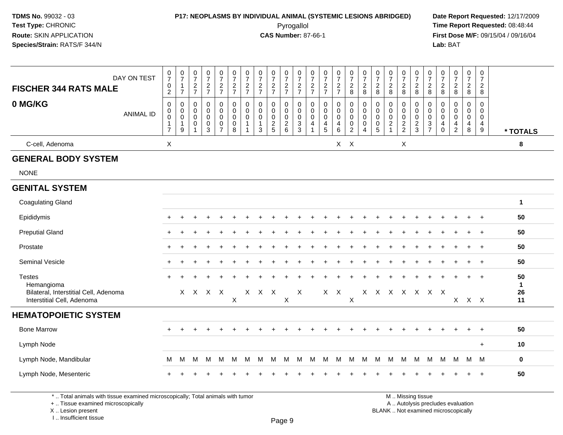### **P17: NEOPLASMS BY INDIVIDUAL ANIMAL (SYSTEMIC LESIONS ABRIDGED) Date Report Requested:** 12/17/2009

Pyrogallol Pyrogallol **Pyrogallol Time Report Requested:** 08:48:44<br>**CAS Number:** 87-66-1 **Time Report Requested:** 09/15/04 / 09/16/04 **First Dose M/F:** 09/15/04 / 09/16/04 Lab: BAT **Lab:** BAT

| <b>FISCHER 344 RATS MALE</b>                                         | DAY ON TEST      | $\frac{0}{7}$<br>$\pmb{0}$<br>$\overline{2}$                             | $\frac{0}{7}$<br>$\mathbf{1}$<br>$\overline{7}$       | $\frac{0}{7}$<br>$\frac{2}{7}$                                       | $\frac{0}{7}$<br>$\frac{2}{7}$                       | $\begin{smallmatrix} 0\\7 \end{smallmatrix}$<br>$\frac{2}{7}$    | $\frac{0}{7}$<br>$\frac{2}{7}$                    | $\pmb{0}$<br>$\overline{7}$<br>$\overline{2}$<br>$\overline{7}$ | $\begin{array}{c} 0 \\ 7 \end{array}$<br>$\sqrt{2}$<br>$\overline{7}$ | $\frac{0}{7}$<br>$\frac{2}{7}$      | $\begin{smallmatrix} 0\\7 \end{smallmatrix}$<br>$\frac{2}{7}$ | $\frac{0}{7}$<br>$\frac{2}{7}$                 | $\pmb{0}$<br>$\overline{7}$<br>$\frac{2}{7}$ | $\begin{array}{c} 0 \\ 7 \end{array}$<br>$\frac{2}{7}$        | $\frac{0}{7}$<br>$\overline{2}$<br>$\overline{7}$ | $\begin{smallmatrix}0\\7\end{smallmatrix}$<br>$\overline{c}$<br>8 | $\frac{0}{7}$<br>$\boldsymbol{2}$<br>8                 | $\frac{0}{7}$<br>$\boldsymbol{2}$<br>$\,8\,$         | $\begin{array}{c} 0 \\ 7 \end{array}$<br>$\overline{2}$<br>8 | $\begin{array}{c} 0 \\ 7 \end{array}$<br>$\overline{c}$<br>8 | $\frac{0}{7}$<br>$\overline{c}$<br>8           | $\frac{0}{7}$<br>$\overline{c}$<br>8           | $\pmb{0}$<br>$\overline{7}$<br>$\boldsymbol{2}$<br>8          | $\begin{smallmatrix}0\\7\end{smallmatrix}$<br>$\boldsymbol{2}$<br>8 | $\frac{0}{7}$<br>$\overline{a}$<br>8      | $\begin{smallmatrix}0\\7\end{smallmatrix}$<br>$\overline{a}$<br>8               |                          |
|----------------------------------------------------------------------|------------------|--------------------------------------------------------------------------|-------------------------------------------------------|----------------------------------------------------------------------|------------------------------------------------------|------------------------------------------------------------------|---------------------------------------------------|-----------------------------------------------------------------|-----------------------------------------------------------------------|-------------------------------------|---------------------------------------------------------------|------------------------------------------------|----------------------------------------------|---------------------------------------------------------------|---------------------------------------------------|-------------------------------------------------------------------|--------------------------------------------------------|------------------------------------------------------|--------------------------------------------------------------|--------------------------------------------------------------|------------------------------------------------|------------------------------------------------|---------------------------------------------------------------|---------------------------------------------------------------------|-------------------------------------------|---------------------------------------------------------------------------------|--------------------------|
| 0 MG/KG                                                              | <b>ANIMAL ID</b> | $\mathbf 0$<br>$\pmb{0}$<br>$\mathbf 0$<br>$\mathbf 1$<br>$\overline{7}$ | $\mathbf 0$<br>$\mathbf{0}$<br>0<br>$\mathbf{1}$<br>9 | $\Omega$<br>$\Omega$<br>$\mathbf 0$<br>$\mathbf 0$<br>$\overline{1}$ | 0<br>$\mathbf 0$<br>0<br>$\pmb{0}$<br>$\overline{3}$ | 0<br>$\mathbf 0$<br>$\mathbf 0$<br>$\mathbf 0$<br>$\overline{7}$ | 0<br>$\mathbf 0$<br>$\mathbf 0$<br>$\pmb{0}$<br>8 | $\mathbf 0$<br>$\Omega$<br>$\Omega$                             | $\mathbf 0$<br>$\Omega$<br>$\mathbf 0$<br>$\mathbf{1}$<br>3           | 0<br>$\Omega$<br>0<br>$\frac{2}{5}$ | 0<br>$\mathbf 0$<br>$\mathbf 0$<br>$\frac{2}{6}$              | 0<br>$\mathbf 0$<br>$\pmb{0}$<br>$\frac{3}{3}$ | 0<br>$\Omega$<br>0<br>4                      | $\mathbf 0$<br>$\Omega$<br>$\mathbf 0$<br>$\overline{4}$<br>5 | 0<br>$\mathbf 0$<br>0<br>4<br>6                   | 0<br>$\Omega$<br>$\mathbf 0$<br>0<br>$\overline{2}$               | 0<br>$\mathbf 0$<br>$\mathbf 0$<br>0<br>$\overline{4}$ | 0<br>$\mathbf 0$<br>0<br>$\pmb{0}$<br>$\overline{5}$ | $\mathbf 0$<br>$\mathbf 0$<br>$\mathbf 0$<br>$\frac{2}{1}$   | 0<br>$\mathbf 0$<br>$\mathbf 0$<br>$\frac{2}{2}$             | 0<br>$\mathbf 0$<br>$\pmb{0}$<br>$\frac{2}{3}$ | 0<br>$\mathbf 0$<br>$\pmb{0}$<br>$\frac{3}{7}$ | $\mathbf 0$<br>$\Omega$<br>0<br>$\overline{4}$<br>$\mathbf 0$ | $\mathbf 0$<br>$\Omega$<br>$\mathbf 0$<br>4<br>$\overline{2}$       | 0<br>$\Omega$<br>0<br>$\overline{4}$<br>8 | $\mathbf 0$<br>$\mathbf 0$<br>$\mathbf 0$<br>$\overline{4}$<br>$\boldsymbol{9}$ | * TOTALS                 |
| C-cell, Adenoma                                                      |                  | $\boldsymbol{\mathsf{X}}$                                                |                                                       |                                                                      |                                                      |                                                                  |                                                   |                                                                 |                                                                       |                                     |                                                               |                                                |                                              |                                                               |                                                   | $X$ $X$                                                           |                                                        |                                                      |                                                              | X                                                            |                                                |                                                |                                                               |                                                                     |                                           |                                                                                 | 8                        |
| <b>GENERAL BODY SYSTEM</b>                                           |                  |                                                                          |                                                       |                                                                      |                                                      |                                                                  |                                                   |                                                                 |                                                                       |                                     |                                                               |                                                |                                              |                                                               |                                                   |                                                                   |                                                        |                                                      |                                                              |                                                              |                                                |                                                |                                                               |                                                                     |                                           |                                                                                 |                          |
| <b>NONE</b>                                                          |                  |                                                                          |                                                       |                                                                      |                                                      |                                                                  |                                                   |                                                                 |                                                                       |                                     |                                                               |                                                |                                              |                                                               |                                                   |                                                                   |                                                        |                                                      |                                                              |                                                              |                                                |                                                |                                                               |                                                                     |                                           |                                                                                 |                          |
| <b>GENITAL SYSTEM</b>                                                |                  |                                                                          |                                                       |                                                                      |                                                      |                                                                  |                                                   |                                                                 |                                                                       |                                     |                                                               |                                                |                                              |                                                               |                                                   |                                                                   |                                                        |                                                      |                                                              |                                                              |                                                |                                                |                                                               |                                                                     |                                           |                                                                                 |                          |
| <b>Coagulating Gland</b>                                             |                  |                                                                          |                                                       |                                                                      |                                                      |                                                                  |                                                   |                                                                 |                                                                       |                                     |                                                               |                                                |                                              |                                                               |                                                   |                                                                   |                                                        |                                                      |                                                              |                                                              |                                                |                                                |                                                               |                                                                     |                                           |                                                                                 | $\blacktriangleleft$     |
| Epididymis                                                           |                  |                                                                          |                                                       |                                                                      |                                                      |                                                                  |                                                   |                                                                 |                                                                       |                                     |                                                               |                                                |                                              |                                                               |                                                   |                                                                   |                                                        |                                                      |                                                              |                                                              |                                                |                                                |                                                               |                                                                     |                                           |                                                                                 | 50                       |
| <b>Preputial Gland</b>                                               |                  |                                                                          |                                                       |                                                                      |                                                      |                                                                  |                                                   |                                                                 |                                                                       |                                     |                                                               |                                                |                                              |                                                               |                                                   |                                                                   |                                                        |                                                      |                                                              |                                                              |                                                |                                                |                                                               |                                                                     |                                           |                                                                                 | 50                       |
| Prostate                                                             |                  |                                                                          |                                                       |                                                                      |                                                      |                                                                  |                                                   |                                                                 |                                                                       |                                     |                                                               |                                                |                                              |                                                               |                                                   |                                                                   |                                                        |                                                      |                                                              |                                                              |                                                |                                                |                                                               |                                                                     |                                           | $\ddot{}$                                                                       | 50                       |
| Seminal Vesicle                                                      |                  |                                                                          |                                                       |                                                                      |                                                      |                                                                  |                                                   |                                                                 |                                                                       |                                     |                                                               |                                                |                                              |                                                               |                                                   |                                                                   |                                                        |                                                      |                                                              |                                                              |                                                |                                                |                                                               |                                                                     |                                           |                                                                                 | 50                       |
| <b>Testes</b><br>Hemangioma<br>Bilateral, Interstitial Cell, Adenoma |                  |                                                                          |                                                       | X X X X                                                              |                                                      |                                                                  |                                                   |                                                                 | X X X                                                                 |                                     |                                                               | $\boldsymbol{X}$                               |                                              | $X$ $X$                                                       |                                                   |                                                                   |                                                        |                                                      | X X X X X X X                                                |                                                              |                                                |                                                |                                                               |                                                                     |                                           |                                                                                 | 50<br>$\mathbf{1}$<br>26 |
| Interstitial Cell, Adenoma                                           |                  |                                                                          |                                                       |                                                                      |                                                      |                                                                  | $\mathsf X$                                       |                                                                 |                                                                       |                                     | $\boldsymbol{\mathsf{X}}$                                     |                                                |                                              |                                                               |                                                   | $\boldsymbol{\mathsf{X}}$                                         |                                                        |                                                      |                                                              |                                                              |                                                |                                                |                                                               |                                                                     | $X$ $X$ $X$                               |                                                                                 | 11                       |
| <b>HEMATOPOIETIC SYSTEM</b>                                          |                  |                                                                          |                                                       |                                                                      |                                                      |                                                                  |                                                   |                                                                 |                                                                       |                                     |                                                               |                                                |                                              |                                                               |                                                   |                                                                   |                                                        |                                                      |                                                              |                                                              |                                                |                                                |                                                               |                                                                     |                                           |                                                                                 |                          |
| <b>Bone Marrow</b>                                                   |                  |                                                                          |                                                       |                                                                      |                                                      |                                                                  |                                                   |                                                                 |                                                                       |                                     |                                                               |                                                |                                              |                                                               |                                                   |                                                                   |                                                        |                                                      |                                                              |                                                              |                                                |                                                |                                                               |                                                                     |                                           | $\ddot{}$                                                                       | 50                       |
| Lymph Node                                                           |                  |                                                                          |                                                       |                                                                      |                                                      |                                                                  |                                                   |                                                                 |                                                                       |                                     |                                                               |                                                |                                              |                                                               |                                                   |                                                                   |                                                        |                                                      |                                                              |                                                              |                                                |                                                |                                                               |                                                                     |                                           | $+$                                                                             | 10                       |
| Lymph Node, Mandibular                                               |                  | М                                                                        | м                                                     | М                                                                    | M                                                    | M                                                                | м                                                 | M                                                               | м                                                                     | M                                   | M                                                             | м                                              | м                                            | M                                                             | М                                                 | M                                                                 | м                                                      | M                                                    | M                                                            | м                                                            | M                                              | M                                              | м                                                             | M                                                                   | M                                         | M                                                                               | $\bf{0}$                 |
| Lymph Node, Mesenteric                                               |                  |                                                                          |                                                       |                                                                      |                                                      |                                                                  |                                                   |                                                                 |                                                                       |                                     |                                                               |                                                |                                              |                                                               |                                                   |                                                                   |                                                        |                                                      |                                                              |                                                              |                                                |                                                |                                                               |                                                                     |                                           | $\overline{+}$                                                                  | 50                       |

\* .. Total animals with tissue examined microscopically; Total animals with tumor

+ .. Tissue examined microscopically

X .. Lesion present

I .. Insufficient tissue

M .. Missing tissue

y the contract of the contract of the contract of the contract of the contract of  $\mathsf A$  . Autolysis precludes evaluation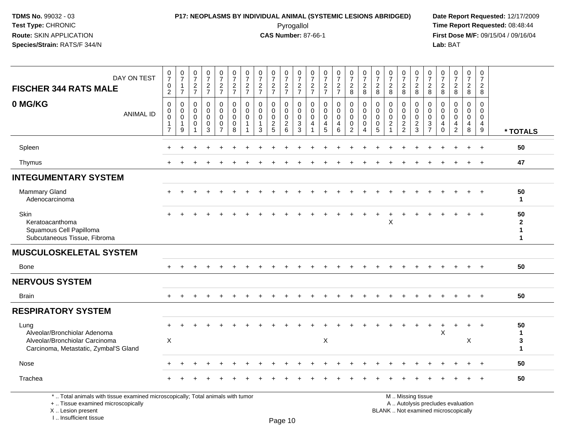### **P17: NEOPLASMS BY INDIVIDUAL ANIMAL (SYSTEMIC LESIONS ABRIDGED) Date Report Requested:** 12/17/2009 Pyrogallol Pyrogallol **Pyrogallol Time Report Requested:** 08:48:44<br>**CAS Number:** 87-66-1 **Time Report Requested:** 08/15/04 / 09/16/04

**First Dose M/F:** 09/15/04 / 09/16/04<br>Lab: BAT **Lab:** BAT

| DAY ON TEST<br><b>FISCHER 344 RATS MALE</b>                                                                           | $\frac{0}{7}$<br>$\mathbf 0$<br>$\overline{2}$                    | $\pmb{0}$<br>$\overline{7}$<br>$\mathbf{1}$<br>$\overline{7}$ | $\begin{smallmatrix}0\\7\end{smallmatrix}$<br>$\frac{2}{7}$ | $\begin{smallmatrix}0\\7\end{smallmatrix}$<br>$rac{2}{7}$ | $\frac{0}{7}$<br>$rac{2}{7}$                                             | $\frac{0}{7}$<br>$\frac{2}{7}$                    | $\pmb{0}$<br>$\overline{7}$<br>$\frac{2}{7}$              | $\frac{0}{7}$<br>$\frac{2}{7}$                              | $\frac{0}{7}$<br>$\frac{2}{7}$                    | $\frac{0}{7}$<br>$\frac{2}{7}$                                  | 0<br>$\overline{7}$<br>$\frac{2}{7}$                                     | 0<br>$\overline{7}$<br>$\frac{2}{7}$            | $\begin{array}{c} 0 \\ 7 \end{array}$<br>$rac{2}{7}$ | $\begin{smallmatrix}0\\7\end{smallmatrix}$<br>$\frac{2}{7}$      | $\frac{0}{7}$<br>$\frac{2}{8}$                                           | $\frac{0}{7}$<br>$\overline{c}$<br>8   | 0<br>$\overline{7}$<br>$\boldsymbol{2}$<br>8                | $\frac{0}{7}$<br>$\overline{c}$<br>8                       | $\begin{array}{c} 0 \\ 7 \end{array}$<br>$\frac{2}{8}$ | $\frac{0}{7}$<br>$\frac{2}{8}$                              | $\begin{array}{c} 0 \\ 7 \end{array}$<br>$\overline{\mathbf{c}}$<br>8 | 0<br>$\overline{7}$<br>$_{\rm 8}^2$                  | $\frac{0}{7}$<br>$\frac{2}{8}$                                | $\mathbf 0$<br>$\overline{7}$<br>$\frac{2}{8}$   | $\pmb{0}$<br>$\overline{7}$<br>$\overline{c}$<br>8         |                                         |
|-----------------------------------------------------------------------------------------------------------------------|-------------------------------------------------------------------|---------------------------------------------------------------|-------------------------------------------------------------|-----------------------------------------------------------|--------------------------------------------------------------------------|---------------------------------------------------|-----------------------------------------------------------|-------------------------------------------------------------|---------------------------------------------------|-----------------------------------------------------------------|--------------------------------------------------------------------------|-------------------------------------------------|------------------------------------------------------|------------------------------------------------------------------|--------------------------------------------------------------------------|----------------------------------------|-------------------------------------------------------------|------------------------------------------------------------|--------------------------------------------------------|-------------------------------------------------------------|-----------------------------------------------------------------------|------------------------------------------------------|---------------------------------------------------------------|--------------------------------------------------|------------------------------------------------------------|-----------------------------------------|
| 0 MG/KG<br><b>ANIMAL ID</b>                                                                                           | $\mathbf 0$<br>0<br>$\mathbf 0$<br>$\mathbf{1}$<br>$\overline{7}$ | 0<br>$\mathbf 0$<br>$\mathbf 0$<br>$\mathbf{1}$<br>9          | $\mathbf 0$<br>$\mathbf{0}$<br>$\mathbf 0$<br>$\mathbf 0$   | 0<br>$\mathbf 0$<br>$\mathbf 0$<br>$\pmb{0}$<br>3         | $\mathbf 0$<br>$\mathbf 0$<br>$\mathbf 0$<br>$\pmb{0}$<br>$\overline{7}$ | 0<br>$\mathbf 0$<br>$\mathbf 0$<br>$\pmb{0}$<br>8 | $\mathbf 0$<br>$\mathbf{0}$<br>$\Omega$<br>$\overline{1}$ | $\mathbf 0$<br>$\Omega$<br>$\mathbf 0$<br>$\mathbf{1}$<br>3 | 0<br>$\mathbf{0}$<br>$\mathbf 0$<br>$\frac{2}{5}$ | $\mathbf 0$<br>$\mathbf 0$<br>$\overline{0}$<br>$\sqrt{2}$<br>6 | $\mathbf 0$<br>$\Omega$<br>$\mathbf 0$<br>$\ensuremath{\mathsf{3}}$<br>3 | $\mathbf 0$<br>$\mathbf{0}$<br>$\mathbf 0$<br>4 | $\mathbf 0$<br>$\Omega$<br>$\mathbf 0$<br>4<br>5     | $\mathbf 0$<br>$\mathbf 0$<br>$\mathbf 0$<br>$\overline{4}$<br>6 | $\mathbf 0$<br>$\mathbf 0$<br>$\mathbf 0$<br>$\pmb{0}$<br>$\overline{2}$ | 0<br>$\Omega$<br>0<br>$\mathbf 0$<br>4 | $\mathbf 0$<br>$\Omega$<br>$\mathbf{0}$<br>$\mathbf 0$<br>5 | $\mathbf 0$<br>$\Omega$<br>$\mathbf 0$<br>$\boldsymbol{2}$ | 0<br>$\mathbf 0$<br>$\mathbf 0$<br>$\frac{2}{2}$       | $\mathbf 0$<br>$\mathbf{0}$<br>$\mathbf 0$<br>$\frac{2}{3}$ | $\mathbf 0$<br>$\Omega$<br>$\mathbf{0}$<br>3<br>$\overline{7}$        | $\mathbf 0$<br>$\Omega$<br>$\Omega$<br>4<br>$\Omega$ | $\mathbf 0$<br>$\Omega$<br>$\mathbf 0$<br>4<br>$\overline{2}$ | $\mathbf 0$<br>$\Omega$<br>$\mathbf 0$<br>4<br>8 | $\Omega$<br>$\Omega$<br>$\mathbf 0$<br>$\overline{4}$<br>9 | * TOTALS                                |
| Spleen                                                                                                                |                                                                   |                                                               |                                                             |                                                           |                                                                          |                                                   |                                                           |                                                             |                                                   |                                                                 |                                                                          |                                                 |                                                      |                                                                  |                                                                          |                                        |                                                             |                                                            |                                                        |                                                             |                                                                       |                                                      |                                                               |                                                  | $^{+}$                                                     | 50                                      |
| Thymus                                                                                                                | $\div$                                                            |                                                               |                                                             |                                                           |                                                                          |                                                   |                                                           |                                                             |                                                   |                                                                 |                                                                          |                                                 |                                                      |                                                                  |                                                                          |                                        |                                                             |                                                            |                                                        |                                                             |                                                                       |                                                      |                                                               |                                                  |                                                            | 47                                      |
| <b>INTEGUMENTARY SYSTEM</b>                                                                                           |                                                                   |                                                               |                                                             |                                                           |                                                                          |                                                   |                                                           |                                                             |                                                   |                                                                 |                                                                          |                                                 |                                                      |                                                                  |                                                                          |                                        |                                                             |                                                            |                                                        |                                                             |                                                                       |                                                      |                                                               |                                                  |                                                            |                                         |
| <b>Mammary Gland</b><br>Adenocarcinoma                                                                                | $\div$                                                            |                                                               |                                                             |                                                           |                                                                          |                                                   |                                                           |                                                             |                                                   |                                                                 |                                                                          |                                                 |                                                      |                                                                  |                                                                          |                                        |                                                             |                                                            |                                                        |                                                             |                                                                       |                                                      |                                                               |                                                  | $^{+}$                                                     | 50<br>$\mathbf 1$                       |
| Skin<br>Keratoacanthoma<br>Squamous Cell Papilloma<br>Subcutaneous Tissue, Fibroma                                    | $\ddot{}$                                                         |                                                               |                                                             |                                                           |                                                                          |                                                   |                                                           |                                                             |                                                   |                                                                 |                                                                          |                                                 |                                                      |                                                                  |                                                                          |                                        |                                                             | X                                                          |                                                        |                                                             |                                                                       |                                                      |                                                               | $+$                                              | $+$                                                        | 50<br>$\mathbf{2}$<br>$\mathbf{1}$<br>1 |
| <b>MUSCULOSKELETAL SYSTEM</b>                                                                                         |                                                                   |                                                               |                                                             |                                                           |                                                                          |                                                   |                                                           |                                                             |                                                   |                                                                 |                                                                          |                                                 |                                                      |                                                                  |                                                                          |                                        |                                                             |                                                            |                                                        |                                                             |                                                                       |                                                      |                                                               |                                                  |                                                            |                                         |
| <b>Bone</b>                                                                                                           |                                                                   |                                                               |                                                             |                                                           |                                                                          |                                                   |                                                           |                                                             |                                                   |                                                                 |                                                                          |                                                 |                                                      |                                                                  |                                                                          |                                        |                                                             |                                                            |                                                        |                                                             |                                                                       |                                                      |                                                               |                                                  |                                                            | 50                                      |
| <b>NERVOUS SYSTEM</b>                                                                                                 |                                                                   |                                                               |                                                             |                                                           |                                                                          |                                                   |                                                           |                                                             |                                                   |                                                                 |                                                                          |                                                 |                                                      |                                                                  |                                                                          |                                        |                                                             |                                                            |                                                        |                                                             |                                                                       |                                                      |                                                               |                                                  |                                                            |                                         |
| <b>Brain</b>                                                                                                          | $+$                                                               |                                                               |                                                             |                                                           |                                                                          |                                                   |                                                           |                                                             |                                                   |                                                                 |                                                                          |                                                 |                                                      |                                                                  |                                                                          |                                        |                                                             |                                                            |                                                        |                                                             |                                                                       |                                                      |                                                               |                                                  | $+$                                                        | 50                                      |
| <b>RESPIRATORY SYSTEM</b>                                                                                             |                                                                   |                                                               |                                                             |                                                           |                                                                          |                                                   |                                                           |                                                             |                                                   |                                                                 |                                                                          |                                                 |                                                      |                                                                  |                                                                          |                                        |                                                             |                                                            |                                                        |                                                             |                                                                       |                                                      |                                                               |                                                  |                                                            |                                         |
| Lung<br>Alveolar/Bronchiolar Adenoma<br>Alveolar/Bronchiolar Carcinoma<br>Carcinoma, Metastatic, Zymbal'S Gland       | $\sf X$                                                           |                                                               |                                                             |                                                           |                                                                          |                                                   |                                                           |                                                             |                                                   |                                                                 |                                                                          |                                                 | $\mathsf X$                                          |                                                                  |                                                                          |                                        |                                                             |                                                            |                                                        |                                                             |                                                                       | X                                                    | $\div$                                                        | $+$<br>X                                         | $+$                                                        | 50<br>$\mathbf 1$<br>3<br>$\mathbf{1}$  |
| Nose                                                                                                                  |                                                                   |                                                               |                                                             |                                                           |                                                                          |                                                   |                                                           |                                                             |                                                   |                                                                 |                                                                          |                                                 |                                                      |                                                                  |                                                                          |                                        |                                                             |                                                            |                                                        |                                                             |                                                                       |                                                      |                                                               |                                                  |                                                            | 50                                      |
| Trachea                                                                                                               |                                                                   |                                                               |                                                             |                                                           |                                                                          |                                                   |                                                           |                                                             |                                                   |                                                                 |                                                                          |                                                 |                                                      |                                                                  |                                                                          |                                        |                                                             |                                                            |                                                        |                                                             |                                                                       |                                                      |                                                               |                                                  | $\div$                                                     | 50                                      |
| *  Total animals with tissue examined microscopically; Total animals with tumor<br>+  Tissue examined microscopically |                                                                   |                                                               |                                                             |                                                           |                                                                          |                                                   |                                                           |                                                             |                                                   |                                                                 |                                                                          |                                                 |                                                      |                                                                  |                                                                          |                                        |                                                             |                                                            |                                                        | M  Missing tissue<br>A  Autolysis precludes evaluation      |                                                                       |                                                      |                                                               |                                                  |                                                            |                                         |

X .. Lesion present

I .. Insufficient tissue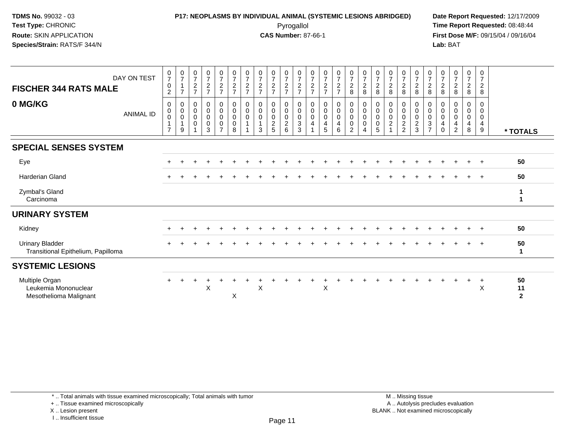### **P17: NEOPLASMS BY INDIVIDUAL ANIMAL (SYSTEMIC LESIONS ABRIDGED) Date Report Requested:** 12/17/2009 Pyrogallol Pyrogallol **Pyrogallol Time Report Requested:** 08:48:44<br>**CAS Number:** 87-66-1 **Time Report Requested:** 09/15/04 / 09/16/04

**First Dose M/F:** 09/15/04 / 09/16/04 Lab: BAT **Lab:** BAT

| <b>FISCHER 344 RATS MALE</b><br>0 MG/KG                          | DAY ON TEST<br>ANIMAL ID | $\frac{0}{7}$<br>$\mathbf 0$<br>2<br>0<br>$\mathbf 0$<br>$\mathbf 0$<br>1<br>$\overline{7}$ | $\begin{array}{c} 0 \\ 7 \end{array}$<br>$\overline{1}$<br>$\overline{7}$<br>0<br>$\mathsf{O}\xspace$<br>$\mathsf 0$<br>$\mathbf{1}$<br>9 | $\frac{0}{7}$<br>$\boldsymbol{2}$<br>$\overline{ }$<br>0<br>$\pmb{0}$<br>$\mathbf 0$<br>$\mathbf 0$ | $\begin{array}{c} 0 \\ 7 \end{array}$<br>$\frac{2}{7}$<br>0<br>$\mathbf 0$<br>$\mathbf 0$<br>$\mathbf 0$<br>$\overline{3}$ | $\frac{0}{7}$<br>$\frac{2}{7}$<br>$\mathsf 0$<br>$\pmb{0}$<br>$\mathbf 0$<br>$\pmb{0}$<br>$\overline{7}$ | $\frac{0}{7}$<br>$\overline{c}$<br>$\overline{7}$<br>0<br>$\mathbf 0$<br>$\mathbf 0$<br>$\mathbf 0$<br>8 | $\begin{array}{c} 0 \\ 7 \\ 2 \end{array}$<br>$\overline{7}$<br>0<br>$\pmb{0}$<br>$\mathbf 0$ | $\frac{0}{7}$<br>$\overline{c}$<br>$\overline{ }$<br>0<br>$\pmb{0}$<br>0<br>$\mathbf{1}$<br>3 | $\frac{0}{7}$<br>$\frac{2}{7}$<br>0<br>$\mathsf{O}$<br>$\mathsf 0$<br>$\frac{2}{5}$ | $\frac{0}{7}$<br>$\frac{2}{7}$<br>0<br>$\overline{0}$<br>$\frac{2}{6}$ | $\frac{0}{7}$<br>$\frac{2}{7}$<br>0<br>$\pmb{0}$<br>$\mathbf 0$<br>$\mathbf{3}$<br>3 | $\frac{0}{7}$<br>$\overline{c}$<br>$\overline{7}$<br>0<br>$\mathbf 0$<br>$\mathbf 0$<br>$\overline{4}$ | $\frac{0}{7}$<br>$\frac{2}{7}$<br>0<br>$\boldsymbol{0}$<br>$\mathsf{O}$<br>4<br>5 | 072<br>$\pmb{0}$<br>$\mathsf{O}\xspace$<br>$\mathsf{O}\xspace$<br>$\overline{4}$<br>6 | $\frac{0}{7}$<br>$\overline{c}$<br>8<br>0<br>$\mathbf 0$<br>$\ddot{\mathbf{0}}$<br>$\pmb{0}$<br>$\overline{2}$ | $\frac{0}{7}$<br>$\frac{2}{8}$<br>0<br>$\pmb{0}$<br>$\mathbf 0$<br>$\mathbf 0$<br>$\overline{4}$ | $\begin{array}{c} 0 \\ 7 \\ 2 \end{array}$<br>8<br>0<br>$\pmb{0}$<br>$\mathbf 0$<br>$\mathbf 0$<br>5 | $\frac{0}{7}$<br>$\overline{c}$<br>8<br>0<br>$\mathbf 0$<br>$\mathbf 0$<br>$\boldsymbol{2}$ | 0728<br>0<br>$\pmb{0}$<br>$\mathbf 0$<br>$\frac{2}{2}$ | $\frac{0}{7}$<br>$\overline{c}$<br>8<br>0<br>$\boldsymbol{0}$<br>$\overline{0}$<br>$\frac{2}{3}$ | $\frac{0}{7}$<br>$\boldsymbol{2}$<br>$\,8\,$<br>0<br>0<br>$\mathbf 0$<br>$\sqrt{3}$<br>$\overline{z}$ | $\frac{0}{7}$<br>$\sqrt{2}$<br>8<br>0<br>0<br>0<br>4<br>$\Omega$ | $\begin{smallmatrix}0\\7\end{smallmatrix}$<br>$\overline{c}$<br>8<br>0<br>$\mathbf 0$<br>0<br>4<br>$\overline{2}$ | $\begin{array}{c} 0 \\ 7 \end{array}$<br>$_{8}^2$<br>0<br>$\mathbf 0$<br>$\mathbf 0$<br>$\overline{4}$<br>8 | 0<br>$\overline{7}$<br>$\overline{c}$<br>8<br>0<br>0<br>0<br>4<br>9 | * TOTALS                   |
|------------------------------------------------------------------|--------------------------|---------------------------------------------------------------------------------------------|-------------------------------------------------------------------------------------------------------------------------------------------|-----------------------------------------------------------------------------------------------------|----------------------------------------------------------------------------------------------------------------------------|----------------------------------------------------------------------------------------------------------|----------------------------------------------------------------------------------------------------------|-----------------------------------------------------------------------------------------------|-----------------------------------------------------------------------------------------------|-------------------------------------------------------------------------------------|------------------------------------------------------------------------|--------------------------------------------------------------------------------------|--------------------------------------------------------------------------------------------------------|-----------------------------------------------------------------------------------|---------------------------------------------------------------------------------------|----------------------------------------------------------------------------------------------------------------|--------------------------------------------------------------------------------------------------|------------------------------------------------------------------------------------------------------|---------------------------------------------------------------------------------------------|--------------------------------------------------------|--------------------------------------------------------------------------------------------------|-------------------------------------------------------------------------------------------------------|------------------------------------------------------------------|-------------------------------------------------------------------------------------------------------------------|-------------------------------------------------------------------------------------------------------------|---------------------------------------------------------------------|----------------------------|
| <b>SPECIAL SENSES SYSTEM</b>                                     |                          |                                                                                             |                                                                                                                                           |                                                                                                     |                                                                                                                            |                                                                                                          |                                                                                                          |                                                                                               |                                                                                               |                                                                                     |                                                                        |                                                                                      |                                                                                                        |                                                                                   |                                                                                       |                                                                                                                |                                                                                                  |                                                                                                      |                                                                                             |                                                        |                                                                                                  |                                                                                                       |                                                                  |                                                                                                                   |                                                                                                             |                                                                     |                            |
| Eye                                                              |                          |                                                                                             |                                                                                                                                           |                                                                                                     |                                                                                                                            |                                                                                                          |                                                                                                          |                                                                                               |                                                                                               |                                                                                     |                                                                        |                                                                                      |                                                                                                        |                                                                                   |                                                                                       |                                                                                                                |                                                                                                  |                                                                                                      |                                                                                             |                                                        |                                                                                                  |                                                                                                       |                                                                  |                                                                                                                   |                                                                                                             | $\overline{ }$                                                      | 50                         |
| <b>Harderian Gland</b>                                           |                          |                                                                                             |                                                                                                                                           |                                                                                                     |                                                                                                                            |                                                                                                          |                                                                                                          |                                                                                               |                                                                                               |                                                                                     |                                                                        |                                                                                      |                                                                                                        |                                                                                   |                                                                                       |                                                                                                                |                                                                                                  |                                                                                                      |                                                                                             |                                                        |                                                                                                  |                                                                                                       |                                                                  |                                                                                                                   |                                                                                                             | $+$                                                                 | 50                         |
| Zymbal's Gland<br>Carcinoma                                      |                          |                                                                                             |                                                                                                                                           |                                                                                                     |                                                                                                                            |                                                                                                          |                                                                                                          |                                                                                               |                                                                                               |                                                                                     |                                                                        |                                                                                      |                                                                                                        |                                                                                   |                                                                                       |                                                                                                                |                                                                                                  |                                                                                                      |                                                                                             |                                                        |                                                                                                  |                                                                                                       |                                                                  |                                                                                                                   |                                                                                                             |                                                                     |                            |
| <b>URINARY SYSTEM</b>                                            |                          |                                                                                             |                                                                                                                                           |                                                                                                     |                                                                                                                            |                                                                                                          |                                                                                                          |                                                                                               |                                                                                               |                                                                                     |                                                                        |                                                                                      |                                                                                                        |                                                                                   |                                                                                       |                                                                                                                |                                                                                                  |                                                                                                      |                                                                                             |                                                        |                                                                                                  |                                                                                                       |                                                                  |                                                                                                                   |                                                                                                             |                                                                     |                            |
| Kidney                                                           |                          |                                                                                             |                                                                                                                                           |                                                                                                     |                                                                                                                            |                                                                                                          |                                                                                                          |                                                                                               |                                                                                               |                                                                                     |                                                                        |                                                                                      |                                                                                                        |                                                                                   |                                                                                       |                                                                                                                |                                                                                                  |                                                                                                      |                                                                                             |                                                        |                                                                                                  |                                                                                                       |                                                                  |                                                                                                                   |                                                                                                             | $\overline{ }$                                                      | 50                         |
| <b>Urinary Bladder</b><br>Transitional Epithelium, Papilloma     |                          |                                                                                             |                                                                                                                                           |                                                                                                     |                                                                                                                            |                                                                                                          |                                                                                                          |                                                                                               |                                                                                               |                                                                                     |                                                                        |                                                                                      |                                                                                                        |                                                                                   |                                                                                       |                                                                                                                |                                                                                                  |                                                                                                      |                                                                                             |                                                        |                                                                                                  |                                                                                                       |                                                                  |                                                                                                                   |                                                                                                             | $+$                                                                 | 50                         |
| <b>SYSTEMIC LESIONS</b>                                          |                          |                                                                                             |                                                                                                                                           |                                                                                                     |                                                                                                                            |                                                                                                          |                                                                                                          |                                                                                               |                                                                                               |                                                                                     |                                                                        |                                                                                      |                                                                                                        |                                                                                   |                                                                                       |                                                                                                                |                                                                                                  |                                                                                                      |                                                                                             |                                                        |                                                                                                  |                                                                                                       |                                                                  |                                                                                                                   |                                                                                                             |                                                                     |                            |
| Multiple Organ<br>Leukemia Mononuclear<br>Mesothelioma Malignant |                          |                                                                                             |                                                                                                                                           |                                                                                                     | X                                                                                                                          |                                                                                                          | X                                                                                                        |                                                                                               | X                                                                                             |                                                                                     |                                                                        |                                                                                      |                                                                                                        | X                                                                                 |                                                                                       |                                                                                                                |                                                                                                  |                                                                                                      |                                                                                             |                                                        |                                                                                                  |                                                                                                       |                                                                  |                                                                                                                   |                                                                                                             | $\div$<br>X                                                         | 50<br>11<br>$\overline{2}$ |

+ .. Tissue examined microscopically

X .. Lesion present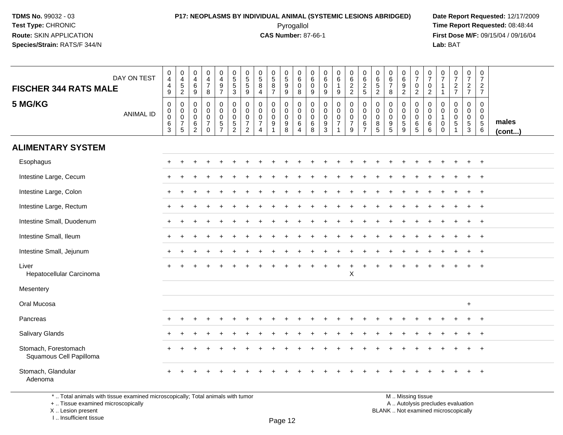### **P17: NEOPLASMS BY INDIVIDUAL ANIMAL (SYSTEMIC LESIONS ABRIDGED) Date Report Requested:** 12/17/2009 Pyrogallol Pyrogallol **Pyrogallol Time Report Requested:** 08:48:44<br>**CAS Number:** 87-66-1 **Time Report Requested:** 09/15/04 / 09/16/04

**First Dose M/F:** 09/15/04 / 09/16/04 Lab: BAT **Lab:** BAT

| DAY ON TEST<br><b>FISCHER 344 RATS MALE</b>     | $_4^{\rm 0}$<br>$\overline{\mathbf{4}}$<br>$\mathsf g$             | $\begin{smallmatrix}0\\4\end{smallmatrix}$<br>$\frac{1}{2}$            | 0<br>$\overline{4}$<br>6<br>$\boldsymbol{9}$ | 0<br>$\overline{4}$<br>$\overline{7}$<br>$\,8\,$                        | 0<br>$\overline{4}$<br>9<br>$\overline{7}$                      | $\begin{array}{c} 0 \\ 5 \\ 5 \end{array}$<br>$\overline{3}$            | $\begin{array}{c} 0 \\ 5 \\ 5 \end{array}$<br>$\overline{9}$                      | $\begin{array}{c} 0 \\ 5 \\ 8 \end{array}$<br>$\overline{4}$                  | $\begin{array}{c} 0 \\ 5 \\ 8 \end{array}$<br>$\overline{7}$   | $\begin{matrix} 0 \\ 5 \end{matrix}$<br>$\overline{9}$<br>$\overline{9}$ | $\begin{matrix} 0 \\ 6 \end{matrix}$<br>$\overline{0}$<br>$\overline{8}$ | 0<br>$\,6\,$<br>$\mathsf{O}\xspace$<br>$\overline{9}$ | 0<br>6<br>$\mathbf 0$<br>$9\,$                         | $\begin{array}{c} 0 \\ 6 \end{array}$<br>$\mathbf{1}$<br>$\boldsymbol{9}$ | $\begin{array}{c} 0 \\ 6 \\ 2 \\ 2 \end{array}$                | $\begin{matrix} 0 \\ 6 \end{matrix}$<br>$\frac{2}{5}$                    | 0<br>6<br>5<br>2                                     | 0<br>$6 \over 7$<br>$\bf 8$                                                        | $\begin{array}{c} 0 \\ 6 \\ 9 \\ 2 \end{array}$            | $\frac{0}{7}$<br>$\mathbf 0$<br>$\overline{2}$          | $\frac{0}{7}$<br>$\frac{0}{2}$                      | $\frac{0}{7}$<br>$\mathbf{1}$                    | $\frac{0}{7}$<br>$\frac{2}{7}$                                            | $\frac{0}{7}$<br>$\frac{2}{7}$            | $\begin{array}{c} 0 \\ 7 \end{array}$<br>$\frac{2}{7}$                        |                 |
|-------------------------------------------------|--------------------------------------------------------------------|------------------------------------------------------------------------|----------------------------------------------|-------------------------------------------------------------------------|-----------------------------------------------------------------|-------------------------------------------------------------------------|-----------------------------------------------------------------------------------|-------------------------------------------------------------------------------|----------------------------------------------------------------|--------------------------------------------------------------------------|--------------------------------------------------------------------------|-------------------------------------------------------|--------------------------------------------------------|---------------------------------------------------------------------------|----------------------------------------------------------------|--------------------------------------------------------------------------|------------------------------------------------------|------------------------------------------------------------------------------------|------------------------------------------------------------|---------------------------------------------------------|-----------------------------------------------------|--------------------------------------------------|---------------------------------------------------------------------------|-------------------------------------------|-------------------------------------------------------------------------------|-----------------|
| 5 MG/KG<br><b>ANIMAL ID</b>                     | $\pmb{0}$<br>$\begin{matrix}0\\0\\6\end{matrix}$<br>$\mathfrak{S}$ | $\mathbf 0$<br>$\begin{matrix} 0 \\ 0 \\ 7 \end{matrix}$<br>$\sqrt{5}$ | 0<br>$\mathbf 0$<br>$\mathbf 0$<br>6<br>2    | $\mathbf 0$<br>$\mathbf 0$<br>$\mathbf 0$<br>$\overline{7}$<br>$\Omega$ | 0<br>$\mathbf 0$<br>$\mathsf 0$<br>$\sqrt{5}$<br>$\overline{7}$ | $\pmb{0}$<br>$\mathbf 0$<br>$\mathbf 0$<br>$\sqrt{5}$<br>$\overline{2}$ | $\mathsf{O}\xspace$<br>$\pmb{0}$<br>$\pmb{0}$<br>$\overline{7}$<br>$\overline{2}$ | $\mathbf 0$<br>$\mathbf 0$<br>$\mathbf 0$<br>$\overline{7}$<br>$\overline{4}$ | $\mathbf 0$<br>$\mathbf 0$<br>$\mathbf 0$<br>9<br>$\mathbf{1}$ | 0<br>$\mathbf 0$<br>$\mathsf{O}$<br>9<br>8                               | 0<br>$\mathbf 0$<br>$\mathbf 0$<br>$6\overline{6}$<br>4                  | $\mathbf 0$<br>$\mathbf 0$<br>$\mathbf 0$<br>6<br>8   | $\mathbf 0$<br>0<br>$\mathbf 0$<br>9<br>$\overline{3}$ | $\pmb{0}$<br>$\pmb{0}$<br>$\frac{0}{7}$<br>$\mathbf{1}$                   | $\pmb{0}$<br>$\mathbf 0$<br>$\mathbf 0$<br>$\overline{7}$<br>9 | $\mathbf 0$<br>$\mathsf{O}\xspace$<br>$\mathbf 0$<br>6<br>$\overline{7}$ | 0<br>$\pmb{0}$<br>$\mathbf 0$<br>8<br>$\overline{5}$ | $\mathbf 0$<br>$\mathbf 0$<br>$\mathbf 0$<br>$\begin{array}{c} 9 \\ 5 \end{array}$ | $\mathbf 0$<br>$\mathbf 0$<br>$\pmb{0}$<br>$\sqrt{5}$<br>9 | 0<br>$\mathbf 0$<br>$\mathsf{O}$<br>6<br>$\overline{5}$ | $\mathbf 0$<br>$\mathbf 0$<br>$\mathsf 0$<br>6<br>6 | $\mathbf 0$<br>$\mathbf 0$<br>1<br>0<br>$\Omega$ | $\mathbf 0$<br>$\mathbf 0$<br>$\mathbf 0$<br>$\sqrt{5}$<br>$\overline{1}$ | $\pmb{0}$<br>$\mathbf 0$<br>$\frac{0}{5}$ | $\mathbf 0$<br>$\mathbf 0$<br>$\mathsf 0$<br>$\overline{5}$<br>$6\phantom{1}$ | males<br>(cont) |
| <b>ALIMENTARY SYSTEM</b>                        |                                                                    |                                                                        |                                              |                                                                         |                                                                 |                                                                         |                                                                                   |                                                                               |                                                                |                                                                          |                                                                          |                                                       |                                                        |                                                                           |                                                                |                                                                          |                                                      |                                                                                    |                                                            |                                                         |                                                     |                                                  |                                                                           |                                           |                                                                               |                 |
| Esophagus                                       | $+$                                                                | $\div$                                                                 | $\ddot{}$                                    |                                                                         | ÷                                                               | ÷                                                                       |                                                                                   |                                                                               |                                                                |                                                                          |                                                                          |                                                       |                                                        |                                                                           |                                                                |                                                                          |                                                      |                                                                                    |                                                            |                                                         |                                                     |                                                  |                                                                           | $\ddot{}$                                 | $+$                                                                           |                 |
| Intestine Large, Cecum                          |                                                                    |                                                                        |                                              |                                                                         |                                                                 |                                                                         |                                                                                   |                                                                               |                                                                |                                                                          |                                                                          |                                                       |                                                        |                                                                           |                                                                |                                                                          |                                                      |                                                                                    |                                                            |                                                         |                                                     |                                                  |                                                                           |                                           | $+$                                                                           |                 |
| Intestine Large, Colon                          | $\pm$                                                              |                                                                        |                                              |                                                                         |                                                                 |                                                                         |                                                                                   |                                                                               |                                                                |                                                                          |                                                                          |                                                       |                                                        |                                                                           |                                                                |                                                                          |                                                      |                                                                                    |                                                            |                                                         |                                                     |                                                  |                                                                           |                                           | $\overline{ }$                                                                |                 |
| Intestine Large, Rectum                         |                                                                    |                                                                        |                                              |                                                                         |                                                                 |                                                                         |                                                                                   |                                                                               |                                                                |                                                                          |                                                                          |                                                       |                                                        |                                                                           |                                                                |                                                                          |                                                      |                                                                                    |                                                            |                                                         |                                                     |                                                  |                                                                           |                                           | $\overline{+}$                                                                |                 |
| Intestine Small, Duodenum                       | +                                                                  |                                                                        |                                              |                                                                         |                                                                 |                                                                         |                                                                                   |                                                                               |                                                                |                                                                          |                                                                          |                                                       |                                                        |                                                                           |                                                                |                                                                          |                                                      |                                                                                    |                                                            |                                                         |                                                     |                                                  |                                                                           | $\ddot{}$                                 | $\overline{+}$                                                                |                 |
| Intestine Small, Ileum                          | $\pm$                                                              |                                                                        |                                              |                                                                         |                                                                 |                                                                         |                                                                                   |                                                                               |                                                                |                                                                          |                                                                          |                                                       |                                                        |                                                                           |                                                                |                                                                          |                                                      |                                                                                    |                                                            |                                                         |                                                     |                                                  |                                                                           |                                           | $\ddot{}$                                                                     |                 |
| Intestine Small, Jejunum                        | $\pm$                                                              |                                                                        |                                              |                                                                         |                                                                 |                                                                         |                                                                                   |                                                                               |                                                                |                                                                          |                                                                          |                                                       |                                                        |                                                                           |                                                                |                                                                          |                                                      |                                                                                    |                                                            |                                                         |                                                     |                                                  |                                                                           |                                           | $\overline{+}$                                                                |                 |
| Liver<br>Hepatocellular Carcinoma               |                                                                    |                                                                        |                                              |                                                                         |                                                                 |                                                                         |                                                                                   |                                                                               |                                                                |                                                                          |                                                                          |                                                       |                                                        |                                                                           | $\mathsf X$                                                    |                                                                          |                                                      |                                                                                    |                                                            |                                                         |                                                     |                                                  |                                                                           |                                           |                                                                               |                 |
| Mesentery                                       |                                                                    |                                                                        |                                              |                                                                         |                                                                 |                                                                         |                                                                                   |                                                                               |                                                                |                                                                          |                                                                          |                                                       |                                                        |                                                                           |                                                                |                                                                          |                                                      |                                                                                    |                                                            |                                                         |                                                     |                                                  |                                                                           |                                           |                                                                               |                 |
| Oral Mucosa                                     |                                                                    |                                                                        |                                              |                                                                         |                                                                 |                                                                         |                                                                                   |                                                                               |                                                                |                                                                          |                                                                          |                                                       |                                                        |                                                                           |                                                                |                                                                          |                                                      |                                                                                    |                                                            |                                                         |                                                     |                                                  |                                                                           | $\ddot{}$                                 |                                                                               |                 |
| Pancreas                                        |                                                                    |                                                                        |                                              |                                                                         |                                                                 |                                                                         |                                                                                   |                                                                               |                                                                |                                                                          |                                                                          |                                                       |                                                        |                                                                           |                                                                |                                                                          |                                                      |                                                                                    |                                                            |                                                         |                                                     |                                                  |                                                                           |                                           | $\overline{+}$                                                                |                 |
| Salivary Glands                                 |                                                                    |                                                                        |                                              |                                                                         |                                                                 |                                                                         |                                                                                   |                                                                               |                                                                |                                                                          |                                                                          |                                                       |                                                        |                                                                           |                                                                |                                                                          |                                                      |                                                                                    |                                                            |                                                         |                                                     |                                                  |                                                                           |                                           | $\overline{1}$                                                                |                 |
| Stomach, Forestomach<br>Squamous Cell Papilloma |                                                                    |                                                                        |                                              |                                                                         |                                                                 |                                                                         |                                                                                   |                                                                               |                                                                |                                                                          |                                                                          |                                                       |                                                        |                                                                           |                                                                |                                                                          |                                                      |                                                                                    |                                                            |                                                         |                                                     |                                                  |                                                                           |                                           |                                                                               |                 |
| Stomach, Glandular<br>Adenoma                   |                                                                    |                                                                        |                                              |                                                                         |                                                                 |                                                                         |                                                                                   |                                                                               |                                                                |                                                                          |                                                                          |                                                       |                                                        |                                                                           |                                                                |                                                                          |                                                      |                                                                                    |                                                            |                                                         |                                                     |                                                  |                                                                           |                                           | $\ddot{}$                                                                     |                 |

\* .. Total animals with tissue examined microscopically; Total animals with tumor

+ .. Tissue examined microscopically

X .. Lesion present

I .. Insufficient tissue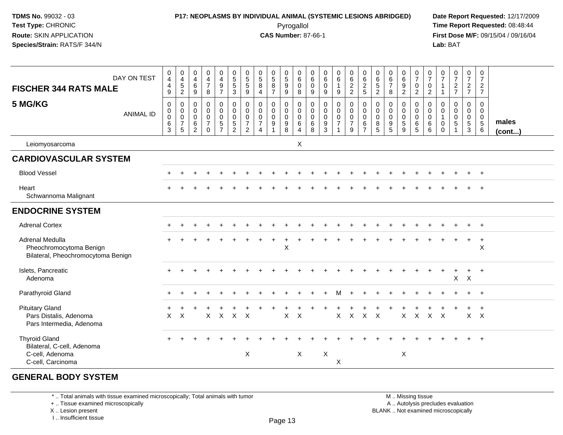### **P17: NEOPLASMS BY INDIVIDUAL ANIMAL (SYSTEMIC LESIONS ABRIDGED) Date Report Requested:** 12/17/2009 Pyrogallol Pyrogallol **Pyrogallol Time Report Requested:** 08:48:44<br>**CAS Number:** 87-66-1 **Time Report Requested:** 09/15/04 / 09/16/04

**First Dose M/F:** 09/15/04 / 09/16/04 Lab: BAT **Lab:** BAT

| <b>FISCHER 344 RATS MALE</b>                                                               | DAY ON TEST      | $\mathbf 0$<br>$\overline{4}$<br>$\overline{4}$<br>9                     | 0<br>$\overline{4}$<br>$5\,$<br>$\overline{2}$                               | 0<br>$\overline{4}$<br>$\,6\,$<br>9             | $_4^{\rm 0}$<br>$\overline{7}$<br>8                                           | $\mathbf 0$<br>$\overline{4}$<br>$\boldsymbol{9}$<br>$\overline{7}$                             | $\begin{array}{c} 0 \\ 5 \end{array}$<br>$\overline{5}$<br>$\mathbf{3}$        | $\begin{array}{c} 0 \\ 5 \end{array}$<br>$\sqrt{5}$<br>9            | $\begin{array}{c} 0 \\ 5 \end{array}$<br>8<br>$\overline{4}$                          | $\begin{smallmatrix}0\0\5\end{smallmatrix}$<br>$\bf 8$<br>$\overline{7}$ | $\begin{array}{c} 0 \\ 5 \end{array}$<br>$\boldsymbol{9}$<br>9             | 0<br>$\,6\,$<br>$\mathbf 0$<br>8                                            | 0<br>$\,6\,$<br>$\mathbf 0$<br>9          | $_{6}^{\rm 0}$<br>$\pmb{0}$<br>9                             | $_{6}^{\rm 0}$<br>$\mathbf{1}$<br>9                                   | $\begin{matrix} 0 \\ 6 \end{matrix}$<br>$\frac{2}{2}$                  | $\begin{array}{c} 0 \\ 6 \end{array}$<br>$\frac{2}{5}$               | $\begin{array}{c} 0 \\ 6 \end{array}$<br>$\sqrt{5}$<br>$\overline{2}$ | $\begin{array}{c} 0 \\ 6 \end{array}$<br>$\boldsymbol{7}$<br>8 | $_{6}^{\rm 0}$<br>9<br>$\overline{2}$      | $\frac{0}{7}$<br>$\mathsf{O}\xspace$<br>$\overline{2}$       | $\frac{0}{7}$<br>$\mathbf 0$<br>$\overline{2}$                  | $\mathbf 0$<br>$\overline{7}$<br>$\overline{1}$<br>$\mathbf{1}$          | $\begin{smallmatrix}0\\7\end{smallmatrix}$<br>$\frac{2}{7}$                         | $\frac{0}{7}$<br>$\overline{2}$<br>$\overline{7}$                      | 0<br>$\overline{7}$<br>$\overline{2}$<br>$\overline{7}$   |                       |
|--------------------------------------------------------------------------------------------|------------------|--------------------------------------------------------------------------|------------------------------------------------------------------------------|-------------------------------------------------|-------------------------------------------------------------------------------|-------------------------------------------------------------------------------------------------|--------------------------------------------------------------------------------|---------------------------------------------------------------------|---------------------------------------------------------------------------------------|--------------------------------------------------------------------------|----------------------------------------------------------------------------|-----------------------------------------------------------------------------|-------------------------------------------|--------------------------------------------------------------|-----------------------------------------------------------------------|------------------------------------------------------------------------|----------------------------------------------------------------------|-----------------------------------------------------------------------|----------------------------------------------------------------|--------------------------------------------|--------------------------------------------------------------|-----------------------------------------------------------------|--------------------------------------------------------------------------|-------------------------------------------------------------------------------------|------------------------------------------------------------------------|-----------------------------------------------------------|-----------------------|
| 5 MG/KG                                                                                    | <b>ANIMAL ID</b> | $\boldsymbol{0}$<br>$\boldsymbol{0}$<br>$\boldsymbol{0}$<br>$\,6\,$<br>3 | 0<br>$\mathbf 0$<br>$\mathsf{O}\xspace$<br>$\overline{7}$<br>$5\phantom{.0}$ | 0<br>$\mathbf 0$<br>$\mathbf 0$<br>$\,6\,$<br>2 | $\pmb{0}$<br>$\mathbf 0$<br>$\mathsf{O}\xspace$<br>$\overline{7}$<br>$\Omega$ | $\begin{smallmatrix} 0\\0 \end{smallmatrix}$<br>$\mathbf 0$<br>$\overline{5}$<br>$\overline{7}$ | $\pmb{0}$<br>$\overline{0}$<br>$\mathbf 0$<br>$\overline{5}$<br>$\overline{2}$ | 0<br>$\mathbf 0$<br>$\mathbf 0$<br>$\overline{7}$<br>$\overline{2}$ | $\mathsf{O}\xspace$<br>0<br>$\mathsf{O}\xspace$<br>$\boldsymbol{7}$<br>$\overline{4}$ | 0<br>0<br>$\mathsf{O}\xspace$<br>$\boldsymbol{9}$                        | $\mathbf 0$<br>$\mathbf 0$<br>$\mathsf{O}\xspace$<br>$\boldsymbol{9}$<br>8 | $\pmb{0}$<br>$\mathbf 0$<br>$\mathsf 0$<br>$6\phantom{1}$<br>$\overline{4}$ | 0<br>$\mathbf 0$<br>$\mathbf 0$<br>6<br>8 | $\pmb{0}$<br>$\pmb{0}$<br>$\pmb{0}$<br>$\boldsymbol{9}$<br>3 | $\pmb{0}$<br>$\pmb{0}$<br>$\pmb{0}$<br>$\overline{7}$<br>$\mathbf{1}$ | $\pmb{0}$<br>$\mathbf 0$<br>$\mathsf{O}\xspace$<br>$\overline{7}$<br>9 | $\pmb{0}$<br>$\mathbf 0$<br>$\mathbf 0$<br>$\,6\,$<br>$\overline{7}$ | 0<br>$\mathbf 0$<br>$\mathbf 0$<br>8<br>5                             | $\pmb{0}$<br>$\pmb{0}$<br>$\pmb{0}$<br>$\boldsymbol{9}$<br>5   | 0<br>0<br>$\pmb{0}$<br>$\overline{5}$<br>9 | 0<br>$\mathbf 0$<br>$\mathbf 0$<br>$\,6\,$<br>$\overline{5}$ | $\mathbf 0$<br>$\mathbf 0$<br>$\mathbf 0$<br>$\,6\,$<br>$\,6\,$ | $\mathbf 0$<br>$\mathbf 0$<br>$\mathbf{1}$<br>$\mathbf 0$<br>$\mathbf 0$ | $\mathbf 0$<br>$\mathbf 0$<br>$\mathsf{O}\xspace$<br>$\overline{5}$<br>$\mathbf{1}$ | $\pmb{0}$<br>$\mathbf 0$<br>$\mathsf{O}\xspace$<br>$\overline{5}$<br>3 | 0<br>$\overline{0}$<br>$\mathbf 0$<br>$\overline{5}$<br>6 | males<br>$($ cont $)$ |
| Leiomyosarcoma                                                                             |                  |                                                                          |                                                                              |                                                 |                                                                               |                                                                                                 |                                                                                |                                                                     |                                                                                       |                                                                          |                                                                            | X                                                                           |                                           |                                                              |                                                                       |                                                                        |                                                                      |                                                                       |                                                                |                                            |                                                              |                                                                 |                                                                          |                                                                                     |                                                                        |                                                           |                       |
| <b>CARDIOVASCULAR SYSTEM</b>                                                               |                  |                                                                          |                                                                              |                                                 |                                                                               |                                                                                                 |                                                                                |                                                                     |                                                                                       |                                                                          |                                                                            |                                                                             |                                           |                                                              |                                                                       |                                                                        |                                                                      |                                                                       |                                                                |                                            |                                                              |                                                                 |                                                                          |                                                                                     |                                                                        |                                                           |                       |
| <b>Blood Vessel</b>                                                                        |                  |                                                                          |                                                                              |                                                 |                                                                               |                                                                                                 |                                                                                |                                                                     |                                                                                       |                                                                          |                                                                            |                                                                             |                                           |                                                              |                                                                       |                                                                        |                                                                      |                                                                       |                                                                |                                            |                                                              |                                                                 |                                                                          |                                                                                     |                                                                        | $+$                                                       |                       |
| Heart<br>Schwannoma Malignant                                                              |                  |                                                                          |                                                                              |                                                 |                                                                               |                                                                                                 |                                                                                |                                                                     |                                                                                       |                                                                          |                                                                            |                                                                             |                                           |                                                              |                                                                       |                                                                        |                                                                      |                                                                       |                                                                |                                            |                                                              |                                                                 |                                                                          |                                                                                     |                                                                        |                                                           |                       |
| <b>ENDOCRINE SYSTEM</b>                                                                    |                  |                                                                          |                                                                              |                                                 |                                                                               |                                                                                                 |                                                                                |                                                                     |                                                                                       |                                                                          |                                                                            |                                                                             |                                           |                                                              |                                                                       |                                                                        |                                                                      |                                                                       |                                                                |                                            |                                                              |                                                                 |                                                                          |                                                                                     |                                                                        |                                                           |                       |
| <b>Adrenal Cortex</b>                                                                      |                  |                                                                          |                                                                              |                                                 |                                                                               |                                                                                                 |                                                                                |                                                                     |                                                                                       |                                                                          |                                                                            |                                                                             |                                           |                                                              |                                                                       |                                                                        |                                                                      |                                                                       |                                                                |                                            |                                                              |                                                                 |                                                                          |                                                                                     |                                                                        | $+$                                                       |                       |
| Adrenal Medulla<br>Pheochromocytoma Benign<br>Bilateral, Pheochromocytoma Benign           |                  |                                                                          |                                                                              |                                                 |                                                                               |                                                                                                 |                                                                                |                                                                     |                                                                                       |                                                                          | $\mathsf{X}$                                                               |                                                                             |                                           |                                                              |                                                                       |                                                                        |                                                                      |                                                                       |                                                                |                                            |                                                              |                                                                 |                                                                          |                                                                                     | $\ddot{}$                                                              | $\ddot{}$<br>X                                            |                       |
| Islets, Pancreatic<br>Adenoma                                                              |                  |                                                                          |                                                                              |                                                 |                                                                               |                                                                                                 |                                                                                |                                                                     |                                                                                       |                                                                          |                                                                            |                                                                             |                                           |                                                              |                                                                       |                                                                        |                                                                      |                                                                       |                                                                |                                            |                                                              |                                                                 |                                                                          | $\mathsf{X}$                                                                        | $\ddot{}$<br>$\mathsf{X}$                                              | $\ddot{}$                                                 |                       |
| Parathyroid Gland                                                                          |                  |                                                                          |                                                                              |                                                 |                                                                               |                                                                                                 |                                                                                |                                                                     |                                                                                       |                                                                          |                                                                            |                                                                             |                                           |                                                              | м                                                                     |                                                                        |                                                                      |                                                                       |                                                                |                                            |                                                              |                                                                 |                                                                          |                                                                                     |                                                                        | $+$                                                       |                       |
| <b>Pituitary Gland</b><br>Pars Distalis, Adenoma<br>Pars Intermedia, Adenoma               |                  | X                                                                        | $\boldsymbol{\mathsf{X}}$                                                    |                                                 | X                                                                             | $\mathsf{X}$                                                                                    | $\mathsf{X}$                                                                   | $\mathsf{X}$                                                        |                                                                                       |                                                                          | $\boldsymbol{\mathsf{X}}$                                                  | $\boldsymbol{\mathsf{X}}$                                                   |                                           |                                                              | $\mathsf{X}$                                                          | $\pmb{\times}$                                                         | $\mathsf{X}$                                                         | $\mathsf{X}$                                                          |                                                                | X                                          | $\mathsf X$                                                  | $\sf X$                                                         | $\boldsymbol{\mathsf{X}}$                                                |                                                                                     | $\mathsf{X}$                                                           | $\mathsf{X}$                                              |                       |
| <b>Thyroid Gland</b><br>Bilateral, C-cell, Adenoma<br>C-cell, Adenoma<br>C-cell, Carcinoma |                  |                                                                          |                                                                              |                                                 |                                                                               |                                                                                                 |                                                                                | X                                                                   |                                                                                       |                                                                          |                                                                            | $\times$                                                                    |                                           | $\boldsymbol{\mathsf{X}}$                                    | X                                                                     |                                                                        |                                                                      |                                                                       |                                                                | X                                          |                                                              |                                                                 |                                                                          |                                                                                     |                                                                        | $\ddot{}$                                                 |                       |

#### **GENERAL BODY SYSTEM**

\* .. Total animals with tissue examined microscopically; Total animals with tumor

+ .. Tissue examined microscopically

X .. Lesion present

I .. Insufficient tissue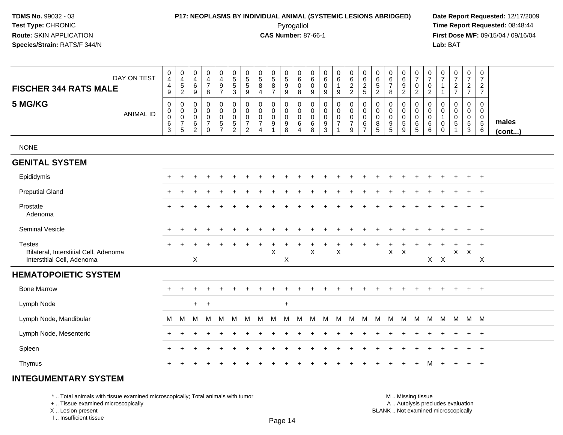# **P17: NEOPLASMS BY INDIVIDUAL ANIMAL (SYSTEMIC LESIONS ABRIDGED) Date Report Requested:** 12/17/2009

Pyrogallol Pyrogallol **Pyrogallol Time Report Requested:** 08:48:44<br>**CAS Number:** 87-66-1 **Time Report Requested:** 09/15/04 / 09/16/04 **First Dose M/F:** 09/15/04 / 09/16/04 Lab: BAT **Lab:** BAT

| DAY ON TEST                                                                          | 0<br>$\overline{4}$<br>$\overline{4}$                                     | $\pmb{0}$<br>$\overline{4}$<br>$\,$ 5 $\,$                                        | 0<br>4<br>6                                            | $\mathbf 0$<br>$\overline{4}$<br>$\overline{7}$                                  | $\mathbf 0$<br>4<br>$\boldsymbol{9}$                       | 0<br>$5\phantom{.0}$<br>5                        | 0<br>$\sqrt{5}$<br>5                                      | 0<br>$\sqrt{5}$<br>8                                                | $\begin{array}{c} 0 \\ 5 \end{array}$<br>$\bf 8$          | 0<br>$\overline{5}$<br>9                               | $\mathbf 0$<br>$\,6\,$<br>$\mathbf 0$                                  | 0<br>6<br>0                                     | 0<br>6<br>0                                                       | $\pmb{0}$<br>$6\phantom{a}$                               | $\mathbf 0$<br>$\frac{6}{2}$                                 | $\mathbf 0$<br>$\,6\,$                                                 | 0<br>6<br>5                     | 0<br>6<br>$\overline{7}$                         | $\pmb{0}$<br>$6\phantom{a}$<br>$\boldsymbol{9}$      | 0<br>$\overline{7}$<br>$\pmb{0}$                                               | 0<br>$\overline{7}$<br>$\mathbf 0$                              | 0<br>$\overline{7}$<br>1                                                 | $\pmb{0}$<br>$\overline{7}$<br>$\overline{c}$       | $\frac{0}{7}$<br>$\overline{a}$              | $\pmb{0}$<br>$\overline{7}$<br>$\overline{a}$                        |                 |
|--------------------------------------------------------------------------------------|---------------------------------------------------------------------------|-----------------------------------------------------------------------------------|--------------------------------------------------------|----------------------------------------------------------------------------------|------------------------------------------------------------|--------------------------------------------------|-----------------------------------------------------------|---------------------------------------------------------------------|-----------------------------------------------------------|--------------------------------------------------------|------------------------------------------------------------------------|-------------------------------------------------|-------------------------------------------------------------------|-----------------------------------------------------------|--------------------------------------------------------------|------------------------------------------------------------------------|---------------------------------|--------------------------------------------------|------------------------------------------------------|--------------------------------------------------------------------------------|-----------------------------------------------------------------|--------------------------------------------------------------------------|-----------------------------------------------------|----------------------------------------------|----------------------------------------------------------------------|-----------------|
| <b>FISCHER 344 RATS MALE</b>                                                         | 9                                                                         | $\overline{c}$                                                                    | 9                                                      | 8                                                                                | $\overline{7}$                                             | $\mathbf{3}$                                     | $9\,$                                                     | $\overline{4}$                                                      | $\overline{7}$                                            | $\boldsymbol{9}$                                       | 8                                                                      | 9                                               | 9                                                                 | $\boldsymbol{9}$                                          |                                                              | $\frac{2}{5}$                                                          | $\overline{c}$                  | 8                                                | $\overline{2}$                                       | $\overline{2}$                                                                 | $\overline{2}$                                                  | $\mathbf{1}$                                                             | $\overline{7}$                                      | $\overline{7}$                               | $\overline{7}$                                                       |                 |
| 5 MG/KG<br><b>ANIMAL ID</b>                                                          | $\mathbf 0$<br>$\pmb{0}$<br>$\mathbf 0$<br>$6\phantom{a}$<br>$\mathbf{3}$ | $\mathbf 0$<br>$\mathsf{O}\xspace$<br>$\mathbf 0$<br>$\overline{7}$<br>$\sqrt{5}$ | 0<br>$\mathbf 0$<br>$\mathbf 0$<br>6<br>$\overline{2}$ | $\mathbf 0$<br>$\pmb{0}$<br>$\mathsf{O}\xspace$<br>$\overline{7}$<br>$\mathbf 0$ | $\mathbf 0$<br>$\mathbf 0$<br>$\mathbf 0$<br>$\frac{5}{7}$ | 0<br>$\mathbf 0$<br>$\mathbf 0$<br>$\frac{5}{2}$ | 0<br>$\mathbf 0$<br>0<br>$\overline{7}$<br>$\overline{c}$ | $\mathbf 0$<br>$\mathbf 0$<br>0<br>$\overline{7}$<br>$\overline{4}$ | $\mathbf 0$<br>$\pmb{0}$<br>$\pmb{0}$<br>$\boldsymbol{9}$ | $\mathbf 0$<br>0<br>$\pmb{0}$<br>$\boldsymbol{9}$<br>8 | $\mathbf 0$<br>$\mathbf 0$<br>$\mathbf 0$<br>$\,6\,$<br>$\overline{4}$ | 0<br>$\mathbf 0$<br>$\mathbf 0$<br>$\,6\,$<br>8 | $\mathbf 0$<br>0<br>$\pmb{0}$<br>$\boldsymbol{9}$<br>$\mathbf{3}$ | $\mathbf 0$<br>$\mathbf 0$<br>$\pmb{0}$<br>$\overline{7}$ | $\mathbf 0$<br>$\pmb{0}$<br>$\pmb{0}$<br>$\overline{7}$<br>9 | $\mathbf 0$<br>$\mathbf 0$<br>$\mathbf 0$<br>$\,6\,$<br>$\overline{7}$ | 0<br>0<br>$\mathbf 0$<br>8<br>5 | 0<br>$\mathbf 0$<br>$\mathbf 0$<br>$\frac{9}{5}$ | $\mathbf 0$<br>0<br>$\pmb{0}$<br>$\overline{5}$<br>9 | $\mathbf 0$<br>$\mathsf{O}\xspace$<br>$\mathbf 0$<br>$\,6\,$<br>$\overline{5}$ | $\mathbf 0$<br>$\mathbf 0$<br>$\mathbf 0$<br>$\,6\,$<br>$\,6\,$ | $\mathbf 0$<br>$\mathbf 0$<br>$\mathbf{1}$<br>$\mathbf 0$<br>$\mathbf 0$ | $\mathbf 0$<br>$\mathbf 0$<br>$\mathbf 0$<br>5<br>1 | 0<br>0<br>$\mathbf 0$<br>$\overline{5}$<br>3 | $\pmb{0}$<br>$\mathbf 0$<br>$\mathbf 0$<br>$\overline{5}$<br>$\,6\,$ | males<br>(cont) |
| <b>NONE</b>                                                                          |                                                                           |                                                                                   |                                                        |                                                                                  |                                                            |                                                  |                                                           |                                                                     |                                                           |                                                        |                                                                        |                                                 |                                                                   |                                                           |                                                              |                                                                        |                                 |                                                  |                                                      |                                                                                |                                                                 |                                                                          |                                                     |                                              |                                                                      |                 |
| <b>GENITAL SYSTEM</b>                                                                |                                                                           |                                                                                   |                                                        |                                                                                  |                                                            |                                                  |                                                           |                                                                     |                                                           |                                                        |                                                                        |                                                 |                                                                   |                                                           |                                                              |                                                                        |                                 |                                                  |                                                      |                                                                                |                                                                 |                                                                          |                                                     |                                              |                                                                      |                 |
| Epididymis                                                                           |                                                                           |                                                                                   |                                                        |                                                                                  |                                                            |                                                  |                                                           |                                                                     |                                                           |                                                        |                                                                        |                                                 |                                                                   |                                                           |                                                              |                                                                        |                                 |                                                  |                                                      |                                                                                |                                                                 |                                                                          |                                                     | $\div$                                       | $\overline{+}$                                                       |                 |
| <b>Preputial Gland</b>                                                               |                                                                           |                                                                                   |                                                        |                                                                                  |                                                            |                                                  |                                                           |                                                                     |                                                           |                                                        |                                                                        |                                                 |                                                                   |                                                           |                                                              |                                                                        |                                 |                                                  |                                                      |                                                                                |                                                                 |                                                                          |                                                     | $\div$                                       | $\overline{+}$                                                       |                 |
| Prostate<br>Adenoma                                                                  |                                                                           |                                                                                   |                                                        |                                                                                  |                                                            |                                                  |                                                           |                                                                     |                                                           |                                                        |                                                                        |                                                 |                                                                   |                                                           |                                                              |                                                                        |                                 |                                                  |                                                      |                                                                                |                                                                 |                                                                          |                                                     |                                              | $\ddot{}$                                                            |                 |
| <b>Seminal Vesicle</b>                                                               | $\pm$                                                                     |                                                                                   |                                                        |                                                                                  |                                                            |                                                  |                                                           |                                                                     |                                                           |                                                        |                                                                        |                                                 |                                                                   |                                                           |                                                              |                                                                        |                                 |                                                  |                                                      |                                                                                |                                                                 |                                                                          |                                                     | $\ddot{}$                                    | $+$                                                                  |                 |
| <b>Testes</b><br>Bilateral, Interstitial Cell, Adenoma<br>Interstitial Cell, Adenoma | $+$                                                                       |                                                                                   | X                                                      |                                                                                  |                                                            |                                                  |                                                           |                                                                     | X                                                         | +<br>$\mathsf X$                                       |                                                                        | X                                               |                                                                   | $\mathsf X$                                               |                                                              |                                                                        |                                 | $\mathsf X$                                      | $\boldsymbol{\mathsf{X}}$                            |                                                                                |                                                                 | $X$ $X$                                                                  | X                                                   | $\ddot{}$<br>$\times$                        | $+$<br>X                                                             |                 |
| <b>HEMATOPOIETIC SYSTEM</b>                                                          |                                                                           |                                                                                   |                                                        |                                                                                  |                                                            |                                                  |                                                           |                                                                     |                                                           |                                                        |                                                                        |                                                 |                                                                   |                                                           |                                                              |                                                                        |                                 |                                                  |                                                      |                                                                                |                                                                 |                                                                          |                                                     |                                              |                                                                      |                 |
| <b>Bone Marrow</b>                                                                   |                                                                           |                                                                                   |                                                        |                                                                                  |                                                            |                                                  |                                                           |                                                                     |                                                           |                                                        |                                                                        |                                                 |                                                                   |                                                           |                                                              |                                                                        |                                 |                                                  |                                                      |                                                                                |                                                                 |                                                                          |                                                     |                                              | $\ddot{}$                                                            |                 |
| Lymph Node                                                                           |                                                                           |                                                                                   | $+$                                                    | $\overline{1}$                                                                   |                                                            |                                                  |                                                           |                                                                     |                                                           | $\ddot{}$                                              |                                                                        |                                                 |                                                                   |                                                           |                                                              |                                                                        |                                 |                                                  |                                                      |                                                                                |                                                                 |                                                                          |                                                     |                                              |                                                                      |                 |
| Lymph Node, Mandibular                                                               | M                                                                         | M                                                                                 | м                                                      | м                                                                                | м                                                          | M                                                | M                                                         | M                                                                   | м                                                         | M                                                      | M                                                                      | M                                               | M                                                                 | M                                                         | M                                                            | M                                                                      | M                               | M                                                | M                                                    | M                                                                              | M                                                               | M                                                                        |                                                     | M M M                                        |                                                                      |                 |
| Lymph Node, Mesenteric                                                               |                                                                           |                                                                                   |                                                        |                                                                                  |                                                            |                                                  |                                                           |                                                                     |                                                           |                                                        |                                                                        |                                                 |                                                                   |                                                           |                                                              |                                                                        |                                 |                                                  |                                                      |                                                                                |                                                                 |                                                                          |                                                     |                                              | $\ddot{}$                                                            |                 |
| Spleen                                                                               |                                                                           |                                                                                   |                                                        |                                                                                  |                                                            |                                                  |                                                           |                                                                     |                                                           |                                                        |                                                                        |                                                 |                                                                   |                                                           |                                                              |                                                                        |                                 |                                                  |                                                      |                                                                                |                                                                 |                                                                          |                                                     | $\div$                                       | $\overline{+}$                                                       |                 |
| Thymus                                                                               | $+$                                                                       |                                                                                   |                                                        |                                                                                  |                                                            |                                                  |                                                           |                                                                     |                                                           |                                                        |                                                                        |                                                 |                                                                   |                                                           |                                                              |                                                                        |                                 |                                                  |                                                      |                                                                                | м                                                               |                                                                          |                                                     | $\ddot{}$                                    | $+$                                                                  |                 |

#### **INTEGUMENTARY SYSTEM**

\* .. Total animals with tissue examined microscopically; Total animals with tumor

+ .. Tissue examined microscopically

X .. Lesion present

I .. Insufficient tissue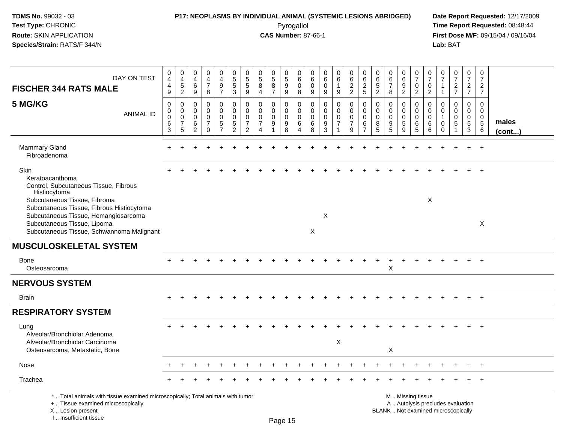I .. Insufficient tissue

## **P17: NEOPLASMS BY INDIVIDUAL ANIMAL (SYSTEMIC LESIONS ABRIDGED) Date Report Requested:** 12/17/2009

Pyrogallol Pyrogallol **Pyrogallol Time Report Requested:** 08:48:44<br>**CAS Number:** 87-66-1 **Time Report Requested:** 09/15/04 / 09/16/04 **First Dose M/F:** 09/15/04 / 09/16/04<br>Lab: BAT **Lab:** BAT

| DAY ON TEST<br><b>FISCHER 344 RATS MALE</b>                                                                                                                                                                                                                                       | $_4^{\rm 0}$<br>$\overline{4}$<br>$9\,$                            | $_4^{\rm 0}$<br>$\sqrt{5}$<br>$\overline{2}$                     | 0<br>$\overline{4}$<br>6<br>$\boldsymbol{9}$                     | $\mathbf 0$<br>$\overline{4}$<br>$\overline{7}$<br>$\,8\,$                 | 0<br>$\overline{4}$<br>9<br>$\overline{7}$   | $\pmb{0}$<br>$\overline{5}$<br>$\sqrt{5}$<br>$\mathbf{3}$                         | 0<br>$\mathbf 5$<br>$\overline{5}$<br>9                          | $\pmb{0}$<br>$\sqrt{5}$<br>8<br>$\overline{4}$                                | $\begin{array}{c} 0 \\ 5 \end{array}$<br>8<br>$\overline{7}$ | $\begin{array}{c} 0 \\ 5 \\ 9 \end{array}$<br>9                       | 0<br>$\,6\,$<br>$\mathbf 0$<br>8                    | 0<br>$\,6\,$<br>$\mathbf 0$<br>$\boldsymbol{9}$ | $\mathbf 0$<br>6<br>$\Omega$<br>$9\,$            | 0<br>$6\phantom{a}$<br>9                                  | $\begin{array}{c} 0 \\ 6 \end{array}$<br>$\overline{2}$<br>$\overline{2}$           | $\begin{matrix} 0 \\ 6 \\ 2 \end{matrix}$<br>5                   | 0<br>6<br>$\sqrt{5}$<br>$\overline{2}$ | $\begin{array}{c} 0 \\ 6 \end{array}$<br>$\overline{7}$<br>8                    | $_{6}^{\rm 0}$<br>9<br>$\overline{c}$                 | $\begin{matrix} 0 \\ 7 \end{matrix}$<br>$\mathbf 0$<br>$\overline{2}$                         | 0<br>$\overline{7}$<br>$\mathbf 0$<br>$\overline{c}$ | $\frac{0}{7}$<br>1<br>$\mathbf{1}$                                   | $\frac{0}{7}$<br>$\overline{c}$<br>$\overline{7}$ | $\frac{0}{7}$<br>$\overline{a}$<br>$\overline{7}$                        | $\begin{smallmatrix}0\\7\end{smallmatrix}$<br>$\overline{c}$<br>$\overline{7}$ |                       |
|-----------------------------------------------------------------------------------------------------------------------------------------------------------------------------------------------------------------------------------------------------------------------------------|--------------------------------------------------------------------|------------------------------------------------------------------|------------------------------------------------------------------|----------------------------------------------------------------------------|----------------------------------------------|-----------------------------------------------------------------------------------|------------------------------------------------------------------|-------------------------------------------------------------------------------|--------------------------------------------------------------|-----------------------------------------------------------------------|-----------------------------------------------------|-------------------------------------------------|--------------------------------------------------|-----------------------------------------------------------|-------------------------------------------------------------------------------------|------------------------------------------------------------------|----------------------------------------|---------------------------------------------------------------------------------|-------------------------------------------------------|-----------------------------------------------------------------------------------------------|------------------------------------------------------|----------------------------------------------------------------------|---------------------------------------------------|--------------------------------------------------------------------------|--------------------------------------------------------------------------------|-----------------------|
| 5 MG/KG<br><b>ANIMAL ID</b>                                                                                                                                                                                                                                                       | $\mathbf 0$<br>$\mathsf{O}$<br>$\pmb{0}$<br>$\,6\,$<br>$\mathsf 3$ | $\mathbf 0$<br>$\mathbf 0$<br>$\mathbf 0$<br>$\overline{7}$<br>5 | $\mathbf 0$<br>$\mathbf 0$<br>$\mathbf 0$<br>6<br>$\overline{c}$ | $\mathbf 0$<br>$\mathbf 0$<br>$\mathbf 0$<br>$\overline{7}$<br>$\mathbf 0$ | 0<br>0<br>$\mathbf 0$<br>5<br>$\overline{7}$ | $\mathbf 0$<br>$\mathsf{O}\xspace$<br>$\mathbf 0$<br>$\sqrt{5}$<br>$\overline{2}$ | $\mathbf 0$<br>$\mathbf 0$<br>$\mathbf 0$<br>7<br>$\overline{2}$ | $\mathbf 0$<br>$\mathbf 0$<br>$\mathbf 0$<br>$\overline{7}$<br>$\overline{4}$ | 0<br>$\mathbf 0$<br>$\mathbf 0$<br>9                         | 0<br>$\mathbf 0$<br>$\mathbf 0$<br>$\boldsymbol{9}$<br>$\overline{8}$ | $\mathbf 0$<br>$\mathsf 0$<br>$\mathbf 0$<br>6<br>4 | 0<br>$\mathbf 0$<br>$\mathbf 0$<br>6<br>8       | $\mathbf 0$<br>$\Omega$<br>$\mathbf 0$<br>9<br>3 | $\mathbf 0$<br>$\mathbf 0$<br>$\pmb{0}$<br>$\overline{7}$ | $\mathbf 0$<br>$\mathsf{O}\xspace$<br>$\pmb{0}$<br>$\overline{7}$<br>$\overline{9}$ | $\mathbf 0$<br>$\mathbf 0$<br>$\mathbf 0$<br>6<br>$\overline{7}$ | $\mathbf 0$<br>0<br>0<br>8<br>5        | $\mathbf 0$<br>$\mathbf 0$<br>$\mathbf 0$<br>$\boldsymbol{9}$<br>$\overline{5}$ | 0<br>0<br>$\mathbf 0$<br>$\sqrt{5}$<br>$\overline{9}$ | $\mathbf 0$<br>$\mathbf 0$<br>$\mathbf 0$<br>6<br>5                                           | 0<br>$\mathbf 0$<br>$\overline{0}$<br>6<br>6         | $\mathbf 0$<br>$\mathbf 0$<br>$\mathbf 1$<br>$\mathbf 0$<br>$\Omega$ | $\mathbf 0$<br>$\mathbf 0$<br>$\mathbf 0$<br>5    | $\mathbf 0$<br>$\mathbf 0$<br>$\mathsf{O}\xspace$<br>5<br>$\mathfrak{Z}$ | $\mathbf 0$<br>$\mathbf 0$<br>$\mathbf 0$<br>$\sqrt{5}$<br>6                   | males<br>$($ cont $)$ |
| <b>Mammary Gland</b><br>Fibroadenoma                                                                                                                                                                                                                                              |                                                                    |                                                                  |                                                                  |                                                                            |                                              |                                                                                   |                                                                  |                                                                               |                                                              |                                                                       |                                                     |                                                 |                                                  |                                                           |                                                                                     |                                                                  |                                        |                                                                                 |                                                       |                                                                                               |                                                      |                                                                      |                                                   |                                                                          | $\overline{1}$                                                                 |                       |
| Skin<br>Keratoacanthoma<br>Control, Subcutaneous Tissue, Fibrous<br>Histiocytoma<br>Subcutaneous Tissue, Fibroma<br>Subcutaneous Tissue, Fibrous Histiocytoma<br>Subcutaneous Tissue, Hemangiosarcoma<br>Subcutaneous Tissue, Lipoma<br>Subcutaneous Tissue, Schwannoma Malignant |                                                                    |                                                                  |                                                                  |                                                                            |                                              |                                                                                   |                                                                  |                                                                               |                                                              |                                                                       |                                                     | $\times$                                        | X                                                |                                                           |                                                                                     |                                                                  |                                        |                                                                                 |                                                       |                                                                                               | X                                                    |                                                                      |                                                   |                                                                          | $\overline{+}$<br>$\times$                                                     |                       |
| <b>MUSCULOSKELETAL SYSTEM</b>                                                                                                                                                                                                                                                     |                                                                    |                                                                  |                                                                  |                                                                            |                                              |                                                                                   |                                                                  |                                                                               |                                                              |                                                                       |                                                     |                                                 |                                                  |                                                           |                                                                                     |                                                                  |                                        |                                                                                 |                                                       |                                                                                               |                                                      |                                                                      |                                                   |                                                                          |                                                                                |                       |
| Bone<br>Osteosarcoma                                                                                                                                                                                                                                                              |                                                                    |                                                                  |                                                                  |                                                                            |                                              |                                                                                   |                                                                  |                                                                               |                                                              |                                                                       |                                                     |                                                 |                                                  |                                                           |                                                                                     |                                                                  |                                        | X                                                                               |                                                       |                                                                                               |                                                      |                                                                      |                                                   |                                                                          |                                                                                |                       |
| <b>NERVOUS SYSTEM</b>                                                                                                                                                                                                                                                             |                                                                    |                                                                  |                                                                  |                                                                            |                                              |                                                                                   |                                                                  |                                                                               |                                                              |                                                                       |                                                     |                                                 |                                                  |                                                           |                                                                                     |                                                                  |                                        |                                                                                 |                                                       |                                                                                               |                                                      |                                                                      |                                                   |                                                                          |                                                                                |                       |
| <b>Brain</b>                                                                                                                                                                                                                                                                      |                                                                    |                                                                  |                                                                  |                                                                            |                                              |                                                                                   |                                                                  |                                                                               |                                                              |                                                                       |                                                     |                                                 |                                                  |                                                           |                                                                                     |                                                                  |                                        |                                                                                 |                                                       |                                                                                               |                                                      |                                                                      |                                                   |                                                                          | $+$                                                                            |                       |
| <b>RESPIRATORY SYSTEM</b>                                                                                                                                                                                                                                                         |                                                                    |                                                                  |                                                                  |                                                                            |                                              |                                                                                   |                                                                  |                                                                               |                                                              |                                                                       |                                                     |                                                 |                                                  |                                                           |                                                                                     |                                                                  |                                        |                                                                                 |                                                       |                                                                                               |                                                      |                                                                      |                                                   |                                                                          |                                                                                |                       |
| Lung<br>Alveolar/Bronchiolar Adenoma<br>Alveolar/Bronchiolar Carcinoma<br>Osteosarcoma, Metastatic, Bone                                                                                                                                                                          |                                                                    |                                                                  |                                                                  |                                                                            |                                              |                                                                                   |                                                                  |                                                                               |                                                              |                                                                       |                                                     |                                                 |                                                  | X                                                         |                                                                                     |                                                                  |                                        | X                                                                               |                                                       |                                                                                               |                                                      |                                                                      |                                                   |                                                                          |                                                                                |                       |
| Nose                                                                                                                                                                                                                                                                              |                                                                    |                                                                  |                                                                  |                                                                            |                                              |                                                                                   |                                                                  |                                                                               |                                                              |                                                                       |                                                     |                                                 |                                                  |                                                           |                                                                                     |                                                                  |                                        |                                                                                 |                                                       |                                                                                               |                                                      |                                                                      |                                                   |                                                                          |                                                                                |                       |
| Trachea                                                                                                                                                                                                                                                                           |                                                                    |                                                                  |                                                                  |                                                                            |                                              |                                                                                   |                                                                  |                                                                               |                                                              |                                                                       |                                                     |                                                 |                                                  |                                                           |                                                                                     |                                                                  |                                        |                                                                                 |                                                       |                                                                                               |                                                      |                                                                      |                                                   |                                                                          | $\overline{1}$                                                                 |                       |
| *  Total animals with tissue examined microscopically; Total animals with tumor<br>+  Tissue examined microscopically<br>X  Lesion present                                                                                                                                        |                                                                    |                                                                  |                                                                  |                                                                            |                                              |                                                                                   |                                                                  |                                                                               |                                                              |                                                                       |                                                     |                                                 |                                                  |                                                           |                                                                                     |                                                                  |                                        |                                                                                 |                                                       | M  Missing tissue<br>A  Autolysis precludes evaluation<br>BLANK  Not examined microscopically |                                                      |                                                                      |                                                   |                                                                          |                                                                                |                       |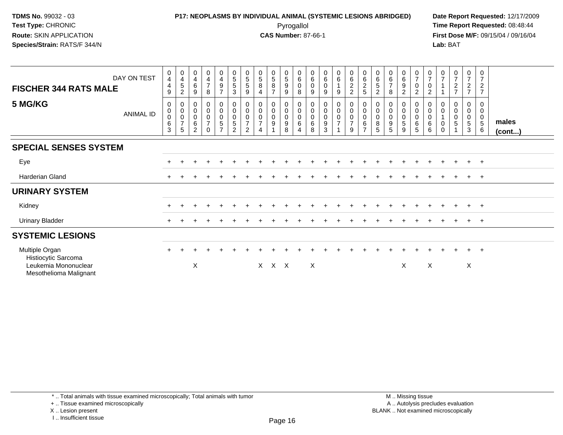### **P17: NEOPLASMS BY INDIVIDUAL ANIMAL (SYSTEMIC LESIONS ABRIDGED) Date Report Requested:** 12/17/2009 Pyrogallol Pyrogallol **Pyrogallol Time Report Requested:** 08:48:44<br>**CAS Number:** 87-66-1 **Time Report Requested:** 09/15/04 / 09/16/04

**First Dose M/F:** 09/15/04 / 09/16/04 Lab: BAT **Lab:** BAT

| DAY ON TEST<br><b>FISCHER 344 RATS MALE</b>                                             | 0<br>4<br>4<br>9                                       | $\begin{smallmatrix}0\\4\end{smallmatrix}$<br>5<br>$\overline{c}$ | $\begin{smallmatrix}0\\4\end{smallmatrix}$<br>$\,6\,$<br>9 | $\mathbf 0$<br>$\frac{4}{7}$<br>8                    | $\boldsymbol{0}$<br>$\overline{4}$<br>9<br>$\overline{7}$    | $\begin{matrix}0\\5\\5\end{matrix}$<br>3                                    | $\begin{smallmatrix}0\0\5\end{smallmatrix}$<br>5<br>9 | $\begin{array}{c} 0 \\ 5 \\ 8 \end{array}$<br>$\overline{a}$    | $\begin{array}{c} 0 \\ 5 \\ 8 \end{array}$<br>$\overline{ }$ | $\begin{array}{c} 0 \\ 5 \end{array}$<br>$\overline{9}$<br>9          | 0<br>6<br>$\mathbf 0$<br>8               | $_{6}^{\rm 0}$<br>$\pmb{0}$<br>9          | $_{6}^{\rm 0}$<br>0<br>9                             | $\begin{matrix} 0 \\ 6 \\ 1 \end{matrix}$<br>9 | $062$<br>22 | $\begin{array}{c} 0 \\ 6 \end{array}$<br>$\frac{2}{5}$ | $_{6}^{\rm 0}$<br>5<br>$\overline{2}$ | $\begin{array}{c} 0 \\ 6 \\ 7 \end{array}$<br>8      | $_{6}^{\rm 0}$<br>$\boldsymbol{9}$<br>$\overline{2}$ | $\begin{array}{c} 0 \\ 7 \end{array}$<br>$\mathsf{O}\xspace$<br>$\overline{2}$ | $\frac{0}{7}$<br>$\mathbf 0$<br>$\overline{c}$ | $\begin{array}{c} 0 \\ 7 \end{array}$ | $\frac{0}{7}$<br>$\frac{2}{7}$   | $\frac{0}{7}$<br>$\frac{2}{7}$                | 0<br>$\overline{7}$<br>$\frac{2}{7}$                 |                 |
|-----------------------------------------------------------------------------------------|--------------------------------------------------------|-------------------------------------------------------------------|------------------------------------------------------------|------------------------------------------------------|--------------------------------------------------------------|-----------------------------------------------------------------------------|-------------------------------------------------------|-----------------------------------------------------------------|--------------------------------------------------------------|-----------------------------------------------------------------------|------------------------------------------|-------------------------------------------|------------------------------------------------------|------------------------------------------------|-------------|--------------------------------------------------------|---------------------------------------|------------------------------------------------------|------------------------------------------------------|--------------------------------------------------------------------------------|------------------------------------------------|---------------------------------------|----------------------------------|-----------------------------------------------|------------------------------------------------------|-----------------|
| 5 MG/KG<br><b>ANIMAL ID</b>                                                             | 0<br>$\pmb{0}$<br>$\pmb{0}$<br>$\,6\,$<br>$\mathbf{3}$ | 0<br>$\pmb{0}$<br>$\pmb{0}$<br>$\boldsymbol{7}$<br>5              | 0<br>$\pmb{0}$<br>$\pmb{0}$<br>$\,6\,$<br>$\overline{2}$   | 0<br>$\mathbf 0$<br>$\pmb{0}$<br>$\overline{7}$<br>0 | $\mathbf 0$<br>$\pmb{0}$<br>$\pmb{0}$<br>5<br>$\overline{7}$ | 0<br>$\mathbf 0$<br>$\begin{array}{c} 0 \\ 5 \end{array}$<br>$\overline{2}$ | $\mathbf 0$<br>$\mathsf 0$<br>$\overline{7}$<br>2     | 0<br>$\pmb{0}$<br>$\pmb{0}$<br>$\overline{7}$<br>$\overline{4}$ | 0<br>$\pmb{0}$<br>0<br>9                                     | $\boldsymbol{0}$<br>$\mathbf 0$<br>$\pmb{0}$<br>$\boldsymbol{9}$<br>8 | $\boldsymbol{0}$<br>$\mathbf 0$<br>$\,6$ | 0<br>$\pmb{0}$<br>$\pmb{0}$<br>$\,6$<br>8 | 0<br>$\pmb{0}$<br>$\pmb{0}$<br>$\boldsymbol{9}$<br>3 | $\begin{matrix} 0 \\ 0 \\ 0 \\ 7 \end{matrix}$ | $9\,$       | 0<br>$\mathsf 0$<br>$\mathbf 0$<br>6<br>$\rightarrow$  | $\pmb{0}$<br>$\pmb{0}$<br>8<br>5      | 0<br>$\pmb{0}$<br>$\pmb{0}$<br>$\boldsymbol{9}$<br>5 | 0<br>$\pmb{0}$<br>$\pmb{0}$<br>$\sqrt{5}$<br>9       | 0<br>$\pmb{0}$<br>$\pmb{0}$<br>$\,6\,$<br>5                                    | 0<br>$\pmb{0}$<br>$\pmb{0}$<br>$\,6$<br>6      | $\pmb{0}$<br>$\pmb{0}$<br>0           | 0<br>$\pmb{0}$<br>$\pmb{0}$<br>5 | 0<br>0<br>0<br>$\overline{5}$<br>$\mathbf{3}$ | 0<br>0<br>$\begin{array}{c} 0 \\ 5 \end{array}$<br>6 | males<br>(cont) |
| <b>SPECIAL SENSES SYSTEM</b>                                                            |                                                        |                                                                   |                                                            |                                                      |                                                              |                                                                             |                                                       |                                                                 |                                                              |                                                                       |                                          |                                           |                                                      |                                                |             |                                                        |                                       |                                                      |                                                      |                                                                                |                                                |                                       |                                  |                                               |                                                      |                 |
| Eye                                                                                     |                                                        |                                                                   |                                                            |                                                      |                                                              |                                                                             |                                                       |                                                                 |                                                              |                                                                       |                                          |                                           |                                                      |                                                |             |                                                        |                                       |                                                      |                                                      |                                                                                |                                                |                                       | $\pm$                            | $+$                                           | $+$                                                  |                 |
| Harderian Gland                                                                         | $\pm$                                                  |                                                                   |                                                            |                                                      |                                                              |                                                                             |                                                       |                                                                 |                                                              |                                                                       |                                          |                                           |                                                      |                                                |             |                                                        |                                       |                                                      |                                                      |                                                                                |                                                |                                       | $^+$                             | $+$ $+$                                       |                                                      |                 |
| <b>URINARY SYSTEM</b>                                                                   |                                                        |                                                                   |                                                            |                                                      |                                                              |                                                                             |                                                       |                                                                 |                                                              |                                                                       |                                          |                                           |                                                      |                                                |             |                                                        |                                       |                                                      |                                                      |                                                                                |                                                |                                       |                                  |                                               |                                                      |                 |
| Kidney                                                                                  |                                                        |                                                                   |                                                            |                                                      |                                                              |                                                                             |                                                       |                                                                 |                                                              |                                                                       |                                          |                                           |                                                      |                                                |             |                                                        |                                       |                                                      |                                                      |                                                                                |                                                |                                       | $\pm$                            | $+$                                           | $+$                                                  |                 |
| <b>Urinary Bladder</b>                                                                  | $\pm$                                                  |                                                                   |                                                            |                                                      |                                                              |                                                                             |                                                       |                                                                 |                                                              |                                                                       |                                          |                                           |                                                      |                                                |             |                                                        |                                       |                                                      |                                                      |                                                                                |                                                |                                       | $\pm$                            | $+$                                           | $+$                                                  |                 |
| <b>SYSTEMIC LESIONS</b>                                                                 |                                                        |                                                                   |                                                            |                                                      |                                                              |                                                                             |                                                       |                                                                 |                                                              |                                                                       |                                          |                                           |                                                      |                                                |             |                                                        |                                       |                                                      |                                                      |                                                                                |                                                |                                       |                                  |                                               |                                                      |                 |
| Multiple Organ<br>Histiocytic Sarcoma<br>Leukemia Mononuclear<br>Mesothelioma Malignant | $\ddot{}$                                              |                                                                   | X                                                          |                                                      |                                                              |                                                                             |                                                       |                                                                 | X X X                                                        |                                                                       |                                          | X                                         |                                                      |                                                |             |                                                        |                                       |                                                      | Χ                                                    |                                                                                | X                                              |                                       |                                  | $+$<br>X                                      | $+$                                                  |                 |

\* .. Total animals with tissue examined microscopically; Total animals with tumor

+ .. Tissue examined microscopically

X .. Lesion present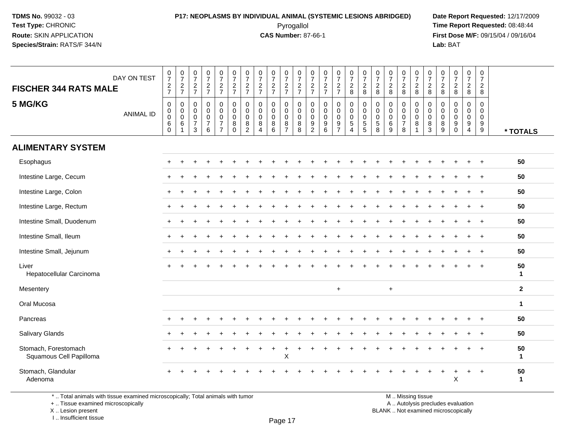### **P17: NEOPLASMS BY INDIVIDUAL ANIMAL (SYSTEMIC LESIONS ABRIDGED) Date Report Requested:** 12/17/2009 Pyrogallol Pyrogallol **Pyrogallol Time Report Requested:** 08:48:44<br>**CAS Number:** 87-66-1 **Time Report Requested:** 09/15/04 / 09/16/04

**First Dose M/F:** 09/15/04 / 09/16/04 Lab: BAT **Lab:** BAT

| DAY ON TEST<br><b>FISCHER 344 RATS MALE</b>     | $\frac{0}{7}$<br>$\frac{2}{7}$                                            | $\frac{0}{7}$<br>$\frac{2}{7}$                              | $\frac{0}{7}$<br>$\frac{2}{7}$                                   | $\frac{0}{7}$<br>$\frac{2}{7}$                                   | $\frac{0}{7}$<br>$\frac{2}{7}$                                                                | $\frac{0}{7}$<br>$\frac{2}{7}$                   | $\frac{0}{7}$<br>$\frac{2}{7}$                                                    | $\frac{0}{7}$<br>$\frac{2}{7}$                                  | $\begin{array}{c} 0 \\ 7 \end{array}$<br>$\frac{2}{7}$   | $\frac{0}{7}$<br>$\frac{2}{7}$                             | 0<br>$\overline{7}$<br>$\frac{2}{7}$                | $\frac{0}{7}$<br>$\frac{2}{7}$                                                       | $\frac{0}{7}$<br>$rac{2}{7}$                                | $\frac{0}{7}$<br>$rac{2}{7}$                             | $\frac{0}{7}$<br>$_{8}^2$                                                                     | $\frac{0}{7}$<br>$_{\rm 8}^2$                        | $\frac{0}{7}$<br>$_{\rm 8}^2$                                            | $\frac{0}{7}$<br>$\frac{2}{8}$                  | $\frac{0}{7}$<br>$\frac{2}{8}$                                               | $\frac{0}{7}$<br>$\frac{2}{8}$ | $\frac{0}{7}$<br>$\frac{2}{8}$                                              | $\frac{0}{7}$<br>$\overline{a}$<br>8    | $\frac{0}{7}$<br>$\frac{2}{8}$                                    | $\frac{0}{7}$<br>$\frac{2}{8}$                                        | $\frac{0}{7}$<br>$\overline{2}$<br>8 |              |
|-------------------------------------------------|---------------------------------------------------------------------------|-------------------------------------------------------------|------------------------------------------------------------------|------------------------------------------------------------------|-----------------------------------------------------------------------------------------------|--------------------------------------------------|-----------------------------------------------------------------------------------|-----------------------------------------------------------------|----------------------------------------------------------|------------------------------------------------------------|-----------------------------------------------------|--------------------------------------------------------------------------------------|-------------------------------------------------------------|----------------------------------------------------------|-----------------------------------------------------------------------------------------------|------------------------------------------------------|--------------------------------------------------------------------------|-------------------------------------------------|------------------------------------------------------------------------------|--------------------------------|-----------------------------------------------------------------------------|-----------------------------------------|-------------------------------------------------------------------|-----------------------------------------------------------------------|--------------------------------------|--------------|
| 5 MG/KG<br><b>ANIMAL ID</b>                     | $\mathbf 0$<br>$\ddot{\mathbf{0}}$<br>$\pmb{0}$<br>$\,6\,$<br>$\mathbf 0$ | $\mathbf 0$<br>$\pmb{0}$<br>$\overline{0}$<br>$\,6\,$<br>-1 | $\mathbf 0$<br>$\mathbf 0$<br>$\mathbf 0$<br>$\overline{7}$<br>3 | $\mathbf 0$<br>$\mathbf 0$<br>$\pmb{0}$<br>$\boldsymbol{7}$<br>6 | $\mathbf 0$<br>$\mathsf{O}\xspace$<br>$\ddot{\mathbf{0}}$<br>$\overline{7}$<br>$\overline{7}$ | 0<br>$\mathbf 0$<br>$\mathbf 0$<br>8<br>$\Omega$ | $\mathbf 0$<br>0<br>$\mathbf 0$<br>$\begin{smallmatrix} 8 \\ 2 \end{smallmatrix}$ | $\mathsf{O}\xspace$<br>0<br>$\mathsf{O}\xspace$<br>$\bf 8$<br>4 | $\mathbf 0$<br>$\mathbf 0$<br>$\pmb{0}$<br>$\frac{8}{6}$ | $\mathbf 0$<br>$\mathbf 0$<br>$\mathbf 0$<br>$\frac{8}{7}$ | $\mathbf 0$<br>$\mathbf 0$<br>$\mathbf 0$<br>8<br>8 | $\boldsymbol{0}$<br>$\mathbf 0$<br>$\mathbf 0$<br>$\boldsymbol{9}$<br>$\overline{2}$ | 0<br>0<br>$\mathbf 0$<br>$\boldsymbol{9}$<br>$6\phantom{a}$ | $\mathbf 0$<br>$\mathbf 0$<br>$\pmb{0}$<br>$\frac{9}{7}$ | $\mathbf 0$<br>$\mathsf{O}\xspace$<br>$\ddot{\mathbf{0}}$<br>$\overline{5}$<br>$\overline{4}$ | 0<br>0<br>0<br>$\begin{array}{c} 5 \\ 5 \end{array}$ | $\mathbf 0$<br>$\mathbf 0$<br>$\mathsf{O}\xspace$<br>$\overline{5}$<br>8 | 0<br>$\mathbf 0$<br>$\mathbf 0$<br>$\,6\,$<br>9 | $\pmb{0}$<br>$\mathbf 0$<br>$\ddot{\mathbf{0}}$<br>$\overline{7}$<br>$\,8\,$ | 0<br>0<br>$\mathbf 0$<br>8     | $\boldsymbol{0}$<br>$\mathbf 0$<br>$\mathbf 0$<br>$\bf 8$<br>$\mathfrak{S}$ | 0<br>0<br>$\mathsf{O}\xspace$<br>$^8_9$ | $\pmb{0}$<br>$\pmb{0}$<br>$\ddot{\mathbf{0}}$<br>$\overline{9}$ 0 | $\mathbf 0$<br>0<br>$\mathbf 0$<br>$\boldsymbol{9}$<br>$\overline{4}$ | 0<br>0<br>$\mathbf 0$<br>$^9_9$      | * TOTALS     |
| <b>ALIMENTARY SYSTEM</b>                        |                                                                           |                                                             |                                                                  |                                                                  |                                                                                               |                                                  |                                                                                   |                                                                 |                                                          |                                                            |                                                     |                                                                                      |                                                             |                                                          |                                                                                               |                                                      |                                                                          |                                                 |                                                                              |                                |                                                                             |                                         |                                                                   |                                                                       |                                      |              |
| Esophagus                                       |                                                                           |                                                             |                                                                  |                                                                  |                                                                                               |                                                  |                                                                                   |                                                                 |                                                          |                                                            |                                                     |                                                                                      |                                                             |                                                          |                                                                                               |                                                      |                                                                          |                                                 |                                                                              |                                |                                                                             |                                         |                                                                   |                                                                       |                                      | 50           |
| Intestine Large, Cecum                          |                                                                           |                                                             |                                                                  |                                                                  |                                                                                               |                                                  |                                                                                   |                                                                 |                                                          |                                                            |                                                     |                                                                                      |                                                             |                                                          |                                                                                               |                                                      |                                                                          |                                                 |                                                                              |                                |                                                                             |                                         |                                                                   |                                                                       |                                      | 50           |
| Intestine Large, Colon                          |                                                                           |                                                             |                                                                  |                                                                  |                                                                                               |                                                  |                                                                                   |                                                                 |                                                          |                                                            |                                                     |                                                                                      |                                                             |                                                          |                                                                                               |                                                      |                                                                          |                                                 |                                                                              |                                |                                                                             |                                         |                                                                   |                                                                       |                                      | 50           |
| Intestine Large, Rectum                         |                                                                           |                                                             |                                                                  |                                                                  |                                                                                               |                                                  |                                                                                   |                                                                 |                                                          |                                                            |                                                     |                                                                                      |                                                             |                                                          |                                                                                               |                                                      |                                                                          |                                                 |                                                                              |                                |                                                                             |                                         |                                                                   |                                                                       | $\ddot{}$                            | 50           |
| Intestine Small, Duodenum                       |                                                                           |                                                             |                                                                  |                                                                  |                                                                                               |                                                  |                                                                                   |                                                                 |                                                          |                                                            |                                                     |                                                                                      |                                                             |                                                          |                                                                                               |                                                      |                                                                          |                                                 |                                                                              |                                |                                                                             |                                         |                                                                   |                                                                       | $+$                                  | 50           |
| Intestine Small, Ileum                          |                                                                           |                                                             |                                                                  |                                                                  |                                                                                               |                                                  |                                                                                   |                                                                 |                                                          |                                                            |                                                     |                                                                                      |                                                             |                                                          |                                                                                               |                                                      |                                                                          |                                                 |                                                                              |                                |                                                                             |                                         |                                                                   |                                                                       | $\overline{+}$                       | 50           |
| Intestine Small, Jejunum                        |                                                                           |                                                             |                                                                  |                                                                  |                                                                                               |                                                  |                                                                                   |                                                                 |                                                          |                                                            |                                                     |                                                                                      |                                                             |                                                          |                                                                                               |                                                      |                                                                          |                                                 |                                                                              |                                |                                                                             |                                         |                                                                   |                                                                       |                                      | 50           |
| Liver<br>Hepatocellular Carcinoma               |                                                                           |                                                             |                                                                  |                                                                  |                                                                                               |                                                  |                                                                                   |                                                                 |                                                          |                                                            |                                                     |                                                                                      |                                                             |                                                          |                                                                                               |                                                      |                                                                          |                                                 |                                                                              |                                |                                                                             |                                         |                                                                   | $\ddot{}$                                                             | $\ddot{}$                            | 50<br>1      |
| Mesentery                                       |                                                                           |                                                             |                                                                  |                                                                  |                                                                                               |                                                  |                                                                                   |                                                                 |                                                          |                                                            |                                                     |                                                                                      |                                                             | $+$                                                      |                                                                                               |                                                      |                                                                          | $+$                                             |                                                                              |                                |                                                                             |                                         |                                                                   |                                                                       |                                      | $\mathbf{2}$ |
| Oral Mucosa                                     |                                                                           |                                                             |                                                                  |                                                                  |                                                                                               |                                                  |                                                                                   |                                                                 |                                                          |                                                            |                                                     |                                                                                      |                                                             |                                                          |                                                                                               |                                                      |                                                                          |                                                 |                                                                              |                                |                                                                             |                                         |                                                                   |                                                                       |                                      | $\mathbf 1$  |
| Pancreas                                        |                                                                           |                                                             |                                                                  |                                                                  |                                                                                               |                                                  |                                                                                   |                                                                 |                                                          |                                                            |                                                     |                                                                                      |                                                             |                                                          |                                                                                               |                                                      |                                                                          |                                                 |                                                                              |                                |                                                                             |                                         |                                                                   |                                                                       |                                      | 50           |
| Salivary Glands                                 |                                                                           |                                                             |                                                                  |                                                                  |                                                                                               |                                                  |                                                                                   |                                                                 |                                                          |                                                            |                                                     |                                                                                      |                                                             |                                                          |                                                                                               |                                                      |                                                                          |                                                 |                                                                              |                                |                                                                             |                                         |                                                                   |                                                                       | $\ddot{}$                            | 50           |
| Stomach, Forestomach<br>Squamous Cell Papilloma |                                                                           |                                                             |                                                                  |                                                                  |                                                                                               |                                                  |                                                                                   |                                                                 |                                                          | X                                                          |                                                     |                                                                                      |                                                             |                                                          |                                                                                               |                                                      |                                                                          |                                                 |                                                                              |                                |                                                                             |                                         |                                                                   |                                                                       |                                      | 50<br>1      |
| Stomach, Glandular<br>Adenoma                   |                                                                           |                                                             |                                                                  |                                                                  |                                                                                               |                                                  |                                                                                   |                                                                 |                                                          |                                                            |                                                     |                                                                                      |                                                             |                                                          |                                                                                               |                                                      |                                                                          |                                                 |                                                                              |                                |                                                                             |                                         | X                                                                 | $\ddot{}$                                                             | $\ddot{}$                            | 50<br>1      |

Page 17

\* .. Total animals with tissue examined microscopically; Total animals with tumor

+ .. Tissue examined microscopically

 Lesion present BLANK .. Not examined microscopicallyX .. Lesion present

I .. Insufficient tissue

M .. Missing tissue y the contract of the contract of the contract of the contract of the contract of  $\mathsf A$  . Autolysis precludes evaluation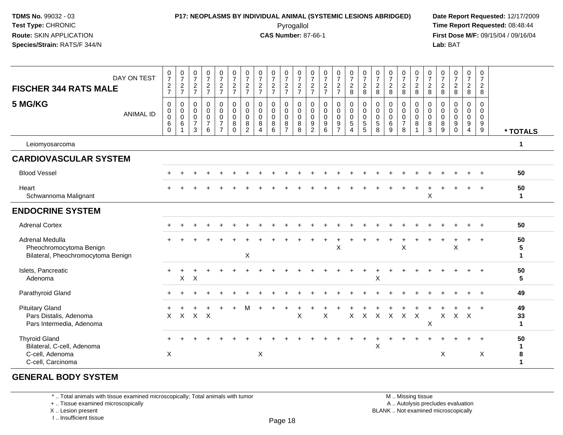### **P17: NEOPLASMS BY INDIVIDUAL ANIMAL (SYSTEMIC LESIONS ABRIDGED) Date Report Requested:** 12/17/2009 Pyrogallol Pyrogallol **Pyrogallol Time Report Requested:** 08:48:44<br>**CAS Number:** 87-66-1 **Time Report Requested:** 08/15/04 / 09/16/04

**First Dose M/F:** 09/15/04 / 09/16/04 Lab: BAT **Lab:** BAT

| DAY ON TEST<br><b>FISCHER 344 RATS MALE</b>                                                | $\begin{array}{c} 0 \\ 7 \end{array}$<br>$\frac{2}{7}$ | $\frac{0}{7}$<br>$\frac{2}{7}$                                  | $\frac{0}{7}$<br>$\frac{2}{7}$                                         | $\begin{smallmatrix}0\\7\end{smallmatrix}$<br>$rac{2}{7}$        | $\frac{0}{7}$<br>$\frac{2}{7}$                                                                 | $\begin{array}{c} 0 \\ 7 \end{array}$<br>$\frac{2}{7}$                    | $\frac{0}{7}$<br>$\frac{2}{7}$            | $\frac{0}{7}$<br>$\frac{2}{7}$                                         | $\frac{0}{7}$<br>$\frac{2}{7}$            | $\frac{0}{7}$<br>$\frac{2}{7}$                                    | $\frac{0}{7}$<br>$\frac{2}{7}$            | $\frac{0}{7}$<br>$\frac{2}{7}$                   | $\frac{0}{7}$<br>$\frac{2}{7}$                                                     | $\frac{0}{7}$<br>$\frac{2}{7}$                                           | $\begin{array}{c} 0 \\ 7 \\ 2 \end{array}$<br>8                            | $\frac{0}{7}$<br>$\frac{2}{8}$                              | $\frac{0}{7}$<br>$\frac{2}{8}$                         | $\frac{0}{7}$<br>$_{\rm 8}^2$                                | $\frac{0}{7}$<br>$\frac{2}{8}$                         | $\begin{array}{c} 0 \\ 7 \\ 2 \\ 8 \end{array}$                   | $\frac{0}{7}$<br>$^2_{\bf 8}$             | $\frac{0}{7}$<br>$_{\rm 8}^2$                   | $\frac{0}{7}$<br>$\frac{2}{8}$                                                  | $\begin{array}{c} 0 \\ 7 \end{array}$<br>$\frac{2}{8}$ | 0<br>$\overline{7}$<br>$\overline{2}$<br>8 |                          |
|--------------------------------------------------------------------------------------------|--------------------------------------------------------|-----------------------------------------------------------------|------------------------------------------------------------------------|------------------------------------------------------------------|------------------------------------------------------------------------------------------------|---------------------------------------------------------------------------|-------------------------------------------|------------------------------------------------------------------------|-------------------------------------------|-------------------------------------------------------------------|-------------------------------------------|--------------------------------------------------|------------------------------------------------------------------------------------|--------------------------------------------------------------------------|----------------------------------------------------------------------------|-------------------------------------------------------------|--------------------------------------------------------|--------------------------------------------------------------|--------------------------------------------------------|-------------------------------------------------------------------|-------------------------------------------|-------------------------------------------------|---------------------------------------------------------------------------------|--------------------------------------------------------|--------------------------------------------|--------------------------|
| 5 MG/KG<br><b>ANIMAL ID</b>                                                                | 0<br>0<br>$\pmb{0}$<br>$\,6\,$<br>$\Omega$             | $\boldsymbol{0}$<br>$\begin{bmatrix} 0 \\ 0 \\ 6 \end{bmatrix}$ | $\pmb{0}$<br>$\mathsf{O}\xspace$<br>$\mathbf 0$<br>$\overline{7}$<br>3 | $\mathbf 0$<br>$\mathbf 0$<br>$\mathbf 0$<br>$\overline{7}$<br>6 | $\begin{smallmatrix}0\0\0\end{smallmatrix}$<br>$\mathbf 0$<br>$\overline{7}$<br>$\overline{7}$ | $\pmb{0}$<br>$\overline{0}$<br>$\mathsf{O}\xspace$<br>$\bf 8$<br>$\Omega$ | 0<br>$\mathbf 0$<br>$\mathbf 0$<br>8<br>2 | $\pmb{0}$<br>$\mathbf 0$<br>$\mathbf 0$<br>8<br>$\boldsymbol{\Lambda}$ | 0<br>$\mathbf 0$<br>$\mathbf 0$<br>8<br>6 | $\pmb{0}$<br>$\overline{0}$<br>$\mathsf 0$<br>8<br>$\overline{7}$ | 0<br>$\mathbf 0$<br>$\mathbf 0$<br>8<br>8 | 0<br>$\mathbf 0$<br>$\mathbf 0$<br>$\frac{9}{2}$ | $\mathbf 0$<br>$\ddot{\mathbf{0}}$<br>$\mathsf{O}\xspace$<br>$\boldsymbol{9}$<br>6 | 0<br>$\mathbf 0$<br>$\overline{0}$<br>$\boldsymbol{9}$<br>$\overline{7}$ | $\pmb{0}$<br>$\overline{0}$<br>$\mathbf 0$<br>$\sqrt{5}$<br>$\overline{4}$ | $\mathbf 0$<br>$\ddot{\mathbf{0}}$<br>$\mathbf 0$<br>5<br>5 | 0<br>$\mathbf 0$<br>$\mathbf 0$<br>$\overline{5}$<br>8 | $\mathbf 0$<br>$\overline{0}$<br>$\mathbf 0$<br>$\,6\,$<br>9 | 0<br>$\mathbf 0$<br>$\mathbf 0$<br>$\overline{7}$<br>8 | $\pmb{0}$<br>$\overline{0}$<br>$\mathbf 0$<br>8<br>$\overline{1}$ | 0<br>$\mathbf 0$<br>$\mathsf 0$<br>8<br>3 | 0<br>$\mathbf 0$<br>$\mathbf 0$<br>$\bf 8$<br>9 | $\pmb{0}$<br>$\mathbf 0$<br>$\mathsf{O}\xspace$<br>$\boldsymbol{9}$<br>$\Omega$ | 0<br>$\mathbf 0$<br>$\mathbf 0$<br>$\frac{9}{4}$       | 0<br>$\mathbf 0$<br>$\mathbf{0}$<br>9<br>9 | * TOTALS                 |
| Leiomyosarcoma                                                                             |                                                        |                                                                 |                                                                        |                                                                  |                                                                                                |                                                                           |                                           |                                                                        |                                           |                                                                   |                                           |                                                  |                                                                                    |                                                                          |                                                                            |                                                             |                                                        |                                                              |                                                        |                                                                   |                                           |                                                 |                                                                                 |                                                        |                                            | 1                        |
| <b>CARDIOVASCULAR SYSTEM</b>                                                               |                                                        |                                                                 |                                                                        |                                                                  |                                                                                                |                                                                           |                                           |                                                                        |                                           |                                                                   |                                           |                                                  |                                                                                    |                                                                          |                                                                            |                                                             |                                                        |                                                              |                                                        |                                                                   |                                           |                                                 |                                                                                 |                                                        |                                            |                          |
| <b>Blood Vessel</b>                                                                        |                                                        |                                                                 |                                                                        |                                                                  |                                                                                                |                                                                           |                                           |                                                                        |                                           |                                                                   |                                           |                                                  |                                                                                    |                                                                          |                                                                            |                                                             |                                                        |                                                              |                                                        |                                                                   |                                           |                                                 |                                                                                 |                                                        |                                            | 50                       |
| Heart<br>Schwannoma Malignant                                                              |                                                        |                                                                 |                                                                        |                                                                  |                                                                                                |                                                                           |                                           |                                                                        |                                           |                                                                   |                                           |                                                  |                                                                                    |                                                                          |                                                                            |                                                             |                                                        |                                                              |                                                        |                                                                   | X                                         |                                                 |                                                                                 |                                                        | $+$                                        | 50<br>$\mathbf 1$        |
| <b>ENDOCRINE SYSTEM</b>                                                                    |                                                        |                                                                 |                                                                        |                                                                  |                                                                                                |                                                                           |                                           |                                                                        |                                           |                                                                   |                                           |                                                  |                                                                                    |                                                                          |                                                                            |                                                             |                                                        |                                                              |                                                        |                                                                   |                                           |                                                 |                                                                                 |                                                        |                                            |                          |
| <b>Adrenal Cortex</b>                                                                      |                                                        |                                                                 |                                                                        |                                                                  |                                                                                                |                                                                           |                                           |                                                                        |                                           |                                                                   |                                           |                                                  |                                                                                    |                                                                          |                                                                            |                                                             |                                                        |                                                              |                                                        |                                                                   |                                           |                                                 |                                                                                 |                                                        |                                            | 50                       |
| Adrenal Medulla<br>Pheochromocytoma Benign<br>Bilateral, Pheochromocytoma Benign           |                                                        |                                                                 |                                                                        |                                                                  |                                                                                                |                                                                           | X                                         |                                                                        |                                           |                                                                   |                                           |                                                  |                                                                                    | X                                                                        |                                                                            |                                                             |                                                        |                                                              | X                                                      |                                                                   |                                           |                                                 | X                                                                               |                                                        |                                            | 50<br>5<br>1             |
| Islets, Pancreatic<br>Adenoma                                                              |                                                        | $\pmb{\times}$                                                  | $\times$                                                               |                                                                  |                                                                                                |                                                                           |                                           |                                                                        |                                           |                                                                   |                                           |                                                  |                                                                                    |                                                                          |                                                                            |                                                             | X                                                      |                                                              |                                                        |                                                                   |                                           |                                                 |                                                                                 |                                                        | $+$                                        | 50<br>5                  |
| Parathyroid Gland                                                                          |                                                        |                                                                 |                                                                        |                                                                  |                                                                                                |                                                                           |                                           |                                                                        |                                           |                                                                   |                                           |                                                  |                                                                                    |                                                                          |                                                                            |                                                             |                                                        |                                                              |                                                        |                                                                   |                                           |                                                 |                                                                                 |                                                        | $+$                                        | 49                       |
| <b>Pituitary Gland</b><br>Pars Distalis, Adenoma<br>Pars Intermedia, Adenoma               | $\mathsf{X}$                                           |                                                                 | $X$ $X$ $X$                                                            |                                                                  |                                                                                                |                                                                           |                                           |                                                                        |                                           |                                                                   | $\mathsf X$                               |                                                  | X                                                                                  |                                                                          | X                                                                          | $\mathsf X$                                                 | $\mathsf{X}$                                           | $\mathsf{X}$                                                 | $\mathsf{X}$                                           | $\mathsf{X}$                                                      | X                                         | $\mathsf{X}$                                    | $X$ $X$                                                                         |                                                        | $\ddot{+}$                                 | 49<br>33<br>$\mathbf{1}$ |
| <b>Thyroid Gland</b><br>Bilateral, C-cell, Adenoma<br>C-cell, Adenoma<br>C-cell, Carcinoma | X                                                      |                                                                 |                                                                        |                                                                  |                                                                                                |                                                                           |                                           | X                                                                      |                                           |                                                                   |                                           |                                                  |                                                                                    |                                                                          |                                                                            |                                                             | X                                                      |                                                              |                                                        |                                                                   |                                           | X                                               |                                                                                 |                                                        | Χ                                          | 50<br>1<br>8             |

#### **GENERAL BODY SYSTEM**

\* .. Total animals with tissue examined microscopically; Total animals with tumor

+ .. Tissue examined microscopically

X .. Lesion present

I .. Insufficient tissue

 M .. Missing tissuey the contract of the contract of the contract of the contract of the contract of  $\mathsf A$  . Autolysis precludes evaluation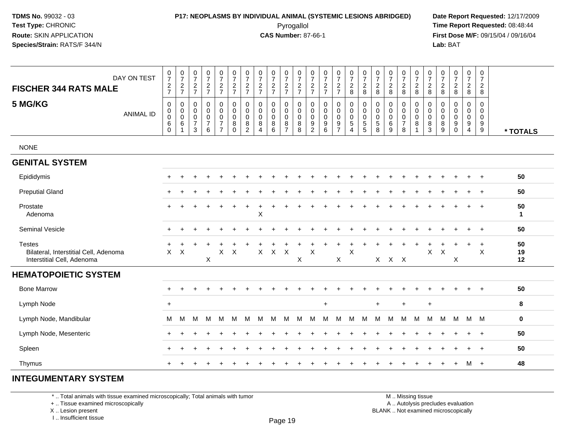### **P17: NEOPLASMS BY INDIVIDUAL ANIMAL (SYSTEMIC LESIONS ABRIDGED) Date Report Requested:** 12/17/2009

Pyrogallol Pyrogallol **Pyrogallol Time Report Requested:** 08:48:44<br>**CAS Number:** 87-66-1 **Time Report Requested:** 08/15/04 / 09/16/04 **First Dose M/F:** 09/15/04 / 09/16/04 Lab: BAT **Lab:** BAT

| DAY ON TEST<br><b>FISCHER 344 RATS MALE</b>                                          | $\frac{0}{7}$<br>$\frac{2}{7}$                         | $\frac{0}{7}$<br>$\frac{2}{7}$                                              | $\frac{0}{7}$<br>$\frac{2}{7}$                                                   | $\frac{0}{7}$<br>$\frac{2}{7}$                                 | $\frac{0}{7}$<br>$\frac{2}{7}$                                                      | $\frac{0}{7}$<br>$\frac{2}{7}$                                 | $\frac{0}{7}$<br>$\frac{2}{7}$                         | $\begin{array}{c} 0 \\ 7 \end{array}$<br>$\frac{2}{7}$                   | $\frac{0}{7}$<br>$\frac{2}{7}$                        | $\frac{0}{7}$<br>$\frac{2}{7}$                               | $\frac{0}{7}$<br>$\frac{2}{7}$            | $\frac{0}{7}$<br>$\frac{2}{7}$                 | $\frac{0}{7}$<br>$\frac{2}{7}$                       | $\frac{0}{7}$<br>$\frac{2}{7}$                         | $\frac{0}{7}$<br>$\frac{2}{8}$                                   | $\frac{0}{7}$<br>$_{\rm 8}^2$           | $\frac{0}{7}$<br>$^2_8$                                      | $\frac{0}{7}$<br>$^2_8$                                       | $\frac{0}{7}$<br>$^2_8$                                          | $\frac{0}{7}$<br>$\frac{2}{8}$                                           | $\frac{0}{7}$<br>$\sqrt{2}$<br>8                  | $\frac{0}{7}$<br>$_{\rm 8}^2$             | $\frac{0}{7}$<br>$\frac{2}{8}$                                  | $\frac{0}{7}$<br>$\frac{2}{8}$                                                | $\begin{smallmatrix}0\\7\end{smallmatrix}$<br>$\frac{2}{8}$        |                    |
|--------------------------------------------------------------------------------------|--------------------------------------------------------|-----------------------------------------------------------------------------|----------------------------------------------------------------------------------|----------------------------------------------------------------|-------------------------------------------------------------------------------------|----------------------------------------------------------------|--------------------------------------------------------|--------------------------------------------------------------------------|-------------------------------------------------------|--------------------------------------------------------------|-------------------------------------------|------------------------------------------------|------------------------------------------------------|--------------------------------------------------------|------------------------------------------------------------------|-----------------------------------------|--------------------------------------------------------------|---------------------------------------------------------------|------------------------------------------------------------------|--------------------------------------------------------------------------|---------------------------------------------------|-------------------------------------------|-----------------------------------------------------------------|-------------------------------------------------------------------------------|--------------------------------------------------------------------|--------------------|
| 5 MG/KG<br><b>ANIMAL ID</b>                                                          | $\mathbf 0$<br>$\pmb{0}$<br>$\pmb{0}$<br>6<br>$\Omega$ | $\boldsymbol{0}$<br>$\begin{smallmatrix} 0\\0 \end{smallmatrix}$<br>$\,6\,$ | $\mathbf 0$<br>$\mathsf{O}\xspace$<br>$\mathsf{O}\xspace$<br>$\overline{7}$<br>3 | $\mathbf 0$<br>$\mathbf 0$<br>$\pmb{0}$<br>$\overline{7}$<br>6 | $\mathbf 0$<br>$\mathsf{O}\xspace$<br>$\pmb{0}$<br>$\overline{7}$<br>$\overline{7}$ | $\mathbf 0$<br>$\pmb{0}$<br>$\mathbf 0$<br>$\bf 8$<br>$\Omega$ | $\mathbf 0$<br>0<br>$\mathbf 0$<br>8<br>$\overline{2}$ | $\mathbf 0$<br>$\mathbf 0$<br>$\mathbf 0$<br>8<br>$\boldsymbol{\Lambda}$ | $\mathbf 0$<br>$\pmb{0}$<br>$\pmb{0}$<br>$\bf 8$<br>6 | $\mathbf 0$<br>$\pmb{0}$<br>$\pmb{0}$<br>8<br>$\overline{7}$ | $\mathbf 0$<br>0<br>$\mathbf 0$<br>8<br>8 | $\mathbf 0$<br>$\pmb{0}$<br>0<br>$\frac{9}{2}$ | 0<br>$\pmb{0}$<br>$\pmb{0}$<br>$\boldsymbol{9}$<br>6 | 0<br>$\pmb{0}$<br>$\mathsf{O}\xspace$<br>$\frac{9}{7}$ | $\mathbf 0$<br>$\mathbf 0$<br>$\mathbf 0$<br>$\overline{5}$<br>4 | 0<br>$\pmb{0}$<br>$\mathbf 0$<br>5<br>5 | $\mathbf 0$<br>$\mathbf 0$<br>$\mathbf 0$<br>$\sqrt{5}$<br>8 | $\mathbf 0$<br>$\pmb{0}$<br>$\mathsf{O}\xspace$<br>$\,6$<br>9 | $\mathbf 0$<br>$\mathbf 0$<br>$\mathbf 0$<br>$\overline{7}$<br>8 | $\mathbf 0$<br>$\mathsf{O}\xspace$<br>$\mathbf 0$<br>8<br>$\overline{1}$ | $\mathbf 0$<br>$\pmb{0}$<br>$\mathbf 0$<br>8<br>3 | $\mathbf 0$<br>0<br>$\mathbf 0$<br>8<br>9 | $\mathbf 0$<br>$\boldsymbol{0}$<br>$\mathbf 0$<br>9<br>$\Omega$ | $\mathbf 0$<br>$\mathbf 0$<br>$\pmb{0}$<br>$\boldsymbol{9}$<br>$\overline{4}$ | $\mathbf 0$<br>$\mathbf 0$<br>$\mathbf 0$<br>$\boldsymbol{9}$<br>9 | * TOTALS           |
| <b>NONE</b>                                                                          |                                                        |                                                                             |                                                                                  |                                                                |                                                                                     |                                                                |                                                        |                                                                          |                                                       |                                                              |                                           |                                                |                                                      |                                                        |                                                                  |                                         |                                                              |                                                               |                                                                  |                                                                          |                                                   |                                           |                                                                 |                                                                               |                                                                    |                    |
| <b>GENITAL SYSTEM</b>                                                                |                                                        |                                                                             |                                                                                  |                                                                |                                                                                     |                                                                |                                                        |                                                                          |                                                       |                                                              |                                           |                                                |                                                      |                                                        |                                                                  |                                         |                                                              |                                                               |                                                                  |                                                                          |                                                   |                                           |                                                                 |                                                                               |                                                                    |                    |
| Epididymis                                                                           |                                                        |                                                                             |                                                                                  |                                                                |                                                                                     |                                                                |                                                        |                                                                          |                                                       |                                                              |                                           |                                                |                                                      |                                                        |                                                                  |                                         |                                                              |                                                               |                                                                  |                                                                          |                                                   |                                           |                                                                 |                                                                               |                                                                    | 50                 |
| <b>Preputial Gland</b>                                                               |                                                        |                                                                             |                                                                                  |                                                                |                                                                                     |                                                                |                                                        |                                                                          |                                                       |                                                              |                                           |                                                |                                                      |                                                        |                                                                  |                                         |                                                              |                                                               |                                                                  |                                                                          |                                                   |                                           |                                                                 |                                                                               | $\overline{1}$                                                     | 50                 |
| Prostate<br>Adenoma                                                                  |                                                        |                                                                             |                                                                                  |                                                                |                                                                                     |                                                                |                                                        | $\boldsymbol{\mathsf{X}}$                                                |                                                       |                                                              |                                           |                                                |                                                      |                                                        |                                                                  |                                         |                                                              |                                                               |                                                                  |                                                                          |                                                   |                                           |                                                                 |                                                                               |                                                                    | 50<br>$\mathbf{1}$ |
| <b>Seminal Vesicle</b>                                                               |                                                        |                                                                             |                                                                                  |                                                                |                                                                                     |                                                                |                                                        |                                                                          |                                                       |                                                              |                                           |                                                |                                                      |                                                        |                                                                  |                                         |                                                              |                                                               |                                                                  |                                                                          |                                                   |                                           |                                                                 |                                                                               | $+$                                                                | 50                 |
| <b>Testes</b><br>Bilateral, Interstitial Cell, Adenoma<br>Interstitial Cell, Adenoma | $\div$<br>X                                            | X                                                                           |                                                                                  | $\pmb{\times}$                                                 | $\pmb{\times}$                                                                      | $\boldsymbol{\mathsf{X}}$                                      |                                                        | $\mathsf X$                                                              | $\mathsf X$                                           | $\times$                                                     | X                                         | X                                              |                                                      | $\mathsf{X}$                                           | $\times$                                                         |                                         |                                                              | $X$ $X$ $X$                                                   |                                                                  |                                                                          | X                                                 | $\mathsf X$                               | X                                                               | $\ddot{}$                                                                     | $\overline{+}$<br>X                                                | 50<br>19<br>12     |
| <b>HEMATOPOIETIC SYSTEM</b>                                                          |                                                        |                                                                             |                                                                                  |                                                                |                                                                                     |                                                                |                                                        |                                                                          |                                                       |                                                              |                                           |                                                |                                                      |                                                        |                                                                  |                                         |                                                              |                                                               |                                                                  |                                                                          |                                                   |                                           |                                                                 |                                                                               |                                                                    |                    |
| <b>Bone Marrow</b>                                                                   |                                                        |                                                                             |                                                                                  |                                                                |                                                                                     |                                                                |                                                        |                                                                          |                                                       |                                                              |                                           |                                                |                                                      |                                                        |                                                                  |                                         |                                                              |                                                               |                                                                  |                                                                          |                                                   |                                           |                                                                 |                                                                               | $\overline{+}$                                                     | 50                 |
| Lymph Node                                                                           | $\ddot{}$                                              |                                                                             |                                                                                  |                                                                |                                                                                     |                                                                |                                                        |                                                                          |                                                       |                                                              |                                           |                                                | $\ddot{}$                                            |                                                        |                                                                  |                                         | $+$                                                          |                                                               | $\ddot{}$                                                        |                                                                          | $\ddot{}$                                         |                                           |                                                                 |                                                                               |                                                                    | 8                  |
| Lymph Node, Mandibular                                                               | м                                                      | м                                                                           | м                                                                                | м                                                              | M                                                                                   | M                                                              | м                                                      | M                                                                        | м                                                     | м                                                            | M                                         | M                                              | M                                                    | м                                                      | M                                                                | M                                       | M                                                            | M                                                             | м                                                                | M                                                                        | М                                                 | M                                         | M                                                               | M M                                                                           |                                                                    | 0                  |
| Lymph Node, Mesenteric                                                               |                                                        |                                                                             |                                                                                  |                                                                |                                                                                     |                                                                |                                                        |                                                                          |                                                       |                                                              |                                           |                                                |                                                      |                                                        |                                                                  |                                         |                                                              |                                                               |                                                                  |                                                                          |                                                   |                                           |                                                                 |                                                                               | $\overline{ }$                                                     | 50                 |
| Spleen                                                                               |                                                        |                                                                             |                                                                                  |                                                                |                                                                                     |                                                                |                                                        |                                                                          |                                                       |                                                              |                                           |                                                |                                                      |                                                        |                                                                  |                                         |                                                              |                                                               |                                                                  |                                                                          |                                                   |                                           |                                                                 |                                                                               | $\overline{1}$                                                     | 50                 |
| Thymus                                                                               |                                                        |                                                                             |                                                                                  |                                                                |                                                                                     |                                                                |                                                        |                                                                          |                                                       |                                                              |                                           |                                                |                                                      |                                                        |                                                                  |                                         |                                                              |                                                               |                                                                  |                                                                          |                                                   |                                           |                                                                 | м                                                                             | $+$                                                                | 48                 |

#### **INTEGUMENTARY SYSTEM**

\* .. Total animals with tissue examined microscopically; Total animals with tumor

+ .. Tissue examined microscopically

X .. Lesion present

I .. Insufficient tissue

M .. Missing tissue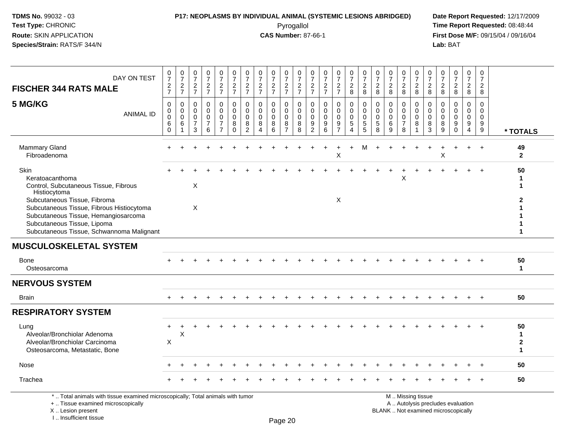# **P17: NEOPLASMS BY INDIVIDUAL ANIMAL (SYSTEMIC LESIONS ABRIDGED) Date Report Requested:** 12/17/2009

Pyrogallol Pyrogallol **Pyrogallol Time Report Requested:** 08:48:44<br>**CAS Number:** 87-66-1 **Time Report Requested:** 09/15/04 / 09/16/04 **First Dose M/F:** 09/15/04 / 09/16/04<br>Lab: BAT **Lab:** BAT

| $\frac{0}{7}$<br>$\frac{0}{7}$<br>0<br>$\frac{0}{7}$<br>0<br>$\frac{0}{7}$<br>$\overline{7}$<br>$\overline{7}$<br>$\frac{2}{7}$<br>$\frac{2}{7}$<br>$\frac{2}{7}$<br>$\frac{2}{7}$<br>$\frac{2}{7}$<br>$\overline{c}$<br>$\overline{7}$<br>$\mathbf 0$<br>$\mathbf 0$<br>$\mathbf 0$<br>$\mathbf 0$<br>$\mathbf 0$<br>$\Omega$<br>$\mathbf 0$<br>$\mathbf 0$<br>0<br>$\Omega$<br>$\Omega$<br>0<br>$\mathbf 0$<br>$\mathbf 0$<br>$\mathbf 0$<br>$\mathbf 0$<br>0<br>$\Omega$<br>$\bf 8$<br>$\bf 8$<br>8<br>8<br>9<br>9<br>6<br>$\overline{7}$<br>8<br>2<br>6<br>Δ | 0<br>$\frac{0}{7}$<br>$\frac{0}{7}$<br>$\frac{0}{7}$<br>$\frac{0}{7}$<br>$\frac{0}{7}$<br>$\frac{0}{7}$<br>$\frac{0}{7}$<br>$\frac{0}{7}$<br>$\frac{0}{7}$<br>0<br>0<br>$\overline{7}$<br>$\overline{7}$<br>$\overline{7}$<br>$\frac{2}{8}$<br>$_{8}^2$<br>$\frac{2}{7}$<br>$\frac{2}{8}$<br>$\frac{2}{8}$<br>$\overline{c}$<br>$\overline{2}$<br>$\overline{2}$<br>$\frac{2}{8}$<br>$\overline{2}$<br>$\overline{2}$<br>$\overline{2}$<br>8<br>$\bf 8$<br>8<br>8<br>8<br>8<br>$\mathbf 0$<br>$\mathbf 0$<br>$\mathbf 0$<br>$\mathbf 0$<br>$\mathbf 0$<br>$\Omega$<br>$\mathbf 0$<br>$\Omega$<br>$\Omega$<br>$\Omega$<br>0<br>$\Omega$<br>0<br>0<br>$\mathbf 0$<br>$\mathbf 0$<br>$\mathbf 0$<br>0<br>0<br>$\Omega$<br>$\Omega$<br>$\mathbf 0$<br>$\Omega$<br>$\Omega$<br>$\mathbf 0$<br>$\mathbf 0$<br>$\Omega$<br>$\mathbf 0$<br>$\mathbf 0$<br>$\mathbf 0$<br>$\mathbf 0$<br>$\mathbf 0$<br>$\mathbf 0$<br>$\mathbf 0$<br>$\Omega$<br>$\Omega$<br>$\boldsymbol{9}$<br>$\sqrt{5}$<br>$\sqrt{5}$<br>$\sqrt{5}$<br>$\,6\,$<br>$\overline{7}$<br>9<br>$\boldsymbol{9}$<br>8<br>8<br>8<br>9<br>$\overline{5}$<br>$\overline{9}$<br>$\mathbf{3}$<br>9<br>8<br>8<br>9<br>$\boldsymbol{\Lambda}$<br>$\Omega$<br>$\overline{\mathbf{4}}$<br>* TOTALS<br>M<br>49<br>$+$<br>$\ddot{}$<br>X<br>$\mathsf X$<br>$\overline{2}$<br>50 |
|------------------------------------------------------------------------------------------------------------------------------------------------------------------------------------------------------------------------------------------------------------------------------------------------------------------------------------------------------------------------------------------------------------------------------------------------------------------------------------------------------------------------------------------------------------------|---------------------------------------------------------------------------------------------------------------------------------------------------------------------------------------------------------------------------------------------------------------------------------------------------------------------------------------------------------------------------------------------------------------------------------------------------------------------------------------------------------------------------------------------------------------------------------------------------------------------------------------------------------------------------------------------------------------------------------------------------------------------------------------------------------------------------------------------------------------------------------------------------------------------------------------------------------------------------------------------------------------------------------------------------------------------------------------------------------------------------------------------------------------------------------------------------------------------------------------------------------------------------------------------------------------------------|
|                                                                                                                                                                                                                                                                                                                                                                                                                                                                                                                                                                  |                                                                                                                                                                                                                                                                                                                                                                                                                                                                                                                                                                                                                                                                                                                                                                                                                                                                                                                                                                                                                                                                                                                                                                                                                                                                                                                           |
|                                                                                                                                                                                                                                                                                                                                                                                                                                                                                                                                                                  |                                                                                                                                                                                                                                                                                                                                                                                                                                                                                                                                                                                                                                                                                                                                                                                                                                                                                                                                                                                                                                                                                                                                                                                                                                                                                                                           |
|                                                                                                                                                                                                                                                                                                                                                                                                                                                                                                                                                                  |                                                                                                                                                                                                                                                                                                                                                                                                                                                                                                                                                                                                                                                                                                                                                                                                                                                                                                                                                                                                                                                                                                                                                                                                                                                                                                                           |
|                                                                                                                                                                                                                                                                                                                                                                                                                                                                                                                                                                  | X<br>X                                                                                                                                                                                                                                                                                                                                                                                                                                                                                                                                                                                                                                                                                                                                                                                                                                                                                                                                                                                                                                                                                                                                                                                                                                                                                                                    |
|                                                                                                                                                                                                                                                                                                                                                                                                                                                                                                                                                                  |                                                                                                                                                                                                                                                                                                                                                                                                                                                                                                                                                                                                                                                                                                                                                                                                                                                                                                                                                                                                                                                                                                                                                                                                                                                                                                                           |
|                                                                                                                                                                                                                                                                                                                                                                                                                                                                                                                                                                  | 50<br>$\mathbf{1}$                                                                                                                                                                                                                                                                                                                                                                                                                                                                                                                                                                                                                                                                                                                                                                                                                                                                                                                                                                                                                                                                                                                                                                                                                                                                                                        |
|                                                                                                                                                                                                                                                                                                                                                                                                                                                                                                                                                                  |                                                                                                                                                                                                                                                                                                                                                                                                                                                                                                                                                                                                                                                                                                                                                                                                                                                                                                                                                                                                                                                                                                                                                                                                                                                                                                                           |
|                                                                                                                                                                                                                                                                                                                                                                                                                                                                                                                                                                  | 50<br>$+$                                                                                                                                                                                                                                                                                                                                                                                                                                                                                                                                                                                                                                                                                                                                                                                                                                                                                                                                                                                                                                                                                                                                                                                                                                                                                                                 |
|                                                                                                                                                                                                                                                                                                                                                                                                                                                                                                                                                                  |                                                                                                                                                                                                                                                                                                                                                                                                                                                                                                                                                                                                                                                                                                                                                                                                                                                                                                                                                                                                                                                                                                                                                                                                                                                                                                                           |
|                                                                                                                                                                                                                                                                                                                                                                                                                                                                                                                                                                  | 50<br>$\mathbf{1}$<br>$\overline{2}$<br>1                                                                                                                                                                                                                                                                                                                                                                                                                                                                                                                                                                                                                                                                                                                                                                                                                                                                                                                                                                                                                                                                                                                                                                                                                                                                                 |
|                                                                                                                                                                                                                                                                                                                                                                                                                                                                                                                                                                  |                                                                                                                                                                                                                                                                                                                                                                                                                                                                                                                                                                                                                                                                                                                                                                                                                                                                                                                                                                                                                                                                                                                                                                                                                                                                                                                           |
|                                                                                                                                                                                                                                                                                                                                                                                                                                                                                                                                                                  | 50<br>$\ddot{}$                                                                                                                                                                                                                                                                                                                                                                                                                                                                                                                                                                                                                                                                                                                                                                                                                                                                                                                                                                                                                                                                                                                                                                                                                                                                                                           |
|                                                                                                                                                                                                                                                                                                                                                                                                                                                                                                                                                                  |                                                                                                                                                                                                                                                                                                                                                                                                                                                                                                                                                                                                                                                                                                                                                                                                                                                                                                                                                                                                                                                                                                                                                                                                                                                                                                                           |

+ .. Tissue examined microscopically

X .. Lesion present

I .. Insufficient tissue

y the contract of the contract of the contract of the contract of the contract of  $\mathsf A$  . Autolysis precludes evaluation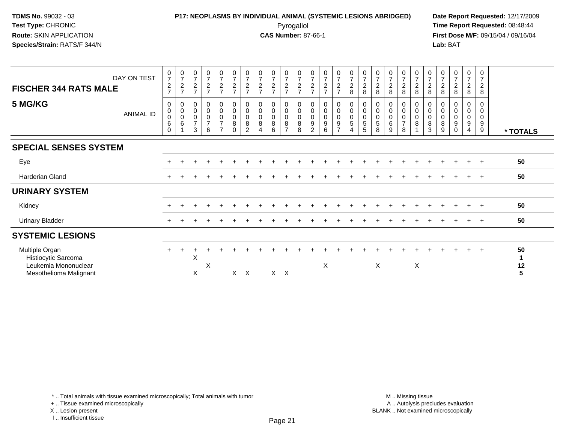### **P17: NEOPLASMS BY INDIVIDUAL ANIMAL (SYSTEMIC LESIONS ABRIDGED) Date Report Requested:** 12/17/2009 Pyrogallol Pyrogallol **Pyrogallol Time Report Requested:** 08:48:44<br>**CAS Number:** 87-66-1 **Time Report Requested:** 09/15/04 / 09/16/04

**First Dose M/F:** 09/15/04 / 09/16/04 Lab: BAT **Lab:** BAT

| DAY ON TEST<br><b>FISCHER 344 RATS MALE</b>                                             | $\frac{0}{7}$<br>$\frac{2}{7}$                     | $\frac{0}{7}$<br>$\frac{2}{7}$                                    | $\frac{0}{7}$<br>$\frac{2}{7}$                     | $\begin{smallmatrix}0\\7\end{smallmatrix}$<br>$rac{2}{7}$                          | $\frac{0}{7}$<br>$\frac{2}{7}$                                      | $\begin{array}{c} 0 \\ 7 \end{array}$<br>$\frac{2}{7}$ | $\frac{0}{7}$<br>$\frac{2}{7}$                 | $\frac{0}{7}$<br>$\frac{2}{7}$ | 072                           | $\frac{0}{7}$<br>$\frac{2}{7}$                                                  | $\frac{0}{7}$<br>$\frac{2}{7}$                  | $\frac{0}{7}$<br>$\boldsymbol{2}$<br>$\overline{7}$               | $\frac{0}{7}$<br>$\frac{2}{7}$       | $\frac{0}{7}$<br>$\frac{2}{7}$                                                 | $\frac{0}{7}$<br>$\frac{2}{8}$                                                            | $\frac{0}{7}$<br>$\frac{2}{8}$                                      | $\frac{0}{7}$<br>$\sqrt{2}$<br>8              | $\frac{0}{7}$<br>$\overline{c}$<br>8    | $\begin{array}{c} 0 \\ 7 \\ 2 \end{array}$<br>8          | $\frac{0}{7}$<br>$\overline{c}$<br>8         | $\frac{0}{7}$<br>$\frac{2}{8}$  | $\frac{0}{7}$<br>$\overline{c}$<br>8  | $\begin{smallmatrix}0\\7\end{smallmatrix}$<br>$\frac{2}{8}$    | 0<br>$\overline{7}$<br>$_{\rm 8}^2$                      | 0<br>$\overline{7}$<br>$\overline{c}$<br>8 |                    |
|-----------------------------------------------------------------------------------------|----------------------------------------------------|-------------------------------------------------------------------|----------------------------------------------------|------------------------------------------------------------------------------------|---------------------------------------------------------------------|--------------------------------------------------------|------------------------------------------------|--------------------------------|-------------------------------|---------------------------------------------------------------------------------|-------------------------------------------------|-------------------------------------------------------------------|--------------------------------------|--------------------------------------------------------------------------------|-------------------------------------------------------------------------------------------|---------------------------------------------------------------------|-----------------------------------------------|-----------------------------------------|----------------------------------------------------------|----------------------------------------------|---------------------------------|---------------------------------------|----------------------------------------------------------------|----------------------------------------------------------|--------------------------------------------|--------------------|
| 5 MG/KG<br>ANIMAL ID                                                                    | 0<br>$\mathbf 0$<br>$\pmb{0}$<br>$\,6$<br>$\Omega$ | $\begin{smallmatrix}0\0\0\end{smallmatrix}$<br>$\pmb{0}$<br>$\,6$ | 0<br>$\pmb{0}$<br>$\pmb{0}$<br>$\overline{ }$<br>3 | $\begin{smallmatrix} 0\\0 \end{smallmatrix}$<br>$\mathsf 0$<br>$\overline{7}$<br>6 | $_{\rm 0}^{\rm 0}$<br>$\pmb{0}$<br>$\overline{7}$<br>$\overline{z}$ | 0<br>$\pmb{0}$<br>$\mathbf 0$<br>8<br>$\Omega$         | $\mathbf 0$<br>$\pmb{0}$<br>8<br>$\mathcal{P}$ | $_0^0$<br>$\pmb{0}$<br>8       | 0<br>0<br>$\pmb{0}$<br>8<br>6 | $\begin{smallmatrix} 0\\0 \end{smallmatrix}$<br>$\frac{0}{8}$<br>$\overline{ }$ | $_{\rm 0}^{\rm 0}$<br>$\pmb{0}$<br>$\bf 8$<br>8 | $\boldsymbol{0}$<br>$\pmb{0}$<br>$\pmb{0}$<br>9<br>$\overline{2}$ | $_0^0$<br>$\boldsymbol{0}$<br>9<br>6 | $\begin{smallmatrix}0\\0\end{smallmatrix}$<br>$\pmb{0}$<br>9<br>$\overline{7}$ | $\begin{smallmatrix} 0\\0 \end{smallmatrix}$<br>$\pmb{0}$<br>$\sqrt{5}$<br>$\overline{4}$ | $\begin{smallmatrix} 0\\0 \end{smallmatrix}$<br>$\pmb{0}$<br>5<br>5 | $\pmb{0}$<br>$\pmb{0}$<br>$\pmb{0}$<br>5<br>8 | 0<br>$\pmb{0}$<br>$\mathbf 0$<br>6<br>9 | $_{\rm 0}^{\rm 0}$<br>$\mathsf 0$<br>$\overline{7}$<br>8 | $_{\rm 0}^{\rm 0}$<br>$\mathbf 0$<br>$\bf 8$ | 0<br>0<br>$\mathbf 0$<br>8<br>3 | 0<br>$\pmb{0}$<br>$\pmb{0}$<br>8<br>9 | 0<br>$\pmb{0}$<br>$\pmb{0}$<br>$\boldsymbol{9}$<br>$\mathbf 0$ | 0<br>$\mathbf 0$<br>$\mathbf 0$<br>$\boldsymbol{9}$<br>4 | 0<br>0<br>0<br>9<br>9                      | * TOTALS           |
| <b>SPECIAL SENSES SYSTEM</b>                                                            |                                                    |                                                                   |                                                    |                                                                                    |                                                                     |                                                        |                                                |                                |                               |                                                                                 |                                                 |                                                                   |                                      |                                                                                |                                                                                           |                                                                     |                                               |                                         |                                                          |                                              |                                 |                                       |                                                                |                                                          |                                            |                    |
| Eye                                                                                     |                                                    |                                                                   |                                                    |                                                                                    |                                                                     |                                                        |                                                |                                |                               |                                                                                 |                                                 |                                                                   |                                      |                                                                                |                                                                                           |                                                                     |                                               |                                         |                                                          |                                              |                                 |                                       |                                                                |                                                          |                                            | 50                 |
| Harderian Gland                                                                         |                                                    |                                                                   |                                                    |                                                                                    |                                                                     |                                                        |                                                |                                |                               |                                                                                 |                                                 |                                                                   |                                      |                                                                                |                                                                                           |                                                                     |                                               |                                         |                                                          |                                              |                                 |                                       |                                                                |                                                          | $+$                                        | 50                 |
| <b>URINARY SYSTEM</b>                                                                   |                                                    |                                                                   |                                                    |                                                                                    |                                                                     |                                                        |                                                |                                |                               |                                                                                 |                                                 |                                                                   |                                      |                                                                                |                                                                                           |                                                                     |                                               |                                         |                                                          |                                              |                                 |                                       |                                                                |                                                          |                                            |                    |
| Kidney                                                                                  | $\div$                                             |                                                                   |                                                    |                                                                                    |                                                                     |                                                        |                                                |                                |                               |                                                                                 |                                                 |                                                                   |                                      |                                                                                |                                                                                           |                                                                     |                                               |                                         |                                                          |                                              |                                 |                                       |                                                                |                                                          |                                            | 50                 |
| <b>Urinary Bladder</b>                                                                  |                                                    |                                                                   |                                                    |                                                                                    |                                                                     |                                                        |                                                |                                |                               |                                                                                 |                                                 |                                                                   |                                      |                                                                                |                                                                                           |                                                                     |                                               |                                         |                                                          |                                              |                                 |                                       |                                                                |                                                          | $+$                                        | 50                 |
| <b>SYSTEMIC LESIONS</b>                                                                 |                                                    |                                                                   |                                                    |                                                                                    |                                                                     |                                                        |                                                |                                |                               |                                                                                 |                                                 |                                                                   |                                      |                                                                                |                                                                                           |                                                                     |                                               |                                         |                                                          |                                              |                                 |                                       |                                                                |                                                          |                                            |                    |
| Multiple Organ<br>Histiocytic Sarcoma<br>Leukemia Mononuclear<br>Mesothelioma Malignant |                                                    |                                                                   | X<br>X                                             | X                                                                                  |                                                                     | $\mathsf{X}$                                           | $\mathsf{X}$                                   |                                | $X \times X$                  |                                                                                 |                                                 |                                                                   | X                                    |                                                                                |                                                                                           |                                                                     | X                                             |                                         |                                                          | X                                            |                                 |                                       |                                                                |                                                          | $\div$                                     | 50<br>1<br>12<br>5 |

<sup>+ ..</sup> Tissue examined microscopically

X .. Lesion present

I .. Insufficient tissue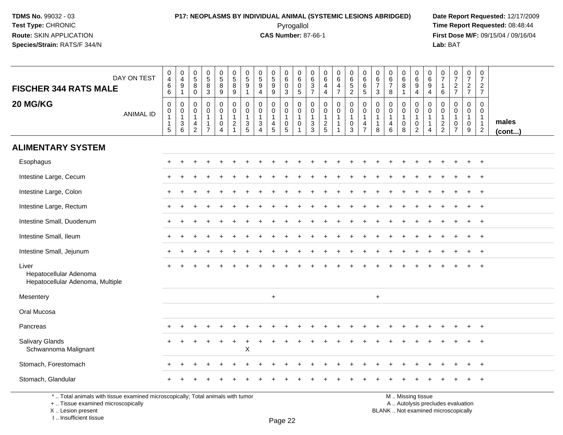### **P17: NEOPLASMS BY INDIVIDUAL ANIMAL (SYSTEMIC LESIONS ABRIDGED) Date Report Requested:** 12/17/2009 Pyrogallol Pyrogallol **Pyrogallol Time Report Requested:** 08:48:44<br>**CAS Number:** 87-66-1 **Time Report Requested:** 09/15/04 / 09/16/04

**First Dose M/F:** 09/15/04 / 09/16/04<br>Lab: BAT **Lab:** BAT

| <b>FISCHER 344 RATS MALE</b>                                                                                          | DAY ON TEST      | $\pmb{0}$<br>$\overline{4}$<br>$\,6\,$<br>$\,6\,$                               | 0<br>$\overline{4}$<br>$\boldsymbol{9}$<br>$\mathbf{1}$  | $\begin{array}{c} 0 \\ 5 \\ 8 \end{array}$<br>$\mathsf 0$            | $\begin{array}{c} 0 \\ 5 \\ 8 \end{array}$<br>$\mathbf{3}$        | $\begin{array}{c} 0 \\ 5 \\ 8 \end{array}$<br>$\boldsymbol{9}$  | $\begin{array}{c} 0 \\ 5 \\ 8 \end{array}$<br>$9\,$                              | $\begin{array}{c} 0 \\ 5 \end{array}$<br>9                         | $\begin{array}{c} 0 \\ 5 \\ 9 \end{array}$<br>$\overline{4}$                                  | $\begin{array}{c} 0 \\ 5 \end{array}$<br>$\overline{9}$<br>$\boldsymbol{9}$ | $\begin{array}{c} 0 \\ 6 \end{array}$<br>$\mathbf 0$<br>$\sqrt{3}$                  | 0<br>$\,6\,$<br>$\mathbf 0$<br>$\,$ 5 $\,$                      | 0<br>$\,6\,$<br>$\mathbf 3$<br>$\overline{7}$ | 0<br>6<br>$\overline{4}$<br>$\overline{4}$                  | $\begin{array}{c} 0 \\ 6 \\ 4 \end{array}$<br>$\overline{7}$ | $\begin{array}{c} 0 \\ 6 \\ 5 \end{array}$<br>$\overline{2}$                 | $\begin{array}{c} 0 \\ 6 \end{array}$<br>$\,6\,$<br>$\overline{5}$ | 0<br>$6\phantom{.}6$<br>$\overline{7}$<br>3 | $\begin{array}{c} 0 \\ 6 \\ 7 \end{array}$<br>$\bf 8$             | $\begin{array}{c} 0 \\ 6 \\ 8 \end{array}$<br>$\mathbf{1}$ | $_{6}^{\rm 0}$<br>$\overline{9}$<br>$\overline{4}$                    | $\begin{array}{c} 0 \\ 6 \end{array}$<br>$\overline{9}$<br>$\overline{4}$        | $\frac{0}{7}$<br>$\overline{1}$<br>6                        | $\begin{array}{c} 0 \\ 7 \end{array}$<br>$\frac{2}{7}$                 | $\frac{0}{7}$<br>$\frac{2}{7}$                        | $\begin{smallmatrix}0\\7\end{smallmatrix}$<br>$\overline{a}$<br>$\overline{7}$ |                 |
|-----------------------------------------------------------------------------------------------------------------------|------------------|---------------------------------------------------------------------------------|----------------------------------------------------------|----------------------------------------------------------------------|-------------------------------------------------------------------|-----------------------------------------------------------------|----------------------------------------------------------------------------------|--------------------------------------------------------------------|-----------------------------------------------------------------------------------------------|-----------------------------------------------------------------------------|-------------------------------------------------------------------------------------|-----------------------------------------------------------------|-----------------------------------------------|-------------------------------------------------------------|--------------------------------------------------------------|------------------------------------------------------------------------------|--------------------------------------------------------------------|---------------------------------------------|-------------------------------------------------------------------|------------------------------------------------------------|-----------------------------------------------------------------------|----------------------------------------------------------------------------------|-------------------------------------------------------------|------------------------------------------------------------------------|-------------------------------------------------------|--------------------------------------------------------------------------------|-----------------|
| 20 MG/KG                                                                                                              | <b>ANIMAL ID</b> | $\boldsymbol{0}$<br>$\pmb{0}$<br>$\mathbf{1}$<br>$\mathbf{1}$<br>$\overline{5}$ | 0<br>0<br>$\mathbf{1}$<br>$\ensuremath{\mathsf{3}}$<br>6 | 0<br>$\mathbf 0$<br>$\mathbf{1}$<br>$\overline{4}$<br>$\overline{2}$ | $\mathbf 0$<br>$\mathbf 0$<br>$\mathbf{1}$<br>1<br>$\overline{7}$ | 0<br>$\mathbf 0$<br>$\mathbf{1}$<br>$\pmb{0}$<br>$\overline{4}$ | $\mathbf 0$<br>$\mathbf 0$<br>$\overline{1}$<br>$\overline{c}$<br>$\overline{1}$ | 0<br>$\mathbf 0$<br>$\mathbf{1}$<br>$\ensuremath{\mathsf{3}}$<br>5 | $\mathbf 0$<br>$\Omega$<br>$\mathbf{1}$<br>$\ensuremath{\mathsf{3}}$<br>$\boldsymbol{\Delta}$ | $\mathbf 0$<br>$\mathbf 0$<br>$\mathbf{1}$<br>$\overline{\mathbf{4}}$<br>5  | $\mathbf 0$<br>$\mathbf 0$<br>$\mathbf{1}$<br>$\begin{array}{c} 0 \\ 5 \end{array}$ | 0<br>$\mathbf 0$<br>$\overline{1}$<br>$\pmb{0}$<br>$\mathbf{1}$ | 0<br>$\mathbf 0$<br>$\mathbf{1}$<br>3<br>3    | $\mathbf 0$<br>$\mathbf 0$<br>$\mathbf{1}$<br>$\frac{2}{5}$ | 0<br>$\mathbf 0$<br>$\mathbf{1}$<br>1<br>$\overline{ }$      | $\mathbf 0$<br>$\overline{0}$<br>$\overline{1}$<br>$\pmb{0}$<br>$\mathbf{3}$ | $\mathbf 0$<br>$\mathbf 0$<br>$\overline{1}$<br>$\frac{4}{7}$      | 0<br>$\mathbf 0$<br>$\mathbf{1}$<br>1<br>8  | $\mathbf 0$<br>$\mathbf 0$<br>$\mathbf{1}$<br>$\overline{4}$<br>6 | 0<br>$\mathbf 0$<br>$\mathbf{1}$<br>$\pmb{0}$<br>8         | 0<br>$\mathbf 0$<br>1<br>$\begin{smallmatrix} 0\\2 \end{smallmatrix}$ | $\mathbf 0$<br>$\mathbf 0$<br>$\overline{1}$<br>$\overline{1}$<br>$\overline{4}$ | $\mathbf 0$<br>$\mathbf 0$<br>$\mathbf{1}$<br>$\frac{2}{2}$ | $\mathbf 0$<br>$\Omega$<br>$\mathbf{1}$<br>$\pmb{0}$<br>$\overline{7}$ | 0<br>$\mathbf 0$<br>$\mathbf{1}$<br>$\mathsf{O}$<br>9 | $\mathbf 0$<br>$\Omega$<br>$\mathbf{1}$<br>$\mathbf{1}$<br>$\overline{2}$      | males<br>(cont) |
| <b>ALIMENTARY SYSTEM</b>                                                                                              |                  |                                                                                 |                                                          |                                                                      |                                                                   |                                                                 |                                                                                  |                                                                    |                                                                                               |                                                                             |                                                                                     |                                                                 |                                               |                                                             |                                                              |                                                                              |                                                                    |                                             |                                                                   |                                                            |                                                                       |                                                                                  |                                                             |                                                                        |                                                       |                                                                                |                 |
| Esophagus                                                                                                             |                  |                                                                                 |                                                          |                                                                      |                                                                   |                                                                 |                                                                                  |                                                                    |                                                                                               |                                                                             |                                                                                     |                                                                 |                                               |                                                             |                                                              |                                                                              |                                                                    |                                             |                                                                   |                                                            |                                                                       |                                                                                  |                                                             |                                                                        |                                                       |                                                                                |                 |
| Intestine Large, Cecum                                                                                                |                  |                                                                                 |                                                          |                                                                      |                                                                   |                                                                 |                                                                                  |                                                                    |                                                                                               |                                                                             |                                                                                     |                                                                 |                                               |                                                             |                                                              |                                                                              |                                                                    |                                             |                                                                   |                                                            |                                                                       |                                                                                  |                                                             |                                                                        |                                                       |                                                                                |                 |
| Intestine Large, Colon                                                                                                |                  |                                                                                 |                                                          |                                                                      |                                                                   |                                                                 |                                                                                  |                                                                    |                                                                                               |                                                                             |                                                                                     |                                                                 |                                               |                                                             |                                                              |                                                                              |                                                                    |                                             |                                                                   |                                                            |                                                                       |                                                                                  |                                                             |                                                                        |                                                       | $\ddot{}$                                                                      |                 |
| Intestine Large, Rectum                                                                                               |                  |                                                                                 |                                                          |                                                                      |                                                                   |                                                                 |                                                                                  |                                                                    |                                                                                               |                                                                             |                                                                                     |                                                                 |                                               |                                                             |                                                              |                                                                              |                                                                    |                                             |                                                                   |                                                            |                                                                       |                                                                                  |                                                             |                                                                        |                                                       | $\ddot{}$                                                                      |                 |
| Intestine Small, Duodenum                                                                                             |                  |                                                                                 |                                                          |                                                                      |                                                                   |                                                                 |                                                                                  |                                                                    |                                                                                               |                                                                             |                                                                                     |                                                                 |                                               |                                                             |                                                              |                                                                              |                                                                    |                                             |                                                                   |                                                            |                                                                       |                                                                                  |                                                             |                                                                        |                                                       | $\ddot{}$                                                                      |                 |
| Intestine Small, Ileum                                                                                                |                  |                                                                                 |                                                          |                                                                      |                                                                   |                                                                 |                                                                                  |                                                                    |                                                                                               |                                                                             |                                                                                     |                                                                 |                                               |                                                             |                                                              |                                                                              |                                                                    |                                             |                                                                   |                                                            |                                                                       |                                                                                  |                                                             |                                                                        |                                                       | $\ddot{}$                                                                      |                 |
| Intestine Small, Jejunum                                                                                              |                  |                                                                                 |                                                          |                                                                      |                                                                   |                                                                 |                                                                                  |                                                                    |                                                                                               |                                                                             |                                                                                     |                                                                 |                                               |                                                             |                                                              |                                                                              |                                                                    |                                             |                                                                   |                                                            |                                                                       |                                                                                  |                                                             |                                                                        |                                                       | $^{+}$                                                                         |                 |
| Liver<br>Hepatocellular Adenoma<br>Hepatocellular Adenoma, Multiple                                                   |                  |                                                                                 |                                                          |                                                                      |                                                                   |                                                                 |                                                                                  |                                                                    |                                                                                               |                                                                             |                                                                                     |                                                                 |                                               |                                                             |                                                              |                                                                              |                                                                    |                                             |                                                                   |                                                            |                                                                       |                                                                                  |                                                             |                                                                        |                                                       |                                                                                |                 |
| Mesentery                                                                                                             |                  |                                                                                 |                                                          |                                                                      |                                                                   |                                                                 |                                                                                  |                                                                    |                                                                                               | $\ddot{}$                                                                   |                                                                                     |                                                                 |                                               |                                                             |                                                              |                                                                              |                                                                    | $\ddot{}$                                   |                                                                   |                                                            |                                                                       |                                                                                  |                                                             |                                                                        |                                                       |                                                                                |                 |
| Oral Mucosa                                                                                                           |                  |                                                                                 |                                                          |                                                                      |                                                                   |                                                                 |                                                                                  |                                                                    |                                                                                               |                                                                             |                                                                                     |                                                                 |                                               |                                                             |                                                              |                                                                              |                                                                    |                                             |                                                                   |                                                            |                                                                       |                                                                                  |                                                             |                                                                        |                                                       |                                                                                |                 |
| Pancreas                                                                                                              |                  |                                                                                 |                                                          |                                                                      |                                                                   |                                                                 |                                                                                  |                                                                    |                                                                                               |                                                                             |                                                                                     |                                                                 |                                               |                                                             |                                                              |                                                                              |                                                                    |                                             |                                                                   |                                                            |                                                                       |                                                                                  |                                                             |                                                                        |                                                       |                                                                                |                 |
| Salivary Glands<br>Schwannoma Malignant                                                                               |                  |                                                                                 |                                                          |                                                                      |                                                                   |                                                                 |                                                                                  | $\sf X$                                                            |                                                                                               |                                                                             |                                                                                     |                                                                 |                                               |                                                             |                                                              |                                                                              |                                                                    |                                             |                                                                   |                                                            |                                                                       |                                                                                  |                                                             |                                                                        |                                                       |                                                                                |                 |
| Stomach, Forestomach                                                                                                  |                  |                                                                                 |                                                          |                                                                      |                                                                   |                                                                 |                                                                                  |                                                                    |                                                                                               |                                                                             |                                                                                     |                                                                 |                                               |                                                             |                                                              |                                                                              |                                                                    |                                             |                                                                   |                                                            |                                                                       |                                                                                  |                                                             |                                                                        |                                                       |                                                                                |                 |
| Stomach, Glandular                                                                                                    |                  |                                                                                 |                                                          |                                                                      |                                                                   |                                                                 |                                                                                  |                                                                    |                                                                                               |                                                                             |                                                                                     |                                                                 |                                               |                                                             |                                                              |                                                                              |                                                                    |                                             |                                                                   |                                                            |                                                                       |                                                                                  |                                                             |                                                                        |                                                       | $\ddot{}$                                                                      |                 |
| *  Total animals with tissue examined microscopically; Total animals with tumor<br>+  Tissue examined microscopically |                  |                                                                                 |                                                          |                                                                      |                                                                   |                                                                 |                                                                                  |                                                                    |                                                                                               |                                                                             |                                                                                     |                                                                 |                                               |                                                             |                                                              |                                                                              |                                                                    |                                             |                                                                   |                                                            | M  Missing tissue                                                     |                                                                                  |                                                             | A  Autolysis precludes evaluation                                      |                                                       |                                                                                |                 |

 Lesion present BLANK .. Not examined microscopicallyX .. Lesion present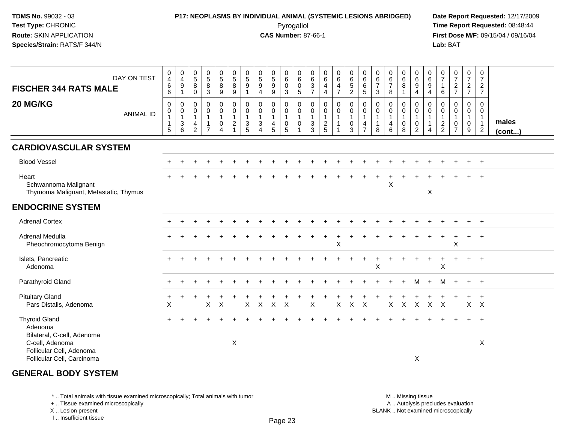### **P17: NEOPLASMS BY INDIVIDUAL ANIMAL (SYSTEMIC LESIONS ABRIDGED) Date Report Requested:** 12/17/2009 Pyrogallol Pyrogallol **Pyrogallol Time Report Requested:** 08:48:44<br>**CAS Number:** 87-66-1 **Time Report Requested:** 09/15/04 / 09/16/04

**First Dose M/F:** 09/15/04 / 09/16/04 Lab: BAT **Lab:** BAT

| DAY ON TEST<br><b>FISCHER 344 RATS MALE</b><br>20 MG/KG                   | $\begin{smallmatrix} 0\\4 \end{smallmatrix}$<br>$\,6\,$<br>$\,6\,$<br>$\mathbf 0$ | $\begin{smallmatrix}0\\4\end{smallmatrix}$<br>9<br>$\mathbf{1}$<br>$\mathbf 0$ | $\begin{array}{c} 0 \\ 5 \end{array}$<br>8<br>$\pmb{0}$<br>$\mathbf 0$ | $\begin{array}{c} 0 \\ 5 \end{array}$<br>8<br>3<br>$\mathbf 0$ | $\begin{array}{c} 0 \\ 5 \\ 8 \end{array}$<br>$\overline{9}$<br>$\mathbf 0$ | $\begin{array}{c} 0 \\ 5 \\ 8 \end{array}$<br>$\overline{9}$<br>$\begin{smallmatrix} 0\\0 \end{smallmatrix}$ | $\begin{array}{c} 0 \\ 5 \end{array}$<br>9<br>-1<br>0 | $\begin{array}{c} 0 \\ 5 \end{array}$<br>9<br>4<br>$\pmb{0}$ | $\begin{array}{c} 0 \\ 5 \end{array}$<br>9<br>9<br>$\mathbf 0$ | $\begin{array}{c} 0 \\ 6 \end{array}$<br>$\mathsf 0$<br>$\sqrt{3}$<br>$\mathbf 0$ | $_{6}^{\rm 0}$<br>$\pmb{0}$<br>$\overline{5}$<br>$\pmb{0}$ | $\boldsymbol{0}$<br>$\,6\,$<br>$\mathsf 3$<br>$\overline{7}$<br>0 | $\begin{array}{c} 0 \\ 6 \end{array}$<br>$\overline{4}$<br>$\overline{4}$<br>$\mathbf 0$ | $_{\rm 6}^{\rm 0}$<br>$\overline{4}$<br>$\overline{7}$<br>0 | $\begin{array}{c} 0 \\ 6 \end{array}$<br>$\overline{5}$<br>$\overline{a}$<br>$\mathbf 0$ | $_{6}^{\rm 0}$<br>$\,6\,$<br>$\overline{5}$<br>0 | $\pmb{0}$<br>6<br>$\overline{7}$<br>$\sqrt{3}$<br>0 | $\begin{array}{c} 0 \\ 6 \\ 7 \end{array}$<br>$\bf 8$<br>$\mathbf 0$ | $\begin{array}{c} 0 \\ 6 \end{array}$<br>8<br>$\overline{\mathbf{1}}$<br>0 | $\begin{array}{c} 0 \\ 6 \\ 9 \end{array}$<br>$\overline{4}$<br>$\mathbf 0$ | 0<br>$\,6$<br>9<br>4<br>0           | $\frac{0}{7}$<br>$\mathbf{1}$<br>$\,6\,$<br>0 | $\frac{0}{7}$<br>$\frac{2}{7}$<br>0              | $\begin{array}{c} 0 \\ 7 \end{array}$<br>$\frac{2}{7}$<br>$\mathbf 0$ | 0<br>$\overline{7}$<br>$\overline{c}$<br>$\overline{7}$<br>$\mathbf 0$ |                       |
|---------------------------------------------------------------------------|-----------------------------------------------------------------------------------|--------------------------------------------------------------------------------|------------------------------------------------------------------------|----------------------------------------------------------------|-----------------------------------------------------------------------------|--------------------------------------------------------------------------------------------------------------|-------------------------------------------------------|--------------------------------------------------------------|----------------------------------------------------------------|-----------------------------------------------------------------------------------|------------------------------------------------------------|-------------------------------------------------------------------|------------------------------------------------------------------------------------------|-------------------------------------------------------------|------------------------------------------------------------------------------------------|--------------------------------------------------|-----------------------------------------------------|----------------------------------------------------------------------|----------------------------------------------------------------------------|-----------------------------------------------------------------------------|-------------------------------------|-----------------------------------------------|--------------------------------------------------|-----------------------------------------------------------------------|------------------------------------------------------------------------|-----------------------|
| <b>ANIMAL ID</b>                                                          | 0<br>$\mathbf{1}$<br>$\mathbf{1}$<br>5                                            | $\mathbf 0$<br>$\mathbf{1}$<br>$\sqrt{3}$<br>6                                 | $\mathbf 0$<br>$\mathbf{1}$<br>4<br>2                                  | $\mathbf 0$<br>$\mathbf{1}$<br>$\overline{7}$                  | $\mathbf 0$<br>$\mathbf{1}$<br>$\frac{0}{4}$                                | $\overline{1}$<br>$\frac{2}{1}$                                                                              | 0<br>$\overline{1}$<br>$\ensuremath{\mathsf{3}}$<br>5 | $\mathbf 0$<br>$\mathbf{1}$<br>$\mathbf 3$<br>$\overline{4}$ | $\mathbf 0$<br>$\mathbf{1}$<br>4<br>5                          | $\mathbf 0$<br>$\mathbf{1}$<br>$\begin{array}{c} 0 \\ 5 \end{array}$              | $\pmb{0}$<br>$\mathbf{1}$<br>$\pmb{0}$<br>$\mathbf{1}$     | $\mathbf 0$<br>$\mathbf{1}$<br>$\ensuremath{\mathsf{3}}$<br>3     | $\mathbf 0$<br>$\mathbf{1}$<br>$\frac{2}{5}$                                             | $\pmb{0}$<br>$\mathbf{1}$<br>1<br>$\mathbf{1}$              | $\mathsf{O}\xspace$<br>$\mathbf{1}$<br>$\mathbf 0$<br>3                                  | 0<br>$\mathbf{1}$<br>4<br>$\overline{7}$         | 0<br>$\mathbf{1}$<br>8                              | $\mathbf 0$<br>$\mathbf{1}$<br>$\overline{4}$<br>6                   | 0<br>$\overline{1}$<br>0<br>8                                              | $\mathbf 0$<br>$\mathbf{1}$<br>$\,0\,$<br>$\overline{2}$                    | 0<br>$\mathbf{1}$<br>$\overline{4}$ | 0<br>$\mathbf{1}$<br>$\frac{2}{2}$            | 0<br>$\mathbf{1}$<br>$\pmb{0}$<br>$\overline{7}$ | $\mathbf 0$<br>$\mathbf{1}$<br>$\mathbf 0$<br>9                       | $\mathbf{0}$<br>$\mathbf{1}$<br>$\mathbf{1}$<br>$\overline{2}$         | males<br>$($ cont $)$ |
| <b>CARDIOVASCULAR SYSTEM</b>                                              |                                                                                   |                                                                                |                                                                        |                                                                |                                                                             |                                                                                                              |                                                       |                                                              |                                                                |                                                                                   |                                                            |                                                                   |                                                                                          |                                                             |                                                                                          |                                                  |                                                     |                                                                      |                                                                            |                                                                             |                                     |                                               |                                                  |                                                                       |                                                                        |                       |
| <b>Blood Vessel</b>                                                       |                                                                                   |                                                                                |                                                                        |                                                                |                                                                             |                                                                                                              |                                                       |                                                              |                                                                |                                                                                   |                                                            |                                                                   |                                                                                          |                                                             |                                                                                          |                                                  |                                                     |                                                                      |                                                                            |                                                                             |                                     |                                               |                                                  |                                                                       | $^{+}$                                                                 |                       |
| Heart<br>Schwannoma Malignant<br>Thymoma Malignant, Metastatic, Thymus    |                                                                                   |                                                                                |                                                                        |                                                                |                                                                             |                                                                                                              |                                                       |                                                              |                                                                |                                                                                   |                                                            |                                                                   |                                                                                          |                                                             |                                                                                          |                                                  |                                                     | $\mathsf X$                                                          |                                                                            |                                                                             | X                                   |                                               |                                                  |                                                                       |                                                                        |                       |
| <b>ENDOCRINE SYSTEM</b>                                                   |                                                                                   |                                                                                |                                                                        |                                                                |                                                                             |                                                                                                              |                                                       |                                                              |                                                                |                                                                                   |                                                            |                                                                   |                                                                                          |                                                             |                                                                                          |                                                  |                                                     |                                                                      |                                                                            |                                                                             |                                     |                                               |                                                  |                                                                       |                                                                        |                       |
| <b>Adrenal Cortex</b>                                                     |                                                                                   |                                                                                |                                                                        |                                                                |                                                                             |                                                                                                              |                                                       |                                                              |                                                                |                                                                                   |                                                            |                                                                   |                                                                                          |                                                             |                                                                                          |                                                  |                                                     |                                                                      |                                                                            |                                                                             |                                     |                                               |                                                  |                                                                       |                                                                        |                       |
| <b>Adrenal Medulla</b><br>Pheochromocytoma Benign                         |                                                                                   |                                                                                |                                                                        |                                                                |                                                                             |                                                                                                              |                                                       |                                                              |                                                                |                                                                                   |                                                            |                                                                   |                                                                                          | $\boldsymbol{\mathsf{X}}$                                   |                                                                                          |                                                  |                                                     |                                                                      |                                                                            |                                                                             |                                     |                                               | X                                                |                                                                       |                                                                        |                       |
| Islets, Pancreatic<br>Adenoma                                             |                                                                                   |                                                                                |                                                                        |                                                                |                                                                             |                                                                                                              |                                                       |                                                              |                                                                |                                                                                   |                                                            |                                                                   |                                                                                          |                                                             |                                                                                          |                                                  | X                                                   |                                                                      |                                                                            |                                                                             |                                     | X                                             |                                                  |                                                                       | $+$                                                                    |                       |
| Parathyroid Gland                                                         |                                                                                   |                                                                                |                                                                        |                                                                |                                                                             |                                                                                                              |                                                       |                                                              |                                                                |                                                                                   |                                                            |                                                                   |                                                                                          |                                                             |                                                                                          |                                                  |                                                     |                                                                      |                                                                            | М                                                                           | $\ddot{}$                           | м                                             | $+$                                              | $+$                                                                   | $+$                                                                    |                       |
| <b>Pituitary Gland</b><br>Pars Distalis, Adenoma                          | X                                                                                 |                                                                                |                                                                        | X                                                              | $\boldsymbol{\mathsf{X}}$                                                   |                                                                                                              | X                                                     | $\sf X$                                                      | $\mathsf X$                                                    | $\mathsf{X}$                                                                      |                                                            | X                                                                 |                                                                                          | $\mathsf{X}$                                                | $\mathsf{X}$                                                                             | $\mathsf{X}$                                     |                                                     | $\mathsf{X}$                                                         | $\mathsf{X}$                                                               | $\mathsf{X}$                                                                | $\mathsf{X}$                        | $\mathsf{X}$                                  |                                                  |                                                                       | $+$<br>$X$ $X$                                                         |                       |
| <b>Thyroid Gland</b><br>Adenoma<br>Bilateral, C-cell, Adenoma             |                                                                                   |                                                                                |                                                                        |                                                                |                                                                             |                                                                                                              |                                                       |                                                              |                                                                |                                                                                   |                                                            |                                                                   |                                                                                          |                                                             |                                                                                          |                                                  |                                                     |                                                                      |                                                                            |                                                                             |                                     |                                               |                                                  |                                                                       | $+$                                                                    |                       |
| C-cell, Adenoma<br>Follicular Cell, Adenoma<br>Follicular Cell, Carcinoma |                                                                                   |                                                                                |                                                                        |                                                                |                                                                             | X                                                                                                            |                                                       |                                                              |                                                                |                                                                                   |                                                            |                                                                   |                                                                                          |                                                             |                                                                                          |                                                  |                                                     |                                                                      |                                                                            | $\sf X$                                                                     |                                     |                                               |                                                  |                                                                       | X                                                                      |                       |

#### **GENERAL BODY SYSTEM**

\* .. Total animals with tissue examined microscopically; Total animals with tumor

+ .. Tissue examined microscopically

X .. Lesion present

I .. Insufficient tissue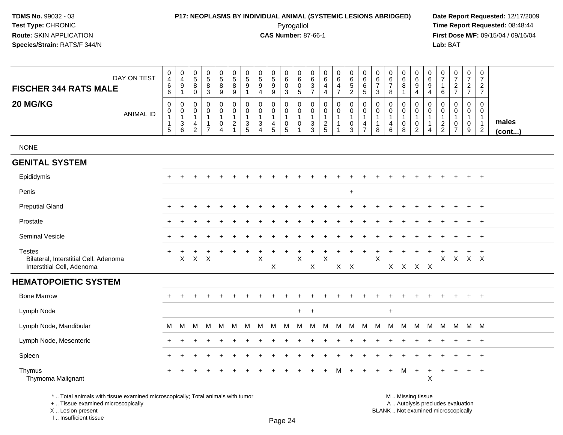## **P17: NEOPLASMS BY INDIVIDUAL ANIMAL (SYSTEMIC LESIONS ABRIDGED) Date Report Requested:** 12/17/2009

Pyrogallol Pyrogallol **Pyrogallol Time Report Requested:** 08:48:44<br>**CAS Number:** 87-66-1 **Time Report Requested:** 09/15/04 / 09/16/04 **First Dose M/F:** 09/15/04 / 09/16/04 Lab: BAT **Lab:** BAT

| DAY ON TEST<br><b>FISCHER 344 RATS MALE</b>                                          | $\mathbf 0$<br>4<br>6<br>$\,6\,$                             | 0<br>$\overline{4}$<br>$\boldsymbol{9}$<br>$\mathbf{1}$                    | 0<br>$\overline{5}$<br>$\bf8$<br>$\mathbf 0$                        | $\begin{array}{c} 0 \\ 5 \end{array}$<br>$\,8\,$<br>$\sqrt{3}$ | 0<br>$\overline{5}$<br>8<br>$9\,$                          | 0<br>$\overline{5}$<br>$\bf8$<br>9                                             | 0<br>5<br>9<br>1                         | 0<br>$\sqrt{5}$<br>$\boldsymbol{9}$<br>$\overline{4}$                           | $\begin{smallmatrix}0\0\5\end{smallmatrix}$<br>$\boldsymbol{9}$<br>$9\,$ | 0<br>$\,6\,$<br>$\mathbf 0$<br>$\mathsf 3$        | 0<br>$\,6$<br>0<br>$\sqrt{5}$                                                    | 0<br>$\,6\,$<br>3<br>$\overline{7}$ | 0<br>$\,6\,$<br>4<br>$\overline{\mathbf{4}}$      | 0<br>$6^{\circ}$<br>4<br>$\overline{7}$                       | 0<br>$6\phantom{a}$<br>$\sqrt{5}$<br>$\overline{2}$ | 0<br>$\,6\,$<br>$\,6$<br>$\overline{5}$                                    | 0<br>6<br>$\overline{7}$<br>$\mathbf{3}$ | 0<br>6<br>$\overline{7}$<br>8                                            | 0<br>$\,6\,$<br>8<br>$\mathbf{1}$         | 0<br>$6\phantom{a}$<br>$\boldsymbol{9}$<br>$\overline{4}$               | 0<br>$\,6\,$<br>9<br>$\overline{4}$                                          | 0<br>$\overline{7}$<br>$\mathbf 1$<br>6 | $\pmb{0}$<br>$\overline{7}$<br>$\frac{2}{7}$                          | 0<br>$\overline{7}$<br>$\overline{a}$<br>$\overline{7}$ | $\pmb{0}$<br>$\overline{7}$<br>$\overline{2}$<br>$\overline{7}$              |                       |
|--------------------------------------------------------------------------------------|--------------------------------------------------------------|----------------------------------------------------------------------------|---------------------------------------------------------------------|----------------------------------------------------------------|------------------------------------------------------------|--------------------------------------------------------------------------------|------------------------------------------|---------------------------------------------------------------------------------|--------------------------------------------------------------------------|---------------------------------------------------|----------------------------------------------------------------------------------|-------------------------------------|---------------------------------------------------|---------------------------------------------------------------|-----------------------------------------------------|----------------------------------------------------------------------------|------------------------------------------|--------------------------------------------------------------------------|-------------------------------------------|-------------------------------------------------------------------------|------------------------------------------------------------------------------|-----------------------------------------|-----------------------------------------------------------------------|---------------------------------------------------------|------------------------------------------------------------------------------|-----------------------|
| 20 MG/KG<br><b>ANIMAL ID</b>                                                         | $\mathbf 0$<br>$\pmb{0}$<br>$\mathbf 1$<br>$\mathbf{1}$<br>5 | 0<br>$\mathsf{O}\xspace$<br>$\mathbf{1}$<br>$\ensuremath{\mathsf{3}}$<br>6 | $\mathbf 0$<br>0<br>$\mathbf 1$<br>$\overline{4}$<br>$\overline{2}$ | $\pmb{0}$<br>$\mathsf 0$<br>$\mathbf{1}$<br>$\overline{7}$     | 0<br>$\mathsf{O}\xspace$<br>$\mathbf{1}$<br>$\pmb{0}$<br>4 | $\mathbf 0$<br>$\mathbf 0$<br>$\mathbf{1}$<br>$\overline{c}$<br>$\overline{1}$ | 0<br>$\mathbf 0$<br>1<br>$\sqrt{3}$<br>5 | $\mathbf 0$<br>$\mathbf 0$<br>-1<br>$\ensuremath{\mathsf{3}}$<br>$\overline{4}$ | $\mathbf 0$<br>$\mathsf{O}\xspace$<br>$\overline{4}$<br>5                | 0<br>$\mathbf 0$<br>$\mathbf 1$<br>$\pmb{0}$<br>5 | $\mathbf 0$<br>$\boldsymbol{0}$<br>$\overline{1}$<br>$\mathbf 0$<br>$\mathbf{1}$ | 0<br>0<br>1<br>$\sqrt{3}$<br>3      | 0<br>$\mathbf 0$<br>$\mathbf{1}$<br>$\frac{2}{5}$ | $\pmb{0}$<br>$\mathbf 0$<br>$\mathbf{1}$<br>$\mathbf{1}$<br>1 | 0<br>$\mathbf 0$<br>$\pmb{0}$<br>3                  | $\pmb{0}$<br>$\pmb{0}$<br>$\mathbf{1}$<br>$\overline{4}$<br>$\overline{7}$ | 0<br>0<br>1<br>$\overline{1}$<br>8       | $\mathbf 0$<br>$\boldsymbol{0}$<br>$\overline{1}$<br>$\overline{4}$<br>6 | 0<br>$\mathbf 0$<br>1<br>$\mathbf 0$<br>8 | 0<br>$\mathsf{O}\xspace$<br>$\mathbf{1}$<br>$\pmb{0}$<br>$\overline{2}$ | $\mathbf 0$<br>$\mathsf 0$<br>$\mathbf{1}$<br>$\mathbf{1}$<br>$\overline{4}$ | 0<br>0<br>-1<br>$\frac{2}{2}$           | $\Omega$<br>$\mathbf 0$<br>$\mathbf 1$<br>$\pmb{0}$<br>$\overline{7}$ | 0<br>$\mathsf{O}$<br>1<br>$\mathbf 0$<br>9              | $\mathbf 0$<br>$\mathbf 0$<br>$\mathbf{1}$<br>$\mathbf{1}$<br>$\overline{2}$ | males<br>$($ cont $)$ |
| <b>NONE</b>                                                                          |                                                              |                                                                            |                                                                     |                                                                |                                                            |                                                                                |                                          |                                                                                 |                                                                          |                                                   |                                                                                  |                                     |                                                   |                                                               |                                                     |                                                                            |                                          |                                                                          |                                           |                                                                         |                                                                              |                                         |                                                                       |                                                         |                                                                              |                       |
| <b>GENITAL SYSTEM</b>                                                                |                                                              |                                                                            |                                                                     |                                                                |                                                            |                                                                                |                                          |                                                                                 |                                                                          |                                                   |                                                                                  |                                     |                                                   |                                                               |                                                     |                                                                            |                                          |                                                                          |                                           |                                                                         |                                                                              |                                         |                                                                       |                                                         |                                                                              |                       |
| Epididymis                                                                           |                                                              |                                                                            |                                                                     |                                                                |                                                            |                                                                                |                                          |                                                                                 |                                                                          |                                                   |                                                                                  |                                     |                                                   |                                                               |                                                     |                                                                            |                                          |                                                                          |                                           |                                                                         |                                                                              |                                         |                                                                       | $\ddot{}$                                               | $+$                                                                          |                       |
| Penis                                                                                |                                                              |                                                                            |                                                                     |                                                                |                                                            |                                                                                |                                          |                                                                                 |                                                                          |                                                   |                                                                                  |                                     |                                                   |                                                               | $\ddot{}$                                           |                                                                            |                                          |                                                                          |                                           |                                                                         |                                                                              |                                         |                                                                       |                                                         |                                                                              |                       |
| <b>Preputial Gland</b>                                                               |                                                              |                                                                            |                                                                     |                                                                |                                                            |                                                                                |                                          |                                                                                 |                                                                          |                                                   |                                                                                  |                                     |                                                   |                                                               |                                                     |                                                                            |                                          |                                                                          |                                           |                                                                         |                                                                              |                                         |                                                                       | +                                                       | $+$                                                                          |                       |
| Prostate                                                                             |                                                              |                                                                            |                                                                     |                                                                |                                                            |                                                                                |                                          |                                                                                 |                                                                          |                                                   |                                                                                  |                                     |                                                   |                                                               |                                                     |                                                                            |                                          |                                                                          |                                           |                                                                         |                                                                              |                                         |                                                                       | ÷                                                       | $^{+}$                                                                       |                       |
| Seminal Vesicle                                                                      |                                                              |                                                                            |                                                                     |                                                                |                                                            |                                                                                |                                          |                                                                                 |                                                                          |                                                   |                                                                                  |                                     |                                                   |                                                               |                                                     |                                                                            |                                          |                                                                          |                                           |                                                                         |                                                                              |                                         |                                                                       |                                                         | $\ddot{}$                                                                    |                       |
| <b>Testes</b><br>Bilateral, Interstitial Cell, Adenoma<br>Interstitial Cell, Adenoma |                                                              | X                                                                          | $X$ $X$                                                             |                                                                |                                                            |                                                                                |                                          | X                                                                               | $\ddot{}$<br>X                                                           |                                                   | $\boldsymbol{\mathsf{X}}$                                                        | $\mathsf X$                         | $\sf X$                                           | X                                                             | $\boldsymbol{\mathsf{X}}$                           |                                                                            | $\mathsf X$                              | $X$ $X$                                                                  |                                           | X                                                                       | $\mathsf{X}$                                                                 | X                                       | $\mathsf{X}$                                                          | $X$ $X$                                                 | $\ddot{}$                                                                    |                       |
| <b>HEMATOPOIETIC SYSTEM</b>                                                          |                                                              |                                                                            |                                                                     |                                                                |                                                            |                                                                                |                                          |                                                                                 |                                                                          |                                                   |                                                                                  |                                     |                                                   |                                                               |                                                     |                                                                            |                                          |                                                                          |                                           |                                                                         |                                                                              |                                         |                                                                       |                                                         |                                                                              |                       |
| <b>Bone Marrow</b>                                                                   |                                                              |                                                                            |                                                                     |                                                                |                                                            |                                                                                |                                          |                                                                                 |                                                                          |                                                   |                                                                                  |                                     |                                                   |                                                               |                                                     |                                                                            |                                          |                                                                          |                                           |                                                                         |                                                                              |                                         |                                                                       | $\ddot{}$                                               | $+$                                                                          |                       |
| Lymph Node                                                                           |                                                              |                                                                            |                                                                     |                                                                |                                                            |                                                                                |                                          |                                                                                 |                                                                          |                                                   | $+$                                                                              | $+$                                 |                                                   |                                                               |                                                     |                                                                            |                                          | $\ddot{}$                                                                |                                           |                                                                         |                                                                              |                                         |                                                                       |                                                         |                                                                              |                       |
| Lymph Node, Mandibular                                                               | M                                                            | M                                                                          | M                                                                   | M                                                              | м                                                          | М                                                                              | M                                        | M                                                                               | м                                                                        | м                                                 | м                                                                                | M                                   | м                                                 | M                                                             | M                                                   | M                                                                          | м                                        | M                                                                        | M                                         | M                                                                       | M                                                                            | М                                       | M                                                                     | M M                                                     |                                                                              |                       |
| Lymph Node, Mesenteric                                                               |                                                              |                                                                            |                                                                     |                                                                |                                                            |                                                                                |                                          |                                                                                 |                                                                          |                                                   |                                                                                  |                                     |                                                   |                                                               |                                                     |                                                                            |                                          |                                                                          |                                           |                                                                         |                                                                              |                                         |                                                                       |                                                         | $^{+}$                                                                       |                       |
| Spleen                                                                               |                                                              |                                                                            |                                                                     |                                                                |                                                            |                                                                                |                                          |                                                                                 |                                                                          |                                                   |                                                                                  |                                     |                                                   |                                                               |                                                     |                                                                            |                                          |                                                                          |                                           |                                                                         |                                                                              |                                         |                                                                       | $\div$                                                  | $+$                                                                          |                       |
| Thymus<br>Thymoma Malignant                                                          |                                                              |                                                                            |                                                                     |                                                                |                                                            |                                                                                |                                          |                                                                                 |                                                                          |                                                   |                                                                                  |                                     |                                                   |                                                               |                                                     |                                                                            |                                          |                                                                          | м                                         | $\ddot{}$                                                               | $\mathsf X$                                                                  |                                         |                                                                       |                                                         | $\ddot{}$                                                                    |                       |

\* .. Total animals with tissue examined microscopically; Total animals with tumor

+ .. Tissue examined microscopically

X .. Lesion present

I .. Insufficient tissue

Page 24

 M .. Missing tissuey the contract of the contract of the contract of the contract of the contract of  $\mathsf A$  . Autolysis precludes evaluation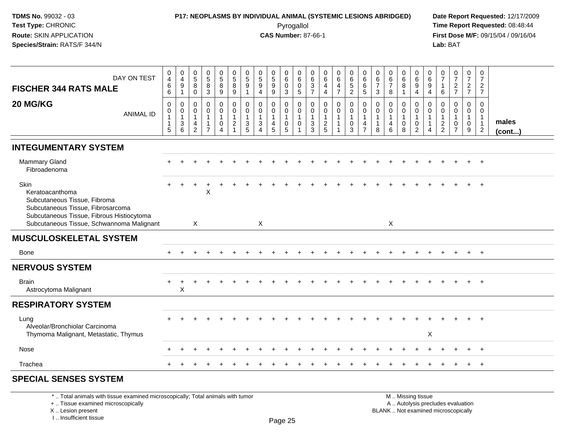# **P17: NEOPLASMS BY INDIVIDUAL ANIMAL (SYSTEMIC LESIONS ABRIDGED) Date Report Requested:** 12/17/2009

Pyrogallol Pyrogallol **Pyrogallol Time Report Requested:** 08:48:44<br>**CAS Number:** 87-66-1 **Time Report Requested:** 09/15/04 / 09/16/04 **First Dose M/F:** 09/15/04 / 09/16/04 Lab: BAT **Lab:** BAT

| DAY ON TEST<br><b>FISCHER 344 RATS MALE</b>                                                                                               | $_4^{\rm 0}$<br>6                                                      | 0<br>$\overline{4}$<br>9                                | $\begin{array}{c} 0 \\ 5 \end{array}$<br>8                                       | $\pmb{0}$<br>$\sqrt{5}$<br>$\bf 8$                                 | 0<br>$\overline{5}$<br>8         | 0<br>$5\phantom{.0}$<br>8                                | 0<br>5<br>9                                                        | $\begin{array}{c} 0 \\ 5 \end{array}$<br>$\boldsymbol{9}$                | 0<br>$\sqrt{5}$<br>$\boldsymbol{9}$             | 0<br>6<br>$\mathbf 0$                                | 0<br>6<br>0           | 0<br>$\,6\,$<br>$\sqrt{3}$                                              | 0<br>6<br>$\overline{\mathbf{4}}$                 | 0<br>$6\phantom{a}$<br>4                   | 0<br>$\,6\,$<br>$\frac{5}{2}$                                     | 0<br>6<br>6                                                       | 0<br>$\,6\,$<br>$\overline{7}$                                  | 0<br>6<br>$\overline{7}$                   | 0<br>$\,6\,$<br>8                                | 0<br>6<br>9                                                                 | 0<br>6<br>9                                | 0<br>$\overline{7}$<br>-1                             | $\frac{0}{7}$<br>$\frac{2}{7}$                     | 0<br>$\overline{7}$<br>$\frac{2}{7}$                 | $\pmb{0}$<br>$\overline{7}$<br>$\overline{a}$                |                       |
|-------------------------------------------------------------------------------------------------------------------------------------------|------------------------------------------------------------------------|---------------------------------------------------------|----------------------------------------------------------------------------------|--------------------------------------------------------------------|----------------------------------|----------------------------------------------------------|--------------------------------------------------------------------|--------------------------------------------------------------------------|-------------------------------------------------|------------------------------------------------------|-----------------------|-------------------------------------------------------------------------|---------------------------------------------------|--------------------------------------------|-------------------------------------------------------------------|-------------------------------------------------------------------|-----------------------------------------------------------------|--------------------------------------------|--------------------------------------------------|-----------------------------------------------------------------------------|--------------------------------------------|-------------------------------------------------------|----------------------------------------------------|------------------------------------------------------|--------------------------------------------------------------|-----------------------|
|                                                                                                                                           | 6                                                                      | $\overline{1}$                                          | $\Omega$                                                                         | $\mathbf{3}$                                                       | 9                                | 9                                                        | $\mathbf{1}$                                                       | $\overline{4}$                                                           | 9                                               | 3                                                    | 5                     | $\overline{7}$                                                          | $\overline{4}$                                    | $\overline{7}$                             |                                                                   | $\sqrt{5}$                                                        | $\mathbf{3}$                                                    | 8                                          | $\mathbf{1}$                                     | $\overline{4}$                                                              | $\overline{4}$                             | 6                                                     |                                                    |                                                      | $\overline{7}$                                               |                       |
| 20 MG/KG<br><b>ANIMAL ID</b>                                                                                                              | $\mathbf 0$<br>$\pmb{0}$<br>$\mathbf{1}$<br>$\mathbf{1}$<br>$\sqrt{5}$ | 0<br>0<br>$\mathbf{1}$<br>$\mathsf 3$<br>$6\phantom{1}$ | $\mathbf 0$<br>$\mathbf 0$<br>$\overline{1}$<br>$\overline{4}$<br>$\overline{2}$ | 0<br>$\mathbf 0$<br>$\mathbf{1}$<br>$\mathbf{1}$<br>$\overline{7}$ | 0<br>0<br>$\mathbf{1}$<br>0<br>4 | 0<br>0<br>$\mathbf{1}$<br>$\overline{c}$<br>$\mathbf{1}$ | 0<br>$\mathbf 0$<br>$\mathbf{1}$<br>$\mathbf{3}$<br>$\overline{5}$ | 0<br>$\mathbf 0$<br>$\mathbf{1}$<br>$\sqrt{3}$<br>$\boldsymbol{\Lambda}$ | 0<br>0<br>$\overline{1}$<br>4<br>$\overline{5}$ | 0<br>$\mathbf 0$<br>$\mathbf{1}$<br>$\mathbf 0$<br>5 | 0<br>$\mathbf 0$<br>0 | $\mathbf 0$<br>$\Omega$<br>$\overline{1}$<br>$\sqrt{3}$<br>$\mathbf{3}$ | 0<br>$\mathbf 0$<br>$\mathbf{1}$<br>$\frac{2}{5}$ | $\mathbf 0$<br>$\mathbf 0$<br>$\mathbf{1}$ | 0<br>$\mathbf 0$<br>$\overline{1}$<br>$\mathbf 0$<br>$\mathbf{3}$ | $\mathbf 0$<br>$\mathbf 0$<br>$\mathbf{1}$<br>4<br>$\overline{7}$ | $\mathbf 0$<br>$\mathbf 0$<br>$\mathbf{1}$<br>$\mathbf{1}$<br>8 | 0<br>$\mathbf 0$<br>$\mathbf{1}$<br>4<br>6 | 0<br>$\pmb{0}$<br>$\mathbf{1}$<br>$\pmb{0}$<br>8 | $\mathbf 0$<br>$\mathbf 0$<br>$\mathbf{1}$<br>$\mathbf 0$<br>$\overline{2}$ | 0<br>$\Omega$<br>$\overline{1}$<br>-1<br>4 | $\Omega$<br>$\Omega$<br>$\mathbf{1}$<br>$\frac{2}{2}$ | $\mathbf{0}$<br>$\mathbf 0$<br>0<br>$\overline{7}$ | $\mathbf 0$<br>$\mathbf 0$<br>$\mathbf{1}$<br>0<br>9 | 0<br>0<br>$\overline{1}$<br>$\overline{1}$<br>$\overline{c}$ | males<br>$($ cont $)$ |
| <b>INTEGUMENTARY SYSTEM</b>                                                                                                               |                                                                        |                                                         |                                                                                  |                                                                    |                                  |                                                          |                                                                    |                                                                          |                                                 |                                                      |                       |                                                                         |                                                   |                                            |                                                                   |                                                                   |                                                                 |                                            |                                                  |                                                                             |                                            |                                                       |                                                    |                                                      |                                                              |                       |
| <b>Mammary Gland</b><br>Fibroadenoma                                                                                                      |                                                                        |                                                         |                                                                                  |                                                                    |                                  |                                                          |                                                                    |                                                                          |                                                 |                                                      |                       |                                                                         |                                                   |                                            |                                                                   |                                                                   |                                                                 |                                            |                                                  |                                                                             |                                            |                                                       |                                                    |                                                      |                                                              |                       |
| Skin<br>Keratoacanthoma<br>Subcutaneous Tissue, Fibroma<br>Subcutaneous Tissue, Fibrosarcoma<br>Subcutaneous Tissue, Fibrous Histiocytoma |                                                                        |                                                         |                                                                                  | X                                                                  |                                  |                                                          |                                                                    |                                                                          |                                                 |                                                      |                       |                                                                         |                                                   |                                            |                                                                   |                                                                   |                                                                 |                                            |                                                  |                                                                             |                                            |                                                       |                                                    |                                                      |                                                              |                       |
| Subcutaneous Tissue, Schwannoma Malignant                                                                                                 |                                                                        |                                                         | $\mathsf{X}$                                                                     |                                                                    |                                  |                                                          |                                                                    | X                                                                        |                                                 |                                                      |                       |                                                                         |                                                   |                                            |                                                                   |                                                                   |                                                                 | X                                          |                                                  |                                                                             |                                            |                                                       |                                                    |                                                      |                                                              |                       |
| <b>MUSCULOSKELETAL SYSTEM</b>                                                                                                             |                                                                        |                                                         |                                                                                  |                                                                    |                                  |                                                          |                                                                    |                                                                          |                                                 |                                                      |                       |                                                                         |                                                   |                                            |                                                                   |                                                                   |                                                                 |                                            |                                                  |                                                                             |                                            |                                                       |                                                    |                                                      |                                                              |                       |
| Bone                                                                                                                                      | $\div$                                                                 |                                                         |                                                                                  |                                                                    |                                  |                                                          |                                                                    |                                                                          |                                                 |                                                      |                       |                                                                         |                                                   |                                            |                                                                   |                                                                   |                                                                 |                                            |                                                  |                                                                             |                                            |                                                       |                                                    | $+$                                                  | $+$                                                          |                       |
| <b>NERVOUS SYSTEM</b>                                                                                                                     |                                                                        |                                                         |                                                                                  |                                                                    |                                  |                                                          |                                                                    |                                                                          |                                                 |                                                      |                       |                                                                         |                                                   |                                            |                                                                   |                                                                   |                                                                 |                                            |                                                  |                                                                             |                                            |                                                       |                                                    |                                                      |                                                              |                       |
| <b>Brain</b><br>Astrocytoma Malignant                                                                                                     | $\ddot{}$                                                              | $\ddot{}$<br>X                                          |                                                                                  |                                                                    |                                  |                                                          |                                                                    |                                                                          |                                                 |                                                      |                       |                                                                         |                                                   |                                            |                                                                   |                                                                   |                                                                 |                                            |                                                  |                                                                             |                                            |                                                       |                                                    |                                                      | $+$                                                          |                       |
| <b>RESPIRATORY SYSTEM</b>                                                                                                                 |                                                                        |                                                         |                                                                                  |                                                                    |                                  |                                                          |                                                                    |                                                                          |                                                 |                                                      |                       |                                                                         |                                                   |                                            |                                                                   |                                                                   |                                                                 |                                            |                                                  |                                                                             |                                            |                                                       |                                                    |                                                      |                                                              |                       |
| Lung<br>Alveolar/Bronchiolar Carcinoma<br>Thymoma Malignant, Metastatic, Thymus                                                           |                                                                        |                                                         |                                                                                  |                                                                    |                                  |                                                          |                                                                    |                                                                          |                                                 |                                                      |                       |                                                                         |                                                   |                                            |                                                                   |                                                                   |                                                                 |                                            |                                                  |                                                                             | X                                          |                                                       |                                                    |                                                      |                                                              |                       |
| Nose                                                                                                                                      |                                                                        |                                                         |                                                                                  |                                                                    |                                  |                                                          |                                                                    |                                                                          |                                                 |                                                      |                       |                                                                         |                                                   |                                            |                                                                   |                                                                   |                                                                 |                                            |                                                  |                                                                             |                                            |                                                       |                                                    |                                                      | $+$                                                          |                       |
| Trachea                                                                                                                                   |                                                                        |                                                         |                                                                                  |                                                                    |                                  |                                                          |                                                                    |                                                                          |                                                 |                                                      |                       |                                                                         |                                                   |                                            |                                                                   |                                                                   |                                                                 |                                            |                                                  |                                                                             |                                            |                                                       |                                                    |                                                      | $+$                                                          |                       |
| <b>SPECIAL SENSES SYSTEM</b>                                                                                                              |                                                                        |                                                         |                                                                                  |                                                                    |                                  |                                                          |                                                                    |                                                                          |                                                 |                                                      |                       |                                                                         |                                                   |                                            |                                                                   |                                                                   |                                                                 |                                            |                                                  |                                                                             |                                            |                                                       |                                                    |                                                      |                                                              |                       |

\* .. Total animals with tissue examined microscopically; Total animals with tumor

+ .. Tissue examined microscopically

X .. Lesion present

I .. Insufficient tissue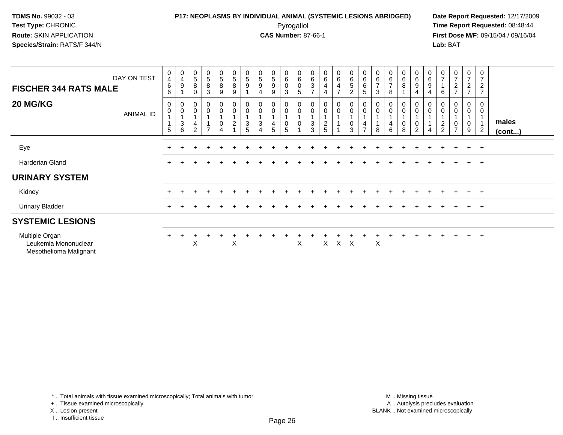### **P17: NEOPLASMS BY INDIVIDUAL ANIMAL (SYSTEMIC LESIONS ABRIDGED) Date Report Requested:** 12/17/2009 Pyrogallol Pyrogallol **Pyrogallol Time Report Requested:** 08:48:44<br>**CAS Number:** 87-66-1 **Time Report Requested:** 09/15/04 / 09/16/04

**First Dose M/F:** 09/15/04 / 09/16/04 Lab: BAT **Lab:** BAT

| DAY ON TEST<br><b>FISCHER 344 RATS MALE</b>                      | $\begin{smallmatrix}0\0\4\end{smallmatrix}$<br>$\,6$<br>6 | $\begin{smallmatrix}0\0\4\end{smallmatrix}$<br>$\boldsymbol{9}$        | $\begin{array}{c} 0 \\ 5 \end{array}$<br>$\bf 8$<br>$\mathbf 0$ | $\begin{matrix} 0 \\ 5 \end{matrix}$<br>8<br>3 | $\begin{array}{c} 0 \\ 5 \end{array}$<br>8<br>9   | $\begin{smallmatrix}0\5\8\end{smallmatrix}$<br>9               | $\begin{array}{c} 0 \\ 5 \end{array}$<br>$\boldsymbol{9}$ | $\begin{array}{c} 0 \\ 5 \end{array}$<br>$\boldsymbol{9}$<br>$\overline{4}$                    | $\begin{matrix} 0 \\ 5 \end{matrix}$<br>$\boldsymbol{9}$<br>9 | $\begin{matrix} 0 \\ 6 \\ 0 \end{matrix}$<br>3                                 | $\begin{matrix} 0 \\ 6 \\ 0 \end{matrix}$<br>5                            | $\begin{matrix} 0 \\ 6 \\ 3 \end{matrix}$<br>$\overline{ }$ | $\begin{array}{c} 0 \\ 6 \end{array}$<br>$\overline{\mathbf{4}}$<br>$\overline{4}$ | $_6^0$<br>$\overline{4}$<br>$\overline{7}$ | 0<br>6<br>5<br>2                                       | $\begin{matrix} 0 \\ 6 \\ 6 \end{matrix}$<br>5                    | $\begin{array}{c} 0 \\ 6 \end{array}$<br>$\overline{7}$<br>3 | $\begin{array}{c} 0 \\ 6 \end{array}$<br>$\overline{7}$<br>8 | 0<br>$\,6\,$<br>8          | $\begin{array}{c} 0 \\ 6 \\ 9 \end{array}$<br>$\overline{4}$ | $\begin{array}{c} 0 \\ 6 \end{array}$<br>$\boldsymbol{9}$<br>$\overline{4}$ | $\frac{0}{7}$<br>6      | $\frac{0}{7}$<br>$\frac{2}{7}$                | $\frac{0}{7}$<br>$rac{2}{7}$ | 0<br>$\overline{7}$<br>$\boldsymbol{2}$<br>$\overline{7}$         |                 |
|------------------------------------------------------------------|-----------------------------------------------------------|------------------------------------------------------------------------|-----------------------------------------------------------------|------------------------------------------------|---------------------------------------------------|----------------------------------------------------------------|-----------------------------------------------------------|------------------------------------------------------------------------------------------------|---------------------------------------------------------------|--------------------------------------------------------------------------------|---------------------------------------------------------------------------|-------------------------------------------------------------|------------------------------------------------------------------------------------|--------------------------------------------|--------------------------------------------------------|-------------------------------------------------------------------|--------------------------------------------------------------|--------------------------------------------------------------|----------------------------|--------------------------------------------------------------|-----------------------------------------------------------------------------|-------------------------|-----------------------------------------------|------------------------------|-------------------------------------------------------------------|-----------------|
| 20 MG/KG<br><b>ANIMAL ID</b>                                     | 0<br>$\pmb{0}$<br>1<br>5                                  | $_{\rm 0}^{\rm 0}$<br>$\overline{A}$<br>$\ensuremath{\mathsf{3}}$<br>6 | $\pmb{0}$<br>$\pmb{0}$<br>$\mathbf{1}$<br>4<br>$\overline{2}$   | 0<br>$\mathsf{O}\xspace$<br>$\overline{ }$     | $_{\rm 0}^{\rm 0}$<br>$\pmb{0}$<br>$\overline{A}$ | $\begin{smallmatrix}0\\0\end{smallmatrix}$<br>$\boldsymbol{2}$ | 0<br>$\pmb{0}$<br>$\ensuremath{\mathsf{3}}$<br>5          | $\pmb{0}$<br>$\pmb{0}$<br>$\mathbf{1}$<br>$\ensuremath{\mathsf{3}}$<br>$\overline{\mathbf{4}}$ | 0<br>$\mathbf 0$<br>4<br>5                                    | $\begin{smallmatrix}0\\0\end{smallmatrix}$<br>$\overline{A}$<br>$\pmb{0}$<br>5 | $\begin{smallmatrix}0\\0\end{smallmatrix}$<br>$\overline{A}$<br>$\pmb{0}$ | $\pmb{0}$<br>$\pmb{0}$<br>$\ensuremath{\mathsf{3}}$<br>3    | $\mathsf 0$<br>$\pmb{0}$<br>1<br>$\frac{2}{5}$                                     | 0<br>0                                     | $_{\rm 0}^{\rm 0}$<br>$\overline{A}$<br>$_{3}^{\rm 0}$ | $\begin{smallmatrix}0\\0\end{smallmatrix}$<br>4<br>$\overline{ }$ | $\pmb{0}$<br>8                                               | 0<br>$\pmb{0}$<br>4<br>6                                     | 0<br>$\mathbf 0$<br>0<br>8 | 0<br>$\pmb{0}$<br>$\mathbf{1}$<br>$\pmb{0}$<br>$\sqrt{2}$    | $\pmb{0}$<br>$\pmb{0}$<br>$\overline{A}$<br>$\mathbf{1}$<br>$\overline{4}$  | 0<br>0<br>$\frac{2}{2}$ | 0<br>$\pmb{0}$<br>$\pmb{0}$<br>$\overline{ }$ | 0<br>$\mathbf 0$<br>0<br>9   | $\mathbf 0$<br>$\mathbf 0$<br>$\mathbf{1}$<br>1<br>$\overline{2}$ | males<br>(cont) |
|                                                                  |                                                           |                                                                        |                                                                 |                                                |                                                   |                                                                |                                                           |                                                                                                |                                                               |                                                                                |                                                                           |                                                             |                                                                                    |                                            |                                                        |                                                                   |                                                              |                                                              |                            |                                                              |                                                                             |                         |                                               |                              |                                                                   |                 |
| Eye                                                              |                                                           |                                                                        |                                                                 |                                                |                                                   |                                                                |                                                           |                                                                                                |                                                               |                                                                                |                                                                           |                                                             |                                                                                    |                                            |                                                        |                                                                   |                                                              |                                                              |                            |                                                              |                                                                             |                         |                                               | $+$ $+$                      |                                                                   |                 |
| Harderian Gland                                                  | $\pm$                                                     |                                                                        |                                                                 |                                                |                                                   |                                                                |                                                           |                                                                                                |                                                               |                                                                                |                                                                           |                                                             |                                                                                    |                                            |                                                        |                                                                   |                                                              |                                                              |                            |                                                              |                                                                             |                         |                                               | $\ddot{}$                    | $+$                                                               |                 |
| <b>URINARY SYSTEM</b>                                            |                                                           |                                                                        |                                                                 |                                                |                                                   |                                                                |                                                           |                                                                                                |                                                               |                                                                                |                                                                           |                                                             |                                                                                    |                                            |                                                        |                                                                   |                                                              |                                                              |                            |                                                              |                                                                             |                         |                                               |                              |                                                                   |                 |
| Kidney                                                           | $\pm$                                                     |                                                                        |                                                                 |                                                |                                                   |                                                                |                                                           |                                                                                                |                                                               |                                                                                |                                                                           |                                                             |                                                                                    |                                            |                                                        |                                                                   |                                                              |                                                              |                            |                                                              |                                                                             |                         |                                               | $+$                          | $+$                                                               |                 |
| <b>Urinary Bladder</b>                                           | $\ddot{}$                                                 |                                                                        |                                                                 |                                                |                                                   |                                                                |                                                           |                                                                                                |                                                               |                                                                                |                                                                           |                                                             |                                                                                    |                                            |                                                        |                                                                   |                                                              |                                                              |                            |                                                              |                                                                             |                         |                                               | $\ddot{}$                    | $+$                                                               |                 |
| <b>SYSTEMIC LESIONS</b>                                          |                                                           |                                                                        |                                                                 |                                                |                                                   |                                                                |                                                           |                                                                                                |                                                               |                                                                                |                                                                           |                                                             |                                                                                    |                                            |                                                        |                                                                   |                                                              |                                                              |                            |                                                              |                                                                             |                         |                                               |                              |                                                                   |                 |
| Multiple Organ<br>Leukemia Mononuclear<br>Mesothelioma Malignant | $+$                                                       |                                                                        | Χ                                                               |                                                |                                                   | $\boldsymbol{\mathsf{X}}$                                      |                                                           |                                                                                                |                                                               |                                                                                | X                                                                         |                                                             | X                                                                                  | X X                                        |                                                        |                                                                   | X                                                            |                                                              |                            |                                                              |                                                                             |                         |                                               | $+$                          | $+$                                                               |                 |

\* .. Total animals with tissue examined microscopically; Total animals with tumor

X .. Lesion present

<sup>+ ..</sup> Tissue examined microscopically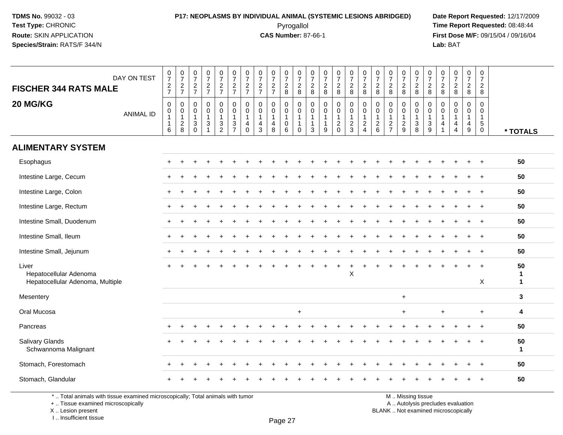### **P17: NEOPLASMS BY INDIVIDUAL ANIMAL (SYSTEMIC LESIONS ABRIDGED) Date Report Requested:** 12/17/2009 Pyrogallol Pyrogallol **Pyrogallol Time Report Requested:** 08:48:44<br>**CAS Number:** 87-66-1 **Time Report Requested:** 09/15/04 / 09/16/04

**First Dose M/F:** 09/15/04 / 09/16/04 Lab: BAT **Lab:** BAT

| DAY ON TEST<br><b>FISCHER 344 RATS MALE</b>                                     | $\begin{array}{c} 0 \\ 7 \end{array}$<br>$\frac{2}{7}$ | $\frac{0}{7}$<br>$\frac{2}{7}$                                      | $\frac{0}{7}$<br>$\frac{2}{7}$                                               | $\frac{0}{7}$<br>$rac{2}{7}$                                                  | $\frac{0}{7}$<br>$rac{2}{7}$                                | $\frac{0}{7}$<br>$\frac{2}{7}$                                   | $\frac{0}{7}$<br>$\frac{2}{7}$                                 | $\frac{0}{7}$<br>$\frac{2}{7}$ | $\begin{array}{c} 0 \\ 7 \end{array}$<br>$\frac{2}{7}$  | $\frac{0}{7}$<br>$\frac{2}{8}$                                        | 0<br>$\overline{7}$<br>$\frac{2}{8}$                                    | 0<br>$\overline{7}$<br>$\frac{2}{8}$         | $\frac{0}{7}$<br>$\frac{2}{8}$ | $\frac{0}{7}$<br>$\overline{2}$<br>8                           | $\frac{0}{7}$<br>$\overline{c}$<br>$\bf 8$        | 0<br>$\overline{7}$<br>$\frac{2}{8}$              | $\frac{0}{7}$<br>$_{\rm 8}^2$          | $\begin{array}{c} 0 \\ 7 \end{array}$<br>$_{8}^{\rm 2}$ | $\begin{array}{c} 0 \\ 7 \end{array}$<br>$\frac{2}{8}$    | $\frac{0}{7}$<br>$\frac{2}{8}$                     | $\frac{0}{7}$<br>$_{8}^2$                           | $\frac{0}{7}$<br>$\frac{2}{8}$ | $\begin{array}{c} 0 \\ 7 \\ 2 \\ 8 \end{array}$            | $\begin{array}{c} 0 \\ 7 \end{array}$<br>$\frac{2}{8}$ | $\frac{0}{7}$<br>$\overline{c}$                                      |                         |
|---------------------------------------------------------------------------------|--------------------------------------------------------|---------------------------------------------------------------------|------------------------------------------------------------------------------|-------------------------------------------------------------------------------|-------------------------------------------------------------|------------------------------------------------------------------|----------------------------------------------------------------|--------------------------------|---------------------------------------------------------|-----------------------------------------------------------------------|-------------------------------------------------------------------------|----------------------------------------------|--------------------------------|----------------------------------------------------------------|---------------------------------------------------|---------------------------------------------------|----------------------------------------|---------------------------------------------------------|-----------------------------------------------------------|----------------------------------------------------|-----------------------------------------------------|--------------------------------|------------------------------------------------------------|--------------------------------------------------------|----------------------------------------------------------------------|-------------------------|
| 20 MG/KG<br><b>ANIMAL ID</b>                                                    | $\mathsf 0$<br>$\mathbf 0$<br>$\mathbf{1}$<br>6        | $\mathbf 0$<br>$\mathsf{O}\xspace$<br>$\mathbf{1}$<br>$\frac{2}{8}$ | 0<br>$\mathbf 0$<br>$\mathbf{1}$<br>$\ensuremath{\mathsf{3}}$<br>$\mathbf 0$ | 0<br>$\mathbf 0$<br>$\mathbf{1}$<br>$\ensuremath{\mathsf{3}}$<br>$\mathbf{1}$ | $\mathbf 0$<br>$\mathbf 0$<br>$\mathbf{1}$<br>$\frac{3}{2}$ | 0<br>$\mathbf 0$<br>$\mathbf{1}$<br>$\sqrt{3}$<br>$\overline{7}$ | 0<br>$\mathbf 0$<br>$\mathbf{1}$<br>$\overline{4}$<br>$\Omega$ | 0<br>$\mathbf 0$<br>4<br>3     | 0<br>$\mathbf 0$<br>$\mathbf{1}$<br>$\overline{4}$<br>8 | $\mathbf 0$<br>$\mathbf 0$<br>$\overline{1}$<br>$\boldsymbol{0}$<br>6 | $\mathbf 0$<br>$\mathbf{0}$<br>$\mathbf{1}$<br>$\mathbf{1}$<br>$\Omega$ | $\mathbf 0$<br>$\Omega$<br>$\mathbf{1}$<br>3 | 0<br>$\mathbf 0$<br>1<br>9     | 0<br>$\mathbf 0$<br>$\mathbf{1}$<br>$\overline{a}$<br>$\Omega$ | 0<br>$\mathsf 0$<br>$\mathbf{1}$<br>$\frac{2}{3}$ | $\mathbf 0$<br>$\Omega$<br>$\sqrt{2}$<br>$\Delta$ | 0<br>$\mathbf 0$<br>1<br>$\frac{2}{6}$ | 0<br>$\mathbf 0$<br>$\mathbf{1}$<br>$\frac{2}{7}$       | $\pmb{0}$<br>$\mathbf 0$<br>$\mathbf{1}$<br>$\frac{2}{9}$ | $\mathbf 0$<br>$\mathbf 0$<br>1<br>$\sqrt{3}$<br>8 | $\mathbf 0$<br>$\mathbf 0$<br>$\mathbf 1$<br>$_9^3$ | 0<br>$\mathbf 0$<br>1<br>4     | 0<br>0<br>$\mathbf{1}$<br>$\overline{4}$<br>$\overline{4}$ | $\mathbf 0$<br>$\Omega$<br>1<br>4<br>9                 | 8<br>0<br>$\mathbf 0$<br>$\overline{1}$<br>$\sqrt{5}$<br>$\mathbf 0$ | * TOTALS                |
| <b>ALIMENTARY SYSTEM</b>                                                        |                                                        |                                                                     |                                                                              |                                                                               |                                                             |                                                                  |                                                                |                                |                                                         |                                                                       |                                                                         |                                              |                                |                                                                |                                                   |                                                   |                                        |                                                         |                                                           |                                                    |                                                     |                                |                                                            |                                                        |                                                                      |                         |
| Esophagus                                                                       | $\div$                                                 |                                                                     |                                                                              |                                                                               |                                                             |                                                                  |                                                                |                                |                                                         |                                                                       |                                                                         |                                              |                                |                                                                |                                                   |                                                   |                                        |                                                         |                                                           |                                                    |                                                     |                                |                                                            | $\ddot{}$                                              | $\pm$                                                                | 50                      |
| Intestine Large, Cecum                                                          |                                                        |                                                                     |                                                                              |                                                                               |                                                             |                                                                  |                                                                |                                |                                                         |                                                                       |                                                                         |                                              |                                |                                                                |                                                   |                                                   |                                        |                                                         |                                                           |                                                    |                                                     |                                |                                                            |                                                        |                                                                      | 50                      |
| Intestine Large, Colon                                                          |                                                        |                                                                     |                                                                              |                                                                               |                                                             |                                                                  |                                                                |                                |                                                         |                                                                       |                                                                         |                                              |                                |                                                                |                                                   |                                                   |                                        |                                                         |                                                           |                                                    |                                                     |                                |                                                            |                                                        | $+$                                                                  | 50                      |
| Intestine Large, Rectum                                                         |                                                        |                                                                     |                                                                              |                                                                               |                                                             |                                                                  |                                                                |                                |                                                         |                                                                       |                                                                         |                                              |                                |                                                                |                                                   |                                                   |                                        |                                                         |                                                           |                                                    |                                                     |                                |                                                            |                                                        | $+$                                                                  | 50                      |
| Intestine Small, Duodenum                                                       |                                                        |                                                                     |                                                                              |                                                                               |                                                             |                                                                  |                                                                |                                |                                                         |                                                                       |                                                                         |                                              |                                |                                                                |                                                   |                                                   |                                        |                                                         |                                                           |                                                    |                                                     |                                |                                                            |                                                        |                                                                      | 50                      |
| Intestine Small, Ileum                                                          |                                                        |                                                                     |                                                                              |                                                                               |                                                             |                                                                  |                                                                |                                |                                                         |                                                                       |                                                                         |                                              |                                |                                                                |                                                   |                                                   |                                        |                                                         |                                                           |                                                    |                                                     |                                |                                                            |                                                        | $+$                                                                  | 50                      |
| Intestine Small, Jejunum                                                        |                                                        |                                                                     |                                                                              |                                                                               |                                                             |                                                                  |                                                                |                                |                                                         |                                                                       |                                                                         |                                              |                                |                                                                |                                                   |                                                   |                                        |                                                         |                                                           |                                                    |                                                     |                                |                                                            |                                                        | $+$                                                                  | 50                      |
| Liver<br>Hepatocellular Adenoma<br>Hepatocellular Adenoma, Multiple             |                                                        |                                                                     |                                                                              |                                                                               |                                                             |                                                                  |                                                                |                                |                                                         |                                                                       |                                                                         |                                              |                                |                                                                | X                                                 |                                                   |                                        |                                                         |                                                           |                                                    |                                                     |                                |                                                            |                                                        | $\div$<br>X                                                          | 50<br>1<br>$\mathbf{1}$ |
| Mesentery                                                                       |                                                        |                                                                     |                                                                              |                                                                               |                                                             |                                                                  |                                                                |                                |                                                         |                                                                       |                                                                         |                                              |                                |                                                                |                                                   |                                                   |                                        |                                                         | $+$                                                       |                                                    |                                                     |                                |                                                            |                                                        |                                                                      | 3                       |
| Oral Mucosa                                                                     |                                                        |                                                                     |                                                                              |                                                                               |                                                             |                                                                  |                                                                |                                |                                                         |                                                                       | $\ddot{}$                                                               |                                              |                                |                                                                |                                                   |                                                   |                                        |                                                         | $+$                                                       |                                                    |                                                     | $\ddot{}$                      |                                                            |                                                        | $+$                                                                  | 4                       |
| Pancreas                                                                        |                                                        |                                                                     |                                                                              |                                                                               |                                                             |                                                                  |                                                                |                                |                                                         |                                                                       |                                                                         |                                              |                                |                                                                |                                                   |                                                   |                                        |                                                         |                                                           |                                                    |                                                     |                                |                                                            |                                                        | $+$                                                                  | 50                      |
| <b>Salivary Glands</b><br>Schwannoma Malignant                                  |                                                        |                                                                     |                                                                              |                                                                               |                                                             |                                                                  |                                                                |                                |                                                         |                                                                       |                                                                         |                                              |                                |                                                                |                                                   |                                                   |                                        |                                                         |                                                           |                                                    |                                                     |                                |                                                            |                                                        |                                                                      | 50<br>1                 |
| Stomach, Forestomach                                                            |                                                        |                                                                     |                                                                              |                                                                               |                                                             |                                                                  |                                                                |                                |                                                         |                                                                       |                                                                         |                                              |                                |                                                                |                                                   |                                                   |                                        |                                                         |                                                           |                                                    |                                                     |                                |                                                            |                                                        |                                                                      | 50                      |
| Stomach, Glandular                                                              |                                                        |                                                                     |                                                                              |                                                                               |                                                             |                                                                  |                                                                |                                |                                                         |                                                                       |                                                                         |                                              |                                |                                                                |                                                   |                                                   |                                        |                                                         |                                                           |                                                    |                                                     |                                |                                                            |                                                        |                                                                      | 50                      |
| *  Total animals with tissue examined microscopically; Total animals with tumor |                                                        |                                                                     |                                                                              |                                                                               |                                                             |                                                                  |                                                                |                                |                                                         |                                                                       |                                                                         |                                              |                                |                                                                |                                                   |                                                   |                                        |                                                         |                                                           | M  Missing tissue                                  |                                                     |                                |                                                            |                                                        |                                                                      |                         |

\* .. Total animals with tissue examined microscopically; Total animals with tumor

+ .. Tissue examined microscopically

X .. Lesion present

I .. Insufficient tissue

y the contract of the contract of the contract of the contract of the contract of  $\mathsf A$  . Autolysis precludes evaluation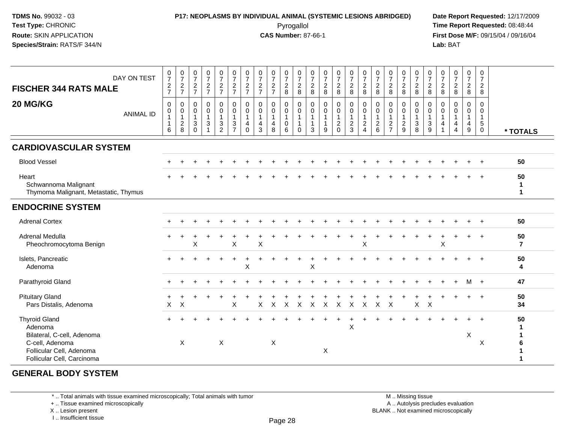### **P17: NEOPLASMS BY INDIVIDUAL ANIMAL (SYSTEMIC LESIONS ABRIDGED) Date Report Requested:** 12/17/2009 Pyrogallol Pyrogallol **Pyrogallol Time Report Requested:** 08:48:44<br>**CAS Number:** 87-66-1 **Time Report Requested:** 08/15/04 / 09/16/04

**First Dose M/F:** 09/15/04 / 09/16/04 Lab: BAT **Lab:** BAT

| DAY ON TEST<br><b>FISCHER 344 RATS MALE</b><br>20 MG/KG<br><b>ANIMAL ID</b>                                                                | $\frac{0}{7}$<br>$\frac{2}{7}$<br>$\mathbf 0$<br>0<br>1<br>6 | $\begin{array}{c} 0 \\ 7 \end{array}$<br>$\frac{2}{7}$<br>$\boldsymbol{0}$<br>$\begin{array}{c} 0 \\ 1 \\ 2 \\ 8 \end{array}$ | $\frac{0}{7}$<br>$\frac{2}{7}$<br>$\pmb{0}$<br>$\pmb{0}$<br>$\mathbf{1}$<br>$\ensuremath{\mathsf{3}}$<br>$\Omega$ | $\frac{0}{7}$<br>$\frac{2}{7}$<br>0<br>0<br>$\mathbf{1}$<br>3 | $\frac{0}{7}$<br>$\frac{2}{7}$<br>$\begin{smallmatrix} 0\\0 \end{smallmatrix}$<br>$\mathbf{1}$<br>$\frac{3}{2}$ | $\begin{array}{c} 0 \\ 7 \end{array}$<br>$\frac{2}{7}$<br>$\boldsymbol{0}$<br>$\mathbf 0$<br>$\mathbf{1}$<br>$\frac{3}{7}$ | $\frac{0}{7}$<br>$\frac{2}{7}$<br>0<br>$\mathbf 0$<br>$\mathbf{1}$<br>$\overline{4}$<br>$\mathbf{0}$ | $\frac{0}{7}$<br>$\frac{2}{7}$<br>$\mathbf 0$<br>$\mathbf 0$<br>$\mathbf{1}$<br>$\overline{4}$<br>3 | $\frac{0}{7}$<br>$\frac{2}{7}$<br>0<br>$\mathbf 0$<br>$\mathbf{1}$<br>4<br>8 | $\frac{0}{7}$<br>$_{\rm 8}^2$<br>0<br>$\pmb{0}$<br>$\mathbf{1}$<br>$\mathbf 0$<br>6 | $\frac{0}{7}$<br>$_{8}^2$<br>0<br>$\mathsf{O}$<br>$\mathbf{1}$<br>$\mathbf{1}$<br>$\Omega$ | $\frac{0}{7}$<br>$_{\rm 8}^2$<br>0<br>0<br>$\mathbf{1}$<br>$\mathbf{1}$<br>3 | $\frac{0}{7}$<br>$_{8}^{\rm 2}$<br>$\mathbf 0$<br>$\pmb{0}$<br>$\mathbf{1}$<br>9 | $\frac{0}{7}$<br>$\frac{2}{8}$<br>$\mathbf 0$<br>$\mathbf 0$<br>$\overline{1}$<br>$\frac{2}{0}$ | $\frac{0}{7}$<br>$\frac{2}{8}$<br>$\pmb{0}$<br>$\ddot{\mathbf{0}}$<br>$\mathbf{1}$<br>$\frac{2}{3}$ | $\frac{0}{7}$<br>$_{\rm 8}^2$<br>0<br>$\mathbf 0$<br>$\mathbf{1}$<br>$\boldsymbol{2}$<br>$\overline{4}$ | $\frac{0}{7}$<br>$\frac{2}{8}$<br>0<br>0<br>$\overline{1}$<br>$\frac{2}{6}$ | $\frac{0}{7}$<br>$_{\rm 8}^2$<br>0<br>$\pmb{0}$<br>$\mathbf{1}$<br>$\frac{2}{7}$ | $\frac{0}{7}$<br>$_{8}^{\rm 2}$<br>$\mathbf 0$<br>$\mathbf 0$<br>$\mathbf{1}$<br>$\frac{2}{9}$ | $\frac{0}{7}$<br>$\frac{2}{8}$<br>$\mathbf 0$<br>$\pmb{0}$<br>$\mathbf{1}$<br>$\sqrt{3}$<br>8 | $\frac{0}{7}$<br>$\frac{2}{8}$<br>$\mathbf 0$<br>0<br>$\mathbf{1}$<br>$\sqrt{3}$<br>9 | $\frac{0}{7}$<br>$_{8}^2$<br>0<br>0<br>$\mathbf{1}$<br>4<br>$\mathbf{1}$ | $\frac{0}{7}$<br>$\frac{2}{8}$<br>0<br>0<br>$\mathbf{1}$<br>4<br>4 | $\begin{array}{c} 0 \\ 7 \\ 2 \\ 8 \end{array}$<br>0<br>$\mathbf 0$<br>$\mathbf{1}$<br>$\begin{array}{c} 4 \\ 9 \end{array}$ | 0<br>$\boldsymbol{7}$<br>$\overline{c}$<br>$\bf 8$<br>$\mathbf 0$<br>0<br>$\mathbf{1}$<br>$\sqrt{5}$<br>$\mathbf 0$ | * TOTALS             |
|--------------------------------------------------------------------------------------------------------------------------------------------|--------------------------------------------------------------|-------------------------------------------------------------------------------------------------------------------------------|-------------------------------------------------------------------------------------------------------------------|---------------------------------------------------------------|-----------------------------------------------------------------------------------------------------------------|----------------------------------------------------------------------------------------------------------------------------|------------------------------------------------------------------------------------------------------|-----------------------------------------------------------------------------------------------------|------------------------------------------------------------------------------|-------------------------------------------------------------------------------------|--------------------------------------------------------------------------------------------|------------------------------------------------------------------------------|----------------------------------------------------------------------------------|-------------------------------------------------------------------------------------------------|-----------------------------------------------------------------------------------------------------|---------------------------------------------------------------------------------------------------------|-----------------------------------------------------------------------------|----------------------------------------------------------------------------------|------------------------------------------------------------------------------------------------|-----------------------------------------------------------------------------------------------|---------------------------------------------------------------------------------------|--------------------------------------------------------------------------|--------------------------------------------------------------------|------------------------------------------------------------------------------------------------------------------------------|---------------------------------------------------------------------------------------------------------------------|----------------------|
| <b>CARDIOVASCULAR SYSTEM</b>                                                                                                               |                                                              |                                                                                                                               |                                                                                                                   |                                                               |                                                                                                                 |                                                                                                                            |                                                                                                      |                                                                                                     |                                                                              |                                                                                     |                                                                                            |                                                                              |                                                                                  |                                                                                                 |                                                                                                     |                                                                                                         |                                                                             |                                                                                  |                                                                                                |                                                                                               |                                                                                       |                                                                          |                                                                    |                                                                                                                              |                                                                                                                     |                      |
| <b>Blood Vessel</b>                                                                                                                        |                                                              |                                                                                                                               |                                                                                                                   |                                                               |                                                                                                                 |                                                                                                                            |                                                                                                      |                                                                                                     |                                                                              |                                                                                     |                                                                                            |                                                                              |                                                                                  |                                                                                                 |                                                                                                     |                                                                                                         |                                                                             |                                                                                  |                                                                                                |                                                                                               |                                                                                       |                                                                          |                                                                    |                                                                                                                              |                                                                                                                     | 50                   |
| Heart<br>Schwannoma Malignant<br>Thymoma Malignant, Metastatic, Thymus                                                                     |                                                              |                                                                                                                               |                                                                                                                   |                                                               |                                                                                                                 |                                                                                                                            |                                                                                                      |                                                                                                     |                                                                              |                                                                                     |                                                                                            |                                                                              |                                                                                  |                                                                                                 |                                                                                                     |                                                                                                         |                                                                             |                                                                                  |                                                                                                |                                                                                               |                                                                                       |                                                                          |                                                                    |                                                                                                                              |                                                                                                                     | 50<br>1<br>1         |
| <b>ENDOCRINE SYSTEM</b>                                                                                                                    |                                                              |                                                                                                                               |                                                                                                                   |                                                               |                                                                                                                 |                                                                                                                            |                                                                                                      |                                                                                                     |                                                                              |                                                                                     |                                                                                            |                                                                              |                                                                                  |                                                                                                 |                                                                                                     |                                                                                                         |                                                                             |                                                                                  |                                                                                                |                                                                                               |                                                                                       |                                                                          |                                                                    |                                                                                                                              |                                                                                                                     |                      |
| <b>Adrenal Cortex</b>                                                                                                                      |                                                              |                                                                                                                               |                                                                                                                   |                                                               |                                                                                                                 |                                                                                                                            |                                                                                                      |                                                                                                     |                                                                              |                                                                                     |                                                                                            |                                                                              |                                                                                  |                                                                                                 |                                                                                                     |                                                                                                         |                                                                             |                                                                                  |                                                                                                |                                                                                               |                                                                                       |                                                                          |                                                                    |                                                                                                                              |                                                                                                                     | 50                   |
| <b>Adrenal Medulla</b><br>Pheochromocytoma Benign                                                                                          |                                                              |                                                                                                                               | Χ                                                                                                                 |                                                               |                                                                                                                 | X                                                                                                                          |                                                                                                      | $\pmb{\times}$                                                                                      |                                                                              |                                                                                     |                                                                                            |                                                                              |                                                                                  |                                                                                                 |                                                                                                     | X                                                                                                       |                                                                             |                                                                                  |                                                                                                |                                                                                               |                                                                                       | X                                                                        |                                                                    |                                                                                                                              | $\overline{+}$                                                                                                      | 50<br>$\overline{7}$ |
| Islets, Pancreatic<br>Adenoma                                                                                                              |                                                              |                                                                                                                               |                                                                                                                   |                                                               |                                                                                                                 |                                                                                                                            | X                                                                                                    |                                                                                                     |                                                                              |                                                                                     |                                                                                            | X                                                                            |                                                                                  |                                                                                                 |                                                                                                     |                                                                                                         |                                                                             |                                                                                  |                                                                                                |                                                                                               |                                                                                       |                                                                          |                                                                    |                                                                                                                              |                                                                                                                     | 50<br>4              |
| Parathyroid Gland                                                                                                                          |                                                              |                                                                                                                               |                                                                                                                   |                                                               |                                                                                                                 |                                                                                                                            |                                                                                                      |                                                                                                     |                                                                              |                                                                                     |                                                                                            |                                                                              |                                                                                  |                                                                                                 |                                                                                                     |                                                                                                         |                                                                             |                                                                                  |                                                                                                |                                                                                               |                                                                                       |                                                                          |                                                                    | м                                                                                                                            | $+$                                                                                                                 | 47                   |
| <b>Pituitary Gland</b><br>Pars Distalis, Adenoma                                                                                           | X                                                            | X                                                                                                                             |                                                                                                                   |                                                               |                                                                                                                 | X                                                                                                                          |                                                                                                      | X                                                                                                   | $\sf X$                                                                      | $\sf X$                                                                             | $\mathsf{X}$                                                                               | $\mathsf{X}$                                                                 | $\mathsf{X}$                                                                     | $\boldsymbol{\mathsf{X}}$                                                                       | $\mathsf{X}$                                                                                        | $\mathsf{X}$                                                                                            | $\sf X$                                                                     | $\boldsymbol{\mathsf{X}}$                                                        |                                                                                                | $\mathsf{X}$                                                                                  | $\times$                                                                              |                                                                          |                                                                    |                                                                                                                              |                                                                                                                     | 50<br>34             |
| <b>Thyroid Gland</b><br>Adenoma<br>Bilateral, C-cell, Adenoma<br>C-cell, Adenoma<br>Follicular Cell, Adenoma<br>Follicular Cell, Carcinoma |                                                              | X                                                                                                                             |                                                                                                                   |                                                               | $\times$                                                                                                        |                                                                                                                            |                                                                                                      |                                                                                                     | X                                                                            |                                                                                     |                                                                                            |                                                                              | X                                                                                |                                                                                                 | X                                                                                                   |                                                                                                         |                                                                             |                                                                                  |                                                                                                |                                                                                               |                                                                                       |                                                                          |                                                                    | X                                                                                                                            | X                                                                                                                   | 50<br>1<br>1         |

#### **GENERAL BODY SYSTEM**

\* .. Total animals with tissue examined microscopically; Total animals with tumor

+ .. Tissue examined microscopically

X .. Lesion present

I .. Insufficient tissue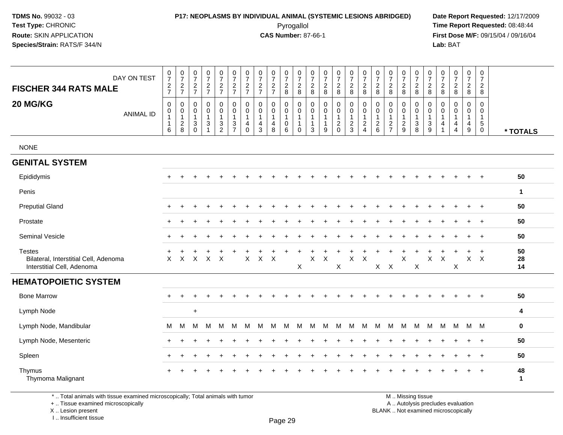# **P17: NEOPLASMS BY INDIVIDUAL ANIMAL (SYSTEMIC LESIONS ABRIDGED) Date Report Requested:** 12/17/2009

Pyrogallol Pyrogallol **Pyrogallol Time Report Requested:** 08:48:44<br>**CAS Number:** 87-66-1 **Time Report Requested:** 09/15/04 / 09/16/04 **First Dose M/F:** 09/15/04 / 09/16/04 Lab: BAT **Lab:** BAT

| DAY ON TEST<br><b>FISCHER 344 RATS MALE</b><br>20 MG/KG<br><b>ANIMAL ID</b>          | $\frac{0}{7}$<br>$\frac{2}{7}$<br>$\mathbf 0$<br>$\Omega$<br>$\mathbf{1}$<br>6 | $\frac{0}{7}$<br>$\frac{2}{7}$<br>0<br>$\mathbf 0$<br>$\mathbf{1}$<br>$\frac{2}{8}$ | $\frac{0}{7}$<br>$\frac{2}{7}$<br>0<br>$\mathbf 0$<br>$\mathbf{1}$<br>$\frac{3}{0}$ | $\begin{smallmatrix}0\\7\end{smallmatrix}$<br>$\frac{2}{7}$<br>0<br>$\Omega$<br>$\mathbf{1}$<br>$\mathbf{3}$ | $\frac{0}{7}$<br>$\frac{2}{7}$<br>0<br>$\mathbf 0$<br>$\mathbf{1}$<br>$\frac{3}{2}$ | $\frac{0}{7}$<br>$\overline{2}$<br>$\overline{7}$<br>0<br>$\mathbf 0$<br>$\mathbf{1}$<br>$\mathbf{3}$<br>$\overline{7}$ | $\frac{0}{7}$<br>$\frac{2}{7}$<br>$\mathbf 0$<br>$\Omega$<br>$\mathbf{1}$<br>$\overline{\mathbf{4}}$<br>$\Omega$ | $\frac{0}{7}$<br>$\overline{\mathbf{c}}$<br>$\overline{7}$<br>0<br>$\mathbf 0$<br>$\mathbf{1}$<br>4<br>$\overline{3}$ | $\frac{0}{7}$<br>$\frac{2}{7}$<br>0<br>$\mathsf{O}$<br>$\mathbf{1}$<br>$\begin{array}{c} 4 \\ 8 \end{array}$ | $\frac{0}{7}$<br>$\sqrt{2}$<br>$\,8\,$<br>0<br>$\mathbf 0$<br>$\mathbf{1}$<br>$\pmb{0}$<br>$\,6\,$ | $\frac{0}{7}$<br>$\frac{2}{8}$<br>$\mathbf 0$<br>$\mathbf 0$<br>$\overline{\mathbf{1}}$<br>$\overline{1}$<br>$\mathbf 0$ | $\frac{0}{7}$<br>$\boldsymbol{2}$<br>8<br>$\mathbf 0$<br>$\mathbf 0$<br>$\mathbf{1}$<br>$\mathbf{1}$<br>$\overline{3}$ | $\frac{0}{7}$<br>$\overline{\mathbf{c}}$<br>8<br>0<br>$\mathbf 0$<br>1<br>1<br>9 | $\frac{0}{7}$<br>$\overline{c}$<br>8<br>$\pmb{0}$<br>$\mathbf 0$<br>$\mathbf{1}$<br>$^2_{0}$ | $\begin{smallmatrix}0\\7\end{smallmatrix}$<br>$\boldsymbol{2}$<br>8<br>$\mathbf 0$<br>$\mathsf 0$<br>$\mathbf{1}$<br>$\frac{2}{3}$ | $\begin{smallmatrix}0\\7\end{smallmatrix}$<br>$\sqrt{2}$<br>8<br>0<br>$\Omega$<br>-1<br>$_4^2$ | $\frac{0}{7}$<br>$\boldsymbol{2}$<br>8<br>$\mathbf 0$<br>$\mathbf 0$<br>$\mathbf{1}$<br>$\frac{2}{6}$ | $\frac{0}{7}$<br>$\sqrt{2}$<br>8<br>0<br>$\mathbf 0$<br>$\mathbf{1}$<br>$\frac{2}{7}$ | $\frac{0}{7}$<br>$\boldsymbol{2}$<br>8<br>0<br>$\mathbf 0$<br>$\mathbf{1}$<br>$\frac{2}{9}$ | 0<br>$\overline{7}$<br>$\overline{\mathbf{c}}$<br>8<br>0<br>$\mathbf 0$<br>1<br>$\mathbf{3}$<br>8 | $\frac{0}{7}$<br>$\sqrt{2}$<br>8<br>$\mathbf 0$<br>$\mathbf 0$<br>$\mathbf{1}$<br>$\frac{3}{9}$ | $\frac{0}{7}$<br>$\sqrt{2}$<br>8<br>0<br>$\Omega$<br>4 | $\frac{0}{7}$<br>$\frac{2}{8}$<br>0<br>$\overline{0}$<br>$\mathbf{1}$<br>$\frac{4}{4}$ | $\frac{0}{7}$<br>$\overline{c}$<br>8<br>$\mathbf 0$<br>$\mathbf{0}$<br>$\mathbf{1}$<br>$\overline{4}$<br>$\overline{9}$ | 0<br>$\overline{7}$<br>2<br>8<br>0<br>$\Omega$<br>1<br>$5\phantom{.0}$<br>0 | * TOTALS           |
|--------------------------------------------------------------------------------------|--------------------------------------------------------------------------------|-------------------------------------------------------------------------------------|-------------------------------------------------------------------------------------|--------------------------------------------------------------------------------------------------------------|-------------------------------------------------------------------------------------|-------------------------------------------------------------------------------------------------------------------------|------------------------------------------------------------------------------------------------------------------|-----------------------------------------------------------------------------------------------------------------------|--------------------------------------------------------------------------------------------------------------|----------------------------------------------------------------------------------------------------|--------------------------------------------------------------------------------------------------------------------------|------------------------------------------------------------------------------------------------------------------------|----------------------------------------------------------------------------------|----------------------------------------------------------------------------------------------|------------------------------------------------------------------------------------------------------------------------------------|------------------------------------------------------------------------------------------------|-------------------------------------------------------------------------------------------------------|---------------------------------------------------------------------------------------|---------------------------------------------------------------------------------------------|---------------------------------------------------------------------------------------------------|-------------------------------------------------------------------------------------------------|--------------------------------------------------------|----------------------------------------------------------------------------------------|-------------------------------------------------------------------------------------------------------------------------|-----------------------------------------------------------------------------|--------------------|
| <b>NONE</b>                                                                          |                                                                                |                                                                                     |                                                                                     |                                                                                                              |                                                                                     |                                                                                                                         |                                                                                                                  |                                                                                                                       |                                                                                                              |                                                                                                    |                                                                                                                          |                                                                                                                        |                                                                                  |                                                                                              |                                                                                                                                    |                                                                                                |                                                                                                       |                                                                                       |                                                                                             |                                                                                                   |                                                                                                 |                                                        |                                                                                        |                                                                                                                         |                                                                             |                    |
| <b>GENITAL SYSTEM</b>                                                                |                                                                                |                                                                                     |                                                                                     |                                                                                                              |                                                                                     |                                                                                                                         |                                                                                                                  |                                                                                                                       |                                                                                                              |                                                                                                    |                                                                                                                          |                                                                                                                        |                                                                                  |                                                                                              |                                                                                                                                    |                                                                                                |                                                                                                       |                                                                                       |                                                                                             |                                                                                                   |                                                                                                 |                                                        |                                                                                        |                                                                                                                         |                                                                             |                    |
| Epididymis                                                                           |                                                                                |                                                                                     |                                                                                     |                                                                                                              |                                                                                     |                                                                                                                         |                                                                                                                  |                                                                                                                       |                                                                                                              |                                                                                                    |                                                                                                                          |                                                                                                                        |                                                                                  |                                                                                              |                                                                                                                                    |                                                                                                |                                                                                                       |                                                                                       |                                                                                             |                                                                                                   |                                                                                                 |                                                        |                                                                                        |                                                                                                                         |                                                                             | 50                 |
| Penis                                                                                |                                                                                |                                                                                     |                                                                                     |                                                                                                              |                                                                                     |                                                                                                                         |                                                                                                                  |                                                                                                                       |                                                                                                              |                                                                                                    |                                                                                                                          |                                                                                                                        |                                                                                  |                                                                                              |                                                                                                                                    |                                                                                                |                                                                                                       |                                                                                       |                                                                                             |                                                                                                   |                                                                                                 |                                                        |                                                                                        |                                                                                                                         |                                                                             | $\mathbf 1$        |
| <b>Preputial Gland</b>                                                               | ÷                                                                              |                                                                                     |                                                                                     |                                                                                                              |                                                                                     |                                                                                                                         |                                                                                                                  |                                                                                                                       |                                                                                                              |                                                                                                    |                                                                                                                          |                                                                                                                        |                                                                                  |                                                                                              |                                                                                                                                    |                                                                                                |                                                                                                       |                                                                                       |                                                                                             |                                                                                                   |                                                                                                 |                                                        |                                                                                        |                                                                                                                         | $+$                                                                         | 50                 |
| Prostate                                                                             |                                                                                |                                                                                     |                                                                                     |                                                                                                              |                                                                                     |                                                                                                                         |                                                                                                                  |                                                                                                                       |                                                                                                              |                                                                                                    |                                                                                                                          |                                                                                                                        |                                                                                  |                                                                                              |                                                                                                                                    |                                                                                                |                                                                                                       |                                                                                       |                                                                                             |                                                                                                   |                                                                                                 |                                                        |                                                                                        |                                                                                                                         | $\div$                                                                      | 50                 |
| Seminal Vesicle                                                                      |                                                                                |                                                                                     |                                                                                     |                                                                                                              |                                                                                     |                                                                                                                         |                                                                                                                  |                                                                                                                       |                                                                                                              |                                                                                                    |                                                                                                                          |                                                                                                                        |                                                                                  |                                                                                              |                                                                                                                                    |                                                                                                |                                                                                                       |                                                                                       |                                                                                             |                                                                                                   |                                                                                                 |                                                        |                                                                                        |                                                                                                                         | $\ddot{}$                                                                   | 50                 |
| <b>Testes</b><br>Bilateral, Interstitial Cell, Adenoma<br>Interstitial Cell, Adenoma | ÷<br>X                                                                         | X                                                                                   | $\mathsf{X}$                                                                        | $\mathsf{X}$                                                                                                 | $\mathsf{X}$                                                                        |                                                                                                                         | $\mathsf{X}$                                                                                                     | $\boldsymbol{X}$                                                                                                      | $\mathsf{X}$                                                                                                 |                                                                                                    | X                                                                                                                        | X                                                                                                                      | $\boldsymbol{\mathsf{X}}$                                                        | $\times$                                                                                     | $\mathsf{X}$                                                                                                                       | $\boldsymbol{\mathsf{X}}$                                                                      | $X$ $X$                                                                                               | $\ddot{}$                                                                             | X                                                                                           | $\boldsymbol{\mathsf{X}}$                                                                         | X                                                                                               | $\boldsymbol{\mathsf{X}}$                              | $\mathsf X$                                                                            | $\ddot{}$<br>$X -$                                                                                                      | $+$<br>$\boldsymbol{\mathsf{X}}$                                            | 50<br>28<br>14     |
| <b>HEMATOPOIETIC SYSTEM</b>                                                          |                                                                                |                                                                                     |                                                                                     |                                                                                                              |                                                                                     |                                                                                                                         |                                                                                                                  |                                                                                                                       |                                                                                                              |                                                                                                    |                                                                                                                          |                                                                                                                        |                                                                                  |                                                                                              |                                                                                                                                    |                                                                                                |                                                                                                       |                                                                                       |                                                                                             |                                                                                                   |                                                                                                 |                                                        |                                                                                        |                                                                                                                         |                                                                             |                    |
| <b>Bone Marrow</b>                                                                   |                                                                                |                                                                                     |                                                                                     |                                                                                                              |                                                                                     |                                                                                                                         |                                                                                                                  |                                                                                                                       |                                                                                                              |                                                                                                    |                                                                                                                          |                                                                                                                        |                                                                                  |                                                                                              |                                                                                                                                    |                                                                                                |                                                                                                       |                                                                                       |                                                                                             |                                                                                                   |                                                                                                 |                                                        |                                                                                        |                                                                                                                         |                                                                             | 50                 |
| Lymph Node                                                                           |                                                                                |                                                                                     | $\ddot{}$                                                                           |                                                                                                              |                                                                                     |                                                                                                                         |                                                                                                                  |                                                                                                                       |                                                                                                              |                                                                                                    |                                                                                                                          |                                                                                                                        |                                                                                  |                                                                                              |                                                                                                                                    |                                                                                                |                                                                                                       |                                                                                       |                                                                                             |                                                                                                   |                                                                                                 |                                                        |                                                                                        |                                                                                                                         |                                                                             | 4                  |
| Lymph Node, Mandibular                                                               | M                                                                              | M                                                                                   | M                                                                                   | М                                                                                                            | м                                                                                   | M                                                                                                                       | м                                                                                                                | M                                                                                                                     | M                                                                                                            | М                                                                                                  | м                                                                                                                        | M                                                                                                                      | M                                                                                | M                                                                                            | M                                                                                                                                  | м                                                                                              | M                                                                                                     | м                                                                                     | M                                                                                           | M                                                                                                 | M                                                                                               | M                                                      | M                                                                                      | M M                                                                                                                     |                                                                             | $\mathbf 0$        |
| Lymph Node, Mesenteric                                                               | ٠                                                                              |                                                                                     |                                                                                     |                                                                                                              |                                                                                     |                                                                                                                         |                                                                                                                  |                                                                                                                       |                                                                                                              |                                                                                                    |                                                                                                                          |                                                                                                                        |                                                                                  |                                                                                              |                                                                                                                                    |                                                                                                |                                                                                                       |                                                                                       |                                                                                             |                                                                                                   |                                                                                                 |                                                        |                                                                                        |                                                                                                                         | $^{+}$                                                                      | 50                 |
| Spleen                                                                               | ÷                                                                              |                                                                                     |                                                                                     |                                                                                                              |                                                                                     |                                                                                                                         |                                                                                                                  |                                                                                                                       |                                                                                                              |                                                                                                    |                                                                                                                          |                                                                                                                        |                                                                                  |                                                                                              |                                                                                                                                    |                                                                                                |                                                                                                       |                                                                                       |                                                                                             |                                                                                                   |                                                                                                 |                                                        |                                                                                        |                                                                                                                         | $+$                                                                         | 50                 |
| Thymus<br>Thymoma Malignant                                                          | ÷                                                                              |                                                                                     |                                                                                     |                                                                                                              |                                                                                     |                                                                                                                         |                                                                                                                  |                                                                                                                       |                                                                                                              |                                                                                                    |                                                                                                                          |                                                                                                                        |                                                                                  |                                                                                              |                                                                                                                                    |                                                                                                |                                                                                                       |                                                                                       |                                                                                             |                                                                                                   |                                                                                                 |                                                        |                                                                                        |                                                                                                                         | $\ddot{}$                                                                   | 48<br>$\mathbf{1}$ |

\* .. Total animals with tissue examined microscopically; Total animals with tumor

+ .. Tissue examined microscopically

X .. Lesion present

I .. Insufficient tissue

M .. Missing tissue y the contract of the contract of the contract of the contract of the contract of  $\mathsf A$  . Autolysis precludes evaluation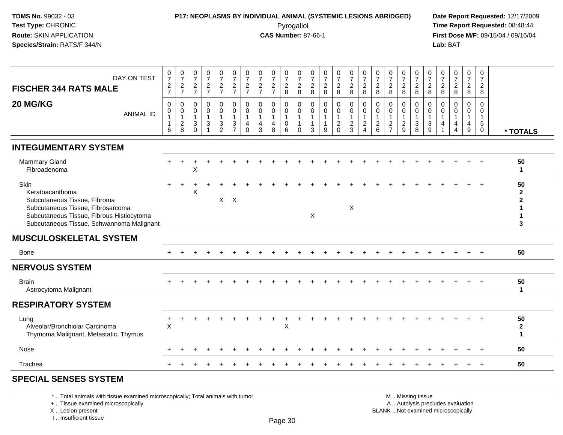### **P17: NEOPLASMS BY INDIVIDUAL ANIMAL (SYSTEMIC LESIONS ABRIDGED) Date Report Requested:** 12/17/2009 Pyrogallol Pyrogallol **Pyrogallol Time Report Requested:** 08:48:44<br>**CAS Number:** 87-66-1 **Time Report Requested:** 09/15/04 / 09/16/04

**First Dose M/F:** 09/15/04 / 09/16/04 Lab: BAT **Lab:** BAT

| DAY ON TEST<br><b>FISCHER 344 RATS MALE</b>                                                                                                                                            | $\begin{array}{c} 0 \\ 7 \end{array}$<br>$\boldsymbol{2}$<br>$\overline{7}$ | $\frac{0}{7}$<br>$\overline{c}$<br>$\overline{7}$       | $\frac{0}{7}$<br>$\overline{c}$<br>$\overline{7}$        | $\frac{0}{7}$<br>$\overline{c}$<br>$\overline{7}$ | $\begin{array}{c} 0 \\ 7 \end{array}$<br>$\overline{c}$<br>$\overline{7}$ | $\frac{0}{7}$<br>$\overline{c}$<br>$\overline{7}$               | $\frac{0}{7}$<br>$\boldsymbol{2}$<br>$\overline{7}$ | $\frac{0}{7}$<br>$\overline{c}$<br>$\overline{7}$              | $\frac{0}{7}$<br>$\overline{c}$<br>$\overline{7}$ | $\frac{0}{7}$<br>$\overline{2}$<br>8               | $\frac{0}{7}$<br>$\overline{c}$<br>8                                   | $\frac{0}{7}$<br>$\overline{c}$<br>8     | $\frac{0}{7}$<br>$\boldsymbol{2}$<br>8                            | $\frac{0}{7}$<br>$\overline{c}$<br>8                | $\frac{0}{7}$<br>$\overline{2}$<br>8                        | $\frac{0}{7}$<br>$\overline{c}$<br>8                                          | $\frac{0}{7}$<br>$\boldsymbol{2}$<br>8                     | $\frac{0}{7}$<br>$\sqrt{2}$<br>8                                               | $\frac{0}{7}$<br>$\overline{c}$<br>$\,8\,$                | $\frac{0}{7}$<br>$\overline{c}$<br>8                         | 0<br>$\overline{7}$<br>$\sqrt{2}$<br>8         | $\frac{0}{7}$<br>$\overline{c}$<br>8 | $\frac{0}{7}$<br>$\overline{a}$<br>8 | $\frac{0}{7}$<br>$\boldsymbol{2}$<br>$\,8\,$                        | 0<br>$\overline{7}$<br>$\overline{2}$<br>8                              |                                              |
|----------------------------------------------------------------------------------------------------------------------------------------------------------------------------------------|-----------------------------------------------------------------------------|---------------------------------------------------------|----------------------------------------------------------|---------------------------------------------------|---------------------------------------------------------------------------|-----------------------------------------------------------------|-----------------------------------------------------|----------------------------------------------------------------|---------------------------------------------------|----------------------------------------------------|------------------------------------------------------------------------|------------------------------------------|-------------------------------------------------------------------|-----------------------------------------------------|-------------------------------------------------------------|-------------------------------------------------------------------------------|------------------------------------------------------------|--------------------------------------------------------------------------------|-----------------------------------------------------------|--------------------------------------------------------------|------------------------------------------------|--------------------------------------|--------------------------------------|---------------------------------------------------------------------|-------------------------------------------------------------------------|----------------------------------------------|
| 20 MG/KG<br><b>ANIMAL ID</b>                                                                                                                                                           | $\mathbf 0$<br>0<br>1<br>$\mathbf 1$<br>6                                   | $\mathbf 0$<br>0<br>$\mathbf{1}$<br>$\overline{2}$<br>8 | $\Omega$<br>$\mathbf 0$<br>$\mathbf{1}$<br>3<br>$\Omega$ | $\mathbf 0$<br>$\mathbf 0$<br>3                   | $\Omega$<br>$\mathbf 0$<br>$\mathbf{1}$<br>$\sqrt{3}$<br>$\overline{2}$   | $\mathbf 0$<br>$\pmb{0}$<br>1<br>$\mathbf{3}$<br>$\overline{7}$ | $\mathbf 0$<br>0<br>$\overline{1}$<br>4<br>$\Omega$ | $\Omega$<br>$\mathbf 0$<br>$\mathbf{1}$<br>$\overline{4}$<br>3 | $\Omega$<br>$\mathbf 0$<br>4<br>8                 | $\mathbf 0$<br>$\pmb{0}$<br>$\mathbf{1}$<br>0<br>6 | $\mathbf 0$<br>$\mathbf 0$<br>$\mathbf{1}$<br>$\mathbf{1}$<br>$\Omega$ | $\Omega$<br>$\Omega$<br>$\mathbf 1$<br>3 | $\mathbf 0$<br>$\mathbf 0$<br>$\overline{1}$<br>$\mathbf{1}$<br>9 | 0<br>$\mathbf 0$<br>1<br>$\overline{c}$<br>$\Omega$ | $\mathbf 0$<br>$\mathbf 0$<br>$\mathbf{1}$<br>$\frac{2}{3}$ | $\mathbf 0$<br>0<br>$\mathbf{1}$<br>$\overline{\mathbf{c}}$<br>$\overline{4}$ | $\Omega$<br>$\mathbf 0$<br>$\overline{1}$<br>$\frac{2}{6}$ | $\mathbf 0$<br>$\mathbf 0$<br>$\mathbf{1}$<br>$\overline{c}$<br>$\overline{7}$ | 0<br>$\mathbf 0$<br>$\overline{1}$<br>$\overline{2}$<br>9 | $\Omega$<br>$\mathbf 0$<br>$\overline{1}$<br>$\sqrt{3}$<br>8 | $\Omega$<br>$\Omega$<br>$\mathbf{1}$<br>3<br>9 | $\Omega$<br>$\Omega$<br>4            | $\mathbf 0$<br>$\mathbf 0$<br>4<br>4 | $\mathbf 0$<br>$\mathbf 0$<br>$\overline{1}$<br>$\overline{4}$<br>9 | $\Omega$<br>$\mathbf 0$<br>$\mathbf{1}$<br>$\sqrt{5}$<br>$\overline{0}$ | * TOTALS                                     |
| <b>INTEGUMENTARY SYSTEM</b>                                                                                                                                                            |                                                                             |                                                         |                                                          |                                                   |                                                                           |                                                                 |                                                     |                                                                |                                                   |                                                    |                                                                        |                                          |                                                                   |                                                     |                                                             |                                                                               |                                                            |                                                                                |                                                           |                                                              |                                                |                                      |                                      |                                                                     |                                                                         |                                              |
| <b>Mammary Gland</b><br>Fibroadenoma                                                                                                                                                   |                                                                             |                                                         | X                                                        |                                                   |                                                                           |                                                                 |                                                     |                                                                |                                                   |                                                    |                                                                        |                                          |                                                                   |                                                     |                                                             |                                                                               |                                                            |                                                                                |                                                           |                                                              |                                                |                                      |                                      |                                                                     |                                                                         | 50<br>1                                      |
| Skin<br>Keratoacanthoma<br>Subcutaneous Tissue, Fibroma<br>Subcutaneous Tissue, Fibrosarcoma<br>Subcutaneous Tissue, Fibrous Histiocytoma<br>Subcutaneous Tissue, Schwannoma Malignant |                                                                             |                                                         | X                                                        |                                                   |                                                                           | $X$ $X$                                                         |                                                     |                                                                |                                                   |                                                    |                                                                        | X                                        |                                                                   |                                                     | $\sf X$                                                     |                                                                               |                                                            |                                                                                |                                                           |                                                              |                                                |                                      |                                      |                                                                     |                                                                         | 50<br>$\mathbf{2}$<br>$\mathbf{2}$<br>1<br>3 |
| <b>MUSCULOSKELETAL SYSTEM</b>                                                                                                                                                          |                                                                             |                                                         |                                                          |                                                   |                                                                           |                                                                 |                                                     |                                                                |                                                   |                                                    |                                                                        |                                          |                                                                   |                                                     |                                                             |                                                                               |                                                            |                                                                                |                                                           |                                                              |                                                |                                      |                                      |                                                                     |                                                                         |                                              |
| <b>Bone</b>                                                                                                                                                                            |                                                                             |                                                         |                                                          |                                                   |                                                                           |                                                                 |                                                     |                                                                |                                                   |                                                    |                                                                        |                                          |                                                                   |                                                     |                                                             |                                                                               |                                                            |                                                                                |                                                           |                                                              |                                                |                                      |                                      |                                                                     | $+$                                                                     | 50                                           |
| <b>NERVOUS SYSTEM</b>                                                                                                                                                                  |                                                                             |                                                         |                                                          |                                                   |                                                                           |                                                                 |                                                     |                                                                |                                                   |                                                    |                                                                        |                                          |                                                                   |                                                     |                                                             |                                                                               |                                                            |                                                                                |                                                           |                                                              |                                                |                                      |                                      |                                                                     |                                                                         |                                              |
| <b>Brain</b><br>Astrocytoma Malignant                                                                                                                                                  |                                                                             |                                                         |                                                          |                                                   |                                                                           |                                                                 |                                                     |                                                                |                                                   |                                                    |                                                                        |                                          |                                                                   |                                                     |                                                             |                                                                               |                                                            |                                                                                |                                                           |                                                              |                                                |                                      |                                      |                                                                     |                                                                         | 50<br>$\mathbf{1}$                           |
| <b>RESPIRATORY SYSTEM</b>                                                                                                                                                              |                                                                             |                                                         |                                                          |                                                   |                                                                           |                                                                 |                                                     |                                                                |                                                   |                                                    |                                                                        |                                          |                                                                   |                                                     |                                                             |                                                                               |                                                            |                                                                                |                                                           |                                                              |                                                |                                      |                                      |                                                                     |                                                                         |                                              |
| Lung<br>Alveolar/Bronchiolar Carcinoma<br>Thymoma Malignant, Metastatic, Thymus                                                                                                        | $\mathsf X$                                                                 |                                                         |                                                          |                                                   |                                                                           |                                                                 |                                                     |                                                                |                                                   | X                                                  |                                                                        |                                          |                                                                   |                                                     |                                                             |                                                                               |                                                            |                                                                                |                                                           |                                                              |                                                |                                      |                                      |                                                                     |                                                                         | 50<br>$\mathbf{2}$<br>$\mathbf{1}$           |
| Nose                                                                                                                                                                                   |                                                                             |                                                         |                                                          |                                                   |                                                                           |                                                                 |                                                     |                                                                |                                                   |                                                    |                                                                        |                                          |                                                                   |                                                     |                                                             |                                                                               |                                                            |                                                                                |                                                           |                                                              |                                                |                                      |                                      |                                                                     |                                                                         | 50                                           |
| Trachea                                                                                                                                                                                |                                                                             |                                                         |                                                          |                                                   |                                                                           |                                                                 |                                                     |                                                                |                                                   |                                                    |                                                                        |                                          |                                                                   |                                                     |                                                             |                                                                               |                                                            |                                                                                |                                                           |                                                              |                                                |                                      |                                      |                                                                     | $\overline{+}$                                                          | 50                                           |
| <b>SPECIAL SENSES SYSTEM</b>                                                                                                                                                           |                                                                             |                                                         |                                                          |                                                   |                                                                           |                                                                 |                                                     |                                                                |                                                   |                                                    |                                                                        |                                          |                                                                   |                                                     |                                                             |                                                                               |                                                            |                                                                                |                                                           |                                                              |                                                |                                      |                                      |                                                                     |                                                                         |                                              |

#### \* .. Total animals with tissue examined microscopically; Total animals with tumor

+ .. Tissue examined microscopically

 Lesion present BLANK .. Not examined microscopicallyX .. Lesion present

I .. Insufficient tissue

 M .. Missing tissuey the contract of the contract of the contract of the contract of the contract of  $\mathsf A$  . Autolysis precludes evaluation

Page 30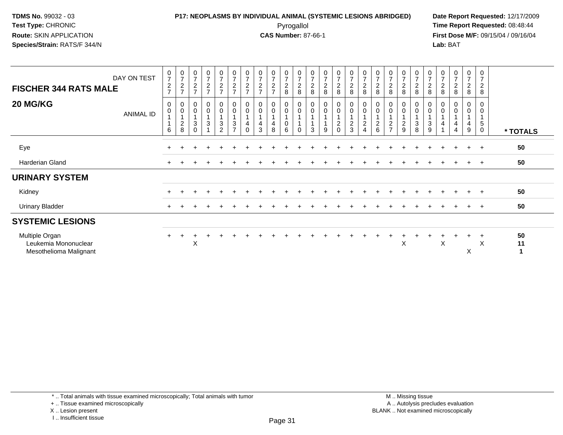### **P17: NEOPLASMS BY INDIVIDUAL ANIMAL (SYSTEMIC LESIONS ABRIDGED) Date Report Requested:** 12/17/2009 Pyrogallol Pyrogallol **Pyrogallol Time Report Requested:** 08:48:44<br>**CAS Number:** 87-66-1 **Time Report Requested:** 09/15/04 / 09/16/04

**First Dose M/F:** 09/15/04 / 09/16/04 Lab: BAT **Lab:** BAT

| DAY ON TEST<br><b>FISCHER 344 RATS MALE</b><br>20 MG/KG          | $\overline{ }$ | $\frac{0}{7}$<br>$\overline{c}$<br>0 | $\frac{0}{7}$<br>$\frac{2}{7}$<br>0 | $\frac{0}{7}$<br>$\overline{c}$<br>$\overline{ }$<br>$_{\rm 0}^{\rm 0}$ | $\frac{0}{7}$<br>$\frac{2}{7}$<br>$\mathbf 0$ | $\begin{array}{c} 0 \\ 7 \end{array}$<br>$\frac{2}{7}$<br>$_{\rm 0}^{\rm 0}$ | $\frac{0}{7}$<br>$\frac{2}{7}$<br>$_{\rm 0}^{\rm 0}$ | $\frac{0}{7}$<br>$\overline{c}$<br>$\rightarrow$<br>$\begin{smallmatrix} 0\\0 \end{smallmatrix}$ | $\frac{0}{7}$<br>$\frac{2}{7}$<br>$_{\rm 0}^{\rm 0}$ | $\frac{0}{7}$<br>$\frac{2}{7}$<br>$_0^0$ | $\frac{0}{7}$<br>$_{\rm 8}^2$<br>$_{\rm 0}^{\rm 0}$ | $\frac{0}{7}$<br>$\begin{array}{c} 2 \\ 8 \end{array}$<br>$_{\rm 0}^{\rm 0}$ | $\frac{0}{7}$<br>$\frac{2}{8}$<br>$_{\rm 0}^{\rm 0}$ | $\begin{smallmatrix}0\\7\end{smallmatrix}$<br>$\sqrt{2}$<br>$\,8\,$<br>$_{\rm 0}^{\rm 0}$ | $\frac{0}{7}$<br>$\frac{2}{8}$<br>$\mathbf 0$ | $\frac{0}{7}$<br>$\boldsymbol{2}$<br>8<br>$\begin{smallmatrix}0\0\end{smallmatrix}$ | $\frac{0}{7}$<br>$\frac{2}{8}$<br>$\begin{smallmatrix} 0\\0 \end{smallmatrix}$ | $\begin{array}{c} 0 \\ 7 \end{array}$<br>$\frac{2}{8}$<br>$\begin{smallmatrix} 0\\0 \end{smallmatrix}$ | $\frac{0}{7}$<br>$\boldsymbol{2}$<br>8<br>$\begin{smallmatrix} 0\\0 \end{smallmatrix}$ | 0<br>$\overline{7}$<br>$\overline{c}$<br>8<br>0 | $\frac{0}{7}$<br>$\frac{2}{8}$<br>0 | $\frac{0}{7}$<br>$_{\rm 8}^2$<br>0 | $\frac{0}{7}$<br>$\frac{2}{8}$<br>0 | $\frac{0}{7}$<br>$\boldsymbol{2}$<br>8<br>0 | $\frac{0}{7}$<br>$\frac{2}{8}$<br>0 | $\mathbf 0$<br>$\overline{7}$<br>$\overline{c}$<br>8<br>0 |               |
|------------------------------------------------------------------|----------------|--------------------------------------|-------------------------------------|-------------------------------------------------------------------------|-----------------------------------------------|------------------------------------------------------------------------------|------------------------------------------------------|--------------------------------------------------------------------------------------------------|------------------------------------------------------|------------------------------------------|-----------------------------------------------------|------------------------------------------------------------------------------|------------------------------------------------------|-------------------------------------------------------------------------------------------|-----------------------------------------------|-------------------------------------------------------------------------------------|--------------------------------------------------------------------------------|--------------------------------------------------------------------------------------------------------|----------------------------------------------------------------------------------------|-------------------------------------------------|-------------------------------------|------------------------------------|-------------------------------------|---------------------------------------------|-------------------------------------|-----------------------------------------------------------|---------------|
| ANIMAL ID                                                        | 6              | 0                                    | $\mathbf 0$<br>$\frac{2}{8}$        | $\sqrt{3}$<br>$\Omega$                                                  | $\pmb{0}$<br>1<br>$\mathbf{3}$                | $\mathbf{1}$<br>$\mathbf{3}$<br>$\overline{2}$                               | $\overline{A}$<br>3<br>$\overline{ }$                | $\Omega$                                                                                         | 4<br>3                                               | $\overline{\mathbf{4}}$<br>8             | 0<br>6                                              | $\Omega$                                                                     | 3                                                    | $\mathbf{1}$<br>9                                                                         | 0<br>$\overline{c}$<br>$\Omega$               | $\frac{2}{3}$                                                                       | $\overline{\mathbf{c}}$<br>4                                                   | $\begin{array}{c} 2 \\ 6 \end{array}$                                                                  | $\overline{1}$<br>$\overline{c}$<br>$\overline{ }$                                     | $\pmb{0}$<br>$\overline{c}$<br>9                | $\pmb{0}$<br>$\sqrt{3}$<br>8        | $\mathbf 0$<br>$\sqrt{3}$<br>9     | $\mathbf 0$                         | $\mathbf 0$<br>4<br>$\overline{4}$          | 0<br>4<br>9                         | $\pmb{0}$<br>$\mathbf 5$<br>$\mathbf 0$                   | * TOTALS      |
| Eye                                                              |                |                                      |                                     |                                                                         |                                               |                                                                              |                                                      |                                                                                                  |                                                      |                                          |                                                     |                                                                              |                                                      |                                                                                           |                                               |                                                                                     |                                                                                |                                                                                                        |                                                                                        |                                                 |                                     |                                    |                                     |                                             |                                     | $\pm$                                                     | 50            |
| Harderian Gland                                                  | $\ddot{}$      |                                      |                                     |                                                                         |                                               |                                                                              |                                                      |                                                                                                  |                                                      |                                          |                                                     |                                                                              |                                                      |                                                                                           |                                               |                                                                                     |                                                                                |                                                                                                        |                                                                                        |                                                 |                                     |                                    |                                     |                                             |                                     | $\pm$                                                     | 50            |
| <b>URINARY SYSTEM</b>                                            |                |                                      |                                     |                                                                         |                                               |                                                                              |                                                      |                                                                                                  |                                                      |                                          |                                                     |                                                                              |                                                      |                                                                                           |                                               |                                                                                     |                                                                                |                                                                                                        |                                                                                        |                                                 |                                     |                                    |                                     |                                             |                                     |                                                           |               |
| Kidney                                                           |                |                                      |                                     |                                                                         |                                               |                                                                              |                                                      |                                                                                                  |                                                      |                                          |                                                     |                                                                              |                                                      |                                                                                           |                                               |                                                                                     |                                                                                |                                                                                                        |                                                                                        |                                                 |                                     |                                    |                                     |                                             |                                     | $\pm$                                                     | 50            |
| <b>Urinary Bladder</b>                                           | $\pm$          |                                      |                                     |                                                                         |                                               |                                                                              |                                                      |                                                                                                  |                                                      |                                          |                                                     |                                                                              |                                                      |                                                                                           |                                               |                                                                                     |                                                                                |                                                                                                        |                                                                                        |                                                 |                                     |                                    |                                     |                                             |                                     | $\overline{+}$                                            | 50            |
| <b>SYSTEMIC LESIONS</b>                                          |                |                                      |                                     |                                                                         |                                               |                                                                              |                                                      |                                                                                                  |                                                      |                                          |                                                     |                                                                              |                                                      |                                                                                           |                                               |                                                                                     |                                                                                |                                                                                                        |                                                                                        |                                                 |                                     |                                    |                                     |                                             |                                     |                                                           |               |
| Multiple Organ<br>Leukemia Mononuclear<br>Mesothelioma Malignant | $\pm$          |                                      |                                     | Χ                                                                       |                                               |                                                                              |                                                      |                                                                                                  |                                                      |                                          |                                                     |                                                                              |                                                      |                                                                                           |                                               |                                                                                     |                                                                                |                                                                                                        |                                                                                        | X                                               |                                     |                                    | X                                   |                                             | X                                   | $\pm$<br>X                                                | 50<br>11<br>1 |

\* .. Total animals with tissue examined microscopically; Total animals with tumor

+ .. Tissue examined microscopically

X .. Lesion present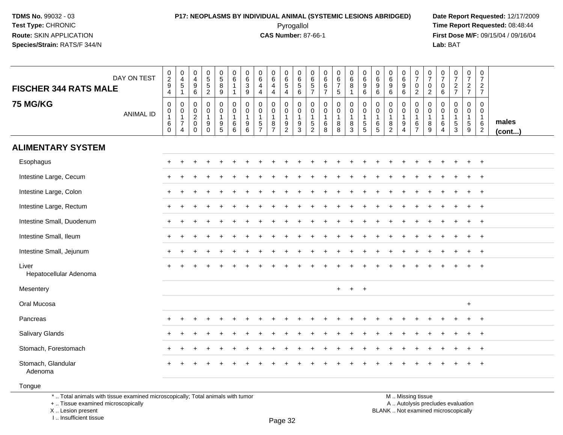### **P17: NEOPLASMS BY INDIVIDUAL ANIMAL (SYSTEMIC LESIONS ABRIDGED) Date Report Requested:** 12/17/2009 Pyrogallol Pyrogallol **Pyrogallol Time Report Requested:** 08:48:44<br>**CAS Number:** 87-66-1 **Time Report Requested:** 09/15/04 / 09/16/04

**First Dose M/F:** 09/15/04 / 09/16/04<br>Lab: BAT **Lab:** BAT

| <b>FISCHER 344 RATS MALE</b>                                                                                          | DAY ON TEST      | $\frac{0}{2}$<br>9<br>4                                           | $\begin{smallmatrix} 0\\4 \end{smallmatrix}$<br>$\frac{1}{1}$                            | $\mathbf 0$<br>$\overline{4}$<br>$\boldsymbol{9}$<br>6      | $0$<br>5<br>5<br>5<br>2                                       | $\begin{array}{c} 0 \\ 5 \end{array}$<br>$\bf 8$<br>9     | $\begin{array}{c} 0 \\ 6 \end{array}$<br>$\overline{1}$<br>$\mathbf{1}$ | $\begin{matrix} 0 \\ 6 \\ 3 \end{matrix}$<br>9       | $\mathbf 0$<br>6<br>$\overline{4}$<br>$\overline{4}$    | $\mathbf 0$<br>$\overline{6}$<br>$\overline{\mathbf{4}}$<br>$\overline{4}$          | $\begin{array}{c} 0 \\ 6 \end{array}$<br>$\overline{5}$<br>$\overline{4}$ | 0<br>$\,6\,$<br>$\overline{5}$<br>6                                 | 0<br>$\,6\,$<br>$\overline{5}$<br>$\overline{7}$                         | $\mathbf 0$<br>6<br>$6\phantom{a}$<br>$\overline{7}$ | $\begin{array}{c} 0 \\ 6 \\ 7 \end{array}$<br>$\sqrt{5}$ | $\begin{array}{c} 0 \\ 6 \end{array}$<br>$\overline{8}$<br>$\mathbf{1}$ | $\begin{array}{c} 0 \\ 6 \end{array}$<br>$\boldsymbol{9}$<br>6 | $\begin{array}{c} 0 \\ 6 \end{array}$<br>$\boldsymbol{9}$<br>6 | $\begin{array}{c} 0 \\ 6 \end{array}$<br>$\frac{9}{6}$    | $\begin{array}{c} 0 \\ 6 \end{array}$<br>$\overline{9}$<br>$6\phantom{1}$      | $\frac{0}{7}$<br>$\frac{0}{2}$                   | $\frac{0}{7}$<br>$\begin{smallmatrix} 0\\2 \end{smallmatrix}$ | $\frac{0}{7}$<br>0<br>6                                         | $\begin{array}{c} 0 \\ 7 \end{array}$<br>$\frac{2}{7}$   | $\frac{0}{7}$<br>$\frac{2}{7}$           | $\begin{smallmatrix}0\\7\end{smallmatrix}$<br>$rac{2}{7}$         |                 |
|-----------------------------------------------------------------------------------------------------------------------|------------------|-------------------------------------------------------------------|------------------------------------------------------------------------------------------|-------------------------------------------------------------|---------------------------------------------------------------|-----------------------------------------------------------|-------------------------------------------------------------------------|------------------------------------------------------|---------------------------------------------------------|-------------------------------------------------------------------------------------|---------------------------------------------------------------------------|---------------------------------------------------------------------|--------------------------------------------------------------------------|------------------------------------------------------|----------------------------------------------------------|-------------------------------------------------------------------------|----------------------------------------------------------------|----------------------------------------------------------------|-----------------------------------------------------------|--------------------------------------------------------------------------------|--------------------------------------------------|---------------------------------------------------------------|-----------------------------------------------------------------|----------------------------------------------------------|------------------------------------------|-------------------------------------------------------------------|-----------------|
| <b>75 MG/KG</b>                                                                                                       | <b>ANIMAL ID</b> | $\pmb{0}$<br>$\begin{smallmatrix}0\\1\end{smallmatrix}$<br>$^6_0$ | $\pmb{0}$<br>$\mathsf{O}\xspace$<br>$\overline{1}$<br>$\boldsymbol{7}$<br>$\overline{4}$ | 0<br>$\mathbf 0$<br>$\overline{2}$<br>$\pmb{0}$<br>$\Omega$ | $\pmb{0}$<br>$\mathbf 0$<br>$\mathbf{1}$<br>$9\,$<br>$\Omega$ | 0<br>$\mathbf 0$<br>$\begin{array}{c} 9 \\ 5 \end{array}$ | $\pmb{0}$<br>$\mathbf 0$<br>$\mathbf{1}$<br>$^6_6$                      | $\mathsf 0$<br>$\mathbf 0$<br>$\mathbf{1}$<br>$^9$ 6 | $\Omega$<br>$\mathbf 0$<br>$\mathbf 1$<br>$\frac{5}{7}$ | $\mathbf 0$<br>$\mathbf 0$<br>$\mathbf{1}$<br>$\begin{array}{c} 8 \\ 7 \end{array}$ | 0<br>$\mathbf 0$<br>$\mathbf{1}$<br>$\frac{9}{2}$                         | $\mathbf 0$<br>$\mathsf{O}\xspace$<br>$\mathbf{1}$<br>$\frac{9}{3}$ | $\Omega$<br>$\mathbf 0$<br>$\mathbf{1}$<br>$\,$ 5 $\,$<br>$\overline{2}$ | $\Omega$<br>$\mathbf 0$<br>$\mathbf 1$<br>$\,6$<br>8 | $\mathbf 0$<br>$\mathbf 0$<br>1<br>$_{8}^8$              | 0<br>$\mathbf 0$<br>$\mathbf{1}$<br>$_{3}^8$                            | $\mathbf 0$<br>$\mathbf 0$<br>$\mathbf{1}$<br>$\frac{5}{5}$    | 0<br>$\mathbf 0$<br>$\mathbf{1}$<br>$^6_5$                     | $\pmb{0}$<br>$\mathbf 0$<br>$\mathbf{1}$<br>$\frac{8}{2}$ | $\Omega$<br>$\mathbf{0}$<br>$\mathbf{1}$<br>$\boldsymbol{9}$<br>$\overline{4}$ | 0<br>$\mathbf 0$<br>$\mathbf 1$<br>$\frac{6}{7}$ | $\Omega$<br>$\mathbf 0$<br>$\mathbf{1}$<br>$^8_9$             | $\Omega$<br>$\Omega$<br>$\mathbf{1}$<br>$\,6$<br>$\overline{4}$ | $\Omega$<br>$\mathbf 0$<br>$\mathbf{1}$<br>$\frac{5}{3}$ | 0<br>$\mathbf 0$<br>1<br>$\sqrt{5}$<br>9 | $\mathbf 0$<br>$\mathbf 0$<br>$\mathbf{1}$<br>6<br>$\overline{2}$ | males<br>(cont) |
| <b>ALIMENTARY SYSTEM</b>                                                                                              |                  |                                                                   |                                                                                          |                                                             |                                                               |                                                           |                                                                         |                                                      |                                                         |                                                                                     |                                                                           |                                                                     |                                                                          |                                                      |                                                          |                                                                         |                                                                |                                                                |                                                           |                                                                                |                                                  |                                                               |                                                                 |                                                          |                                          |                                                                   |                 |
| Esophagus                                                                                                             |                  |                                                                   |                                                                                          |                                                             |                                                               |                                                           |                                                                         |                                                      |                                                         |                                                                                     |                                                                           |                                                                     |                                                                          |                                                      |                                                          |                                                                         |                                                                |                                                                |                                                           |                                                                                |                                                  |                                                               |                                                                 |                                                          |                                          | $\ddot{}$                                                         |                 |
| Intestine Large, Cecum                                                                                                |                  |                                                                   |                                                                                          |                                                             |                                                               |                                                           |                                                                         |                                                      |                                                         |                                                                                     |                                                                           |                                                                     |                                                                          |                                                      |                                                          |                                                                         |                                                                |                                                                |                                                           |                                                                                |                                                  |                                                               |                                                                 |                                                          |                                          | $\overline{ }$                                                    |                 |
| Intestine Large, Colon                                                                                                |                  |                                                                   |                                                                                          |                                                             |                                                               |                                                           |                                                                         |                                                      |                                                         |                                                                                     |                                                                           |                                                                     |                                                                          |                                                      |                                                          |                                                                         |                                                                |                                                                |                                                           |                                                                                |                                                  |                                                               |                                                                 |                                                          |                                          | $\div$                                                            |                 |
| Intestine Large, Rectum                                                                                               |                  | $\pm$                                                             |                                                                                          |                                                             |                                                               |                                                           |                                                                         |                                                      |                                                         |                                                                                     |                                                                           |                                                                     |                                                                          |                                                      |                                                          |                                                                         |                                                                |                                                                |                                                           |                                                                                |                                                  |                                                               |                                                                 |                                                          |                                          | $\ddot{}$                                                         |                 |
| Intestine Small, Duodenum                                                                                             |                  |                                                                   |                                                                                          |                                                             |                                                               |                                                           |                                                                         |                                                      |                                                         |                                                                                     |                                                                           |                                                                     |                                                                          |                                                      |                                                          |                                                                         |                                                                |                                                                |                                                           |                                                                                |                                                  |                                                               |                                                                 |                                                          |                                          | $\ddot{}$                                                         |                 |
| Intestine Small, Ileum                                                                                                |                  | $\pm$                                                             |                                                                                          |                                                             |                                                               |                                                           |                                                                         |                                                      |                                                         |                                                                                     |                                                                           |                                                                     |                                                                          |                                                      |                                                          |                                                                         |                                                                |                                                                |                                                           |                                                                                |                                                  |                                                               |                                                                 |                                                          |                                          | $\ddot{}$                                                         |                 |
| Intestine Small, Jejunum                                                                                              |                  | $\pm$                                                             |                                                                                          |                                                             |                                                               |                                                           |                                                                         |                                                      |                                                         |                                                                                     |                                                                           |                                                                     |                                                                          |                                                      |                                                          |                                                                         |                                                                |                                                                |                                                           |                                                                                |                                                  |                                                               |                                                                 |                                                          | $\div$                                   | $\ddot{}$                                                         |                 |
| Liver<br>Hepatocellular Adenoma                                                                                       |                  |                                                                   |                                                                                          |                                                             |                                                               |                                                           |                                                                         |                                                      |                                                         |                                                                                     |                                                                           |                                                                     |                                                                          |                                                      |                                                          |                                                                         |                                                                |                                                                |                                                           |                                                                                |                                                  |                                                               |                                                                 |                                                          |                                          |                                                                   |                 |
| Mesentery                                                                                                             |                  |                                                                   |                                                                                          |                                                             |                                                               |                                                           |                                                                         |                                                      |                                                         |                                                                                     |                                                                           |                                                                     |                                                                          |                                                      | $+$                                                      | $+$                                                                     | $+$                                                            |                                                                |                                                           |                                                                                |                                                  |                                                               |                                                                 |                                                          |                                          |                                                                   |                 |
| Oral Mucosa                                                                                                           |                  |                                                                   |                                                                                          |                                                             |                                                               |                                                           |                                                                         |                                                      |                                                         |                                                                                     |                                                                           |                                                                     |                                                                          |                                                      |                                                          |                                                                         |                                                                |                                                                |                                                           |                                                                                |                                                  |                                                               |                                                                 |                                                          | $\ddot{}$                                |                                                                   |                 |
| Pancreas                                                                                                              |                  |                                                                   |                                                                                          |                                                             |                                                               |                                                           |                                                                         |                                                      |                                                         |                                                                                     |                                                                           |                                                                     |                                                                          |                                                      |                                                          |                                                                         |                                                                |                                                                |                                                           |                                                                                |                                                  |                                                               |                                                                 |                                                          |                                          | $\overline{+}$                                                    |                 |
| Salivary Glands                                                                                                       |                  |                                                                   |                                                                                          |                                                             |                                                               |                                                           |                                                                         |                                                      |                                                         |                                                                                     |                                                                           |                                                                     |                                                                          |                                                      |                                                          |                                                                         |                                                                |                                                                |                                                           |                                                                                |                                                  |                                                               |                                                                 |                                                          | $\div$                                   | $\div$                                                            |                 |
| Stomach, Forestomach                                                                                                  |                  |                                                                   |                                                                                          |                                                             |                                                               |                                                           |                                                                         |                                                      |                                                         |                                                                                     |                                                                           |                                                                     |                                                                          |                                                      |                                                          |                                                                         |                                                                |                                                                |                                                           |                                                                                |                                                  |                                                               |                                                                 |                                                          |                                          | $\overline{ }$                                                    |                 |
| Stomach, Glandular<br>Adenoma                                                                                         |                  |                                                                   |                                                                                          |                                                             |                                                               |                                                           |                                                                         |                                                      |                                                         |                                                                                     |                                                                           |                                                                     |                                                                          |                                                      |                                                          |                                                                         |                                                                |                                                                |                                                           |                                                                                |                                                  |                                                               |                                                                 |                                                          |                                          |                                                                   |                 |
| Tongue                                                                                                                |                  |                                                                   |                                                                                          |                                                             |                                                               |                                                           |                                                                         |                                                      |                                                         |                                                                                     |                                                                           |                                                                     |                                                                          |                                                      |                                                          |                                                                         |                                                                |                                                                |                                                           |                                                                                |                                                  |                                                               |                                                                 |                                                          |                                          |                                                                   |                 |
| *  Total animals with tissue examined microscopically; Total animals with tumor<br>+  Tissue examined microscopically |                  |                                                                   |                                                                                          |                                                             |                                                               |                                                           |                                                                         |                                                      |                                                         |                                                                                     |                                                                           |                                                                     |                                                                          |                                                      |                                                          |                                                                         |                                                                |                                                                |                                                           |                                                                                | M  Missing tissue                                |                                                               |                                                                 | A  Autolysis precludes evaluation                        |                                          |                                                                   |                 |

 Lesion present BLANK .. Not examined microscopicallyX .. Lesion present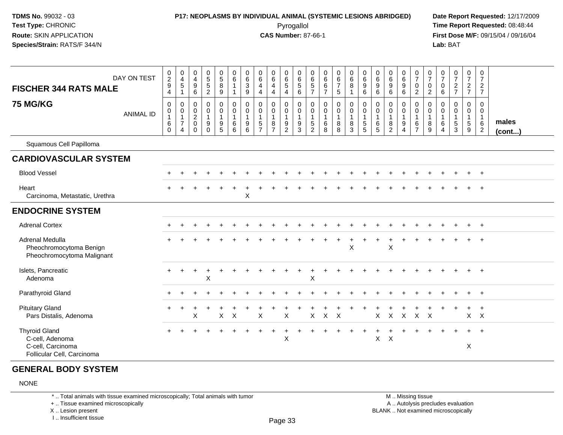# **P17: NEOPLASMS BY INDIVIDUAL ANIMAL (SYSTEMIC LESIONS ABRIDGED) Date Report Requested:** 12/17/2009

Pyrogallol Pyrogallol **Pyrogallol Time Report Requested:** 08:48:44<br>**CAS Number:** 87-66-1 **Time Report Requested:** 09/15/04 / 09/16/04 **First Dose M/F:** 09/15/04 / 09/16/04 Lab: BAT **Lab:** BAT

| <b>FISCHER 344 RATS MALE</b>                                                               | DAY ON TEST      | $\pmb{0}$<br>$\overline{c}$<br>$\boldsymbol{9}$<br>$\overline{4}$ | $\pmb{0}$<br>$\overline{4}$<br>5<br>$\mathbf 1$         | 0<br>4<br>9<br>$\,6\,$                                | $\pmb{0}$<br>$\sqrt{5}$<br>$\overline{5}$<br>$\overline{2}$ | $\pmb{0}$<br>$\sqrt{5}$<br>$\overline{8}$<br>9          | 0<br>$\,6\,$<br>1<br>$\overline{1}$                  | $\begin{array}{c} 0 \\ 6 \end{array}$<br>$\ensuremath{\mathsf{3}}$<br>$9\,$ | 0<br>6<br>$\overline{4}$<br>$\overline{4}$ | $\begin{array}{c} 0 \\ 6 \end{array}$<br>$\overline{4}$<br>4      | $\begin{array}{c} 0 \\ 6 \end{array}$<br>$\overline{5}$<br>$\overline{4}$ | $\,0\,$<br>6<br>$\sqrt{5}$<br>6                               | 0<br>$\,6\,$<br>$\,$ 5 $\,$<br>$\overline{7}$           | $\mathbf 0$<br>$\,6\,$<br>$\,6$<br>$\overline{7}$          | $\pmb{0}$<br>6<br>$\overline{7}$<br>5    | $\pmb{0}$<br>$\,6\,$<br>$\bf 8$<br>$\overline{1}$ | $\pmb{0}$<br>$\,6\,$<br>$\boldsymbol{9}$<br>$\,6\,$           | $\pmb{0}$<br>6<br>$9\,$<br>$\,6\,$         | 0<br>$\,6\,$<br>$9\,$<br>6                                                   | $_6^0$<br>9<br>6                                         | $\frac{0}{7}$<br>$\pmb{0}$<br>$\overline{2}$ | $\frac{0}{7}$<br>$\pmb{0}$<br>$\overline{2}$             | 0<br>$\overline{7}$<br>0<br>$\,6\,$ | $\pmb{0}$<br>$\overline{7}$<br>$\frac{2}{7}$                  | 0<br>$\overline{7}$<br>$\frac{2}{7}$ | $\pmb{0}$<br>$\overline{7}$<br>$\sqrt{2}$<br>$\overline{7}$       |                       |
|--------------------------------------------------------------------------------------------|------------------|-------------------------------------------------------------------|---------------------------------------------------------|-------------------------------------------------------|-------------------------------------------------------------|---------------------------------------------------------|------------------------------------------------------|-----------------------------------------------------------------------------|--------------------------------------------|-------------------------------------------------------------------|---------------------------------------------------------------------------|---------------------------------------------------------------|---------------------------------------------------------|------------------------------------------------------------|------------------------------------------|---------------------------------------------------|---------------------------------------------------------------|--------------------------------------------|------------------------------------------------------------------------------|----------------------------------------------------------|----------------------------------------------|----------------------------------------------------------|-------------------------------------|---------------------------------------------------------------|--------------------------------------|-------------------------------------------------------------------|-----------------------|
| <b>75 MG/KG</b>                                                                            | <b>ANIMAL ID</b> | $\mathbf 0$<br>0<br>$\overline{1}$<br>$\,6\,$<br>$\mathbf 0$      | 0<br>$\mathbf 0$<br>$\mathbf{1}$<br>$\overline{7}$<br>4 | 0<br>0<br>$\overline{c}$<br>$\pmb{0}$<br>$\mathbf{0}$ | $\mathbf 0$<br>$\mathbf 0$<br>$\mathbf{1}$<br>9<br>$\Omega$ | $\mathbf 0$<br>0<br>$\mathbf{1}$<br>9<br>$\overline{5}$ | $\mathbf 0$<br>$\mathbf 0$<br>$\mathbf{1}$<br>6<br>6 | $\mathbf 0$<br>0<br>$\mathbf{1}$<br>$\begin{array}{c} 9 \\ 6 \end{array}$   | 0<br>0<br>$\mathbf{1}$<br>$\frac{5}{7}$    | $\mathbf 0$<br>$\mathbf 0$<br>$\mathbf{1}$<br>8<br>$\overline{7}$ | 0<br>$\boldsymbol{0}$<br>$\overline{1}$<br>$\frac{9}{2}$                  | $\mathbf 0$<br>$\mathbf 0$<br>$\overline{1}$<br>$\frac{9}{3}$ | 0<br>$\mathbf 0$<br>$\mathbf{1}$<br>5<br>$\overline{2}$ | $\mathbf 0$<br>$\mathbf 0$<br>$\mathbf{1}$<br>$\,6\,$<br>8 | 0<br>$\pmb{0}$<br>$\mathbf{1}$<br>8<br>8 | 0<br>0<br>$\mathbf{1}$<br>8<br>3                  | $\mathbf 0$<br>$\mathbf 0$<br>$\overline{1}$<br>$\frac{5}{5}$ | $\mathbf 0$<br>0<br>$\mathbf{1}$<br>6<br>5 | $\mathbf 0$<br>$\boldsymbol{0}$<br>$\mathbf{1}$<br>$\,8\,$<br>$\overline{2}$ | $\mathbf{0}$<br>0<br>$\mathbf{1}$<br>9<br>$\overline{4}$ | 0<br>0<br>$\mathbf{1}$<br>$\frac{6}{7}$      | $\mathbf 0$<br>$\mathbf 0$<br>$\mathbf{1}$<br>8<br>$9\,$ | 0<br>0<br>$\overline{1}$<br>6<br>4  | $\mathbf 0$<br>$\mathbf 0$<br>$\mathbf{1}$<br>$\sqrt{5}$<br>3 | 0<br>0<br>$\mathbf{1}$<br>5<br>9     | $\mathbf 0$<br>$\mathbf 0$<br>$\mathbf{1}$<br>6<br>$\overline{2}$ | males<br>$($ cont $)$ |
| Squamous Cell Papilloma                                                                    |                  |                                                                   |                                                         |                                                       |                                                             |                                                         |                                                      |                                                                             |                                            |                                                                   |                                                                           |                                                               |                                                         |                                                            |                                          |                                                   |                                                               |                                            |                                                                              |                                                          |                                              |                                                          |                                     |                                                               |                                      |                                                                   |                       |
| <b>CARDIOVASCULAR SYSTEM</b>                                                               |                  |                                                                   |                                                         |                                                       |                                                             |                                                         |                                                      |                                                                             |                                            |                                                                   |                                                                           |                                                               |                                                         |                                                            |                                          |                                                   |                                                               |                                            |                                                                              |                                                          |                                              |                                                          |                                     |                                                               |                                      |                                                                   |                       |
| <b>Blood Vessel</b>                                                                        |                  |                                                                   |                                                         |                                                       |                                                             |                                                         |                                                      |                                                                             |                                            |                                                                   |                                                                           |                                                               |                                                         |                                                            |                                          |                                                   |                                                               |                                            |                                                                              |                                                          |                                              |                                                          |                                     |                                                               | $\pm$                                | $+$                                                               |                       |
| Heart<br>Carcinoma, Metastatic, Urethra                                                    |                  |                                                                   |                                                         |                                                       |                                                             |                                                         |                                                      | X                                                                           |                                            |                                                                   |                                                                           |                                                               |                                                         |                                                            |                                          |                                                   |                                                               |                                            |                                                                              |                                                          |                                              |                                                          |                                     |                                                               |                                      |                                                                   |                       |
| <b>ENDOCRINE SYSTEM</b>                                                                    |                  |                                                                   |                                                         |                                                       |                                                             |                                                         |                                                      |                                                                             |                                            |                                                                   |                                                                           |                                                               |                                                         |                                                            |                                          |                                                   |                                                               |                                            |                                                                              |                                                          |                                              |                                                          |                                     |                                                               |                                      |                                                                   |                       |
| <b>Adrenal Cortex</b>                                                                      |                  |                                                                   |                                                         |                                                       |                                                             |                                                         |                                                      |                                                                             |                                            |                                                                   |                                                                           |                                                               |                                                         |                                                            |                                          |                                                   |                                                               |                                            |                                                                              |                                                          |                                              |                                                          |                                     |                                                               |                                      | $+$                                                               |                       |
| Adrenal Medulla<br>Pheochromocytoma Benign<br>Pheochromocytoma Malignant                   |                  |                                                                   |                                                         |                                                       |                                                             |                                                         |                                                      |                                                                             |                                            |                                                                   |                                                                           |                                                               |                                                         |                                                            |                                          | X                                                 |                                                               |                                            | X                                                                            |                                                          |                                              |                                                          |                                     |                                                               |                                      | $\ddot{}$                                                         |                       |
| Islets, Pancreatic<br>Adenoma                                                              |                  |                                                                   |                                                         |                                                       | X                                                           |                                                         |                                                      |                                                                             |                                            |                                                                   |                                                                           |                                                               | X                                                       |                                                            |                                          |                                                   |                                                               |                                            |                                                                              |                                                          |                                              |                                                          |                                     |                                                               |                                      | $+$                                                               |                       |
| Parathyroid Gland                                                                          |                  |                                                                   |                                                         |                                                       |                                                             |                                                         |                                                      |                                                                             |                                            |                                                                   |                                                                           |                                                               |                                                         |                                                            |                                          |                                                   |                                                               |                                            |                                                                              |                                                          |                                              |                                                          |                                     |                                                               | $+$                                  | $+$                                                               |                       |
| <b>Pituitary Gland</b><br>Pars Distalis, Adenoma                                           |                  |                                                                   |                                                         | X                                                     |                                                             | $\mathsf{X}$                                            | $\times$                                             |                                                                             | X                                          |                                                                   | $\boldsymbol{\mathsf{X}}$                                                 |                                                               | X                                                       | X                                                          | $\times$                                 |                                                   |                                                               | X                                          | $\pmb{\times}$                                                               | $\boldsymbol{\mathsf{X}}$                                | $\mathsf X$                                  | $\mathsf{X}$                                             |                                     |                                                               |                                      | $X$ $X$                                                           |                       |
| <b>Thyroid Gland</b><br>C-cell, Adenoma<br>C-cell, Carcinoma<br>Follicular Cell, Carcinoma |                  |                                                                   |                                                         |                                                       |                                                             |                                                         |                                                      |                                                                             |                                            |                                                                   | $\mathsf X$                                                               |                                                               |                                                         |                                                            |                                          |                                                   |                                                               | Χ                                          | $\boldsymbol{\mathsf{X}}$                                                    |                                                          |                                              |                                                          |                                     |                                                               | X                                    | $\ddot{}$                                                         |                       |

#### **GENERAL BODY SYSTEM**

#### NONE

\* .. Total animals with tissue examined microscopically; Total animals with tumor

+ .. Tissue examined microscopically

X .. Lesion present

I .. Insufficient tissue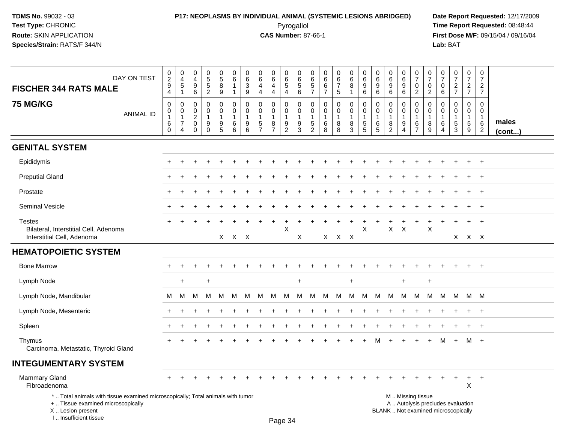I .. Insufficient tissue

### **P17: NEOPLASMS BY INDIVIDUAL ANIMAL (SYSTEMIC LESIONS ABRIDGED) Date Report Requested:** 12/17/2009 Pyrogallol Pyrogallol **Pyrogallol Time Report Requested:** 08:48:44<br>**CAS Number:** 87-66-1 **Time Report Requested:** 08/15/04 / 09/16/04

**First Dose M/F:** 09/15/04 / 09/16/04<br>Lab: BAT **Lab:** BAT

| DAY ON TEST<br><b>FISCHER 344 RATS MALE</b>                                                                                                | 0<br>$\frac{2}{9}$<br>$\overline{4}$                       | $\pmb{0}$<br>$\overline{4}$<br>5<br>1                     | 0<br>$\frac{4}{9}$<br>$\,6$                                       | 0<br>5<br>5<br>2                                     | $\begin{array}{c} 0 \\ 5 \\ 8 \end{array}$<br>$9\,$                       | 0<br>$\,6\,$<br>$\mathbf{1}$<br>$\overline{1}$         | $\pmb{0}$<br>$\,6\,$<br>$\ensuremath{\mathsf{3}}$<br>$9\,$ | 0<br>6<br>$\overline{\mathbf{4}}$<br>$\overline{4}$       | $\begin{array}{c} 0 \\ 6 \end{array}$<br>$\overline{4}$<br>$\overline{4}$ | 0<br>6<br>$\overline{5}$<br>$\overline{\mathbf{4}}$ | 0<br>$\,6\,$<br>$\begin{array}{c} 5 \\ 6 \end{array}$         | 0<br>$\,6$<br>$\,$ 5 $\,$<br>$\overline{7}$                                 | 0<br>6<br>$\,6\,$<br>$\overline{7}$                   | $\begin{array}{c} 0 \\ 6 \\ 7 \end{array}$<br>5 | $\pmb{0}$<br>$6\phantom{a}$<br>8<br>$\mathbf{1}$ | $\begin{array}{c} 0 \\ 6 \end{array}$<br>$\boldsymbol{9}$<br>$\,6\,$ | $\pmb{0}$<br>$\,6\,$<br>9<br>$\,6\,$ | $\Omega$<br>$6\phantom{1}6$<br>9<br>$6\phantom{1}6$              | 0<br>$6\phantom{a}$<br>$\boldsymbol{9}$<br>$\,6\,$ | $\frac{0}{7}$<br>$\mathbf 0$<br>$\overline{2}$                   | $\frac{0}{7}$<br>$\mathbf 0$<br>$\overline{2}$                        | $\frac{0}{7}$<br>0<br>$6\overline{6}$                                | $\frac{0}{7}$<br>$\frac{2}{7}$                                          | $\frac{0}{7}$<br>$\frac{2}{7}$                 | $\mathbf 0$<br>$\overline{7}$<br>$rac{2}{7}$                      |                 |
|--------------------------------------------------------------------------------------------------------------------------------------------|------------------------------------------------------------|-----------------------------------------------------------|-------------------------------------------------------------------|------------------------------------------------------|---------------------------------------------------------------------------|--------------------------------------------------------|------------------------------------------------------------|-----------------------------------------------------------|---------------------------------------------------------------------------|-----------------------------------------------------|---------------------------------------------------------------|-----------------------------------------------------------------------------|-------------------------------------------------------|-------------------------------------------------|--------------------------------------------------|----------------------------------------------------------------------|--------------------------------------|------------------------------------------------------------------|----------------------------------------------------|------------------------------------------------------------------|-----------------------------------------------------------------------|----------------------------------------------------------------------|-------------------------------------------------------------------------|------------------------------------------------|-------------------------------------------------------------------|-----------------|
| <b>75 MG/KG</b><br><b>ANIMAL ID</b>                                                                                                        | $\mathbf 0$<br>0<br>$\mathbf{1}$<br>$\,6\,$<br>$\mathbf 0$ | $\mathbf 0$<br>0<br>$\mathbf{1}$<br>$\boldsymbol{7}$<br>4 | $\mathbf 0$<br>$\mathbf 0$<br>$\sqrt{2}$<br>$\pmb{0}$<br>$\Omega$ | $\mathsf 0$<br>0<br>$\mathbf{1}$<br>9<br>$\mathbf 0$ | 0<br>$\mathbf 0$<br>$\mathbf{1}$<br>$\begin{array}{c} 9 \\ 5 \end{array}$ | $\mathbf 0$<br>$\mathbf 0$<br>$\overline{1}$<br>6<br>6 | $\mathbf 0$<br>$\mathbf 0$<br>$\mathbf{1}$<br>9<br>6       | $\pmb{0}$<br>$\mathbf 0$<br>$\mathbf{1}$<br>$\frac{5}{7}$ | $\mathbf 0$<br>$\mathbf 0$<br>$\mathbf{1}$<br>$\frac{8}{7}$               | 0<br>0<br>$\mathbf 1$<br>$\frac{9}{2}$              | $\mathbf 0$<br>$\mathbf 0$<br>$\overline{1}$<br>$\frac{9}{3}$ | $\mathbf 0$<br>$\mathbf 0$<br>$\mathbf{1}$<br>$\,$ 5 $\,$<br>$\overline{2}$ | $\mathbf 0$<br>$\Omega$<br>$\mathbf{1}$<br>$\,6$<br>8 | 0<br>$\mathbf 0$<br>$\mathbf{1}$<br>8<br>8      | 0<br>$\mathbf 0$<br>$\mathbf{1}$<br>$^8_3$       | $\mathbf 0$<br>$\mathbf 0$<br>$\overline{1}$<br>$\frac{5}{5}$        | 0<br>$\mathbf{0}$<br>-1<br>6<br>5    | $\mathbf 0$<br>$\Omega$<br>$\overline{1}$<br>8<br>$\overline{2}$ | 0<br>$\Omega$<br>1<br>9<br>$\overline{4}$          | $\mathbf 0$<br>$\mathbf 0$<br>$\mathbf 1$<br>6<br>$\overline{7}$ | $\mathbf 0$<br>$\mathbf 0$<br>$\overline{1}$<br>8<br>$\boldsymbol{9}$ | $\mathbf{0}$<br>$\mathbf 0$<br>$\overline{1}$<br>6<br>$\overline{4}$ | $\mathbf 0$<br>$\Omega$<br>$\mathbf{1}$<br>$\sqrt{5}$<br>$\overline{3}$ | 0<br>$\Omega$<br>1<br>$5\phantom{.0}$<br>$9\,$ | $\mathbf 0$<br>$\mathbf 0$<br>$\mathbf{1}$<br>6<br>$\overline{2}$ | males<br>(cont) |
| <b>GENITAL SYSTEM</b>                                                                                                                      |                                                            |                                                           |                                                                   |                                                      |                                                                           |                                                        |                                                            |                                                           |                                                                           |                                                     |                                                               |                                                                             |                                                       |                                                 |                                                  |                                                                      |                                      |                                                                  |                                                    |                                                                  |                                                                       |                                                                      |                                                                         |                                                |                                                                   |                 |
| Epididymis                                                                                                                                 |                                                            |                                                           |                                                                   |                                                      |                                                                           |                                                        |                                                            |                                                           |                                                                           |                                                     |                                                               |                                                                             |                                                       |                                                 |                                                  |                                                                      |                                      |                                                                  |                                                    |                                                                  |                                                                       |                                                                      |                                                                         |                                                | $\overline{ }$                                                    |                 |
| <b>Preputial Gland</b>                                                                                                                     |                                                            |                                                           |                                                                   |                                                      |                                                                           |                                                        |                                                            |                                                           |                                                                           |                                                     |                                                               |                                                                             |                                                       |                                                 |                                                  |                                                                      |                                      |                                                                  |                                                    |                                                                  |                                                                       |                                                                      |                                                                         |                                                |                                                                   |                 |
| Prostate                                                                                                                                   |                                                            |                                                           |                                                                   |                                                      |                                                                           |                                                        |                                                            |                                                           |                                                                           |                                                     |                                                               |                                                                             |                                                       |                                                 |                                                  |                                                                      |                                      |                                                                  |                                                    |                                                                  |                                                                       |                                                                      |                                                                         |                                                |                                                                   |                 |
| Seminal Vesicle                                                                                                                            |                                                            |                                                           |                                                                   |                                                      |                                                                           |                                                        |                                                            |                                                           |                                                                           |                                                     |                                                               |                                                                             |                                                       |                                                 |                                                  |                                                                      |                                      |                                                                  |                                                    |                                                                  |                                                                       |                                                                      |                                                                         |                                                | $^{+}$                                                            |                 |
| <b>Testes</b><br>Bilateral, Interstitial Cell, Adenoma<br>Interstitial Cell, Adenoma                                                       |                                                            |                                                           |                                                                   |                                                      |                                                                           | X X X                                                  |                                                            |                                                           | $\ddot{}$                                                                 | ÷<br>Χ                                              | X                                                             |                                                                             |                                                       | $X$ $X$ $X$                                     | $\ddot{}$                                        | X                                                                    |                                      | $\mathsf{X}$                                                     | $\mathsf{X}$                                       | $\ddot{}$                                                        | $\ddot{}$<br>$\boldsymbol{\mathsf{X}}$                                |                                                                      |                                                                         | $\ddot{}$<br>X X X                             | $^{+}$                                                            |                 |
| <b>HEMATOPOIETIC SYSTEM</b>                                                                                                                |                                                            |                                                           |                                                                   |                                                      |                                                                           |                                                        |                                                            |                                                           |                                                                           |                                                     |                                                               |                                                                             |                                                       |                                                 |                                                  |                                                                      |                                      |                                                                  |                                                    |                                                                  |                                                                       |                                                                      |                                                                         |                                                |                                                                   |                 |
| <b>Bone Marrow</b>                                                                                                                         |                                                            |                                                           |                                                                   |                                                      |                                                                           |                                                        |                                                            |                                                           |                                                                           |                                                     |                                                               |                                                                             |                                                       |                                                 |                                                  |                                                                      |                                      |                                                                  |                                                    |                                                                  |                                                                       |                                                                      |                                                                         |                                                | $+$                                                               |                 |
| Lymph Node                                                                                                                                 |                                                            | $\ddot{}$                                                 |                                                                   | $\ddot{}$                                            |                                                                           |                                                        |                                                            |                                                           |                                                                           |                                                     | $\ddot{}$                                                     |                                                                             |                                                       |                                                 | $\ddot{}$                                        |                                                                      |                                      |                                                                  | $\ddot{}$                                          |                                                                  | $\ddot{}$                                                             |                                                                      |                                                                         |                                                |                                                                   |                 |
| Lymph Node, Mandibular                                                                                                                     | м                                                          | M                                                         | M                                                                 | M                                                    | м                                                                         | м                                                      | м                                                          | M                                                         | м                                                                         | M                                                   | м                                                             | м                                                                           | M                                                     | M                                               | M                                                | м                                                                    | M                                    | M                                                                | M                                                  | M                                                                | M                                                                     | M                                                                    | M                                                                       |                                                | M M                                                               |                 |
| Lymph Node, Mesenteric                                                                                                                     |                                                            |                                                           |                                                                   |                                                      |                                                                           |                                                        |                                                            |                                                           |                                                                           |                                                     |                                                               |                                                                             |                                                       |                                                 |                                                  |                                                                      |                                      |                                                                  |                                                    |                                                                  |                                                                       |                                                                      |                                                                         | $\ddot{}$                                      | $\ddot{}$                                                         |                 |
| Spleen                                                                                                                                     |                                                            |                                                           |                                                                   |                                                      |                                                                           |                                                        |                                                            |                                                           |                                                                           |                                                     |                                                               |                                                                             |                                                       |                                                 |                                                  |                                                                      |                                      |                                                                  |                                                    |                                                                  |                                                                       |                                                                      |                                                                         |                                                |                                                                   |                 |
| Thymus<br>Carcinoma, Metastatic, Thyroid Gland                                                                                             |                                                            |                                                           |                                                                   |                                                      |                                                                           |                                                        |                                                            |                                                           |                                                                           |                                                     |                                                               |                                                                             |                                                       |                                                 |                                                  |                                                                      |                                      |                                                                  |                                                    |                                                                  |                                                                       | м                                                                    | $\overline{+}$                                                          | M +                                            |                                                                   |                 |
| <b>INTEGUMENTARY SYSTEM</b>                                                                                                                |                                                            |                                                           |                                                                   |                                                      |                                                                           |                                                        |                                                            |                                                           |                                                                           |                                                     |                                                               |                                                                             |                                                       |                                                 |                                                  |                                                                      |                                      |                                                                  |                                                    |                                                                  |                                                                       |                                                                      |                                                                         |                                                |                                                                   |                 |
| <b>Mammary Gland</b><br>Fibroadenoma                                                                                                       |                                                            |                                                           |                                                                   |                                                      |                                                                           |                                                        |                                                            |                                                           |                                                                           |                                                     |                                                               |                                                                             |                                                       |                                                 |                                                  |                                                                      |                                      |                                                                  |                                                    |                                                                  |                                                                       |                                                                      |                                                                         | $\ddot{}$<br>X                                 | $+$                                                               |                 |
| *  Total animals with tissue examined microscopically; Total animals with tumor<br>+  Tissue examined microscopically<br>X  Lesion present |                                                            |                                                           |                                                                   |                                                      |                                                                           |                                                        |                                                            |                                                           |                                                                           |                                                     |                                                               |                                                                             |                                                       |                                                 |                                                  |                                                                      |                                      | BLANK  Not examined microscopically                              |                                                    | M  Missing tissue<br>A  Autolysis precludes evaluation           |                                                                       |                                                                      |                                                                         |                                                |                                                                   |                 |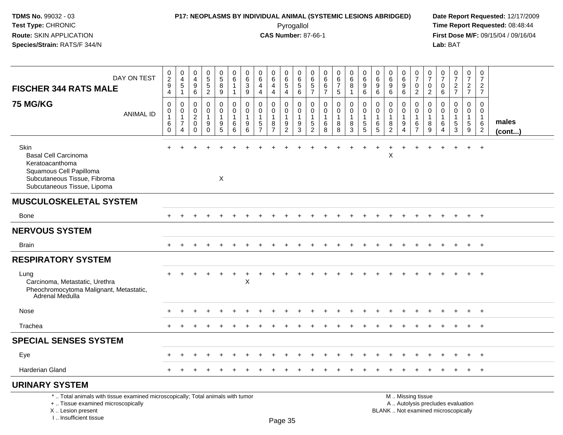## **P17: NEOPLASMS BY INDIVIDUAL ANIMAL (SYSTEMIC LESIONS ABRIDGED) Date Report Requested:** 12/17/2009

Pyrogallol Pyrogallol **Pyrogallol Time Report Requested:** 08:48:44<br>**CAS Number:** 87-66-1 **Time Report Requested:** 08/15/04 / 09/16/04 **First Dose M/F:** 09/15/04 / 09/16/04<br>Lab: BAT **Lab:** BAT

| DAY ON TEST<br><b>FISCHER 344 RATS MALE</b>                                                                                                                         | $^{\rm 0}_{\rm 2}$<br>$\boldsymbol{9}$<br>$\overline{4}$ | 0<br>$\overline{4}$<br>5<br>$\mathbf{1}$                   | 0<br>4<br>9<br>6                                       | 0<br>$\overline{5}$<br>$\,$ 5 $\,$<br>$\overline{2}$ | 0<br>$\overline{5}$<br>$\bf 8$<br>9       | $\mathbf 0$<br>6<br>$\mathbf{1}$<br>$\mathbf{1}$       | 0<br>$\,6\,$<br>3<br>9     | 0<br>$\,6\,$<br>$\overline{4}$<br>$\overline{4}$                           | 0<br>$\overline{6}$<br>$\overline{4}$<br>4              | 0<br>$\,6$<br>$5\,$<br>$\overline{4}$                  | 0<br>6<br>$\sqrt{5}$<br>$6\phantom{1}$              | 0<br>6<br>$\sqrt{5}$<br>$\overline{7}$          | 0<br>6<br>6<br>$\overline{7}$              | 0<br>$6\overline{6}$<br>$\overline{7}$<br>$\sqrt{5}$ | 0<br>6<br>8<br>$\mathbf{1}$                  | $\mathbf 0$<br>$6\phantom{a}$<br>$\boldsymbol{9}$<br>$6\phantom{a}$ | 0<br>6<br>9<br>$\,6\,$     | 0<br>$\,6\,$<br>$\boldsymbol{9}$<br>6                   | 0<br>$6\phantom{1}$<br>9<br>$\,6\,$ | 0<br>$\overline{7}$<br>$\mathbf 0$<br>$\overline{c}$      | 0<br>$\overline{7}$<br>0<br>$\overline{2}$ | 0<br>$\overline{7}$<br>0<br>6 | $\frac{0}{7}$<br>$\overline{c}$<br>$\overline{7}$                        | 0<br>$\overline{7}$<br>$\overline{2}$<br>$\overline{7}$ | $\mathbf 0$<br>$\overline{7}$<br>$\overline{2}$<br>$\overline{7}$ |                       |
|---------------------------------------------------------------------------------------------------------------------------------------------------------------------|----------------------------------------------------------|------------------------------------------------------------|--------------------------------------------------------|------------------------------------------------------|-------------------------------------------|--------------------------------------------------------|----------------------------|----------------------------------------------------------------------------|---------------------------------------------------------|--------------------------------------------------------|-----------------------------------------------------|-------------------------------------------------|--------------------------------------------|------------------------------------------------------|----------------------------------------------|---------------------------------------------------------------------|----------------------------|---------------------------------------------------------|-------------------------------------|-----------------------------------------------------------|--------------------------------------------|-------------------------------|--------------------------------------------------------------------------|---------------------------------------------------------|-------------------------------------------------------------------|-----------------------|
| <b>75 MG/KG</b><br><b>ANIMAL ID</b>                                                                                                                                 | $\mathbf 0$<br>0<br>$\mathbf{1}$<br>6<br>$\pmb{0}$       | 0<br>0<br>$\mathbf{1}$<br>$\overline{7}$<br>$\overline{4}$ | $\mathbf 0$<br>0<br>$\overline{2}$<br>0<br>$\mathbf 0$ | $\mathbf 0$<br>0<br>$\mathbf{1}$<br>9<br>$\Omega$    | $\mathbf 0$<br>0<br>-1<br>9<br>$\sqrt{5}$ | $\mathbf 0$<br>$\mathbf 0$<br>$\overline{1}$<br>6<br>6 | 0<br>$\mathbf 0$<br>9<br>6 | $\mathbf 0$<br>$\mathbf 0$<br>$\mathbf{1}$<br>$\sqrt{5}$<br>$\overline{7}$ | $\mathbf{0}$<br>0<br>$\mathbf 1$<br>8<br>$\overline{7}$ | $\mathbf 0$<br>0<br>$\mathbf 1$<br>9<br>$\overline{2}$ | $\mathbf 0$<br>$\mathbf 0$<br>$\mathbf 1$<br>9<br>3 | 0<br>0<br>$\overline{1}$<br>5<br>$\overline{2}$ | $\mathbf 0$<br>0<br>$\mathbf{1}$<br>6<br>8 | $\mathbf 0$<br>0<br>1<br>8<br>8                      | $\mathbf 0$<br>0<br>$\overline{1}$<br>8<br>3 | 0<br>$\pmb{0}$<br>$\mathbf{1}$<br>5<br>5                            | $\mathbf 0$<br>0<br>6<br>5 | $\mathbf 0$<br>0<br>$\mathbf{1}$<br>8<br>$\overline{2}$ | 0<br>0<br>1<br>9<br>$\overline{4}$  | $\mathbf 0$<br>0<br>$\overline{1}$<br>6<br>$\overline{7}$ | $\Omega$<br>$\mathbf 0$<br>1<br>8<br>9     | $\Omega$<br>0<br>-1<br>6<br>4 | 0<br>0<br>1<br>5<br>3                                                    | $\mathbf 0$<br>$\overline{0}$<br>-1<br>5<br>9           | $\mathbf 0$<br>0<br>$\mathbf 1$<br>$\,6$<br>2                     | males<br>$($ cont $)$ |
| <b>Skin</b><br><b>Basal Cell Carcinoma</b><br>Keratoacanthoma<br>Squamous Cell Papilloma<br>Subcutaneous Tissue, Fibroma<br>Subcutaneous Tissue, Lipoma             |                                                          |                                                            |                                                        |                                                      | X                                         |                                                        |                            |                                                                            |                                                         |                                                        |                                                     |                                                 |                                            |                                                      |                                              |                                                                     | ÷                          | X                                                       | ÷                                   |                                                           |                                            |                               |                                                                          |                                                         | $+$                                                               |                       |
| <b>MUSCULOSKELETAL SYSTEM</b>                                                                                                                                       |                                                          |                                                            |                                                        |                                                      |                                           |                                                        |                            |                                                                            |                                                         |                                                        |                                                     |                                                 |                                            |                                                      |                                              |                                                                     |                            |                                                         |                                     |                                                           |                                            |                               |                                                                          |                                                         |                                                                   |                       |
| <b>Bone</b>                                                                                                                                                         |                                                          |                                                            |                                                        |                                                      |                                           |                                                        |                            |                                                                            |                                                         |                                                        |                                                     |                                                 |                                            |                                                      |                                              |                                                                     |                            |                                                         |                                     |                                                           |                                            |                               |                                                                          | $\pm$                                                   | $+$                                                               |                       |
| <b>NERVOUS SYSTEM</b>                                                                                                                                               |                                                          |                                                            |                                                        |                                                      |                                           |                                                        |                            |                                                                            |                                                         |                                                        |                                                     |                                                 |                                            |                                                      |                                              |                                                                     |                            |                                                         |                                     |                                                           |                                            |                               |                                                                          |                                                         |                                                                   |                       |
| <b>Brain</b>                                                                                                                                                        |                                                          |                                                            |                                                        |                                                      |                                           |                                                        |                            |                                                                            |                                                         |                                                        |                                                     |                                                 |                                            |                                                      |                                              |                                                                     |                            |                                                         |                                     |                                                           |                                            |                               |                                                                          | $+$                                                     | $+$                                                               |                       |
| <b>RESPIRATORY SYSTEM</b>                                                                                                                                           |                                                          |                                                            |                                                        |                                                      |                                           |                                                        |                            |                                                                            |                                                         |                                                        |                                                     |                                                 |                                            |                                                      |                                              |                                                                     |                            |                                                         |                                     |                                                           |                                            |                               |                                                                          |                                                         |                                                                   |                       |
| Lung<br>Carcinoma, Metastatic, Urethra<br>Pheochromocytoma Malignant, Metastatic,<br>Adrenal Medulla                                                                |                                                          |                                                            |                                                        |                                                      |                                           |                                                        | Χ                          |                                                                            |                                                         |                                                        |                                                     |                                                 |                                            |                                                      |                                              |                                                                     |                            |                                                         |                                     |                                                           |                                            |                               |                                                                          |                                                         |                                                                   |                       |
| Nose                                                                                                                                                                |                                                          |                                                            |                                                        |                                                      |                                           |                                                        |                            |                                                                            |                                                         |                                                        |                                                     |                                                 |                                            |                                                      |                                              |                                                                     |                            |                                                         |                                     |                                                           |                                            |                               |                                                                          |                                                         | $+$                                                               |                       |
| Trachea                                                                                                                                                             |                                                          |                                                            |                                                        |                                                      |                                           |                                                        |                            |                                                                            |                                                         |                                                        |                                                     |                                                 |                                            |                                                      |                                              |                                                                     |                            |                                                         |                                     |                                                           |                                            |                               |                                                                          | $+$                                                     | $+$                                                               |                       |
| <b>SPECIAL SENSES SYSTEM</b>                                                                                                                                        |                                                          |                                                            |                                                        |                                                      |                                           |                                                        |                            |                                                                            |                                                         |                                                        |                                                     |                                                 |                                            |                                                      |                                              |                                                                     |                            |                                                         |                                     |                                                           |                                            |                               |                                                                          |                                                         |                                                                   |                       |
| Eye                                                                                                                                                                 |                                                          |                                                            |                                                        |                                                      |                                           |                                                        |                            |                                                                            |                                                         |                                                        |                                                     |                                                 |                                            |                                                      |                                              |                                                                     |                            |                                                         |                                     |                                                           |                                            |                               |                                                                          |                                                         |                                                                   |                       |
| <b>Harderian Gland</b>                                                                                                                                              |                                                          |                                                            |                                                        |                                                      |                                           |                                                        |                            |                                                                            |                                                         |                                                        |                                                     |                                                 |                                            |                                                      |                                              |                                                                     |                            |                                                         |                                     |                                                           |                                            |                               |                                                                          |                                                         | $+$                                                               |                       |
| <b>URINARY SYSTEM</b>                                                                                                                                               |                                                          |                                                            |                                                        |                                                      |                                           |                                                        |                            |                                                                            |                                                         |                                                        |                                                     |                                                 |                                            |                                                      |                                              |                                                                     |                            |                                                         |                                     |                                                           |                                            |                               |                                                                          |                                                         |                                                                   |                       |
| *  Total animals with tissue examined microscopically; Total animals with tumor<br>+  Tissue examined microscopically<br>X  Lesion present<br>I Insufficient tissue |                                                          |                                                            |                                                        |                                                      |                                           |                                                        |                            |                                                                            |                                                         | Dao 2E                                                 |                                                     |                                                 |                                            |                                                      |                                              |                                                                     |                            |                                                         |                                     | M  Missing tissue                                         |                                            |                               | A  Autolysis precludes evaluation<br>BLANK  Not examined microscopically |                                                         |                                                                   |                       |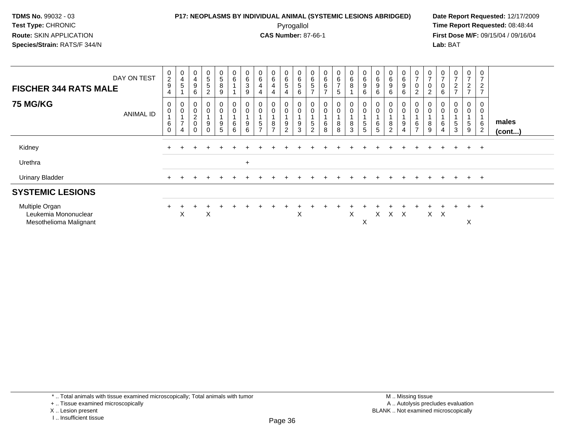### **P17: NEOPLASMS BY INDIVIDUAL ANIMAL (SYSTEMIC LESIONS ABRIDGED) Date Report Requested:** 12/17/2009 Pyrogallol Pyrogallol **Pyrogallol Time Report Requested:** 08:48:44<br>**CAS Number:** 87-66-1 **Time Report Requested:** 09/15/04 / 09/16/04

**First Dose M/F:** 09/15/04 / 09/16/04 Lab: BAT **Lab:** BAT

| <b>FISCHER 344 RATS MALE</b>                                     | DAY ON TEST      | 0<br>$\overline{2}$<br>$9\,$<br>4                  | 0<br>4<br>5                                          | $\pmb{0}$<br>$\overline{\mathbf{4}}$<br>$\boldsymbol{9}$<br>6      | 0<br>$\sqrt{5}$<br>5<br>$\overline{2}$ | $\,0\,$<br>5<br>8<br>9                           | 0<br>6           | $\begin{array}{c} 0 \\ 6 \end{array}$<br>$\mathbf{3}$<br>9 | $\begin{array}{c} 0 \\ 6 \end{array}$<br>$\overline{\mathbf{4}}$<br>4 | 0<br>$6\overline{6}$<br>4<br>4 | $\begin{array}{c} 0 \\ 6 \end{array}$<br>5<br>$\overline{4}$ | 0<br>$\,6\,$<br>5<br>6 | $\begin{array}{c} 0 \\ 6 \end{array}$<br>5<br>$\overline{z}$ | $_{6}^{\rm 0}$<br>6<br>$\overline{ }$ | $\begin{array}{c} 0 \\ 6 \\ 7 \end{array}$<br>5        | $\begin{array}{c} 0 \\ 6 \end{array}$<br>$\, 8$<br>и | $\pmb{0}$<br>$6\phantom{a}$<br>9<br>6 | $\begin{array}{c} 0 \\ 6 \end{array}$<br>9<br>6 | $_6^0$<br>9<br>6                   | 0<br>$\,6\,$<br>9<br>6                | $\pmb{0}$<br>$\overline{z}$<br>$\mathbf 0$<br>$\overline{2}$ | $\pmb{0}$<br>$\overline{ }$<br>$\pmb{0}$<br>$\overline{2}$ | $\pmb{0}$<br>$\overline{7}$<br>0<br>6 | $\mathbf 0$<br>$\overline{ }$<br>$\frac{2}{7}$ | 0<br>$\overline{ }$<br>$\frac{2}{7}$          | 0<br>$\overline{ }$<br>$\overline{c}$<br>$\overline{z}$ |                       |
|------------------------------------------------------------------|------------------|----------------------------------------------------|------------------------------------------------------|--------------------------------------------------------------------|----------------------------------------|--------------------------------------------------|------------------|------------------------------------------------------------|-----------------------------------------------------------------------|--------------------------------|--------------------------------------------------------------|------------------------|--------------------------------------------------------------|---------------------------------------|--------------------------------------------------------|------------------------------------------------------|---------------------------------------|-------------------------------------------------|------------------------------------|---------------------------------------|--------------------------------------------------------------|------------------------------------------------------------|---------------------------------------|------------------------------------------------|-----------------------------------------------|---------------------------------------------------------|-----------------------|
| <b>75 MG/KG</b>                                                  | <b>ANIMAL ID</b> | 0<br>0<br>$\overline{A}$<br>$\,6\,$<br>$\mathbf 0$ | 0<br>$\mathbf 0$<br>$\overline{ }$<br>$\overline{4}$ | $\pmb{0}$<br>$\mathbf 0$<br>$\sqrt{2}$<br>$\pmb{0}$<br>$\mathbf 0$ | 0<br>0<br>9<br>0                       | $\,0\,$<br>$\pmb{0}$<br>$\overline{A}$<br>9<br>5 | 0<br>0<br>6<br>6 | U<br>$\mathbf 0$<br>9<br>6                                 | 0<br>$\pmb{0}$<br>$\sqrt{5}$<br>$\overline{ }$                        | 0<br>0<br>8<br>$\overline{ }$  | $\boldsymbol{0}$<br>$\mathbf 0$<br>9<br>2                    | 0<br>9<br>3            | $\mathbf 0$<br>5<br>$\overline{c}$                           | 0<br>$\mathbf 0$<br>6<br>8            | $\begin{smallmatrix} 0\\0 \end{smallmatrix}$<br>8<br>8 | $_{\rm 0}^{\rm 0}$<br>1<br>$\,8\,$<br>$\mathbf{3}$   | $\pmb{0}$<br>5<br>5                   | 0<br>6<br>$\sqrt{5}$                            | 0<br>$\mathsf{O}\xspace$<br>8<br>2 | 0<br>$\pmb{0}$<br>9<br>$\overline{4}$ | $\pmb{0}$<br>$\,6$<br>$\overline{ }$                         | 0<br>$\pmb{0}$<br>8<br>9                                   | $\mathbf 0$<br>6<br>4                 | 0<br>$\pmb{0}$<br>5<br>3                       | 0<br>$\boldsymbol{0}$<br>$5\phantom{.0}$<br>9 | 0<br>$\mathbf 0$<br>$\,6$<br>$\overline{2}$             | males<br>$($ cont $)$ |
| Kidney                                                           |                  |                                                    |                                                      |                                                                    |                                        |                                                  |                  |                                                            |                                                                       |                                |                                                              |                        |                                                              |                                       |                                                        |                                                      |                                       |                                                 |                                    |                                       |                                                              |                                                            |                                       |                                                | $+$                                           | $+$                                                     |                       |
| Urethra                                                          |                  |                                                    |                                                      |                                                                    |                                        |                                                  |                  | $\ddot{}$                                                  |                                                                       |                                |                                                              |                        |                                                              |                                       |                                                        |                                                      |                                       |                                                 |                                    |                                       |                                                              |                                                            |                                       |                                                |                                               |                                                         |                       |
| <b>Urinary Bladder</b>                                           |                  |                                                    |                                                      |                                                                    |                                        |                                                  |                  |                                                            |                                                                       |                                |                                                              |                        |                                                              |                                       |                                                        |                                                      |                                       |                                                 |                                    |                                       |                                                              |                                                            |                                       |                                                | $+$                                           | $+$                                                     |                       |
| <b>SYSTEMIC LESIONS</b>                                          |                  |                                                    |                                                      |                                                                    |                                        |                                                  |                  |                                                            |                                                                       |                                |                                                              |                        |                                                              |                                       |                                                        |                                                      |                                       |                                                 |                                    |                                       |                                                              |                                                            |                                       |                                                |                                               |                                                         |                       |
| Multiple Organ<br>Leukemia Mononuclear<br>Mesothelioma Malignant |                  | $\ddot{}$                                          | X                                                    |                                                                    | ÷<br>X                                 |                                                  |                  |                                                            |                                                                       |                                |                                                              | X                      |                                                              |                                       |                                                        | X                                                    | X                                     | X                                               | $X \times X$                       |                                       |                                                              | X                                                          | $\mathsf{X}$                          |                                                | $+$<br>X                                      | $+$                                                     |                       |

<sup>+ ..</sup> Tissue examined microscopically

X .. Lesion present

I .. Insufficient tissue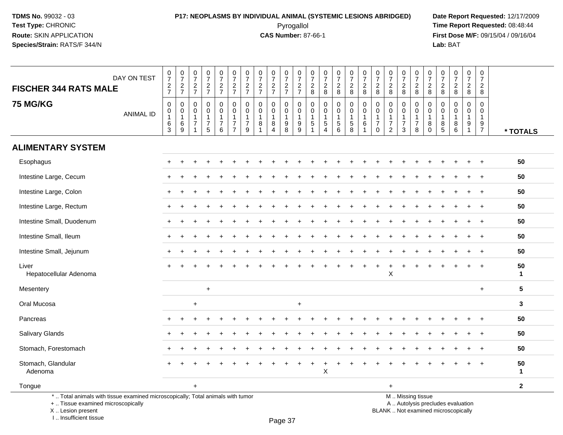## **P17: NEOPLASMS BY INDIVIDUAL ANIMAL (SYSTEMIC LESIONS ABRIDGED) Date Report Requested:** 12/17/2009 Pyrogallol Pyrogallol **Pyrogallol Time Report Requested:** 08:48:44<br>**CAS Number:** 87-66-1 **Time Report Requested:** 08/15/04 / 09/16/04

**First Dose M/F:** 09/15/04 / 09/16/04<br>Lab: BAT **Lab:** BAT

| <b>FISCHER 344 RATS MALE</b>                                                                                          | DAY ON TEST      | $\begin{array}{c} 0 \\ 7 \end{array}$<br>$\frac{2}{7}$ | $\frac{0}{7}$<br>$\frac{2}{7}$   | $\frac{0}{7}$<br>$\frac{2}{7}$     | $\frac{0}{7}$<br>$\frac{2}{7}$ | $\frac{0}{7}$<br>$\frac{2}{7}$                        | $\frac{0}{7}$<br>$\frac{2}{7}$                | $\begin{array}{c} 0 \\ 7 \end{array}$<br>$\frac{2}{7}$ | $\begin{array}{c} 0 \\ 7 \end{array}$<br>$\frac{2}{7}$ | $\begin{smallmatrix}0\\7\end{smallmatrix}$<br>$\frac{2}{7}$ | $\begin{smallmatrix}0\\7\end{smallmatrix}$<br>$\frac{2}{7}$ | 0<br>$\overline{7}$<br>$\frac{2}{7}$ | 0<br>$\overline{7}$<br>$\frac{2}{8}$ | $\frac{0}{7}$<br>$\frac{2}{8}$ | $\frac{0}{7}$<br>$\frac{2}{8}$                    | $\begin{array}{c} 0 \\ 7 \end{array}$<br>$\overline{c}$ | $\frac{0}{7}$<br>$\frac{2}{8}$ | $\begin{array}{c} 0 \\ 7 \end{array}$<br>$\frac{2}{8}$ | $\begin{smallmatrix}0\\7\end{smallmatrix}$<br>$\frac{2}{8}$ | 0<br>$\overline{7}$<br>$\frac{2}{8}$         | 0<br>$\overline{7}$<br>$\frac{2}{8}$                   | 0<br>$\overline{7}$<br>$\overline{c}$ | $\frac{0}{7}$<br>$_{8}^2$ | $\begin{smallmatrix}0\\7\end{smallmatrix}$<br>$\frac{2}{8}$ | $\begin{array}{c} 0 \\ 7 \end{array}$<br>$\overline{2}$ | $\mathbf 0$<br>$\overline{7}$<br>2 |                    |
|-----------------------------------------------------------------------------------------------------------------------|------------------|--------------------------------------------------------|----------------------------------|------------------------------------|--------------------------------|-------------------------------------------------------|-----------------------------------------------|--------------------------------------------------------|--------------------------------------------------------|-------------------------------------------------------------|-------------------------------------------------------------|--------------------------------------|--------------------------------------|--------------------------------|---------------------------------------------------|---------------------------------------------------------|--------------------------------|--------------------------------------------------------|-------------------------------------------------------------|----------------------------------------------|--------------------------------------------------------|---------------------------------------|---------------------------|-------------------------------------------------------------|---------------------------------------------------------|------------------------------------|--------------------|
| <b>75 MG/KG</b>                                                                                                       |                  | $\boldsymbol{0}$                                       | $\mathbf 0$                      | $\mathbf 0$                        | 0                              | $\mathbf 0$                                           | 0                                             | 0                                                      | $\mathbf 0$                                            | 0                                                           | $\mathbf 0$                                                 | $\mathbf 0$                          | $\mathbf 0$                          | 0                              | $\pmb{0}$                                         | 8<br>0                                                  | $\mathbf 0$                    | $\mathbf 0$                                            | 0                                                           | 0                                            | $\mathbf 0$                                            | $\overline{8}$<br>$\mathbf 0$         | 0                         | $\mathbf 0$                                                 | 8<br>0                                                  | 8<br>$\mathbf 0$                   |                    |
|                                                                                                                       | <b>ANIMAL ID</b> | $\mathbf 0$<br>$\mathbf{1}$<br>$6\phantom{1}6$         | $\mathbf 0$<br>$\mathbf{1}$<br>6 | $\mathbf 0$<br>1<br>$\overline{7}$ | $\mathbf 0$<br>$\overline{7}$  | $\ddot{\mathbf{0}}$<br>$\mathbf{1}$<br>$\overline{7}$ | $\mathbf 0$<br>$\mathbf{1}$<br>$\overline{7}$ | $\mathbf 0$<br>$\overline{1}$<br>$\overline{7}$        | $\mathbf 0$<br>8                                       | $\mathbf 0$<br>$\mathbf{1}$<br>8                            | $\mathbf 0$<br>$\overline{1}$<br>$9\,$                      | $\Omega$<br>$\mathbf{1}$<br>9        | $\Omega$<br>1<br>5                   | $\mathbf 0$<br>5               | $\ddot{\mathbf{0}}$<br>$\mathbf{1}$<br>$\sqrt{5}$ | $\mathbf 0$<br>$\mathbf{1}$<br>5                        | 0<br>6                         | $\mathbf 0$<br>$\overline{7}$                          | $\mathbf 0$<br>$\mathbf{1}$<br>$\overline{7}$               | $\Omega$<br>$\overline{1}$<br>$\overline{7}$ | $\Omega$<br>$\mathbf{1}$<br>7                          | $\Omega$<br>1<br>8                    | $\mathbf 0$<br>1<br>8     | $\mathbf 0$<br>$\mathbf{1}$<br>8                            | $\overline{0}$<br>$\mathbf{1}$<br>9                     | $\Omega$<br>$\mathbf{1}$<br>9      |                    |
|                                                                                                                       |                  | $\overline{3}$                                         | $9\,$                            | $\overline{1}$                     | 5                              | 6                                                     | $\overline{7}$                                | $9\,$                                                  |                                                        | $\overline{4}$                                              | $\overline{8}$                                              | 9                                    | $\overline{1}$                       | 4                              | 6                                                 | $\overline{8}$                                          | $\overline{1}$                 | $\mathbf{0}$                                           | $\overline{2}$                                              | $\mathbf{3}$                                 | 8                                                      | $\Omega$                              | $\overline{5}$            | $6\overline{6}$                                             | $\mathbf{1}$                                            | $\overline{7}$                     | * TOTALS           |
| <b>ALIMENTARY SYSTEM</b>                                                                                              |                  |                                                        |                                  |                                    |                                |                                                       |                                               |                                                        |                                                        |                                                             |                                                             |                                      |                                      |                                |                                                   |                                                         |                                |                                                        |                                                             |                                              |                                                        |                                       |                           |                                                             |                                                         |                                    |                    |
| Esophagus                                                                                                             |                  |                                                        |                                  |                                    |                                |                                                       |                                               |                                                        |                                                        |                                                             |                                                             |                                      |                                      |                                |                                                   |                                                         |                                |                                                        |                                                             |                                              |                                                        |                                       |                           |                                                             |                                                         |                                    | 50                 |
| Intestine Large, Cecum                                                                                                |                  |                                                        |                                  |                                    |                                |                                                       |                                               |                                                        |                                                        |                                                             |                                                             |                                      |                                      |                                |                                                   |                                                         |                                |                                                        |                                                             |                                              |                                                        |                                       |                           |                                                             |                                                         | $\ddot{}$                          | 50                 |
| Intestine Large, Colon                                                                                                |                  |                                                        |                                  |                                    |                                |                                                       |                                               |                                                        |                                                        |                                                             |                                                             |                                      |                                      |                                |                                                   |                                                         |                                |                                                        |                                                             |                                              |                                                        |                                       |                           |                                                             |                                                         |                                    | 50                 |
| Intestine Large, Rectum                                                                                               |                  |                                                        |                                  |                                    |                                |                                                       |                                               |                                                        |                                                        |                                                             |                                                             |                                      |                                      |                                |                                                   |                                                         |                                |                                                        |                                                             |                                              |                                                        |                                       |                           |                                                             |                                                         |                                    | 50                 |
| Intestine Small, Duodenum                                                                                             |                  |                                                        |                                  |                                    |                                |                                                       |                                               |                                                        |                                                        |                                                             |                                                             |                                      |                                      |                                |                                                   |                                                         |                                |                                                        |                                                             |                                              |                                                        |                                       |                           |                                                             |                                                         |                                    | 50                 |
| Intestine Small, Ileum                                                                                                |                  |                                                        |                                  |                                    |                                |                                                       |                                               |                                                        |                                                        |                                                             |                                                             |                                      |                                      |                                |                                                   |                                                         |                                |                                                        |                                                             |                                              |                                                        |                                       |                           |                                                             |                                                         |                                    | 50                 |
| Intestine Small, Jejunum                                                                                              |                  |                                                        |                                  |                                    |                                |                                                       |                                               |                                                        |                                                        |                                                             |                                                             |                                      |                                      |                                |                                                   |                                                         |                                |                                                        |                                                             |                                              |                                                        |                                       |                           |                                                             |                                                         | $\ddot{}$                          | 50                 |
| Liver<br>Hepatocellular Adenoma                                                                                       |                  |                                                        |                                  |                                    |                                |                                                       |                                               |                                                        |                                                        |                                                             |                                                             |                                      |                                      |                                |                                                   |                                                         |                                |                                                        | $\mathsf X$                                                 |                                              |                                                        |                                       |                           |                                                             |                                                         |                                    | 50<br>$\mathbf{1}$ |
| Mesentery                                                                                                             |                  |                                                        |                                  |                                    | $\ddot{}$                      |                                                       |                                               |                                                        |                                                        |                                                             |                                                             |                                      |                                      |                                |                                                   |                                                         |                                |                                                        |                                                             |                                              |                                                        |                                       |                           |                                                             |                                                         | $+$                                | $5\phantom{1}$     |
| Oral Mucosa                                                                                                           |                  |                                                        |                                  | $\ddot{}$                          |                                |                                                       |                                               |                                                        |                                                        |                                                             |                                                             | +                                    |                                      |                                |                                                   |                                                         |                                |                                                        |                                                             |                                              |                                                        |                                       |                           |                                                             |                                                         |                                    | 3                  |
| Pancreas                                                                                                              |                  |                                                        |                                  |                                    |                                |                                                       |                                               |                                                        |                                                        |                                                             |                                                             |                                      |                                      |                                |                                                   |                                                         |                                |                                                        |                                                             |                                              |                                                        |                                       |                           |                                                             |                                                         | $\ddot{}$                          | 50                 |
| Salivary Glands                                                                                                       |                  |                                                        |                                  |                                    |                                |                                                       |                                               |                                                        |                                                        |                                                             |                                                             |                                      |                                      |                                |                                                   |                                                         |                                |                                                        |                                                             |                                              |                                                        |                                       |                           |                                                             |                                                         | $\ddot{}$                          | 50                 |
| Stomach, Forestomach                                                                                                  |                  |                                                        |                                  |                                    |                                |                                                       |                                               |                                                        |                                                        |                                                             |                                                             |                                      |                                      |                                |                                                   |                                                         |                                |                                                        |                                                             |                                              |                                                        |                                       |                           |                                                             |                                                         |                                    | 50                 |
| Stomach, Glandular<br>Adenoma                                                                                         |                  |                                                        |                                  |                                    |                                |                                                       |                                               |                                                        |                                                        |                                                             |                                                             |                                      |                                      | Χ                              |                                                   |                                                         |                                |                                                        |                                                             |                                              |                                                        |                                       |                           |                                                             |                                                         |                                    | 50<br>$\mathbf{1}$ |
| Tongue                                                                                                                |                  |                                                        |                                  | $\ddot{}$                          |                                |                                                       |                                               |                                                        |                                                        |                                                             |                                                             |                                      |                                      |                                |                                                   |                                                         |                                |                                                        | $\ddot{}$                                                   |                                              |                                                        |                                       |                           |                                                             |                                                         |                                    | $\mathbf{2}$       |
| *  Total animals with tissue examined microscopically; Total animals with tumor<br>+  Tissue examined microscopically |                  |                                                        |                                  |                                    |                                |                                                       |                                               |                                                        |                                                        |                                                             |                                                             |                                      |                                      |                                |                                                   |                                                         |                                |                                                        |                                                             |                                              | M  Missing tissue<br>A  Autolysis precludes evaluation |                                       |                           |                                                             |                                                         |                                    |                    |

 Lesion present BLANK .. Not examined microscopicallyX .. Lesion present

I .. Insufficient tissue

Page 37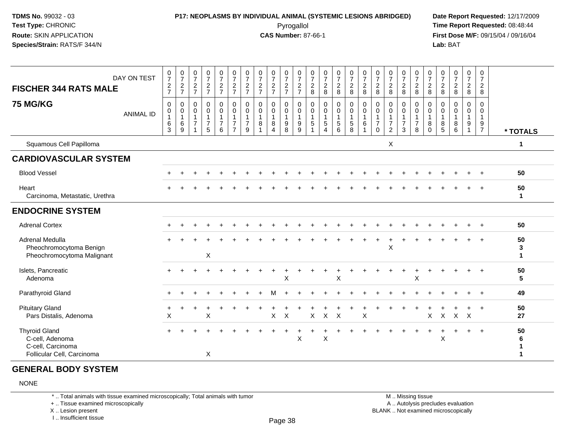#### **P17: NEOPLASMS BY INDIVIDUAL ANIMAL (SYSTEMIC LESIONS ABRIDGED) Date Report Requested:** 12/17/2009 Pyrogallol Pyrogallol **Pyrogallol Time Report Requested:** 08:48:44<br>**CAS Number:** 87-66-1 **Time Report Requested:** 08/15/04 / 09/16/04

**First Dose M/F:** 09/15/04 / 09/16/04<br>**Lab:** BAT **Lab:** BAT

| DAY ON TEST<br><b>FISCHER 344 RATS MALE</b>                                                | $\frac{0}{7}$<br>$\frac{2}{7}$                              | $\frac{0}{7}$<br>$\frac{2}{7}$                     | $\frac{0}{7}$<br>$\frac{2}{7}$                                     | $\frac{0}{7}$<br>$\frac{2}{7}$                | $\begin{smallmatrix}0\\7\end{smallmatrix}$<br>$\frac{2}{7}$     | $\frac{0}{7}$<br>$\frac{2}{7}$                                                       | $\frac{0}{7}$<br>$\frac{2}{7}$                                      | $\frac{0}{7}$<br>$\frac{2}{7}$                                  | $\frac{0}{7}$<br>$\frac{2}{7}$   | $\frac{0}{7}$<br>$\frac{2}{7}$                                    | $\frac{0}{7}$<br>$\frac{2}{7}$                             | $\frac{0}{7}$<br>$\sqrt{2}$<br>8               | $\frac{0}{7}$<br>$\frac{2}{8}$                                                  | $\begin{smallmatrix}0\\7\end{smallmatrix}$<br>$\frac{2}{8}$ | $\begin{array}{c} 0 \\ 7 \end{array}$<br>$\overline{2}$<br>8 | $\begin{smallmatrix}0\\7\end{smallmatrix}$<br>$\sqrt{2}$<br>8 | $\frac{0}{7}$<br>$\sqrt{2}$<br>8                               | $\frac{0}{7}$<br>$\sqrt{2}$<br>8                      | $\frac{0}{7}$<br>$\frac{2}{8}$                            | $\frac{0}{7}$<br>$\sqrt{2}$<br>8                                  | $\frac{0}{7}$<br>$\sqrt{2}$<br>8                  | $\frac{0}{7}$<br>$\frac{2}{8}$                   | $\frac{0}{7}$<br>$\frac{2}{8}$             | $\frac{0}{7}$<br>$\frac{2}{8}$      | 0<br>$\overline{7}$<br>$\sqrt{2}$<br>8        |                         |
|--------------------------------------------------------------------------------------------|-------------------------------------------------------------|----------------------------------------------------|--------------------------------------------------------------------|-----------------------------------------------|-----------------------------------------------------------------|--------------------------------------------------------------------------------------|---------------------------------------------------------------------|-----------------------------------------------------------------|----------------------------------|-------------------------------------------------------------------|------------------------------------------------------------|------------------------------------------------|---------------------------------------------------------------------------------|-------------------------------------------------------------|--------------------------------------------------------------|---------------------------------------------------------------|----------------------------------------------------------------|-------------------------------------------------------|-----------------------------------------------------------|-------------------------------------------------------------------|---------------------------------------------------|--------------------------------------------------|--------------------------------------------|-------------------------------------|-----------------------------------------------|-------------------------|
| <b>75 MG/KG</b><br><b>ANIMAL ID</b>                                                        | $\mathsf{O}$<br>$\pmb{0}$<br>$\overline{1}$<br>$\,6\,$<br>3 | $\mathbf 0$<br>$\pmb{0}$<br>$\mathbf{1}$<br>6<br>9 | 0<br>$\pmb{0}$<br>$\mathbf{1}$<br>$\overline{7}$<br>$\overline{1}$ | 0<br>0<br>$\mathbf{1}$<br>$\overline{7}$<br>5 | $\pmb{0}$<br>$\mathbf 0$<br>$\mathbf{1}$<br>$\overline{7}$<br>6 | $\mathsf{O}\xspace$<br>$\pmb{0}$<br>$\mathbf{1}$<br>$\overline{7}$<br>$\overline{7}$ | $\mathbf 0$<br>$\mathbf 0$<br>$\overline{1}$<br>$\overline{7}$<br>9 | $\mathbf 0$<br>$\pmb{0}$<br>$\mathbf{1}$<br>8<br>$\overline{1}$ | 0<br>0<br>$\mathbf{1}$<br>8<br>4 | $\pmb{0}$<br>$\pmb{0}$<br>$\overline{1}$<br>$\boldsymbol{9}$<br>8 | $\mathsf{O}\xspace$<br>$\pmb{0}$<br>$\mathbf{1}$<br>9<br>9 | $\mathbf 0$<br>0<br>$\mathbf{1}$<br>$\sqrt{5}$ | $\pmb{0}$<br>$\pmb{0}$<br>$\mathbf{1}$<br>$\,$ 5 $\,$<br>$\boldsymbol{\Lambda}$ | $\pmb{0}$<br>$\pmb{0}$<br>$\mathbf{1}$<br>$\sqrt{5}$<br>6   | $\pmb{0}$<br>$\pmb{0}$<br>$\mathbf{1}$<br>$\sqrt{5}$<br>8    | $\mathbf 0$<br>$\pmb{0}$<br>$\mathbf{1}$<br>$\,6$             | $\mathbf 0$<br>0<br>$\mathbf{1}$<br>$\overline{7}$<br>$\Omega$ | 0<br>$\pmb{0}$<br>$\mathbf{1}$<br>$\overline{7}$<br>2 | 0<br>$\mathbf 0$<br>$\overline{1}$<br>$\overline{7}$<br>3 | $\mathbf 0$<br>$\pmb{0}$<br>$\overline{1}$<br>$\overline{7}$<br>8 | 0<br>$\mathbf 0$<br>$\mathbf{1}$<br>8<br>$\Omega$ | $\mathbf 0$<br>$\,0\,$<br>$\mathbf{1}$<br>8<br>5 | $\mathbf 0$<br>0<br>$\mathbf{1}$<br>8<br>6 | 0<br>$\pmb{0}$<br>$\mathbf{1}$<br>9 | 0<br>0<br>$\mathbf{1}$<br>9<br>$\overline{7}$ | * TOTALS                |
| Squamous Cell Papilloma                                                                    |                                                             |                                                    |                                                                    |                                               |                                                                 |                                                                                      |                                                                     |                                                                 |                                  |                                                                   |                                                            |                                                |                                                                                 |                                                             |                                                              |                                                               |                                                                | X                                                     |                                                           |                                                                   |                                                   |                                                  |                                            |                                     |                                               | 1                       |
| <b>CARDIOVASCULAR SYSTEM</b>                                                               |                                                             |                                                    |                                                                    |                                               |                                                                 |                                                                                      |                                                                     |                                                                 |                                  |                                                                   |                                                            |                                                |                                                                                 |                                                             |                                                              |                                                               |                                                                |                                                       |                                                           |                                                                   |                                                   |                                                  |                                            |                                     |                                               |                         |
| <b>Blood Vessel</b>                                                                        |                                                             |                                                    |                                                                    |                                               |                                                                 |                                                                                      |                                                                     |                                                                 |                                  |                                                                   |                                                            |                                                |                                                                                 |                                                             |                                                              |                                                               |                                                                |                                                       |                                                           |                                                                   |                                                   |                                                  |                                            |                                     |                                               | 50                      |
| Heart<br>Carcinoma, Metastatic, Urethra                                                    |                                                             |                                                    |                                                                    |                                               |                                                                 |                                                                                      |                                                                     |                                                                 |                                  |                                                                   |                                                            |                                                |                                                                                 |                                                             |                                                              |                                                               |                                                                |                                                       |                                                           |                                                                   |                                                   |                                                  |                                            |                                     |                                               | 50<br>$\mathbf 1$       |
| <b>ENDOCRINE SYSTEM</b>                                                                    |                                                             |                                                    |                                                                    |                                               |                                                                 |                                                                                      |                                                                     |                                                                 |                                  |                                                                   |                                                            |                                                |                                                                                 |                                                             |                                                              |                                                               |                                                                |                                                       |                                                           |                                                                   |                                                   |                                                  |                                            |                                     |                                               |                         |
| <b>Adrenal Cortex</b>                                                                      |                                                             |                                                    |                                                                    |                                               |                                                                 |                                                                                      |                                                                     |                                                                 |                                  |                                                                   |                                                            |                                                |                                                                                 |                                                             |                                                              |                                                               |                                                                |                                                       |                                                           |                                                                   |                                                   |                                                  |                                            |                                     |                                               | 50                      |
| Adrenal Medulla<br>Pheochromocytoma Benign<br>Pheochromocytoma Malignant                   |                                                             |                                                    |                                                                    | X                                             |                                                                 |                                                                                      |                                                                     |                                                                 |                                  |                                                                   |                                                            |                                                |                                                                                 |                                                             |                                                              |                                                               |                                                                | X                                                     |                                                           |                                                                   |                                                   |                                                  |                                            |                                     |                                               | 50<br>3<br>$\mathbf{1}$ |
| Islets, Pancreatic<br>Adenoma                                                              |                                                             |                                                    |                                                                    |                                               |                                                                 |                                                                                      |                                                                     |                                                                 |                                  | $\boldsymbol{\mathsf{X}}$                                         |                                                            |                                                |                                                                                 | X                                                           |                                                              |                                                               |                                                                |                                                       |                                                           | X                                                                 |                                                   |                                                  |                                            |                                     |                                               | 50<br>5                 |
| Parathyroid Gland                                                                          |                                                             |                                                    |                                                                    |                                               |                                                                 |                                                                                      |                                                                     |                                                                 |                                  |                                                                   |                                                            |                                                |                                                                                 |                                                             |                                                              |                                                               |                                                                |                                                       |                                                           |                                                                   |                                                   |                                                  |                                            |                                     |                                               | 49                      |
| <b>Pituitary Gland</b><br>Pars Distalis, Adenoma                                           | X                                                           |                                                    |                                                                    | Χ                                             |                                                                 |                                                                                      |                                                                     |                                                                 | X                                | $\boldsymbol{\mathsf{X}}$                                         |                                                            | X                                              | $\mathsf{X}$                                                                    | $\times$                                                    |                                                              | Χ                                                             |                                                                |                                                       |                                                           |                                                                   | X                                                 | $\mathsf{X}$                                     | $X$ $X$                                    |                                     | $+$                                           | 50<br>27                |
| <b>Thyroid Gland</b><br>C-cell, Adenoma<br>C-cell, Carcinoma<br>Follicular Cell, Carcinoma |                                                             |                                                    |                                                                    | X                                             |                                                                 |                                                                                      |                                                                     |                                                                 |                                  |                                                                   | X                                                          |                                                | X                                                                               |                                                             |                                                              |                                                               |                                                                |                                                       |                                                           |                                                                   |                                                   | X                                                | $\div$                                     | $+$                                 | $+$                                           | 50<br>6<br>1            |

#### **GENERAL BODY SYSTEM**

#### NONE

\* .. Total animals with tissue examined microscopically; Total animals with tumor

+ .. Tissue examined microscopically

X .. Lesion present

I .. Insufficient tissue

 M .. Missing tissuey the contract of the contract of the contract of the contract of the contract of  $\mathsf A$  . Autolysis precludes evaluation Lesion present BLANK .. Not examined microscopically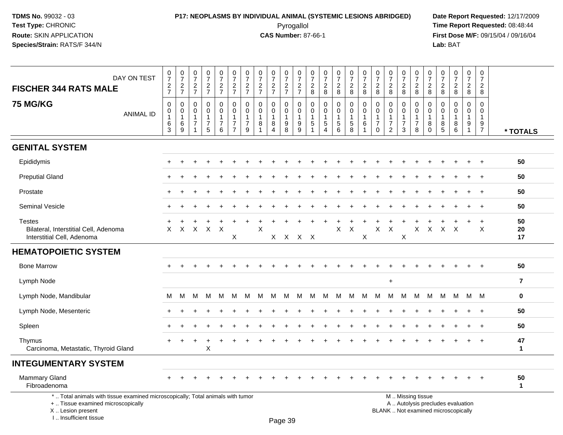I .. Insufficient tissue

## **P17: NEOPLASMS BY INDIVIDUAL ANIMAL (SYSTEMIC LESIONS ABRIDGED) Date Report Requested:** 12/17/2009 Pyrogallol Pyrogallol **Pyrogallol Time Report Requested:** 08:48:44<br>**CAS Number:** 87-66-1 **Time Report Requested:** 08/15/04 / 09/16/04

**First Dose M/F:** 09/15/04 / 09/16/04<br>Lab: BAT **Lab:** BAT

| DAY ON TEST<br><b>FISCHER 344 RATS MALE</b>                                                                                                | $\begin{array}{c} 0 \\ 7 \end{array}$<br>$\frac{2}{7}$            | $\frac{0}{7}$<br>$\frac{2}{7}$                                     | $\frac{0}{7}$<br>$\frac{2}{7}$                                                  | $\frac{0}{7}$<br>$\frac{2}{7}$                         | $\begin{array}{c} 0 \\ 7 \end{array}$<br>$\frac{2}{7}$               | $\frac{0}{7}$<br>$\frac{2}{7}$                                                 | 0<br>$\overline{7}$<br>$\frac{2}{7}$                              | $\frac{0}{7}$<br>$\frac{2}{7}$                        | $\frac{0}{7}$<br>$\frac{2}{7}$                            | 0<br>$\overline{7}$<br>$\frac{2}{7}$         | $\pmb{0}$<br>$\overline{7}$<br>$\frac{2}{7}$            | 0<br>$\overline{7}$<br>$\overline{c}$<br>8                         | $\frac{0}{7}$<br>$\overline{2}$<br>8         | $\frac{0}{7}$<br>$\overline{2}$<br>8                | $\frac{0}{7}$<br>$\overline{c}$<br>8                    | 0<br>$\overline{7}$<br>$\overline{c}$<br>8            | $\frac{0}{7}$<br>$\frac{2}{8}$                                     | $\frac{0}{7}$<br>$\frac{2}{8}$                                         | 0<br>$\overline{7}$<br>$\boldsymbol{2}$<br>8                         | $\pmb{0}$<br>$\overline{7}$<br>$\overline{2}$<br>8 | 0<br>$\overline{7}$<br>$\overline{c}$<br>8                        | $\frac{0}{7}$<br>$\overline{2}$<br>8                                     | $\frac{0}{7}$<br>$\overline{a}$<br>8                     | $\frac{0}{7}$<br>$\overline{c}$<br>8                            | 0<br>$\overline{7}$<br>$\overline{2}$<br>8              |                    |
|--------------------------------------------------------------------------------------------------------------------------------------------|-------------------------------------------------------------------|--------------------------------------------------------------------|---------------------------------------------------------------------------------|--------------------------------------------------------|----------------------------------------------------------------------|--------------------------------------------------------------------------------|-------------------------------------------------------------------|-------------------------------------------------------|-----------------------------------------------------------|----------------------------------------------|---------------------------------------------------------|--------------------------------------------------------------------|----------------------------------------------|-----------------------------------------------------|---------------------------------------------------------|-------------------------------------------------------|--------------------------------------------------------------------|------------------------------------------------------------------------|----------------------------------------------------------------------|----------------------------------------------------|-------------------------------------------------------------------|--------------------------------------------------------------------------|----------------------------------------------------------|-----------------------------------------------------------------|---------------------------------------------------------|--------------------|
| <b>75 MG/KG</b><br><b>ANIMAL ID</b>                                                                                                        | $\mathbf 0$<br>$\pmb{0}$<br>$\mathbf{1}$<br>$\,6$<br>$\mathbf{3}$ | $\mathbf 0$<br>$\mathbf 0$<br>$\mathbf{1}$<br>$6\phantom{1}6$<br>9 | $\mathbf 0$<br>$\overline{0}$<br>$\mathbf{1}$<br>$\overline{7}$<br>$\mathbf{1}$ | 0<br>$\mathbf 0$<br>$\mathbf 1$<br>$\overline{7}$<br>5 | $\mathbf 0$<br>0<br>$\mathbf{1}$<br>$\overline{7}$<br>$6\phantom{1}$ | $\mathbf 0$<br>$\mathbf 0$<br>$\mathbf{1}$<br>$\overline{7}$<br>$\overline{7}$ | $\mathbf 0$<br>$\mathbf 0$<br>$\mathbf{1}$<br>$\overline{7}$<br>9 | $\mathbf 0$<br>$\pmb{0}$<br>$\overline{1}$<br>$\bf 8$ | 0<br>$\mathbf 0$<br>$\overline{1}$<br>8<br>$\overline{4}$ | 0<br>$\mathbf 0$<br>$\overline{1}$<br>9<br>8 | $\mathbf 0$<br>0<br>$\mathbf{1}$<br>9<br>$\overline{9}$ | $\mathbf 0$<br>$\overline{0}$<br>$\mathbf{1}$<br>5<br>$\mathbf{1}$ | 0<br>$\mathbf 0$<br>1<br>5<br>$\overline{4}$ | 0<br>$\mathbf 0$<br>$\mathbf{1}$<br>$\sqrt{5}$<br>6 | $\mathbf 0$<br>0<br>$\mathbf{1}$<br>5<br>$\overline{8}$ | $\mathbf 0$<br>$\mathbf 0$<br>$\mathbf{1}$<br>$\,6\,$ | 0<br>$\mathbf 0$<br>$\mathbf{1}$<br>$\overline{7}$<br>$\mathbf{0}$ | 0<br>$\mathbf 0$<br>$\overline{1}$<br>$\overline{7}$<br>$\overline{2}$ | 0<br>$\mathbf 0$<br>$\overline{1}$<br>$\overline{7}$<br>$\mathbf{3}$ | 0<br>$\mathbf 0$<br>$\mathbf{1}$<br>7<br>8         | $\mathbf 0$<br>$\overline{0}$<br>$\mathbf{1}$<br>8<br>$\mathbf 0$ | 0<br>$\mathbf 0$<br>$\mathbf 1$<br>8<br>$\overline{5}$                   | 0<br>$\mathbf 0$<br>$\mathbf{1}$<br>8<br>$6\overline{6}$ | $\mathbf 0$<br>$\mathbf 0$<br>$\mathbf{1}$<br>9<br>$\mathbf{1}$ | $\mathbf 0$<br>0<br>$\mathbf{1}$<br>9<br>$\overline{7}$ | * TOTALS           |
| <b>GENITAL SYSTEM</b>                                                                                                                      |                                                                   |                                                                    |                                                                                 |                                                        |                                                                      |                                                                                |                                                                   |                                                       |                                                           |                                              |                                                         |                                                                    |                                              |                                                     |                                                         |                                                       |                                                                    |                                                                        |                                                                      |                                                    |                                                                   |                                                                          |                                                          |                                                                 |                                                         |                    |
| Epididymis                                                                                                                                 |                                                                   |                                                                    |                                                                                 |                                                        |                                                                      |                                                                                |                                                                   |                                                       |                                                           |                                              |                                                         |                                                                    |                                              |                                                     |                                                         |                                                       |                                                                    |                                                                        |                                                                      |                                                    |                                                                   |                                                                          |                                                          |                                                                 | $\ddot{}$                                               | 50                 |
| <b>Preputial Gland</b>                                                                                                                     |                                                                   |                                                                    |                                                                                 |                                                        |                                                                      |                                                                                |                                                                   |                                                       |                                                           |                                              |                                                         |                                                                    |                                              |                                                     |                                                         |                                                       |                                                                    |                                                                        |                                                                      |                                                    |                                                                   |                                                                          |                                                          |                                                                 |                                                         | 50                 |
| Prostate                                                                                                                                   |                                                                   |                                                                    |                                                                                 |                                                        |                                                                      |                                                                                |                                                                   |                                                       |                                                           |                                              |                                                         |                                                                    |                                              |                                                     |                                                         |                                                       |                                                                    |                                                                        |                                                                      |                                                    |                                                                   |                                                                          |                                                          |                                                                 |                                                         | 50                 |
| Seminal Vesicle                                                                                                                            |                                                                   |                                                                    |                                                                                 |                                                        |                                                                      |                                                                                |                                                                   |                                                       |                                                           |                                              |                                                         |                                                                    |                                              |                                                     |                                                         |                                                       |                                                                    |                                                                        |                                                                      |                                                    |                                                                   |                                                                          |                                                          |                                                                 | $\ddot{+}$                                              | 50                 |
| <b>Testes</b><br>Bilateral, Interstitial Cell, Adenoma<br>Interstitial Cell, Adenoma                                                       | X                                                                 | $\mathsf{X}$                                                       | $\mathsf{X}$                                                                    | $\mathsf{X}$                                           | $\mathsf{X}$                                                         | X                                                                              |                                                                   | X                                                     |                                                           | X X X X                                      |                                                         |                                                                    |                                              | $\mathsf{X}$                                        | $\boldsymbol{\mathsf{X}}$                               | X                                                     | X                                                                  | $\boldsymbol{\mathsf{X}}$                                              | $\times$                                                             | X                                                  | $\mathsf{X}$                                                      | $\mathsf{X}$                                                             | $\mathsf{X}$                                             | $\ddot{}$                                                       | $+$<br>X                                                | 50<br>20<br>17     |
| <b>HEMATOPOIETIC SYSTEM</b>                                                                                                                |                                                                   |                                                                    |                                                                                 |                                                        |                                                                      |                                                                                |                                                                   |                                                       |                                                           |                                              |                                                         |                                                                    |                                              |                                                     |                                                         |                                                       |                                                                    |                                                                        |                                                                      |                                                    |                                                                   |                                                                          |                                                          |                                                                 |                                                         |                    |
| <b>Bone Marrow</b>                                                                                                                         |                                                                   |                                                                    |                                                                                 |                                                        |                                                                      |                                                                                |                                                                   |                                                       |                                                           |                                              |                                                         |                                                                    |                                              |                                                     |                                                         |                                                       |                                                                    |                                                                        |                                                                      |                                                    |                                                                   |                                                                          |                                                          |                                                                 |                                                         | 50                 |
| Lymph Node                                                                                                                                 |                                                                   |                                                                    |                                                                                 |                                                        |                                                                      |                                                                                |                                                                   |                                                       |                                                           |                                              |                                                         |                                                                    |                                              |                                                     |                                                         |                                                       |                                                                    | $\ddot{}$                                                              |                                                                      |                                                    |                                                                   |                                                                          |                                                          |                                                                 |                                                         | $\overline{7}$     |
| Lymph Node, Mandibular                                                                                                                     | м                                                                 | М                                                                  | M                                                                               | M                                                      | M                                                                    | M                                                                              | M                                                                 | м                                                     | M                                                         | м                                            | M                                                       | М                                                                  | M                                            | M                                                   | M                                                       | M                                                     | M                                                                  | M                                                                      | М                                                                    | M                                                  | М                                                                 | M                                                                        | M                                                        | M                                                               | M                                                       | $\mathbf 0$        |
| Lymph Node, Mesenteric                                                                                                                     |                                                                   |                                                                    |                                                                                 |                                                        |                                                                      |                                                                                |                                                                   |                                                       |                                                           |                                              |                                                         |                                                                    |                                              |                                                     |                                                         |                                                       |                                                                    |                                                                        |                                                                      |                                                    |                                                                   |                                                                          |                                                          |                                                                 | $\div$                                                  | 50                 |
| Spleen                                                                                                                                     |                                                                   |                                                                    |                                                                                 |                                                        |                                                                      |                                                                                |                                                                   |                                                       |                                                           |                                              |                                                         |                                                                    |                                              |                                                     |                                                         |                                                       |                                                                    |                                                                        |                                                                      |                                                    |                                                                   |                                                                          |                                                          |                                                                 |                                                         | 50                 |
| Thymus<br>Carcinoma, Metastatic, Thyroid Gland                                                                                             |                                                                   |                                                                    |                                                                                 | X                                                      |                                                                      |                                                                                |                                                                   |                                                       |                                                           |                                              |                                                         |                                                                    |                                              |                                                     |                                                         |                                                       |                                                                    |                                                                        |                                                                      |                                                    |                                                                   |                                                                          |                                                          |                                                                 |                                                         | 47<br>$\mathbf{1}$ |
| <b>INTEGUMENTARY SYSTEM</b>                                                                                                                |                                                                   |                                                                    |                                                                                 |                                                        |                                                                      |                                                                                |                                                                   |                                                       |                                                           |                                              |                                                         |                                                                    |                                              |                                                     |                                                         |                                                       |                                                                    |                                                                        |                                                                      |                                                    |                                                                   |                                                                          |                                                          |                                                                 |                                                         |                    |
| <b>Mammary Gland</b><br>Fibroadenoma                                                                                                       |                                                                   |                                                                    |                                                                                 |                                                        |                                                                      |                                                                                |                                                                   |                                                       |                                                           |                                              |                                                         |                                                                    |                                              |                                                     |                                                         |                                                       |                                                                    |                                                                        |                                                                      |                                                    |                                                                   |                                                                          |                                                          |                                                                 |                                                         | 50<br>$\mathbf{1}$ |
| *  Total animals with tissue examined microscopically; Total animals with tumor<br>+  Tissue examined microscopically<br>X  Lesion present |                                                                   |                                                                    |                                                                                 |                                                        |                                                                      |                                                                                |                                                                   |                                                       |                                                           |                                              |                                                         |                                                                    |                                              |                                                     |                                                         |                                                       |                                                                    |                                                                        |                                                                      | M  Missing tissue                                  |                                                                   | A  Autolysis precludes evaluation<br>BLANK  Not examined microscopically |                                                          |                                                                 |                                                         |                    |

Page 39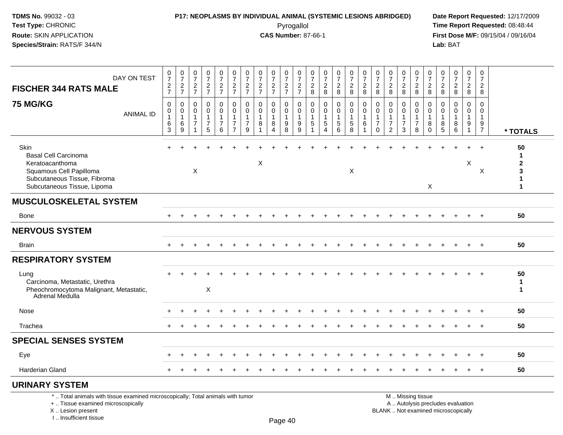I .. Insufficient tissue

## **P17: NEOPLASMS BY INDIVIDUAL ANIMAL (SYSTEMIC LESIONS ABRIDGED) Date Report Requested:** 12/17/2009 Pyrogallol Pyrogallol **Pyrogallol Time Report Requested:** 08:48:44<br>**CAS Number:** 87-66-1 **Time Report Requested:** 09/15/04 / 09/16/04

**First Dose M/F:** 09/15/04 / 09/16/04<br>Lab: BAT **Lab:** BAT

| DAY ON TEST<br><b>FISCHER 344 RATS MALE</b>                                                                                                      | $\frac{0}{7}$<br>$\frac{2}{7}$                         | $\begin{array}{c} 0 \\ 7 \end{array}$<br>$rac{2}{7}$ | $\begin{smallmatrix}0\\7\end{smallmatrix}$<br>$\frac{2}{7}$ | $\frac{0}{7}$<br>$\frac{2}{7}$                                    | $\begin{smallmatrix}0\\7\end{smallmatrix}$<br>$\frac{2}{7}$ | $\frac{0}{7}$<br>$\frac{2}{7}$                                              | $\frac{0}{7}$<br>$\frac{2}{7}$                                | $\frac{0}{7}$<br>$\frac{2}{7}$                        | $\frac{0}{7}$<br>$\frac{2}{7}$                                         | $\frac{0}{7}$<br>$\frac{2}{7}$                                  | $\begin{array}{c} 0 \\ 7 \end{array}$<br>$\frac{2}{7}$               | 0<br>$\overline{7}$<br>$\frac{2}{8}$         | $\frac{0}{7}$<br>$\overline{c}$<br>$\overline{8}$                            | $\frac{0}{7}$<br>$\frac{2}{8}$                | $\begin{smallmatrix}0\\7\end{smallmatrix}$<br>$\frac{2}{8}$              | $\frac{0}{7}$<br>$\frac{2}{8}$                     | $\begin{array}{c} 0 \\ 7 \end{array}$<br>$\frac{2}{8}$                   | $\begin{array}{c} 0 \\ 7 \end{array}$<br>$\frac{2}{8}$                          | $\frac{0}{7}$<br>$_{\rm 8}^2$                  | $\frac{0}{7}$<br>$_{\rm 8}^2$                                          | $\frac{0}{7}$<br>$\frac{2}{8}$                                 | 0<br>$\overline{7}$<br>$_{8}^2$         | $\begin{array}{c} 0 \\ 7 \end{array}$<br>$\frac{2}{8}$                   | $\mathbf 0$<br>$\overline{7}$<br>$\frac{2}{8}$               | $\pmb{0}$<br>$\overline{7}$<br>$\overline{2}$<br>8       |                                                  |
|--------------------------------------------------------------------------------------------------------------------------------------------------|--------------------------------------------------------|------------------------------------------------------|-------------------------------------------------------------|-------------------------------------------------------------------|-------------------------------------------------------------|-----------------------------------------------------------------------------|---------------------------------------------------------------|-------------------------------------------------------|------------------------------------------------------------------------|-----------------------------------------------------------------|----------------------------------------------------------------------|----------------------------------------------|------------------------------------------------------------------------------|-----------------------------------------------|--------------------------------------------------------------------------|----------------------------------------------------|--------------------------------------------------------------------------|---------------------------------------------------------------------------------|------------------------------------------------|------------------------------------------------------------------------|----------------------------------------------------------------|-----------------------------------------|--------------------------------------------------------------------------|--------------------------------------------------------------|----------------------------------------------------------|--------------------------------------------------|
| <b>75 MG/KG</b><br><b>ANIMAL ID</b>                                                                                                              | $\Omega$<br>0<br>$\mathbf{1}$<br>$\,6\,$<br>$\sqrt{3}$ | $\mathbf 0$<br>$\mathbf 0$<br>$\mathbf{1}$<br>6<br>9 | $\Omega$<br>$\mathbf 0$<br>$\mathbf{1}$<br>$\overline{7}$   | $\mathbf 0$<br>$\mathbf 0$<br>$\mathbf{1}$<br>$\overline{7}$<br>5 | 0<br>$\mathbf 0$<br>$\overline{1}$<br>$\overline{7}$<br>6   | $\Omega$<br>$\mathbf 0$<br>$\mathbf{1}$<br>$\overline{7}$<br>$\overline{7}$ | $\Omega$<br>$\mathbf 0$<br>$\mathbf 1$<br>$\overline{7}$<br>9 | $\mathbf 0$<br>$\mathbf 0$<br>$\mathbf{1}$<br>$\,8\,$ | $\Omega$<br>$\mathbf 0$<br>$\mathbf{1}$<br>8<br>$\boldsymbol{\Lambda}$ | $\Omega$<br>$\overline{0}$<br>$\mathbf 1$<br>$_{\rm 8}^{\rm 9}$ | $\Omega$<br>$\mathbf 0$<br>$\overline{1}$<br>$9\,$<br>$\overline{9}$ | $\Omega$<br>$\mathbf 0$<br>$\mathbf{1}$<br>5 | $\Omega$<br>$\Omega$<br>$\mathbf{1}$<br>$\sqrt{5}$<br>$\boldsymbol{\Lambda}$ | $\Omega$<br>$\mathbf 0$<br>1<br>$\frac{5}{6}$ | $\Omega$<br>$\overline{0}$<br>1<br>$\begin{array}{c} 5 \\ 8 \end{array}$ | $\Omega$<br>$\mathbf 0$<br>$\mathbf{1}$<br>$\,6\,$ | $\mathbf 0$<br>$\mathbf 0$<br>$\mathbf{1}$<br>$\overline{7}$<br>$\Omega$ | $\mathbf{0}$<br>$\mathbf 0$<br>$\mathbf{1}$<br>$\overline{7}$<br>$\overline{2}$ | $\Omega$<br>$\mathbf 0$<br>$\overline{7}$<br>3 | 0<br>$\mathbf 0$<br>$\mathbf{1}$<br>$\boldsymbol{7}$<br>$\overline{8}$ | $\mathbf 0$<br>$\mathbf 0$<br>$\mathbf{1}$<br>8<br>$\mathbf 0$ | $\Omega$<br>$\Omega$<br>8<br>$\sqrt{5}$ | $\Omega$<br>$\Omega$<br>$\mathbf 1$<br>8<br>6                            | $\Omega$<br>$\mathbf 0$<br>$\mathbf{1}$<br>9<br>$\mathbf{1}$ | $\Omega$<br>$\mathbf 0$<br>$\mathbf{1}$<br>$\frac{9}{7}$ | * TOTALS                                         |
| Skin<br><b>Basal Cell Carcinoma</b><br>Keratoacanthoma<br>Squamous Cell Papilloma<br>Subcutaneous Tissue, Fibroma<br>Subcutaneous Tissue, Lipoma |                                                        |                                                      | $\boldsymbol{\mathsf{X}}$                                   |                                                                   |                                                             |                                                                             |                                                               | X                                                     |                                                                        |                                                                 |                                                                      |                                              |                                                                              |                                               | X                                                                        |                                                    |                                                                          |                                                                                 |                                                |                                                                        | X                                                              |                                         |                                                                          | X                                                            | X                                                        | 50<br>1<br>$\mathbf 2$<br>3<br>1<br>$\mathbf{1}$ |
| <b>MUSCULOSKELETAL SYSTEM</b>                                                                                                                    |                                                        |                                                      |                                                             |                                                                   |                                                             |                                                                             |                                                               |                                                       |                                                                        |                                                                 |                                                                      |                                              |                                                                              |                                               |                                                                          |                                                    |                                                                          |                                                                                 |                                                |                                                                        |                                                                |                                         |                                                                          |                                                              |                                                          |                                                  |
| <b>Bone</b>                                                                                                                                      |                                                        |                                                      |                                                             |                                                                   |                                                             |                                                                             |                                                               |                                                       |                                                                        |                                                                 |                                                                      |                                              |                                                                              |                                               |                                                                          |                                                    |                                                                          |                                                                                 |                                                |                                                                        |                                                                |                                         |                                                                          |                                                              |                                                          | 50                                               |
| <b>NERVOUS SYSTEM</b>                                                                                                                            |                                                        |                                                      |                                                             |                                                                   |                                                             |                                                                             |                                                               |                                                       |                                                                        |                                                                 |                                                                      |                                              |                                                                              |                                               |                                                                          |                                                    |                                                                          |                                                                                 |                                                |                                                                        |                                                                |                                         |                                                                          |                                                              |                                                          |                                                  |
| <b>Brain</b>                                                                                                                                     | $+$                                                    | $\ddot{}$                                            |                                                             |                                                                   | $\div$                                                      |                                                                             |                                                               |                                                       |                                                                        |                                                                 |                                                                      |                                              |                                                                              |                                               | $\ddot{}$                                                                |                                                    |                                                                          |                                                                                 |                                                |                                                                        |                                                                |                                         |                                                                          | $+$                                                          | $+$                                                      | 50                                               |
| <b>RESPIRATORY SYSTEM</b>                                                                                                                        |                                                        |                                                      |                                                             |                                                                   |                                                             |                                                                             |                                                               |                                                       |                                                                        |                                                                 |                                                                      |                                              |                                                                              |                                               |                                                                          |                                                    |                                                                          |                                                                                 |                                                |                                                                        |                                                                |                                         |                                                                          |                                                              |                                                          |                                                  |
| Lung<br>Carcinoma, Metastatic, Urethra<br>Pheochromocytoma Malignant, Metastatic,<br>Adrenal Medulla                                             |                                                        |                                                      |                                                             | X                                                                 |                                                             |                                                                             |                                                               |                                                       |                                                                        |                                                                 |                                                                      |                                              |                                                                              |                                               |                                                                          |                                                    |                                                                          |                                                                                 |                                                |                                                                        |                                                                |                                         |                                                                          | $\ddot{}$                                                    | $+$                                                      | 50<br>$\mathbf{1}$<br>$\mathbf{1}$               |
| Nose                                                                                                                                             |                                                        |                                                      |                                                             |                                                                   |                                                             |                                                                             |                                                               |                                                       |                                                                        |                                                                 |                                                                      |                                              |                                                                              |                                               |                                                                          |                                                    |                                                                          |                                                                                 |                                                |                                                                        |                                                                |                                         |                                                                          |                                                              |                                                          | 50                                               |
| Trachea                                                                                                                                          |                                                        |                                                      |                                                             |                                                                   |                                                             |                                                                             |                                                               |                                                       |                                                                        |                                                                 |                                                                      |                                              |                                                                              |                                               |                                                                          |                                                    |                                                                          |                                                                                 |                                                |                                                                        |                                                                |                                         |                                                                          |                                                              |                                                          | 50                                               |
| <b>SPECIAL SENSES SYSTEM</b>                                                                                                                     |                                                        |                                                      |                                                             |                                                                   |                                                             |                                                                             |                                                               |                                                       |                                                                        |                                                                 |                                                                      |                                              |                                                                              |                                               |                                                                          |                                                    |                                                                          |                                                                                 |                                                |                                                                        |                                                                |                                         |                                                                          |                                                              |                                                          |                                                  |
| Eye                                                                                                                                              |                                                        |                                                      |                                                             |                                                                   |                                                             |                                                                             |                                                               |                                                       |                                                                        |                                                                 |                                                                      |                                              |                                                                              |                                               |                                                                          |                                                    |                                                                          |                                                                                 |                                                |                                                                        |                                                                |                                         |                                                                          |                                                              |                                                          | 50                                               |
| <b>Harderian Gland</b>                                                                                                                           |                                                        |                                                      |                                                             |                                                                   |                                                             |                                                                             |                                                               |                                                       |                                                                        |                                                                 |                                                                      |                                              |                                                                              |                                               |                                                                          |                                                    |                                                                          |                                                                                 |                                                |                                                                        |                                                                |                                         |                                                                          |                                                              |                                                          | 50                                               |
| <b>URINARY SYSTEM</b>                                                                                                                            |                                                        |                                                      |                                                             |                                                                   |                                                             |                                                                             |                                                               |                                                       |                                                                        |                                                                 |                                                                      |                                              |                                                                              |                                               |                                                                          |                                                    |                                                                          |                                                                                 |                                                |                                                                        |                                                                |                                         |                                                                          |                                                              |                                                          |                                                  |
| *  Total animals with tissue examined microscopically; Total animals with tumor<br>+  Tissue examined microscopically<br>X  Lesion present       |                                                        |                                                      |                                                             |                                                                   |                                                             |                                                                             |                                                               |                                                       |                                                                        |                                                                 |                                                                      |                                              |                                                                              |                                               |                                                                          |                                                    |                                                                          |                                                                                 |                                                | M  Missing tissue                                                      |                                                                |                                         | A  Autolysis precludes evaluation<br>BLANK  Not examined microscopically |                                                              |                                                          |                                                  |

Page 40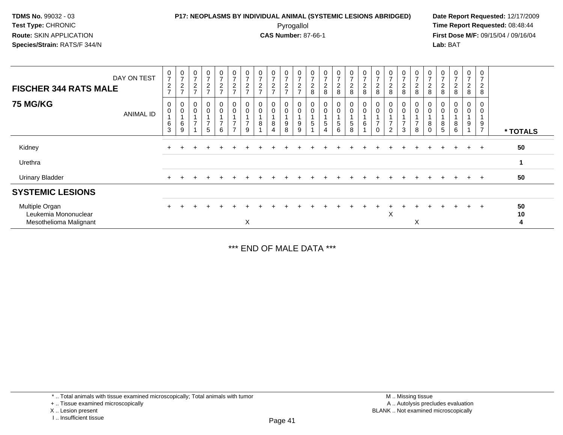#### **P17: NEOPLASMS BY INDIVIDUAL ANIMAL (SYSTEMIC LESIONS ABRIDGED) Date Report Requested:** 12/17/2009 Pyrogallol Pyrogallol **Pyrogallol Time Report Requested:** 08:48:44<br>**CAS Number:** 87-66-1 **Time Report Requested:** 09/15/04 / 09/16/04

**First Dose M/F:** 09/15/04 / 09/16/04 Lab: BAT **Lab:** BAT

| <b>FISCHER 344 RATS MALE</b><br><b>75 MG/KG</b>                  | DAY ON TEST | $\mathbf 0$<br>$\overline{ }$<br>$\overline{c}$<br>$\rightarrow$<br>$\mathbf 0$ | $\frac{0}{7}$<br>$\frac{2}{7}$<br>0 | 0<br>$\overline{ }$<br>$\overline{2}$<br>$\rightarrow$<br>0 | $\mathbf 0$<br>$\overline{ }$<br>$\frac{2}{7}$<br>$\mathbf 0$ | $\pmb{0}$<br>$\overline{7}$<br>$\overline{c}$<br>$\overline{ }$<br>$\pmb{0}$ | 0<br>$\overline{ }$<br>$\overline{\mathbf{c}}$<br>$\overline{ }$<br>0 | $\pmb{0}$<br>$\overline{ }$<br>$\boldsymbol{2}$<br>$\overline{ }$ | $\mathbf 0$<br>$\overline{ }$<br>$\overline{c}$<br>$\rightarrow$<br>$\overline{0}$ | $\mathbf 0$<br>$\overline{ }$<br>$\boldsymbol{2}$<br>$\rightarrow$<br>0 | $\frac{0}{7}$<br>$\frac{2}{7}$<br>$\mathbf 0$ | $\pmb{0}$<br>$\overline{ }$<br>$\frac{2}{7}$<br>$\pmb{0}$ | $\pmb{0}$<br>$\overline{7}$<br>$\boldsymbol{2}$<br>8<br>$\boldsymbol{0}$ | 0<br>$\overline{ }$<br>$\frac{2}{8}$<br>0 | $\frac{0}{7}$<br>$\frac{2}{8}$<br>0 | $\pmb{0}$<br>$\overline{ }$<br>$\frac{2}{8}$<br>$\boldsymbol{0}$ | $\pmb{0}$<br>$\overline{z}$<br>$\frac{2}{8}$<br>0 | $\mathbf 0$<br>$\overline{ }$<br>$\boldsymbol{2}$<br>8 | 0<br>$\overline{ }$<br>$\frac{2}{8}$<br>0 | $\frac{0}{7}$<br>$_{\rm 8}^2$                                       | $\pmb{0}$<br>$\overline{ }$<br>$_{\rm 8}^2$<br>0 | $\pmb{0}$<br>$\overline{ }$<br>$_{\rm 8}^2$<br>0 | $\pmb{0}$<br>$\overline{7}$<br>$\overline{c}$<br>8<br>0 | 0<br>$\overline{ }$<br>$\frac{2}{8}$<br>0 | $\pmb{0}$<br>$\overline{z}$<br>$\overline{c}$<br>8<br>0 | 0<br>$\overline{ }$<br>$\overline{\mathbf{c}}$<br>8<br>0 |               |
|------------------------------------------------------------------|-------------|---------------------------------------------------------------------------------|-------------------------------------|-------------------------------------------------------------|---------------------------------------------------------------|------------------------------------------------------------------------------|-----------------------------------------------------------------------|-------------------------------------------------------------------|------------------------------------------------------------------------------------|-------------------------------------------------------------------------|-----------------------------------------------|-----------------------------------------------------------|--------------------------------------------------------------------------|-------------------------------------------|-------------------------------------|------------------------------------------------------------------|---------------------------------------------------|--------------------------------------------------------|-------------------------------------------|---------------------------------------------------------------------|--------------------------------------------------|--------------------------------------------------|---------------------------------------------------------|-------------------------------------------|---------------------------------------------------------|----------------------------------------------------------|---------------|
|                                                                  | ANIMAL ID   | $\mathbf 0$<br>$\,6$<br>3                                                       | $\pmb{0}$<br>6<br>9                 | $\mathbf 0$<br>$\overline{ }$                               | $\pmb{0}$<br>$\overline{ }$<br>5                              | $\mathbf 0$<br>1<br>$\overline{7}$<br>6                                      | $\mathbf 0$<br>$\overline{\phantom{0}}$<br>$\overline{ }$             | $\mathbf 0$<br>$\overline{ }$<br>9                                | 0<br>8                                                                             | $\pmb{0}$<br>8<br>4                                                     | $\pmb{0}$<br>$\boldsymbol{9}$<br>8            | $\mathbf 0$<br>$\overline{\mathbf{A}}$<br>9<br>9          | $\boldsymbol{0}$<br>1<br>$\sqrt{5}$                                      | $\boldsymbol{0}$<br>$5\phantom{.0}$       | 0<br>5<br>6                         | $\pmb{0}$<br>$\,$ 5 $\,$<br>8                                    | $\pmb{0}$<br>$\overline{ }$<br>6                  | $\mathbf 0$<br>⇁<br>$\Omega$                           | 0<br>$\overline{ }$<br>$\overline{2}$     | $\begin{smallmatrix} 0\\0 \end{smallmatrix}$<br>$\overline{ }$<br>3 | $\pmb{0}$<br>$\overline{ }$<br>8                 | $\pmb{0}$<br>8<br>$\Omega$                       | $\mathbf 0$<br>8<br>5                                   | $\pmb{0}$<br>8<br>6                       | $\pmb{0}$<br>9                                          | 0<br>9<br>$\overline{ }$                                 | * TOTALS      |
| Kidney                                                           |             | $\div$                                                                          |                                     | $\div$                                                      |                                                               |                                                                              |                                                                       |                                                                   |                                                                                    |                                                                         |                                               |                                                           |                                                                          |                                           |                                     |                                                                  |                                                   |                                                        |                                           |                                                                     |                                                  |                                                  |                                                         |                                           | $+$                                                     | $+$                                                      | 50            |
| Urethra                                                          |             |                                                                                 |                                     |                                                             |                                                               |                                                                              |                                                                       |                                                                   |                                                                                    |                                                                         |                                               |                                                           |                                                                          |                                           |                                     |                                                                  |                                                   |                                                        |                                           |                                                                     |                                                  |                                                  |                                                         |                                           |                                                         |                                                          | $\mathbf 1$   |
| <b>Urinary Bladder</b>                                           |             | $\ddot{}$                                                                       |                                     |                                                             |                                                               |                                                                              |                                                                       |                                                                   |                                                                                    |                                                                         |                                               |                                                           |                                                                          |                                           |                                     |                                                                  |                                                   |                                                        |                                           |                                                                     |                                                  |                                                  |                                                         |                                           | $+$                                                     | $^{+}$                                                   | 50            |
| <b>SYSTEMIC LESIONS</b>                                          |             |                                                                                 |                                     |                                                             |                                                               |                                                                              |                                                                       |                                                                   |                                                                                    |                                                                         |                                               |                                                           |                                                                          |                                           |                                     |                                                                  |                                                   |                                                        |                                           |                                                                     |                                                  |                                                  |                                                         |                                           |                                                         |                                                          |               |
| Multiple Organ<br>Leukemia Mononuclear<br>Mesothelioma Malignant |             |                                                                                 |                                     |                                                             |                                                               |                                                                              |                                                                       | X                                                                 |                                                                                    |                                                                         |                                               |                                                           |                                                                          |                                           |                                     |                                                                  |                                                   |                                                        | X                                         |                                                                     | X                                                |                                                  |                                                         |                                           | $+$                                                     | $+$                                                      | 50<br>10<br>4 |

\*\*\* END OF MALE DATA \*\*\*

\* .. Total animals with tissue examined microscopically; Total animals with tumor

X .. Lesion present

I .. Insufficient tissue

<sup>+ ..</sup> Tissue examined microscopically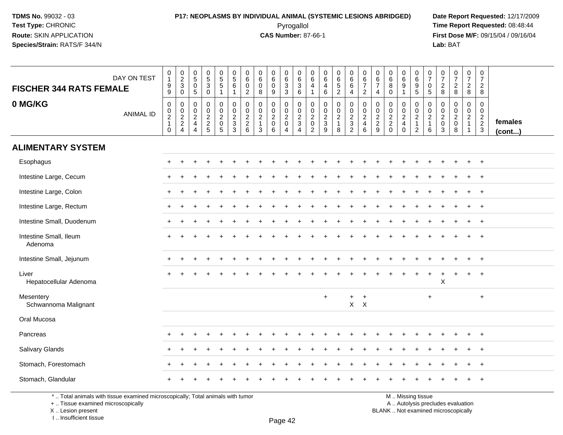#### **P17: NEOPLASMS BY INDIVIDUAL ANIMAL (SYSTEMIC LESIONS ABRIDGED) Date Report Requested:** 12/17/2009 Pyrogallol **Time Report Requested:** 08:48:44

**First Dose M/F:** 09/15/04 / 09/16/04<br>**Lab:** BAT **Lab:** BAT

| <b>FISCHER 344 RATS FEMALE</b>                                                  | DAY ON TEST      | $\begin{smallmatrix}0\\1\end{smallmatrix}$<br>$\boldsymbol{9}$<br>$9\,$ | $\begin{smallmatrix} 0\\2\\3 \end{smallmatrix}$<br>$\mathbf 0$ | $\begin{smallmatrix}0\5\0\end{smallmatrix}$<br>$\overline{5}$ | $\begin{array}{c} 0 \\ 5 \\ 3 \end{array}$<br>$\mathbf 0$ | $\begin{array}{c} 0 \\ 5 \\ 5 \end{array}$<br>$\mathbf{1}$      | $\begin{array}{c} 0 \\ 5 \end{array}$<br>6<br>$\overline{1}$ | $\mathbf 0$<br>$\overline{6}$<br>$\mathbf 0$<br>$\overline{2}$ | $\begin{array}{c} 0 \\ 6 \end{array}$<br>$\pmb{0}$<br>8                  | $\begin{array}{c} 0 \\ 6 \end{array}$<br>$\mathbf 0$<br>9 | $_{6}^{\rm 0}$<br>$\overline{3}$<br>$\mathbf{3}$            | 0<br>0<br>0<br>0<br>0                | $\mathbf 0$<br>$6\phantom{1}6$<br>4<br>$\mathbf{1}$                       | $\mathbf 0$<br>6<br>4<br>$\,6\,$                                   | 0<br>6<br>5<br>2                                        | $\begin{array}{c} 0 \\ 6 \\ 6 \end{array}$<br>$\overline{4}$ | $\begin{array}{c} 0 \\ 6 \\ 7 \end{array}$<br>$\overline{2}$              | $\mathbf 0$<br>$\,6\,$<br>$\overline{7}$<br>$\overline{4}$ | $\mathbf 0$<br>$\,6\,$<br>8<br>$\mathbf 0$                         | $\mathbf 0$<br>$\overline{6}$<br>$\boldsymbol{9}$<br>1 | $\begin{array}{c} 0 \\ 6 \end{array}$<br>$\frac{9}{5}$                       | $\frac{0}{7}$<br>$\pmb{0}$<br>$\sqrt{5}$                    | $\frac{0}{7}$<br>$\frac{2}{8}$                                                                  | $\begin{array}{c} 0 \\ 7 \end{array}$<br>$\frac{2}{8}$             | $\frac{0}{7}$<br>$_{8}^{\rm 2}$                    | $\begin{smallmatrix}0\\7\end{smallmatrix}$<br>$\overline{2}$<br>8 |                   |
|---------------------------------------------------------------------------------|------------------|-------------------------------------------------------------------------|----------------------------------------------------------------|---------------------------------------------------------------|-----------------------------------------------------------|-----------------------------------------------------------------|--------------------------------------------------------------|----------------------------------------------------------------|--------------------------------------------------------------------------|-----------------------------------------------------------|-------------------------------------------------------------|--------------------------------------|---------------------------------------------------------------------------|--------------------------------------------------------------------|---------------------------------------------------------|--------------------------------------------------------------|---------------------------------------------------------------------------|------------------------------------------------------------|--------------------------------------------------------------------|--------------------------------------------------------|------------------------------------------------------------------------------|-------------------------------------------------------------|-------------------------------------------------------------------------------------------------|--------------------------------------------------------------------|----------------------------------------------------|-------------------------------------------------------------------|-------------------|
| 0 MG/KG                                                                         | <b>ANIMAL ID</b> | $\mathbf 0$<br>$\pmb{0}$<br>$\sqrt{2}$<br>$\mathbf{1}$<br>$\mathbf 0$   | 0<br>$\boldsymbol{0}$<br>$\frac{2}{2}$                         | $\pmb{0}$<br>$\mathbf 0$<br>$\frac{2}{4}$<br>$\overline{4}$   | $\pmb{0}$<br>$\pmb{0}$<br>$\frac{2}{2}$                   | 0<br>$\mathbf 0$<br>$\sqrt{2}$<br>$\mathsf 0$<br>$\overline{5}$ | $\pmb{0}$<br>$\mathsf 0$<br>$\sqrt{2}$<br>$\frac{3}{3}$      | 0<br>$\mathbf 0$<br>$\overline{c}$<br>$\frac{2}{6}$            | $\mathbf 0$<br>$\mathbf 0$<br>$\sqrt{2}$<br>$\mathbf{1}$<br>$\mathbf{3}$ | 0<br>$\pmb{0}$<br>$\overline{c}$<br>$\mathbf 0$<br>6      | 0<br>$\pmb{0}$<br>$\sqrt{2}$<br>$\pmb{0}$<br>$\overline{4}$ | 0<br>$\frac{0}{2}$<br>$\overline{4}$ | $\mathbf 0$<br>$\mathbf 0$<br>$\sqrt{2}$<br>$\mathbf 0$<br>$\overline{c}$ | $\mathbf 0$<br>$\mathbf 0$<br>$\boldsymbol{2}$<br>$\mathbf 3$<br>9 | 0<br>$\mathbf 0$<br>$\overline{c}$<br>$\mathbf{1}$<br>8 | 0<br>$\begin{array}{c} 0 \\ 2 \\ 3 \\ 2 \end{array}$         | $\pmb{0}$<br>$\ddot{\mathbf{0}}$<br>$\overline{2}$<br>$\overline{4}$<br>6 | 0<br>$\mathbf 0$<br>$\sqrt{2}$<br>$\frac{2}{9}$            | $\mathbf 0$<br>$\mathbf 0$<br>$\sqrt{2}$<br>$\sqrt{2}$<br>$\Omega$ | 0<br>0<br>$\sqrt{2}$<br>$\overline{4}$<br>$\Omega$     | 0<br>$\mathsf{O}\xspace$<br>$\overline{2}$<br>$\mathbf{1}$<br>$\overline{2}$ | 0<br>$\mathsf{O}\xspace$<br>$\sqrt{2}$<br>$\mathbf{1}$<br>6 | $\boldsymbol{0}$<br>$\begin{smallmatrix} 0\\2 \end{smallmatrix}$<br>$\mathbf 0$<br>$\mathbf{3}$ | $\mathbf 0$<br>$\mathbf 0$<br>$\boldsymbol{2}$<br>$\mathsf 0$<br>8 | 0<br>$\mathbf 0$<br>$\overline{a}$<br>$\mathbf{1}$ | $\mathbf 0$<br>$\mathsf{O}\xspace$<br>$\frac{2}{3}$               | females<br>(cont) |
| <b>ALIMENTARY SYSTEM</b>                                                        |                  |                                                                         |                                                                |                                                               |                                                           |                                                                 |                                                              |                                                                |                                                                          |                                                           |                                                             |                                      |                                                                           |                                                                    |                                                         |                                                              |                                                                           |                                                            |                                                                    |                                                        |                                                                              |                                                             |                                                                                                 |                                                                    |                                                    |                                                                   |                   |
| Esophagus                                                                       |                  |                                                                         |                                                                |                                                               |                                                           |                                                                 |                                                              |                                                                |                                                                          |                                                           |                                                             |                                      |                                                                           |                                                                    |                                                         |                                                              |                                                                           |                                                            |                                                                    |                                                        |                                                                              |                                                             |                                                                                                 |                                                                    |                                                    | $\ddot{}$                                                         |                   |
| Intestine Large, Cecum                                                          |                  |                                                                         |                                                                |                                                               |                                                           |                                                                 |                                                              |                                                                |                                                                          |                                                           |                                                             |                                      |                                                                           |                                                                    |                                                         |                                                              |                                                                           |                                                            |                                                                    |                                                        |                                                                              |                                                             |                                                                                                 |                                                                    |                                                    |                                                                   |                   |
| Intestine Large, Colon                                                          |                  |                                                                         |                                                                |                                                               |                                                           |                                                                 |                                                              |                                                                |                                                                          |                                                           |                                                             |                                      |                                                                           |                                                                    |                                                         |                                                              |                                                                           |                                                            |                                                                    |                                                        |                                                                              |                                                             |                                                                                                 |                                                                    |                                                    |                                                                   |                   |
| Intestine Large, Rectum                                                         |                  |                                                                         |                                                                |                                                               |                                                           |                                                                 |                                                              |                                                                |                                                                          |                                                           |                                                             |                                      |                                                                           |                                                                    |                                                         |                                                              |                                                                           |                                                            |                                                                    |                                                        |                                                                              |                                                             |                                                                                                 |                                                                    |                                                    | $\ddot{}$                                                         |                   |
| Intestine Small, Duodenum                                                       |                  |                                                                         |                                                                |                                                               |                                                           |                                                                 |                                                              |                                                                |                                                                          |                                                           |                                                             |                                      |                                                                           |                                                                    |                                                         |                                                              |                                                                           |                                                            |                                                                    |                                                        |                                                                              |                                                             |                                                                                                 |                                                                    |                                                    |                                                                   |                   |
| Intestine Small, Ileum<br>Adenoma                                               |                  |                                                                         |                                                                |                                                               |                                                           |                                                                 |                                                              |                                                                |                                                                          |                                                           |                                                             |                                      |                                                                           |                                                                    |                                                         |                                                              |                                                                           |                                                            |                                                                    |                                                        |                                                                              |                                                             |                                                                                                 |                                                                    |                                                    |                                                                   |                   |
| Intestine Small, Jejunum                                                        |                  |                                                                         |                                                                |                                                               |                                                           |                                                                 |                                                              |                                                                |                                                                          |                                                           |                                                             |                                      |                                                                           |                                                                    |                                                         |                                                              |                                                                           |                                                            |                                                                    |                                                        |                                                                              |                                                             |                                                                                                 |                                                                    |                                                    | $^{+}$                                                            |                   |
| Liver<br>Hepatocellular Adenoma                                                 |                  |                                                                         |                                                                |                                                               |                                                           |                                                                 |                                                              |                                                                |                                                                          |                                                           |                                                             |                                      |                                                                           |                                                                    |                                                         |                                                              |                                                                           |                                                            |                                                                    |                                                        |                                                                              | $\ddot{}$                                                   | X                                                                                               |                                                                    | $\ddot{}$                                          | $\ddot{}$                                                         |                   |
| Mesentery<br>Schwannoma Malignant                                               |                  |                                                                         |                                                                |                                                               |                                                           |                                                                 |                                                              |                                                                |                                                                          |                                                           |                                                             |                                      |                                                                           | $\ddot{}$                                                          |                                                         | $\ddot{}$                                                    | $\ddot{}$<br>$X$ $X$                                                      |                                                            |                                                                    |                                                        |                                                                              | $\ddot{}$                                                   |                                                                                                 |                                                                    |                                                    | $+$                                                               |                   |
| Oral Mucosa                                                                     |                  |                                                                         |                                                                |                                                               |                                                           |                                                                 |                                                              |                                                                |                                                                          |                                                           |                                                             |                                      |                                                                           |                                                                    |                                                         |                                                              |                                                                           |                                                            |                                                                    |                                                        |                                                                              |                                                             |                                                                                                 |                                                                    |                                                    |                                                                   |                   |
| Pancreas                                                                        |                  |                                                                         |                                                                |                                                               |                                                           |                                                                 |                                                              |                                                                |                                                                          |                                                           |                                                             |                                      |                                                                           |                                                                    |                                                         |                                                              |                                                                           |                                                            |                                                                    |                                                        |                                                                              |                                                             |                                                                                                 |                                                                    |                                                    |                                                                   |                   |
| Salivary Glands                                                                 |                  |                                                                         |                                                                |                                                               |                                                           |                                                                 |                                                              |                                                                |                                                                          |                                                           |                                                             |                                      |                                                                           |                                                                    |                                                         |                                                              |                                                                           |                                                            |                                                                    |                                                        |                                                                              |                                                             |                                                                                                 |                                                                    |                                                    | $\ddot{}$                                                         |                   |
| Stomach, Forestomach                                                            |                  |                                                                         |                                                                |                                                               |                                                           |                                                                 |                                                              |                                                                |                                                                          |                                                           |                                                             |                                      |                                                                           |                                                                    |                                                         |                                                              |                                                                           |                                                            |                                                                    |                                                        |                                                                              |                                                             |                                                                                                 |                                                                    |                                                    |                                                                   |                   |
| Stomach, Glandular                                                              |                  |                                                                         |                                                                |                                                               |                                                           |                                                                 |                                                              |                                                                |                                                                          |                                                           |                                                             |                                      |                                                                           |                                                                    |                                                         |                                                              |                                                                           |                                                            |                                                                    |                                                        |                                                                              |                                                             |                                                                                                 |                                                                    |                                                    |                                                                   |                   |
| *  Total animals with tissue examined microscopically; Total animals with tumor |                  |                                                                         |                                                                |                                                               |                                                           |                                                                 |                                                              |                                                                |                                                                          |                                                           |                                                             |                                      |                                                                           |                                                                    |                                                         |                                                              |                                                                           |                                                            |                                                                    |                                                        | M  Missing tissue                                                            |                                                             |                                                                                                 |                                                                    |                                                    |                                                                   |                   |

+ .. Tissue examined microscopically

 Lesion present BLANK .. Not examined microscopicallyX .. Lesion present

I .. Insufficient tissue

M .. Missing tissue

y the contract of the contract of the contract of the contract of the contract of  $\mathsf A$  . Autolysis precludes evaluation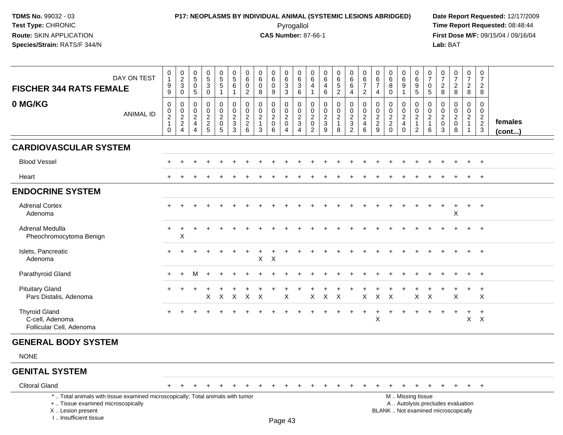## **P17: NEOPLASMS BY INDIVIDUAL ANIMAL (SYSTEMIC LESIONS ABRIDGED) Date Report Requested:** 12/17/2009 Pyrogallol Pyrogallol **Pyrogallol Time Report Requested:** 08:48:44<br>**CAS Number:** 87-66-1 **Time Report Requested:** 08/15/04 / 09/16/04

| <b>FISCHER 344 RATS FEMALE</b>                                                                                                                                     | DAY ON TEST      | $\pmb{0}$<br>$\overline{1}$<br>$\boldsymbol{9}$<br>9                       | $\pmb{0}$<br>$\frac{2}{3}$<br>$\mathbf 0$                              | 0<br>$\overline{5}$<br>$\mathbf 0$<br>5                                               | $\begin{smallmatrix}0\0\5\end{smallmatrix}$<br>$\sqrt{3}$<br>$\mathbf 0$ | $\begin{array}{c} 0 \\ 5 \\ 5 \end{array}$<br>$\overline{1}$   | $\mathbf 0$<br>$\overline{5}$<br>6<br>$\mathbf{1}$          | $\mathbf 0$<br>6<br>$\mathbf 0$<br>$\overline{2}$                   | $\pmb{0}$<br>$\,6\,$<br>$\mathbf 0$<br>8                          | $\pmb{0}$<br>$6\overline{6}$<br>$\mathbf 0$<br>9                 | $\pmb{0}$<br>$6\overline{6}$<br>3<br>3                 | $\pmb{0}$<br>$\,6\,$<br>$\mathbf{3}$<br>6                                              | 0<br>6<br>4<br>1                                        | $\mathbf 0$<br>6<br>4<br>6                                       | 0<br>$\frac{6}{5}$<br>$\overline{2}$                    | $\mathbf 0$<br>$6\phantom{.}6$<br>6<br>4                                            | $\mathbf 0$<br>$\,6\,$<br>$\overline{7}$<br>$\overline{2}$  | $\mathbf 0$<br>$\,6\,$<br>$\overline{7}$<br>4 | 0<br>$\,6\,$<br>8<br>$\mathbf{0}$                       | 0<br>$6\overline{6}$<br>9<br>1                                   | $\,0\,$<br>$6\overline{6}$<br>9<br>5                                   | $\pmb{0}$<br>$\overline{7}$<br>$\mathbf 0$<br>5       | 0<br>$\overline{7}$<br>$\overline{2}$<br>8          | $\begin{array}{c} 0 \\ 7 \end{array}$<br>$\overline{c}$<br>8             | $\mathbf 0$<br>$\overline{7}$<br>$\overline{2}$<br>8           | $\mathbf 0$<br>$\overline{7}$<br>$\overline{2}$<br>8          |                   |
|--------------------------------------------------------------------------------------------------------------------------------------------------------------------|------------------|----------------------------------------------------------------------------|------------------------------------------------------------------------|---------------------------------------------------------------------------------------|--------------------------------------------------------------------------|----------------------------------------------------------------|-------------------------------------------------------------|---------------------------------------------------------------------|-------------------------------------------------------------------|------------------------------------------------------------------|--------------------------------------------------------|----------------------------------------------------------------------------------------|---------------------------------------------------------|------------------------------------------------------------------|---------------------------------------------------------|-------------------------------------------------------------------------------------|-------------------------------------------------------------|-----------------------------------------------|---------------------------------------------------------|------------------------------------------------------------------|------------------------------------------------------------------------|-------------------------------------------------------|-----------------------------------------------------|--------------------------------------------------------------------------|----------------------------------------------------------------|---------------------------------------------------------------|-------------------|
| 0 MG/KG                                                                                                                                                            | <b>ANIMAL ID</b> | $\mathbf 0$<br>$\mathbf 0$<br>$\boldsymbol{2}$<br>$\mathbf{1}$<br>$\Omega$ | 0<br>$\mathbf 0$<br>$\overline{c}$<br>$\overline{2}$<br>$\overline{4}$ | $\mathbf 0$<br>$\Omega$<br>$\overline{2}$<br>$\overline{4}$<br>$\boldsymbol{\Lambda}$ | $\mathbf 0$<br>$\mathbf 0$<br>$\boldsymbol{2}$<br>$\boldsymbol{2}$<br>5  | 0<br>$\mathbf 0$<br>$\overline{c}$<br>$\mathsf{O}\xspace$<br>5 | $\mathbf 0$<br>$\mathbf 0$<br>$\sqrt{2}$<br>$\sqrt{3}$<br>3 | $\mathbf 0$<br>$\mathbf 0$<br>$\overline{2}$<br>$\overline{2}$<br>6 | $\mathbf 0$<br>$\mathbf 0$<br>$\overline{2}$<br>$\mathbf{1}$<br>3 | $\mathbf 0$<br>$\mathbf 0$<br>$\overline{a}$<br>$\mathbf 0$<br>6 | 0<br>$\mathbf 0$<br>$\overline{2}$<br>$\mathbf 0$<br>4 | $\mathbf 0$<br>$\mathbf 0$<br>$\boldsymbol{2}$<br>$\sqrt{3}$<br>$\boldsymbol{\Lambda}$ | 0<br>$\mathbf{0}$<br>$\overline{2}$<br>$\mathbf 0$<br>2 | $\mathbf 0$<br>$\Omega$<br>$\overline{2}$<br>$\mathfrak{Z}$<br>9 | 0<br>$\mathbf 0$<br>$\overline{a}$<br>$\mathbf{1}$<br>8 | 0<br>$\mathbf 0$<br>$\overline{c}$<br>$\ensuremath{\mathsf{3}}$<br>$\boldsymbol{2}$ | 0<br>$\mathbf 0$<br>$\boldsymbol{2}$<br>$\overline{4}$<br>6 | 0<br>$\mathbf 0$<br>$\frac{2}{2}$<br>9        | $\mathbf 0$<br>$\mathbf 0$<br>$\frac{2}{2}$<br>$\Omega$ | 0<br>$\mathbf 0$<br>$\overline{2}$<br>$\overline{4}$<br>$\Omega$ | 0<br>$\mathbf 0$<br>$\overline{2}$<br>$\overline{1}$<br>$\overline{2}$ | 0<br>$\mathbf 0$<br>$\mathbf{2}$<br>$\mathbf{1}$<br>6 | 0<br>$\Omega$<br>$\overline{c}$<br>$\mathbf 0$<br>3 | $\mathbf 0$<br>$\mathbf 0$<br>$\overline{2}$<br>$\mathbf 0$<br>8         | $\mathbf 0$<br>$\Omega$<br>$\overline{2}$<br>$\mathbf{1}$<br>1 | $\mathbf 0$<br>$\mathbf 0$<br>$\overline{2}$<br>$\frac{2}{3}$ | females<br>(cont) |
| <b>CARDIOVASCULAR SYSTEM</b>                                                                                                                                       |                  |                                                                            |                                                                        |                                                                                       |                                                                          |                                                                |                                                             |                                                                     |                                                                   |                                                                  |                                                        |                                                                                        |                                                         |                                                                  |                                                         |                                                                                     |                                                             |                                               |                                                         |                                                                  |                                                                        |                                                       |                                                     |                                                                          |                                                                |                                                               |                   |
| <b>Blood Vessel</b>                                                                                                                                                |                  |                                                                            |                                                                        |                                                                                       |                                                                          |                                                                |                                                             |                                                                     |                                                                   |                                                                  |                                                        |                                                                                        |                                                         |                                                                  |                                                         |                                                                                     |                                                             |                                               |                                                         |                                                                  |                                                                        |                                                       |                                                     |                                                                          |                                                                |                                                               |                   |
| Heart                                                                                                                                                              |                  |                                                                            |                                                                        |                                                                                       |                                                                          |                                                                |                                                             |                                                                     |                                                                   |                                                                  |                                                        |                                                                                        |                                                         |                                                                  |                                                         |                                                                                     |                                                             |                                               |                                                         |                                                                  |                                                                        |                                                       |                                                     |                                                                          |                                                                |                                                               |                   |
| <b>ENDOCRINE SYSTEM</b>                                                                                                                                            |                  |                                                                            |                                                                        |                                                                                       |                                                                          |                                                                |                                                             |                                                                     |                                                                   |                                                                  |                                                        |                                                                                        |                                                         |                                                                  |                                                         |                                                                                     |                                                             |                                               |                                                         |                                                                  |                                                                        |                                                       |                                                     |                                                                          |                                                                |                                                               |                   |
| <b>Adrenal Cortex</b><br>Adenoma                                                                                                                                   |                  |                                                                            |                                                                        |                                                                                       |                                                                          |                                                                |                                                             |                                                                     |                                                                   |                                                                  |                                                        |                                                                                        |                                                         |                                                                  |                                                         |                                                                                     |                                                             |                                               |                                                         |                                                                  |                                                                        | $\ddot{}$                                             | $\ddot{}$                                           | $\ddot{}$<br>X                                                           | $+$                                                            | $^{+}$                                                        |                   |
| Adrenal Medulla<br>Pheochromocytoma Benign                                                                                                                         |                  |                                                                            | X                                                                      |                                                                                       |                                                                          |                                                                |                                                             |                                                                     |                                                                   |                                                                  |                                                        |                                                                                        |                                                         |                                                                  |                                                         |                                                                                     |                                                             |                                               |                                                         |                                                                  |                                                                        |                                                       |                                                     |                                                                          |                                                                | $\ddot{}$                                                     |                   |
| Islets, Pancreatic<br>Adenoma                                                                                                                                      |                  |                                                                            |                                                                        |                                                                                       |                                                                          |                                                                |                                                             |                                                                     | X                                                                 | $\times$                                                         |                                                        |                                                                                        |                                                         |                                                                  |                                                         |                                                                                     |                                                             |                                               |                                                         |                                                                  |                                                                        |                                                       |                                                     |                                                                          |                                                                | $+$                                                           |                   |
| Parathyroid Gland                                                                                                                                                  |                  |                                                                            | $\ddot{}$                                                              | м                                                                                     | $\ddot{}$                                                                |                                                                |                                                             |                                                                     |                                                                   |                                                                  |                                                        |                                                                                        |                                                         |                                                                  |                                                         |                                                                                     |                                                             |                                               |                                                         |                                                                  |                                                                        |                                                       |                                                     |                                                                          | $\ddot{}$                                                      | $+$                                                           |                   |
| <b>Pituitary Gland</b><br>Pars Distalis, Adenoma                                                                                                                   |                  |                                                                            |                                                                        |                                                                                       | X                                                                        | $\boldsymbol{\mathsf{X}}$                                      | $\mathsf X$                                                 | $\mathsf{X}$                                                        | $\times$                                                          |                                                                  | X                                                      |                                                                                        | $\mathsf X$                                             | $\mathsf{X}$                                                     | $\boldsymbol{\mathsf{X}}$                               |                                                                                     | $\mathsf X$                                                 | $\mathsf X$                                   | $\times$                                                |                                                                  | X                                                                      | $\boldsymbol{\mathsf{X}}$                             |                                                     | X                                                                        | $\div$                                                         | $\ddot{}$<br>$\sf X$                                          |                   |
| <b>Thyroid Gland</b><br>C-cell, Adenoma<br>Follicular Cell, Adenoma                                                                                                |                  |                                                                            |                                                                        |                                                                                       |                                                                          |                                                                |                                                             |                                                                     |                                                                   |                                                                  |                                                        |                                                                                        |                                                         |                                                                  |                                                         | $\pm$                                                                               | $\ddot{}$                                                   | $\ddot{}$<br>X                                |                                                         |                                                                  |                                                                        |                                                       | ÷                                                   | $\pm$                                                                    | $+$<br>$\mathsf{X}$                                            | $+$<br>$\mathsf{X}$                                           |                   |
| <b>GENERAL BODY SYSTEM</b>                                                                                                                                         |                  |                                                                            |                                                                        |                                                                                       |                                                                          |                                                                |                                                             |                                                                     |                                                                   |                                                                  |                                                        |                                                                                        |                                                         |                                                                  |                                                         |                                                                                     |                                                             |                                               |                                                         |                                                                  |                                                                        |                                                       |                                                     |                                                                          |                                                                |                                                               |                   |
| <b>NONE</b>                                                                                                                                                        |                  |                                                                            |                                                                        |                                                                                       |                                                                          |                                                                |                                                             |                                                                     |                                                                   |                                                                  |                                                        |                                                                                        |                                                         |                                                                  |                                                         |                                                                                     |                                                             |                                               |                                                         |                                                                  |                                                                        |                                                       |                                                     |                                                                          |                                                                |                                                               |                   |
| <b>GENITAL SYSTEM</b>                                                                                                                                              |                  |                                                                            |                                                                        |                                                                                       |                                                                          |                                                                |                                                             |                                                                     |                                                                   |                                                                  |                                                        |                                                                                        |                                                         |                                                                  |                                                         |                                                                                     |                                                             |                                               |                                                         |                                                                  |                                                                        |                                                       |                                                     |                                                                          |                                                                |                                                               |                   |
| <b>Clitoral Gland</b>                                                                                                                                              |                  | $+$                                                                        | $\pm$                                                                  | $\pm$                                                                                 |                                                                          |                                                                |                                                             |                                                                     |                                                                   | +                                                                | $\div$                                                 |                                                                                        |                                                         |                                                                  |                                                         | $\div$                                                                              |                                                             |                                               |                                                         | $\ddot{}$                                                        | $\pm$                                                                  | $\ddot{}$                                             | $\ddot{}$                                           | $+$                                                                      | $+$                                                            | $+$                                                           |                   |
| *  Total animals with tissue examined microscopically; Total animals with tumor<br>+  Tissue examined microscopically<br>X Lesion present<br>I Insufficient tissue |                  |                                                                            |                                                                        |                                                                                       |                                                                          |                                                                |                                                             |                                                                     |                                                                   |                                                                  | $D_{200}$ $\Lambda$ ?                                  |                                                                                        |                                                         |                                                                  |                                                         |                                                                                     |                                                             |                                               |                                                         |                                                                  | M  Missing tissue                                                      |                                                       |                                                     | A  Autolysis precludes evaluation<br>BLANK  Not examined microscopically |                                                                |                                                               |                   |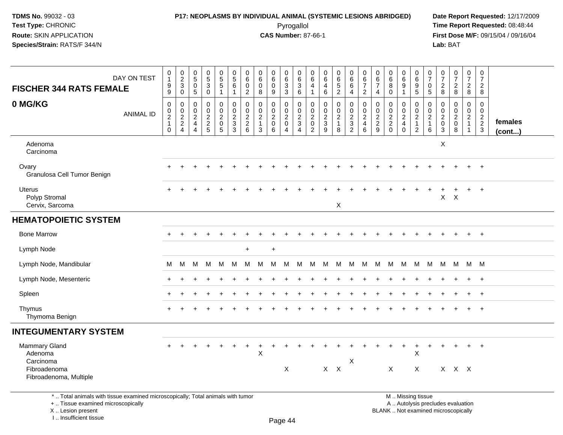I .. Insufficient tissue

## **P17: NEOPLASMS BY INDIVIDUAL ANIMAL (SYSTEMIC LESIONS ABRIDGED) Date Report Requested:** 12/17/2009 Pyrogallol Pyrogallol **Pyrogallol Time Report Requested:** 08:48:44<br>**CAS Number:** 87-66-1 **Time Report Requested:** 08/15/04 / 09/16/04

| <b>FISCHER 344 RATS FEMALE</b>                                                                                                             | DAY ON TEST      | $\mathbf 0$<br>$\mathbf{1}$<br>$^9_9$                      | $\begin{array}{c}\n0 \\ 2 \\ 3 \\ 0\n\end{array}$ | $\pmb{0}$<br>$\overline{5}$<br>$\pmb{0}$<br>$\overline{5}$                       | 0<br>$\overline{5}$<br>$\mathbf{3}$<br>0                      | $\begin{array}{c} 0 \\ 5 \\ 5 \end{array}$<br>$\mathbf{1}$   | $\begin{array}{c} 0 \\ 5 \end{array}$<br>$6\phantom{1}$<br>$\mathbf{1}$ | $\pmb{0}$<br>$\overline{6}$<br>$\pmb{0}$<br>$\boldsymbol{2}$  | $\pmb{0}$<br>$6\phantom{a}$<br>$\pmb{0}$<br>8                                | 0<br>6<br>$\mathbf 0$<br>9                                   | $\pmb{0}$<br>$\overline{6}$<br>$\ensuremath{\mathsf{3}}$<br>$\overline{3}$ | 0<br>$6\phantom{a}$<br>$\sqrt{3}$<br>$6\overline{6}$                          | 0<br>$\overline{6}$<br>$\overline{4}$<br>$\mathbf{1}$           | $\pmb{0}$<br>$\overline{6}$<br>$\overline{4}$<br>$\,6\,$            | $\begin{array}{c} 0 \\ 6 \end{array}$<br>$\frac{5}{2}$ | $\begin{array}{c} 0 \\ 6 \end{array}$<br>$6\phantom{1}$<br>$\overline{4}$ | 0<br>$\overline{6}$<br>$\overline{7}$<br>$\sqrt{2}$                                       | $\pmb{0}$<br>$\overline{6}$<br>$\overline{7}$<br>4                      | $\begin{array}{c} 0 \\ 6 \end{array}$<br>8<br>$\mathbf 0$ | $_{6}^{\rm 0}$<br>9<br>$\mathbf{1}$                                           | 0<br>0<br>0<br>5                                                                              | $\frac{0}{7}$<br>$\mathsf 0$<br>$\overline{5}$                | $\frac{0}{7}$<br>$_{\rm 8}^2$                                 | $\begin{array}{c} 0 \\ 7 \end{array}$<br>$\frac{2}{8}$         | $\frac{0}{7}$<br>$_{\rm 8}^2$                                     | $\frac{0}{7}$<br>$\frac{2}{8}$                              |                   |
|--------------------------------------------------------------------------------------------------------------------------------------------|------------------|------------------------------------------------------------|---------------------------------------------------|----------------------------------------------------------------------------------|---------------------------------------------------------------|--------------------------------------------------------------|-------------------------------------------------------------------------|---------------------------------------------------------------|------------------------------------------------------------------------------|--------------------------------------------------------------|----------------------------------------------------------------------------|-------------------------------------------------------------------------------|-----------------------------------------------------------------|---------------------------------------------------------------------|--------------------------------------------------------|---------------------------------------------------------------------------|-------------------------------------------------------------------------------------------|-------------------------------------------------------------------------|-----------------------------------------------------------|-------------------------------------------------------------------------------|-----------------------------------------------------------------------------------------------|---------------------------------------------------------------|---------------------------------------------------------------|----------------------------------------------------------------|-------------------------------------------------------------------|-------------------------------------------------------------|-------------------|
| 0 MG/KG                                                                                                                                    | <b>ANIMAL ID</b> | 0<br>$\mathbf 0$<br>$\sqrt{2}$<br>$\mathbf{1}$<br>$\Omega$ | $\mathbf 0$<br>$\frac{0}{2}$<br>4                 | $\mathbf 0$<br>$\mathbf 0$<br>$\overline{2}$<br>$\overline{a}$<br>$\overline{4}$ | $\mathbf 0$<br>$\mathbf 0$<br>$\overline{2}$<br>$\frac{2}{5}$ | $\mathbf 0$<br>$\pmb{0}$<br>$\overline{c}$<br>${\bf 0}$<br>5 | $\mathbf 0$<br>$\mathbf 0$<br>$\sqrt{2}$<br>$\overline{3}$<br>$3$       | $\mathbf 0$<br>$\pmb{0}$<br>$\boldsymbol{2}$<br>$\frac{2}{6}$ | $\mathbf 0$<br>$\mathbf 0$<br>$\overline{2}$<br>$\mathbf{1}$<br>$\mathbf{3}$ | $\mathbf 0$<br>$\mathbf 0$<br>$\sqrt{2}$<br>$\mathbf 0$<br>6 | $\mathbf 0$<br>$\mathbf 0$<br>$\sqrt{2}$<br>$\pmb{0}$<br>$\overline{4}$    | $\mathbf 0$<br>$\mathbf 0$<br>$\overline{2}$<br>$\mathsf 3$<br>$\overline{4}$ | 0<br>$\pmb{0}$<br>$\overline{c}$<br>$\pmb{0}$<br>$\overline{c}$ | $\mathbf 0$<br>$\mathbf 0$<br>$\overline{2}$<br>$\overline{3}$<br>9 | 0<br>$\pmb{0}$<br>$\overline{2}$<br>$\mathbf{1}$<br>8  | $\mathbf 0$<br>$\mathsf{O}\xspace$<br>$\frac{2}{3}$                       | $\mathbf 0$<br>$\mathsf{O}\xspace$<br>$\overline{2}$<br>$\overline{4}$<br>$6\phantom{1}6$ | 0<br>$\boldsymbol{0}$<br>$\overline{2}$<br>$\overline{\mathbf{c}}$<br>9 | 0<br>$\begin{matrix} 0 \\ 2 \\ 2 \\ 0 \end{matrix}$       | $\mathbf 0$<br>$\mathbf 0$<br>$\overline{c}$<br>$\overline{4}$<br>$\mathbf 0$ | $\mathbf 0$<br>$\begin{array}{c} 0 \\ 2 \\ 1 \\ 2 \end{array}$                                | 0<br>$\mathbf 0$<br>$\overline{2}$<br>$\mathbf{1}$<br>$\,6\,$ | $\mathbf 0$<br>$\mathbf 0$<br>$\frac{2}{0}$<br>$\overline{3}$ | $\mathbf 0$<br>$\mathbf 0$<br>$\overline{2}$<br>$\pmb{0}$<br>8 | $\mathbf 0$<br>$\mathbf 0$<br>$\overline{2}$<br>$\mathbf{1}$<br>1 | $\mathsf 0$<br>$\mathbf 0$<br>$\frac{2}{2}$<br>$\mathbf{3}$ | females<br>(cont) |
| Adenoma<br>Carcinoma                                                                                                                       |                  |                                                            |                                                   |                                                                                  |                                                               |                                                              |                                                                         |                                                               |                                                                              |                                                              |                                                                            |                                                                               |                                                                 |                                                                     |                                                        |                                                                           |                                                                                           |                                                                         |                                                           |                                                                               |                                                                                               |                                                               | $\boldsymbol{\mathsf{X}}$                                     |                                                                |                                                                   |                                                             |                   |
| Ovary<br>Granulosa Cell Tumor Benign                                                                                                       |                  |                                                            |                                                   |                                                                                  |                                                               |                                                              |                                                                         |                                                               |                                                                              |                                                              |                                                                            |                                                                               |                                                                 |                                                                     |                                                        |                                                                           |                                                                                           |                                                                         |                                                           |                                                                               |                                                                                               |                                                               |                                                               |                                                                |                                                                   |                                                             |                   |
| <b>Uterus</b><br>Polyp Stromal<br>Cervix, Sarcoma                                                                                          |                  |                                                            |                                                   |                                                                                  |                                                               |                                                              |                                                                         |                                                               |                                                                              |                                                              |                                                                            |                                                                               |                                                                 |                                                                     | X                                                      |                                                                           |                                                                                           |                                                                         |                                                           |                                                                               |                                                                                               |                                                               | $\mathsf{X}$                                                  | X                                                              |                                                                   |                                                             |                   |
| <b>HEMATOPOIETIC SYSTEM</b>                                                                                                                |                  |                                                            |                                                   |                                                                                  |                                                               |                                                              |                                                                         |                                                               |                                                                              |                                                              |                                                                            |                                                                               |                                                                 |                                                                     |                                                        |                                                                           |                                                                                           |                                                                         |                                                           |                                                                               |                                                                                               |                                                               |                                                               |                                                                |                                                                   |                                                             |                   |
| <b>Bone Marrow</b>                                                                                                                         |                  |                                                            |                                                   |                                                                                  |                                                               |                                                              |                                                                         |                                                               |                                                                              |                                                              |                                                                            |                                                                               |                                                                 |                                                                     |                                                        |                                                                           |                                                                                           |                                                                         |                                                           |                                                                               |                                                                                               |                                                               |                                                               |                                                                |                                                                   | $\overline{+}$                                              |                   |
| Lymph Node                                                                                                                                 |                  |                                                            |                                                   |                                                                                  |                                                               |                                                              |                                                                         | $\ddot{}$                                                     |                                                                              | $\ddot{}$                                                    |                                                                            |                                                                               |                                                                 |                                                                     |                                                        |                                                                           |                                                                                           |                                                                         |                                                           |                                                                               |                                                                                               |                                                               |                                                               |                                                                |                                                                   |                                                             |                   |
| Lymph Node, Mandibular                                                                                                                     |                  | М                                                          | м                                                 | М                                                                                | м                                                             | M                                                            | М                                                                       | M                                                             | M                                                                            | M                                                            | М                                                                          | м                                                                             | M                                                               | M                                                                   | M                                                      | M                                                                         | М                                                                                         | M                                                                       | M                                                         | M                                                                             | M                                                                                             | M                                                             | M                                                             | M                                                              | M M                                                               |                                                             |                   |
| Lymph Node, Mesenteric                                                                                                                     |                  |                                                            |                                                   |                                                                                  |                                                               |                                                              |                                                                         |                                                               |                                                                              |                                                              |                                                                            |                                                                               |                                                                 |                                                                     |                                                        |                                                                           |                                                                                           |                                                                         |                                                           |                                                                               |                                                                                               |                                                               |                                                               |                                                                |                                                                   | $\overline{+}$                                              |                   |
| Spleen                                                                                                                                     |                  |                                                            |                                                   |                                                                                  |                                                               |                                                              |                                                                         |                                                               |                                                                              |                                                              |                                                                            |                                                                               |                                                                 |                                                                     |                                                        |                                                                           |                                                                                           |                                                                         |                                                           |                                                                               |                                                                                               |                                                               |                                                               |                                                                |                                                                   |                                                             |                   |
| Thymus<br>Thymoma Benign                                                                                                                   |                  |                                                            |                                                   |                                                                                  |                                                               |                                                              |                                                                         |                                                               |                                                                              |                                                              |                                                                            |                                                                               |                                                                 |                                                                     |                                                        |                                                                           |                                                                                           |                                                                         |                                                           |                                                                               |                                                                                               |                                                               |                                                               |                                                                |                                                                   |                                                             |                   |
| <b>INTEGUMENTARY SYSTEM</b>                                                                                                                |                  |                                                            |                                                   |                                                                                  |                                                               |                                                              |                                                                         |                                                               |                                                                              |                                                              |                                                                            |                                                                               |                                                                 |                                                                     |                                                        |                                                                           |                                                                                           |                                                                         |                                                           |                                                                               |                                                                                               |                                                               |                                                               |                                                                |                                                                   |                                                             |                   |
| <b>Mammary Gland</b><br>Adenoma<br>Carcinoma<br>Fibroadenoma<br>Fibroadenoma, Multiple                                                     |                  |                                                            |                                                   |                                                                                  |                                                               |                                                              |                                                                         |                                                               | $\mathsf X$                                                                  |                                                              | X                                                                          |                                                                               |                                                                 | $X$ $X$                                                             |                                                        | Χ                                                                         |                                                                                           |                                                                         | $\mathsf X$                                               |                                                                               | +<br>$\boldsymbol{\mathsf{X}}$<br>X                                                           |                                                               |                                                               | X X X                                                          |                                                                   |                                                             |                   |
| *  Total animals with tissue examined microscopically; Total animals with tumor<br>+  Tissue examined microscopically<br>X  Lesion present |                  |                                                            |                                                   |                                                                                  |                                                               |                                                              |                                                                         |                                                               |                                                                              |                                                              |                                                                            |                                                                               |                                                                 |                                                                     |                                                        |                                                                           |                                                                                           |                                                                         |                                                           |                                                                               | M  Missing tissue<br>A  Autolysis precludes evaluation<br>BLANK  Not examined microscopically |                                                               |                                                               |                                                                |                                                                   |                                                             |                   |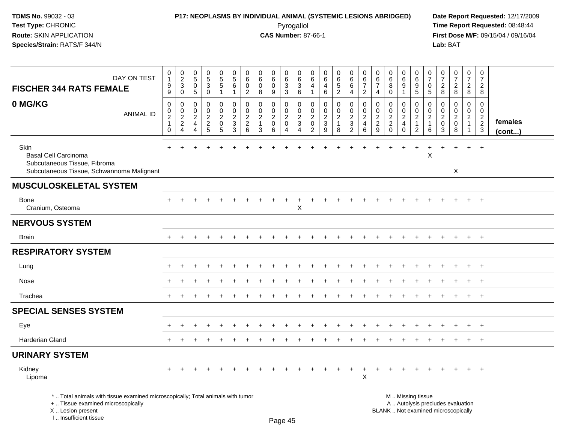## **P17: NEOPLASMS BY INDIVIDUAL ANIMAL (SYSTEMIC LESIONS ABRIDGED) Date Report Requested:** 12/17/2009 Pyrogallol Pyrogallol **Pyrogallol Time Report Requested:** 08:48:44<br>**CAS Number:** 87-66-1 **Time Report Requested:** 08/15/04 / 09/16/04

| DAY ON TEST<br><b>FISCHER 344 RATS FEMALE</b>                                                                                                                       | 0<br>$\mathbf{1}$<br>$\boldsymbol{9}$<br>9                                    | $\begin{smallmatrix} 0\\2\\3 \end{smallmatrix}$<br>$\mathbf 0$ | $\pmb{0}$<br>$\sqrt{5}$<br>$\mathbf 0$<br>5                      | $\begin{array}{c} 0 \\ 5 \end{array}$<br>$\mathfrak{Z}$<br>$\mathbf 0$ | $\begin{array}{c} 0 \\ 5 \end{array}$<br>$\sqrt{5}$<br>$\overline{1}$ | $\mathbf 0$<br>$\sqrt{5}$<br>6<br>$\overline{1}$                                          | 0<br>6<br>$\mathbf 0$<br>$\overline{2}$                    | $\mathbf 0$<br>6<br>$\mathbf 0$<br>8                           | 0<br>6<br>$\mathbf 0$<br>9                | $\pmb{0}$<br>$\,6\,$<br>$\mathbf{3}$<br>3                                         | $\mathbf 0$<br>6<br>$\mathbf{3}$<br>6                 | 0<br>6<br>4<br>$\mathbf{1}$                                      | 0<br>6<br>$\overline{4}$<br>6                                       | $\begin{array}{c} 0 \\ 6 \end{array}$<br>$\overline{5}$<br>$\overline{2}$ | $0\over 6$<br>6<br>$\overline{4}$                                                | $\mathbf 0$<br>$6\phantom{.}6$<br>$\overline{7}$<br>$\overline{2}$  | 0<br>6<br>$\overline{7}$<br>$\overline{4}$                | $\boldsymbol{0}$<br>$\,6\,$<br>8<br>0                    | $\begin{array}{c} 0 \\ 6 \end{array}$<br>9<br>1               | $\pmb{0}$<br>6<br>9<br>$\overline{5}$                                 | $\frac{0}{7}$<br>$\mathbf 0$<br>$\sqrt{5}$                   | 0<br>$\overline{7}$<br>$\overline{2}$<br>8                 | $\frac{0}{7}$<br>$\overline{2}$<br>8                                     | $\frac{0}{7}$<br>$\overline{2}$<br>8                                         | $\begin{smallmatrix} 0\\7 \end{smallmatrix}$<br>$\overline{2}$<br>8 |                         |
|---------------------------------------------------------------------------------------------------------------------------------------------------------------------|-------------------------------------------------------------------------------|----------------------------------------------------------------|------------------------------------------------------------------|------------------------------------------------------------------------|-----------------------------------------------------------------------|-------------------------------------------------------------------------------------------|------------------------------------------------------------|----------------------------------------------------------------|-------------------------------------------|-----------------------------------------------------------------------------------|-------------------------------------------------------|------------------------------------------------------------------|---------------------------------------------------------------------|---------------------------------------------------------------------------|----------------------------------------------------------------------------------|---------------------------------------------------------------------|-----------------------------------------------------------|----------------------------------------------------------|---------------------------------------------------------------|-----------------------------------------------------------------------|--------------------------------------------------------------|------------------------------------------------------------|--------------------------------------------------------------------------|------------------------------------------------------------------------------|---------------------------------------------------------------------|-------------------------|
| 0 MG/KG<br><b>ANIMAL ID</b>                                                                                                                                         | $\mathbf 0$<br>$\mathbf 0$<br>$\boldsymbol{2}$<br>$\mathbf{1}$<br>$\mathbf 0$ | 0<br>$\boldsymbol{0}$<br>$\overline{c}$<br>$\overline{2}$<br>4 | $\Omega$<br>$\mathbf 0$<br>$\overline{c}$<br>4<br>$\overline{4}$ | $\mathbf 0$<br>$\mathbf 0$<br>$\boldsymbol{2}$<br>$\overline{c}$<br>5  | $\mathbf 0$<br>$\pmb{0}$<br>$\boldsymbol{2}$<br>$\mathbf 0$<br>5      | $\mathbf 0$<br>$\mathbf 0$<br>$\overline{c}$<br>$\ensuremath{\mathsf{3}}$<br>$\mathbf{3}$ | $\mathbf{0}$<br>0<br>$\overline{c}$<br>$\overline{2}$<br>6 | $\Omega$<br>$\mathbf 0$<br>$\overline{2}$<br>$\mathbf{1}$<br>3 | $\Omega$<br>0<br>$\overline{c}$<br>0<br>6 | $\mathbf 0$<br>$\mathbf 0$<br>$\sqrt{2}$<br>$\mathbf 0$<br>$\boldsymbol{\Lambda}$ | $\Omega$<br>$\mathbf 0$<br>$\boldsymbol{2}$<br>3<br>4 | $\Omega$<br>0<br>$\overline{2}$<br>$\mathbf 0$<br>$\overline{2}$ | $\mathbf 0$<br>$\mathbf 0$<br>$\boldsymbol{2}$<br>$\mathbf{3}$<br>9 | $\mathbf 0$<br>$\pmb{0}$<br>$\overline{c}$<br>$\mathbf{1}$<br>8           | $\mathbf 0$<br>$\mathbf 0$<br>$\boldsymbol{2}$<br>$\mathbf{3}$<br>$\overline{2}$ | $\mathbf 0$<br>$\mathbf 0$<br>$\overline{c}$<br>$\overline{4}$<br>6 | $\mathbf 0$<br>0<br>$\overline{a}$<br>$\overline{2}$<br>9 | $\mathbf 0$<br>$\pmb{0}$<br>$\frac{2}{2}$<br>$\mathbf 0$ | $\Omega$<br>0<br>$\overline{c}$<br>$\overline{4}$<br>$\Omega$ | 0<br>$\mathsf{O}$<br>$\overline{2}$<br>$\mathbf{1}$<br>$\overline{2}$ | $\Omega$<br>$\mathbf 0$<br>$\sqrt{2}$<br>$\overline{1}$<br>6 | $\Omega$<br>$\Omega$<br>$\overline{c}$<br>$\mathbf 0$<br>3 | $\Omega$<br>$\Omega$<br>$\overline{2}$<br>$\mathbf{0}$<br>8              | $\mathbf 0$<br>$\mathbf 0$<br>$\overline{2}$<br>$\mathbf{1}$<br>$\mathbf{1}$ | $\mathbf 0$<br>$\mathbf 0$<br>$\frac{2}{3}$                         | females<br>$($ cont $)$ |
| Skin<br><b>Basal Cell Carcinoma</b><br>Subcutaneous Tissue, Fibroma<br>Subcutaneous Tissue, Schwannoma Malignant                                                    |                                                                               |                                                                |                                                                  |                                                                        |                                                                       |                                                                                           |                                                            |                                                                |                                           |                                                                                   |                                                       |                                                                  |                                                                     |                                                                           |                                                                                  |                                                                     |                                                           |                                                          |                                                               |                                                                       | $\boldsymbol{\mathsf{X}}$                                    |                                                            | $\sf X$                                                                  | $\ddot{}$                                                                    | $\ddot{}$                                                           |                         |
| <b>MUSCULOSKELETAL SYSTEM</b>                                                                                                                                       |                                                                               |                                                                |                                                                  |                                                                        |                                                                       |                                                                                           |                                                            |                                                                |                                           |                                                                                   |                                                       |                                                                  |                                                                     |                                                                           |                                                                                  |                                                                     |                                                           |                                                          |                                                               |                                                                       |                                                              |                                                            |                                                                          |                                                                              |                                                                     |                         |
| <b>Bone</b><br>Cranium, Osteoma                                                                                                                                     |                                                                               |                                                                |                                                                  |                                                                        |                                                                       |                                                                                           |                                                            |                                                                |                                           |                                                                                   | $\times$                                              |                                                                  |                                                                     |                                                                           |                                                                                  |                                                                     |                                                           |                                                          |                                                               |                                                                       |                                                              |                                                            |                                                                          |                                                                              | $\overline{ }$                                                      |                         |
| <b>NERVOUS SYSTEM</b>                                                                                                                                               |                                                                               |                                                                |                                                                  |                                                                        |                                                                       |                                                                                           |                                                            |                                                                |                                           |                                                                                   |                                                       |                                                                  |                                                                     |                                                                           |                                                                                  |                                                                     |                                                           |                                                          |                                                               |                                                                       |                                                              |                                                            |                                                                          |                                                                              |                                                                     |                         |
| <b>Brain</b>                                                                                                                                                        |                                                                               |                                                                |                                                                  |                                                                        |                                                                       |                                                                                           |                                                            |                                                                |                                           |                                                                                   |                                                       |                                                                  |                                                                     |                                                                           |                                                                                  |                                                                     |                                                           |                                                          |                                                               |                                                                       |                                                              |                                                            |                                                                          | $+$                                                                          | $+$                                                                 |                         |
| <b>RESPIRATORY SYSTEM</b>                                                                                                                                           |                                                                               |                                                                |                                                                  |                                                                        |                                                                       |                                                                                           |                                                            |                                                                |                                           |                                                                                   |                                                       |                                                                  |                                                                     |                                                                           |                                                                                  |                                                                     |                                                           |                                                          |                                                               |                                                                       |                                                              |                                                            |                                                                          |                                                                              |                                                                     |                         |
| Lung                                                                                                                                                                |                                                                               |                                                                |                                                                  |                                                                        |                                                                       |                                                                                           |                                                            |                                                                |                                           |                                                                                   |                                                       |                                                                  |                                                                     |                                                                           |                                                                                  |                                                                     |                                                           |                                                          |                                                               |                                                                       |                                                              |                                                            |                                                                          |                                                                              | $\overline{ }$                                                      |                         |
| Nose                                                                                                                                                                |                                                                               |                                                                |                                                                  |                                                                        |                                                                       |                                                                                           |                                                            |                                                                |                                           |                                                                                   |                                                       |                                                                  |                                                                     |                                                                           |                                                                                  |                                                                     |                                                           |                                                          |                                                               |                                                                       |                                                              |                                                            |                                                                          | $\div$                                                                       | $+$                                                                 |                         |
| Trachea                                                                                                                                                             | ÷.                                                                            |                                                                |                                                                  |                                                                        |                                                                       |                                                                                           |                                                            |                                                                |                                           |                                                                                   |                                                       |                                                                  |                                                                     |                                                                           | <b>+</b>                                                                         |                                                                     |                                                           |                                                          |                                                               | $\ddot{}$                                                             |                                                              |                                                            |                                                                          | $+$                                                                          | $+$                                                                 |                         |
| <b>SPECIAL SENSES SYSTEM</b>                                                                                                                                        |                                                                               |                                                                |                                                                  |                                                                        |                                                                       |                                                                                           |                                                            |                                                                |                                           |                                                                                   |                                                       |                                                                  |                                                                     |                                                                           |                                                                                  |                                                                     |                                                           |                                                          |                                                               |                                                                       |                                                              |                                                            |                                                                          |                                                                              |                                                                     |                         |
| Eye                                                                                                                                                                 |                                                                               |                                                                |                                                                  |                                                                        |                                                                       |                                                                                           |                                                            |                                                                |                                           |                                                                                   |                                                       |                                                                  |                                                                     |                                                                           |                                                                                  |                                                                     |                                                           |                                                          |                                                               |                                                                       |                                                              |                                                            |                                                                          | $\ddot{}$                                                                    | $+$                                                                 |                         |
| <b>Harderian Gland</b>                                                                                                                                              |                                                                               |                                                                |                                                                  |                                                                        |                                                                       |                                                                                           |                                                            |                                                                |                                           |                                                                                   |                                                       |                                                                  |                                                                     |                                                                           |                                                                                  |                                                                     |                                                           |                                                          |                                                               |                                                                       |                                                              |                                                            |                                                                          | $\ddot{}$                                                                    | $+$                                                                 |                         |
| <b>URINARY SYSTEM</b>                                                                                                                                               |                                                                               |                                                                |                                                                  |                                                                        |                                                                       |                                                                                           |                                                            |                                                                |                                           |                                                                                   |                                                       |                                                                  |                                                                     |                                                                           |                                                                                  |                                                                     |                                                           |                                                          |                                                               |                                                                       |                                                              |                                                            |                                                                          |                                                                              |                                                                     |                         |
| Kidney<br>Lipoma                                                                                                                                                    |                                                                               |                                                                |                                                                  |                                                                        |                                                                       |                                                                                           |                                                            |                                                                |                                           |                                                                                   |                                                       |                                                                  |                                                                     |                                                                           |                                                                                  | $\mathsf X$                                                         |                                                           |                                                          |                                                               |                                                                       |                                                              |                                                            |                                                                          |                                                                              | $\ddot{}$                                                           |                         |
| *  Total animals with tissue examined microscopically; Total animals with tumor<br>+  Tissue examined microscopically<br>X  Lesion present<br>I Insufficient tissue |                                                                               |                                                                |                                                                  |                                                                        |                                                                       |                                                                                           |                                                            |                                                                |                                           | $D_{200}$ $AE$                                                                    |                                                       |                                                                  |                                                                     |                                                                           |                                                                                  |                                                                     |                                                           | M  Missing tissue                                        |                                                               |                                                                       |                                                              |                                                            | A  Autolysis precludes evaluation<br>BLANK  Not examined microscopically |                                                                              |                                                                     |                         |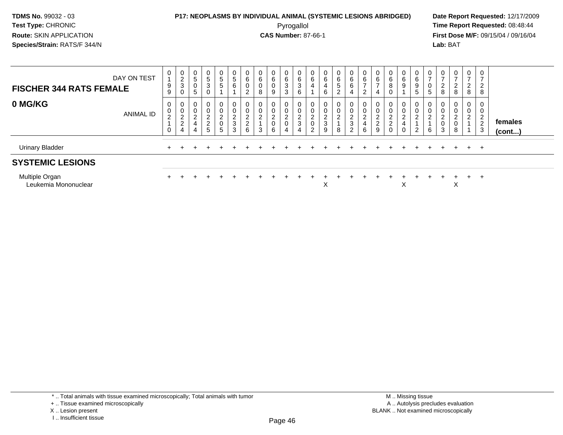#### **P17: NEOPLASMS BY INDIVIDUAL ANIMAL (SYSTEMIC LESIONS ABRIDGED) Date Report Requested:** 12/17/2009 Pyrogallol Pyrogallol **Pyrogallol Time Report Requested:** 08:48:44<br>**CAS Number:** 87-66-1 **Time Report Requested:** 09/15/04 / 09/16/04

**First Dose M/F:** 09/15/04 / 09/16/04 Lab: BAT **Lab:** BAT

| DAY ON TEST<br><b>FISCHER 344 RATS FEMALE</b> | 0<br>9<br>9                      | $\begin{array}{c} 0 \\ 2 \\ 3 \end{array}$<br>0     | 0<br>5<br>$\mathbf 0$<br>5             | 0<br>$\frac{5}{3}$                  | 0<br>$\frac{5}{5}$                                                                    | 0<br>$\sqrt{5}$<br>$\,6\,$                                     | 0<br>$^6_{\rm 0}$<br>2                              | $\begin{array}{c} 0 \\ 6 \end{array}$<br>$\pmb{0}$<br>8 | 0<br>6<br>0<br>9                   | 0<br>$6\over 3$<br>3                    | 0<br>$\,6\,$<br>$\overline{3}$<br>6                             | 0<br>6<br>4                                        | 0<br>$\,6\,$<br>$\overline{\mathbf{4}}$<br>6   | 0<br>$\frac{6}{5}$<br>$\overline{2}$     | 0<br>$\,6$<br>$6^{\circ}$                                                          | $rac{6}{7}$<br>$\sim$           | 0<br>$\frac{6}{7}$                                        | 0<br>$^6_8$                                                                      | 0<br>$^6_9$                                          | 0<br>$\,6\,$<br>9<br>5                                        | 0<br>$\rightarrow$<br>0<br>5  | 0<br>$\overline{ }$<br>$\overline{c}$<br>8                  | 0<br>$\rightarrow$<br>$\overline{2}$<br>8 | $\mathbf{0}$<br>⇁<br>$\overline{2}$<br>8 | 0<br>$\overline{2}$<br>8                                |                         |
|-----------------------------------------------|----------------------------------|-----------------------------------------------------|----------------------------------------|-------------------------------------|---------------------------------------------------------------------------------------|----------------------------------------------------------------|-----------------------------------------------------|---------------------------------------------------------|------------------------------------|-----------------------------------------|-----------------------------------------------------------------|----------------------------------------------------|------------------------------------------------|------------------------------------------|------------------------------------------------------------------------------------|---------------------------------|-----------------------------------------------------------|----------------------------------------------------------------------------------|------------------------------------------------------|---------------------------------------------------------------|-------------------------------|-------------------------------------------------------------|-------------------------------------------|------------------------------------------|---------------------------------------------------------|-------------------------|
| 0 MG/KG<br><b>ANIMAL ID</b>                   | 0<br>$\pmb{0}$<br>$\overline{c}$ | 0<br>$\pmb{0}$<br>$\sqrt{2}$<br>$\overline{c}$<br>4 | $\mathbf 0$<br>$\Omega$<br>∠<br>4<br>4 | 0<br>$\Omega$<br>$\frac{2}{2}$<br>5 | $\mathbf{0}$<br>$\pmb{0}$<br>$\overline{\mathbf{c}}$<br>$\mathbf 0$<br>$\overline{5}$ | 0<br>$\pmb{0}$<br>$\overline{c}$<br>$\sqrt{3}$<br>$\mathbf{3}$ | 0<br>$\pmb{0}$<br>$\boldsymbol{2}$<br>$\frac{2}{6}$ | 0<br>$\pmb{0}$<br>$\overline{2}$<br>3                   | 0<br>0<br>$\overline{c}$<br>0<br>6 | 0<br>$\overline{c}$<br>$\boldsymbol{0}$ | 0<br>$\pmb{0}$<br>$\boldsymbol{2}$<br>$\ensuremath{\mathsf{3}}$ | $\mathbf 0$<br>0<br>$\sim$<br>$\epsilon$<br>0<br>2 | 0<br>$\pmb{0}$<br>$\overline{c}$<br>3<br>$9\,$ | $\mathbf{0}$<br>0<br>$\overline{a}$<br>8 | 0<br>$\boldsymbol{0}$<br>$\overline{\mathbf{c}}$<br>$\ensuremath{\mathsf{3}}$<br>2 | 0<br>C.<br>$\epsilon$<br>4<br>6 | $\boldsymbol{0}$<br>$\overline{c}$<br>$\overline{c}$<br>9 | $\mathbf{0}$<br>0<br>$\sim$<br>$\epsilon$<br>$\Omega$<br>$\epsilon$<br>$\pmb{0}$ | 0<br>$\pmb{0}$<br>$\overline{2}$<br>4<br>$\mathbf 0$ | $\mathbf{0}$<br>$\pmb{0}$<br>$\overline{c}$<br>$\overline{2}$ | 0<br>0<br>$\overline{c}$<br>6 | 0<br>$\mathbf 0$<br>$\overline{c}$<br>$\boldsymbol{0}$<br>3 | 0<br>0<br>$\overline{c}$<br>0<br>8        | 0<br>0<br>$\overline{c}$                 | 0<br>0<br>$\Omega$<br>$\epsilon$<br>$\overline{2}$<br>3 | females<br>$($ cont $)$ |
| <b>Urinary Bladder</b>                        |                                  |                                                     |                                        |                                     |                                                                                       |                                                                |                                                     |                                                         |                                    |                                         |                                                                 |                                                    |                                                |                                          |                                                                                    |                                 |                                                           |                                                                                  |                                                      |                                                               |                               |                                                             | $+$                                       | $+$                                      | $+$                                                     |                         |
| <b>SYSTEMIC LESIONS</b>                       |                                  |                                                     |                                        |                                     |                                                                                       |                                                                |                                                     |                                                         |                                    |                                         |                                                                 |                                                    |                                                |                                          |                                                                                    |                                 |                                                           |                                                                                  |                                                      |                                                               |                               |                                                             |                                           |                                          |                                                         |                         |
| Multiple Organ<br>Leukemia Mononuclear        |                                  |                                                     |                                        |                                     |                                                                                       |                                                                |                                                     |                                                         |                                    |                                         |                                                                 |                                                    | X                                              |                                          |                                                                                    |                                 |                                                           |                                                                                  | v                                                    |                                                               |                               |                                                             | $+$<br>X                                  | $+$                                      | $+$                                                     |                         |

\* .. Total animals with tissue examined microscopically; Total animals with tumor

X .. Lesion present

I .. Insufficient tissue

<sup>+ ..</sup> Tissue examined microscopically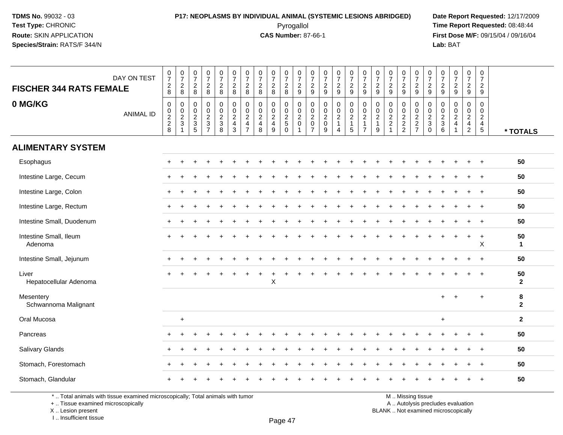#### **P17: NEOPLASMS BY INDIVIDUAL ANIMAL (SYSTEMIC LESIONS ABRIDGED) Date Report Requested:** 12/17/2009 Pyrogallol Pyrogallol **Pyrogallol Time Report Requested:** 08:48:44<br>**CAS Number:** 87-66-1 **Time Report Requested:** 09/15/04 / 09/16/04

**First Dose M/F:** 09/15/04 / 09/16/04 Lab: BAT **Lab:** BAT

| <b>FISCHER 344 RATS FEMALE</b>    | DAY ON TEST      | $\frac{0}{7}$<br>$\frac{2}{8}$ | $\begin{smallmatrix} 0\\7 \end{smallmatrix}$<br>$\frac{2}{8}$    | $\frac{0}{7}$<br>$\frac{2}{8}$        | $\frac{0}{7}$<br>$\frac{2}{8}$        | $\frac{0}{7}$<br>$\frac{2}{8}$       | $\begin{array}{c} 0 \\ 7 \end{array}$<br>$\frac{2}{8}$           | $\frac{0}{7}$<br>$_{\rm 8}^2$                                  | $\frac{0}{7}$<br>$\frac{2}{8}$                 | $\frac{0}{7}$<br>$\frac{2}{8}$                           | $\frac{0}{7}$<br>$\frac{2}{8}$                             | $\begin{array}{c} 0 \\ 7 \\ 2 \\ 9 \end{array}$ | $\frac{0}{7}$<br>$\frac{2}{9}$                                                      | $\frac{0}{7}$<br>$\frac{2}{9}$                        | $\begin{array}{c} 0 \\ 7 \end{array}$<br>$\frac{2}{9}$               | $\begin{smallmatrix}0\\7\end{smallmatrix}$<br>$\frac{2}{9}$ | $\frac{0}{7}$<br>$\frac{2}{9}$                               | $\frac{0}{7}$<br>$\frac{2}{9}$                                                | $\frac{0}{7}$<br>$\frac{2}{9}$                            | $\frac{0}{7}$<br>$\frac{2}{9}$                                         | $\frac{0}{7}$<br>$\frac{2}{9}$    | $\frac{0}{7}$<br>$\frac{2}{9}$                 | $\frac{0}{7}$<br>$\frac{2}{9}$               | $\frac{0}{7}$<br>$\frac{2}{9}$                                | $\frac{0}{7}$<br>$\frac{2}{9}$              | $\mathbf 0$<br>$\overline{7}$<br>$\frac{2}{9}$ |                    |
|-----------------------------------|------------------|--------------------------------|------------------------------------------------------------------|---------------------------------------|---------------------------------------|--------------------------------------|------------------------------------------------------------------|----------------------------------------------------------------|------------------------------------------------|----------------------------------------------------------|------------------------------------------------------------|-------------------------------------------------|-------------------------------------------------------------------------------------|-------------------------------------------------------|----------------------------------------------------------------------|-------------------------------------------------------------|--------------------------------------------------------------|-------------------------------------------------------------------------------|-----------------------------------------------------------|------------------------------------------------------------------------|-----------------------------------|------------------------------------------------|----------------------------------------------|---------------------------------------------------------------|---------------------------------------------|------------------------------------------------|--------------------|
| 0 MG/KG                           | <b>ANIMAL ID</b> | $\,0\,$<br>0 2 2 8             | $\begin{matrix} 0 \\ 0 \\ 2 \\ 3 \end{matrix}$<br>$\overline{1}$ | 0<br>0<br>$\frac{2}{3}$<br>$\sqrt{5}$ | $\pmb{0}$<br>$\pmb{0}$<br>$rac{2}{3}$ | 0<br>$\pmb{0}$<br>$\frac{2}{3}$<br>8 | $\pmb{0}$<br>$_2^0$<br>$\overline{\mathbf{4}}$<br>$\mathfrak{S}$ | $\pmb{0}$<br>$\frac{0}{2}$<br>$\overline{4}$<br>$\overline{7}$ | $\mathbf 0$<br>$\pmb{0}$<br>$\frac{2}{4}$<br>8 | $\mathsf{O}\xspace$<br>$\mathbf 0$<br>$\frac{2}{4}$<br>9 | $\mathbf 0$<br>$\mathbf 0$<br>$\frac{2}{5}$<br>$\mathbf 0$ | $\pmb{0}$<br>$\frac{0}{2}$<br>$\overline{1}$    | $\pmb{0}$<br>$\ddot{\mathbf{0}}$<br>$\overline{2}$<br>$\mathbf 0$<br>$\overline{7}$ | $\mathbf 0$<br>0<br>$\frac{2}{0}$<br>$\boldsymbol{9}$ | $\pmb{0}$<br>$\frac{0}{2}$<br>$\mathbf{1}$<br>$\boldsymbol{\Lambda}$ | $\pmb{0}$<br>$\mathbf 0$<br>$\frac{2}{1}$<br>$\sqrt{5}$     | $\pmb{0}$<br>$\frac{0}{2}$<br>$\mathbf{1}$<br>$\overline{7}$ | $\mathbf 0$<br>$\mathsf{O}\xspace$<br>$\overline{2}$<br>$\mathbf{1}$<br>$9\,$ | $\pmb{0}$<br>$\pmb{0}$<br>$\frac{2}{2}$<br>$\overline{1}$ | $\mathsf{O}\xspace$<br>$\begin{array}{c} 0 \\ 2 \\ 2 \\ 2 \end{array}$ | $\mathbf 0$<br>$\frac{0}{2}$<br>7 | $\boldsymbol{0}$<br>$\frac{0}{2}$<br>$\pmb{0}$ | 0<br>$\mathbf 0$<br>$\frac{2}{3}$<br>$\,6\,$ | $\pmb{0}$<br>$\mathbf 0$<br>$\sqrt{2}$<br>$\overline{4}$<br>1 | $\pmb{0}$<br>$\frac{0}{2}$<br>$\frac{4}{2}$ | $\mathbf 0$<br>$\mathbf 0$<br>$\frac{2}{4}$    | * TOTALS           |
| <b>ALIMENTARY SYSTEM</b>          |                  |                                |                                                                  |                                       |                                       |                                      |                                                                  |                                                                |                                                |                                                          |                                                            |                                                 |                                                                                     |                                                       |                                                                      |                                                             |                                                              |                                                                               |                                                           |                                                                        |                                   |                                                |                                              |                                                               |                                             |                                                |                    |
| Esophagus                         |                  | $\pm$                          |                                                                  |                                       |                                       |                                      |                                                                  |                                                                |                                                |                                                          |                                                            |                                                 |                                                                                     |                                                       |                                                                      |                                                             |                                                              |                                                                               |                                                           |                                                                        |                                   |                                                |                                              |                                                               |                                             | $\overline{1}$                                 | 50                 |
| Intestine Large, Cecum            |                  |                                |                                                                  |                                       |                                       |                                      |                                                                  |                                                                |                                                |                                                          |                                                            |                                                 |                                                                                     |                                                       |                                                                      |                                                             |                                                              |                                                                               |                                                           |                                                                        |                                   |                                                |                                              |                                                               |                                             |                                                | 50                 |
| Intestine Large, Colon            |                  |                                |                                                                  |                                       |                                       |                                      |                                                                  |                                                                |                                                |                                                          |                                                            |                                                 |                                                                                     |                                                       |                                                                      |                                                             |                                                              |                                                                               |                                                           |                                                                        |                                   |                                                |                                              |                                                               |                                             |                                                | 50                 |
| Intestine Large, Rectum           |                  |                                |                                                                  |                                       |                                       |                                      |                                                                  |                                                                |                                                |                                                          |                                                            |                                                 |                                                                                     |                                                       |                                                                      |                                                             |                                                              |                                                                               |                                                           |                                                                        |                                   |                                                |                                              |                                                               |                                             | $\overline{+}$                                 | 50                 |
| Intestine Small, Duodenum         |                  | $\pm$                          |                                                                  |                                       |                                       |                                      |                                                                  |                                                                |                                                |                                                          |                                                            |                                                 |                                                                                     |                                                       |                                                                      |                                                             |                                                              |                                                                               |                                                           |                                                                        |                                   |                                                |                                              |                                                               |                                             | $\overline{+}$                                 | 50                 |
| Intestine Small, Ileum<br>Adenoma |                  |                                |                                                                  |                                       |                                       |                                      |                                                                  |                                                                |                                                |                                                          |                                                            |                                                 |                                                                                     |                                                       |                                                                      |                                                             |                                                              |                                                                               |                                                           |                                                                        |                                   |                                                |                                              |                                                               | $\ddot{}$                                   | $\ddot{}$<br>X                                 | 50<br>$\mathbf{1}$ |
| Intestine Small, Jejunum          |                  |                                |                                                                  |                                       |                                       |                                      |                                                                  |                                                                |                                                |                                                          |                                                            |                                                 |                                                                                     |                                                       |                                                                      |                                                             |                                                              |                                                                               |                                                           |                                                                        |                                   |                                                |                                              |                                                               |                                             | $\overline{ }$                                 | 50                 |
| Liver<br>Hepatocellular Adenoma   |                  |                                |                                                                  |                                       |                                       |                                      |                                                                  |                                                                |                                                | $\mathsf X$                                              |                                                            |                                                 |                                                                                     |                                                       |                                                                      |                                                             |                                                              |                                                                               |                                                           |                                                                        |                                   |                                                |                                              |                                                               |                                             |                                                | 50<br>$\mathbf{2}$ |
| Mesentery<br>Schwannoma Malignant |                  |                                |                                                                  |                                       |                                       |                                      |                                                                  |                                                                |                                                |                                                          |                                                            |                                                 |                                                                                     |                                                       |                                                                      |                                                             |                                                              |                                                                               |                                                           |                                                                        |                                   |                                                |                                              |                                                               |                                             | ÷                                              | 8<br>$\mathbf{2}$  |
| Oral Mucosa                       |                  |                                | $\ddot{}$                                                        |                                       |                                       |                                      |                                                                  |                                                                |                                                |                                                          |                                                            |                                                 |                                                                                     |                                                       |                                                                      |                                                             |                                                              |                                                                               |                                                           |                                                                        |                                   |                                                | $\ddot{}$                                    |                                                               |                                             |                                                | $\mathbf{2}$       |
| Pancreas                          |                  |                                |                                                                  |                                       |                                       |                                      |                                                                  |                                                                |                                                |                                                          |                                                            |                                                 |                                                                                     |                                                       |                                                                      |                                                             |                                                              |                                                                               |                                                           |                                                                        |                                   |                                                |                                              |                                                               |                                             |                                                | 50                 |
| Salivary Glands                   |                  |                                |                                                                  |                                       |                                       |                                      |                                                                  |                                                                |                                                |                                                          |                                                            |                                                 |                                                                                     |                                                       |                                                                      |                                                             |                                                              |                                                                               |                                                           |                                                                        |                                   |                                                |                                              |                                                               |                                             |                                                | 50                 |
| Stomach, Forestomach              |                  |                                |                                                                  |                                       |                                       |                                      |                                                                  |                                                                |                                                |                                                          |                                                            |                                                 |                                                                                     |                                                       |                                                                      |                                                             |                                                              |                                                                               |                                                           |                                                                        |                                   |                                                |                                              |                                                               |                                             |                                                | 50                 |
| Stomach, Glandular                |                  |                                |                                                                  |                                       |                                       |                                      |                                                                  |                                                                |                                                |                                                          |                                                            |                                                 |                                                                                     |                                                       |                                                                      |                                                             |                                                              |                                                                               |                                                           |                                                                        |                                   |                                                |                                              |                                                               |                                             |                                                | 50                 |

\* .. Total animals with tissue examined microscopically; Total animals with tumor

+ .. Tissue examined microscopically

X .. Lesion present

I .. Insufficient tissue

M .. Missing tissue

y the contract of the contract of the contract of the contract of the contract of  $\mathsf A$  . Autolysis precludes evaluation

Lesion present BLANK .. Not examined microscopically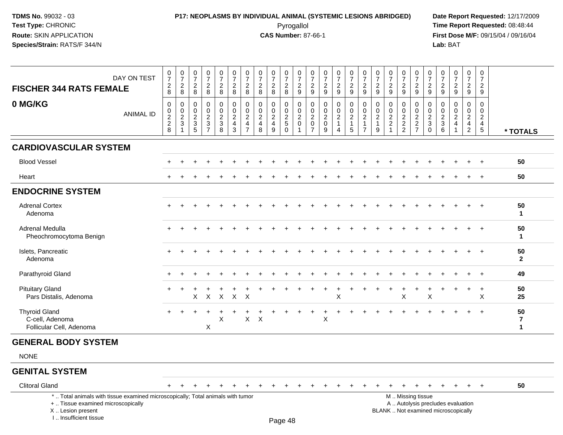#### **P17: NEOPLASMS BY INDIVIDUAL ANIMAL (SYSTEMIC LESIONS ABRIDGED) Date Report Requested:** 12/17/2009 Pyrogallol Pyrogallol **Pyrogallol Time Report Requested:** 08:48:44<br>**CAS Number:** 87-66-1 **Time Report Requested:** 08/15/04 / 09/16/04

**First Dose M/F:** 09/15/04 / 09/16/04<br>**Lab:** BAT **Lab:** BAT

| DAY ON TEST<br><b>FISCHER 344 RATS FEMALE</b><br>0 MG/KG<br><b>ANIMAL ID</b> | $\begin{smallmatrix}0\\7\end{smallmatrix}$<br>$\boldsymbol{2}$<br>8<br>0<br>$\begin{array}{c} 0 \\ 2 \\ 2 \\ 8 \end{array}$ | $\frac{0}{7}$<br>$\overline{2}$<br>8<br>0<br>$\boldsymbol{0}$<br>$\frac{2}{3}$ | $\frac{0}{7}$<br>$\boldsymbol{2}$<br>8<br>$\mathbf 0$<br>$\pmb{0}$<br>$\sqrt{2}$<br>$\mathbf{3}$<br>5 | $\frac{0}{7}$<br>$\overline{2}$<br>8<br>0<br>$\mathsf 0$<br>$\frac{2}{3}$<br>$\overline{7}$ | $\frac{0}{7}$<br>$\overline{c}$<br>8<br>0<br>$\mathsf 0$<br>$\frac{2}{3}$<br>8 | $\frac{0}{7}$<br>$\overline{c}$<br>8<br>0<br>$^{\rm 0}_{\rm 2}$<br>$\overline{4}$<br>3 | $\frac{0}{7}$<br>$\sqrt{2}$<br>8<br>0<br>$\begin{smallmatrix} 0\\2 \end{smallmatrix}$<br>$\overline{4}$<br>$\overline{7}$ | $\frac{0}{7}$<br>$\boldsymbol{2}$<br>8<br>$\mathbf 0$<br>$\frac{0}{2}$<br>$\overline{4}$<br>8 | $\frac{0}{7}$<br>$\overline{c}$<br>8<br>0<br>$\mathbf 0$<br>$\frac{2}{4}$<br>9 | $\frac{0}{7}$<br>$\boldsymbol{2}$<br>8<br>0<br>$\frac{0}{2}$<br>$\Omega$ | $\frac{0}{7}$<br>$\overline{2}$<br>9<br>0<br>$_2^0$<br>$\Omega$ | $\frac{0}{7}$<br>$\overline{c}$<br>$9\,$<br>0<br>$\frac{0}{2}$<br>$\overline{7}$ | $\frac{0}{7}$<br>$\sqrt{2}$<br>$9\,$<br>$\mathbf 0$<br>$\frac{0}{2}$<br>9 | $\frac{0}{7}$<br>$\sqrt{2}$<br>$\boldsymbol{9}$<br>0<br>$\frac{0}{2}$<br>1<br>4 | $\frac{0}{7}$<br>$\sqrt{2}$<br>$9\,$<br>$\pmb{0}$<br>$\begin{array}{c} 0 \\ 2 \\ 1 \end{array}$<br>5 | $\frac{0}{7}$<br>$\overline{c}$<br>$\boldsymbol{9}$<br>0<br>$\mathbf 0$<br>$\overline{c}$<br>$\overline{7}$ | $\frac{0}{7}$<br>$\boldsymbol{2}$<br>$\boldsymbol{9}$<br>$\mathbf 0$<br>$\pmb{0}$<br>$\overline{2}$<br>$\mathbf{1}$<br>9 | $\frac{0}{7}$<br>$\overline{c}$<br>$\boldsymbol{9}$<br>0<br>$\mathbf 0$<br>$\boldsymbol{2}$<br>$\mathbf 2$ | $\begin{array}{c} 0 \\ 7 \end{array}$<br>$\overline{c}$<br>9<br>0<br>$\mathbf 0$<br>$\frac{2}{2}$ | 0<br>$\overline{7}$<br>$\sqrt{2}$<br>9<br>0<br>$\frac{0}{2}$<br>$\frac{2}{7}$ | 0<br>$\overline{7}$<br>$\overline{c}$<br>9<br>0<br>$\mathbf 0$<br>$\frac{2}{3}$<br>$\Omega$ | $\frac{0}{7}$<br>$\boldsymbol{2}$<br>$\boldsymbol{9}$<br>0<br>$\,0\,$<br>$\frac{2}{3}$<br>6 | $\frac{0}{7}$<br>$\overline{a}$<br>$\boldsymbol{9}$<br>0<br>$\frac{0}{2}$ | $\frac{0}{7}$<br>$\frac{2}{9}$<br>0<br>$\mathbf 0$<br>$\frac{2}{4}$<br>$\overline{2}$ | 0<br>$\overline{7}$<br>$\overline{a}$<br>9<br>0<br>$\mathbf 0$<br>$\overline{c}$<br>$\overline{4}$<br>$\overline{5}$ | * TOTALS           |
|------------------------------------------------------------------------------|-----------------------------------------------------------------------------------------------------------------------------|--------------------------------------------------------------------------------|-------------------------------------------------------------------------------------------------------|---------------------------------------------------------------------------------------------|--------------------------------------------------------------------------------|----------------------------------------------------------------------------------------|---------------------------------------------------------------------------------------------------------------------------|-----------------------------------------------------------------------------------------------|--------------------------------------------------------------------------------|--------------------------------------------------------------------------|-----------------------------------------------------------------|----------------------------------------------------------------------------------|---------------------------------------------------------------------------|---------------------------------------------------------------------------------|------------------------------------------------------------------------------------------------------|-------------------------------------------------------------------------------------------------------------|--------------------------------------------------------------------------------------------------------------------------|------------------------------------------------------------------------------------------------------------|---------------------------------------------------------------------------------------------------|-------------------------------------------------------------------------------|---------------------------------------------------------------------------------------------|---------------------------------------------------------------------------------------------|---------------------------------------------------------------------------|---------------------------------------------------------------------------------------|----------------------------------------------------------------------------------------------------------------------|--------------------|
| <b>CARDIOVASCULAR SYSTEM</b>                                                 |                                                                                                                             |                                                                                |                                                                                                       |                                                                                             |                                                                                |                                                                                        |                                                                                                                           |                                                                                               |                                                                                |                                                                          |                                                                 |                                                                                  |                                                                           |                                                                                 |                                                                                                      |                                                                                                             |                                                                                                                          |                                                                                                            |                                                                                                   |                                                                               |                                                                                             |                                                                                             |                                                                           |                                                                                       |                                                                                                                      |                    |
| <b>Blood Vessel</b>                                                          |                                                                                                                             |                                                                                |                                                                                                       |                                                                                             |                                                                                |                                                                                        |                                                                                                                           |                                                                                               |                                                                                |                                                                          |                                                                 |                                                                                  |                                                                           |                                                                                 |                                                                                                      |                                                                                                             |                                                                                                                          |                                                                                                            |                                                                                                   |                                                                               |                                                                                             |                                                                                             |                                                                           |                                                                                       |                                                                                                                      | 50                 |
| Heart                                                                        |                                                                                                                             |                                                                                |                                                                                                       |                                                                                             |                                                                                |                                                                                        |                                                                                                                           |                                                                                               |                                                                                |                                                                          |                                                                 |                                                                                  |                                                                           |                                                                                 |                                                                                                      |                                                                                                             |                                                                                                                          |                                                                                                            |                                                                                                   |                                                                               |                                                                                             |                                                                                             |                                                                           |                                                                                       |                                                                                                                      | 50                 |
| <b>ENDOCRINE SYSTEM</b>                                                      |                                                                                                                             |                                                                                |                                                                                                       |                                                                                             |                                                                                |                                                                                        |                                                                                                                           |                                                                                               |                                                                                |                                                                          |                                                                 |                                                                                  |                                                                           |                                                                                 |                                                                                                      |                                                                                                             |                                                                                                                          |                                                                                                            |                                                                                                   |                                                                               |                                                                                             |                                                                                             |                                                                           |                                                                                       |                                                                                                                      |                    |
| <b>Adrenal Cortex</b><br>Adenoma                                             |                                                                                                                             |                                                                                |                                                                                                       |                                                                                             |                                                                                |                                                                                        |                                                                                                                           |                                                                                               |                                                                                |                                                                          |                                                                 |                                                                                  |                                                                           |                                                                                 |                                                                                                      |                                                                                                             |                                                                                                                          |                                                                                                            |                                                                                                   |                                                                               |                                                                                             |                                                                                             |                                                                           |                                                                                       |                                                                                                                      | 50<br>$\mathbf 1$  |
| Adrenal Medulla<br>Pheochromocytoma Benign                                   |                                                                                                                             |                                                                                |                                                                                                       |                                                                                             |                                                                                |                                                                                        |                                                                                                                           |                                                                                               |                                                                                |                                                                          |                                                                 |                                                                                  |                                                                           |                                                                                 |                                                                                                      |                                                                                                             |                                                                                                                          |                                                                                                            |                                                                                                   |                                                                               |                                                                                             |                                                                                             |                                                                           |                                                                                       |                                                                                                                      | 50<br>$\mathbf 1$  |
| Islets, Pancreatic<br>Adenoma                                                |                                                                                                                             |                                                                                |                                                                                                       |                                                                                             |                                                                                |                                                                                        |                                                                                                                           |                                                                                               |                                                                                |                                                                          |                                                                 |                                                                                  |                                                                           |                                                                                 |                                                                                                      |                                                                                                             |                                                                                                                          |                                                                                                            |                                                                                                   |                                                                               |                                                                                             |                                                                                             |                                                                           |                                                                                       |                                                                                                                      | 50<br>$\mathbf{2}$ |
| Parathyroid Gland                                                            |                                                                                                                             |                                                                                |                                                                                                       |                                                                                             |                                                                                |                                                                                        |                                                                                                                           |                                                                                               |                                                                                |                                                                          |                                                                 |                                                                                  |                                                                           |                                                                                 |                                                                                                      |                                                                                                             |                                                                                                                          |                                                                                                            |                                                                                                   |                                                                               |                                                                                             |                                                                                             |                                                                           |                                                                                       | $+$                                                                                                                  | 49                 |
| <b>Pituitary Gland</b><br>Pars Distalis, Adenoma                             |                                                                                                                             |                                                                                |                                                                                                       |                                                                                             |                                                                                | $X$ $X$ $X$ $X$ $X$                                                                    |                                                                                                                           |                                                                                               |                                                                                |                                                                          |                                                                 |                                                                                  |                                                                           | X                                                                               |                                                                                                      |                                                                                                             |                                                                                                                          |                                                                                                            | X                                                                                                 |                                                                               | X                                                                                           |                                                                                             |                                                                           |                                                                                       | $+$<br>X                                                                                                             | 50<br>25           |
| <b>Thyroid Gland</b><br>C-cell, Adenoma<br>Follicular Cell, Adenoma          | $+$                                                                                                                         |                                                                                |                                                                                                       | $\div$<br>X                                                                                 | X                                                                              |                                                                                        | $\mathsf{X}$                                                                                                              | $\times$                                                                                      |                                                                                |                                                                          |                                                                 |                                                                                  | X                                                                         |                                                                                 |                                                                                                      |                                                                                                             |                                                                                                                          |                                                                                                            |                                                                                                   |                                                                               |                                                                                             |                                                                                             |                                                                           | $+$                                                                                   | $+$                                                                                                                  | 50<br>7<br>1       |

#### **GENERAL BODY SYSTEM**

NONE

#### **GENITAL SYSTEM**

Clitoral Gland $\alpha$  + <sup>+</sup> <sup>+</sup> <sup>+</sup> <sup>+</sup> <sup>+</sup> <sup>+</sup> <sup>+</sup> <sup>+</sup> <sup>+</sup> <sup>+</sup> <sup>+</sup> <sup>+</sup> <sup>+</sup> <sup>+</sup> <sup>+</sup> <sup>+</sup> <sup>+</sup> <sup>+</sup> <sup>+</sup> <sup>+</sup> <sup>+</sup> <sup>+</sup> <sup>+</sup> <sup>+</sup> **<sup>50</sup>** \* .. Total animals with tissue examined microscopically; Total animals with tumor M .. Missing tissuey the contract of the contract of the contract of the contract of the contract of  $\mathsf A$  . Autolysis precludes evaluation + .. Tissue examined microscopically Lesion present BLANK .. Not examined microscopicallyX .. Lesion present I .. Insufficient tissue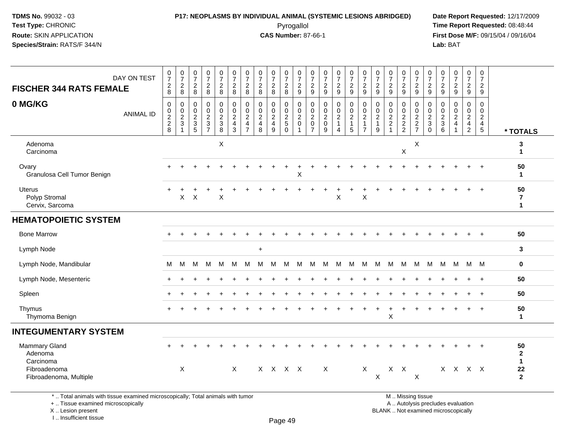#### **P17: NEOPLASMS BY INDIVIDUAL ANIMAL (SYSTEMIC LESIONS ABRIDGED) Date Report Requested:** 12/17/2009 Pyrogallol **Time Report Requested:** 08:48:44

**First Dose M/F:** 09/15/04 / 09/16/04<br>**Lab:** BAT **Lab:** BAT

| <b>FISCHER 344 RATS FEMALE</b>                                                  | DAY ON TEST      | $\begin{array}{c} 0 \\ 7 \\ 2 \\ 8 \end{array}$              | $\frac{0}{7}$<br>$_{\rm 2}^2$              | $\begin{smallmatrix}0\\7\end{smallmatrix}$<br>$_{\rm 8}^2$ | $\frac{0}{7}$<br>$\frac{2}{8}$                                           | $\begin{array}{c} 0 \\ 7 \end{array}$<br>$\frac{2}{8}$       | $\frac{0}{7}$<br>$\frac{2}{8}$               | $\frac{0}{7}$<br>$_{8}^2$                                       | 0728                               | $\begin{array}{c} 0 \\ 7 \end{array}$<br>$\frac{2}{8}$ | $\frac{0}{7}$<br>$\frac{2}{8}$                | $\frac{0}{7}$<br>$\frac{2}{9}$                                | $\pmb{0}$<br>$\overline{7}$<br>$\frac{2}{9}$     | $\frac{0}{7}$<br>$\frac{2}{9}$                                 | $\begin{array}{c} 0 \\ 7 \end{array}$<br>$\frac{2}{9}$         | $\begin{smallmatrix} 0\\7 \end{smallmatrix}$<br>$\frac{2}{9}$ | $\begin{array}{c} 0 \\ 7 \end{array}$<br>$\frac{2}{9}$        | $\frac{0}{7}$<br>$\frac{2}{9}$                 | $\frac{0}{7}$<br>$\frac{2}{9}$                               | $\frac{0}{7}$<br>$\frac{2}{9}$              | 0729                      | $\frac{0}{7}$<br>$\frac{2}{9}$                                     | $\frac{0}{7}$<br>$\frac{2}{9}$                      | $\begin{array}{c} 0 \\ 7 \end{array}$<br>$\frac{2}{9}$             | $\frac{0}{7}$<br>$\frac{2}{9}$                                         | $\begin{smallmatrix} 0\\7 \end{smallmatrix}$<br>$\frac{2}{9}$ |                                            |
|---------------------------------------------------------------------------------|------------------|--------------------------------------------------------------|--------------------------------------------|------------------------------------------------------------|--------------------------------------------------------------------------|--------------------------------------------------------------|----------------------------------------------|-----------------------------------------------------------------|------------------------------------|--------------------------------------------------------|-----------------------------------------------|---------------------------------------------------------------|--------------------------------------------------|----------------------------------------------------------------|----------------------------------------------------------------|---------------------------------------------------------------|---------------------------------------------------------------|------------------------------------------------|--------------------------------------------------------------|---------------------------------------------|---------------------------|--------------------------------------------------------------------|-----------------------------------------------------|--------------------------------------------------------------------|------------------------------------------------------------------------|---------------------------------------------------------------|--------------------------------------------|
| 0 MG/KG                                                                         | <b>ANIMAL ID</b> | $\pmb{0}$<br>$\begin{array}{c} 0 \\ 2 \\ 2 \\ 8 \end{array}$ | $\pmb{0}$<br>$\frac{0}{2}$<br>$\mathbf{1}$ | $\mathbf 0$<br>$\mathbf 0$<br>$\frac{2}{3}$                | $\mathbf 0$<br>$\mathbf 0$<br>$\begin{array}{c} 2 \\ 3 \\ 7 \end{array}$ | 0<br>$\pmb{0}$<br>$\begin{array}{c} 2 \\ 3 \\ 8 \end{array}$ | $\pmb{0}$<br>$\pmb{0}$<br>$\frac{2}{4}$<br>3 | $\pmb{0}$<br>$\pmb{0}$<br>$\overline{c}$<br>4<br>$\overline{7}$ | 0<br>0<br>$\overline{2}$<br>4<br>8 | $\mathbf 0$<br>$\pmb{0}$<br>$\frac{2}{4}$<br>9         | 0<br>$\mathsf 0$<br>$\frac{2}{5}$<br>$\Omega$ | $\mathbf 0$<br>$\mathbf 0$<br>$\frac{2}{0}$<br>$\overline{1}$ | 0<br>$\pmb{0}$<br>$^2_{\rm 0}$<br>$\overline{7}$ | $\mathbf 0$<br>$\pmb{0}$<br>$\boldsymbol{2}$<br>$\pmb{0}$<br>9 | 0<br>$\pmb{0}$<br>$\sqrt{2}$<br>$\mathbf{1}$<br>$\overline{4}$ | 0<br>$\pmb{0}$<br>$\sqrt{2}$<br>$\mathbf{1}$<br>$\sqrt{5}$    | $\mathbf 0$<br>$\mathbf 0$<br>$\frac{2}{1}$<br>$\overline{7}$ | 0<br>$\mathbf 0$<br>$\boldsymbol{2}$<br>1<br>9 | $\pmb{0}$<br>$\begin{array}{c} 0 \\ 2 \\ 2 \\ 1 \end{array}$ | $\mathbf 0$<br>$\mathbf 0$<br>$\frac{2}{2}$ | 0<br>$\frac{0}{2}$<br>7   | $\mathbf 0$<br>$\boldsymbol{0}$<br>$\frac{2}{3}$<br>$\overline{0}$ | 0<br>$\mathbf 0$<br>$\sqrt{2}$<br>$\mathbf{3}$<br>6 | $\Omega$<br>$\mathbf 0$<br>$\boldsymbol{2}$<br>4<br>$\overline{1}$ | 0<br>$\mathbf 0$<br>$\overline{c}$<br>$\overline{4}$<br>$\overline{2}$ | $\mathbf 0$<br>$\mathbf 0$<br>$\frac{2}{4}$<br>$5\,$          | * TOTALS                                   |
| Adenoma<br>Carcinoma                                                            |                  |                                                              |                                            |                                                            |                                                                          | X                                                            |                                              |                                                                 |                                    |                                                        |                                               |                                                               |                                                  |                                                                |                                                                |                                                               |                                                               |                                                |                                                              | X                                           | X                         |                                                                    |                                                     |                                                                    |                                                                        |                                                               | 3<br>$\mathbf 1$                           |
| Ovary<br>Granulosa Cell Tumor Benign                                            |                  | $+$                                                          | $\ddot{}$                                  |                                                            |                                                                          |                                                              |                                              |                                                                 |                                    |                                                        |                                               | X                                                             |                                                  |                                                                |                                                                |                                                               |                                                               |                                                |                                                              | $\div$                                      |                           |                                                                    |                                                     |                                                                    | $\ddot{}$                                                              | $+$                                                           | 50<br>$\mathbf{1}$                         |
| <b>Uterus</b><br>Polyp Stromal<br>Cervix, Sarcoma                               |                  | $+$                                                          | X                                          | X                                                          |                                                                          | Χ                                                            |                                              |                                                                 |                                    |                                                        |                                               |                                                               |                                                  |                                                                | X                                                              |                                                               | X                                                             |                                                |                                                              |                                             |                           |                                                                    |                                                     |                                                                    |                                                                        | $\overline{+}$                                                | 50<br>7<br>$\mathbf{1}$                    |
| <b>HEMATOPOIETIC SYSTEM</b>                                                     |                  |                                                              |                                            |                                                            |                                                                          |                                                              |                                              |                                                                 |                                    |                                                        |                                               |                                                               |                                                  |                                                                |                                                                |                                                               |                                                               |                                                |                                                              |                                             |                           |                                                                    |                                                     |                                                                    |                                                                        |                                                               |                                            |
| <b>Bone Marrow</b>                                                              |                  |                                                              |                                            |                                                            |                                                                          |                                                              |                                              |                                                                 |                                    |                                                        |                                               |                                                               |                                                  |                                                                |                                                                |                                                               |                                                               |                                                |                                                              |                                             |                           |                                                                    |                                                     |                                                                    |                                                                        | $\ddot{}$                                                     | 50                                         |
| Lymph Node                                                                      |                  |                                                              |                                            |                                                            |                                                                          |                                                              |                                              |                                                                 | $\ddot{}$                          |                                                        |                                               |                                                               |                                                  |                                                                |                                                                |                                                               |                                                               |                                                |                                                              |                                             |                           |                                                                    |                                                     |                                                                    |                                                                        |                                                               | $\mathbf{3}$                               |
| Lymph Node, Mandibular                                                          |                  | M                                                            | M                                          | м                                                          | м                                                                        | M                                                            | М                                            | M                                                               | M                                  | м                                                      | м                                             | M                                                             | M                                                | M                                                              | M                                                              | M                                                             | M                                                             | М                                              | M                                                            | M                                           | M                         | M                                                                  | M                                                   |                                                                    | M M M                                                                  |                                                               | $\mathbf 0$                                |
| Lymph Node, Mesenteric                                                          |                  |                                                              |                                            |                                                            |                                                                          |                                                              |                                              |                                                                 |                                    |                                                        |                                               |                                                               |                                                  |                                                                |                                                                |                                                               |                                                               |                                                |                                                              |                                             |                           |                                                                    |                                                     |                                                                    |                                                                        | $\ddot{}$                                                     | 50                                         |
| Spleen                                                                          |                  |                                                              |                                            |                                                            |                                                                          |                                                              |                                              |                                                                 |                                    |                                                        |                                               |                                                               |                                                  |                                                                |                                                                |                                                               |                                                               |                                                |                                                              |                                             |                           |                                                                    |                                                     |                                                                    |                                                                        |                                                               | 50                                         |
| Thymus<br>Thymoma Benign                                                        |                  |                                                              |                                            |                                                            |                                                                          |                                                              |                                              |                                                                 |                                    |                                                        |                                               |                                                               |                                                  |                                                                |                                                                |                                                               |                                                               |                                                | X                                                            |                                             |                           |                                                                    |                                                     |                                                                    |                                                                        | $\ddot{}$                                                     | 50<br>$\mathbf{1}$                         |
| <b>INTEGUMENTARY SYSTEM</b>                                                     |                  |                                                              |                                            |                                                            |                                                                          |                                                              |                                              |                                                                 |                                    |                                                        |                                               |                                                               |                                                  |                                                                |                                                                |                                                               |                                                               |                                                |                                                              |                                             |                           |                                                                    |                                                     |                                                                    |                                                                        |                                                               |                                            |
| Mammary Gland<br>Adenoma<br>Carcinoma<br>Fibroadenoma                           |                  |                                                              | X                                          |                                                            |                                                                          |                                                              | $\boldsymbol{\mathsf{X}}$                    |                                                                 |                                    | X X X X                                                |                                               |                                                               |                                                  | $\boldsymbol{\mathsf{X}}$                                      |                                                                |                                                               | X                                                             |                                                | $X$ $X$                                                      |                                             |                           |                                                                    | $\mathsf{X}$                                        | $\mathsf{X}$                                                       | $X$ X                                                                  | $\ddot{+}$                                                    | 50<br>$\mathbf{2}$<br>$\overline{1}$<br>22 |
| Fibroadenoma, Multiple                                                          |                  |                                                              |                                            |                                                            |                                                                          |                                                              |                                              |                                                                 |                                    |                                                        |                                               |                                                               |                                                  |                                                                |                                                                |                                                               |                                                               | $\mathsf{X}$                                   |                                                              |                                             | $\boldsymbol{\mathsf{X}}$ |                                                                    |                                                     |                                                                    |                                                                        |                                                               | $\overline{2}$                             |
| *  Total animals with tissue examined microscopically; Total animals with tumor |                  |                                                              |                                            |                                                            |                                                                          |                                                              |                                              |                                                                 |                                    |                                                        |                                               |                                                               |                                                  |                                                                |                                                                |                                                               |                                                               |                                                |                                                              |                                             | M  Missing tissue         |                                                                    |                                                     |                                                                    |                                                                        |                                                               |                                            |

+ .. Tissue examined microscopically

 Lesion present BLANK .. Not examined microscopicallyX .. Lesion present

I .. Insufficient tissue

M .. Missing tissue

y the contract of the contract of the contract of the contract of the contract of  $\mathsf A$  . Autolysis precludes evaluation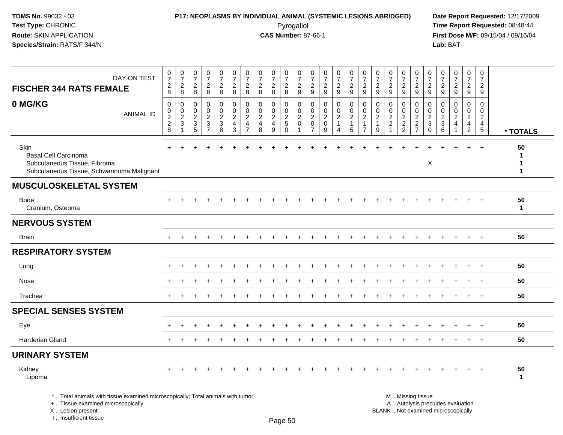I .. Insufficient tissue

## **P17: NEOPLASMS BY INDIVIDUAL ANIMAL (SYSTEMIC LESIONS ABRIDGED) Date Report Requested:** 12/17/2009 Pyrogallol Pyrogallol **Pyrogallol Time Report Requested:** 08:48:44<br>**CAS Number:** 87-66-1 **Time Report Requested:** 09/15/04 / 09/16/04

| DAY ON TEST<br><b>FISCHER 344 RATS FEMALE</b>                                                                                              | $\frac{0}{7}$<br>$_{8}^{2}$                         | $\frac{0}{7}$<br>$_{8}^2$                                      | 0<br>$\overline{7}$<br>$_{\rm 8}^2$                                     | $\begin{array}{c} 0 \\ 7 \end{array}$<br>$_{8}^{\rm 2}$                       | $\frac{0}{7}$<br>$\frac{2}{8}$       | $\frac{0}{7}$<br>$\frac{2}{8}$                                             | $\frac{0}{7}$<br>$_{\rm 8}^2$                                          | 0<br>$\overline{7}$<br>$\sqrt{2}$<br>$\,8\,$ | $\frac{0}{7}$<br>$_{\rm 8}^2$                | $\frac{0}{7}$<br>$_{8}^{\rm 2}$                    | $\frac{0}{7}$<br>$\frac{2}{9}$                                     | $\frac{0}{7}$<br>$\frac{2}{9}$                          | $\frac{0}{7}$<br>$\frac{2}{9}$                       | $\frac{0}{7}$<br>$\frac{2}{9}$                                        | $\frac{0}{7}$<br>$\frac{2}{9}$                                   | $\frac{0}{7}$<br>$\overline{\mathbf{c}}$<br>9                                  | $\frac{0}{7}$<br>$\overline{c}$<br>$\boldsymbol{9}$ | 0<br>$\overline{7}$<br>$\overline{\mathbf{c}}$<br>$\boldsymbol{9}$ | $\frac{0}{7}$<br>$\overline{\mathbf{c}}$<br>$9\,$   | $\begin{smallmatrix}0\\7\end{smallmatrix}$<br>$\frac{2}{9}$ | $\frac{0}{7}$<br>$\frac{2}{9}$                              | 0<br>$\overline{7}$<br>$\frac{2}{9}$                              | $\frac{0}{7}$<br>$\frac{2}{9}$                                                | $\frac{0}{7}$<br>$\frac{2}{9}$                                                   | 0<br>$\overline{7}$<br>$\sqrt{2}$<br>9                                         |                        |
|--------------------------------------------------------------------------------------------------------------------------------------------|-----------------------------------------------------|----------------------------------------------------------------|-------------------------------------------------------------------------|-------------------------------------------------------------------------------|--------------------------------------|----------------------------------------------------------------------------|------------------------------------------------------------------------|----------------------------------------------|----------------------------------------------|----------------------------------------------------|--------------------------------------------------------------------|---------------------------------------------------------|------------------------------------------------------|-----------------------------------------------------------------------|------------------------------------------------------------------|--------------------------------------------------------------------------------|-----------------------------------------------------|--------------------------------------------------------------------|-----------------------------------------------------|-------------------------------------------------------------|-------------------------------------------------------------|-------------------------------------------------------------------|-------------------------------------------------------------------------------|----------------------------------------------------------------------------------|--------------------------------------------------------------------------------|------------------------|
| 0 MG/KG<br><b>ANIMAL ID</b>                                                                                                                | $\mathbf 0$<br>0<br>$\overline{c}$<br>$\frac{2}{8}$ | 0<br>$\boldsymbol{0}$<br>$\boldsymbol{2}$<br>3<br>$\mathbf{1}$ | 0<br>0<br>$\overline{2}$<br>$\ensuremath{\mathsf{3}}$<br>$\overline{5}$ | $\mathbf 0$<br>0<br>$\sqrt{2}$<br>$\ensuremath{\mathsf{3}}$<br>$\overline{7}$ | 0<br>0<br>$\boldsymbol{2}$<br>$_8^3$ | $\mathbf 0$<br>$\mathbf 0$<br>$\sqrt{2}$<br>$\overline{4}$<br>$\mathbf{3}$ | 0<br>$\mathbf 0$<br>$\overline{c}$<br>$\overline{4}$<br>$\overline{7}$ | 0<br>$\mathbf 0$<br>$\overline{c}$<br>4<br>8 | 0<br>$\mathbf 0$<br>$\overline{2}$<br>4<br>9 | 0<br>0<br>$\sqrt{2}$<br>$\mathbf 5$<br>$\mathbf 0$ | $\mathbf{0}$<br>$\mathbf 0$<br>$\overline{2}$<br>0<br>$\mathbf{1}$ | 0<br>0<br>$\overline{2}$<br>$\pmb{0}$<br>$\overline{7}$ | 0<br>$\mathbf 0$<br>$\overline{2}$<br>$\pmb{0}$<br>9 | 0<br>$\mathsf{O}$<br>$\overline{2}$<br>$\mathbf{1}$<br>$\overline{4}$ | 0<br>$\mathbf 0$<br>$\overline{2}$<br>$\mathbf{1}$<br>$\sqrt{5}$ | $\mathbf 0$<br>$\mathbf 0$<br>$\overline{2}$<br>$\mathbf{1}$<br>$\overline{7}$ | 0<br>0<br>$\sqrt{2}$<br>$\mathbf{1}$<br>9           | 0<br>$\mathbf 0$<br>$\sqrt{2}$<br>$\sqrt{2}$<br>$\mathbf{1}$       | 0<br>$\mathbf 0$<br>$\overline{2}$<br>$\frac{2}{2}$ | 0<br>0<br>$\overline{c}$<br>$\frac{2}{7}$                   | 0<br>$\mathbf 0$<br>$\sqrt{2}$<br>$\sqrt{3}$<br>$\mathbf 0$ | $\Omega$<br>0<br>$\overline{2}$<br>$\ensuremath{\mathsf{3}}$<br>6 | $\Omega$<br>$\mathbf 0$<br>$\overline{2}$<br>$\overline{4}$<br>$\overline{1}$ | $\Omega$<br>$\overline{0}$<br>$\overline{2}$<br>$\overline{4}$<br>$\overline{2}$ | $\Omega$<br>$\mathbf 0$<br>$\overline{2}$<br>$\overline{4}$<br>$5\phantom{.0}$ | * TOTALS               |
| Skin<br><b>Basal Cell Carcinoma</b><br>Subcutaneous Tissue, Fibroma<br>Subcutaneous Tissue, Schwannoma Malignant                           |                                                     |                                                                |                                                                         |                                                                               |                                      |                                                                            |                                                                        |                                              |                                              |                                                    |                                                                    |                                                         |                                                      |                                                                       |                                                                  |                                                                                |                                                     |                                                                    |                                                     |                                                             | X                                                           |                                                                   |                                                                               |                                                                                  | $\ddot{}$                                                                      | 50<br>$\mathbf 1$<br>1 |
| <b>MUSCULOSKELETAL SYSTEM</b>                                                                                                              |                                                     |                                                                |                                                                         |                                                                               |                                      |                                                                            |                                                                        |                                              |                                              |                                                    |                                                                    |                                                         |                                                      |                                                                       |                                                                  |                                                                                |                                                     |                                                                    |                                                     |                                                             |                                                             |                                                                   |                                                                               |                                                                                  |                                                                                |                        |
| <b>Bone</b><br>Cranium, Osteoma                                                                                                            |                                                     |                                                                |                                                                         |                                                                               |                                      |                                                                            |                                                                        |                                              |                                              |                                                    |                                                                    |                                                         |                                                      |                                                                       |                                                                  |                                                                                |                                                     |                                                                    |                                                     |                                                             |                                                             |                                                                   |                                                                               |                                                                                  |                                                                                | 50<br>$\mathbf{1}$     |
| <b>NERVOUS SYSTEM</b>                                                                                                                      |                                                     |                                                                |                                                                         |                                                                               |                                      |                                                                            |                                                                        |                                              |                                              |                                                    |                                                                    |                                                         |                                                      |                                                                       |                                                                  |                                                                                |                                                     |                                                                    |                                                     |                                                             |                                                             |                                                                   |                                                                               |                                                                                  |                                                                                |                        |
| <b>Brain</b>                                                                                                                               |                                                     |                                                                |                                                                         |                                                                               |                                      |                                                                            |                                                                        |                                              |                                              |                                                    |                                                                    |                                                         |                                                      |                                                                       |                                                                  |                                                                                |                                                     |                                                                    |                                                     |                                                             |                                                             |                                                                   |                                                                               | $\div$                                                                           | $+$                                                                            | 50                     |
| <b>RESPIRATORY SYSTEM</b>                                                                                                                  |                                                     |                                                                |                                                                         |                                                                               |                                      |                                                                            |                                                                        |                                              |                                              |                                                    |                                                                    |                                                         |                                                      |                                                                       |                                                                  |                                                                                |                                                     |                                                                    |                                                     |                                                             |                                                             |                                                                   |                                                                               |                                                                                  |                                                                                |                        |
| Lung                                                                                                                                       |                                                     |                                                                |                                                                         |                                                                               |                                      |                                                                            |                                                                        |                                              |                                              |                                                    |                                                                    |                                                         |                                                      |                                                                       |                                                                  |                                                                                |                                                     |                                                                    |                                                     |                                                             |                                                             |                                                                   |                                                                               |                                                                                  |                                                                                | 50                     |
| <b>Nose</b>                                                                                                                                |                                                     |                                                                |                                                                         |                                                                               |                                      |                                                                            |                                                                        |                                              |                                              |                                                    |                                                                    |                                                         |                                                      |                                                                       |                                                                  |                                                                                |                                                     |                                                                    |                                                     |                                                             |                                                             |                                                                   |                                                                               |                                                                                  | $\overline{1}$                                                                 | 50                     |
| Trachea                                                                                                                                    | $+$                                                 |                                                                |                                                                         |                                                                               |                                      |                                                                            |                                                                        |                                              |                                              |                                                    |                                                                    |                                                         |                                                      |                                                                       |                                                                  |                                                                                |                                                     |                                                                    |                                                     |                                                             |                                                             |                                                                   |                                                                               |                                                                                  | $+$                                                                            | 50                     |
| <b>SPECIAL SENSES SYSTEM</b>                                                                                                               |                                                     |                                                                |                                                                         |                                                                               |                                      |                                                                            |                                                                        |                                              |                                              |                                                    |                                                                    |                                                         |                                                      |                                                                       |                                                                  |                                                                                |                                                     |                                                                    |                                                     |                                                             |                                                             |                                                                   |                                                                               |                                                                                  |                                                                                |                        |
| Eye                                                                                                                                        |                                                     |                                                                |                                                                         |                                                                               |                                      |                                                                            |                                                                        |                                              |                                              |                                                    |                                                                    |                                                         |                                                      |                                                                       |                                                                  |                                                                                |                                                     |                                                                    |                                                     |                                                             |                                                             |                                                                   |                                                                               |                                                                                  |                                                                                | 50                     |
| Harderian Gland                                                                                                                            |                                                     |                                                                |                                                                         |                                                                               |                                      |                                                                            |                                                                        |                                              |                                              |                                                    |                                                                    |                                                         |                                                      |                                                                       |                                                                  |                                                                                |                                                     |                                                                    |                                                     |                                                             |                                                             |                                                                   |                                                                               |                                                                                  | $+$                                                                            | 50                     |
| <b>URINARY SYSTEM</b>                                                                                                                      |                                                     |                                                                |                                                                         |                                                                               |                                      |                                                                            |                                                                        |                                              |                                              |                                                    |                                                                    |                                                         |                                                      |                                                                       |                                                                  |                                                                                |                                                     |                                                                    |                                                     |                                                             |                                                             |                                                                   |                                                                               |                                                                                  |                                                                                |                        |
| Kidney<br>Lipoma                                                                                                                           |                                                     |                                                                |                                                                         |                                                                               |                                      |                                                                            |                                                                        |                                              |                                              |                                                    |                                                                    |                                                         |                                                      |                                                                       |                                                                  |                                                                                |                                                     |                                                                    |                                                     |                                                             |                                                             |                                                                   |                                                                               |                                                                                  |                                                                                | 50<br>$\mathbf{1}$     |
| *  Total animals with tissue examined microscopically; Total animals with tumor<br>+  Tissue examined microscopically<br>X  Lesion present |                                                     |                                                                |                                                                         |                                                                               |                                      |                                                                            |                                                                        |                                              |                                              |                                                    |                                                                    |                                                         |                                                      |                                                                       |                                                                  |                                                                                |                                                     | M  Missing tissue                                                  |                                                     |                                                             |                                                             |                                                                   | A  Autolysis precludes evaluation<br>BLANK  Not examined microscopically      |                                                                                  |                                                                                |                        |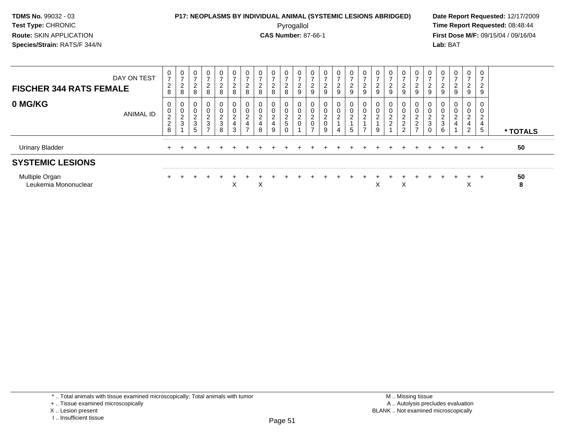#### **P17: NEOPLASMS BY INDIVIDUAL ANIMAL (SYSTEMIC LESIONS ABRIDGED) Date Report Requested:** 12/17/2009 Pyrogallol Pyrogallol **Pyrogallol Time Report Requested:** 08:48:44<br>**CAS Number:** 87-66-1 **Time Report Requested:** 09/15/04 / 09/16/04

**First Dose M/F:** 09/15/04 / 09/16/04 Lab: BAT **Lab:** BAT

| DAY ON TEST<br><b>FISCHER 344 RATS FEMALE</b> | $\boldsymbol{0}$<br>$\overline{ }$<br>$\overline{c}$<br>8 | 0<br>$\rightarrow$<br>$\sim$<br>$\epsilon$<br>8 | 0<br>-<br>$\overline{c}$<br>8                       | 0<br>$\overline{2}$<br>8                 | $\mathbf 0$<br>$\overline{z}$<br>$\overline{c}$<br>8 | 0<br>$\overline{z}$<br>$\overline{2}$<br>8              | $\pmb{0}$<br>$\rightarrow$<br>2<br>8 | 0<br>$\overline{ }$<br>$\overline{2}$<br>8                         | $\mathbf{0}$<br>$\overline{ }$<br>$\overline{2}$<br>8 | $\overline{0}$<br>$\overline{ }$<br>$\frac{2}{8}$ | $\mathbf{0}$<br>2<br>$\mathsf g$                | $\mathbf 0$<br>$\overline{ }$<br>$\frac{2}{9}$   | 0<br>$\overline{ }$<br>$\frac{2}{9}$                   | 0<br>$\rightarrow$<br>$\overline{a}$<br>9 | $\mathbf 0$<br>$\overline{ }$<br>$\frac{2}{9}$   | 0<br>$\rightarrow$<br>$\frac{2}{9}$                | 0<br>2<br>9                               | 0<br>$\rightarrow$<br>$\frac{2}{9}$              | 0<br>$\overline{ }$<br>2<br>9             | $\mathbf 0$<br>$\overline{ }$<br>$\overline{2}$<br>9                  | 0<br>∠<br>9                      | $\overline{ }$<br>۷<br>9      | 0<br>$\rightarrow$<br>$\frac{2}{9}$ | 0<br>-<br>$\overline{c}$<br>9                   | $\mathbf 0$<br>$\overline{ }$<br>$\overline{2}$<br>9 |          |
|-----------------------------------------------|-----------------------------------------------------------|-------------------------------------------------|-----------------------------------------------------|------------------------------------------|------------------------------------------------------|---------------------------------------------------------|--------------------------------------|--------------------------------------------------------------------|-------------------------------------------------------|---------------------------------------------------|-------------------------------------------------|--------------------------------------------------|--------------------------------------------------------|-------------------------------------------|--------------------------------------------------|----------------------------------------------------|-------------------------------------------|--------------------------------------------------|-------------------------------------------|-----------------------------------------------------------------------|----------------------------------|-------------------------------|-------------------------------------|-------------------------------------------------|------------------------------------------------------|----------|
| 0 MG/KG<br><b>ANIMAL ID</b>                   | 0<br>0<br>$\boldsymbol{2}$<br>$\boldsymbol{2}$<br>8       | 0<br>$\Omega$<br>$\epsilon$<br>3                | 0<br>$\boldsymbol{0}$<br>$\boldsymbol{2}$<br>3<br>5 | 0<br>0<br>$\frac{2}{3}$<br>$\rightarrow$ | 0<br>$\mathbf 0$<br>$\frac{2}{3}$<br>8               | 0<br>$\pmb{0}$<br>$\overline{c}$<br>$\overline{4}$<br>3 | 0<br>0<br>$\boldsymbol{2}$<br>4<br>- | 0<br>$\mathbf 0$<br>$\overline{c}$<br>$\overline{\mathbf{4}}$<br>8 | 0<br>0<br>$\overline{c}$<br>4<br>9                    | 0<br>$\pmb{0}$<br>$\frac{2}{5}$<br>0              | 0<br>$\pmb{0}$<br>$\overline{c}$<br>$\mathbf 0$ | 0<br>$\pmb{0}$<br>$\frac{2}{0}$<br>$\rightarrow$ | 0<br>$\pmb{0}$<br>$\boldsymbol{2}$<br>$\mathbf 0$<br>9 | 0<br>0<br>$\overline{2}$<br>4             | $\pmb{0}$<br>$\boldsymbol{2}$<br>$5\phantom{.0}$ | $\mathbf{0}$<br>$\pmb{0}$<br>$\boldsymbol{2}$<br>- | 0<br>$\mathbf 0$<br>$\boldsymbol{2}$<br>9 | 0<br>$\pmb{0}$<br>$\boldsymbol{2}$<br>$\sqrt{2}$ | 0<br>0<br>$\overline{c}$<br>$\frac{2}{2}$ | 0<br>$\pmb{0}$<br>$\overline{c}$<br>$\boldsymbol{2}$<br>$\rightarrow$ | 0<br>$\Omega$<br>$\epsilon$<br>3 | 0<br>$\overline{c}$<br>3<br>6 | $\mathbf{0}$<br>0<br>$\overline{2}$ | 0<br>0<br>$\overline{a}$<br>4<br>$\overline{2}$ | 0<br>0<br>$\overline{2}$<br>4<br>5                   | * TOTALS |
| <b>Urinary Bladder</b>                        |                                                           |                                                 |                                                     |                                          |                                                      |                                                         |                                      |                                                                    |                                                       |                                                   |                                                 |                                                  |                                                        |                                           |                                                  |                                                    |                                           |                                                  |                                           |                                                                       |                                  |                               |                                     | $+$                                             |                                                      | 50       |
| <b>SYSTEMIC LESIONS</b>                       |                                                           |                                                 |                                                     |                                          |                                                      |                                                         |                                      |                                                                    |                                                       |                                                   |                                                 |                                                  |                                                        |                                           |                                                  |                                                    |                                           |                                                  |                                           |                                                                       |                                  |                               |                                     |                                                 |                                                      |          |
| Multiple Organ<br>Leukemia Mononuclear        |                                                           |                                                 |                                                     |                                          |                                                      | X                                                       |                                      | X                                                                  |                                                       |                                                   |                                                 |                                                  |                                                        |                                           |                                                  |                                                    | X                                         |                                                  | X                                         |                                                                       |                                  | $+$                           | $\div$                              | $+$<br>$\sim$                                   | $+$                                                  | 50<br>8  |

\* .. Total animals with tissue examined microscopically; Total animals with tumor

<sup>+ ..</sup> Tissue examined microscopically

X .. Lesion present

I .. Insufficient tissue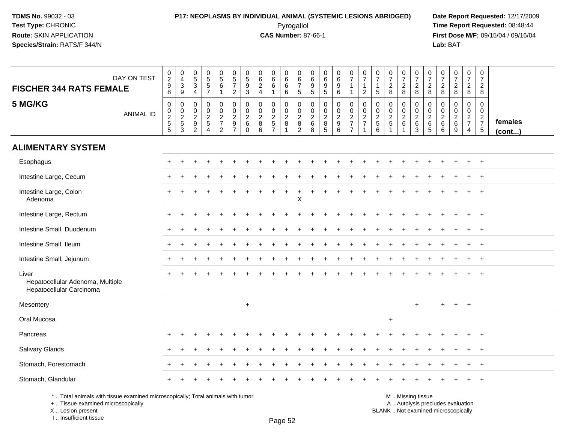#### **P17: NEOPLASMS BY INDIVIDUAL ANIMAL (SYSTEMIC LESIONS ABRIDGED) Date Report Requested:** 12/17/2009 Pyrogallol Pyrogallol **Pyrogallol Time Report Requested:** 08:48:44<br>**CAS Number:** 87-66-1 **Time Report Requested:** 09/15/04 / 09/16/04

**First Dose M/F:** 09/15/04 / 09/16/04 Lab: BAT **Lab:** BAT

| DAY ON TEST<br><b>FISCHER 344 RATS FEMALE</b>                         | $\begin{smallmatrix} 0\\2\\9 \end{smallmatrix}$<br>$\bf 8$ | 0<br>$\overline{4}$<br>$\sqrt{3}$<br>$\boldsymbol{9}$ | $\begin{array}{c} 0 \\ 5 \end{array}$<br>$\sqrt{3}$<br>$\overline{4}$ | 0<br>5<br>5<br>7                               | $\begin{array}{c} 0 \\ 5 \\ 6 \end{array}$<br>$\overline{1}$ | $\begin{array}{c} 0 \\ 5 \\ 7 \end{array}$<br>$\overline{2}$ | 0<br>$\overline{5}$<br>$\boldsymbol{9}$<br>3                | $\begin{matrix} 0 \\ 6 \end{matrix}$<br>$\frac{2}{4}$                      | $\begin{array}{c} 0 \\ 6 \end{array}$<br>$6\phantom{a}$<br>$\mathbf{1}$ | 0<br>$\overline{6}$<br>$\,6\,$<br>$\,6\,$ | 0<br>$6\phantom{a}$<br>$\overline{7}$<br>$\sqrt{5}$ | $\mathbf 0$<br>$\overline{6}$<br>$\boldsymbol{9}$<br>$\overline{5}$ | $\begin{array}{c} 0 \\ 6 \end{array}$<br>$\boldsymbol{9}$<br>$\sqrt{5}$ | $\begin{matrix} 0 \\ 6 \\ 9 \end{matrix}$<br>$6\phantom{a}$ | $\frac{0}{7}$<br>$\mathbf{1}$                | $\frac{0}{7}$<br>$\mathbf{1}$<br>$\sqrt{2}$ | $\frac{0}{7}$<br>$\overline{1}$<br>$\sqrt{5}$ | $\frac{0}{7}$<br>$\overline{c}$<br>8                             | $\frac{0}{7}$<br>$_{8}^2$ | $\frac{0}{7}$<br>$\frac{2}{8}$    | $\frac{0}{7}$<br>$\frac{2}{8}$               | $\frac{0}{7}$<br>$\frac{2}{8}$                                               | $\frac{0}{7}$<br>$\frac{2}{8}$                        | $\frac{0}{7}$<br>$\frac{2}{8}$                      | $\frac{0}{7}$<br>$_{8}^{\rm 2}$                              |                   |
|-----------------------------------------------------------------------|------------------------------------------------------------|-------------------------------------------------------|-----------------------------------------------------------------------|------------------------------------------------|--------------------------------------------------------------|--------------------------------------------------------------|-------------------------------------------------------------|----------------------------------------------------------------------------|-------------------------------------------------------------------------|-------------------------------------------|-----------------------------------------------------|---------------------------------------------------------------------|-------------------------------------------------------------------------|-------------------------------------------------------------|----------------------------------------------|---------------------------------------------|-----------------------------------------------|------------------------------------------------------------------|---------------------------|-----------------------------------|----------------------------------------------|------------------------------------------------------------------------------|-------------------------------------------------------|-----------------------------------------------------|--------------------------------------------------------------|-------------------|
| 5 MG/KG<br><b>ANIMAL ID</b>                                           | $\boldsymbol{0}$<br>$\frac{0}{2}$<br>$\overline{5}$        | 0<br>$\frac{0}{2}$<br>3                               | $\mathbf 0$<br>$\mathsf{O}\xspace$<br>$\frac{2}{9}$<br>$\overline{c}$ | $\mathbf 0$<br>$\frac{0}{2}$<br>$\overline{4}$ | $\pmb{0}$<br>$\frac{0}{2}$<br>$\overline{2}$                 | $\mathbf 0$<br>$\frac{0}{2}$<br>$\overline{7}$               | 0<br>$\mathbf 0$<br>$\boldsymbol{2}$<br>$\,6\,$<br>$\Omega$ | $\mathbf 0$<br>$\begin{smallmatrix} 0\\2 \end{smallmatrix}$<br>$\bf8$<br>6 | 0<br>$\frac{0}{2}$<br>$\overline{7}$                                    | 0<br>$\frac{0}{2}$                        | $\mathbf 0$<br>$\frac{0}{2}$<br>$\overline{2}$      | $\mathbf 0$<br>$\begin{array}{c} 0 \\ 2 \\ 6 \end{array}$<br>8      | $\pmb{0}$<br>$\begin{array}{c} 0 \\ 2 \\ 8 \end{array}$<br>5            | 0<br>$\frac{0}{2}$<br>$\,6\,$                               | $\pmb{0}$<br>$\frac{0}{2}$<br>$\overline{7}$ | $\pmb{0}$<br>$\frac{0}{2}$<br>$\mathbf 1$   | 0<br>$\boldsymbol{0}$<br>$\frac{2}{5}$<br>6   | $\mathbf 0$<br>$\mathbf 0$<br>$\overline{2}$<br>$\sqrt{5}$<br>-1 | 0<br>$\frac{0}{2}$        | $\pmb{0}$<br>$\frac{0}{2}$ 6<br>3 | $\mathbf 0$<br>$\frac{0}{2}$ 6<br>$\sqrt{5}$ | $\mathbf 0$<br>$\begin{array}{c} 0 \\ 2 \\ 6 \end{array}$<br>$6\phantom{1}6$ | $\mathbf 0$<br>$\boldsymbol{0}$<br>$\frac{2}{6}$<br>9 | 0<br>$\mathbf 0$<br>$\frac{2}{7}$<br>$\overline{4}$ | 0<br>$\ddot{\mathbf{0}}$<br>$\frac{2}{7}$<br>$5\phantom{.0}$ | females<br>(cont) |
| <b>ALIMENTARY SYSTEM</b>                                              |                                                            |                                                       |                                                                       |                                                |                                                              |                                                              |                                                             |                                                                            |                                                                         |                                           |                                                     |                                                                     |                                                                         |                                                             |                                              |                                             |                                               |                                                                  |                           |                                   |                                              |                                                                              |                                                       |                                                     |                                                              |                   |
| Esophagus                                                             |                                                            |                                                       |                                                                       |                                                |                                                              |                                                              |                                                             |                                                                            |                                                                         |                                           |                                                     |                                                                     |                                                                         |                                                             |                                              |                                             |                                               |                                                                  |                           |                                   |                                              |                                                                              |                                                       |                                                     | $+$                                                          |                   |
| Intestine Large, Cecum                                                |                                                            |                                                       |                                                                       |                                                |                                                              |                                                              |                                                             |                                                                            |                                                                         |                                           |                                                     |                                                                     |                                                                         |                                                             |                                              |                                             |                                               |                                                                  |                           |                                   |                                              |                                                                              |                                                       |                                                     |                                                              |                   |
| Intestine Large, Colon<br>Adenoma                                     |                                                            |                                                       |                                                                       |                                                |                                                              |                                                              |                                                             |                                                                            |                                                                         | $\ddot{}$                                 | $\sf X$                                             |                                                                     |                                                                         |                                                             |                                              |                                             |                                               |                                                                  |                           |                                   |                                              |                                                                              |                                                       |                                                     |                                                              |                   |
| Intestine Large, Rectum                                               |                                                            |                                                       |                                                                       |                                                |                                                              |                                                              |                                                             |                                                                            |                                                                         |                                           |                                                     |                                                                     |                                                                         |                                                             |                                              |                                             |                                               |                                                                  |                           |                                   |                                              |                                                                              |                                                       | ÷.                                                  | $\overline{+}$                                               |                   |
| Intestine Small, Duodenum                                             |                                                            |                                                       |                                                                       |                                                |                                                              |                                                              |                                                             |                                                                            |                                                                         |                                           |                                                     |                                                                     |                                                                         |                                                             |                                              |                                             |                                               |                                                                  |                           |                                   |                                              |                                                                              |                                                       |                                                     | $\ddot{}$                                                    |                   |
| Intestine Small, Ileum                                                |                                                            |                                                       |                                                                       |                                                |                                                              |                                                              |                                                             |                                                                            |                                                                         |                                           |                                                     |                                                                     |                                                                         |                                                             |                                              |                                             |                                               |                                                                  |                           |                                   |                                              |                                                                              |                                                       |                                                     |                                                              |                   |
| Intestine Small, Jejunum                                              |                                                            |                                                       |                                                                       |                                                |                                                              |                                                              |                                                             |                                                                            |                                                                         |                                           |                                                     |                                                                     |                                                                         |                                                             |                                              |                                             |                                               |                                                                  |                           |                                   |                                              |                                                                              |                                                       |                                                     | $\ddot{}$                                                    |                   |
| Liver<br>Hepatocellular Adenoma, Multiple<br>Hepatocellular Carcinoma |                                                            |                                                       |                                                                       |                                                |                                                              |                                                              |                                                             |                                                                            |                                                                         |                                           |                                                     |                                                                     |                                                                         |                                                             |                                              |                                             |                                               |                                                                  |                           |                                   |                                              |                                                                              |                                                       |                                                     |                                                              |                   |
| Mesentery                                                             |                                                            |                                                       |                                                                       |                                                |                                                              |                                                              | $+$                                                         |                                                                            |                                                                         |                                           |                                                     |                                                                     |                                                                         |                                                             |                                              |                                             |                                               |                                                                  |                           | $+$                               |                                              | $+$                                                                          | $+$                                                   | $+$                                                 |                                                              |                   |
| Oral Mucosa                                                           |                                                            |                                                       |                                                                       |                                                |                                                              |                                                              |                                                             |                                                                            |                                                                         |                                           |                                                     |                                                                     |                                                                         |                                                             |                                              |                                             |                                               | $\ddot{}$                                                        |                           |                                   |                                              |                                                                              |                                                       |                                                     |                                                              |                   |
| Pancreas                                                              | $\pm$                                                      | $\div$                                                |                                                                       |                                                |                                                              |                                                              |                                                             |                                                                            |                                                                         |                                           |                                                     |                                                                     |                                                                         |                                                             |                                              |                                             |                                               |                                                                  |                           |                                   |                                              |                                                                              |                                                       | ÷                                                   | $+$                                                          |                   |
| Salivary Glands                                                       |                                                            |                                                       |                                                                       |                                                |                                                              |                                                              |                                                             |                                                                            |                                                                         |                                           |                                                     |                                                                     |                                                                         |                                                             |                                              |                                             |                                               |                                                                  |                           |                                   |                                              |                                                                              |                                                       |                                                     |                                                              |                   |
| Stomach, Forestomach                                                  |                                                            |                                                       |                                                                       |                                                |                                                              |                                                              |                                                             |                                                                            |                                                                         |                                           |                                                     |                                                                     |                                                                         |                                                             |                                              |                                             |                                               |                                                                  |                           |                                   |                                              |                                                                              |                                                       |                                                     | $\ddot{}$                                                    |                   |
| Stomach, Glandular                                                    |                                                            |                                                       |                                                                       |                                                |                                                              |                                                              |                                                             |                                                                            |                                                                         |                                           |                                                     |                                                                     |                                                                         |                                                             |                                              |                                             |                                               |                                                                  |                           |                                   |                                              |                                                                              |                                                       |                                                     |                                                              |                   |

\* .. Total animals with tissue examined microscopically; Total animals with tumor

+ .. Tissue examined microscopically

X .. Lesion present

I .. Insufficient tissue

Page 52

M .. Missing tissue

y the contract of the contract of the contract of the contract of the contract of  $\mathsf A$  . Autolysis precludes evaluation

Lesion present BLANK .. Not examined microscopically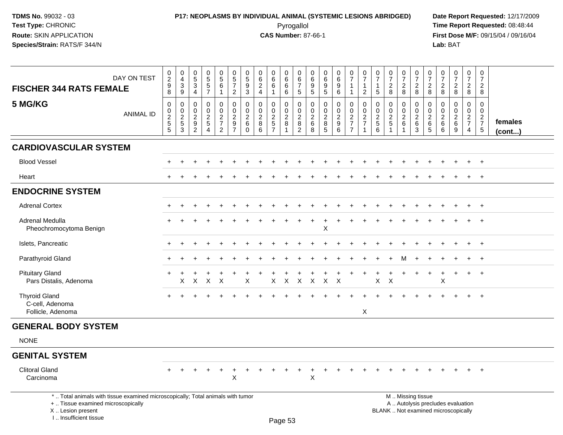## **P17: NEOPLASMS BY INDIVIDUAL ANIMAL (SYSTEMIC LESIONS ABRIDGED) Date Report Requested:** 12/17/2009 Pyrogallol Pyrogallol **Pyrogallol Time Report Requested:** 08:48:44<br>**CAS Number:** 87-66-1 **Time Report Requested:** 08/15/04 / 09/16/04

| DAY ON TEST<br><b>FISCHER 344 RATS FEMALE</b>                                                                                                                         | $\begin{smallmatrix} 0\\2\\9 \end{smallmatrix}$<br>8 | $\mathbf 0$<br>$\overline{4}$<br>$\mathbf{3}$<br>9 | $\begin{array}{c} 0 \\ 5 \end{array}$<br>$\mathbf{3}$<br>$\overline{4}$          | $\begin{array}{c} 0 \\ 5 \\ 5 \end{array}$<br>$\overline{7}$ | $\begin{array}{c} 0 \\ 5 \\ 6 \end{array}$<br>$\mathbf{1}$ | $\begin{array}{c} 0 \\ 5 \\ 7 \end{array}$<br>$\overline{2}$                         | 0<br>$\sqrt{5}$<br>9<br>3                                     | $\pmb{0}$<br>$\,6\,$<br>$\overline{2}$<br>$\overline{4}$ | 0<br>$\,6\,$<br>$\,6\,$<br>$\mathbf 1$    | 0<br>$\,6\,$<br>$6\phantom{1}$<br>6                                    | 0<br>$\,6\,$<br>$\overline{7}$<br>$\sqrt{5}$                                     | $\boldsymbol{0}$<br>$\,6\,$<br>$9\,$<br>$\overline{5}$           | $\begin{array}{c} 0 \\ 6 \end{array}$<br>9<br>$\overline{5}$ | $\begin{array}{c} 0 \\ 6 \end{array}$<br>$\overline{9}$<br>6 | $\begin{smallmatrix}0\\7\end{smallmatrix}$<br>$\mathbf{1}$<br>$\mathbf{1}$ | $\pmb{0}$<br>$\boldsymbol{7}$<br>$\mathbf{1}$<br>$\overline{c}$ | $\pmb{0}$<br>$\overline{7}$<br>$\overline{1}$<br>$\sqrt{5}$ | $\begin{array}{c} 0 \\ 7 \end{array}$<br>$\overline{2}$<br>8 | $\begin{array}{c} 0 \\ 7 \end{array}$<br>$\frac{2}{8}$ | $\begin{array}{c} 0 \\ 7 \end{array}$<br>$_{8}^2$         | 0<br>$\overline{7}$<br>$\overline{2}$<br>8 | $\pmb{0}$<br>$\boldsymbol{7}$<br>$\boldsymbol{2}$<br>8 | $\begin{array}{c} 0 \\ 7 \end{array}$<br>$\frac{2}{8}$                   | $\frac{0}{7}$<br>$_{8}^2$                                     | $\,0\,$<br>$\overline{7}$<br>$\overline{2}$<br>8          |                         |
|-----------------------------------------------------------------------------------------------------------------------------------------------------------------------|------------------------------------------------------|----------------------------------------------------|----------------------------------------------------------------------------------|--------------------------------------------------------------|------------------------------------------------------------|--------------------------------------------------------------------------------------|---------------------------------------------------------------|----------------------------------------------------------|-------------------------------------------|------------------------------------------------------------------------|----------------------------------------------------------------------------------|------------------------------------------------------------------|--------------------------------------------------------------|--------------------------------------------------------------|----------------------------------------------------------------------------|-----------------------------------------------------------------|-------------------------------------------------------------|--------------------------------------------------------------|--------------------------------------------------------|-----------------------------------------------------------|--------------------------------------------|--------------------------------------------------------|--------------------------------------------------------------------------|---------------------------------------------------------------|-----------------------------------------------------------|-------------------------|
| 5 MG/KG<br><b>ANIMAL ID</b>                                                                                                                                           | $\mathbf 0$<br>$\pmb{0}$<br>$\frac{2}{5}$<br>5       | $\mathbf 0$<br>$\mathbf 0$<br>$\frac{2}{5}$<br>3   | $\mathbf 0$<br>$\mathbf 0$<br>$\overline{c}$<br>$\overline{9}$<br>$\overline{c}$ | $\mathbf 0$<br>0<br>$\frac{2}{5}$<br>4                       | 0<br>$\mathsf{O}\xspace$<br>$rac{2}{7}$<br>$\overline{2}$  | $\mathbf 0$<br>$\mathbf 0$<br>$\boldsymbol{2}$<br>$\boldsymbol{9}$<br>$\overline{7}$ | $\mathbf 0$<br>$\mathbf 0$<br>$\overline{2}$<br>6<br>$\Omega$ | $\mathbf 0$<br>$\mathbf 0$<br>$\overline{c}$<br>8<br>6   | 0<br>0<br>$\frac{2}{5}$<br>$\overline{7}$ | $\mathbf 0$<br>$\mathsf{O}\xspace$<br>$\overline{c}$<br>$\overline{8}$ | $\mathbf 0$<br>$\pmb{0}$<br>$\boldsymbol{2}$<br>$\overline{8}$<br>$\overline{2}$ | $\mathbf 0$<br>$\boldsymbol{0}$<br>$\frac{2}{6}$<br>$\mathbf{8}$ | $\mathbf 0$<br>$\mathbf 0$<br>$\frac{2}{8}$<br>5             | 0<br>$\pmb{0}$<br>$\overline{c}$<br>$\overline{9}$<br>6      | 0<br>$\mathsf{O}\xspace$<br>$\frac{2}{7}$<br>$\overline{7}$                | $\pmb{0}$<br>$\pmb{0}$<br>$\frac{2}{7}$<br>1                    | $\mathbf 0$<br>$\mathbf 0$<br>$\frac{2}{5}$<br>6            | $\mathbf 0$<br>0<br>$\frac{2}{5}$                            | 0<br>$\pmb{0}$<br>$\frac{2}{6}$<br>-1                  | 0<br>$\mathsf{O}\xspace$<br>$\frac{2}{6}$<br>$\mathbf{3}$ | 0<br>0<br>$\overline{2}$<br>6<br>5         | 0<br>0<br>$^2\phantom{1}6$<br>6                        | $\mathbf 0$<br>$\pmb{0}$<br>$\frac{2}{6}$<br>9                           | $\mathbf 0$<br>$\mathbf 0$<br>$\frac{2}{7}$<br>$\overline{4}$ | $\mathbf 0$<br>$\mathbf 0$<br>$\frac{2}{7}$<br>$\sqrt{5}$ | females<br>$($ cont $)$ |
| <b>CARDIOVASCULAR SYSTEM</b>                                                                                                                                          |                                                      |                                                    |                                                                                  |                                                              |                                                            |                                                                                      |                                                               |                                                          |                                           |                                                                        |                                                                                  |                                                                  |                                                              |                                                              |                                                                            |                                                                 |                                                             |                                                              |                                                        |                                                           |                                            |                                                        |                                                                          |                                                               |                                                           |                         |
| <b>Blood Vessel</b>                                                                                                                                                   |                                                      |                                                    |                                                                                  |                                                              |                                                            |                                                                                      |                                                               |                                                          |                                           |                                                                        |                                                                                  |                                                                  |                                                              |                                                              |                                                                            |                                                                 |                                                             |                                                              |                                                        |                                                           |                                            |                                                        |                                                                          |                                                               |                                                           |                         |
| Heart                                                                                                                                                                 |                                                      |                                                    |                                                                                  |                                                              |                                                            |                                                                                      |                                                               |                                                          |                                           |                                                                        |                                                                                  |                                                                  |                                                              |                                                              |                                                                            |                                                                 |                                                             |                                                              |                                                        |                                                           |                                            |                                                        |                                                                          |                                                               | $\ddot{}$                                                 |                         |
| <b>ENDOCRINE SYSTEM</b>                                                                                                                                               |                                                      |                                                    |                                                                                  |                                                              |                                                            |                                                                                      |                                                               |                                                          |                                           |                                                                        |                                                                                  |                                                                  |                                                              |                                                              |                                                                            |                                                                 |                                                             |                                                              |                                                        |                                                           |                                            |                                                        |                                                                          |                                                               |                                                           |                         |
| <b>Adrenal Cortex</b>                                                                                                                                                 |                                                      |                                                    |                                                                                  |                                                              |                                                            |                                                                                      |                                                               |                                                          |                                           |                                                                        |                                                                                  |                                                                  |                                                              |                                                              |                                                                            |                                                                 |                                                             |                                                              |                                                        |                                                           |                                            |                                                        |                                                                          |                                                               | $+$                                                       |                         |
| Adrenal Medulla<br>Pheochromocytoma Benign                                                                                                                            |                                                      |                                                    |                                                                                  |                                                              |                                                            |                                                                                      |                                                               |                                                          |                                           |                                                                        |                                                                                  |                                                                  | X                                                            |                                                              |                                                                            |                                                                 |                                                             |                                                              |                                                        |                                                           |                                            |                                                        |                                                                          |                                                               | $\overline{+}$                                            |                         |
| Islets, Pancreatic                                                                                                                                                    |                                                      |                                                    |                                                                                  |                                                              |                                                            |                                                                                      |                                                               |                                                          |                                           |                                                                        |                                                                                  |                                                                  |                                                              |                                                              |                                                                            |                                                                 |                                                             |                                                              |                                                        |                                                           |                                            |                                                        |                                                                          |                                                               | $\ddot{}$                                                 |                         |
| Parathyroid Gland                                                                                                                                                     |                                                      |                                                    |                                                                                  |                                                              |                                                            |                                                                                      |                                                               |                                                          |                                           |                                                                        |                                                                                  |                                                                  |                                                              |                                                              |                                                                            |                                                                 |                                                             |                                                              | м                                                      |                                                           |                                            |                                                        |                                                                          |                                                               | $\div$                                                    |                         |
| <b>Pituitary Gland</b><br>Pars Distalis, Adenoma                                                                                                                      |                                                      | X                                                  | X                                                                                | X                                                            | X                                                          |                                                                                      | X                                                             |                                                          | X                                         | X                                                                      | X                                                                                | X                                                                | $\times$                                                     | $\times$                                                     |                                                                            |                                                                 | $\pmb{\times}$                                              | $\times$                                                     |                                                        |                                                           | $\ddot{}$                                  | ÷<br>X                                                 | $\ddot{}$                                                                | $\ddot{}$                                                     | $^{+}$                                                    |                         |
| <b>Thyroid Gland</b><br>C-cell, Adenoma<br>Follicle, Adenoma                                                                                                          |                                                      |                                                    |                                                                                  |                                                              |                                                            |                                                                                      |                                                               |                                                          |                                           |                                                                        |                                                                                  |                                                                  |                                                              |                                                              |                                                                            | X                                                               |                                                             |                                                              |                                                        |                                                           |                                            |                                                        |                                                                          |                                                               | $\ddot{}$                                                 |                         |
| <b>GENERAL BODY SYSTEM</b>                                                                                                                                            |                                                      |                                                    |                                                                                  |                                                              |                                                            |                                                                                      |                                                               |                                                          |                                           |                                                                        |                                                                                  |                                                                  |                                                              |                                                              |                                                                            |                                                                 |                                                             |                                                              |                                                        |                                                           |                                            |                                                        |                                                                          |                                                               |                                                           |                         |
| <b>NONE</b>                                                                                                                                                           |                                                      |                                                    |                                                                                  |                                                              |                                                            |                                                                                      |                                                               |                                                          |                                           |                                                                        |                                                                                  |                                                                  |                                                              |                                                              |                                                                            |                                                                 |                                                             |                                                              |                                                        |                                                           |                                            |                                                        |                                                                          |                                                               |                                                           |                         |
| <b>GENITAL SYSTEM</b>                                                                                                                                                 |                                                      |                                                    |                                                                                  |                                                              |                                                            |                                                                                      |                                                               |                                                          |                                           |                                                                        |                                                                                  |                                                                  |                                                              |                                                              |                                                                            |                                                                 |                                                             |                                                              |                                                        |                                                           |                                            |                                                        |                                                                          |                                                               |                                                           |                         |
| <b>Clitoral Gland</b><br>Carcinoma                                                                                                                                    |                                                      |                                                    |                                                                                  | $\ddot{}$                                                    | $\ddot{}$                                                  | $\ddot{}$<br>$\boldsymbol{\mathsf{X}}$                                               |                                                               |                                                          |                                           |                                                                        | $\ddot{}$                                                                        | X                                                                |                                                              |                                                              |                                                                            |                                                                 |                                                             |                                                              |                                                        |                                                           |                                            |                                                        |                                                                          |                                                               | $^{+}$                                                    |                         |
| *  Total animals with tissue examined microscopically; Total animals with tumor<br>+  Tissue examined microscopically<br>X  Lesion present<br>I., Insufficient tissue |                                                      |                                                    |                                                                                  |                                                              |                                                            |                                                                                      |                                                               |                                                          |                                           | Page 53                                                                |                                                                                  |                                                                  |                                                              |                                                              |                                                                            |                                                                 |                                                             |                                                              |                                                        | M  Missing tissue                                         |                                            |                                                        | A  Autolysis precludes evaluation<br>BLANK  Not examined microscopically |                                                               |                                                           |                         |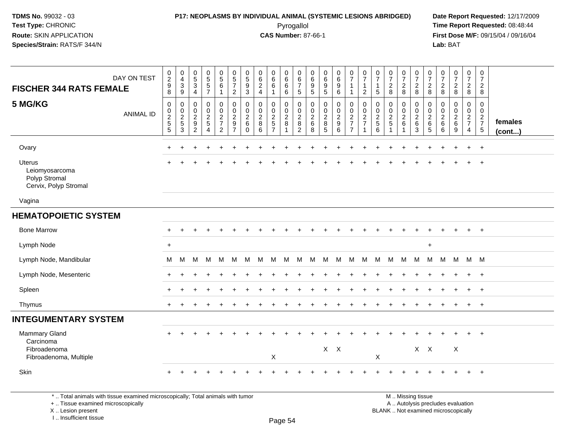#### **P17: NEOPLASMS BY INDIVIDUAL ANIMAL (SYSTEMIC LESIONS ABRIDGED) Date Report Requested:** 12/17/2009 Pyrogallol Pyrogallol **Pyrogallol Time Report Requested:** 08:48:44<br>**CAS Number:** 87-66-1 **Time Report Requested:** 08/15/04 / 09/16/04

**First Dose M/F:** 09/15/04 / 09/16/04<br>**Lab:** BAT **Lab:** BAT

| DAY ON TEST<br><b>FISCHER 344 RATS FEMALE</b>                                                                                                                                                                                                          | $\begin{smallmatrix} 0\\2 \end{smallmatrix}$<br>$\boldsymbol{9}$<br>8 | 0<br>$\overline{4}$<br>$\mathbf 3$<br>9                     | $\begin{array}{c} 0 \\ 5 \end{array}$<br>$\mathbf{3}$<br>$\overline{4}$ | $\begin{array}{c} 0 \\ 5 \\ 5 \end{array}$<br>$\overline{7}$ | $\begin{array}{c} 0 \\ 5 \\ 6 \end{array}$<br>$\mathbf{1}$                     | $\begin{array}{c} 0 \\ 5 \\ 7 \end{array}$<br>$\overline{2}$                                                    | 0<br>$\overline{5}$<br>$\boldsymbol{9}$<br>$\mathbf{3}$ | 0<br>6<br>$\sqrt{2}$<br>$\overline{4}$         | 0<br>$6\overline{6}$<br>$6\phantom{1}$<br>$\mathbf{1}$ | $\begin{matrix} 0 \\ 6 \end{matrix}$<br>$6^{\circ}$<br>6 | 0<br>$\frac{6}{7}$<br>$5\phantom{.0}$                 | $\begin{matrix}0\\6\end{matrix}$<br>$\boldsymbol{9}$<br>$\overline{5}$ | $\begin{array}{c} 0 \\ 6 \end{array}$<br>$\boldsymbol{9}$<br>$\sqrt{5}$ | $\begin{matrix} 0 \\ 6 \end{matrix}$<br>$\boldsymbol{9}$<br>$\,6\,$     | $\frac{0}{7}$<br>$\mathbf{1}$<br>$\mathbf{1}$                | $\begin{smallmatrix}0\\7\end{smallmatrix}$<br>$\mathbf{1}$<br>$\overline{2}$ | $\frac{0}{7}$<br>$\mathbf{1}$<br>$\sqrt{5}$       | $\frac{0}{7}$<br>$\sqrt{2}$<br>8  | $\frac{0}{7}$<br>$\frac{2}{8}$                    | $\frac{0}{7}$<br>$\overline{2}$<br>8                                             | $\frac{0}{7}$<br>$\sqrt{2}$<br>8         | $\frac{0}{7}$<br>$\sqrt{2}$<br>8          | $\begin{smallmatrix}0\\7\end{smallmatrix}$<br>$\frac{2}{8}$               | $\frac{0}{7}$<br>$\overline{2}$<br>8                   | $\frac{0}{7}$<br>$\overline{c}$<br>8                                   |                   |
|--------------------------------------------------------------------------------------------------------------------------------------------------------------------------------------------------------------------------------------------------------|-----------------------------------------------------------------------|-------------------------------------------------------------|-------------------------------------------------------------------------|--------------------------------------------------------------|--------------------------------------------------------------------------------|-----------------------------------------------------------------------------------------------------------------|---------------------------------------------------------|------------------------------------------------|--------------------------------------------------------|----------------------------------------------------------|-------------------------------------------------------|------------------------------------------------------------------------|-------------------------------------------------------------------------|-------------------------------------------------------------------------|--------------------------------------------------------------|------------------------------------------------------------------------------|---------------------------------------------------|-----------------------------------|---------------------------------------------------|----------------------------------------------------------------------------------|------------------------------------------|-------------------------------------------|---------------------------------------------------------------------------|--------------------------------------------------------|------------------------------------------------------------------------|-------------------|
| 5 MG/KG<br><b>ANIMAL ID</b>                                                                                                                                                                                                                            | $\pmb{0}$<br>$\begin{array}{c} 0 \\ 2 \\ 5 \\ 5 \end{array}$          | $\mathbf 0$<br>$\mathbf 0$<br>$\sqrt{2}$<br>$\sqrt{5}$<br>3 | $\mathbf 0$<br>$\mathbf 0$<br>$\overline{2}$<br>$\frac{9}{2}$           | $\mathbf 0$<br>0<br>$\frac{2}{5}$<br>$\overline{4}$          | $\pmb{0}$<br>$\mathbf 0$<br>$\overline{2}$<br>$\overline{7}$<br>$\overline{2}$ | $\mathsf 0$<br>$\mathbf 0$<br>$\overline{2}$<br>$\boldsymbol{9}$<br>$\overline{7}$                              | 0<br>0<br>$\sqrt{2}$<br>$\,6\,$<br>$\Omega$             | $\pmb{0}$<br>$\pmb{0}$<br>$\sqrt{2}$<br>8<br>6 | 0<br>$\mathbf 0$<br>$rac{2}{7}$                        | $\pmb{0}$<br>$\frac{0}{2}$<br>8<br>$\overline{1}$        | $\pmb{0}$<br>$\pmb{0}$<br>$\sqrt{2}$<br>$\frac{8}{2}$ | $\boldsymbol{0}$<br>$\mathbf 0$<br>$\sqrt{2}$<br>$\,6\,$<br>8          | $\pmb{0}$<br>$\pmb{0}$<br>$\sqrt{2}$<br>8<br>5                          | 0<br>$\mathbf 0$<br>$\sqrt{2}$<br>$\begin{array}{c} 9 \\ 6 \end{array}$ | $\pmb{0}$<br>$\begin{array}{c} 0 \\ 2 \\ 7 \\ 7 \end{array}$ | $\mathbf 0$<br>$\pmb{0}$<br>$\overline{2}$<br>$\overline{7}$<br>$\mathbf{1}$ | 0<br>$\pmb{0}$<br>$\frac{2}{5}$<br>$6\phantom{a}$ | $\mathbf 0$<br>$\frac{0}{2}$<br>1 | 0<br>$\mathbf 0$<br>$\frac{2}{6}$<br>$\mathbf{1}$ | 0<br>$\mathbf 0$<br>$\sqrt{2}$<br>$\,6\,$<br>3                                   | 0<br>$\mathbf 0$<br>$\sqrt{2}$<br>6<br>5 | $\mathbf 0$<br>$\pmb{0}$<br>$\frac{2}{6}$ | $\mathbf 0$<br>$\mathsf 0$<br>$\overline{2}$<br>$\,6\,$<br>$\overline{9}$ | 0<br>$\overline{0}$<br>$\frac{2}{7}$<br>$\overline{4}$ | $\mathbf 0$<br>$\ddot{\mathbf{0}}$<br>$\frac{2}{7}$<br>$5\phantom{.0}$ | females<br>(cont) |
| Ovary                                                                                                                                                                                                                                                  |                                                                       |                                                             |                                                                         |                                                              |                                                                                |                                                                                                                 |                                                         |                                                |                                                        |                                                          |                                                       |                                                                        |                                                                         |                                                                         |                                                              |                                                                              |                                                   |                                   |                                                   |                                                                                  |                                          |                                           |                                                                           | $\ddot{}$                                              | $+$                                                                    |                   |
| <b>Uterus</b><br>Leiomyosarcoma<br>Polyp Stromal<br>Cervix, Polyp Stromal                                                                                                                                                                              |                                                                       |                                                             |                                                                         |                                                              |                                                                                |                                                                                                                 |                                                         |                                                |                                                        |                                                          |                                                       |                                                                        |                                                                         |                                                                         |                                                              |                                                                              |                                                   |                                   |                                                   |                                                                                  |                                          |                                           |                                                                           |                                                        | $\ddot{+}$                                                             |                   |
| Vagina                                                                                                                                                                                                                                                 |                                                                       |                                                             |                                                                         |                                                              |                                                                                |                                                                                                                 |                                                         |                                                |                                                        |                                                          |                                                       |                                                                        |                                                                         |                                                                         |                                                              |                                                                              |                                                   |                                   |                                                   |                                                                                  |                                          |                                           |                                                                           |                                                        |                                                                        |                   |
| <b>HEMATOPOIETIC SYSTEM</b>                                                                                                                                                                                                                            |                                                                       |                                                             |                                                                         |                                                              |                                                                                |                                                                                                                 |                                                         |                                                |                                                        |                                                          |                                                       |                                                                        |                                                                         |                                                                         |                                                              |                                                                              |                                                   |                                   |                                                   |                                                                                  |                                          |                                           |                                                                           |                                                        |                                                                        |                   |
| <b>Bone Marrow</b>                                                                                                                                                                                                                                     | $\ddot{}$                                                             |                                                             |                                                                         |                                                              |                                                                                |                                                                                                                 |                                                         |                                                |                                                        |                                                          |                                                       |                                                                        |                                                                         |                                                                         |                                                              |                                                                              |                                                   |                                   |                                                   |                                                                                  |                                          |                                           |                                                                           | $+$                                                    | $+$                                                                    |                   |
| Lymph Node                                                                                                                                                                                                                                             | $\ddot{}$                                                             |                                                             |                                                                         |                                                              |                                                                                |                                                                                                                 |                                                         |                                                |                                                        |                                                          |                                                       |                                                                        |                                                                         |                                                                         |                                                              |                                                                              |                                                   |                                   |                                                   |                                                                                  | $\ddot{}$                                |                                           |                                                                           |                                                        |                                                                        |                   |
| Lymph Node, Mandibular                                                                                                                                                                                                                                 | М                                                                     | M                                                           | М                                                                       | M                                                            | M                                                                              | M                                                                                                               | М                                                       | M                                              | M                                                      | M                                                        | M                                                     | M                                                                      | М                                                                       | M                                                                       | M                                                            | M                                                                            |                                                   | M M M M                           |                                                   |                                                                                  | M                                        |                                           | M M M M                                                                   |                                                        |                                                                        |                   |
| Lymph Node, Mesenteric                                                                                                                                                                                                                                 | $\ddot{}$                                                             |                                                             |                                                                         |                                                              |                                                                                |                                                                                                                 |                                                         |                                                |                                                        |                                                          |                                                       |                                                                        |                                                                         |                                                                         |                                                              |                                                                              |                                                   |                                   |                                                   |                                                                                  |                                          |                                           |                                                                           | $+$                                                    | $+$                                                                    |                   |
| Spleen                                                                                                                                                                                                                                                 |                                                                       |                                                             |                                                                         |                                                              |                                                                                |                                                                                                                 |                                                         |                                                |                                                        |                                                          |                                                       |                                                                        |                                                                         |                                                                         |                                                              |                                                                              |                                                   |                                   |                                                   |                                                                                  |                                          |                                           |                                                                           |                                                        | $+$                                                                    |                   |
| Thymus                                                                                                                                                                                                                                                 | $+$                                                                   |                                                             |                                                                         |                                                              |                                                                                |                                                                                                                 |                                                         |                                                |                                                        |                                                          |                                                       |                                                                        |                                                                         |                                                                         |                                                              |                                                                              |                                                   |                                   |                                                   |                                                                                  |                                          |                                           |                                                                           | $+$                                                    | $+$                                                                    |                   |
| <b>INTEGUMENTARY SYSTEM</b>                                                                                                                                                                                                                            |                                                                       |                                                             |                                                                         |                                                              |                                                                                |                                                                                                                 |                                                         |                                                |                                                        |                                                          |                                                       |                                                                        |                                                                         |                                                                         |                                                              |                                                                              |                                                   |                                   |                                                   |                                                                                  |                                          |                                           |                                                                           |                                                        |                                                                        |                   |
| <b>Mammary Gland</b><br>Carcinoma<br>Fibroadenoma<br>Fibroadenoma, Multiple                                                                                                                                                                            |                                                                       |                                                             |                                                                         |                                                              |                                                                                |                                                                                                                 |                                                         |                                                | X                                                      |                                                          |                                                       |                                                                        | $X$ $X$                                                                 |                                                                         |                                                              |                                                                              | X                                                 |                                   |                                                   |                                                                                  | $X$ $X$                                  |                                           | X                                                                         | $\ddot{}$                                              | $+$                                                                    |                   |
| Skin                                                                                                                                                                                                                                                   |                                                                       |                                                             |                                                                         |                                                              |                                                                                |                                                                                                                 |                                                         |                                                |                                                        |                                                          |                                                       |                                                                        |                                                                         |                                                                         |                                                              |                                                                              |                                                   |                                   |                                                   |                                                                                  |                                          |                                           |                                                                           | $\ddot{}$                                              | $+$                                                                    |                   |
| the property of the control of the control of the control of the control of the control of the control of the control of the control of the control of the control of the control of the control of the control of the control<br>$\sim$ $\sim$ $\sim$ |                                                                       |                                                             |                                                                         |                                                              |                                                                                | the contract of the contract of the contract of the contract of the contract of the contract of the contract of |                                                         |                                                |                                                        |                                                          |                                                       |                                                                        |                                                                         |                                                                         |                                                              |                                                                              |                                                   |                                   |                                                   | $\mathbf{r}$ and $\mathbf{r}$ and $\mathbf{r}$ and $\mathbf{r}$ and $\mathbf{r}$ |                                          |                                           |                                                                           |                                                        |                                                                        |                   |

\* .. Total animals with tissue examined microscopically; Total animals with tumor

+ .. Tissue examined microscopically

X .. Lesion present

I .. Insufficient tissue

 M .. Missing tissuey the contract of the contract of the contract of the contract of the contract of  $\mathsf A$  . Autolysis precludes evaluation Lesion present BLANK .. Not examined microscopically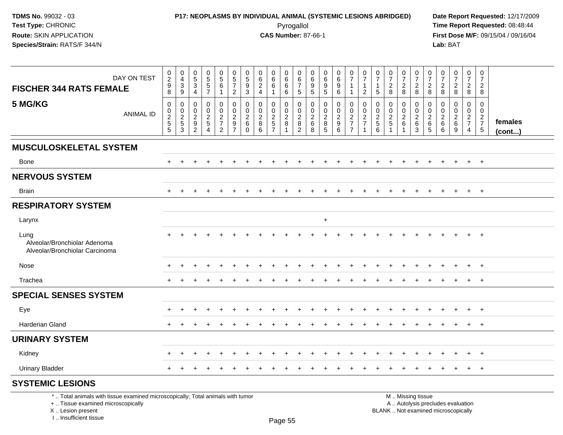## **P17: NEOPLASMS BY INDIVIDUAL ANIMAL (SYSTEMIC LESIONS ABRIDGED) Date Report Requested:** 12/17/2009 Pyrogallol Pyrogallol **Pyrogallol Time Report Requested:** 08:48:44<br>**CAS Number:** 87-66-1 **Time Report Requested:** 08/15/04 / 09/16/04

| DAY ON TEST<br><b>FISCHER 344 RATS FEMALE</b>                                                                                                                       | $\begin{smallmatrix} 0\\2\\9 \end{smallmatrix}$<br>8 | 0<br>$\overline{4}$<br>3<br>9                       | 0<br>$\,$ 5 $\,$<br>$\overline{3}$<br>$\overline{4}$      | $\begin{array}{c} 0 \\ 5 \\ 5 \end{array}$<br>$\overline{7}$ | $\begin{array}{c} 0 \\ 5 \\ 6 \end{array}$<br>$\mathbf{1}$    | $\pmb{0}$<br>$\sqrt{5}$<br>$\overline{7}$<br>$\overline{2}$                        | 0<br>$\sqrt{5}$<br>9<br>$\mathbf{3}$                                | 0<br>$\,6\,$<br>$\sqrt{2}$<br>$\overline{4}$           | 0<br>6<br>$\,6\,$<br>$\mathbf{1}$                                      | 0<br>$\,6\,$<br>6<br>6                        | 0<br>6<br>$\overline{7}$<br>$5\phantom{.0}$                       | 0<br>6<br>9<br>$\sqrt{5}$                 | $\mathbf 0$<br>$\,6\,$<br>9<br>$\sqrt{5}$                                   | 0<br>$\,6\,$<br>$\boldsymbol{9}$<br>6    | 0<br>$\overline{7}$<br>$\mathbf{1}$<br>$\mathbf{1}$ | 0<br>$\overline{7}$<br>$\mathbf{1}$<br>$\overline{2}$     | 0<br>$\overline{7}$<br>$\mathbf 1$<br>$\sqrt{5}$ | $\frac{0}{7}$<br>$\overline{c}$<br>8 | 0<br>$\overline{7}$<br>$\sqrt{2}$<br>$\boldsymbol{8}$ | $\frac{0}{7}$<br>$\sqrt{2}$<br>8                                                              | 0<br>$\overline{7}$<br>$\overline{c}$<br>8                          | $\frac{0}{7}$<br>$\overline{c}$<br>8                      | 0<br>$\overline{7}$<br>$\overline{2}$<br>8         | $\frac{0}{7}$<br>$\overline{a}$<br>8             | $\mathbf 0$<br>$\overline{7}$<br>$\overline{2}$<br>8 |                         |
|---------------------------------------------------------------------------------------------------------------------------------------------------------------------|------------------------------------------------------|-----------------------------------------------------|-----------------------------------------------------------|--------------------------------------------------------------|---------------------------------------------------------------|------------------------------------------------------------------------------------|---------------------------------------------------------------------|--------------------------------------------------------|------------------------------------------------------------------------|-----------------------------------------------|-------------------------------------------------------------------|-------------------------------------------|-----------------------------------------------------------------------------|------------------------------------------|-----------------------------------------------------|-----------------------------------------------------------|--------------------------------------------------|--------------------------------------|-------------------------------------------------------|-----------------------------------------------------------------------------------------------|---------------------------------------------------------------------|-----------------------------------------------------------|----------------------------------------------------|--------------------------------------------------|------------------------------------------------------|-------------------------|
| 5 MG/KG<br>ANIMAL ID                                                                                                                                                | $\pmb{0}$<br>$\frac{0}{2}$<br>$\overline{5}$         | 0<br>$\mathbf 0$<br>$\frac{2}{5}$<br>$\overline{3}$ | 0<br>$\mathbf 0$<br>$\overline{2}$<br>9<br>$\overline{2}$ | $\mathbf 0$<br>$\mathbf 0$<br>$\frac{2}{5}$<br>4             | $\mathbf 0$<br>$\mathsf 0$<br>$\frac{2}{7}$<br>$\overline{2}$ | $\mathbf 0$<br>$\mathbf 0$<br>$\overline{2}$<br>$\boldsymbol{9}$<br>$\overline{7}$ | $\mathbf 0$<br>$\mathbf 0$<br>$\overline{2}$<br>$\,6\,$<br>$\Omega$ | $\mathbf 0$<br>$\mathbf 0$<br>$\overline{2}$<br>8<br>6 | 0<br>$\mathbf 0$<br>$\overline{2}$<br>$\overline{5}$<br>$\overline{7}$ | 0<br>$\mathbf 0$<br>$\overline{c}$<br>$\,8\,$ | 0<br>$\mathsf{O}\xspace$<br>$\overline{c}$<br>8<br>$\overline{2}$ | 0<br>$\mathbf 0$<br>$^2\phantom{1}6$<br>8 | $\mathbf 0$<br>$\mathbf 0$<br>$\boldsymbol{2}$<br>$\,8\,$<br>$\overline{5}$ | 0<br>$\mathbf 0$<br>$\sqrt{2}$<br>9<br>6 | 0<br>$\pmb{0}$<br>$\frac{2}{7}$<br>$\overline{7}$   | 0<br>$\mathsf 0$<br>$\overline{c}$<br>$\overline{7}$<br>1 | $\mathbf 0$<br>$\mathbf 0$<br>$\frac{2}{5}$<br>6 | $\mathbf 0$<br>0<br>$\frac{2}{5}$    | 0<br>$\mathbf{0}$<br>$\overline{c}$<br>$\,6\,$        | $\mathbf 0$<br>$\mathbf 0$<br>$\frac{2}{6}$<br>$\overline{3}$                                 | $\Omega$<br>$\Omega$<br>$\overline{2}$<br>$\,6\,$<br>$\overline{5}$ | $\Omega$<br>$\mathbf 0$<br>$\overline{c}$<br>$\,6\,$<br>6 | 0<br>$\mathbf 0$<br>$\overline{c}$<br>$\,6\,$<br>9 | $\mathbf 0$<br>$\mathbf 0$<br>$\frac{2}{7}$<br>4 | 0<br>$\mathbf 0$<br>$rac{2}{7}$<br>5                 | females<br>$($ cont $)$ |
| <b>MUSCULOSKELETAL SYSTEM</b>                                                                                                                                       |                                                      |                                                     |                                                           |                                                              |                                                               |                                                                                    |                                                                     |                                                        |                                                                        |                                               |                                                                   |                                           |                                                                             |                                          |                                                     |                                                           |                                                  |                                      |                                                       |                                                                                               |                                                                     |                                                           |                                                    |                                                  |                                                      |                         |
| <b>Bone</b>                                                                                                                                                         |                                                      |                                                     |                                                           |                                                              |                                                               |                                                                                    |                                                                     |                                                        |                                                                        |                                               |                                                                   |                                           |                                                                             |                                          |                                                     |                                                           |                                                  |                                      |                                                       |                                                                                               |                                                                     |                                                           |                                                    | $+$                                              | $+$                                                  |                         |
| <b>NERVOUS SYSTEM</b>                                                                                                                                               |                                                      |                                                     |                                                           |                                                              |                                                               |                                                                                    |                                                                     |                                                        |                                                                        |                                               |                                                                   |                                           |                                                                             |                                          |                                                     |                                                           |                                                  |                                      |                                                       |                                                                                               |                                                                     |                                                           |                                                    |                                                  |                                                      |                         |
| <b>Brain</b>                                                                                                                                                        | $+$                                                  | $\ddot{}$                                           | $\pm$                                                     | $\overline{ }$                                               | $\div$                                                        | ÷                                                                                  |                                                                     |                                                        |                                                                        | $\ddot{}$                                     | $\div$                                                            | $\div$                                    | $\div$                                                                      | $+$                                      | $\div$                                              |                                                           | $\div$                                           | $\overline{+}$                       | $\pm$                                                 | $\ddot{}$                                                                                     | $\ddot{}$                                                           | $\div$                                                    | $+$                                                | $+$                                              | $+$                                                  |                         |
| <b>RESPIRATORY SYSTEM</b>                                                                                                                                           |                                                      |                                                     |                                                           |                                                              |                                                               |                                                                                    |                                                                     |                                                        |                                                                        |                                               |                                                                   |                                           |                                                                             |                                          |                                                     |                                                           |                                                  |                                      |                                                       |                                                                                               |                                                                     |                                                           |                                                    |                                                  |                                                      |                         |
| Larynx                                                                                                                                                              |                                                      |                                                     |                                                           |                                                              |                                                               |                                                                                    |                                                                     |                                                        |                                                                        |                                               |                                                                   |                                           | $\ddot{}$                                                                   |                                          |                                                     |                                                           |                                                  |                                      |                                                       |                                                                                               |                                                                     |                                                           |                                                    |                                                  |                                                      |                         |
| Lung<br>Alveolar/Bronchiolar Adenoma<br>Alveolar/Bronchiolar Carcinoma                                                                                              |                                                      |                                                     |                                                           |                                                              |                                                               |                                                                                    |                                                                     |                                                        |                                                                        |                                               |                                                                   |                                           |                                                                             |                                          |                                                     |                                                           |                                                  |                                      |                                                       |                                                                                               |                                                                     |                                                           |                                                    |                                                  | $\overline{+}$                                       |                         |
| Nose                                                                                                                                                                |                                                      |                                                     |                                                           |                                                              |                                                               |                                                                                    |                                                                     |                                                        |                                                                        |                                               |                                                                   |                                           |                                                                             |                                          |                                                     |                                                           |                                                  |                                      |                                                       |                                                                                               |                                                                     |                                                           |                                                    |                                                  | $\overline{+}$                                       |                         |
| Trachea                                                                                                                                                             |                                                      |                                                     |                                                           |                                                              |                                                               |                                                                                    |                                                                     |                                                        |                                                                        |                                               |                                                                   |                                           |                                                                             |                                          |                                                     |                                                           |                                                  |                                      |                                                       |                                                                                               |                                                                     |                                                           |                                                    |                                                  | $+$                                                  |                         |
| <b>SPECIAL SENSES SYSTEM</b>                                                                                                                                        |                                                      |                                                     |                                                           |                                                              |                                                               |                                                                                    |                                                                     |                                                        |                                                                        |                                               |                                                                   |                                           |                                                                             |                                          |                                                     |                                                           |                                                  |                                      |                                                       |                                                                                               |                                                                     |                                                           |                                                    |                                                  |                                                      |                         |
| Eye                                                                                                                                                                 |                                                      |                                                     |                                                           |                                                              |                                                               |                                                                                    |                                                                     |                                                        |                                                                        |                                               |                                                                   |                                           |                                                                             |                                          |                                                     |                                                           |                                                  |                                      |                                                       |                                                                                               |                                                                     |                                                           |                                                    | $\pm$                                            | $^{+}$                                               |                         |
| <b>Harderian Gland</b>                                                                                                                                              | $\pm$                                                |                                                     |                                                           |                                                              |                                                               |                                                                                    |                                                                     |                                                        |                                                                        |                                               |                                                                   |                                           |                                                                             |                                          |                                                     |                                                           |                                                  |                                      |                                                       |                                                                                               |                                                                     |                                                           |                                                    | $+$                                              | $+$                                                  |                         |
| <b>URINARY SYSTEM</b>                                                                                                                                               |                                                      |                                                     |                                                           |                                                              |                                                               |                                                                                    |                                                                     |                                                        |                                                                        |                                               |                                                                   |                                           |                                                                             |                                          |                                                     |                                                           |                                                  |                                      |                                                       |                                                                                               |                                                                     |                                                           |                                                    |                                                  |                                                      |                         |
| Kidney                                                                                                                                                              |                                                      |                                                     |                                                           |                                                              |                                                               |                                                                                    |                                                                     |                                                        |                                                                        |                                               |                                                                   |                                           |                                                                             |                                          |                                                     |                                                           |                                                  |                                      |                                                       |                                                                                               |                                                                     |                                                           |                                                    | $+$                                              | $+$                                                  |                         |
| <b>Urinary Bladder</b>                                                                                                                                              |                                                      |                                                     |                                                           |                                                              |                                                               |                                                                                    |                                                                     |                                                        |                                                                        |                                               |                                                                   |                                           |                                                                             |                                          |                                                     |                                                           |                                                  |                                      |                                                       |                                                                                               |                                                                     |                                                           |                                                    | $\ddot{}$                                        | $+$                                                  |                         |
| <b>SYSTEMIC LESIONS</b>                                                                                                                                             |                                                      |                                                     |                                                           |                                                              |                                                               |                                                                                    |                                                                     |                                                        |                                                                        |                                               |                                                                   |                                           |                                                                             |                                          |                                                     |                                                           |                                                  |                                      |                                                       |                                                                                               |                                                                     |                                                           |                                                    |                                                  |                                                      |                         |
| *  Total animals with tissue examined microscopically; Total animals with tumor<br>+  Tissue examined microscopically<br>X  Lesion present<br>I Insufficient tissue |                                                      |                                                     |                                                           |                                                              |                                                               |                                                                                    |                                                                     |                                                        |                                                                        | DaoE                                          |                                                                   |                                           |                                                                             |                                          |                                                     |                                                           |                                                  |                                      |                                                       | M  Missing tissue<br>A  Autolysis precludes evaluation<br>BLANK  Not examined microscopically |                                                                     |                                                           |                                                    |                                                  |                                                      |                         |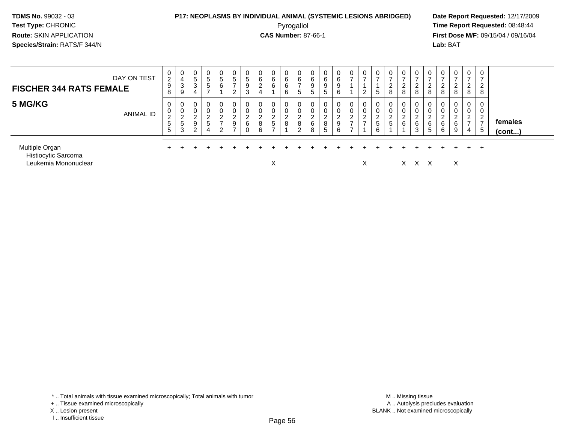## **P17: NEOPLASMS BY INDIVIDUAL ANIMAL (SYSTEMIC LESIONS ABRIDGED) Date Report Requested:** 12/17/2009

Pyrogallol Pyrogallol **Pyrogallol Time Report Requested:** 08:48:44<br>**CAS Number:** 87-66-1 **Time Report Requested:** 09/15/04 / 09/16/04 **First Dose M/F:** 09/15/04 / 09/16/04 Lab: BAT **Lab:** BAT

| DAY ON TEST<br><b>FISCHER 344 RATS FEMALE</b>                 | 0<br>$\overline{c}$<br>9<br>8                                        | 0<br>4<br>3<br>9                                                         | 0<br>5<br>3<br>4             | $\mathbf 0$<br>5<br>$5\phantom{.0}$<br>$\rightarrow$                    | 0<br>5<br>6                                                  | $5\overline{)}$<br>$\overline{ }$<br>2                              | $\overline{0}$<br>5<br>9<br>3             | U<br>6<br>ົ<br>∼<br>4      | 0<br>6<br>6                                     | 0<br>6<br>6<br>6       | 0<br>6<br>$\overline{ }$<br>5 | 0<br>6<br>9<br>5                    | 0<br>6<br>9<br>5                              | 0<br>6<br>9<br>6      | 0<br>$\overline{\phantom{0}}$                     | ⇁<br>2                                | 0<br>⇁<br>5                         | 0<br>∠<br>8                         | 0<br>ົ<br>8           | 0<br>ົ<br>∠<br>8           | 0<br>2<br>8                                 | ∠<br>8                         | 0<br>∠<br>8                | $\overline{0}$<br>⇁<br>ົ<br>∠<br>8                          | 0<br>⇁<br>$\sim$<br>∠<br>8             |                   |
|---------------------------------------------------------------|----------------------------------------------------------------------|--------------------------------------------------------------------------|------------------------------|-------------------------------------------------------------------------|--------------------------------------------------------------|---------------------------------------------------------------------|-------------------------------------------|----------------------------|-------------------------------------------------|------------------------|-------------------------------|-------------------------------------|-----------------------------------------------|-----------------------|---------------------------------------------------|---------------------------------------|-------------------------------------|-------------------------------------|-----------------------|----------------------------|---------------------------------------------|--------------------------------|----------------------------|-------------------------------------------------------------|----------------------------------------|-------------------|
| 5 MG/KG<br><b>ANIMAL ID</b>                                   | 0<br>$\begin{smallmatrix} 0\\2 \end{smallmatrix}$<br>$\sqrt{5}$<br>5 | 0<br>0<br>$\Omega$<br>∼<br>$\overline{\phantom{0}}$<br><sub>5</sub><br>3 | 0<br>0<br><u>_</u><br>9<br>ົ | $\mathbf 0$<br>0<br>$\overline{c}$<br>$5\phantom{.0}$<br>$\overline{4}$ | $\overline{0}$<br>0<br>ົ<br>$\epsilon$<br>$\rightarrow$<br>ົ | $\mathbf 0$<br>$\mathbf 0$<br>$\overline{c}$<br>9<br>$\overline{ }$ | $\mathbf 0$<br>0<br>$\sim$<br>∼<br>6<br>0 | 0<br>0<br>ົ<br>L<br>8<br>6 | 0<br>0<br>$\overline{2}$<br>5<br>$\overline{ }$ | 0<br>0<br>C.<br>∠<br>8 | $\mathbf 0$<br>2<br>8<br>2    | 0<br>0<br>ົ<br>$\epsilon$<br>6<br>8 | 0<br>$\sim$<br>U<br>ົ<br>$\epsilon$<br>8<br>5 | 0<br>0<br>2<br>9<br>6 | 0<br>0<br>C.<br>$\epsilon$<br>$\overline{ }$<br>⇁ | 0<br>$\overline{a}$<br>$\overline{7}$ | 0<br>$\sim$<br>$\epsilon$<br>5<br>6 | 0<br>0<br>$\sim$<br>∠<br>$\sqrt{5}$ | 0<br>0<br>ົ<br>∠<br>6 | 0<br>0<br>ົ<br>∠<br>6<br>3 | 0<br>$\sim$<br>$\mathcal{P}$<br>∠<br>6<br>5 | $\sim$<br>$\epsilon$<br>6<br>6 | 0<br>0<br>າ<br>∠<br>6<br>9 | 0<br>0<br>$\overline{2}$<br>$\rightarrow$<br>$\overline{4}$ | 0<br>0<br>ົ<br>∠<br>$\rightarrow$<br>5 | females<br>(cont) |
| Multiple Organ<br>Histiocytic Sarcoma<br>Leukemia Mononuclear |                                                                      |                                                                          |                              |                                                                         |                                                              |                                                                     |                                           |                            | Χ                                               |                        |                               |                                     |                                               |                       |                                                   | X                                     |                                     |                                     |                       | X.                         |                                             |                                | X                          | $+$ $-$                                                     | $^{+}$                                 |                   |

\* .. Total animals with tissue examined microscopically; Total animals with tumor

<sup>+ ..</sup> Tissue examined microscopically

X .. Lesion present

I .. Insufficient tissue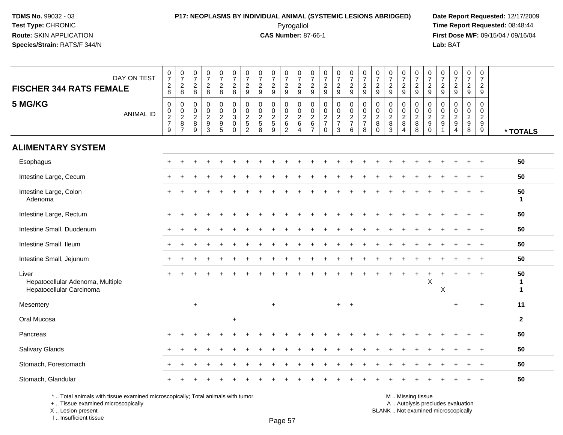#### **P17: NEOPLASMS BY INDIVIDUAL ANIMAL (SYSTEMIC LESIONS ABRIDGED) Date Report Requested:** 12/17/2009 Pyrogallol Pyrogallol **Pyrogallol Time Report Requested:** 08:48:44<br>**CAS Number:** 87-66-1 **Time Report Requested:** 09/15/04 / 09/16/04

**First Dose M/F:** 09/15/04 / 09/16/04 Lab: BAT **Lab:** BAT

| DAY ON TEST<br><b>FISCHER 344 RATS FEMALE</b><br>5 MG/KG<br><b>ANIMAL ID</b> | $\frac{0}{7}$<br>8<br>$\pmb{0}$<br>$\frac{0}{2}$<br>9 | $\begin{array}{c} 0 \\ 7 \end{array}$<br>$_{8}^2$<br>$\mathbf 0$<br>$_{2}^{\rm 0}$<br>$\,8\,$<br>$\overline{7}$ | $\begin{smallmatrix}0\\7\end{smallmatrix}$<br>$\begin{array}{c} 2 \\ 8 \end{array}$<br>0<br>$\pmb{0}$<br>$\overline{2}$<br>$\bf 8$<br>$\overline{9}$ | $\begin{array}{c} 0 \\ 7 \end{array}$<br>$_{\rm 8}^2$<br>$\mathsf{O}\xspace$<br>$\frac{0}{2}$<br>$\overline{3}$ | $\begin{array}{c} 0 \\ 7 \end{array}$<br>$\frac{2}{8}$<br>$\mathbf 0$<br>$\overline{0}$<br>$\frac{2}{9}$ | $\frac{0}{7}$<br>8<br>$\mathbf 0$<br>$\frac{0}{3}$<br>$\mathbf 0$<br>$\mathbf 0$ | $\frac{0}{7}$<br>$\frac{2}{9}$<br>0<br>0<br>$\overline{c}$<br>5<br>$\overline{2}$ | $\frac{0}{7}$<br>$\frac{2}{9}$<br>$\mathbf 0$<br>$\frac{0}{2}$<br>8 | $\frac{0}{7}$<br>$\frac{2}{9}$<br>0<br>$\mathsf{O}\xspace$<br>$\frac{2}{5}$<br>$\mathsf{Q}$ | $\frac{0}{7}$<br>$\frac{2}{9}$<br>$\mathsf{O}$<br>$\frac{0}{2}$<br>$^6_2$ | $\frac{0}{7}$<br>$\frac{2}{9}$<br>$\mathbf 0$<br>$\frac{0}{2}$<br>$\,6\,$<br>$\overline{A}$ | $\frac{0}{7}$<br>$\frac{2}{9}$<br>0<br>$\mathbf 0$<br>$\sqrt{2}$<br>$\,6\,$<br>$\overline{7}$ | $\frac{0}{7}$<br>$\frac{2}{9}$<br>$\pmb{0}$<br>$\frac{0}{2}$<br>$\mathbf 0$ | $\frac{0}{7}$<br>$\frac{2}{9}$<br>0<br>$\mathbf 0$<br>$\overline{2}$<br>$\overline{7}$<br>$\mathbf{3}$ | 0729<br>$\mathbf 0$<br>$\frac{0}{2}$<br>7<br>$6\phantom{1}$ | $\frac{0}{7}$<br>$\frac{2}{9}$<br>$\mathbf 0$<br>$\frac{0}{2}$<br>7<br>8 | $\frac{0}{7}$<br>$\frac{2}{9}$<br>0<br>$\mathbf 0$<br>$\overline{2}$<br>$\bf 8$<br>$\mathbf 0$ | $\frac{0}{7}$<br>$\frac{2}{9}$<br>$\pmb{0}$<br>$\frac{0}{2}$<br>$\mathbf{3}$ | $\frac{0}{7}$<br>$\frac{2}{9}$<br>0<br>$\mathbf 0$<br>$\overline{2}$<br>$\, 8$<br>$\boldsymbol{\Lambda}$ | $\frac{0}{7}$<br>$rac{2}{9}$<br>$\boldsymbol{0}$<br>$\frac{0}{2}$<br>$\bf 8$<br>8 | $\frac{0}{7}$<br>$\overline{c}$<br>9<br>0<br>$\mathbf 0$<br>$\sqrt{2}$<br>$\boldsymbol{9}$<br>$\mathbf 0$ | $\frac{0}{7}$<br>$\frac{2}{9}$<br>0<br>$\mathbf 0$<br>$\frac{2}{9}$<br>$\overline{1}$ | $\frac{0}{7}$<br>$\frac{2}{9}$<br>$\pmb{0}$<br>$\frac{0}{2}$<br>$\overline{4}$ | $\begin{array}{c} 0 \\ 7 \end{array}$<br>$\frac{2}{9}$<br>0<br>$\mathbf 0$<br>$\overline{2}$<br>$\frac{9}{8}$ | 0<br>$\overline{7}$<br>$\overline{c}$<br>9<br>$\mathbf 0$<br>$\mathbf 0$<br>$\overline{2}$<br>$^9_9$ | * TOTALS                           |
|------------------------------------------------------------------------------|-------------------------------------------------------|-----------------------------------------------------------------------------------------------------------------|------------------------------------------------------------------------------------------------------------------------------------------------------|-----------------------------------------------------------------------------------------------------------------|----------------------------------------------------------------------------------------------------------|----------------------------------------------------------------------------------|-----------------------------------------------------------------------------------|---------------------------------------------------------------------|---------------------------------------------------------------------------------------------|---------------------------------------------------------------------------|---------------------------------------------------------------------------------------------|-----------------------------------------------------------------------------------------------|-----------------------------------------------------------------------------|--------------------------------------------------------------------------------------------------------|-------------------------------------------------------------|--------------------------------------------------------------------------|------------------------------------------------------------------------------------------------|------------------------------------------------------------------------------|----------------------------------------------------------------------------------------------------------|-----------------------------------------------------------------------------------|-----------------------------------------------------------------------------------------------------------|---------------------------------------------------------------------------------------|--------------------------------------------------------------------------------|---------------------------------------------------------------------------------------------------------------|------------------------------------------------------------------------------------------------------|------------------------------------|
| <b>ALIMENTARY SYSTEM</b>                                                     |                                                       |                                                                                                                 |                                                                                                                                                      |                                                                                                                 |                                                                                                          |                                                                                  |                                                                                   |                                                                     |                                                                                             |                                                                           |                                                                                             |                                                                                               |                                                                             |                                                                                                        |                                                             |                                                                          |                                                                                                |                                                                              |                                                                                                          |                                                                                   |                                                                                                           |                                                                                       |                                                                                |                                                                                                               |                                                                                                      |                                    |
| Esophagus                                                                    |                                                       |                                                                                                                 |                                                                                                                                                      |                                                                                                                 |                                                                                                          |                                                                                  |                                                                                   |                                                                     |                                                                                             |                                                                           |                                                                                             |                                                                                               |                                                                             |                                                                                                        |                                                             |                                                                          |                                                                                                |                                                                              |                                                                                                          |                                                                                   |                                                                                                           |                                                                                       |                                                                                |                                                                                                               | $+$                                                                                                  | 50                                 |
| Intestine Large, Cecum                                                       |                                                       |                                                                                                                 |                                                                                                                                                      |                                                                                                                 |                                                                                                          |                                                                                  |                                                                                   |                                                                     |                                                                                             |                                                                           |                                                                                             |                                                                                               |                                                                             |                                                                                                        |                                                             |                                                                          |                                                                                                |                                                                              |                                                                                                          |                                                                                   |                                                                                                           |                                                                                       |                                                                                |                                                                                                               |                                                                                                      | 50                                 |
| Intestine Large, Colon<br>Adenoma                                            |                                                       |                                                                                                                 |                                                                                                                                                      |                                                                                                                 |                                                                                                          |                                                                                  |                                                                                   |                                                                     |                                                                                             |                                                                           |                                                                                             |                                                                                               |                                                                             |                                                                                                        |                                                             |                                                                          |                                                                                                |                                                                              |                                                                                                          |                                                                                   |                                                                                                           |                                                                                       |                                                                                |                                                                                                               |                                                                                                      | 50<br>$\mathbf{1}$                 |
| Intestine Large, Rectum                                                      |                                                       |                                                                                                                 |                                                                                                                                                      |                                                                                                                 |                                                                                                          |                                                                                  |                                                                                   |                                                                     |                                                                                             |                                                                           |                                                                                             |                                                                                               |                                                                             |                                                                                                        |                                                             |                                                                          |                                                                                                |                                                                              |                                                                                                          |                                                                                   |                                                                                                           |                                                                                       |                                                                                |                                                                                                               | $\ddot{}$                                                                                            | 50                                 |
| Intestine Small, Duodenum                                                    |                                                       |                                                                                                                 |                                                                                                                                                      |                                                                                                                 |                                                                                                          |                                                                                  |                                                                                   |                                                                     |                                                                                             |                                                                           |                                                                                             |                                                                                               |                                                                             |                                                                                                        |                                                             |                                                                          |                                                                                                |                                                                              |                                                                                                          |                                                                                   |                                                                                                           |                                                                                       |                                                                                |                                                                                                               |                                                                                                      | 50                                 |
| Intestine Small, Ileum                                                       |                                                       |                                                                                                                 |                                                                                                                                                      |                                                                                                                 |                                                                                                          |                                                                                  |                                                                                   |                                                                     |                                                                                             |                                                                           |                                                                                             |                                                                                               |                                                                             |                                                                                                        |                                                             |                                                                          |                                                                                                |                                                                              |                                                                                                          |                                                                                   |                                                                                                           |                                                                                       |                                                                                |                                                                                                               |                                                                                                      | 50                                 |
| Intestine Small, Jejunum                                                     |                                                       |                                                                                                                 |                                                                                                                                                      |                                                                                                                 |                                                                                                          |                                                                                  |                                                                                   |                                                                     |                                                                                             |                                                                           |                                                                                             |                                                                                               |                                                                             |                                                                                                        |                                                             |                                                                          |                                                                                                |                                                                              |                                                                                                          |                                                                                   |                                                                                                           |                                                                                       |                                                                                |                                                                                                               | $\overline{+}$                                                                                       | 50                                 |
| Liver<br>Hepatocellular Adenoma, Multiple<br>Hepatocellular Carcinoma        |                                                       |                                                                                                                 |                                                                                                                                                      |                                                                                                                 |                                                                                                          |                                                                                  |                                                                                   |                                                                     |                                                                                             |                                                                           |                                                                                             |                                                                                               |                                                                             |                                                                                                        |                                                             |                                                                          |                                                                                                |                                                                              |                                                                                                          |                                                                                   | $\mathsf{X}$                                                                                              | X                                                                                     |                                                                                |                                                                                                               | $+$                                                                                                  | 50<br>$\mathbf{1}$<br>$\mathbf{1}$ |
| Mesentery                                                                    |                                                       |                                                                                                                 | $+$                                                                                                                                                  |                                                                                                                 |                                                                                                          |                                                                                  |                                                                                   |                                                                     | $+$                                                                                         |                                                                           |                                                                                             |                                                                                               |                                                                             | $+$                                                                                                    | $+$                                                         |                                                                          |                                                                                                |                                                                              |                                                                                                          |                                                                                   |                                                                                                           |                                                                                       | $\ddot{}$                                                                      |                                                                                                               | $\ddot{+}$                                                                                           | 11                                 |
| Oral Mucosa                                                                  |                                                       |                                                                                                                 |                                                                                                                                                      |                                                                                                                 |                                                                                                          | $+$                                                                              |                                                                                   |                                                                     |                                                                                             |                                                                           |                                                                                             |                                                                                               |                                                                             |                                                                                                        |                                                             |                                                                          |                                                                                                |                                                                              |                                                                                                          |                                                                                   |                                                                                                           |                                                                                       |                                                                                |                                                                                                               |                                                                                                      | $\overline{2}$                     |
| Pancreas                                                                     |                                                       |                                                                                                                 |                                                                                                                                                      |                                                                                                                 |                                                                                                          |                                                                                  |                                                                                   |                                                                     |                                                                                             |                                                                           |                                                                                             |                                                                                               |                                                                             |                                                                                                        |                                                             |                                                                          |                                                                                                |                                                                              |                                                                                                          |                                                                                   |                                                                                                           |                                                                                       |                                                                                |                                                                                                               | $\div$                                                                                               | 50                                 |
| Salivary Glands                                                              |                                                       |                                                                                                                 |                                                                                                                                                      |                                                                                                                 |                                                                                                          |                                                                                  |                                                                                   |                                                                     |                                                                                             |                                                                           |                                                                                             |                                                                                               |                                                                             |                                                                                                        |                                                             |                                                                          |                                                                                                |                                                                              |                                                                                                          |                                                                                   |                                                                                                           |                                                                                       |                                                                                |                                                                                                               |                                                                                                      | 50                                 |
| Stomach, Forestomach                                                         |                                                       |                                                                                                                 |                                                                                                                                                      |                                                                                                                 |                                                                                                          |                                                                                  |                                                                                   |                                                                     |                                                                                             |                                                                           |                                                                                             |                                                                                               |                                                                             |                                                                                                        |                                                             |                                                                          |                                                                                                |                                                                              |                                                                                                          |                                                                                   |                                                                                                           |                                                                                       |                                                                                |                                                                                                               |                                                                                                      | 50                                 |
| Stomach, Glandular                                                           |                                                       |                                                                                                                 |                                                                                                                                                      |                                                                                                                 |                                                                                                          |                                                                                  |                                                                                   |                                                                     |                                                                                             |                                                                           |                                                                                             |                                                                                               |                                                                             |                                                                                                        |                                                             |                                                                          |                                                                                                |                                                                              |                                                                                                          |                                                                                   |                                                                                                           |                                                                                       |                                                                                |                                                                                                               |                                                                                                      | 50                                 |

\* .. Total animals with tissue examined microscopically; Total animals with tumor

+ .. Tissue examined microscopically

X .. Lesion present

I .. Insufficient tissue

M .. Missing tissue

y the contract of the contract of the contract of the contract of the contract of  $\mathsf A$  . Autolysis precludes evaluation

Lesion present BLANK .. Not examined microscopically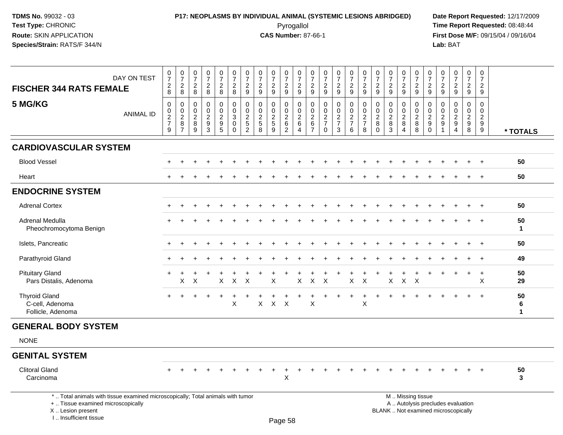I .. Insufficient tissue

## **P17: NEOPLASMS BY INDIVIDUAL ANIMAL (SYSTEMIC LESIONS ABRIDGED) Date Report Requested:** 12/17/2009 Pyrogallol Pyrogallol **Pyrogallol Time Report Requested:** 08:48:44<br>**CAS Number:** 87-66-1 **Time Report Requested:** 08/15/04 / 09/16/04

|                                                                                                                                           |                  |                                                |                                                                                              |                                                    |                                                       | 0                                                                                    |                                                  |                                                                              |                                                           |                                                     | $\boldsymbol{0}$                                            |                                                           |                                                                   |                                                                     | 0                                                   |                                                                   | 0                                                                   |                                                                  | 0                                                                    | 0                                                                   | 0                                            | 0                                                                              | 0                                                               |                                                                          |                                                                     | 0                                            |                         |
|-------------------------------------------------------------------------------------------------------------------------------------------|------------------|------------------------------------------------|----------------------------------------------------------------------------------------------|----------------------------------------------------|-------------------------------------------------------|--------------------------------------------------------------------------------------|--------------------------------------------------|------------------------------------------------------------------------------|-----------------------------------------------------------|-----------------------------------------------------|-------------------------------------------------------------|-----------------------------------------------------------|-------------------------------------------------------------------|---------------------------------------------------------------------|-----------------------------------------------------|-------------------------------------------------------------------|---------------------------------------------------------------------|------------------------------------------------------------------|----------------------------------------------------------------------|---------------------------------------------------------------------|----------------------------------------------|--------------------------------------------------------------------------------|-----------------------------------------------------------------|--------------------------------------------------------------------------|---------------------------------------------------------------------|----------------------------------------------|-------------------------|
|                                                                                                                                           | DAY ON TEST      | $\frac{0}{7}$                                  | $\frac{0}{7}$                                                                                | $\frac{0}{7}$                                      | $\frac{0}{7}$                                         | $\overline{7}$                                                                       | $\frac{0}{7}$                                    | $\frac{0}{7}$                                                                | $\frac{0}{7}$<br>$\overline{2}$                           | $\frac{0}{7}$                                       | $\overline{7}$                                              | $\frac{0}{7}$                                             | $\frac{0}{7}$                                                     | $\frac{0}{7}$                                                       | $\overline{7}$                                      | $\frac{0}{7}$                                                     | $\overline{7}$                                                      | $\frac{0}{7}$                                                    | $\overline{7}$                                                       | $\overline{7}$                                                      | $\overline{7}$                               | $\overline{7}$                                                                 | $\overline{7}$                                                  | $\frac{0}{7}$                                                            | $\begin{smallmatrix}0\\7\end{smallmatrix}$                          | $\overline{7}$                               |                         |
| <b>FISCHER 344 RATS FEMALE</b>                                                                                                            |                  | $\begin{array}{c} 2 \\ 8 \end{array}$          | $\frac{2}{8}$                                                                                | $\boldsymbol{2}$<br>$\,8\,$                        | $\frac{2}{8}$                                         | $\overline{a}$<br>$\,8\,$                                                            | $_{8}^2$                                         | $\overline{c}$<br>$\boldsymbol{9}$                                           | 9                                                         | $\frac{2}{9}$                                       | $\frac{2}{9}$                                               | $\frac{2}{9}$                                             | $\frac{2}{9}$                                                     | $\frac{2}{9}$                                                       | $\frac{2}{9}$                                       | $\frac{2}{9}$                                                     | $\overline{c}$<br>$\mathsf g$                                       | $\frac{2}{9}$                                                    | $\frac{2}{9}$                                                        | $\frac{2}{9}$                                                       | $\frac{2}{9}$                                | $\frac{2}{9}$                                                                  | $\frac{2}{9}$                                                   | $\frac{2}{9}$                                                            | $\overline{2}$<br>9                                                 | $\overline{2}$<br>9                          |                         |
| 5 MG/KG                                                                                                                                   | <b>ANIMAL ID</b> | 0<br>$_{2}^{\rm 0}$<br>$\overline{7}$<br>$9\,$ | $\boldsymbol{0}$<br>$\begin{smallmatrix} 0\\2 \end{smallmatrix}$<br>$\bf8$<br>$\overline{7}$ | $\mathbf 0$<br>$\mathbf 0$<br>$\sqrt{2}$<br>8<br>9 | 0<br>$\mathbf 0$<br>$\sqrt{2}$<br>9<br>$\overline{3}$ | $\mathbf 0$<br>$\mathbf 0$<br>$\boldsymbol{2}$<br>$\boldsymbol{9}$<br>$\overline{5}$ | 0<br>$\mathbf 0$<br>3<br>$\mathbf 0$<br>$\Omega$ | $\mathbf 0$<br>$\mathbf 0$<br>$\overline{c}$<br>$\sqrt{5}$<br>$\overline{2}$ | 0<br>$\mathbf 0$<br>$\overline{c}$<br>5<br>$\overline{8}$ | 0<br>$\mathbf 0$<br>$\overline{2}$<br>$\frac{5}{9}$ | 0<br>$\mathsf 0$<br>$\sqrt{2}$<br>$\,6\,$<br>$\overline{2}$ | 0<br>$\mathbf 0$<br>$\overline{c}$<br>$6\phantom{1}$<br>4 | 0<br>$\mathbf 0$<br>$\boldsymbol{2}$<br>$\,6\,$<br>$\overline{7}$ | 0<br>$\pmb{0}$<br>$\boldsymbol{2}$<br>$\overline{7}$<br>$\mathbf 0$ | 0<br>$\mathbf 0$<br>$\frac{2}{7}$<br>$\overline{3}$ | $\mathbf 0$<br>$\pmb{0}$<br>$\overline{c}$<br>$\overline{7}$<br>6 | $\mathbf 0$<br>$\mathbf 0$<br>$\overline{2}$<br>$\overline{7}$<br>8 | 0<br>$\mathsf{O}\xspace$<br>$\overline{c}$<br>$\, 8$<br>$\Omega$ | $\mathbf{0}$<br>$\mathbf 0$<br>$\boldsymbol{2}$<br>8<br>$\mathbf{3}$ | $\mathbf 0$<br>$\mathbf 0$<br>$\overline{2}$<br>8<br>$\overline{4}$ | 0<br>$\mathbf 0$<br>$\overline{2}$<br>8<br>8 | $\mathbf 0$<br>$\mathbf 0$<br>$\boldsymbol{2}$<br>$\boldsymbol{9}$<br>$\Omega$ | 0<br>$\mathbf 0$<br>$\overline{c}$<br>9<br>$\blacktriangleleft$ | 0<br>$\pmb{0}$<br>$\overline{2}$<br>$\boldsymbol{9}$<br>$\overline{4}$   | $\mathbf 0$<br>$\mathbf 0$<br>$\overline{c}$<br>9<br>$\overline{8}$ | $\mathbf 0$<br>0<br>$\overline{2}$<br>9<br>9 | * TOTALS                |
| <b>CARDIOVASCULAR SYSTEM</b>                                                                                                              |                  |                                                |                                                                                              |                                                    |                                                       |                                                                                      |                                                  |                                                                              |                                                           |                                                     |                                                             |                                                           |                                                                   |                                                                     |                                                     |                                                                   |                                                                     |                                                                  |                                                                      |                                                                     |                                              |                                                                                |                                                                 |                                                                          |                                                                     |                                              |                         |
| <b>Blood Vessel</b>                                                                                                                       |                  |                                                |                                                                                              |                                                    |                                                       |                                                                                      |                                                  |                                                                              |                                                           |                                                     |                                                             |                                                           |                                                                   |                                                                     |                                                     |                                                                   |                                                                     |                                                                  |                                                                      |                                                                     |                                              |                                                                                |                                                                 |                                                                          |                                                                     |                                              | 50                      |
| Heart                                                                                                                                     |                  |                                                |                                                                                              |                                                    |                                                       |                                                                                      |                                                  |                                                                              |                                                           |                                                     |                                                             |                                                           |                                                                   |                                                                     |                                                     |                                                                   |                                                                     |                                                                  |                                                                      |                                                                     |                                              |                                                                                |                                                                 |                                                                          |                                                                     |                                              | 50                      |
| <b>ENDOCRINE SYSTEM</b>                                                                                                                   |                  |                                                |                                                                                              |                                                    |                                                       |                                                                                      |                                                  |                                                                              |                                                           |                                                     |                                                             |                                                           |                                                                   |                                                                     |                                                     |                                                                   |                                                                     |                                                                  |                                                                      |                                                                     |                                              |                                                                                |                                                                 |                                                                          |                                                                     |                                              |                         |
| <b>Adrenal Cortex</b>                                                                                                                     |                  |                                                |                                                                                              |                                                    |                                                       |                                                                                      |                                                  |                                                                              |                                                           |                                                     |                                                             |                                                           |                                                                   |                                                                     |                                                     |                                                                   |                                                                     |                                                                  |                                                                      |                                                                     |                                              |                                                                                |                                                                 |                                                                          |                                                                     | $\div$                                       | 50                      |
| Adrenal Medulla<br>Pheochromocytoma Benign                                                                                                |                  |                                                |                                                                                              |                                                    |                                                       |                                                                                      |                                                  |                                                                              |                                                           |                                                     |                                                             |                                                           |                                                                   |                                                                     |                                                     |                                                                   |                                                                     |                                                                  |                                                                      |                                                                     |                                              |                                                                                |                                                                 |                                                                          |                                                                     | $\ddot{}$                                    | 50<br>$\mathbf 1$       |
| Islets, Pancreatic                                                                                                                        |                  |                                                |                                                                                              |                                                    |                                                       |                                                                                      |                                                  |                                                                              |                                                           |                                                     |                                                             |                                                           |                                                                   |                                                                     |                                                     |                                                                   |                                                                     |                                                                  |                                                                      |                                                                     |                                              |                                                                                |                                                                 |                                                                          | $\ddot{}$                                                           | $\ddot{}$                                    | 50                      |
| Parathyroid Gland                                                                                                                         |                  |                                                |                                                                                              |                                                    |                                                       |                                                                                      |                                                  |                                                                              |                                                           |                                                     |                                                             |                                                           |                                                                   |                                                                     |                                                     |                                                                   |                                                                     |                                                                  |                                                                      |                                                                     |                                              |                                                                                |                                                                 |                                                                          |                                                                     | $\ddot{}$                                    | 49                      |
| <b>Pituitary Gland</b><br>Pars Distalis, Adenoma                                                                                          |                  |                                                | $\times$                                                                                     | $\times$                                           |                                                       | $\mathsf{X}$                                                                         | $\mathsf{X}$                                     | $\mathsf{X}$                                                                 |                                                           | X                                                   |                                                             | $\mathsf{X}$                                              | $\mathsf{X}$                                                      | $\boldsymbol{\mathsf{X}}$                                           |                                                     | $\mathsf{X}$                                                      | X                                                                   |                                                                  | $\mathsf{X}$                                                         | $\mathsf{X}$                                                        | $\times$                                     |                                                                                |                                                                 |                                                                          |                                                                     | $\ddot{}$<br>X                               | 50<br>29                |
| <b>Thyroid Gland</b><br>C-cell, Adenoma<br>Follicle, Adenoma                                                                              |                  | $\ddot{}$                                      | $\ddot{}$                                                                                    | $\ddot{}$                                          | $\ddot{}$                                             | $\ddot{}$                                                                            | $\ddot{}$<br>X                                   |                                                                              | $\pmb{\times}$                                            |                                                     | $X$ $X$                                                     |                                                           | X                                                                 | $+$                                                                 | $\ddot{}$                                           | $\ddot{}$                                                         | $\ddot{}$<br>X                                                      | $\ddot{}$                                                        | $\pm$                                                                |                                                                     |                                              |                                                                                |                                                                 |                                                                          |                                                                     | $\ddot{}$                                    | 50<br>6<br>$\mathbf{1}$ |
| <b>GENERAL BODY SYSTEM</b>                                                                                                                |                  |                                                |                                                                                              |                                                    |                                                       |                                                                                      |                                                  |                                                                              |                                                           |                                                     |                                                             |                                                           |                                                                   |                                                                     |                                                     |                                                                   |                                                                     |                                                                  |                                                                      |                                                                     |                                              |                                                                                |                                                                 |                                                                          |                                                                     |                                              |                         |
| <b>NONE</b>                                                                                                                               |                  |                                                |                                                                                              |                                                    |                                                       |                                                                                      |                                                  |                                                                              |                                                           |                                                     |                                                             |                                                           |                                                                   |                                                                     |                                                     |                                                                   |                                                                     |                                                                  |                                                                      |                                                                     |                                              |                                                                                |                                                                 |                                                                          |                                                                     |                                              |                         |
| <b>GENITAL SYSTEM</b>                                                                                                                     |                  |                                                |                                                                                              |                                                    |                                                       |                                                                                      |                                                  |                                                                              |                                                           |                                                     |                                                             |                                                           |                                                                   |                                                                     |                                                     |                                                                   |                                                                     |                                                                  |                                                                      |                                                                     |                                              |                                                                                |                                                                 |                                                                          |                                                                     |                                              |                         |
| <b>Clitoral Gland</b><br>Carcinoma                                                                                                        |                  |                                                |                                                                                              |                                                    |                                                       |                                                                                      |                                                  |                                                                              |                                                           | ÷                                                   | X                                                           |                                                           |                                                                   |                                                                     |                                                     |                                                                   |                                                                     |                                                                  |                                                                      |                                                                     |                                              |                                                                                |                                                                 |                                                                          |                                                                     |                                              | 50<br>3                 |
| *  Total animals with tissue examined microscopically; Total animals with tumor<br>+  Tissue examined microscopically<br>X Lesion present |                  |                                                |                                                                                              |                                                    |                                                       |                                                                                      |                                                  |                                                                              |                                                           |                                                     |                                                             |                                                           |                                                                   |                                                                     |                                                     |                                                                   |                                                                     |                                                                  |                                                                      |                                                                     | M  Missing tissue                            |                                                                                |                                                                 | A  Autolysis precludes evaluation<br>BLANK  Not examined microscopically |                                                                     |                                              |                         |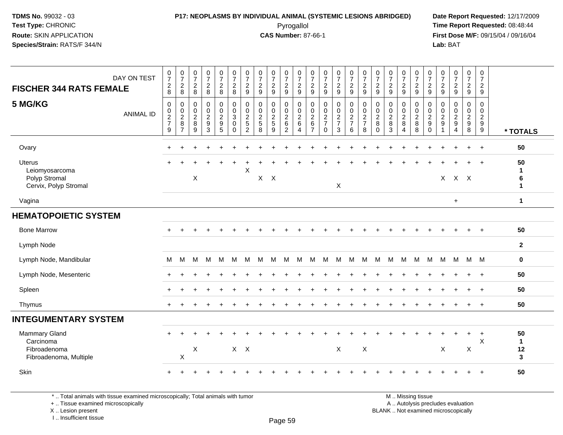#### **P17: NEOPLASMS BY INDIVIDUAL ANIMAL (SYSTEMIC LESIONS ABRIDGED) Date Report Requested:** 12/17/2009 Pyrogallol Pyrogallol **Pyrogallol Time Report Requested:** 08:48:44<br>**CAS Number:** 87-66-1 **Time Report Requested:** 09/15/04 / 09/16/04

**First Dose M/F:** 09/15/04 / 09/16/04 Lab: BAT **Lab:** BAT

| DAY ON TEST<br><b>FISCHER 344 RATS FEMALE</b>                               | $\begin{array}{c} 0 \\ 7 \end{array}$<br>$\begin{array}{c} 2 \\ 8 \end{array}$ | $\frac{0}{7}$<br>$\overline{c}$<br>8                   | $\frac{0}{7}$<br>$_{\rm 8}^2$                             | $\frac{0}{7}$<br>$\frac{2}{8}$    | $\begin{smallmatrix}0\\7\end{smallmatrix}$<br>$\frac{2}{8}$                                  | $\begin{array}{c} 0 \\ 7 \end{array}$<br>$\frac{2}{8}$                | $\begin{array}{c} 0 \\ 7 \end{array}$<br>$\sqrt{2}$<br>$\boldsymbol{9}$    | $\frac{0}{7}$<br>$\frac{2}{9}$  | $\frac{0}{7}$<br>$\overline{a}$<br>9 | $\frac{0}{7}$<br>$\frac{2}{9}$                                          | $\frac{0}{7}$<br>$\frac{2}{9}$                               | $\frac{0}{7}$<br>$\overline{\mathbf{c}}$<br>9                             | $\frac{0}{7}$<br>$\sqrt{2}$<br>9                                         | $\frac{0}{7}$<br>$\frac{2}{9}$    | 0729                            | $\frac{0}{7}$<br>$\frac{2}{9}$                 | $\frac{0}{7}$<br>$\overline{c}$<br>9                                | $\frac{0}{7}$<br>$\sqrt{2}$<br>9                     | $\frac{0}{7}$<br>$\overline{c}$<br>9           | $\frac{0}{7}$<br>$\overline{2}$<br>9   | $\frac{0}{7}$<br>$\frac{2}{9}$                                                | $\frac{0}{7}$<br>$\frac{2}{9}$ | $\begin{array}{c} 0 \\ 7 \end{array}$<br>$\frac{2}{9}$                             | $\frac{0}{7}$<br>$\frac{2}{9}$                                      | $\mathbf 0$<br>$\overline{7}$<br>$\overline{a}$<br>9 |                               |
|-----------------------------------------------------------------------------|--------------------------------------------------------------------------------|--------------------------------------------------------|-----------------------------------------------------------|-----------------------------------|----------------------------------------------------------------------------------------------|-----------------------------------------------------------------------|----------------------------------------------------------------------------|---------------------------------|--------------------------------------|-------------------------------------------------------------------------|--------------------------------------------------------------|---------------------------------------------------------------------------|--------------------------------------------------------------------------|-----------------------------------|---------------------------------|------------------------------------------------|---------------------------------------------------------------------|------------------------------------------------------|------------------------------------------------|----------------------------------------|-------------------------------------------------------------------------------|--------------------------------|------------------------------------------------------------------------------------|---------------------------------------------------------------------|------------------------------------------------------|-------------------------------|
| 5 MG/KG<br><b>ANIMAL ID</b>                                                 | $\mathbf 0$<br>$\pmb{0}$<br>$\frac{2}{7}$<br>9                                 | $\mathbf 0$<br>$\pmb{0}$<br>$\boldsymbol{2}$<br>8<br>7 | $\mathbf 0$<br>$\pmb{0}$<br>$\overline{2}$<br>$\, 8$<br>9 | $\mathsf 0$<br>$\frac{0}{2}$<br>3 | $\mathsf{O}$<br>$\mathsf{O}\xspace$<br>$\overline{c}$<br>$\boldsymbol{9}$<br>$5\phantom{.0}$ | $\mathbf 0$<br>$\pmb{0}$<br>$\overline{3}$<br>$\mathbf 0$<br>$\Omega$ | $\mathbf 0$<br>$\pmb{0}$<br>$\overline{c}$<br>$\sqrt{5}$<br>$\overline{c}$ | $\pmb{0}$<br>$\frac{0}{2}$<br>8 | $\mathbf 0$<br>$\frac{0}{2}$<br>9    | $\mathbf 0$<br>$\mathbf 0$<br>$\overline{c}$<br>$\,6$<br>$\overline{c}$ | $\mathbf 0$<br>$\mathbf 0$<br>$\overline{2}$<br>$\,6\,$<br>4 | $\mathbf 0$<br>$\pmb{0}$<br>$\boldsymbol{2}$<br>$\,6\,$<br>$\overline{7}$ | $\pmb{0}$<br>$\mathbf 0$<br>$\overline{c}$<br>$\overline{7}$<br>$\Omega$ | $\mathbf 0$<br>$\frac{0}{2}$<br>3 | $\pmb{0}$<br>$\frac{0}{2}$<br>6 | $\mathbf 0$<br>$\pmb{0}$<br>$\frac{2}{7}$<br>8 | $\mathbf 0$<br>$\pmb{0}$<br>$\boldsymbol{2}$<br>$\bf 8$<br>$\Omega$ | $\mathbf 0$<br>$\pmb{0}$<br>$\overline{2}$<br>8<br>3 | $\mathbf 0$<br>$\pmb{0}$<br>$\frac{2}{8}$<br>4 | 0<br>$\mathbf 0$<br>$\frac{2}{8}$<br>8 | $\mathbf 0$<br>$\pmb{0}$<br>$\overline{2}$<br>$\boldsymbol{9}$<br>$\mathbf 0$ | $\mathbf 0$<br>$\frac{0}{2}$   | $\mathbf 0$<br>$\mathsf 0$<br>$\overline{2}$<br>$\boldsymbol{9}$<br>$\overline{4}$ | $\mathsf 0$<br>$\pmb{0}$<br>$\overline{c}$<br>$\boldsymbol{9}$<br>8 | $\mathbf 0$<br>$\mathbf 0$<br>$\frac{2}{9}$<br>9     | * TOTALS                      |
| Ovary                                                                       |                                                                                |                                                        |                                                           |                                   |                                                                                              |                                                                       |                                                                            |                                 |                                      |                                                                         |                                                              |                                                                           |                                                                          |                                   |                                 |                                                |                                                                     |                                                      |                                                |                                        |                                                                               |                                |                                                                                    |                                                                     | $\ddot{}$                                            | 50                            |
| Uterus<br>Leiomyosarcoma<br>Polyp Stromal<br>Cervix, Polyp Stromal          | $\ddot{}$                                                                      |                                                        | $\pmb{\times}$                                            |                                   |                                                                                              |                                                                       | $\pmb{\times}$                                                             | $X$ $X$                         |                                      |                                                                         |                                                              |                                                                           |                                                                          | X                                 |                                 |                                                |                                                                     |                                                      |                                                |                                        |                                                                               |                                | $X$ $X$ $X$                                                                        |                                                                     |                                                      | 50<br>$\mathbf{1}$<br>6<br>1  |
| Vagina                                                                      |                                                                                |                                                        |                                                           |                                   |                                                                                              |                                                                       |                                                                            |                                 |                                      |                                                                         |                                                              |                                                                           |                                                                          |                                   |                                 |                                                |                                                                     |                                                      |                                                |                                        |                                                                               |                                | $\ddot{}$                                                                          |                                                                     |                                                      | $\mathbf{1}$                  |
| <b>HEMATOPOIETIC SYSTEM</b>                                                 |                                                                                |                                                        |                                                           |                                   |                                                                                              |                                                                       |                                                                            |                                 |                                      |                                                                         |                                                              |                                                                           |                                                                          |                                   |                                 |                                                |                                                                     |                                                      |                                                |                                        |                                                                               |                                |                                                                                    |                                                                     |                                                      |                               |
| <b>Bone Marrow</b>                                                          |                                                                                |                                                        |                                                           |                                   |                                                                                              |                                                                       |                                                                            |                                 |                                      |                                                                         |                                                              |                                                                           |                                                                          |                                   |                                 |                                                |                                                                     |                                                      |                                                |                                        |                                                                               |                                |                                                                                    |                                                                     |                                                      | 50                            |
| Lymph Node                                                                  |                                                                                |                                                        |                                                           |                                   |                                                                                              |                                                                       |                                                                            |                                 |                                      |                                                                         |                                                              |                                                                           |                                                                          |                                   |                                 |                                                |                                                                     |                                                      |                                                |                                        |                                                                               |                                |                                                                                    |                                                                     |                                                      | $\overline{2}$                |
| Lymph Node, Mandibular                                                      | M                                                                              | M                                                      | M                                                         | M                                 | M                                                                                            | м                                                                     | М                                                                          | M                               | M                                    | M                                                                       | М                                                            | M                                                                         | M                                                                        | M                                 | M                               | M                                              | M                                                                   | M                                                    | M                                              | M                                      | M                                                                             | M                              | M                                                                                  |                                                                     | M M                                                  | $\mathbf 0$                   |
| Lymph Node, Mesenteric                                                      | $\div$                                                                         |                                                        |                                                           |                                   |                                                                                              |                                                                       |                                                                            |                                 |                                      |                                                                         |                                                              |                                                                           |                                                                          |                                   |                                 |                                                |                                                                     |                                                      |                                                |                                        |                                                                               |                                |                                                                                    | ÷                                                                   | $^{+}$                                               | 50                            |
| Spleen                                                                      |                                                                                |                                                        |                                                           |                                   |                                                                                              |                                                                       |                                                                            |                                 |                                      |                                                                         |                                                              |                                                                           |                                                                          |                                   |                                 |                                                |                                                                     |                                                      |                                                |                                        |                                                                               |                                |                                                                                    |                                                                     |                                                      | 50                            |
| Thymus                                                                      |                                                                                |                                                        |                                                           |                                   |                                                                                              |                                                                       |                                                                            |                                 |                                      |                                                                         |                                                              |                                                                           |                                                                          |                                   |                                 |                                                |                                                                     |                                                      |                                                |                                        |                                                                               |                                |                                                                                    | ÷                                                                   | $\ddot{}$                                            | 50                            |
| <b>INTEGUMENTARY SYSTEM</b>                                                 |                                                                                |                                                        |                                                           |                                   |                                                                                              |                                                                       |                                                                            |                                 |                                      |                                                                         |                                                              |                                                                           |                                                                          |                                   |                                 |                                                |                                                                     |                                                      |                                                |                                        |                                                                               |                                |                                                                                    |                                                                     |                                                      |                               |
| <b>Mammary Gland</b><br>Carcinoma<br>Fibroadenoma<br>Fibroadenoma, Multiple |                                                                                | X                                                      | $\sf X$                                                   |                                   |                                                                                              |                                                                       | $X$ $X$                                                                    |                                 |                                      |                                                                         |                                                              |                                                                           |                                                                          | X                                 |                                 | X                                              |                                                                     |                                                      |                                                |                                        |                                                                               | X                              |                                                                                    | $\ddot{}$<br>X                                                      | $\ddot{}$<br>Χ                                       | 50<br>$\mathbf{1}$<br>12<br>3 |
| <b>Skin</b>                                                                 |                                                                                |                                                        |                                                           |                                   |                                                                                              |                                                                       |                                                                            |                                 |                                      |                                                                         |                                                              |                                                                           |                                                                          |                                   |                                 |                                                |                                                                     |                                                      |                                                |                                        |                                                                               |                                |                                                                                    |                                                                     | $\ddot{}$                                            | 50                            |

\* .. Total animals with tissue examined microscopically; Total animals with tumor

+ .. Tissue examined microscopically

X .. Lesion present

I .. Insufficient tissue

M .. Missing tissue y the contract of the contract of the contract of the contract of the contract of  $\mathsf A$  . Autolysis precludes evaluation

Lesion present BLANK .. Not examined microscopically

Page 59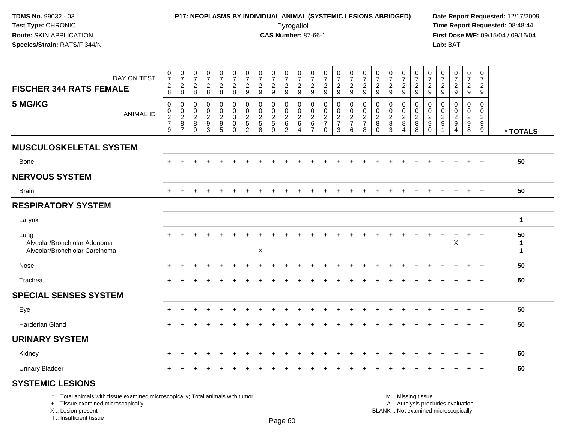## **P17: NEOPLASMS BY INDIVIDUAL ANIMAL (SYSTEMIC LESIONS ABRIDGED) Date Report Requested:** 12/17/2009 Pyrogallol Pyrogallol **Pyrogallol Time Report Requested:** 08:48:44<br>**CAS Number:** 87-66-1 **Time Report Requested:** 09/15/04 / 09/16/04

**First Dose M/F:** 09/15/04 / 09/16/04<br>Lab: BAT **Lab:** BAT

| DAY ON TEST<br><b>FISCHER 344 RATS FEMALE</b>                                                                         | $\frac{0}{7}$<br>$_{\rm 8}^2$                       | $\frac{0}{7}$<br>$\overline{c}$<br>8                             | $\pmb{0}$<br>$\overline{7}$<br>$_{\rm 8}^2$ | $\frac{0}{7}$<br>$\frac{2}{8}$                                    | $\frac{0}{7}$<br>$^2_{\bf 8}$                                  | $\frac{0}{7}$<br>$\overline{c}$<br>$\,8\,$ | $\frac{0}{7}$<br>$\overline{c}$<br>$\boldsymbol{9}$                 | 0<br>$\overline{7}$<br>$\overline{c}$<br>9             | $\frac{0}{7}$<br>$\overline{2}$<br>9                      | 0<br>$\overline{7}$<br>$\frac{2}{9}$                   | 0<br>$\overline{7}$<br>$\boldsymbol{2}$<br>$9\,$          | $\pmb{0}$<br>$\overline{7}$<br>$\overline{c}$<br>$\boldsymbol{9}$ | 0<br>$\overline{7}$<br>$\frac{2}{9}$             | $\frac{0}{7}$<br>$\frac{2}{9}$       | $\frac{0}{7}$<br>$\frac{2}{9}$                      | $\frac{0}{7}$<br>$\overline{c}$<br>$\boldsymbol{9}$ | $\boldsymbol{0}$<br>$\overline{7}$<br>$\overline{c}$<br>$9\,$ | 0<br>$\overline{7}$<br>$\overline{c}$<br>$\boldsymbol{9}$ | $\frac{0}{7}$<br>$\overline{c}$<br>9           | $\frac{0}{7}$<br>$\frac{2}{9}$          | 0<br>$\overline{7}$<br>$\frac{2}{9}$             | 0<br>$\overline{7}$<br>$\frac{2}{9}$    | $\pmb{0}$<br>$\overline{7}$<br>$\overline{2}$<br>9                       | $\frac{0}{7}$<br>$\overline{2}$<br>$\mathsf g$ | 0<br>$\overline{7}$<br>$\overline{2}$<br>$9\,$   |                                    |
|-----------------------------------------------------------------------------------------------------------------------|-----------------------------------------------------|------------------------------------------------------------------|---------------------------------------------|-------------------------------------------------------------------|----------------------------------------------------------------|--------------------------------------------|---------------------------------------------------------------------|--------------------------------------------------------|-----------------------------------------------------------|--------------------------------------------------------|-----------------------------------------------------------|-------------------------------------------------------------------|--------------------------------------------------|--------------------------------------|-----------------------------------------------------|-----------------------------------------------------|---------------------------------------------------------------|-----------------------------------------------------------|------------------------------------------------|-----------------------------------------|--------------------------------------------------|-----------------------------------------|--------------------------------------------------------------------------|------------------------------------------------|--------------------------------------------------|------------------------------------|
| 5 MG/KG<br><b>ANIMAL ID</b>                                                                                           | $\boldsymbol{0}$<br>$\pmb{0}$<br>$\frac{2}{7}$<br>9 | 0<br>$\pmb{0}$<br>$\overline{\mathbf{c}}$<br>8<br>$\overline{7}$ | 0<br>0<br>$\overline{\mathbf{c}}$<br>8<br>9 | $\pmb{0}$<br>$\mathsf{O}\xspace$<br>$\frac{2}{9}$<br>$\mathbf{3}$ | 0<br>$\mathbf 0$<br>$\begin{array}{c} 2 \\ 9 \\ 5 \end{array}$ | 0<br>$\pmb{0}$<br>3<br>0<br>$\mathbf 0$    | 0<br>$\mathbf 0$<br>$\overline{2}$<br>$\,$ 5 $\,$<br>$\overline{2}$ | 0<br>$\mathbf 0$<br>$\overline{c}$<br>$\,$ 5 $\,$<br>8 | 0<br>$\mathbf 0$<br>$\overline{2}$<br>$\overline{5}$<br>9 | 0<br>$\mathbf 0$<br>$^2\phantom{1}6$<br>$\overline{2}$ | 0<br>$\mathbf 0$<br>$\overline{2}$<br>6<br>$\overline{4}$ | 0<br>$\mathbf 0$<br>$\frac{2}{6}$<br>$\overline{7}$               | 0<br>$\mathbf 0$<br>$\frac{2}{7}$<br>$\mathbf 0$ | 0<br>$\mathbf 0$<br>$rac{2}{7}$<br>3 | 0<br>$\mathbf 0$<br>$\frac{2}{7}$<br>$6\phantom{a}$ | 0<br>$\boldsymbol{0}$<br>$\frac{2}{7}$<br>8         | 0<br>$\mathbf 0$<br>$\overline{2}$<br>8<br>$\mathbf{0}$       | 0<br>$\mathbf 0$<br>$\overline{c}$<br>8<br>3              | 0<br>$\mathbf 0$<br>$_{8}^2$<br>$\overline{4}$ | 0<br>$\mathbf 0$<br>$_{8}^{\rm 2}$<br>8 | 0<br>$\mathbf 0$<br>$\frac{2}{9}$<br>$\mathbf 0$ | 0<br>$\mathbf 0$<br>$\overline{c}$<br>9 | 0<br>$\mathbf 0$<br>$\overline{c}$<br>$\boldsymbol{9}$<br>$\overline{4}$ | 0<br>$\mathbf 0$<br>$\frac{2}{9}$<br>8         | $\mathbf 0$<br>$\mathbf 0$<br>$\frac{2}{9}$<br>9 | * TOTALS                           |
| <b>MUSCULOSKELETAL SYSTEM</b>                                                                                         |                                                     |                                                                  |                                             |                                                                   |                                                                |                                            |                                                                     |                                                        |                                                           |                                                        |                                                           |                                                                   |                                                  |                                      |                                                     |                                                     |                                                               |                                                           |                                                |                                         |                                                  |                                         |                                                                          |                                                |                                                  |                                    |
| Bone                                                                                                                  |                                                     |                                                                  |                                             |                                                                   |                                                                |                                            |                                                                     |                                                        |                                                           |                                                        |                                                           |                                                                   |                                                  |                                      |                                                     |                                                     |                                                               |                                                           |                                                |                                         |                                                  |                                         |                                                                          |                                                | $\ddot{}$                                        | 50                                 |
| <b>NERVOUS SYSTEM</b>                                                                                                 |                                                     |                                                                  |                                             |                                                                   |                                                                |                                            |                                                                     |                                                        |                                                           |                                                        |                                                           |                                                                   |                                                  |                                      |                                                     |                                                     |                                                               |                                                           |                                                |                                         |                                                  |                                         |                                                                          |                                                |                                                  |                                    |
| <b>Brain</b>                                                                                                          | ÷                                                   |                                                                  |                                             |                                                                   |                                                                |                                            |                                                                     |                                                        |                                                           |                                                        |                                                           |                                                                   |                                                  |                                      | ÷                                                   |                                                     |                                                               |                                                           |                                                | $\div$                                  |                                                  |                                         |                                                                          | $\ddot{}$                                      | $+$                                              | 50                                 |
| <b>RESPIRATORY SYSTEM</b>                                                                                             |                                                     |                                                                  |                                             |                                                                   |                                                                |                                            |                                                                     |                                                        |                                                           |                                                        |                                                           |                                                                   |                                                  |                                      |                                                     |                                                     |                                                               |                                                           |                                                |                                         |                                                  |                                         |                                                                          |                                                |                                                  |                                    |
| Larynx                                                                                                                |                                                     |                                                                  |                                             |                                                                   |                                                                |                                            |                                                                     |                                                        |                                                           |                                                        |                                                           |                                                                   |                                                  |                                      |                                                     |                                                     |                                                               |                                                           |                                                |                                         |                                                  |                                         |                                                                          |                                                |                                                  | $\mathbf{1}$                       |
| Lung<br>Alveolar/Bronchiolar Adenoma<br>Alveolar/Bronchiolar Carcinoma                                                |                                                     |                                                                  |                                             |                                                                   |                                                                |                                            |                                                                     | X                                                      |                                                           |                                                        |                                                           |                                                                   |                                                  |                                      |                                                     |                                                     |                                                               |                                                           |                                                |                                         |                                                  | +                                       | X                                                                        | $\ddot{}$                                      | $^{+}$                                           | 50<br>$\mathbf{1}$<br>$\mathbf{1}$ |
| Nose                                                                                                                  |                                                     |                                                                  |                                             |                                                                   |                                                                |                                            |                                                                     |                                                        |                                                           |                                                        |                                                           |                                                                   |                                                  |                                      |                                                     |                                                     |                                                               |                                                           |                                                |                                         |                                                  |                                         |                                                                          |                                                |                                                  | 50                                 |
| Trachea                                                                                                               |                                                     |                                                                  |                                             |                                                                   |                                                                |                                            |                                                                     |                                                        |                                                           |                                                        |                                                           |                                                                   |                                                  |                                      |                                                     |                                                     |                                                               |                                                           |                                                |                                         |                                                  |                                         |                                                                          |                                                |                                                  | 50                                 |
| <b>SPECIAL SENSES SYSTEM</b>                                                                                          |                                                     |                                                                  |                                             |                                                                   |                                                                |                                            |                                                                     |                                                        |                                                           |                                                        |                                                           |                                                                   |                                                  |                                      |                                                     |                                                     |                                                               |                                                           |                                                |                                         |                                                  |                                         |                                                                          |                                                |                                                  |                                    |
| Eye                                                                                                                   |                                                     |                                                                  |                                             |                                                                   |                                                                |                                            |                                                                     |                                                        |                                                           |                                                        |                                                           |                                                                   |                                                  |                                      |                                                     |                                                     |                                                               |                                                           |                                                |                                         |                                                  |                                         |                                                                          |                                                | $\ddot{}$                                        | 50                                 |
| <b>Harderian Gland</b>                                                                                                |                                                     |                                                                  |                                             |                                                                   |                                                                |                                            |                                                                     |                                                        |                                                           |                                                        |                                                           |                                                                   |                                                  |                                      |                                                     |                                                     |                                                               |                                                           |                                                |                                         |                                                  |                                         |                                                                          | ÷                                              | $\ddot{}$                                        | 50                                 |
| <b>URINARY SYSTEM</b>                                                                                                 |                                                     |                                                                  |                                             |                                                                   |                                                                |                                            |                                                                     |                                                        |                                                           |                                                        |                                                           |                                                                   |                                                  |                                      |                                                     |                                                     |                                                               |                                                           |                                                |                                         |                                                  |                                         |                                                                          |                                                |                                                  |                                    |
| Kidney                                                                                                                |                                                     |                                                                  |                                             |                                                                   |                                                                |                                            |                                                                     |                                                        |                                                           |                                                        |                                                           |                                                                   |                                                  |                                      |                                                     |                                                     |                                                               |                                                           |                                                |                                         |                                                  |                                         |                                                                          |                                                |                                                  | 50                                 |
| <b>Urinary Bladder</b>                                                                                                |                                                     |                                                                  |                                             |                                                                   |                                                                |                                            |                                                                     |                                                        |                                                           |                                                        |                                                           |                                                                   |                                                  |                                      |                                                     |                                                     |                                                               |                                                           |                                                |                                         |                                                  |                                         |                                                                          | $\pm$                                          | $+$                                              | 50                                 |
| <b>SYSTEMIC LESIONS</b>                                                                                               |                                                     |                                                                  |                                             |                                                                   |                                                                |                                            |                                                                     |                                                        |                                                           |                                                        |                                                           |                                                                   |                                                  |                                      |                                                     |                                                     |                                                               |                                                           |                                                |                                         |                                                  |                                         |                                                                          |                                                |                                                  |                                    |
| *  Total animals with tissue examined microscopically; Total animals with tumor<br>+  Tissue examined microscopically |                                                     |                                                                  |                                             |                                                                   |                                                                |                                            |                                                                     |                                                        |                                                           |                                                        |                                                           |                                                                   |                                                  |                                      |                                                     |                                                     |                                                               |                                                           |                                                | M  Missing tissue                       |                                                  |                                         | A  Autolysis precludes evaluation                                        |                                                |                                                  |                                    |

 Lesion present BLANK .. Not examined microscopicallyX .. Lesion present

I .. Insufficient tissue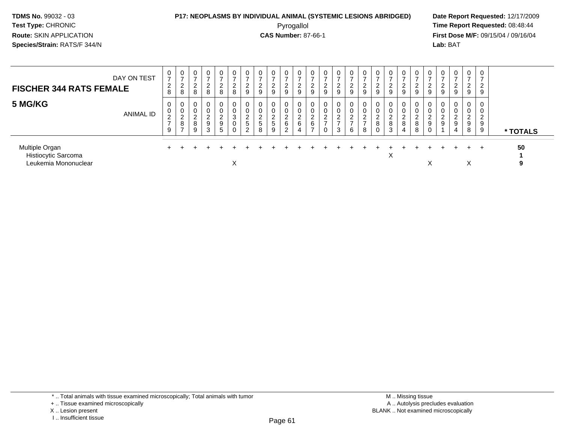## **P17: NEOPLASMS BY INDIVIDUAL ANIMAL (SYSTEMIC LESIONS ABRIDGED) Date Report Requested:** 12/17/2009

Pyrogallol Pyrogallol **Pyrogallol Time Report Requested:** 08:48:44<br>**CAS Number:** 87-66-1 **Time Report Requested:** 09/15/04 / 09/16/04 **First Dose M/F:** 09/15/04 / 09/16/04 Lab: BAT **Lab:** BAT

| DAY ON TEST<br><b>FISCHER 344 RATS FEMALE</b>                 | 0<br>$\overline{ }$<br>2<br>8                   | 0<br>⇁<br>$\sim$<br>∼<br>8                  | $\overline{0}$<br>۷<br>8   | $\mathbf 0$<br>-<br>ົ<br>$\epsilon$<br>8 | $\mathbf{0}$<br>$\epsilon$<br>8 | 0<br>ົ<br>$\epsilon$<br>$\,8\,$           | ົ<br>∼<br>9                  | 0<br>-<br>ົ<br>∠<br>9           | $\epsilon$<br>9      | $\epsilon$<br>9 | 0<br>∠<br>9                | 0<br>$\sim$<br>$9\,$                  | 0<br>$\overline{ }$<br>$\overline{c}$<br>$\overline{9}$ | 0<br>$\rightarrow$<br>$\overline{2}$<br>9          | 2<br>9                  | $\epsilon$<br>9       | ∠<br>9             | 0<br>$\epsilon$<br>$\boldsymbol{9}$ | 0<br>$\overline{ }$<br>2<br>$\boldsymbol{9}$ | 0<br>2<br>$\boldsymbol{9}$        | 0<br><u>_</u><br>9 | -0<br>∠<br>9 | $\mathbf{0}$<br>-<br>◠<br>$\epsilon$<br>9      | $\mathbf{0}$<br>ົ<br>$\sim$<br>9    | $\mathbf{0}$<br>ົ<br>$\epsilon$<br>9 |          |
|---------------------------------------------------------------|-------------------------------------------------|---------------------------------------------|----------------------------|------------------------------------------|---------------------------------|-------------------------------------------|------------------------------|---------------------------------|----------------------|-----------------|----------------------------|---------------------------------------|---------------------------------------------------------|----------------------------------------------------|-------------------------|-----------------------|--------------------|-------------------------------------|----------------------------------------------|-----------------------------------|--------------------|--------------|------------------------------------------------|-------------------------------------|--------------------------------------|----------|
| 5 MG/KG<br>ANIMAL ID                                          | 0<br>0<br>$\overline{c}$<br>$\overline{ }$<br>9 | 0<br>0<br>$\sim$<br>∼<br>8<br>$\rightarrow$ | $\mathbf 0$<br>∠<br>8<br>9 | 0<br>0<br>⌒<br>$\epsilon$<br>9<br>3      | <u>L</u><br>9<br>5              | 0<br>0<br>3<br>$\mathbf 0$<br>$\mathbf 0$ | ົ<br>∼<br>5<br>$\mathcal{D}$ | $\mathbf 0$<br>0<br>2<br>5<br>8 | $\epsilon$<br>5<br>9 | ∠<br>6<br>◠     | 0<br>υ<br>$\sim$<br>∼<br>6 | 0<br>$\epsilon$<br>6<br>$\rightarrow$ | 0<br>0<br>ົ<br>∠<br>$\overline{ }$<br>0                 | 0<br>0<br>$\mathcal{D}$<br>∠<br>$\rightarrow$<br>3 | 2<br>$\rightarrow$<br>6 | $\sim$<br>∠<br>-<br>8 | ▃<br>8<br>$\Omega$ | $\mathbf 0$<br>ົ<br>∠<br>8<br>3     | $\mathbf 0$<br>0<br>$\overline{2}$<br>8<br>4 | 0<br>0<br>$\mathcal{D}$<br>8<br>8 | 0<br>υ<br>∼<br>9   | ∠<br>-9      | $\mathbf{0}$<br>0<br>◠<br>$\epsilon$<br>9<br>4 | 0<br>0<br>ົ<br>$\epsilon$<br>9<br>8 | 0<br>0<br>ົ<br>$\epsilon$<br>9<br>9  | * TOTALS |
| Multiple Organ<br>Histiocytic Sarcoma<br>Leukemia Mononuclear |                                                 |                                             |                            |                                          |                                 | ⋏                                         |                              |                                 |                      |                 |                            |                                       |                                                         |                                                    |                         |                       |                    | X                                   |                                              |                                   | $\check{ }$<br>⋏   |              |                                                | $+$<br>∧                            |                                      | 50<br>9  |

<sup>+ ..</sup> Tissue examined microscopically

X .. Lesion present

I .. Insufficient tissue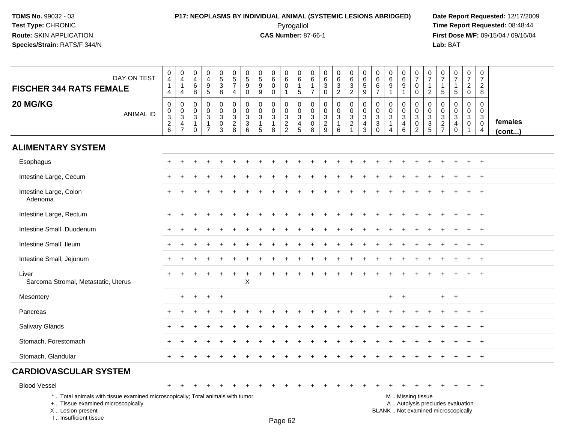## **P17: NEOPLASMS BY INDIVIDUAL ANIMAL (SYSTEMIC LESIONS ABRIDGED) Date Report Requested:** 12/17/2009 Pyrogallol Pyrogallol **Pyrogallol Time Report Requested:** 08:48:44<br>**CAS Number:** 87-66-1 **Time Report Requested:** 09/15/04 / 09/16/04

**First Dose M/F:** 09/15/04 / 09/16/04<br>Lab: BAT **Lab:** BAT

| DAY ON TEST<br><b>FISCHER 344 RATS FEMALE</b>                                                                                             | $\pmb{0}$<br>$\overline{\mathbf{4}}$<br>$\mathbf{1}$<br>4   | $\boldsymbol{0}$<br>$\overline{\mathbf{4}}$<br>$\mathbf{1}$<br>$\overline{4}$ | $\pmb{0}$<br>$\overline{4}$<br>$\,6\,$<br>8                   | $\pmb{0}$<br>$\overline{4}$<br>$\boldsymbol{9}$<br>$\,$ 5 $\,$                            | $\begin{array}{c} 0 \\ 5 \\ 3 \end{array}$<br>$\bf8$                         | $\begin{array}{c} 0 \\ 5 \\ 7 \end{array}$<br>$\overline{4}$ | 0<br>$\sqrt{5}$<br>9<br>$\mathbf 0$                                                      | $\pmb{0}$<br>$\sqrt{5}$<br>$\boldsymbol{9}$<br>$\boldsymbol{9}$ | $\pmb{0}$<br>$\,6\,$<br>$\mathbf 0$<br>$\mathsf{O}\xspace$ | $\pmb{0}$<br>$6\phantom{1}$<br>$\mathbf 0$<br>$\mathbf{1}$ | 0<br>$\,6\,$<br>$\mathbf{1}$<br>$\overline{5}$                       | 0<br>6<br>$\overline{7}$                          | $\mathbf 0$<br>$\frac{6}{3}$<br>$\mathsf{O}\xspace$ | $\begin{matrix} 0 \\ 6 \\ 3 \end{matrix}$<br>$\overline{2}$           | $\begin{array}{c} 0 \\ 6 \\ 3 \end{array}$<br>$\overline{2}$                       | $\pmb{0}$<br>6<br>$\overline{5}$<br>9                                                  | $\mathbf 0$<br>6<br>$\,6\,$<br>$\overline{7}$                      | $\pmb{0}$<br>$\,6\,$<br>9<br>$\mathbf{1}$                                            | 0<br>$6\overline{6}$<br>9<br>$\mathbf{1}$                 | $\begin{array}{c} 0 \\ 7 \end{array}$<br>$\mathbf 0$<br>$\mathbf 0$ | $\begin{array}{c} 0 \\ 7 \end{array}$<br>$\mathbf 1$<br>$\overline{2}$ | 0<br>$\overline{7}$<br>$\mathbf{1}$<br>$\sqrt{5}$ | $\frac{0}{7}$<br>$\mathbf{1}$<br>$\sqrt{5}$                                  | 0<br>$\overline{7}$<br>$\overline{2}$<br>$\mathbf 0$           | $\begin{smallmatrix}0\\7\end{smallmatrix}$<br>$\overline{c}$<br>8 |                         |
|-------------------------------------------------------------------------------------------------------------------------------------------|-------------------------------------------------------------|-------------------------------------------------------------------------------|---------------------------------------------------------------|-------------------------------------------------------------------------------------------|------------------------------------------------------------------------------|--------------------------------------------------------------|------------------------------------------------------------------------------------------|-----------------------------------------------------------------|------------------------------------------------------------|------------------------------------------------------------|----------------------------------------------------------------------|---------------------------------------------------|-----------------------------------------------------|-----------------------------------------------------------------------|------------------------------------------------------------------------------------|----------------------------------------------------------------------------------------|--------------------------------------------------------------------|--------------------------------------------------------------------------------------|-----------------------------------------------------------|---------------------------------------------------------------------|------------------------------------------------------------------------|---------------------------------------------------|------------------------------------------------------------------------------|----------------------------------------------------------------|-------------------------------------------------------------------|-------------------------|
| 20 MG/KG<br><b>ANIMAL ID</b>                                                                                                              | $\mathbf 0$<br>$\pmb{0}$<br>$\overline{3}$<br>$\frac{2}{6}$ | 0<br>$\mathsf{O}$<br>$\overline{3}$<br>4<br>$\overline{7}$                    | $\mathbf 0$<br>0<br>$\sqrt{3}$<br>$\mathbf{1}$<br>$\mathbf 0$ | $\mathbf 0$<br>$\mathbf 0$<br>$\ensuremath{\mathsf{3}}$<br>$\mathbf{1}$<br>$\overline{7}$ | 0<br>$\mathbf 0$<br>$\ensuremath{\mathsf{3}}$<br>$\pmb{0}$<br>$\overline{3}$ | $\mathbf 0$<br>$\mathbf 0$<br>$\sqrt{3}$<br>$\frac{2}{8}$    | $\mathbf 0$<br>$\mathbf 0$<br>$\mathsf 3$<br>$\ensuremath{\mathsf{3}}$<br>$6\phantom{a}$ | 0<br>$\mathbf 0$<br>3<br>$\overline{1}$<br>5                    | $\mathbf 0$<br>0<br>$\sqrt{3}$<br>8                        | $\mathbf 0$<br>$\mathbf 0$<br>$\frac{3}{2}$                | $\mathbf 0$<br>0<br>$\mathbf{3}$<br>$\overline{4}$<br>$\overline{5}$ | 0<br>$\mathbf 0$<br>$\mathbf 3$<br>$\pmb{0}$<br>8 | 0<br>$\mathbf 0$<br>$\frac{3}{2}$                   | 0<br>$\mathsf{O}$<br>$\overline{3}$<br>$\mathbf{1}$<br>$6\phantom{a}$ | 0<br>$\overline{0}$<br>$\ensuremath{\mathsf{3}}$<br>$\overline{2}$<br>$\mathbf{1}$ | $\mathbf 0$<br>$\mathsf{O}\xspace$<br>$\overline{3}$<br>$\overline{4}$<br>$\mathbf{3}$ | $\mathbf 0$<br>$\mathbf 0$<br>$\sqrt{3}$<br>$\sqrt{3}$<br>$\Omega$ | $\mathbf 0$<br>$\mathbf 0$<br>$\mathbf{3}$<br>$\mathbf{1}$<br>$\boldsymbol{\Lambda}$ | 0<br>$\mathbf 0$<br>$\overline{3}$<br>4<br>$6\phantom{1}$ | 0<br>$\mathbf 0$<br>$\overline{3}$<br>$^{\rm 0}_{\rm 2}$            | $\mathbf 0$<br>$\mathbf 0$<br>$\frac{3}{3}$                            | 0<br>0<br>$\sqrt{3}$<br>$\frac{2}{7}$             | $\mathbf 0$<br>$\mathbf 0$<br>$\sqrt{3}$<br>$\overline{4}$<br>$\overline{0}$ | $\mathbf 0$<br>$\mathbf 0$<br>$\mathbf{3}$<br>$\mathsf 0$<br>1 | $\mathbf 0$<br>0<br>$\sqrt{3}$<br>$\mathbf 0$<br>$\overline{4}$   | females<br>$($ cont $)$ |
| <b>ALIMENTARY SYSTEM</b>                                                                                                                  |                                                             |                                                                               |                                                               |                                                                                           |                                                                              |                                                              |                                                                                          |                                                                 |                                                            |                                                            |                                                                      |                                                   |                                                     |                                                                       |                                                                                    |                                                                                        |                                                                    |                                                                                      |                                                           |                                                                     |                                                                        |                                                   |                                                                              |                                                                |                                                                   |                         |
| Esophagus                                                                                                                                 |                                                             |                                                                               |                                                               |                                                                                           |                                                                              |                                                              |                                                                                          |                                                                 |                                                            |                                                            |                                                                      |                                                   |                                                     |                                                                       |                                                                                    |                                                                                        |                                                                    |                                                                                      |                                                           |                                                                     |                                                                        |                                                   |                                                                              |                                                                | $\ddot{}$                                                         |                         |
| Intestine Large, Cecum                                                                                                                    |                                                             |                                                                               |                                                               |                                                                                           |                                                                              |                                                              |                                                                                          |                                                                 |                                                            |                                                            |                                                                      |                                                   |                                                     |                                                                       |                                                                                    |                                                                                        |                                                                    |                                                                                      |                                                           |                                                                     |                                                                        |                                                   |                                                                              |                                                                | $\overline{1}$                                                    |                         |
| Intestine Large, Colon<br>Adenoma                                                                                                         |                                                             |                                                                               |                                                               |                                                                                           |                                                                              |                                                              |                                                                                          |                                                                 |                                                            |                                                            |                                                                      |                                                   |                                                     |                                                                       |                                                                                    |                                                                                        |                                                                    |                                                                                      |                                                           |                                                                     |                                                                        |                                                   |                                                                              |                                                                | $\ddot{}$                                                         |                         |
| Intestine Large, Rectum                                                                                                                   |                                                             |                                                                               |                                                               |                                                                                           |                                                                              |                                                              |                                                                                          |                                                                 |                                                            |                                                            |                                                                      |                                                   |                                                     |                                                                       |                                                                                    |                                                                                        |                                                                    |                                                                                      |                                                           |                                                                     |                                                                        |                                                   |                                                                              |                                                                |                                                                   |                         |
| Intestine Small, Duodenum                                                                                                                 |                                                             |                                                                               |                                                               |                                                                                           |                                                                              |                                                              |                                                                                          |                                                                 |                                                            |                                                            |                                                                      |                                                   |                                                     |                                                                       |                                                                                    |                                                                                        |                                                                    |                                                                                      |                                                           |                                                                     |                                                                        |                                                   |                                                                              |                                                                |                                                                   |                         |
| Intestine Small, Ileum                                                                                                                    |                                                             |                                                                               |                                                               |                                                                                           |                                                                              |                                                              |                                                                                          |                                                                 |                                                            |                                                            |                                                                      |                                                   |                                                     |                                                                       |                                                                                    |                                                                                        |                                                                    |                                                                                      |                                                           |                                                                     |                                                                        |                                                   |                                                                              | $\div$                                                         | $^{+}$                                                            |                         |
| Intestine Small, Jejunum                                                                                                                  |                                                             |                                                                               |                                                               |                                                                                           |                                                                              |                                                              |                                                                                          |                                                                 |                                                            |                                                            |                                                                      |                                                   |                                                     |                                                                       |                                                                                    |                                                                                        |                                                                    |                                                                                      |                                                           |                                                                     |                                                                        |                                                   |                                                                              |                                                                | $\ddot{}$                                                         |                         |
| Liver<br>Sarcoma Stromal, Metastatic, Uterus                                                                                              |                                                             |                                                                               |                                                               |                                                                                           |                                                                              |                                                              | X                                                                                        |                                                                 |                                                            |                                                            |                                                                      |                                                   |                                                     |                                                                       |                                                                                    |                                                                                        |                                                                    |                                                                                      |                                                           |                                                                     |                                                                        |                                                   |                                                                              |                                                                |                                                                   |                         |
| Mesentery                                                                                                                                 |                                                             | $\ddot{}$                                                                     | $+$                                                           | $\ddot{}$                                                                                 | $+$                                                                          |                                                              |                                                                                          |                                                                 |                                                            |                                                            |                                                                      |                                                   |                                                     |                                                                       |                                                                                    |                                                                                        |                                                                    |                                                                                      | $\ddot{}$                                                 |                                                                     |                                                                        | $+$                                               | $+$                                                                          |                                                                |                                                                   |                         |
| Pancreas                                                                                                                                  |                                                             |                                                                               |                                                               |                                                                                           |                                                                              |                                                              |                                                                                          |                                                                 |                                                            |                                                            |                                                                      |                                                   |                                                     |                                                                       |                                                                                    |                                                                                        |                                                                    |                                                                                      |                                                           |                                                                     |                                                                        |                                                   |                                                                              |                                                                | $\overline{1}$                                                    |                         |
| <b>Salivary Glands</b>                                                                                                                    |                                                             |                                                                               |                                                               |                                                                                           |                                                                              |                                                              |                                                                                          |                                                                 |                                                            |                                                            |                                                                      |                                                   |                                                     |                                                                       |                                                                                    |                                                                                        |                                                                    |                                                                                      |                                                           |                                                                     |                                                                        |                                                   |                                                                              |                                                                |                                                                   |                         |
| Stomach, Forestomach                                                                                                                      |                                                             |                                                                               |                                                               |                                                                                           |                                                                              |                                                              |                                                                                          |                                                                 |                                                            |                                                            |                                                                      |                                                   |                                                     |                                                                       |                                                                                    |                                                                                        |                                                                    |                                                                                      |                                                           |                                                                     |                                                                        |                                                   |                                                                              |                                                                |                                                                   |                         |
| Stomach, Glandular                                                                                                                        |                                                             |                                                                               |                                                               |                                                                                           |                                                                              |                                                              |                                                                                          |                                                                 |                                                            |                                                            |                                                                      |                                                   |                                                     |                                                                       |                                                                                    |                                                                                        |                                                                    |                                                                                      |                                                           |                                                                     |                                                                        |                                                   |                                                                              | $\pm$                                                          | $+$                                                               |                         |
| <b>CARDIOVASCULAR SYSTEM</b>                                                                                                              |                                                             |                                                                               |                                                               |                                                                                           |                                                                              |                                                              |                                                                                          |                                                                 |                                                            |                                                            |                                                                      |                                                   |                                                     |                                                                       |                                                                                    |                                                                                        |                                                                    |                                                                                      |                                                           |                                                                     |                                                                        |                                                   |                                                                              |                                                                |                                                                   |                         |
| <b>Blood Vessel</b>                                                                                                                       |                                                             |                                                                               |                                                               |                                                                                           |                                                                              |                                                              |                                                                                          |                                                                 |                                                            |                                                            |                                                                      |                                                   |                                                     |                                                                       |                                                                                    |                                                                                        |                                                                    |                                                                                      | $\div$                                                    |                                                                     |                                                                        |                                                   |                                                                              | $\overline{+}$                                                 | $+$                                                               |                         |
| *  Total animals with tissue examined microscopically; Total animals with tumor<br>+  Tissue examined microscopically<br>X Lesion present |                                                             |                                                                               |                                                               |                                                                                           |                                                                              |                                                              |                                                                                          |                                                                 |                                                            |                                                            |                                                                      |                                                   |                                                     |                                                                       |                                                                                    |                                                                                        |                                                                    |                                                                                      |                                                           | M  Missing tissue                                                   |                                                                        |                                                   | A  Autolysis precludes evaluation<br>BLANK  Not examined microscopically     |                                                                |                                                                   |                         |

Page 62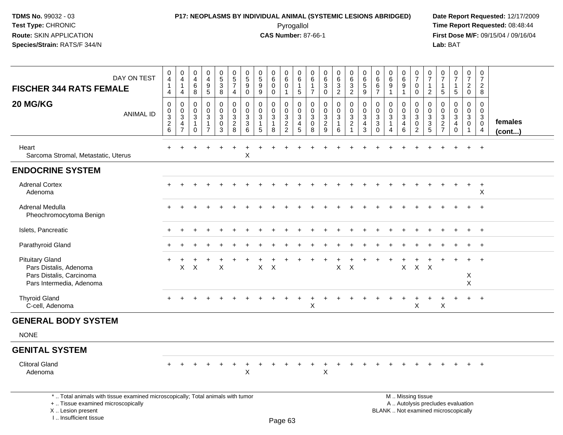## **P17: NEOPLASMS BY INDIVIDUAL ANIMAL (SYSTEMIC LESIONS ABRIDGED) Date Report Requested:** 12/17/2009 Pyrogallol Pyrogallol **Pyrogallol Time Report Requested:** 08:48:44<br>**CAS Number:** 87-66-1 **Time Report Requested:** 08/15/04 / 09/16/04

| DAY ON TEST<br><b>FISCHER 344 RATS FEMALE</b>                                                                                                                       | 0<br>4<br>$\mathbf{1}$<br>4                  | $\pmb{0}$<br>$\overline{4}$<br>$\mathbf{1}$<br>4                     | $\mathsf{O}\xspace$<br>4<br>6<br>8                       | $\pmb{0}$<br>$\overline{\mathbf{4}}$<br>$\boldsymbol{9}$<br>$\sqrt{5}$ | $\begin{array}{c} 0 \\ 5 \\ 3 \end{array}$<br>8               | $\pmb{0}$<br>$\overline{5}$<br>$\overline{7}$<br>$\overline{4}$     | $\pmb{0}$<br>$\overline{5}$<br>9<br>$\mathbf 0$                 | 0<br>$\overline{5}$<br>$\boldsymbol{9}$<br>9                    | 0<br>$\overline{6}$<br>$\mathbf 0$<br>0 | $\pmb{0}$<br>$\overline{6}$<br>0<br>$\mathbf{1}$    | $\mathbf 0$<br>6<br>$\mathbf{1}$<br>$5\phantom{.0}$    | $\mathbf 0$<br>6<br>$\overline{1}$<br>$\overline{7}$ | $\pmb{0}$<br>$\,6\,$<br>$\mathbf{3}$<br>$\mathbf 0$              | $\pmb{0}$<br>$\overline{6}$<br>$\mathbf{3}$<br>$\overline{2}$ | $\pmb{0}$<br>$\,6\,$<br>$\mathbf{3}$<br>$\overline{2}$             | $_{6}^{\rm 0}$<br>$\sqrt{5}$<br>$\boldsymbol{9}$ | 0<br>6<br>$6\phantom{1}$<br>$\overline{7}$                | $\pmb{0}$<br>$\overline{6}$<br>$9\,$<br>1 | $\mathbf 0$<br>$\overline{6}$<br>9<br>$\mathbf{1}$                | $\mathbf 0$<br>$\overline{7}$<br>$\mathbf 0$<br>$\mathsf{O}\xspace$                           | $\mathbf 0$<br>$\overline{7}$<br>$\overline{1}$<br>$\overline{2}$ | 0<br>$\overline{7}$<br>$\mathbf{1}$<br>5                         | $\frac{0}{7}$<br>$\mathbf{1}$<br>5                  | $\pmb{0}$<br>$\overline{7}$<br>$\overline{2}$<br>0 | $\pmb{0}$<br>$\overline{7}$<br>$\overline{2}$<br>8              |                   |
|---------------------------------------------------------------------------------------------------------------------------------------------------------------------|----------------------------------------------|----------------------------------------------------------------------|----------------------------------------------------------|------------------------------------------------------------------------|---------------------------------------------------------------|---------------------------------------------------------------------|-----------------------------------------------------------------|-----------------------------------------------------------------|-----------------------------------------|-----------------------------------------------------|--------------------------------------------------------|------------------------------------------------------|------------------------------------------------------------------|---------------------------------------------------------------|--------------------------------------------------------------------|--------------------------------------------------|-----------------------------------------------------------|-------------------------------------------|-------------------------------------------------------------------|-----------------------------------------------------------------------------------------------|-------------------------------------------------------------------|------------------------------------------------------------------|-----------------------------------------------------|----------------------------------------------------|-----------------------------------------------------------------|-------------------|
| 20 MG/KG<br><b>ANIMAL ID</b>                                                                                                                                        | $\mathbf 0$<br>0<br>3<br>$\overline{2}$<br>6 | $\mathbf 0$<br>0<br>$\mathbf{3}$<br>$\overline{4}$<br>$\overline{7}$ | $\Omega$<br>$\mathbf 0$<br>3<br>$\mathbf{1}$<br>$\Omega$ | $\mathbf 0$<br>$\pmb{0}$<br>$\mathfrak{Z}$<br>1                        | $\mathbf 0$<br>$\mathbf 0$<br>$\mathsf 3$<br>$\mathbf 0$<br>3 | $\mathbf 0$<br>$\mathbf 0$<br>$\mathfrak{Z}$<br>$\overline{2}$<br>8 | $\mathbf 0$<br>$\mathbf 0$<br>$\mathbf{3}$<br>$\mathbf{3}$<br>6 | $\mathbf 0$<br>$\mathbf 0$<br>$\mathbf{3}$<br>$\mathbf{1}$<br>5 | $\mathbf 0$<br>0<br>3<br>1<br>8         | 0<br>$\mathbf 0$<br>$\frac{3}{2}$<br>$\overline{2}$ | $\mathbf 0$<br>$\mathbf 0$<br>$\mathfrak{S}$<br>4<br>5 | $\mathbf 0$<br>0<br>3<br>0<br>8                      | $\mathbf 0$<br>$\mathbf 0$<br>$\mathbf 3$<br>$\overline{2}$<br>9 | $\mathbf 0$<br>$\mathbf 0$<br>3<br>$\mathbf{1}$<br>6          | $\mathbf 0$<br>0<br>$\mathbf{3}$<br>$\overline{c}$<br>$\mathbf{1}$ | $\mathbf 0$<br>0<br>$\mathbf{3}$<br>4<br>3       | $\Omega$<br>0<br>$\mathbf{3}$<br>$\mathbf{3}$<br>$\Omega$ | $\mathbf 0$<br>0<br>$\mathfrak{Z}$<br>4   | $\mathbf 0$<br>$\mathbf 0$<br>$\mathbf{3}$<br>$\overline{4}$<br>6 | $\mathbf 0$<br>$\mathbf 0$<br>$\mathbf{3}$<br>0<br>$\overline{2}$                             | $\mathbf 0$<br>$\mathbf 0$<br>$\sqrt{3}$<br>$\sqrt{3}$<br>5       | $\mathbf 0$<br>$\Omega$<br>3<br>$\overline{c}$<br>$\overline{7}$ | $\mathbf 0$<br>0<br>3<br>$\overline{4}$<br>$\Omega$ | $\mathbf 0$<br>0<br>3<br>0<br>$\overline{1}$       | $\mathbf 0$<br>0<br>$\mathbf{3}$<br>$\pmb{0}$<br>$\overline{4}$ | females<br>(cont) |
| Heart<br>Sarcoma Stromal, Metastatic, Uterus                                                                                                                        |                                              |                                                                      |                                                          |                                                                        |                                                               |                                                                     | $\sf X$                                                         |                                                                 |                                         |                                                     |                                                        |                                                      |                                                                  |                                                               |                                                                    |                                                  |                                                           |                                           |                                                                   |                                                                                               |                                                                   |                                                                  |                                                     | $+$                                                | $\ddot{}$                                                       |                   |
| <b>ENDOCRINE SYSTEM</b>                                                                                                                                             |                                              |                                                                      |                                                          |                                                                        |                                                               |                                                                     |                                                                 |                                                                 |                                         |                                                     |                                                        |                                                      |                                                                  |                                                               |                                                                    |                                                  |                                                           |                                           |                                                                   |                                                                                               |                                                                   |                                                                  |                                                     |                                                    |                                                                 |                   |
| <b>Adrenal Cortex</b><br>Adenoma                                                                                                                                    |                                              |                                                                      |                                                          |                                                                        |                                                               |                                                                     |                                                                 |                                                                 |                                         |                                                     |                                                        |                                                      |                                                                  |                                                               |                                                                    |                                                  |                                                           |                                           |                                                                   |                                                                                               |                                                                   |                                                                  |                                                     | $\ddot{}$                                          | $\ddot{}$<br>X                                                  |                   |
| Adrenal Medulla<br>Pheochromocytoma Benign                                                                                                                          |                                              |                                                                      |                                                          |                                                                        |                                                               |                                                                     |                                                                 |                                                                 |                                         |                                                     |                                                        |                                                      |                                                                  |                                                               |                                                                    |                                                  |                                                           |                                           |                                                                   |                                                                                               |                                                                   |                                                                  |                                                     |                                                    | $\ddot{}$                                                       |                   |
| Islets, Pancreatic                                                                                                                                                  |                                              |                                                                      |                                                          |                                                                        |                                                               |                                                                     |                                                                 |                                                                 |                                         |                                                     |                                                        |                                                      |                                                                  |                                                               |                                                                    |                                                  |                                                           |                                           |                                                                   |                                                                                               |                                                                   |                                                                  |                                                     | $+$                                                | $+$                                                             |                   |
| Parathyroid Gland                                                                                                                                                   |                                              |                                                                      |                                                          |                                                                        |                                                               |                                                                     |                                                                 |                                                                 |                                         |                                                     |                                                        |                                                      |                                                                  |                                                               |                                                                    |                                                  |                                                           |                                           |                                                                   |                                                                                               |                                                                   |                                                                  |                                                     | $+$                                                | $+$                                                             |                   |
| <b>Pituitary Gland</b><br>Pars Distalis, Adenoma<br>Pars Distalis, Carcinoma<br>Pars Intermedia, Adenoma                                                            |                                              | X                                                                    | X                                                        |                                                                        | X                                                             |                                                                     |                                                                 | X                                                               | $\times$                                |                                                     |                                                        |                                                      |                                                                  | X                                                             | $\boldsymbol{\mathsf{X}}$                                          |                                                  |                                                           |                                           | X                                                                 | $\mathsf{X}$                                                                                  | $\times$                                                          |                                                                  |                                                     | $+$<br>X<br>X                                      | $+$                                                             |                   |
| <b>Thyroid Gland</b><br>C-cell, Adenoma                                                                                                                             |                                              |                                                                      |                                                          |                                                                        |                                                               |                                                                     |                                                                 |                                                                 |                                         |                                                     |                                                        | X                                                    |                                                                  |                                                               |                                                                    |                                                  |                                                           |                                           |                                                                   | $\boldsymbol{\mathsf{X}}$                                                                     |                                                                   | X                                                                | $\ddot{}$                                           | $+$                                                | $+$                                                             |                   |
| <b>GENERAL BODY SYSTEM</b>                                                                                                                                          |                                              |                                                                      |                                                          |                                                                        |                                                               |                                                                     |                                                                 |                                                                 |                                         |                                                     |                                                        |                                                      |                                                                  |                                                               |                                                                    |                                                  |                                                           |                                           |                                                                   |                                                                                               |                                                                   |                                                                  |                                                     |                                                    |                                                                 |                   |
| <b>NONE</b>                                                                                                                                                         |                                              |                                                                      |                                                          |                                                                        |                                                               |                                                                     |                                                                 |                                                                 |                                         |                                                     |                                                        |                                                      |                                                                  |                                                               |                                                                    |                                                  |                                                           |                                           |                                                                   |                                                                                               |                                                                   |                                                                  |                                                     |                                                    |                                                                 |                   |
| <b>GENITAL SYSTEM</b>                                                                                                                                               |                                              |                                                                      |                                                          |                                                                        |                                                               |                                                                     |                                                                 |                                                                 |                                         |                                                     |                                                        |                                                      |                                                                  |                                                               |                                                                    |                                                  |                                                           |                                           |                                                                   |                                                                                               |                                                                   |                                                                  |                                                     |                                                    |                                                                 |                   |
| <b>Clitoral Gland</b><br>Adenoma                                                                                                                                    |                                              |                                                                      |                                                          |                                                                        |                                                               |                                                                     | $\mathsf X$                                                     |                                                                 |                                         |                                                     |                                                        |                                                      | $\boldsymbol{\mathsf{X}}$                                        |                                                               |                                                                    |                                                  |                                                           |                                           |                                                                   |                                                                                               |                                                                   |                                                                  |                                                     | $\pm$                                              | $+$                                                             |                   |
| *  Total animals with tissue examined microscopically; Total animals with tumor<br>+  Tissue examined microscopically<br>X  Lesion present<br>I Insufficient tissue |                                              |                                                                      |                                                          |                                                                        |                                                               |                                                                     |                                                                 |                                                                 |                                         | <b>Pane 63</b>                                      |                                                        |                                                      |                                                                  |                                                               |                                                                    |                                                  |                                                           |                                           |                                                                   | M  Missing tissue<br>A  Autolysis precludes evaluation<br>BLANK  Not examined microscopically |                                                                   |                                                                  |                                                     |                                                    |                                                                 |                   |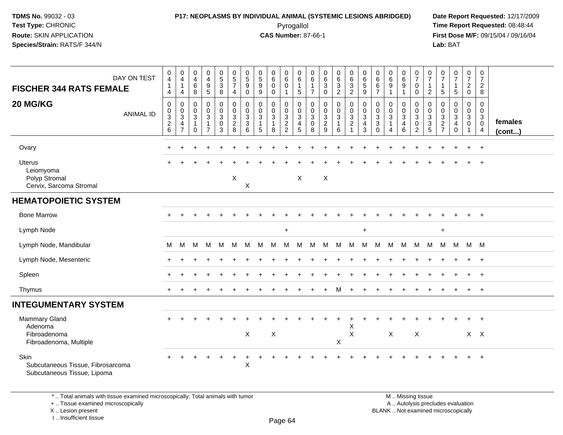#### **P17: NEOPLASMS BY INDIVIDUAL ANIMAL (SYSTEMIC LESIONS ABRIDGED) Date Report Requested:** 12/17/2009 Pyrogallol Pyrogallol **Pyrogallol Time Report Requested:** 08:48:44<br>**CAS Number:** 87-66-1 **Time Report Requested:** 09/15/04 / 09/16/04

**First Dose M/F:** 09/15/04 / 09/16/04 Lab: BAT **Lab:** BAT

| DAY ON TEST<br><b>FISCHER 344 RATS FEMALE</b>                             | 0<br>$\overline{\mathbf{4}}$<br>$\mathbf{1}$<br>$\overline{4}$ | 0<br>$\overline{4}$<br>$\overline{1}$<br>$\overline{4}$   | 0<br>$\overline{4}$<br>6<br>8                                               | 0<br>$\overline{4}$<br>$\boldsymbol{9}$<br>5        | $\begin{array}{c} 0 \\ 5 \\ 3 \end{array}$<br>8           | $\begin{array}{c} 0 \\ 5 \\ 7 \end{array}$<br>$\overline{4}$ | $\begin{matrix} 0 \\ 5 \end{matrix}$<br>9<br>$\mathbf 0$ | $\begin{array}{c} 0 \\ 5 \end{array}$<br>$9\,$<br>9             | 0<br>$6\phantom{a}$<br>$\mathbf 0$<br>$\mathbf 0$                | $\begin{array}{c} 0 \\ 6 \end{array}$<br>$\mathbf 0$<br>$\overline{1}$ | $\boldsymbol{0}$<br>$6\phantom{a}$<br>$\mathbf{1}$<br>$5\phantom{.0}$ | 0<br>$\,6\,$<br>$\overline{1}$<br>$\overline{7}$                 | $\begin{array}{c} 0 \\ 6 \end{array}$<br>$\mathbf{3}$<br>$\mathbf 0$ | $\begin{matrix} 0 \\ 6 \\ 3 \end{matrix}$<br>$\boldsymbol{2}$           | 0<br>6<br>3<br>2                                             | $\begin{array}{c} 0 \\ 6 \\ 5 \end{array}$<br>9    | 0<br>$\,6\,$<br>$\,6\,$<br>$\overline{7}$                          | $\begin{array}{c} 0 \\ 6 \end{array}$<br>$9\,$<br>-1                              | $\pmb{0}$<br>$\overline{6}$<br>$9\,$<br>$\mathbf{1}$                             | $\frac{0}{7}$<br>$\mathbf 0$<br>$\mathbf 0$                            | 0<br>$\overline{7}$<br>$\mathbf{1}$<br>$\overline{2}$ | $\frac{0}{7}$<br>$\mathbf{1}$<br>$5\phantom{.0}$ | $\begin{smallmatrix}0\\7\end{smallmatrix}$<br>$\mathbf{1}$<br>$\sqrt{5}$ | $\begin{smallmatrix}0\\7\end{smallmatrix}$<br>$\sqrt{2}$<br>$\mathsf{O}\xspace$ | $\frac{0}{7}$<br>$\overline{2}$<br>8                                          |                   |
|---------------------------------------------------------------------------|----------------------------------------------------------------|-----------------------------------------------------------|-----------------------------------------------------------------------------|-----------------------------------------------------|-----------------------------------------------------------|--------------------------------------------------------------|----------------------------------------------------------|-----------------------------------------------------------------|------------------------------------------------------------------|------------------------------------------------------------------------|-----------------------------------------------------------------------|------------------------------------------------------------------|----------------------------------------------------------------------|-------------------------------------------------------------------------|--------------------------------------------------------------|----------------------------------------------------|--------------------------------------------------------------------|-----------------------------------------------------------------------------------|----------------------------------------------------------------------------------|------------------------------------------------------------------------|-------------------------------------------------------|--------------------------------------------------|--------------------------------------------------------------------------|---------------------------------------------------------------------------------|-------------------------------------------------------------------------------|-------------------|
| 20 MG/KG<br><b>ANIMAL ID</b>                                              | $\mathbf 0$<br>$\begin{array}{c} 0 \\ 3 \\ 2 \\ 6 \end{array}$ | $\mathbf 0$<br>0<br>$\overline{3}$<br>4<br>$\overline{7}$ | $\mathbf 0$<br>$\mathbf 0$<br>$\overline{3}$<br>$\mathbf{1}$<br>$\mathbf 0$ | 0<br>$\frac{0}{3}$<br>$\mathbf 1$<br>$\overline{7}$ | $\pmb{0}$<br>$\frac{0}{3}$<br>$\pmb{0}$<br>$\overline{3}$ | $\mathbf 0$<br>$\frac{0}{3}$<br>$\frac{2}{8}$                | $\mathbf 0$<br>$\mathbf 0$<br>$\mathbf{3}$<br>3<br>6     | $\pmb{0}$<br>$\mathbf 0$<br>$\overline{3}$<br>$\mathbf{1}$<br>5 | $\mathbf 0$<br>$\mathbf 0$<br>$\overline{3}$<br>$\mathbf 1$<br>8 | $\mathbf 0$<br>$\begin{array}{c} 0 \\ 3 \\ 2 \\ 2 \end{array}$         | 0<br>$_{3}^{\rm 0}$<br>4<br>5                                         | $\mathbf 0$<br>$\mathbf 0$<br>$\overline{3}$<br>$\mathbf 0$<br>8 | $\pmb{0}$<br>0<br>$\overline{3}$<br>$\overline{2}$<br>9              | 0<br>$\overline{0}$<br>$\overline{3}$<br>$\mathbf{1}$<br>$6\phantom{1}$ | $\pmb{0}$<br>$\begin{array}{c} 0 \\ 3 \\ 2 \\ 1 \end{array}$ | $\mathbf 0$<br>$_{3}^{\rm 0}$<br>4<br>$\mathbf{3}$ | 0<br>0<br>$\ensuremath{\mathsf{3}}$<br>$\mathbf{3}$<br>$\mathbf 0$ | $\mathbf 0$<br>$\boldsymbol{0}$<br>$\overline{3}$<br>-1<br>$\boldsymbol{\Lambda}$ | $\mathbf 0$<br>$\mathbf 0$<br>$\overline{3}$<br>$\overline{4}$<br>$6\phantom{a}$ | 0<br>$\overline{0}$<br>$\overline{3}$<br>$\mathsf 0$<br>$\overline{c}$ | 0<br>0<br>$\frac{3}{3}$                               | 0<br>0<br>$\frac{3}{2}$                          | $\mathbf 0$<br>$\mathbf 0$<br>$\overline{3}$<br>4<br>$\mathbf 0$         | 0<br>$\mathbf 0$<br>$\overline{3}$<br>$\mathbf 0$<br>$\overline{1}$             | $\mathbf 0$<br>$\mathbf 0$<br>$\overline{3}$<br>$\mathbf 0$<br>$\overline{4}$ | females<br>(cont) |
| Ovary                                                                     |                                                                |                                                           |                                                                             |                                                     |                                                           |                                                              |                                                          |                                                                 |                                                                  |                                                                        |                                                                       |                                                                  |                                                                      |                                                                         |                                                              |                                                    |                                                                    |                                                                                   |                                                                                  |                                                                        |                                                       |                                                  |                                                                          | +                                                                               | $+$                                                                           |                   |
| <b>Uterus</b><br>Leiomyoma<br>Polyp Stromal<br>Cervix, Sarcoma Stromal    | $\ddot{}$                                                      | ÷                                                         |                                                                             |                                                     |                                                           | X                                                            | $\mathsf X$                                              |                                                                 |                                                                  |                                                                        | $\boldsymbol{\mathsf{X}}$                                             |                                                                  | $\boldsymbol{\mathsf{X}}$                                            |                                                                         |                                                              |                                                    |                                                                    |                                                                                   |                                                                                  |                                                                        |                                                       |                                                  |                                                                          | $+$                                                                             | $+$                                                                           |                   |
| <b>HEMATOPOIETIC SYSTEM</b>                                               |                                                                |                                                           |                                                                             |                                                     |                                                           |                                                              |                                                          |                                                                 |                                                                  |                                                                        |                                                                       |                                                                  |                                                                      |                                                                         |                                                              |                                                    |                                                                    |                                                                                   |                                                                                  |                                                                        |                                                       |                                                  |                                                                          |                                                                                 |                                                                               |                   |
| <b>Bone Marrow</b>                                                        |                                                                |                                                           |                                                                             |                                                     |                                                           |                                                              |                                                          |                                                                 |                                                                  |                                                                        |                                                                       |                                                                  |                                                                      |                                                                         |                                                              |                                                    |                                                                    |                                                                                   |                                                                                  |                                                                        |                                                       |                                                  |                                                                          | $+$                                                                             | $+$                                                                           |                   |
| Lymph Node                                                                |                                                                |                                                           |                                                                             |                                                     |                                                           |                                                              |                                                          |                                                                 |                                                                  | $\ddot{}$                                                              |                                                                       |                                                                  |                                                                      |                                                                         |                                                              | $+$                                                |                                                                    |                                                                                   |                                                                                  |                                                                        |                                                       | $+$                                              |                                                                          |                                                                                 |                                                                               |                   |
| Lymph Node, Mandibular                                                    | М                                                              | M                                                         | M                                                                           | M                                                   | M                                                         | м                                                            | M                                                        | М                                                               | M                                                                | М                                                                      | M                                                                     | M                                                                | м                                                                    | M                                                                       | M                                                            | M                                                  | M                                                                  | M                                                                                 | M                                                                                | M                                                                      | M                                                     | M                                                | М                                                                        | M M                                                                             |                                                                               |                   |
| Lymph Node, Mesenteric                                                    |                                                                |                                                           |                                                                             |                                                     |                                                           |                                                              |                                                          |                                                                 |                                                                  |                                                                        |                                                                       |                                                                  |                                                                      |                                                                         |                                                              |                                                    |                                                                    |                                                                                   |                                                                                  |                                                                        |                                                       |                                                  |                                                                          |                                                                                 | $\ddot{}$                                                                     |                   |
| Spleen                                                                    |                                                                |                                                           |                                                                             |                                                     |                                                           |                                                              |                                                          |                                                                 |                                                                  |                                                                        |                                                                       |                                                                  |                                                                      |                                                                         |                                                              |                                                    |                                                                    |                                                                                   |                                                                                  |                                                                        |                                                       |                                                  |                                                                          | $\ddot{}$                                                                       | $+$                                                                           |                   |
| Thymus                                                                    |                                                                |                                                           |                                                                             |                                                     |                                                           |                                                              |                                                          |                                                                 |                                                                  |                                                                        |                                                                       |                                                                  |                                                                      | м                                                                       |                                                              |                                                    |                                                                    |                                                                                   |                                                                                  |                                                                        |                                                       |                                                  |                                                                          | $\ddot{}$                                                                       | $+$                                                                           |                   |
| <b>INTEGUMENTARY SYSTEM</b>                                               |                                                                |                                                           |                                                                             |                                                     |                                                           |                                                              |                                                          |                                                                 |                                                                  |                                                                        |                                                                       |                                                                  |                                                                      |                                                                         |                                                              |                                                    |                                                                    |                                                                                   |                                                                                  |                                                                        |                                                       |                                                  |                                                                          |                                                                                 |                                                                               |                   |
| <b>Mammary Gland</b><br>Adenoma<br>Fibroadenoma<br>Fibroadenoma, Multiple |                                                                |                                                           |                                                                             |                                                     |                                                           |                                                              | $\boldsymbol{\mathsf{X}}$                                |                                                                 | X                                                                |                                                                        |                                                                       |                                                                  |                                                                      | X                                                                       | Χ<br>$\mathsf{X}$                                            |                                                    |                                                                    | $\pmb{\times}$                                                                    |                                                                                  | $\boldsymbol{\mathsf{X}}$                                              |                                                       |                                                  |                                                                          |                                                                                 | $+$<br>$X$ $X$                                                                |                   |
| Skin<br>Subcutaneous Tissue, Fibrosarcoma<br>Subcutaneous Tissue, Lipoma  |                                                                |                                                           |                                                                             |                                                     |                                                           |                                                              | +<br>$\mathsf X$                                         |                                                                 |                                                                  |                                                                        |                                                                       |                                                                  |                                                                      |                                                                         |                                                              |                                                    |                                                                    |                                                                                   |                                                                                  |                                                                        |                                                       |                                                  |                                                                          |                                                                                 | $+$                                                                           |                   |

\* .. Total animals with tissue examined microscopically; Total animals with tumor

+ .. Tissue examined microscopically

X .. Lesion present

I .. Insufficient tissue

M .. Missing tissue y the contract of the contract of the contract of the contract of the contract of  $\mathsf A$  . Autolysis precludes evaluation Lesion present BLANK .. Not examined microscopically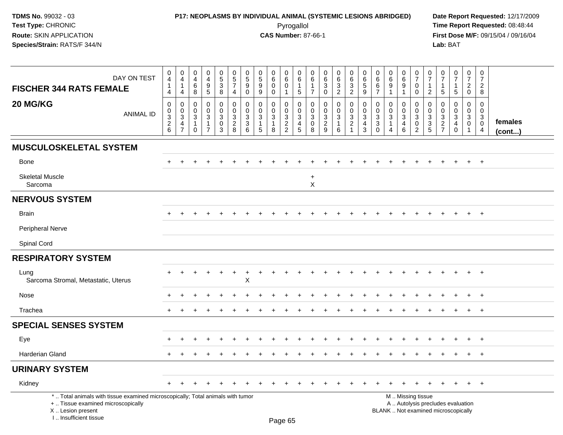## **P17: NEOPLASMS BY INDIVIDUAL ANIMAL (SYSTEMIC LESIONS ABRIDGED) Date Report Requested:** 12/17/2009 Pyrogallol Pyrogallol **Pyrogallol Time Report Requested:** 08:48:44<br>**CAS Number:** 87-66-1 **Time Report Requested:** 08/15/04 / 09/16/04

| DAY ON TEST<br><b>FISCHER 344 RATS FEMALE</b>                                                                                                                       | $\boldsymbol{0}$<br>4<br>1<br>$\overline{4}$ | $\pmb{0}$<br>$\overline{4}$<br>$\mathbf{1}$<br>$\overline{4}$      | $\mathbf 0$<br>$\overline{4}$<br>$6\phantom{1}6$<br>8 | 0<br>$\overline{4}$<br>$\boldsymbol{9}$<br>$5\phantom{.0}$ | 0<br>$5\,$<br>$\ensuremath{\mathsf{3}}$<br>8         | $\begin{array}{c} 0 \\ 5 \\ 7 \end{array}$<br>$\overline{4}$ | $\begin{array}{c} 0 \\ 5 \end{array}$<br>$\boldsymbol{9}$<br>$\mathbf 0$ | $\pmb{0}$<br>$\sqrt{5}$<br>$\boldsymbol{9}$<br>9        | 0<br>$\,6$<br>$\mathbf 0$<br>$\mathbf 0$ | 0<br>6<br>$\pmb{0}$<br>$\mathbf{1}$                            | 0<br>$\,6$<br>$\mathbf{1}$<br>$\sqrt{5}$                | 0<br>6<br>1<br>$\overline{7}$                               | $\pmb{0}$<br>$\,6\,$<br>$\mathbf{3}$<br>$\mathbf 0$ | 0<br>$\,6\,$<br>$\overline{3}$<br>$\overline{2}$ | 0<br>6<br>$\ensuremath{\mathsf{3}}$<br>$\overline{2}$ | $\pmb{0}$<br>$\,6\,$<br>$\overline{5}$<br>$\boldsymbol{9}$      | 0<br>6<br>6<br>$\overline{7}$                   | $\pmb{0}$<br>$\,6\,$<br>$\boldsymbol{9}$<br>$\mathbf{1}$ | 0<br>$\,6\,$<br>9<br>$\mathbf{1}$            | 0<br>$\overline{7}$<br>$\pmb{0}$<br>$\mathbf 0$                 | 0<br>$\overline{7}$<br>1<br>$\overline{2}$ | 0<br>7<br>$\overline{1}$<br>5                                  | $\begin{array}{c} 0 \\ 7 \end{array}$<br>$\mathbf{1}$<br>$\overline{5}$ | $\pmb{0}$<br>$\overline{7}$<br>$\overline{2}$<br>$\mathbf 0$ | $\pmb{0}$<br>$\overline{7}$<br>$\overline{c}$<br>8             |                   |
|---------------------------------------------------------------------------------------------------------------------------------------------------------------------|----------------------------------------------|--------------------------------------------------------------------|-------------------------------------------------------|------------------------------------------------------------|------------------------------------------------------|--------------------------------------------------------------|--------------------------------------------------------------------------|---------------------------------------------------------|------------------------------------------|----------------------------------------------------------------|---------------------------------------------------------|-------------------------------------------------------------|-----------------------------------------------------|--------------------------------------------------|-------------------------------------------------------|-----------------------------------------------------------------|-------------------------------------------------|----------------------------------------------------------|----------------------------------------------|-----------------------------------------------------------------|--------------------------------------------|----------------------------------------------------------------|-------------------------------------------------------------------------|--------------------------------------------------------------|----------------------------------------------------------------|-------------------|
| 20 MG/KG<br><b>ANIMAL ID</b>                                                                                                                                        | 0<br>0<br>$\overline{3}$<br>$\frac{2}{6}$    | $\mathbf 0$<br>0<br>$\sqrt{3}$<br>$\overline{4}$<br>$\overline{7}$ | $\mathbf 0$<br>$\mathbf 0$<br>3<br>-1<br>$\Omega$     | 0<br>$\mathbf 0$<br>3<br>1<br>$\overline{7}$               | 0<br>$\mathbf 0$<br>$\mathbf{3}$<br>$\mathsf 0$<br>3 | $\mathbf 0$<br>$\mathbf 0$<br>$\mathbf{3}$<br>$\frac{2}{8}$  | 0<br>$\mathbf 0$<br>$\mathbf{3}$<br>$\frac{3}{6}$                        | 0<br>$\mathbf 0$<br>$\mathbf{3}$<br>$\overline{1}$<br>5 | 0<br>$\mathbf 0$<br>3<br>1<br>8          | 0<br>$\mathbf 0$<br>$\begin{array}{c} 3 \\ 2 \\ 2 \end{array}$ | 0<br>$\mathbf 0$<br>$\mathbf{3}$<br>$\overline{4}$<br>5 | $\mathbf 0$<br>$\mathbf 0$<br>3<br>$\mathsf{O}\xspace$<br>8 | 0<br>$\mathbf 0$<br>3<br>$\frac{2}{9}$              | 0<br>$\mathbf 0$<br>3<br>$\mathbf{1}$<br>$\,6\,$ | 0<br>$\mathbf 0$<br>$\sqrt{3}$<br>$\frac{2}{1}$       | $\mathbf 0$<br>$\mathbf 0$<br>3<br>$\overline{\mathbf{4}}$<br>3 | 0<br>$\mathbf 0$<br>3<br>$\sqrt{3}$<br>$\Omega$ | 0<br>$\mathbf 0$<br>$\sqrt{3}$<br>-1<br>$\overline{4}$   | 0<br>$\mathbf 0$<br>3<br>4<br>$6\phantom{1}$ | 0<br>$\mathbf 0$<br>$\mathbf{3}$<br>$\pmb{0}$<br>$\overline{2}$ | 0<br>$\mathbf 0$<br>3<br>$\frac{3}{5}$     | 0<br>$\mathbf 0$<br>$\ensuremath{\mathsf{3}}$<br>$\frac{2}{7}$ | $\mathbf 0$<br>$\mathbf 0$<br>3<br>$\overline{4}$<br>$\mathbf 0$        | 0<br>$\mathbf 0$<br>3<br>$\mathbf 0$<br>$\overline{1}$       | $\mathbf 0$<br>$\mathbf 0$<br>3<br>$\pmb{0}$<br>$\overline{4}$ | females<br>(cont) |
| <b>MUSCULOSKELETAL SYSTEM</b>                                                                                                                                       |                                              |                                                                    |                                                       |                                                            |                                                      |                                                              |                                                                          |                                                         |                                          |                                                                |                                                         |                                                             |                                                     |                                                  |                                                       |                                                                 |                                                 |                                                          |                                              |                                                                 |                                            |                                                                |                                                                         |                                                              |                                                                |                   |
| <b>Bone</b>                                                                                                                                                         |                                              |                                                                    |                                                       |                                                            |                                                      |                                                              |                                                                          |                                                         |                                          |                                                                |                                                         |                                                             |                                                     |                                                  |                                                       |                                                                 |                                                 |                                                          |                                              |                                                                 |                                            |                                                                |                                                                         | $+$                                                          | $+$                                                            |                   |
| <b>Skeletal Muscle</b><br>Sarcoma                                                                                                                                   |                                              |                                                                    |                                                       |                                                            |                                                      |                                                              |                                                                          |                                                         |                                          |                                                                |                                                         | $\ddot{}$<br>X                                              |                                                     |                                                  |                                                       |                                                                 |                                                 |                                                          |                                              |                                                                 |                                            |                                                                |                                                                         |                                                              |                                                                |                   |
| <b>NERVOUS SYSTEM</b>                                                                                                                                               |                                              |                                                                    |                                                       |                                                            |                                                      |                                                              |                                                                          |                                                         |                                          |                                                                |                                                         |                                                             |                                                     |                                                  |                                                       |                                                                 |                                                 |                                                          |                                              |                                                                 |                                            |                                                                |                                                                         |                                                              |                                                                |                   |
| <b>Brain</b>                                                                                                                                                        |                                              |                                                                    |                                                       |                                                            |                                                      |                                                              |                                                                          |                                                         |                                          |                                                                |                                                         |                                                             |                                                     |                                                  |                                                       |                                                                 |                                                 |                                                          |                                              |                                                                 |                                            |                                                                | $\div$                                                                  | $+$                                                          | $+$                                                            |                   |
| <b>Peripheral Nerve</b>                                                                                                                                             |                                              |                                                                    |                                                       |                                                            |                                                      |                                                              |                                                                          |                                                         |                                          |                                                                |                                                         |                                                             |                                                     |                                                  |                                                       |                                                                 |                                                 |                                                          |                                              |                                                                 |                                            |                                                                |                                                                         |                                                              |                                                                |                   |
| Spinal Cord                                                                                                                                                         |                                              |                                                                    |                                                       |                                                            |                                                      |                                                              |                                                                          |                                                         |                                          |                                                                |                                                         |                                                             |                                                     |                                                  |                                                       |                                                                 |                                                 |                                                          |                                              |                                                                 |                                            |                                                                |                                                                         |                                                              |                                                                |                   |
| <b>RESPIRATORY SYSTEM</b>                                                                                                                                           |                                              |                                                                    |                                                       |                                                            |                                                      |                                                              |                                                                          |                                                         |                                          |                                                                |                                                         |                                                             |                                                     |                                                  |                                                       |                                                                 |                                                 |                                                          |                                              |                                                                 |                                            |                                                                |                                                                         |                                                              |                                                                |                   |
| Lung<br>Sarcoma Stromal, Metastatic, Uterus                                                                                                                         |                                              |                                                                    |                                                       |                                                            |                                                      | $\overline{+}$                                               | ٠<br>X                                                                   |                                                         |                                          |                                                                |                                                         |                                                             |                                                     |                                                  |                                                       |                                                                 |                                                 |                                                          |                                              |                                                                 |                                            |                                                                |                                                                         |                                                              | $\overline{ }$                                                 |                   |
| Nose                                                                                                                                                                | ÷                                            |                                                                    |                                                       |                                                            |                                                      |                                                              |                                                                          |                                                         |                                          |                                                                |                                                         |                                                             |                                                     |                                                  |                                                       |                                                                 |                                                 |                                                          |                                              |                                                                 |                                            |                                                                |                                                                         | $\ddot{}$                                                    | $+$                                                            |                   |
| Trachea                                                                                                                                                             | $\ddot{}$                                    | $\pm$                                                              |                                                       |                                                            |                                                      |                                                              |                                                                          |                                                         |                                          |                                                                |                                                         |                                                             |                                                     |                                                  |                                                       |                                                                 |                                                 |                                                          |                                              |                                                                 |                                            |                                                                | $\div$                                                                  | $+$                                                          | $+$                                                            |                   |
| <b>SPECIAL SENSES SYSTEM</b>                                                                                                                                        |                                              |                                                                    |                                                       |                                                            |                                                      |                                                              |                                                                          |                                                         |                                          |                                                                |                                                         |                                                             |                                                     |                                                  |                                                       |                                                                 |                                                 |                                                          |                                              |                                                                 |                                            |                                                                |                                                                         |                                                              |                                                                |                   |
| Eye                                                                                                                                                                 |                                              |                                                                    |                                                       |                                                            |                                                      |                                                              |                                                                          |                                                         |                                          |                                                                |                                                         |                                                             |                                                     |                                                  |                                                       |                                                                 |                                                 |                                                          |                                              |                                                                 |                                            |                                                                |                                                                         | $\ddot{}$                                                    | $+$                                                            |                   |
| Harderian Gland                                                                                                                                                     |                                              |                                                                    |                                                       |                                                            |                                                      |                                                              |                                                                          |                                                         |                                          |                                                                |                                                         |                                                             |                                                     |                                                  |                                                       |                                                                 |                                                 |                                                          |                                              |                                                                 |                                            | $\pm$                                                          | $\ddot{}$                                                               | $+$                                                          | $+$                                                            |                   |
| <b>URINARY SYSTEM</b>                                                                                                                                               |                                              |                                                                    |                                                       |                                                            |                                                      |                                                              |                                                                          |                                                         |                                          |                                                                |                                                         |                                                             |                                                     |                                                  |                                                       |                                                                 |                                                 |                                                          |                                              |                                                                 |                                            |                                                                |                                                                         |                                                              |                                                                |                   |
| Kidney                                                                                                                                                              |                                              |                                                                    |                                                       |                                                            |                                                      |                                                              |                                                                          |                                                         |                                          |                                                                |                                                         |                                                             |                                                     |                                                  |                                                       |                                                                 |                                                 |                                                          |                                              |                                                                 |                                            |                                                                |                                                                         | $+$                                                          | $+$                                                            |                   |
| *  Total animals with tissue examined microscopically; Total animals with tumor<br>+  Tissue examined microscopically<br>X  Lesion present<br>I Insufficient tissue |                                              |                                                                    |                                                       |                                                            |                                                      |                                                              |                                                                          |                                                         | Dogo 65                                  |                                                                |                                                         |                                                             |                                                     |                                                  |                                                       |                                                                 |                                                 | M  Missing tissue<br>BLANK  Not examined microscopically |                                              | A  Autolysis precludes evaluation                               |                                            |                                                                |                                                                         |                                                              |                                                                |                   |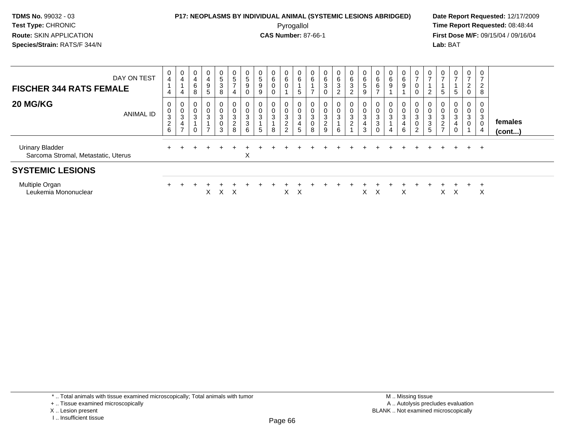#### **P17: NEOPLASMS BY INDIVIDUAL ANIMAL (SYSTEMIC LESIONS ABRIDGED) Date Report Requested:** 12/17/2009 Pyrogallol Pyrogallol **Pyrogallol Time Report Requested:** 08:48:44<br>**CAS Number:** 87-66-1 **Time Report Requested:** 09/15/04 / 09/16/04

**First Dose M/F:** 09/15/04 / 09/16/04 Lab: BAT **Lab:** BAT

| DAY ON TEST<br><b>FISCHER 344 RATS FEMALE</b>                 | 0<br>$\overline{\mathbf{4}}$<br>$\overline{4}$          | $\mathbf 0$<br>$\overline{\mathbf{4}}$<br>4 | 0<br>$\overline{\mathbf{4}}$<br>6<br>8 | $\overline{0}$<br>4<br>9<br>5         | $\frac{0}{5}$<br>3<br>8 | $\begin{array}{c} 0 \\ 5 \\ 7 \end{array}$<br>4 | $\frac{0}{5}$<br>9<br>U                | $\frac{0}{5}$<br>9<br>9  | $\mathbf 0$<br>6 | 0<br>6                                     | $0\over 6$<br>5                                                  | $\begin{matrix} 0 \\ 6 \end{matrix}$ | $\begin{matrix} 0 \\ 6 \end{matrix}$<br>3<br>$\mathbf 0$ | $_6^0$<br>3<br>2                    | 0<br>6<br>3<br>2                                           | $\begin{matrix} 0 \\ 6 \end{matrix}$<br>$\sqrt{5}$<br>9 | $\begin{matrix} 0 \\ 6 \end{matrix}$<br>6 | 0<br>6<br>9 | 0<br>$6\phantom{a}$<br>$\boldsymbol{9}$             | 0<br>$\overline{z}$<br>0            | $\frac{0}{7}$<br>2                                    | 0<br>G                                      | $\mathbf{0}$<br>$\rightarrow$<br>5 | 0<br>$\overline{ }$<br>$\overline{\mathbf{c}}$<br>$\mathbf 0$ | $\mathbf 0$<br>2<br>8                                   |                         |
|---------------------------------------------------------------|---------------------------------------------------------|---------------------------------------------|----------------------------------------|---------------------------------------|-------------------------|-------------------------------------------------|----------------------------------------|--------------------------|------------------|--------------------------------------------|------------------------------------------------------------------|--------------------------------------|----------------------------------------------------------|-------------------------------------|------------------------------------------------------------|---------------------------------------------------------|-------------------------------------------|-------------|-----------------------------------------------------|-------------------------------------|-------------------------------------------------------|---------------------------------------------|------------------------------------|---------------------------------------------------------------|---------------------------------------------------------|-------------------------|
| <b>20 MG/KG</b><br>ANIMAL ID                                  | 0<br>$_{3}^{\rm 0}$<br>$\overline{c}$<br>$6\phantom{a}$ | 0<br>$\pmb{0}$<br>3<br>4<br>$\rightarrow$   | 0<br>$\pmb{0}$<br>3                    | 0<br>$\pmb{0}$<br>3<br>$\overline{ }$ | 0<br>0<br>3<br>0<br>3   | 0<br>$\pmb{0}$<br>3<br>$\boldsymbol{2}$<br>8    | U<br>$\pmb{0}$<br>$\sqrt{3}$<br>3<br>6 | 0<br>$\pmb{0}$<br>3<br>5 | 3<br>8           | 0<br>3<br>$\overline{c}$<br>$\overline{2}$ | $\mathbf{0}$<br>$\pmb{0}$<br>$\ensuremath{\mathsf{3}}$<br>4<br>5 | 0<br>$\ensuremath{\mathsf{3}}$<br>8  | 0<br>$\pmb{0}$<br>$\frac{3}{2}$                          | 0<br>$\pmb{0}$<br>$\mathbf{3}$<br>6 | $\mathbf 0$<br>$\ensuremath{\mathsf{3}}$<br>$\overline{c}$ | $\boldsymbol{0}$<br>3<br>4<br>3                         | $\boldsymbol{0}$<br>3<br>3<br>$\Omega$    | 0<br>0<br>3 | 0<br>$\pmb{0}$<br>$\sqrt{3}$<br>$\overline{4}$<br>6 | 0<br>$\pmb{0}$<br>$\mathbf{3}$<br>2 | 0<br>$\pmb{0}$<br>$\ensuremath{\mathsf{3}}$<br>3<br>5 | $\mathbf 0$<br>$\sqrt{3}$<br>$\overline{ }$ | 0<br>0<br>3<br>0                   | 0<br>$\pmb{0}$<br>$\ensuremath{\mathsf{3}}$<br>$\pmb{0}$      | 0<br>0<br>$\mathbf{3}$<br>$\mathbf 0$<br>$\overline{4}$ | females<br>$($ cont $)$ |
| <b>Urinary Bladder</b><br>Sarcoma Stromal, Metastatic, Uterus | $\ddot{}$                                               |                                             |                                        |                                       |                         |                                                 | X                                      |                          |                  |                                            |                                                                  |                                      |                                                          |                                     |                                                            |                                                         |                                           |             |                                                     |                                     |                                                       |                                             |                                    | $+$                                                           | $+$                                                     |                         |
| <b>SYSTEMIC LESIONS</b>                                       |                                                         |                                             |                                        |                                       |                         |                                                 |                                        |                          |                  |                                            |                                                                  |                                      |                                                          |                                     |                                                            |                                                         |                                           |             |                                                     |                                     |                                                       |                                             |                                    |                                                               |                                                         |                         |
| Multiple Organ<br>Leukemia Mononuclear                        |                                                         |                                             |                                        | X.                                    | $X \times$              |                                                 |                                        |                          |                  | X.                                         | $\mathsf{X}$                                                     |                                      |                                                          |                                     |                                                            | X.                                                      | X                                         |             | X                                                   |                                     |                                                       | X                                           | Х                                  |                                                               | X                                                       |                         |

\* .. Total animals with tissue examined microscopically; Total animals with tumor

X .. Lesion present

I .. Insufficient tissue

<sup>+ ..</sup> Tissue examined microscopically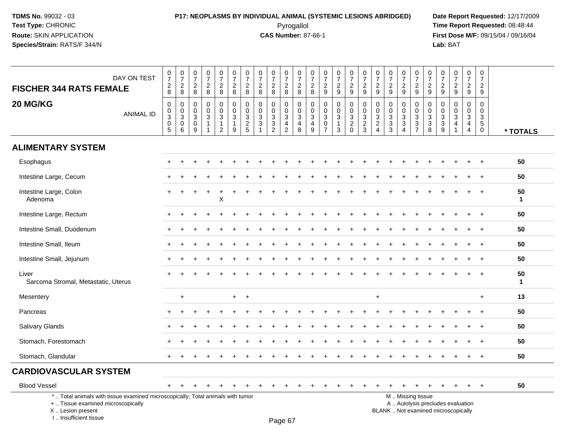## **P17: NEOPLASMS BY INDIVIDUAL ANIMAL (SYSTEMIC LESIONS ABRIDGED) Date Report Requested:** 12/17/2009 Pyrogallol Pyrogallol **Pyrogallol Time Report Requested:** 08:48:44<br>**CAS Number:** 87-66-1 **Time Report Requested:** 08/15/04 / 09/16/04

**First Dose M/F:** 09/15/04 / 09/16/04<br>Lab: BAT **Lab:** BAT

| DAY ON TEST<br><b>FISCHER 344 RATS FEMALE</b>                                                                         | $\frac{0}{7}$<br>$_{\rm 8}^2$                                             | $\begin{array}{c} 0 \\ 7 \end{array}$<br>$_{8}^{\rm 2}$ | $\begin{smallmatrix}0\\7\end{smallmatrix}$<br>$_{\rm 8}^2$                     | $\frac{0}{7}$<br>$_{\rm 8}^2$                                         | $\frac{0}{7}$<br>$\frac{2}{8}$                                                            | $\frac{0}{7}$<br>$\frac{2}{8}$    | $\begin{array}{c} 0 \\ 7 \end{array}$<br>$_{8}^2$ | $\begin{smallmatrix}0\\7\end{smallmatrix}$<br>$\frac{2}{8}$              | $\frac{0}{7}$<br>$\frac{2}{8}$                                                          | $\frac{0}{7}$<br>$_{\rm 8}^2$   | $\begin{array}{c} 0 \\ 7 \end{array}$<br>$_{8}^{\rm 2}$              | $\frac{0}{7}$<br>$_{\rm 8}^2$                                                                    | $\frac{0}{7}$<br>$\frac{2}{9}$                                            | $\frac{0}{7}$<br>$\frac{2}{9}$                                                | $\frac{0}{7}$<br>$\frac{2}{9}$       | $\frac{0}{7}$<br>$\frac{2}{9}$                    | $\frac{0}{7}$<br>$\frac{2}{9}$    | $\begin{array}{c} 0 \\ 7 \end{array}$<br>$\frac{2}{9}$ | $\begin{array}{c} 0 \\ 7 \end{array}$<br>$\frac{2}{9}$ | 0<br>$\overline{7}$<br>$\frac{2}{9}$            | $\frac{0}{7}$<br>$\frac{2}{9}$                                            | $\frac{0}{7}$<br>$\frac{2}{9}$                                           | $\frac{0}{7}$<br>$\frac{2}{9}$                   | $\frac{0}{7}$<br>$\frac{2}{9}$                                       | $\pmb{0}$<br>$\overline{7}$<br>$\overline{2}$<br>9               |                    |
|-----------------------------------------------------------------------------------------------------------------------|---------------------------------------------------------------------------|---------------------------------------------------------|--------------------------------------------------------------------------------|-----------------------------------------------------------------------|-------------------------------------------------------------------------------------------|-----------------------------------|---------------------------------------------------|--------------------------------------------------------------------------|-----------------------------------------------------------------------------------------|---------------------------------|----------------------------------------------------------------------|--------------------------------------------------------------------------------------------------|---------------------------------------------------------------------------|-------------------------------------------------------------------------------|--------------------------------------|---------------------------------------------------|-----------------------------------|--------------------------------------------------------|--------------------------------------------------------|-------------------------------------------------|---------------------------------------------------------------------------|--------------------------------------------------------------------------|--------------------------------------------------|----------------------------------------------------------------------|------------------------------------------------------------------|--------------------|
| 20 MG/KG<br><b>ANIMAL ID</b>                                                                                          | $\pmb{0}$<br>$\mathbf 0$<br>$\overline{3}$<br>$\pmb{0}$<br>$\overline{5}$ | 0<br>$\mathsf{O}\xspace$<br>3<br>0<br>6                 | $\mathbf 0$<br>$\mathbf 0$<br>$\sqrt{3}$<br>$\boldsymbol{0}$<br>$\overline{9}$ | $\pmb{0}$<br>$\mathbf 0$<br>$\ensuremath{\mathsf{3}}$<br>$\mathbf{1}$ | $\mathbf 0$<br>$\mathbf 0$<br>$\ensuremath{\mathsf{3}}$<br>$\mathbf{1}$<br>$\overline{c}$ | $\mathbf 0$<br>$\frac{0}{3}$<br>9 | 0<br>$\mathbf 0$<br>3<br>$\frac{2}{5}$            | $\mathbf 0$<br>$\mathbf 0$<br>$\sqrt{3}$<br>$\mathbf{3}$<br>$\mathbf{1}$ | $\mathbf 0$<br>$\mathbf 0$<br>$\ensuremath{\mathsf{3}}$<br>$\sqrt{3}$<br>$\overline{2}$ | 0<br>$\pmb{0}$<br>$\frac{3}{4}$ | 0<br>$\mathbf 0$<br>$\ensuremath{\mathsf{3}}$<br>$\overline{4}$<br>8 | $\mathbf 0$<br>$\mathbf 0$<br>$\ensuremath{\mathsf{3}}$<br>$\begin{array}{c} 4 \\ 9 \end{array}$ | $\mathbf 0$<br>$\mathbf 0$<br>$\sqrt{3}$<br>$\mathbf 0$<br>$\overline{7}$ | 0<br>$\mathbf 0$<br>$\ensuremath{\mathsf{3}}$<br>$\mathbf{1}$<br>$\mathbf{3}$ | 0<br>$\overline{0}$<br>$\frac{3}{2}$ | 0<br>$\mathbf 0$<br>$\mathbf{3}$<br>$\frac{2}{3}$ | 0<br>$\mathbf 0$<br>$\frac{3}{2}$ | $\mathbf 0$<br>$\mathbf 0$<br>$\frac{3}{3}$            | 0<br>$\mathbf 0$<br>$\frac{3}{3}$                      | 0<br>$\mathbf 0$<br>$\sqrt{3}$<br>$\frac{3}{7}$ | $\mathbf 0$<br>$\mathbf 0$<br>$\sqrt{3}$<br>$\mathsf 3$<br>$\overline{8}$ | $\mathbf 0$<br>$\mathbf 0$<br>$\ensuremath{\mathsf{3}}$<br>$\frac{3}{9}$ | 0<br>$\mathbf 0$<br>$\sqrt{3}$<br>$\overline{4}$ | 0<br>$\mathbf 0$<br>$\ensuremath{\mathsf{3}}$<br>4<br>$\overline{a}$ | $\mathbf 0$<br>$\mathbf 0$<br>3<br>$\overline{5}$<br>$\mathbf 0$ | * TOTALS           |
| <b>ALIMENTARY SYSTEM</b>                                                                                              |                                                                           |                                                         |                                                                                |                                                                       |                                                                                           |                                   |                                                   |                                                                          |                                                                                         |                                 |                                                                      |                                                                                                  |                                                                           |                                                                               |                                      |                                                   |                                   |                                                        |                                                        |                                                 |                                                                           |                                                                          |                                                  |                                                                      |                                                                  |                    |
| Esophagus                                                                                                             |                                                                           |                                                         |                                                                                |                                                                       |                                                                                           |                                   |                                                   |                                                                          |                                                                                         |                                 |                                                                      |                                                                                                  |                                                                           |                                                                               |                                      |                                                   |                                   |                                                        |                                                        |                                                 |                                                                           |                                                                          |                                                  |                                                                      | $+$                                                              | 50                 |
| Intestine Large, Cecum                                                                                                |                                                                           |                                                         |                                                                                |                                                                       |                                                                                           |                                   |                                                   |                                                                          |                                                                                         |                                 |                                                                      |                                                                                                  |                                                                           |                                                                               |                                      |                                                   |                                   |                                                        |                                                        |                                                 |                                                                           |                                                                          |                                                  |                                                                      | $\div$                                                           | 50                 |
| Intestine Large, Colon<br>Adenoma                                                                                     |                                                                           |                                                         |                                                                                |                                                                       | +<br>Χ                                                                                    |                                   |                                                   |                                                                          |                                                                                         |                                 |                                                                      |                                                                                                  |                                                                           |                                                                               |                                      |                                                   |                                   |                                                        |                                                        |                                                 |                                                                           |                                                                          |                                                  |                                                                      |                                                                  | 50<br>$\mathbf{1}$ |
| Intestine Large, Rectum                                                                                               |                                                                           |                                                         |                                                                                |                                                                       |                                                                                           |                                   |                                                   |                                                                          |                                                                                         |                                 |                                                                      |                                                                                                  |                                                                           |                                                                               |                                      |                                                   |                                   |                                                        |                                                        |                                                 |                                                                           |                                                                          |                                                  |                                                                      | $\ddot{}$                                                        | 50                 |
| Intestine Small, Duodenum                                                                                             |                                                                           |                                                         |                                                                                |                                                                       |                                                                                           |                                   |                                                   |                                                                          |                                                                                         |                                 |                                                                      |                                                                                                  |                                                                           |                                                                               |                                      |                                                   |                                   |                                                        |                                                        |                                                 |                                                                           |                                                                          |                                                  |                                                                      |                                                                  | 50                 |
| Intestine Small, Ileum                                                                                                |                                                                           |                                                         |                                                                                |                                                                       |                                                                                           |                                   |                                                   |                                                                          |                                                                                         |                                 |                                                                      |                                                                                                  |                                                                           |                                                                               |                                      |                                                   |                                   |                                                        |                                                        |                                                 |                                                                           |                                                                          |                                                  |                                                                      |                                                                  | 50                 |
| Intestine Small, Jejunum                                                                                              |                                                                           |                                                         |                                                                                |                                                                       |                                                                                           |                                   |                                                   |                                                                          |                                                                                         |                                 |                                                                      |                                                                                                  |                                                                           |                                                                               |                                      |                                                   |                                   |                                                        |                                                        |                                                 |                                                                           |                                                                          |                                                  |                                                                      | $+$                                                              | 50                 |
| Liver<br>Sarcoma Stromal, Metastatic, Uterus                                                                          |                                                                           |                                                         |                                                                                |                                                                       |                                                                                           |                                   |                                                   |                                                                          |                                                                                         |                                 |                                                                      |                                                                                                  |                                                                           |                                                                               |                                      |                                                   |                                   |                                                        |                                                        |                                                 |                                                                           |                                                                          |                                                  |                                                                      |                                                                  | 50<br>$\mathbf 1$  |
| Mesentery                                                                                                             |                                                                           | $\ddot{}$                                               |                                                                                |                                                                       |                                                                                           | $+$                               | $+$                                               |                                                                          |                                                                                         |                                 |                                                                      |                                                                                                  |                                                                           |                                                                               |                                      |                                                   | $\ddot{}$                         |                                                        |                                                        |                                                 |                                                                           |                                                                          |                                                  |                                                                      | $\ddot{}$                                                        | 13                 |
| Pancreas                                                                                                              |                                                                           |                                                         |                                                                                |                                                                       |                                                                                           |                                   |                                                   |                                                                          |                                                                                         |                                 |                                                                      |                                                                                                  |                                                                           |                                                                               |                                      |                                                   |                                   |                                                        |                                                        |                                                 |                                                                           |                                                                          |                                                  |                                                                      |                                                                  | 50                 |
| <b>Salivary Glands</b>                                                                                                |                                                                           |                                                         |                                                                                |                                                                       |                                                                                           |                                   |                                                   |                                                                          |                                                                                         |                                 |                                                                      |                                                                                                  |                                                                           |                                                                               |                                      |                                                   |                                   |                                                        |                                                        |                                                 |                                                                           |                                                                          |                                                  |                                                                      |                                                                  | 50                 |
| Stomach, Forestomach                                                                                                  |                                                                           |                                                         |                                                                                |                                                                       |                                                                                           |                                   |                                                   |                                                                          |                                                                                         |                                 |                                                                      |                                                                                                  |                                                                           |                                                                               |                                      |                                                   |                                   |                                                        |                                                        |                                                 |                                                                           |                                                                          |                                                  |                                                                      | $+$                                                              | 50                 |
| Stomach, Glandular                                                                                                    |                                                                           |                                                         |                                                                                |                                                                       |                                                                                           |                                   |                                                   |                                                                          |                                                                                         |                                 |                                                                      |                                                                                                  |                                                                           |                                                                               |                                      |                                                   |                                   |                                                        |                                                        |                                                 |                                                                           |                                                                          |                                                  |                                                                      | $\ddot{}$                                                        | 50                 |
| <b>CARDIOVASCULAR SYSTEM</b>                                                                                          |                                                                           |                                                         |                                                                                |                                                                       |                                                                                           |                                   |                                                   |                                                                          |                                                                                         |                                 |                                                                      |                                                                                                  |                                                                           |                                                                               |                                      |                                                   |                                   |                                                        |                                                        |                                                 |                                                                           |                                                                          |                                                  |                                                                      |                                                                  |                    |
| <b>Blood Vessel</b>                                                                                                   |                                                                           |                                                         |                                                                                |                                                                       |                                                                                           |                                   |                                                   |                                                                          |                                                                                         |                                 |                                                                      |                                                                                                  |                                                                           |                                                                               |                                      |                                                   |                                   |                                                        |                                                        |                                                 |                                                                           |                                                                          |                                                  |                                                                      |                                                                  | 50                 |
| *  Total animals with tissue examined microscopically; Total animals with tumor<br>+  Tissue examined microscopically |                                                                           |                                                         |                                                                                |                                                                       |                                                                                           |                                   |                                                   |                                                                          |                                                                                         |                                 |                                                                      |                                                                                                  |                                                                           |                                                                               |                                      |                                                   |                                   |                                                        |                                                        | M  Missing tissue                               |                                                                           |                                                                          | A  Autolysis precludes evaluation                |                                                                      |                                                                  |                    |

X .. Lesion present

I .. Insufficient tissue

Page 67

Lesion present BLANK .. Not examined microscopically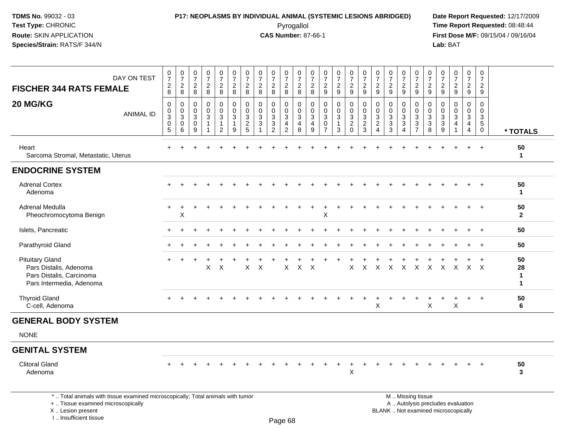# **P17: NEOPLASMS BY INDIVIDUAL ANIMAL (SYSTEMIC LESIONS ABRIDGED) Date Report Requested:** 12/17/2009

Pyrogallol Pyrogallol **Pyrogallol Time Report Requested:** 08:48:44<br>**CAS Number:** 87-66-1 **Time Report Requested:** 08/15/04 / 09/16/04 **First Dose M/F:** 09/15/04 / 09/16/04<br>Lab: BAT **Lab:** BAT

| <b>FISCHER 344 RATS FEMALE</b>                                                                                                                                      | DAY ON TEST      | $\frac{0}{7}$<br>$\frac{2}{8}$               | $\frac{0}{7}$<br>$\frac{2}{8}$             | $\frac{0}{7}$<br>$\frac{2}{8}$                  | $\begin{smallmatrix}0\\7\end{smallmatrix}$<br>$\sqrt{2}$<br>8 | $\frac{0}{7}$<br>$\overline{2}$<br>8                                     | $\begin{smallmatrix}0\\7\end{smallmatrix}$<br>$\overline{a}$<br>8 | 0<br>$\overline{7}$<br>$\boldsymbol{2}$<br>8                   | 0<br>$\overline{7}$<br>$\overline{c}$<br>8   | $\begin{array}{c} 0 \\ 7 \end{array}$<br>$\sqrt{2}$<br>8        | $\begin{array}{c} 0 \\ 7 \end{array}$<br>$\sqrt{2}$<br>8           | $\frac{0}{7}$<br>$\sqrt{2}$<br>8                                | 0<br>$\overline{7}$<br>$\overline{c}$<br>8 | $\begin{smallmatrix}0\\7\end{smallmatrix}$<br>$\boldsymbol{2}$<br>9      | $\frac{0}{7}$<br>$\mathbf 2$<br>9                 | $\begin{smallmatrix}0\\7\end{smallmatrix}$<br>$\sqrt{2}$<br>9           | $\frac{0}{7}$<br>$\sqrt{2}$<br>9                                         | $\pmb{0}$<br>$\overline{7}$<br>$\sqrt{2}$<br>9                            | $\frac{0}{7}$<br>$\overline{c}$<br>9                           | 0<br>$\overline{7}$<br>$\overline{c}$<br>9          | $\begin{smallmatrix}0\\7\end{smallmatrix}$<br>$\frac{2}{9}$                     | $\begin{array}{c} 0 \\ 7 \end{array}$<br>$\frac{2}{9}$                        | $\pmb{0}$<br>$\overline{7}$<br>$\overline{c}$<br>9          | $\begin{array}{c} 0 \\ 7 \end{array}$<br>$\frac{2}{9}$                    | $\frac{0}{7}$<br>$\overline{c}$<br>9                                        | $\boldsymbol{0}$<br>$\overline{7}$<br>$\overline{a}$<br>9                      |                                          |
|---------------------------------------------------------------------------------------------------------------------------------------------------------------------|------------------|----------------------------------------------|--------------------------------------------|-------------------------------------------------|---------------------------------------------------------------|--------------------------------------------------------------------------|-------------------------------------------------------------------|----------------------------------------------------------------|----------------------------------------------|-----------------------------------------------------------------|--------------------------------------------------------------------|-----------------------------------------------------------------|--------------------------------------------|--------------------------------------------------------------------------|---------------------------------------------------|-------------------------------------------------------------------------|--------------------------------------------------------------------------|---------------------------------------------------------------------------|----------------------------------------------------------------|-----------------------------------------------------|---------------------------------------------------------------------------------|-------------------------------------------------------------------------------|-------------------------------------------------------------|---------------------------------------------------------------------------|-----------------------------------------------------------------------------|--------------------------------------------------------------------------------|------------------------------------------|
| 20 MG/KG                                                                                                                                                            | <b>ANIMAL ID</b> | 0<br>$\mathbf 0$<br>$\overline{3}$<br>0<br>5 | 0<br>$\pmb{0}$<br>$\overline{3}$<br>0<br>6 | $\Omega$<br>0<br>$\sqrt{3}$<br>$\mathbf 0$<br>9 | $\Omega$<br>$\mathbf 0$<br>$\mathbf{3}$<br>$\mathbf{1}$       | $\mathbf 0$<br>$\pmb{0}$<br>$\sqrt{3}$<br>$\mathbf{1}$<br>$\overline{2}$ | 0<br>$\mathbf 0$<br>$\overline{3}$<br>$\mathbf{1}$<br>9           | $\Omega$<br>$\mathbf 0$<br>$\mathbf{3}$<br>$\overline{2}$<br>5 | $\Omega$<br>$\mathbf 0$<br>$\mathbf{3}$<br>3 | $\mathbf 0$<br>$\mathbf 0$<br>$\overline{3}$<br>$\sqrt{3}$<br>2 | $\mathbf 0$<br>0<br>$\sqrt{3}$<br>$\overline{4}$<br>$\overline{2}$ | $\mathbf 0$<br>$\mathbf 0$<br>$\sqrt{3}$<br>$\overline{a}$<br>8 | $\Omega$<br>$\mathbf 0$<br>3<br>4<br>9     | $\Omega$<br>$\mathbf 0$<br>$\mathbf{3}$<br>$\mathbf 0$<br>$\overline{7}$ | 0<br>$\pmb{0}$<br>$\sqrt{3}$<br>$\mathbf{1}$<br>3 | $\mathbf 0$<br>$\mathbf 0$<br>$\mathsf 3$<br>$\overline{2}$<br>$\Omega$ | $\Omega$<br>$\mathbf 0$<br>$\mathbf 3$<br>$\overline{2}$<br>$\mathbf{3}$ | $\mathbf{0}$<br>$\mathbf 0$<br>$\sqrt{3}$<br>$\sqrt{2}$<br>$\overline{4}$ | $\mathbf 0$<br>$\mathbf 0$<br>$\mathsf 3$<br>$\mathbf{3}$<br>3 | $\Omega$<br>$\mathbf 0$<br>3<br>3<br>$\overline{4}$ | 0<br>$\pmb{0}$<br>$\overline{3}$<br>$\ensuremath{\mathsf{3}}$<br>$\overline{7}$ | $\mathbf{0}$<br>$\mathbf 0$<br>$\ensuremath{\mathsf{3}}$<br>$\mathbf{3}$<br>8 | $\Omega$<br>$\mathbf 0$<br>$\mathbf{3}$<br>$\mathbf 3$<br>9 | $\Omega$<br>$\mathbf 0$<br>$\sqrt{3}$<br>$\overline{4}$<br>$\overline{1}$ | $\Omega$<br>$\mathbf 0$<br>$\mathbf{3}$<br>$\overline{4}$<br>$\overline{4}$ | $\mathbf 0$<br>$\mathbf 0$<br>$\mathbf{3}$<br>$\overline{5}$<br>$\overline{0}$ | * TOTALS                                 |
| Heart<br>Sarcoma Stromal, Metastatic, Uterus                                                                                                                        |                  | $\div$                                       |                                            |                                                 |                                                               |                                                                          |                                                                   |                                                                |                                              |                                                                 |                                                                    |                                                                 |                                            |                                                                          |                                                   |                                                                         |                                                                          |                                                                           |                                                                |                                                     |                                                                                 |                                                                               |                                                             |                                                                           |                                                                             |                                                                                | 50<br>$\mathbf{1}$                       |
| <b>ENDOCRINE SYSTEM</b>                                                                                                                                             |                  |                                              |                                            |                                                 |                                                               |                                                                          |                                                                   |                                                                |                                              |                                                                 |                                                                    |                                                                 |                                            |                                                                          |                                                   |                                                                         |                                                                          |                                                                           |                                                                |                                                     |                                                                                 |                                                                               |                                                             |                                                                           |                                                                             |                                                                                |                                          |
| <b>Adrenal Cortex</b><br>Adenoma                                                                                                                                    |                  |                                              |                                            |                                                 |                                                               |                                                                          |                                                                   |                                                                |                                              |                                                                 |                                                                    |                                                                 |                                            |                                                                          |                                                   |                                                                         |                                                                          |                                                                           |                                                                |                                                     |                                                                                 |                                                                               |                                                             |                                                                           |                                                                             |                                                                                | 50<br>$\mathbf 1$                        |
| Adrenal Medulla<br>Pheochromocytoma Benign                                                                                                                          |                  | $\pm$                                        | $\div$<br>X                                |                                                 |                                                               |                                                                          |                                                                   |                                                                |                                              |                                                                 |                                                                    |                                                                 |                                            | х                                                                        |                                                   |                                                                         |                                                                          |                                                                           |                                                                |                                                     |                                                                                 |                                                                               |                                                             |                                                                           |                                                                             |                                                                                | 50<br>$\overline{2}$                     |
| Islets, Pancreatic                                                                                                                                                  |                  |                                              |                                            |                                                 |                                                               |                                                                          |                                                                   |                                                                |                                              |                                                                 |                                                                    |                                                                 |                                            |                                                                          |                                                   |                                                                         |                                                                          |                                                                           |                                                                |                                                     |                                                                                 |                                                                               |                                                             |                                                                           |                                                                             | $\ddot{+}$                                                                     | 50                                       |
| Parathyroid Gland                                                                                                                                                   |                  |                                              |                                            |                                                 |                                                               |                                                                          |                                                                   |                                                                |                                              |                                                                 |                                                                    |                                                                 |                                            |                                                                          |                                                   |                                                                         |                                                                          |                                                                           |                                                                |                                                     |                                                                                 |                                                                               |                                                             |                                                                           |                                                                             |                                                                                | 50                                       |
| <b>Pituitary Gland</b><br>Pars Distalis, Adenoma<br>Pars Distalis, Carcinoma<br>Pars Intermedia, Adenoma                                                            |                  | $+$                                          | $\div$                                     |                                                 | X                                                             | X                                                                        |                                                                   | $\mathsf{X}$                                                   | $\boldsymbol{\mathsf{X}}$                    |                                                                 | $\mathsf{X}$                                                       | $\mathsf{X}$                                                    | $\times$                                   |                                                                          |                                                   | $\mathsf{X}$                                                            | $\mathsf{X}$                                                             |                                                                           | $X$ $X$                                                        | $\mathsf{X}$                                        | $\mathsf{X}$                                                                    | $\mathsf{X}$                                                                  |                                                             | X X X X                                                                   |                                                                             |                                                                                | 50<br>28<br>$\mathbf{1}$<br>$\mathbf{1}$ |
| <b>Thyroid Gland</b><br>C-cell, Adenoma                                                                                                                             |                  |                                              |                                            |                                                 |                                                               |                                                                          |                                                                   |                                                                |                                              |                                                                 |                                                                    |                                                                 |                                            |                                                                          |                                                   |                                                                         |                                                                          | X                                                                         |                                                                |                                                     |                                                                                 | $\times$                                                                      |                                                             | X                                                                         |                                                                             | $\ddot{}$                                                                      | 50<br>6                                  |
| <b>GENERAL BODY SYSTEM</b>                                                                                                                                          |                  |                                              |                                            |                                                 |                                                               |                                                                          |                                                                   |                                                                |                                              |                                                                 |                                                                    |                                                                 |                                            |                                                                          |                                                   |                                                                         |                                                                          |                                                                           |                                                                |                                                     |                                                                                 |                                                                               |                                                             |                                                                           |                                                                             |                                                                                |                                          |
| <b>NONE</b>                                                                                                                                                         |                  |                                              |                                            |                                                 |                                                               |                                                                          |                                                                   |                                                                |                                              |                                                                 |                                                                    |                                                                 |                                            |                                                                          |                                                   |                                                                         |                                                                          |                                                                           |                                                                |                                                     |                                                                                 |                                                                               |                                                             |                                                                           |                                                                             |                                                                                |                                          |
| <b>GENITAL SYSTEM</b>                                                                                                                                               |                  |                                              |                                            |                                                 |                                                               |                                                                          |                                                                   |                                                                |                                              |                                                                 |                                                                    |                                                                 |                                            |                                                                          |                                                   |                                                                         |                                                                          |                                                                           |                                                                |                                                     |                                                                                 |                                                                               |                                                             |                                                                           |                                                                             |                                                                                |                                          |
| <b>Clitoral Gland</b><br>Adenoma                                                                                                                                    |                  |                                              |                                            |                                                 |                                                               |                                                                          |                                                                   |                                                                |                                              |                                                                 |                                                                    |                                                                 |                                            |                                                                          |                                                   | X                                                                       |                                                                          |                                                                           |                                                                |                                                     |                                                                                 |                                                                               |                                                             |                                                                           |                                                                             |                                                                                | 50<br>3                                  |
| *  Total animals with tissue examined microscopically; Total animals with tumor<br>+  Tissue examined microscopically<br>X  Lesion present<br>I Insufficient tissue |                  |                                              |                                            |                                                 |                                                               |                                                                          |                                                                   |                                                                |                                              |                                                                 | $D_{200}$ $69$                                                     |                                                                 |                                            |                                                                          |                                                   |                                                                         |                                                                          |                                                                           | M  Missing tissue<br>BLANK  Not examined microscopically       |                                                     |                                                                                 |                                                                               |                                                             | A  Autolysis precludes evaluation                                         |                                                                             |                                                                                |                                          |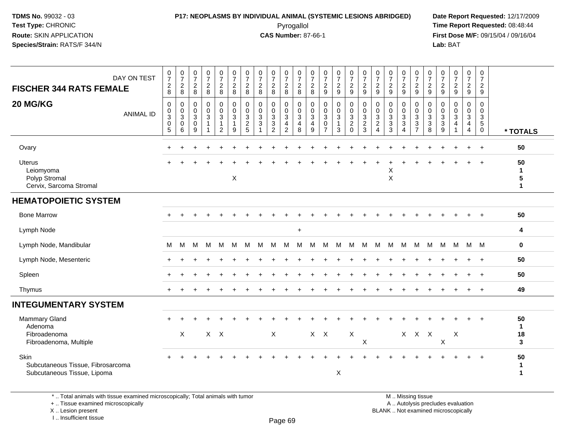#### **P17: NEOPLASMS BY INDIVIDUAL ANIMAL (SYSTEMIC LESIONS ABRIDGED) Date Report Requested:** 12/17/2009 Pyrogallol Pyrogallol **Pyrogallol Time Report Requested:** 08:48:44<br>**CAS Number:** 87-66-1 **Time Report Requested:** 09/15/04 / 09/16/04

**First Dose M/F:** 09/15/04 / 09/16/04 Lab: BAT **Lab:** BAT

| DAY ON TEST<br><b>FISCHER 344 RATS FEMALE</b><br>20 MG/KG<br><b>ANIMAL ID</b> | $\begin{array}{c} 0 \\ 7 \end{array}$<br>$\begin{array}{c} 2 \\ 8 \end{array}$<br>$\mathbf 0$<br>$\pmb{0}$<br>$\ensuremath{\mathsf{3}}$<br>$\boldsymbol{0}$<br>5 | $\begin{smallmatrix}0\\7\end{smallmatrix}$<br>$\overline{c}$<br>8<br>$\mathbf 0$<br>$\pmb{0}$<br>$\mathbf{3}$<br>0<br>6 | $\frac{0}{7}$<br>$\overline{c}$<br>8<br>$\mathbf 0$<br>0<br>3<br>$\mathbf 0$<br>9 | $\frac{0}{7}$<br>$\overline{c}$<br>8<br>0<br>$\pmb{0}$<br>$\mathbf{3}$<br>$\mathbf{1}$ | $\begin{array}{c} 0 \\ 7 \end{array}$<br>$\frac{2}{8}$<br>$\overline{0}$<br>$\mathbf 0$<br>3<br>$\mathbf{1}$<br>$\overline{2}$ | $\frac{0}{7}$<br>$\overline{c}$<br>8<br>$\mathbf 0$<br>$\mathsf 0$<br>$\mathbf{3}$<br>$\mathbf{1}$<br>9 | $\frac{0}{7}$<br>$\overline{2}$<br>8<br>$\mathbf 0$<br>$\boldsymbol{0}$<br>$\mathbf{3}$<br>$\overline{2}$<br>5 | $\frac{0}{7}$<br>$_{8}^{\rm 2}$<br>$\mathbf 0$<br>$\pmb{0}$<br>$\mathbf{3}$<br>$\sqrt{3}$<br>$\mathbf{1}$ | $\frac{0}{7}$<br>$\overline{a}$<br>8<br>$\mathbf 0$<br>$\mathbf 0$<br>$\mathbf{3}$<br>3<br>$\overline{2}$ | $\frac{0}{7}$<br>$_{8}^2$<br>0<br>$\mathbf 0$<br>$\mathbf{3}$<br>$\overline{\mathbf{4}}$<br>$\overline{c}$ | $\frac{0}{7}$<br>$\frac{2}{8}$<br>$\mathbf 0$<br>$_{3}^{\rm 0}$<br>$\overline{4}$<br>8 | $\frac{0}{7}$<br>$\overline{2}$<br>8<br>$\mathbf 0$<br>$\mathbf 0$<br>3<br>4<br>9 | $\frac{0}{7}$<br>$\sqrt{2}$<br>9<br>$\mathbf 0$<br>$\mathbf 0$<br>3<br>$\mathbf 0$<br>$\overline{7}$ | $\frac{0}{7}$<br>$\overline{a}$<br>$\overline{9}$<br>0<br>$\pmb{0}$<br>3<br>$\mathbf{1}$<br>3 | $\begin{smallmatrix}0\\7\end{smallmatrix}$<br>$\frac{2}{9}$<br>0<br>$\mathbf 0$<br>$\mathbf{3}$<br>$\overline{c}$<br>$\mathbf 0$ | $\frac{0}{7}$<br>$\frac{2}{9}$<br>0<br>$_{3}^{\rm 0}$<br>$\overline{c}$<br>3 | $\frac{0}{7}$<br>$\overline{2}$<br>9<br>0<br>$\boldsymbol{0}$<br>3<br>$\overline{2}$<br>$\overline{4}$ | $\frac{0}{7}$<br>$\overline{c}$<br>9<br>$\mathbf 0$<br>$\mathbf 0$<br>$\mathbf{3}$<br>$\sqrt{3}$<br>3 | 0<br>$\overline{7}$<br>$\overline{c}$<br>9<br>$\mathbf 0$<br>$\mathbf 0$<br>3<br>3<br>4 | 0<br>$\overline{7}$<br>$\frac{2}{9}$<br>$\mathbf 0$<br>$_{3}^{\rm 0}$<br>$\sqrt{3}$<br>$\overline{7}$ | $\frac{0}{7}$<br>$\frac{2}{9}$<br>0<br>$\pmb{0}$<br>$\mathbf{3}$<br>$\ensuremath{\mathsf{3}}$<br>8 | $\begin{smallmatrix}0\\7\end{smallmatrix}$<br>$\frac{2}{9}$<br>$\mathbf 0$<br>$\mathbf 0$<br>$\mathsf 3$<br>$\sqrt{3}$<br>9 | $\frac{0}{7}$<br>$\overline{c}$<br>9<br>$\mathbf 0$<br>$\mathbf 0$<br>$\mathbf{3}$<br>$\overline{4}$<br>$\overline{ }$ | $\frac{0}{7}$<br>$\overline{2}$<br>$\boldsymbol{9}$<br>0<br>$\mathbf 0$<br>$\mathbf{3}$<br>$\overline{4}$<br>4 | 0<br>$\overline{7}$<br>$\overline{2}$<br>9<br>0<br>$\mathbf 0$<br>$\mathbf{3}$<br>$\overline{5}$<br>$\boldsymbol{0}$ | * TOTALS                                        |
|-------------------------------------------------------------------------------|------------------------------------------------------------------------------------------------------------------------------------------------------------------|-------------------------------------------------------------------------------------------------------------------------|-----------------------------------------------------------------------------------|----------------------------------------------------------------------------------------|--------------------------------------------------------------------------------------------------------------------------------|---------------------------------------------------------------------------------------------------------|----------------------------------------------------------------------------------------------------------------|-----------------------------------------------------------------------------------------------------------|-----------------------------------------------------------------------------------------------------------|------------------------------------------------------------------------------------------------------------|----------------------------------------------------------------------------------------|-----------------------------------------------------------------------------------|------------------------------------------------------------------------------------------------------|-----------------------------------------------------------------------------------------------|----------------------------------------------------------------------------------------------------------------------------------|------------------------------------------------------------------------------|--------------------------------------------------------------------------------------------------------|-------------------------------------------------------------------------------------------------------|-----------------------------------------------------------------------------------------|-------------------------------------------------------------------------------------------------------|----------------------------------------------------------------------------------------------------|-----------------------------------------------------------------------------------------------------------------------------|------------------------------------------------------------------------------------------------------------------------|----------------------------------------------------------------------------------------------------------------|----------------------------------------------------------------------------------------------------------------------|-------------------------------------------------|
| Ovary                                                                         |                                                                                                                                                                  |                                                                                                                         |                                                                                   |                                                                                        |                                                                                                                                |                                                                                                         |                                                                                                                |                                                                                                           |                                                                                                           |                                                                                                            |                                                                                        |                                                                                   |                                                                                                      |                                                                                               |                                                                                                                                  |                                                                              |                                                                                                        |                                                                                                       |                                                                                         |                                                                                                       |                                                                                                    |                                                                                                                             |                                                                                                                        |                                                                                                                | $+$                                                                                                                  | 50                                              |
| <b>Uterus</b><br>Leiomyoma<br>Polyp Stromal<br>Cervix, Sarcoma Stromal        |                                                                                                                                                                  |                                                                                                                         |                                                                                   |                                                                                        |                                                                                                                                | X                                                                                                       |                                                                                                                |                                                                                                           |                                                                                                           |                                                                                                            |                                                                                        |                                                                                   |                                                                                                      |                                                                                               |                                                                                                                                  |                                                                              |                                                                                                        | X<br>X                                                                                                |                                                                                         |                                                                                                       |                                                                                                    |                                                                                                                             |                                                                                                                        |                                                                                                                |                                                                                                                      | 50<br>$\mathbf{1}$<br>$\sqrt{5}$<br>$\mathbf 1$ |
| <b>HEMATOPOIETIC SYSTEM</b>                                                   |                                                                                                                                                                  |                                                                                                                         |                                                                                   |                                                                                        |                                                                                                                                |                                                                                                         |                                                                                                                |                                                                                                           |                                                                                                           |                                                                                                            |                                                                                        |                                                                                   |                                                                                                      |                                                                                               |                                                                                                                                  |                                                                              |                                                                                                        |                                                                                                       |                                                                                         |                                                                                                       |                                                                                                    |                                                                                                                             |                                                                                                                        |                                                                                                                |                                                                                                                      |                                                 |
| <b>Bone Marrow</b>                                                            |                                                                                                                                                                  |                                                                                                                         |                                                                                   |                                                                                        |                                                                                                                                |                                                                                                         |                                                                                                                |                                                                                                           |                                                                                                           |                                                                                                            |                                                                                        |                                                                                   |                                                                                                      |                                                                                               |                                                                                                                                  |                                                                              |                                                                                                        |                                                                                                       |                                                                                         |                                                                                                       |                                                                                                    |                                                                                                                             |                                                                                                                        |                                                                                                                |                                                                                                                      | 50                                              |
| Lymph Node                                                                    |                                                                                                                                                                  |                                                                                                                         |                                                                                   |                                                                                        |                                                                                                                                |                                                                                                         |                                                                                                                |                                                                                                           |                                                                                                           |                                                                                                            | $\ddot{}$                                                                              |                                                                                   |                                                                                                      |                                                                                               |                                                                                                                                  |                                                                              |                                                                                                        |                                                                                                       |                                                                                         |                                                                                                       |                                                                                                    |                                                                                                                             |                                                                                                                        |                                                                                                                |                                                                                                                      | 4                                               |
| Lymph Node, Mandibular                                                        | М                                                                                                                                                                | M                                                                                                                       | м                                                                                 | M                                                                                      | M                                                                                                                              | M                                                                                                       | М                                                                                                              | M                                                                                                         | M                                                                                                         | M                                                                                                          | м                                                                                      | м                                                                                 | М                                                                                                    | M                                                                                             | M                                                                                                                                | М                                                                            | M                                                                                                      | M                                                                                                     | M                                                                                       | M                                                                                                     | M                                                                                                  | M                                                                                                                           | M                                                                                                                      | M M                                                                                                            |                                                                                                                      | $\mathbf 0$                                     |
| Lymph Node, Mesenteric                                                        |                                                                                                                                                                  |                                                                                                                         |                                                                                   |                                                                                        |                                                                                                                                |                                                                                                         |                                                                                                                |                                                                                                           |                                                                                                           |                                                                                                            |                                                                                        |                                                                                   |                                                                                                      |                                                                                               |                                                                                                                                  |                                                                              |                                                                                                        |                                                                                                       |                                                                                         |                                                                                                       |                                                                                                    |                                                                                                                             |                                                                                                                        |                                                                                                                |                                                                                                                      | 50                                              |
| Spleen                                                                        |                                                                                                                                                                  |                                                                                                                         |                                                                                   |                                                                                        |                                                                                                                                |                                                                                                         |                                                                                                                |                                                                                                           |                                                                                                           |                                                                                                            |                                                                                        |                                                                                   |                                                                                                      |                                                                                               |                                                                                                                                  |                                                                              |                                                                                                        |                                                                                                       |                                                                                         |                                                                                                       |                                                                                                    |                                                                                                                             |                                                                                                                        |                                                                                                                |                                                                                                                      | 50                                              |
| Thymus                                                                        |                                                                                                                                                                  |                                                                                                                         |                                                                                   |                                                                                        |                                                                                                                                |                                                                                                         |                                                                                                                |                                                                                                           |                                                                                                           |                                                                                                            |                                                                                        |                                                                                   |                                                                                                      |                                                                                               |                                                                                                                                  |                                                                              |                                                                                                        |                                                                                                       |                                                                                         |                                                                                                       |                                                                                                    |                                                                                                                             |                                                                                                                        |                                                                                                                |                                                                                                                      | 49                                              |
| <b>INTEGUMENTARY SYSTEM</b>                                                   |                                                                                                                                                                  |                                                                                                                         |                                                                                   |                                                                                        |                                                                                                                                |                                                                                                         |                                                                                                                |                                                                                                           |                                                                                                           |                                                                                                            |                                                                                        |                                                                                   |                                                                                                      |                                                                                               |                                                                                                                                  |                                                                              |                                                                                                        |                                                                                                       |                                                                                         |                                                                                                       |                                                                                                    |                                                                                                                             |                                                                                                                        |                                                                                                                |                                                                                                                      |                                                 |
| Mammary Gland<br>Adenoma<br>Fibroadenoma<br>Fibroadenoma, Multiple            |                                                                                                                                                                  | X                                                                                                                       |                                                                                   |                                                                                        | $X$ $X$                                                                                                                        |                                                                                                         |                                                                                                                |                                                                                                           | X                                                                                                         |                                                                                                            |                                                                                        |                                                                                   | $X$ $X$                                                                                              |                                                                                               | X                                                                                                                                | X                                                                            |                                                                                                        |                                                                                                       |                                                                                         | X X X                                                                                                 |                                                                                                    | X                                                                                                                           | Χ                                                                                                                      |                                                                                                                |                                                                                                                      | 50<br>$\mathbf{1}$<br>18<br>3                   |
| Skin<br>Subcutaneous Tissue, Fibrosarcoma<br>Subcutaneous Tissue, Lipoma      |                                                                                                                                                                  |                                                                                                                         |                                                                                   |                                                                                        |                                                                                                                                |                                                                                                         |                                                                                                                |                                                                                                           |                                                                                                           |                                                                                                            |                                                                                        |                                                                                   |                                                                                                      | X                                                                                             |                                                                                                                                  |                                                                              |                                                                                                        |                                                                                                       |                                                                                         |                                                                                                       |                                                                                                    |                                                                                                                             |                                                                                                                        |                                                                                                                |                                                                                                                      | 50<br>1<br>-1                                   |

\* .. Total animals with tissue examined microscopically; Total animals with tumor

+ .. Tissue examined microscopically

X .. Lesion present

I .. Insufficient tissue

M .. Missing tissue

y the contract of the contract of the contract of the contract of the contract of  $\mathsf A$  . Autolysis precludes evaluation

Lesion present BLANK .. Not examined microscopically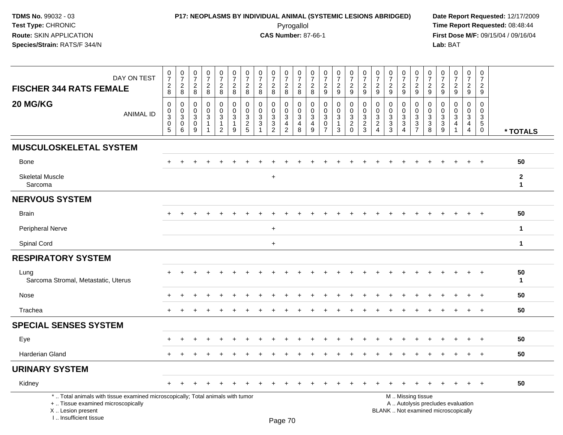## **P17: NEOPLASMS BY INDIVIDUAL ANIMAL (SYSTEMIC LESIONS ABRIDGED) Date Report Requested:** 12/17/2009 Pyrogallol Pyrogallol **Pyrogallol Time Report Requested:** 08:48:44<br>**CAS Number:** 87-66-1 **Time Report Requested:** 08/15/04 / 09/16/04

| DAY ON TEST<br><b>FISCHER 344 RATS FEMALE</b>                                                                                                                       | $\frac{0}{7}$<br>$_{8}^2$                                                      | $\begin{array}{c} 0 \\ 7 \end{array}$<br>$\sqrt{2}$<br>8                  | $\pmb{0}$<br>$\overline{7}$<br>$\overline{c}$<br>8 | $\pmb{0}$<br>$\overline{7}$<br>$\boldsymbol{2}$<br>8 | $\frac{0}{7}$<br>$\overline{c}$<br>8                    | $\pmb{0}$<br>$\overline{7}$<br>$\overline{a}$<br>8  | $\frac{0}{7}$<br>$\overline{c}$<br>8   | 0<br>$\overline{7}$<br>$\overline{c}$<br>8      | $\boldsymbol{0}$<br>$\overline{7}$<br>$\sqrt{2}$<br>8            | 0<br>$\overline{7}$<br>$\sqrt{2}$<br>8          | 0<br>$\overline{7}$<br>$\overline{\mathbf{c}}$<br>8 | 0<br>$\overline{7}$<br>$\overline{c}$<br>8 | 0<br>$\overline{7}$<br>$\sqrt{2}$<br>9               | $\begin{array}{c} 0 \\ 7 \end{array}$<br>$\sqrt{2}$<br>9 | 0<br>$\overline{7}$<br>$\overline{a}$<br>$\boldsymbol{9}$ | $\pmb{0}$<br>$\overline{7}$<br>$\overline{c}$<br>9        | 0<br>$\overline{7}$<br>$\overline{c}$<br>9                         | 0<br>$\overline{7}$<br>$\overline{2}$<br>9                          | $\pmb{0}$<br>$\overline{7}$<br>$\overline{c}$<br>$9\,$                                 | $\pmb{0}$<br>$\overline{7}$<br>$\frac{2}{9}$ | 0<br>$\overline{7}$<br>$\boldsymbol{2}$<br>9                     | 0<br>$\overline{7}$<br>$\overline{c}$<br>9 | $\pmb{0}$<br>$\overline{7}$<br>$\sqrt{2}$<br>9                           | $\frac{0}{7}$<br>$\overline{a}$<br>9                                | $\mathbf 0$<br>$\overline{7}$<br>$\overline{c}$<br>9                        |                              |
|---------------------------------------------------------------------------------------------------------------------------------------------------------------------|--------------------------------------------------------------------------------|---------------------------------------------------------------------------|----------------------------------------------------|------------------------------------------------------|---------------------------------------------------------|-----------------------------------------------------|----------------------------------------|-------------------------------------------------|------------------------------------------------------------------|-------------------------------------------------|-----------------------------------------------------|--------------------------------------------|------------------------------------------------------|----------------------------------------------------------|-----------------------------------------------------------|-----------------------------------------------------------|--------------------------------------------------------------------|---------------------------------------------------------------------|----------------------------------------------------------------------------------------|----------------------------------------------|------------------------------------------------------------------|--------------------------------------------|--------------------------------------------------------------------------|---------------------------------------------------------------------|-----------------------------------------------------------------------------|------------------------------|
| 20 MG/KG<br><b>ANIMAL ID</b>                                                                                                                                        | $\mathbf 0$<br>0<br>$\ensuremath{\mathsf{3}}$<br>$\mathbf 0$<br>$\overline{5}$ | $\mathbf 0$<br>$\mathbf 0$<br>$\ensuremath{\mathsf{3}}$<br>$\pmb{0}$<br>6 | $\mathbf 0$<br>$\mathbf 0$<br>3<br>$\pmb{0}$<br>9  | $\mathbf 0$<br>$\Omega$<br>3<br>-1<br>1              | 0<br>$\mathbf 0$<br>$\mathbf{3}$<br>1<br>$\overline{2}$ | 0<br>$\mathbf 0$<br>$\sqrt{3}$<br>$\mathbf{1}$<br>9 | 0<br>$\mathbf 0$<br>3<br>$\frac{2}{5}$ | $\mathbf 0$<br>$\mathbf 0$<br>3<br>$\mathbf{3}$ | 0<br>$\mathbf 0$<br>$\mathbf{3}$<br>$\sqrt{3}$<br>$\overline{2}$ | 0<br>0<br>3<br>$\overline{4}$<br>$\overline{2}$ | 0<br>$\mathbf 0$<br>3<br>4<br>8                     | 0<br>$\mathbf 0$<br>3<br>4<br>9            | 0<br>$\mathbf 0$<br>3<br>$\pmb{0}$<br>$\overline{7}$ | $\mathbf 0$<br>$\mathbf 0$<br>3<br>$\mathbf{3}$          | 0<br>$\mathbf 0$<br>$\mathbf{3}$<br>$\frac{2}{0}$         | $\mathbf 0$<br>$\mathbf 0$<br>$\sqrt{3}$<br>$\frac{2}{3}$ | 0<br>$\mathbf 0$<br>3<br>$\overline{\mathbf{c}}$<br>$\overline{4}$ | 0<br>$\mathbf{0}$<br>$\mathbf{3}$<br>$\ensuremath{\mathsf{3}}$<br>3 | $\mathbf 0$<br>$\Omega$<br>$\mathbf{3}$<br>$\ensuremath{\mathsf{3}}$<br>$\overline{4}$ | 0<br>$\mathbf 0$<br>3<br>$\frac{3}{7}$       | 0<br>$\mathbf 0$<br>$\mathbf{3}$<br>$\sqrt{3}$<br>$\overline{8}$ | 0<br>0<br>3<br>3<br>9                      | 0<br>$\Omega$<br>3<br>$\overline{4}$<br>$\mathbf{1}$                     | $\mathbf 0$<br>$\mathbf 0$<br>3<br>$\overline{4}$<br>$\overline{4}$ | $\mathbf 0$<br>$\mathbf 0$<br>$\mathbf{3}$<br>$\overline{5}$<br>$\mathbf 0$ | * TOTALS                     |
| <b>MUSCULOSKELETAL SYSTEM</b>                                                                                                                                       |                                                                                |                                                                           |                                                    |                                                      |                                                         |                                                     |                                        |                                                 |                                                                  |                                                 |                                                     |                                            |                                                      |                                                          |                                                           |                                                           |                                                                    |                                                                     |                                                                                        |                                              |                                                                  |                                            |                                                                          |                                                                     |                                                                             |                              |
| <b>Bone</b>                                                                                                                                                         | ÷.                                                                             | $\ddot{}$                                                                 |                                                    |                                                      |                                                         |                                                     |                                        |                                                 |                                                                  |                                                 |                                                     |                                            |                                                      |                                                          |                                                           |                                                           |                                                                    |                                                                     |                                                                                        |                                              |                                                                  |                                            |                                                                          | $+$                                                                 | $+$                                                                         | 50                           |
| <b>Skeletal Muscle</b><br>Sarcoma                                                                                                                                   |                                                                                |                                                                           |                                                    |                                                      |                                                         |                                                     |                                        |                                                 | $\ddot{}$                                                        |                                                 |                                                     |                                            |                                                      |                                                          |                                                           |                                                           |                                                                    |                                                                     |                                                                                        |                                              |                                                                  |                                            |                                                                          |                                                                     |                                                                             | $\mathbf{2}$<br>$\mathbf{1}$ |
| <b>NERVOUS SYSTEM</b>                                                                                                                                               |                                                                                |                                                                           |                                                    |                                                      |                                                         |                                                     |                                        |                                                 |                                                                  |                                                 |                                                     |                                            |                                                      |                                                          |                                                           |                                                           |                                                                    |                                                                     |                                                                                        |                                              |                                                                  |                                            |                                                                          |                                                                     |                                                                             |                              |
| <b>Brain</b>                                                                                                                                                        |                                                                                |                                                                           |                                                    |                                                      |                                                         |                                                     |                                        |                                                 |                                                                  |                                                 |                                                     |                                            |                                                      |                                                          |                                                           |                                                           |                                                                    |                                                                     |                                                                                        |                                              |                                                                  |                                            |                                                                          | $\ddot{}$                                                           | $+$                                                                         | 50                           |
| <b>Peripheral Nerve</b>                                                                                                                                             |                                                                                |                                                                           |                                                    |                                                      |                                                         |                                                     |                                        |                                                 | $+$                                                              |                                                 |                                                     |                                            |                                                      |                                                          |                                                           |                                                           |                                                                    |                                                                     |                                                                                        |                                              |                                                                  |                                            |                                                                          |                                                                     |                                                                             | $\mathbf{1}$                 |
| Spinal Cord                                                                                                                                                         |                                                                                |                                                                           |                                                    |                                                      |                                                         |                                                     |                                        |                                                 | $\ddot{}$                                                        |                                                 |                                                     |                                            |                                                      |                                                          |                                                           |                                                           |                                                                    |                                                                     |                                                                                        |                                              |                                                                  |                                            |                                                                          |                                                                     |                                                                             | $\mathbf{1}$                 |
| <b>RESPIRATORY SYSTEM</b>                                                                                                                                           |                                                                                |                                                                           |                                                    |                                                      |                                                         |                                                     |                                        |                                                 |                                                                  |                                                 |                                                     |                                            |                                                      |                                                          |                                                           |                                                           |                                                                    |                                                                     |                                                                                        |                                              |                                                                  |                                            |                                                                          |                                                                     |                                                                             |                              |
| Lung<br>Sarcoma Stromal, Metastatic, Uterus                                                                                                                         |                                                                                |                                                                           |                                                    |                                                      |                                                         |                                                     |                                        |                                                 |                                                                  |                                                 |                                                     |                                            |                                                      |                                                          |                                                           |                                                           |                                                                    |                                                                     |                                                                                        |                                              |                                                                  |                                            |                                                                          |                                                                     | $\overline{1}$                                                              | 50<br>$\mathbf{1}$           |
| Nose                                                                                                                                                                | $\pm$                                                                          |                                                                           |                                                    |                                                      |                                                         |                                                     |                                        |                                                 |                                                                  |                                                 |                                                     |                                            |                                                      |                                                          |                                                           |                                                           |                                                                    |                                                                     |                                                                                        |                                              |                                                                  |                                            |                                                                          | $\ddot{}$                                                           | $+$                                                                         | 50                           |
| Trachea                                                                                                                                                             | $\pm$                                                                          | $\div$                                                                    |                                                    |                                                      |                                                         |                                                     |                                        |                                                 |                                                                  |                                                 |                                                     |                                            |                                                      |                                                          |                                                           |                                                           |                                                                    |                                                                     |                                                                                        | +                                            |                                                                  |                                            |                                                                          | $\ddot{}$                                                           | $+$                                                                         | 50                           |
| <b>SPECIAL SENSES SYSTEM</b>                                                                                                                                        |                                                                                |                                                                           |                                                    |                                                      |                                                         |                                                     |                                        |                                                 |                                                                  |                                                 |                                                     |                                            |                                                      |                                                          |                                                           |                                                           |                                                                    |                                                                     |                                                                                        |                                              |                                                                  |                                            |                                                                          |                                                                     |                                                                             |                              |
| Eye                                                                                                                                                                 |                                                                                |                                                                           |                                                    |                                                      |                                                         |                                                     |                                        |                                                 |                                                                  |                                                 |                                                     |                                            |                                                      |                                                          |                                                           |                                                           |                                                                    |                                                                     |                                                                                        |                                              |                                                                  |                                            |                                                                          |                                                                     | $\ddot{}$                                                                   | 50                           |
| Harderian Gland                                                                                                                                                     |                                                                                |                                                                           |                                                    |                                                      |                                                         |                                                     |                                        |                                                 |                                                                  |                                                 |                                                     |                                            |                                                      |                                                          |                                                           |                                                           |                                                                    |                                                                     |                                                                                        |                                              |                                                                  |                                            |                                                                          | $\ddot{}$                                                           | $+$                                                                         | 50                           |
| <b>URINARY SYSTEM</b>                                                                                                                                               |                                                                                |                                                                           |                                                    |                                                      |                                                         |                                                     |                                        |                                                 |                                                                  |                                                 |                                                     |                                            |                                                      |                                                          |                                                           |                                                           |                                                                    |                                                                     |                                                                                        |                                              |                                                                  |                                            |                                                                          |                                                                     |                                                                             |                              |
| Kidney                                                                                                                                                              | $+$                                                                            |                                                                           |                                                    |                                                      |                                                         |                                                     |                                        |                                                 |                                                                  |                                                 |                                                     |                                            |                                                      |                                                          |                                                           |                                                           |                                                                    |                                                                     |                                                                                        |                                              |                                                                  |                                            |                                                                          |                                                                     | $+$                                                                         | 50                           |
| *  Total animals with tissue examined microscopically; Total animals with tumor<br>+  Tissue examined microscopically<br>X  Lesion present<br>I Insufficient tissue |                                                                                |                                                                           |                                                    |                                                      |                                                         |                                                     |                                        |                                                 |                                                                  | $D_{200}$ 70                                    |                                                     |                                            |                                                      |                                                          |                                                           |                                                           |                                                                    |                                                                     |                                                                                        | M  Missing tissue                            |                                                                  |                                            | A  Autolysis precludes evaluation<br>BLANK  Not examined microscopically |                                                                     |                                                                             |                              |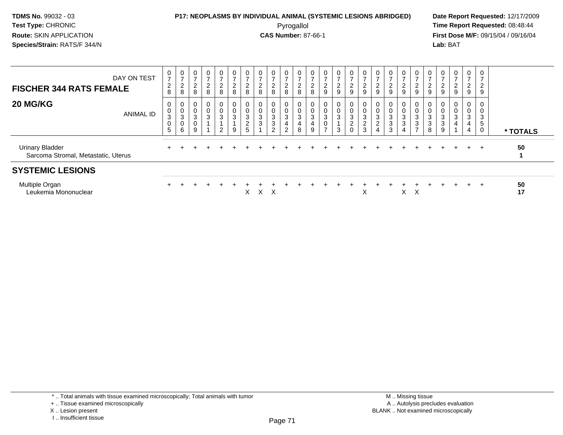#### **P17: NEOPLASMS BY INDIVIDUAL ANIMAL (SYSTEMIC LESIONS ABRIDGED) Date Report Requested:** 12/17/2009 Pyrogallol Pyrogallol **Pyrogallol Time Report Requested:** 08:48:44<br>**CAS Number:** 87-66-1 **Time Report Requested:** 09/15/04 / 09/16/04

**First Dose M/F:** 09/15/04 / 09/16/04 Lab: BAT **Lab:** BAT

| DAY ON TEST<br><b>FISCHER 344 RATS FEMALE</b>                 | 0<br>$\overline{ }$<br>$\overline{c}$<br>8 | $\frac{0}{7}$<br>$\frac{2}{8}$                 | 0<br>$\overline{c}$<br>8   | $\mathbf{0}$<br>$\rightarrow$<br>$\frac{2}{8}$ | 0<br>$\rightarrow$<br>$_{\rm 8}^2$                          | 0<br>$\rightarrow$<br>$\overline{2}$<br>$\,8\,$ | 0<br>$\overline{ }$<br>$\frac{2}{8}$                           | 0<br>⇁<br>$\overline{c}$<br>8       | $\mathbf 0$<br>⌒<br>$\epsilon$<br>8 | 0<br>$\overline{ }$<br>$\overline{c}$<br>8 | 0<br>2<br>8                     | 0<br>ົ<br>∠<br>8                                        | 0<br>$\overline{ }$<br>$\frac{2}{9}$                                  | 0<br>$\overline{ }$<br>$\overline{c}$<br>9 | 0<br>$\overline{ }$<br>$\boldsymbol{2}$<br>9 | 0<br>$\overline{ }$<br>$\frac{2}{9}$                         | 0<br>9                  | 0<br>$\overline{\phantom{a}}$<br>$\overline{2}$<br>9             | 0<br>$\overline{ }$<br>$\frac{2}{9}$ | 0<br>$\overline{ }$<br>2<br>9                                        | 9           | 0<br>$\sim$<br>∠<br>9 | 0<br>$\overline{a}$<br>9                       | $\mathbf{0}$<br>$\overline{ }$<br>$\frac{2}{9}$     | 0<br>$\overline{ }$<br>$\overline{2}$<br>9 |          |
|---------------------------------------------------------------|--------------------------------------------|------------------------------------------------|----------------------------|------------------------------------------------|-------------------------------------------------------------|-------------------------------------------------|----------------------------------------------------------------|-------------------------------------|-------------------------------------|--------------------------------------------|---------------------------------|---------------------------------------------------------|-----------------------------------------------------------------------|--------------------------------------------|----------------------------------------------|--------------------------------------------------------------|-------------------------|------------------------------------------------------------------|--------------------------------------|----------------------------------------------------------------------|-------------|-----------------------|------------------------------------------------|-----------------------------------------------------|--------------------------------------------|----------|
| 20 MG/KG<br><b>ANIMAL ID</b>                                  | 0<br>0<br>3<br>$\mathbf 0$<br>5            | 0<br>$\pmb{0}$<br>$\sqrt{3}$<br>$\pmb{0}$<br>6 | 0<br>$\mathbf 0$<br>3<br>9 | 0<br>0<br>3                                    | $\mathbf{0}$<br>$\pmb{0}$<br>$\ensuremath{\mathsf{3}}$<br>2 | 0<br>$\pmb{0}$<br>$\mathbf{3}$<br>9             | 0<br>$\pmb{0}$<br>$\mathbf{3}$<br>$\overline{\mathbf{c}}$<br>5 | 0<br>$\pmb{0}$<br>$\mathbf{3}$<br>3 | 3<br>3<br>2                         | 3<br>$\overline{2}$                        | 0<br>$\mathbf 0$<br>3<br>4<br>8 | $\mathbf 0$<br>0<br>$\ensuremath{\mathsf{3}}$<br>4<br>9 | 0<br>$\pmb{0}$<br>$\sqrt{3}$<br>$\mathsf{O}\xspace$<br>$\overline{ }$ | 0<br>0<br>3<br>3                           | 3<br>$\boldsymbol{2}$<br>0                   | 0<br>$\pmb{0}$<br>$\ensuremath{\mathsf{3}}$<br>$\frac{2}{3}$ | 0<br>3<br>$\Omega$<br>4 | 0<br>$\pmb{0}$<br>$\ensuremath{\mathsf{3}}$<br>$\mathbf{3}$<br>3 | 0<br>0<br>3<br>3<br>4                | 0<br>$\mathbf 0$<br>3<br>$\ensuremath{\mathsf{3}}$<br>$\overline{ }$ | 3<br>3<br>8 | 0<br>3<br>3<br>9      | $\mathbf{0}$<br>0<br>$\ensuremath{\mathsf{3}}$ | 0<br>$\pmb{0}$<br>$\sqrt{3}$<br>4<br>$\overline{4}$ | 0<br>0<br>3<br>5<br>$\mathbf 0$            | * TOTALS |
| <b>Urinary Bladder</b><br>Sarcoma Stromal, Metastatic, Uterus |                                            |                                                |                            |                                                |                                                             |                                                 |                                                                |                                     |                                     |                                            |                                 |                                                         |                                                                       |                                            |                                              |                                                              |                         |                                                                  |                                      |                                                                      |             |                       |                                                | $+$                                                 | $+$                                        | 50       |
| <b>SYSTEMIC LESIONS</b>                                       |                                            |                                                |                            |                                                |                                                             |                                                 |                                                                |                                     |                                     |                                            |                                 |                                                         |                                                                       |                                            |                                              |                                                              |                         |                                                                  |                                      |                                                                      |             |                       |                                                |                                                     |                                            |          |
| Multiple Organ<br>Leukemia Mononuclear                        |                                            |                                                |                            |                                                |                                                             |                                                 | X                                                              | X.                                  | $\mathsf{X}$                        |                                            |                                 |                                                         |                                                                       |                                            |                                              | X                                                            |                         |                                                                  | $X \times$                           |                                                                      |             |                       |                                                | $+$                                                 | $+$                                        | 50<br>17 |

\* .. Total animals with tissue examined microscopically; Total animals with tumor

<sup>+ ..</sup> Tissue examined microscopically

X .. Lesion present

I .. Insufficient tissue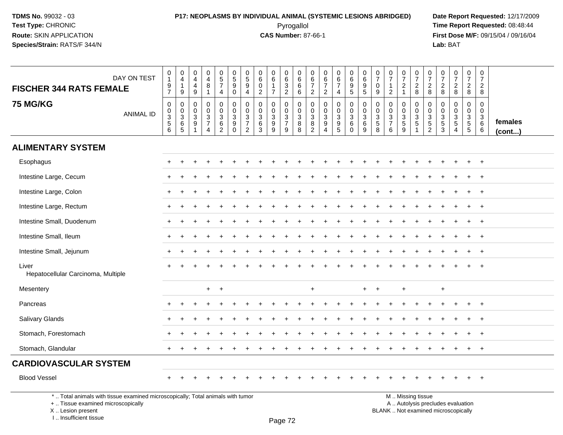#### **P17: NEOPLASMS BY INDIVIDUAL ANIMAL (SYSTEMIC LESIONS ABRIDGED) Date Report Requested:** 12/17/2009 Pyrogallol Pyrogallol **Pyrogallol Time Report Requested:** 08:48:44<br>**CAS Number:** 87-66-1 **Time Report Requested:** 09/15/04 / 09/16/04

**First Dose M/F:** 09/15/04 / 09/16/04<br>Lab: BAT **Lab:** BAT

| DAY ON TEST<br><b>FISCHER 344 RATS FEMALE</b>                                   | 0<br>$\mathbf{1}$<br>$\frac{9}{7}$ | $\begin{smallmatrix} 0\\4 \end{smallmatrix}$<br>$\mathbf{1}$<br>$\overline{9}$ | 0<br>$\overline{4}$<br>4<br>$9\,$ | 0<br>$\overline{a}$<br>$\bf8$<br>$\overline{1}$                                | $\begin{array}{c} 0 \\ 5 \\ 7 \end{array}$<br>$\overline{4}$ | $\begin{array}{c} 0 \\ 5 \end{array}$<br>9<br>$\mathbf 0$ | $\begin{smallmatrix}0\0\5\end{smallmatrix}$<br>$\boldsymbol{9}$<br>$\overline{4}$       | 0<br>$\,6\,$<br>$\mathbf 0$<br>$\overline{2}$              | 0<br>$\,6\,$<br>$\mathbf{1}$<br>$\overline{7}$        | $\pmb{0}$<br>$\,6\,$<br>$\frac{3}{2}$      | 0<br>6<br>6<br>6                                                     | 0<br>6<br>$\overline{7}$<br>$\overline{2}$         | 0<br>$\,6\,$<br>$\overline{7}$<br>$\overline{2}$                        | $_{\rm 6}^{\rm 0}$<br>$\overline{7}$<br>$\overline{4}$                 | $\begin{array}{c} 0 \\ 6 \end{array}$<br>$\begin{array}{c} 9 \\ 5 \end{array}$ | $\begin{array}{c} 0 \\ 6 \end{array}$<br>$\begin{array}{c} 9 \\ 5 \end{array}$ | $\frac{0}{7}$<br>$\mathbf 0$<br>9            | 0<br>$\overline{7}$<br>$\mathbf{1}$<br>$\overline{2}$                   | $\frac{0}{7}$<br>$\overline{c}$<br>$\mathbf{1}$ | $\begin{array}{c} 0 \\ 7 \end{array}$<br>$_{\rm 8}^2$ | $\frac{0}{7}$<br>$\begin{array}{c} 2 \\ 8 \end{array}$ | 0<br>$\overline{7}$<br>$\frac{2}{8}$                                     | 0<br>$\overline{7}$<br>$\frac{2}{8}$                            | $\frac{0}{7}$<br>$\frac{2}{8}$         | $\mathbf 0$<br>$\overline{7}$<br>$\overline{2}$<br>$\overline{8}$  |                   |
|---------------------------------------------------------------------------------|------------------------------------|--------------------------------------------------------------------------------|-----------------------------------|--------------------------------------------------------------------------------|--------------------------------------------------------------|-----------------------------------------------------------|-----------------------------------------------------------------------------------------|------------------------------------------------------------|-------------------------------------------------------|--------------------------------------------|----------------------------------------------------------------------|----------------------------------------------------|-------------------------------------------------------------------------|------------------------------------------------------------------------|--------------------------------------------------------------------------------|--------------------------------------------------------------------------------|----------------------------------------------|-------------------------------------------------------------------------|-------------------------------------------------|-------------------------------------------------------|--------------------------------------------------------|--------------------------------------------------------------------------|-----------------------------------------------------------------|----------------------------------------|--------------------------------------------------------------------|-------------------|
| <b>75 MG/KG</b><br><b>ANIMAL ID</b>                                             | $\pmb{0}$<br>0<br>3<br>5<br>6      | $\pmb{0}$<br>$\begin{array}{c} 0 \\ 3 \\ 6 \\ 5 \end{array}$                   | 0<br>$\mathbf 0$<br>3<br>9<br>1   | $\mathbf 0$<br>$\mathbf 0$<br>$\mathbf{3}$<br>$\overline{7}$<br>$\overline{4}$ | 0<br>$\mathbf 0$<br>3<br>$6\phantom{a}$<br>$\overline{2}$    | 0<br>0<br>$\sqrt{3}$<br>$\overline{9}$<br>$\mathbf 0$     | $\pmb{0}$<br>$\pmb{0}$<br>$\ensuremath{\mathsf{3}}$<br>$\overline{7}$<br>$\overline{2}$ | $\mathbf 0$<br>$\mathbf 0$<br>$\mathbf{3}$<br>$\,6\,$<br>3 | $\mathbf 0$<br>$\Omega$<br>3<br>$\boldsymbol{9}$<br>9 | 0<br>$\mathbf 0$<br>$\frac{3}{7}$<br>$9\,$ | 0<br>$\mathbf 0$<br>$\ensuremath{\mathsf{3}}$<br>$\overline{8}$<br>8 | 0<br>$\mathbf 0$<br>3<br>$\bf 8$<br>$\overline{2}$ | 0<br>0<br>$\ensuremath{\mathsf{3}}$<br>$\overline{9}$<br>$\overline{4}$ | $\pmb{0}$<br>$\mathbf 0$<br>$\begin{array}{c} 3 \\ 9 \\ 5 \end{array}$ | 0<br>0<br>3<br>$6\phantom{a}$<br>$\mathbf 0$                                   | $\pmb{0}$<br>$\mathbf 0$<br>$\overline{3}$<br>$6\phantom{1}6$<br>9             | 0<br>$\mathbf 0$<br>3<br>$\overline{5}$<br>8 | $\mathbf 0$<br>$\mathbf 0$<br>$\mathbf{3}$<br>$\overline{7}$<br>$\,6\,$ | 0<br>0<br>$\frac{3}{5}$<br>$\boldsymbol{9}$     | 0<br>$\mathbf 0$<br>3<br>$\overline{5}$               | 0<br>$\mathbf 0$<br>$\frac{3}{2}$                      | $\mathbf 0$<br>$\mathbf 0$<br>$\mathbf{3}$<br>$\sqrt{5}$<br>$\mathbf{3}$ | $\mathbf 0$<br>$\mathbf 0$<br>3<br>$\sqrt{5}$<br>$\overline{4}$ | 0<br>$\mathbf 0$<br>$\frac{3}{5}$<br>5 | $\mathsf{O}$<br>$\mathbf 0$<br>$\mathbf{3}$<br>$6\phantom{1}$<br>6 | females<br>(cont) |
| <b>ALIMENTARY SYSTEM</b>                                                        |                                    |                                                                                |                                   |                                                                                |                                                              |                                                           |                                                                                         |                                                            |                                                       |                                            |                                                                      |                                                    |                                                                         |                                                                        |                                                                                |                                                                                |                                              |                                                                         |                                                 |                                                       |                                                        |                                                                          |                                                                 |                                        |                                                                    |                   |
| Esophagus                                                                       | $+$                                | $\ddot{}$                                                                      |                                   |                                                                                |                                                              |                                                           |                                                                                         |                                                            |                                                       |                                            |                                                                      |                                                    |                                                                         |                                                                        |                                                                                |                                                                                |                                              |                                                                         |                                                 |                                                       |                                                        |                                                                          |                                                                 | $\ddot{}$                              | $\ddot{}$                                                          |                   |
| Intestine Large, Cecum                                                          |                                    |                                                                                |                                   |                                                                                |                                                              |                                                           |                                                                                         |                                                            |                                                       |                                            |                                                                      |                                                    |                                                                         |                                                                        |                                                                                |                                                                                |                                              |                                                                         |                                                 |                                                       |                                                        |                                                                          |                                                                 |                                        |                                                                    |                   |
| Intestine Large, Colon                                                          | $\pm$                              |                                                                                |                                   |                                                                                |                                                              |                                                           |                                                                                         |                                                            |                                                       |                                            |                                                                      |                                                    |                                                                         |                                                                        |                                                                                |                                                                                |                                              |                                                                         |                                                 |                                                       |                                                        |                                                                          |                                                                 |                                        | $\ddot{}$                                                          |                   |
| Intestine Large, Rectum                                                         | $\ddot{}$                          |                                                                                |                                   |                                                                                |                                                              |                                                           |                                                                                         |                                                            |                                                       |                                            |                                                                      |                                                    |                                                                         |                                                                        |                                                                                |                                                                                |                                              |                                                                         |                                                 |                                                       |                                                        |                                                                          |                                                                 |                                        | $\overline{+}$                                                     |                   |
| Intestine Small, Duodenum                                                       | $\pm$                              |                                                                                |                                   |                                                                                |                                                              |                                                           |                                                                                         |                                                            |                                                       |                                            |                                                                      |                                                    |                                                                         |                                                                        |                                                                                |                                                                                |                                              |                                                                         |                                                 |                                                       |                                                        |                                                                          |                                                                 |                                        | $\overline{+}$                                                     |                   |
| Intestine Small, Ileum                                                          | +                                  |                                                                                |                                   |                                                                                |                                                              |                                                           |                                                                                         |                                                            |                                                       |                                            |                                                                      |                                                    |                                                                         |                                                                        |                                                                                |                                                                                |                                              |                                                                         |                                                 |                                                       |                                                        |                                                                          |                                                                 |                                        | $\overline{+}$                                                     |                   |
| Intestine Small, Jejunum                                                        | $+$                                |                                                                                |                                   |                                                                                |                                                              |                                                           |                                                                                         |                                                            |                                                       |                                            |                                                                      |                                                    |                                                                         |                                                                        |                                                                                |                                                                                |                                              |                                                                         |                                                 |                                                       |                                                        |                                                                          |                                                                 |                                        | $\overline{+}$                                                     |                   |
| Liver<br>Hepatocellular Carcinoma, Multiple                                     |                                    |                                                                                |                                   |                                                                                |                                                              |                                                           |                                                                                         |                                                            |                                                       |                                            |                                                                      |                                                    |                                                                         |                                                                        |                                                                                |                                                                                |                                              |                                                                         |                                                 |                                                       |                                                        |                                                                          |                                                                 |                                        |                                                                    |                   |
| Mesentery                                                                       |                                    |                                                                                |                                   | $+$                                                                            | $+$                                                          |                                                           |                                                                                         |                                                            |                                                       |                                            |                                                                      | $\ddot{}$                                          |                                                                         |                                                                        |                                                                                | $+$                                                                            | $+$                                          |                                                                         | $\ddot{}$                                       |                                                       |                                                        | $\ddot{}$                                                                |                                                                 |                                        |                                                                    |                   |
| Pancreas                                                                        | +                                  |                                                                                |                                   |                                                                                |                                                              |                                                           |                                                                                         |                                                            |                                                       |                                            |                                                                      |                                                    |                                                                         |                                                                        |                                                                                |                                                                                |                                              |                                                                         |                                                 |                                                       |                                                        |                                                                          |                                                                 |                                        | $\ddot{}$                                                          |                   |
| Salivary Glands                                                                 | $+$                                |                                                                                |                                   |                                                                                |                                                              |                                                           |                                                                                         |                                                            |                                                       |                                            |                                                                      |                                                    |                                                                         |                                                                        |                                                                                |                                                                                |                                              |                                                                         |                                                 |                                                       |                                                        |                                                                          |                                                                 |                                        | $\ddot{}$                                                          |                   |
| Stomach, Forestomach                                                            |                                    |                                                                                |                                   |                                                                                |                                                              |                                                           |                                                                                         |                                                            |                                                       |                                            |                                                                      |                                                    |                                                                         |                                                                        |                                                                                |                                                                                |                                              |                                                                         |                                                 |                                                       |                                                        |                                                                          |                                                                 |                                        | $\overline{+}$                                                     |                   |
| Stomach, Glandular                                                              |                                    |                                                                                |                                   |                                                                                |                                                              |                                                           |                                                                                         |                                                            |                                                       |                                            |                                                                      |                                                    |                                                                         |                                                                        |                                                                                |                                                                                |                                              |                                                                         |                                                 |                                                       |                                                        |                                                                          |                                                                 |                                        | $\overline{1}$                                                     |                   |
| <b>CARDIOVASCULAR SYSTEM</b>                                                    |                                    |                                                                                |                                   |                                                                                |                                                              |                                                           |                                                                                         |                                                            |                                                       |                                            |                                                                      |                                                    |                                                                         |                                                                        |                                                                                |                                                                                |                                              |                                                                         |                                                 |                                                       |                                                        |                                                                          |                                                                 |                                        |                                                                    |                   |
| <b>Blood Vessel</b>                                                             | $+$                                |                                                                                |                                   |                                                                                |                                                              |                                                           |                                                                                         |                                                            |                                                       |                                            |                                                                      |                                                    |                                                                         |                                                                        |                                                                                |                                                                                |                                              |                                                                         |                                                 |                                                       |                                                        |                                                                          |                                                                 | $\ddot{}$                              | $^{+}$                                                             |                   |
| *  Total animals with tissue examined microscopically; Total animals with tumor |                                    |                                                                                |                                   |                                                                                |                                                              |                                                           |                                                                                         |                                                            |                                                       |                                            |                                                                      |                                                    |                                                                         |                                                                        |                                                                                |                                                                                |                                              |                                                                         |                                                 | M  Missing tissue                                     |                                                        |                                                                          |                                                                 |                                        |                                                                    |                   |

+ .. Tissue examined microscopically

 Lesion present BLANK .. Not examined microscopicallyX .. Lesion present

I .. Insufficient tissue

Page 72

y the contract of the contract of the contract of the contract of the contract of  $\mathsf A$  . Autolysis precludes evaluation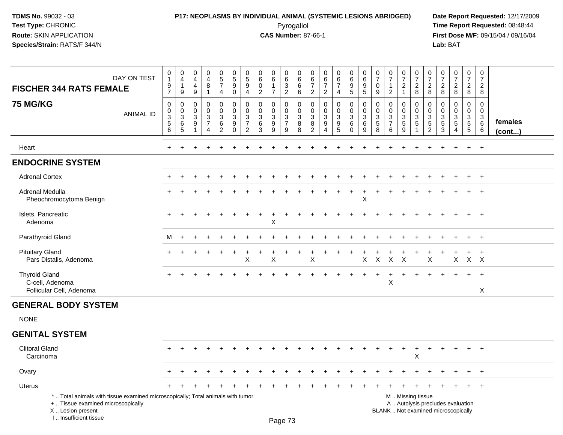# **P17: NEOPLASMS BY INDIVIDUAL ANIMAL (SYSTEMIC LESIONS ABRIDGED) Date Report Requested:** 12/17/2009 Pyrogallol Pyrogallol **Pyrogallol Time Report Requested:** 08:48:44<br>**CAS Number:** 87-66-1 **Time Report Requested:** 08/15/04 / 09/16/04

**First Dose M/F:** 09/15/04 / 09/16/04<br>Lab: BAT **Lab:** BAT

| <b>FISCHER 344 RATS FEMALE</b>                                                                                                             | DAY ON TEST      | $\begin{smallmatrix}0\\1\end{smallmatrix}$<br>$\frac{9}{7}$                    | $\pmb{0}$<br>$\overline{4}$<br>$\mathbf{1}$<br>9         | 0<br>$\overline{4}$<br>$\overline{4}$<br>$\boldsymbol{9}$ | $\pmb{0}$<br>$\overline{\mathbf{4}}$<br>$\,8\,$<br>$\mathbf{1}$                           | $\begin{array}{c} 0 \\ 5 \\ 7 \end{array}$<br>4                               | $\begin{array}{c} 0 \\ 5 \end{array}$<br>$\boldsymbol{9}$<br>0    | $\begin{smallmatrix}0\0\5\end{smallmatrix}$<br>9<br>$\overline{4}$ | $\begin{array}{c} 0 \\ 6 \end{array}$<br>$\mathbf 0$<br>$\overline{2}$        | $\begin{array}{c} 0 \\ 6 \end{array}$<br>$\mathbf 1$<br>$\overline{7}$ | $_{6}^{\rm 0}$<br>$\sqrt{3}$<br>$\mathbf{2}$                              | $\begin{array}{c} 0 \\ 6 \end{array}$<br>$\,6\,$<br>6 | 0<br>$6\phantom{1}6$<br>$\overline{7}$<br>$\overline{c}$ | 0<br>6<br>$\overline{7}$<br>$\overline{c}$                                | $\begin{array}{c} 0 \\ 6 \\ 7 \end{array}$<br>4           | $\begin{array}{c} 0 \\ 6 \end{array}$<br>9<br>$\sqrt{5}$      | $\begin{array}{c} 0 \\ 6 \end{array}$<br>$\boldsymbol{9}$<br>$\overline{5}$          | $\begin{array}{c} 0 \\ 7 \end{array}$<br>$\mathbf 0$<br>9 | $\begin{array}{c} 0 \\ 7 \end{array}$<br>$\mathbf{1}$<br>$\overline{2}$ | $\frac{0}{7}$<br>$\overline{c}$<br>$\mathbf{1}$ | $\frac{0}{7}$<br>$_{8}^{2}$                       | $\begin{array}{c} 0 \\ 7 \end{array}$<br>$\overline{c}$<br>8 | $\frac{0}{7}$<br>$\sqrt{2}$<br>8                 | $\begin{array}{c} 0 \\ 7 \end{array}$<br>$\frac{2}{8}$                                          | $\frac{0}{7}$<br>$_{8}^2$                                         | $\pmb{0}$<br>$\boldsymbol{7}$<br>$\overline{2}$<br>8 |                         |
|--------------------------------------------------------------------------------------------------------------------------------------------|------------------|--------------------------------------------------------------------------------|----------------------------------------------------------|-----------------------------------------------------------|-------------------------------------------------------------------------------------------|-------------------------------------------------------------------------------|-------------------------------------------------------------------|--------------------------------------------------------------------|-------------------------------------------------------------------------------|------------------------------------------------------------------------|---------------------------------------------------------------------------|-------------------------------------------------------|----------------------------------------------------------|---------------------------------------------------------------------------|-----------------------------------------------------------|---------------------------------------------------------------|--------------------------------------------------------------------------------------|-----------------------------------------------------------|-------------------------------------------------------------------------|-------------------------------------------------|---------------------------------------------------|--------------------------------------------------------------|--------------------------------------------------|-------------------------------------------------------------------------------------------------|-------------------------------------------------------------------|------------------------------------------------------|-------------------------|
| <b>75 MG/KG</b>                                                                                                                            | <b>ANIMAL ID</b> | $\mathbf 0$<br>$\pmb{0}$<br>$\ensuremath{\mathsf{3}}$<br>$\sqrt{5}$<br>$\,6\,$ | 0<br>$\boldsymbol{0}$<br>$\mathbf{3}$<br>6<br>$\sqrt{5}$ | 0<br>$\Omega$<br>$\sqrt{3}$<br>9                          | $\mathbf 0$<br>$\pmb{0}$<br>$\ensuremath{\mathsf{3}}$<br>$\overline{7}$<br>$\overline{4}$ | $\mathbf 0$<br>$\mathbf 0$<br>$\mathsf 3$<br>$6\phantom{a}$<br>$\overline{2}$ | 0<br>$\mathbf 0$<br>$\sqrt{3}$<br>$\boldsymbol{9}$<br>$\mathbf 0$ | 0<br>0<br>3<br>$\overline{7}$<br>$\overline{2}$                    | $\mathbf 0$<br>$\pmb{0}$<br>$\ensuremath{\mathsf{3}}$<br>$6\overline{6}$<br>3 | 0<br>0<br>$\mathbf{3}$<br>9<br>9                                       | 0<br>$\boldsymbol{0}$<br>$\ensuremath{\mathsf{3}}$<br>$\overline{7}$<br>9 | $\mathbf 0$<br>$_{3}^{\rm 0}$<br>$\overline{8}$<br>8  | $\Omega$<br>$\Omega$<br>3<br>8<br>$\overline{c}$         | $\mathbf 0$<br>$\mathbf 0$<br>$\mathbf{3}$<br>9<br>$\boldsymbol{\Lambda}$ | 0<br>$\mathbf 0$<br>$\mathbf{3}$<br>$\boldsymbol{9}$<br>5 | $\pmb{0}$<br>$\mathbf 0$<br>$\mathbf{3}$<br>6<br>$\mathsf{O}$ | $\mathbf 0$<br>$\pmb{0}$<br>$\ensuremath{\mathsf{3}}$<br>$\,6\,$<br>$\boldsymbol{9}$ | 0<br>$\mathbf 0$<br>$\frac{3}{5}$<br>8                    | $\mathbf 0$<br>0<br>$\mathbf{3}$<br>$\overline{7}$<br>6                 | 0<br>0<br>$\mathbf{3}$<br>$\,$ 5 $\,$<br>9      | 0<br>$\mathbf 0$<br>$\frac{3}{5}$<br>$\mathbf{1}$ | 0<br>0<br>$\mathbf{3}$<br>$5\,$<br>$\overline{2}$            | $\Omega$<br>$\mathbf 0$<br>3<br>$\,$ 5 $\,$<br>3 | $\mathbf 0$<br>$\mathbf 0$<br>$\ensuremath{\mathsf{3}}$<br>$\sqrt{5}$<br>$\boldsymbol{\Lambda}$ | 0<br>$\mathbf 0$<br>$\mathbf{3}$<br>$\sqrt{5}$<br>$5\phantom{.0}$ | 0<br>$\mathbf 0$<br>$\mathbf{3}$<br>6<br>6           | females<br>$($ cont $)$ |
| Heart                                                                                                                                      |                  | $+$                                                                            | $\ddot{}$                                                |                                                           |                                                                                           |                                                                               |                                                                   |                                                                    |                                                                               |                                                                        |                                                                           |                                                       |                                                          |                                                                           |                                                           |                                                               |                                                                                      |                                                           |                                                                         |                                                 |                                                   |                                                              |                                                  |                                                                                                 | $\ddot{}$                                                         | $+$                                                  |                         |
| <b>ENDOCRINE SYSTEM</b>                                                                                                                    |                  |                                                                                |                                                          |                                                           |                                                                                           |                                                                               |                                                                   |                                                                    |                                                                               |                                                                        |                                                                           |                                                       |                                                          |                                                                           |                                                           |                                                               |                                                                                      |                                                           |                                                                         |                                                 |                                                   |                                                              |                                                  |                                                                                                 |                                                                   |                                                      |                         |
| <b>Adrenal Cortex</b>                                                                                                                      |                  |                                                                                |                                                          |                                                           |                                                                                           |                                                                               |                                                                   |                                                                    |                                                                               |                                                                        |                                                                           |                                                       |                                                          |                                                                           |                                                           |                                                               |                                                                                      |                                                           |                                                                         |                                                 |                                                   |                                                              |                                                  |                                                                                                 |                                                                   | $+$                                                  |                         |
| Adrenal Medulla<br>Pheochromocytoma Benign                                                                                                 |                  |                                                                                |                                                          |                                                           |                                                                                           |                                                                               |                                                                   |                                                                    |                                                                               |                                                                        |                                                                           |                                                       |                                                          |                                                                           |                                                           |                                                               | X                                                                                    |                                                           |                                                                         |                                                 |                                                   |                                                              |                                                  |                                                                                                 |                                                                   |                                                      |                         |
| Islets, Pancreatic<br>Adenoma                                                                                                              |                  |                                                                                |                                                          |                                                           |                                                                                           |                                                                               |                                                                   |                                                                    |                                                                               | Χ                                                                      |                                                                           |                                                       |                                                          |                                                                           |                                                           |                                                               |                                                                                      |                                                           |                                                                         |                                                 |                                                   |                                                              |                                                  |                                                                                                 |                                                                   |                                                      |                         |
| Parathyroid Gland                                                                                                                          |                  | M                                                                              | $+$                                                      |                                                           |                                                                                           |                                                                               |                                                                   |                                                                    |                                                                               |                                                                        |                                                                           |                                                       |                                                          |                                                                           |                                                           |                                                               |                                                                                      |                                                           |                                                                         |                                                 |                                                   |                                                              |                                                  |                                                                                                 | $\ddot{}$                                                         | $+$                                                  |                         |
| <b>Pituitary Gland</b><br>Pars Distalis, Adenoma                                                                                           |                  |                                                                                |                                                          |                                                           |                                                                                           |                                                                               |                                                                   | Χ                                                                  |                                                                               | $\mathsf X$                                                            |                                                                           |                                                       | Χ                                                        |                                                                           |                                                           |                                                               | X                                                                                    | X                                                         | X                                                                       | $\times$                                        |                                                   | X                                                            |                                                  | X                                                                                               | $\mathsf{X}$                                                      | $\mathsf{X}$                                         |                         |
| <b>Thyroid Gland</b><br>C-cell, Adenoma<br>Follicular Cell, Adenoma                                                                        |                  |                                                                                |                                                          |                                                           |                                                                                           |                                                                               |                                                                   |                                                                    |                                                                               |                                                                        |                                                                           |                                                       |                                                          |                                                                           |                                                           |                                                               |                                                                                      |                                                           | $\times$                                                                |                                                 |                                                   |                                                              |                                                  |                                                                                                 | $\ddot{}$                                                         | $\overline{+}$<br>$\mathsf{X}$                       |                         |
| <b>GENERAL BODY SYSTEM</b>                                                                                                                 |                  |                                                                                |                                                          |                                                           |                                                                                           |                                                                               |                                                                   |                                                                    |                                                                               |                                                                        |                                                                           |                                                       |                                                          |                                                                           |                                                           |                                                               |                                                                                      |                                                           |                                                                         |                                                 |                                                   |                                                              |                                                  |                                                                                                 |                                                                   |                                                      |                         |
| <b>NONE</b>                                                                                                                                |                  |                                                                                |                                                          |                                                           |                                                                                           |                                                                               |                                                                   |                                                                    |                                                                               |                                                                        |                                                                           |                                                       |                                                          |                                                                           |                                                           |                                                               |                                                                                      |                                                           |                                                                         |                                                 |                                                   |                                                              |                                                  |                                                                                                 |                                                                   |                                                      |                         |
| <b>GENITAL SYSTEM</b>                                                                                                                      |                  |                                                                                |                                                          |                                                           |                                                                                           |                                                                               |                                                                   |                                                                    |                                                                               |                                                                        |                                                                           |                                                       |                                                          |                                                                           |                                                           |                                                               |                                                                                      |                                                           |                                                                         |                                                 |                                                   |                                                              |                                                  |                                                                                                 |                                                                   |                                                      |                         |
| <b>Clitoral Gland</b><br>Carcinoma                                                                                                         |                  |                                                                                |                                                          |                                                           | $\div$                                                                                    |                                                                               |                                                                   |                                                                    |                                                                               |                                                                        |                                                                           |                                                       |                                                          |                                                                           |                                                           |                                                               |                                                                                      |                                                           |                                                                         | $\ddot{}$                                       | $\ddot{}$<br>X                                    | $\ddot{}$                                                    | $\ddot{}$                                        |                                                                                                 | $+$                                                               | $^{+}$                                               |                         |
| Ovary                                                                                                                                      |                  |                                                                                |                                                          |                                                           |                                                                                           |                                                                               |                                                                   |                                                                    |                                                                               |                                                                        |                                                                           |                                                       |                                                          |                                                                           |                                                           |                                                               |                                                                                      |                                                           |                                                                         |                                                 |                                                   |                                                              |                                                  |                                                                                                 |                                                                   | $\ddot{}$                                            |                         |
| <b>Uterus</b>                                                                                                                              |                  |                                                                                |                                                          |                                                           |                                                                                           |                                                                               |                                                                   |                                                                    |                                                                               |                                                                        |                                                                           |                                                       |                                                          |                                                                           |                                                           | $\div$                                                        |                                                                                      |                                                           |                                                                         | $\ddot{}$                                       |                                                   | $\ddot{}$                                                    |                                                  |                                                                                                 | $\ddot{}$                                                         | $+$                                                  |                         |
| *  Total animals with tissue examined microscopically; Total animals with tumor<br>+  Tissue examined microscopically<br>X  Lesion present |                  |                                                                                |                                                          |                                                           |                                                                                           |                                                                               |                                                                   |                                                                    |                                                                               |                                                                        |                                                                           |                                                       |                                                          |                                                                           |                                                           |                                                               |                                                                                      |                                                           |                                                                         |                                                 | M  Missing tissue                                 |                                                              |                                                  | A  Autolysis precludes evaluation<br>BLANK  Not examined microscopically                        |                                                                   |                                                      |                         |

I .. Insufficient tissue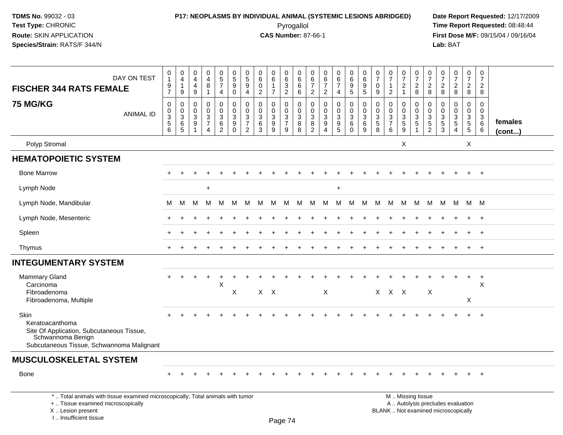# **P17: NEOPLASMS BY INDIVIDUAL ANIMAL (SYSTEMIC LESIONS ABRIDGED) Date Report Requested:** 12/17/2009 Pyrogallol Pyrogallol **Pyrogallol Time Report Requested:** 08:48:44<br>**CAS Number:** 87-66-1 **Time Report Requested:** 08/15/04 / 09/16/04

**First Dose M/F:** 09/15/04 / 09/16/04<br>Lab: BAT **Lab:** BAT

| DAY ON TEST                                                                                                                                                         | $\mathbf 0$<br>$\mathbf{1}$<br>9                           | $\pmb{0}$<br>$\overline{4}$<br>$\mathbf{1}$                | 0<br>$\overline{4}$<br>4            | 0<br>$\overline{4}$<br>8                            | 0<br>$\overline{5}$<br>$\overline{7}$      | 0<br>$\overline{5}$<br>9                           | $\begin{array}{c} 0 \\ 5 \end{array}$<br>9                                   | $\mathbf 0$<br>6<br>$\mathbf 0$        | 0<br>6<br>-1                                         | 0<br>$\,6\,$<br>3                            | 0<br>$6\phantom{1}6$<br>6                          | 0<br>6<br>7                      | 0<br>6<br>$\overline{7}$                       | 0<br>6<br>$\overline{7}$                                            | $\boldsymbol{0}$<br>6<br>9                                      | $\pmb{0}$<br>6<br>9                                  | 0<br>$\overline{7}$<br>$\mathbf 0$                             | 0<br>$\overline{7}$<br>1                                     | 0<br>$\overline{7}$<br>$\overline{\mathbf{c}}$ | 0<br>$\overline{7}$<br>$\overline{c}$ | $\frac{0}{7}$<br>$\overline{c}$                                                   | 0<br>$\overline{7}$<br>$\overline{c}$        | $\begin{array}{c} 0 \\ 7 \end{array}$<br>$\overline{c}$                  | 0<br>$\overline{7}$<br>$\overline{c}$                       | 0<br>$\overline{7}$<br>$\overline{c}$                   |                         |
|---------------------------------------------------------------------------------------------------------------------------------------------------------------------|------------------------------------------------------------|------------------------------------------------------------|-------------------------------------|-----------------------------------------------------|--------------------------------------------|----------------------------------------------------|------------------------------------------------------------------------------|----------------------------------------|------------------------------------------------------|----------------------------------------------|----------------------------------------------------|----------------------------------|------------------------------------------------|---------------------------------------------------------------------|-----------------------------------------------------------------|------------------------------------------------------|----------------------------------------------------------------|--------------------------------------------------------------|------------------------------------------------|---------------------------------------|-----------------------------------------------------------------------------------|----------------------------------------------|--------------------------------------------------------------------------|-------------------------------------------------------------|---------------------------------------------------------|-------------------------|
| <b>FISCHER 344 RATS FEMALE</b>                                                                                                                                      | $\overline{7}$                                             | 9                                                          | 9                                   | $\mathbf{1}$                                        | 4                                          | $\mathbf 0$                                        | $\overline{4}$                                                               | $\overline{2}$                         | $\overline{7}$                                       | $\overline{2}$                               | 6                                                  | $\overline{2}$                   | $\overline{c}$                                 | $\overline{4}$                                                      | $\overline{5}$                                                  | 5                                                    | 9                                                              | $\overline{2}$                                               | $\mathbf{1}$                                   | 8                                     | 8                                                                                 | 8                                            | 8                                                                        | $\boldsymbol{8}$                                            | 8                                                       |                         |
| <b>75 MG/KG</b><br><b>ANIMAL ID</b>                                                                                                                                 | 0<br>0<br>$\ensuremath{\mathsf{3}}$<br>$\overline{5}$<br>6 | $\mathbf 0$<br>$_{3}^{\rm 0}$<br>$\,6\,$<br>$\overline{5}$ | $\Omega$<br>$\Omega$<br>3<br>9<br>1 | $\mathbf 0$<br>$\Omega$<br>3<br>$\overline{7}$<br>4 | 0<br>$\mathbf 0$<br>$\mathbf{3}$<br>6<br>2 | 0<br>$\mathbf 0$<br>$\sqrt{3}$<br>9<br>$\mathbf 0$ | $\mathbf 0$<br>$\mathbf 0$<br>$\sqrt{3}$<br>$\overline{7}$<br>$\overline{2}$ | $\mathbf 0$<br>$\Omega$<br>3<br>6<br>3 | $\mathbf 0$<br>$\mathbf 0$<br>$\mathbf{3}$<br>9<br>9 | 0<br>$\mathbf 0$<br>3<br>$\overline{7}$<br>9 | $\mathbf 0$<br>$\mathbf 0$<br>$\sqrt{3}$<br>8<br>8 | 0<br>0<br>$\mathbf{3}$<br>8<br>2 | 0<br>$\Omega$<br>$\mathbf{3}$<br>9<br>$\Delta$ | $\mathbf 0$<br>$\mathbf 0$<br>$\mathbf{3}$<br>$\boldsymbol{9}$<br>5 | $\mathbf 0$<br>$\mathbf{0}$<br>$\mathbf{3}$<br>6<br>$\mathbf 0$ | $\mathbf 0$<br>$\mathbf 0$<br>$\mathbf{3}$<br>6<br>9 | $\mathbf 0$<br>$\mathbf{0}$<br>$\mathbf{3}$<br>$\sqrt{5}$<br>8 | $\mathbf 0$<br>$\Omega$<br>$\sqrt{3}$<br>$\overline{7}$<br>6 | 0<br>$\mathbf 0$<br>$\sqrt{3}$<br>5<br>9       | 0<br>$\mathbf 0$<br>$\sqrt{3}$<br>5   | 0<br>$\mathbf 0$<br>$\ensuremath{\mathsf{3}}$<br>$\overline{5}$<br>$\overline{2}$ | $\Omega$<br>$\Omega$<br>3<br>$\sqrt{5}$<br>3 | $\mathbf 0$<br>$\mathbf{0}$<br>3<br>5<br>$\overline{4}$                  | $\mathbf 0$<br>$\mathbf 0$<br>$\mathbf{3}$<br>$\frac{5}{5}$ | $\mathbf 0$<br>$\Omega$<br>$\mathbf{3}$<br>$\,6\,$<br>6 | females<br>$($ cont $)$ |
| Polyp Stromal                                                                                                                                                       |                                                            |                                                            |                                     |                                                     |                                            |                                                    |                                                                              |                                        |                                                      |                                              |                                                    |                                  |                                                |                                                                     |                                                                 |                                                      |                                                                |                                                              | X                                              |                                       |                                                                                   |                                              |                                                                          | $\times$                                                    |                                                         |                         |
| <b>HEMATOPOIETIC SYSTEM</b>                                                                                                                                         |                                                            |                                                            |                                     |                                                     |                                            |                                                    |                                                                              |                                        |                                                      |                                              |                                                    |                                  |                                                |                                                                     |                                                                 |                                                      |                                                                |                                                              |                                                |                                       |                                                                                   |                                              |                                                                          |                                                             |                                                         |                         |
| <b>Bone Marrow</b>                                                                                                                                                  |                                                            |                                                            |                                     |                                                     |                                            |                                                    |                                                                              |                                        |                                                      |                                              |                                                    |                                  |                                                |                                                                     |                                                                 |                                                      |                                                                |                                                              |                                                |                                       |                                                                                   |                                              |                                                                          | $\ddot{}$                                                   | $+$                                                     |                         |
| Lymph Node                                                                                                                                                          |                                                            |                                                            |                                     | $\ddot{}$                                           |                                            |                                                    |                                                                              |                                        |                                                      |                                              |                                                    |                                  |                                                | $\ddot{}$                                                           |                                                                 |                                                      |                                                                |                                                              |                                                |                                       |                                                                                   |                                              |                                                                          |                                                             |                                                         |                         |
| Lymph Node, Mandibular                                                                                                                                              | м                                                          | M                                                          | м                                   | M                                                   | M                                          | M                                                  | M                                                                            | м                                      | M                                                    | M                                            | M                                                  | M                                | M                                              | M                                                                   | M                                                               | м                                                    | м                                                              | M                                                            | M                                              | M                                     | M                                                                                 | M                                            | M                                                                        |                                                             | M M                                                     |                         |
| Lymph Node, Mesenteric                                                                                                                                              |                                                            |                                                            |                                     |                                                     |                                            |                                                    |                                                                              |                                        |                                                      |                                              |                                                    |                                  |                                                |                                                                     |                                                                 |                                                      |                                                                |                                                              |                                                |                                       |                                                                                   |                                              |                                                                          |                                                             | $\ddot{}$                                               |                         |
| Spleen                                                                                                                                                              |                                                            |                                                            |                                     |                                                     |                                            |                                                    |                                                                              |                                        |                                                      |                                              |                                                    |                                  |                                                |                                                                     |                                                                 |                                                      |                                                                |                                                              |                                                |                                       |                                                                                   |                                              |                                                                          |                                                             |                                                         |                         |
| Thymus                                                                                                                                                              | ÷                                                          |                                                            |                                     |                                                     |                                            |                                                    |                                                                              |                                        |                                                      |                                              |                                                    |                                  |                                                |                                                                     |                                                                 |                                                      |                                                                |                                                              |                                                |                                       |                                                                                   |                                              |                                                                          | $\ddot{}$                                                   | $+$                                                     |                         |
| <b>INTEGUMENTARY SYSTEM</b>                                                                                                                                         |                                                            |                                                            |                                     |                                                     |                                            |                                                    |                                                                              |                                        |                                                      |                                              |                                                    |                                  |                                                |                                                                     |                                                                 |                                                      |                                                                |                                                              |                                                |                                       |                                                                                   |                                              |                                                                          |                                                             |                                                         |                         |
| <b>Mammary Gland</b><br>Carcinoma<br>Fibroadenoma<br>Fibroadenoma, Multiple                                                                                         | $+$                                                        |                                                            |                                     |                                                     | X                                          | X                                                  |                                                                              | $X$ $X$                                |                                                      |                                              |                                                    |                                  | $\mathsf{X}$                                   |                                                                     |                                                                 |                                                      |                                                                | $X$ $X$ $X$                                                  |                                                |                                       | X                                                                                 |                                              |                                                                          | $\ddot{}$<br>X                                              | $^{+}$<br>X                                             |                         |
| <b>Skin</b><br>Keratoacanthoma<br>Site Of Application, Subcutaneous Tissue,<br>Schwannoma Benign<br>Subcutaneous Tissue, Schwannoma Malignant                       |                                                            |                                                            |                                     |                                                     |                                            |                                                    |                                                                              |                                        |                                                      |                                              |                                                    |                                  |                                                |                                                                     |                                                                 |                                                      |                                                                |                                                              |                                                |                                       |                                                                                   |                                              |                                                                          | $\ddot{}$                                                   | $+$                                                     |                         |
| <b>MUSCULOSKELETAL SYSTEM</b>                                                                                                                                       |                                                            |                                                            |                                     |                                                     |                                            |                                                    |                                                                              |                                        |                                                      |                                              |                                                    |                                  |                                                |                                                                     |                                                                 |                                                      |                                                                |                                                              |                                                |                                       |                                                                                   |                                              |                                                                          |                                                             |                                                         |                         |
| <b>Bone</b>                                                                                                                                                         |                                                            |                                                            |                                     |                                                     |                                            |                                                    |                                                                              |                                        |                                                      |                                              |                                                    |                                  |                                                |                                                                     |                                                                 |                                                      |                                                                |                                                              |                                                |                                       |                                                                                   |                                              |                                                                          |                                                             |                                                         |                         |
| *  Total animals with tissue examined microscopically; Total animals with tumor<br>+  Tissue examined microscopically<br>X  Lesion present<br>I Insufficient tissue |                                                            |                                                            |                                     |                                                     |                                            |                                                    |                                                                              |                                        |                                                      | $D_{200}$ $74$                               |                                                    |                                  |                                                |                                                                     |                                                                 |                                                      |                                                                |                                                              |                                                | M  Missing tissue                     |                                                                                   |                                              | A  Autolysis precludes evaluation<br>BLANK  Not examined microscopically |                                                             |                                                         |                         |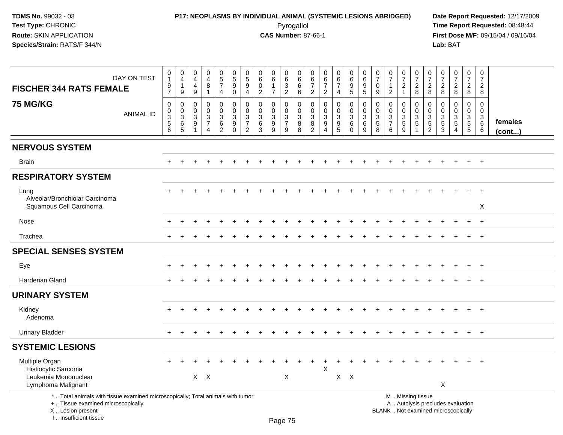# **P17: NEOPLASMS BY INDIVIDUAL ANIMAL (SYSTEMIC LESIONS ABRIDGED) Date Report Requested:** 12/17/2009 Pyrogallol Pyrogallol **Pyrogallol Time Report Requested:** 08:48:44<br>**CAS Number:** 87-66-1 **Time Report Requested:** 08/15/04 / 09/16/04

**First Dose M/F:** 09/15/04 / 09/16/04<br>Lab: BAT **Lab:** BAT

| DAY ON TEST<br><b>FISCHER 344 RATS FEMALE</b>                                                                                                                       | $\pmb{0}$<br>$\mathbf{1}$<br>$\boldsymbol{9}$<br>$\overline{7}$              | 0<br>$\overline{4}$<br>$\mathbf{1}$<br>9                            | $\pmb{0}$<br>$\overline{4}$<br>4<br>$\boldsymbol{9}$ | $\pmb{0}$<br>$\overline{4}$<br>$\,8\,$<br>$\mathbf{1}$                         | $\begin{array}{c} 0 \\ 5 \end{array}$<br>$\overline{7}$<br>$\overline{4}$      | $\begin{array}{c} 0 \\ 5 \end{array}$<br>$\boldsymbol{9}$<br>$\mathbf 0$ | $\pmb{0}$<br>$\sqrt{5}$<br>9<br>$\overline{4}$                   | $\pmb{0}$<br>$\,6$<br>$\mathbf 0$<br>$\overline{2}$ | $\begin{array}{c} 0 \\ 6 \end{array}$<br>$\mathbf{1}$<br>$\overline{7}$ | $\begin{array}{c} 0 \\ 6 \end{array}$<br>$\mathfrak{Z}$<br>$\overline{2}$ | $\mathbf 0$<br>6<br>$\,6\,$<br>6                 | 0<br>6<br>$\overline{7}$<br>$\overline{2}$           | $\mathbf 0$<br>6<br>$\overline{7}$<br>$\overline{2}$                   | 0<br>6<br>$\overline{7}$<br>4           | $\begin{array}{c} 0 \\ 6 \end{array}$<br>9<br>$\overline{5}$ | 0<br>$\overline{6}$<br>$\boldsymbol{9}$<br>$\overline{5}$  | $\frac{0}{7}$<br>$\mathbf 0$<br>9                | $\begin{array}{c} 0 \\ 7 \end{array}$<br>$\mathbf{1}$<br>$\overline{2}$ | $\frac{0}{7}$<br>$\overline{2}$<br>$\mathbf{1}$               | $\frac{0}{7}$<br>$_{8}^2$                           | $\begin{array}{c} 0 \\ 7 \end{array}$<br>$\overline{2}$<br>8             | $\frac{0}{7}$<br>$\overline{2}$<br>8                           | $\begin{smallmatrix} 0\\7 \end{smallmatrix}$<br>$\sqrt{2}$<br>$\overline{8}$ | $\begin{array}{c} 0 \\ 7 \end{array}$<br>$\overline{2}$<br>$\overline{8}$ | $\pmb{0}$<br>$\overline{7}$<br>$\overline{2}$<br>8 |                         |
|---------------------------------------------------------------------------------------------------------------------------------------------------------------------|------------------------------------------------------------------------------|---------------------------------------------------------------------|------------------------------------------------------|--------------------------------------------------------------------------------|--------------------------------------------------------------------------------|--------------------------------------------------------------------------|------------------------------------------------------------------|-----------------------------------------------------|-------------------------------------------------------------------------|---------------------------------------------------------------------------|--------------------------------------------------|------------------------------------------------------|------------------------------------------------------------------------|-----------------------------------------|--------------------------------------------------------------|------------------------------------------------------------|--------------------------------------------------|-------------------------------------------------------------------------|---------------------------------------------------------------|-----------------------------------------------------|--------------------------------------------------------------------------|----------------------------------------------------------------|------------------------------------------------------------------------------|---------------------------------------------------------------------------|----------------------------------------------------|-------------------------|
| <b>75 MG/KG</b><br><b>ANIMAL ID</b>                                                                                                                                 | $\mathbf 0$<br>$\pmb{0}$<br>$\ensuremath{\mathsf{3}}$<br>$\overline{5}$<br>6 | 0<br>$\pmb{0}$<br>$\ensuremath{\mathsf{3}}$<br>$6\phantom{1}6$<br>5 | $\Omega$<br>0<br>3<br>9                              | $\mathbf 0$<br>$\mathbf 0$<br>$\ensuremath{\mathsf{3}}$<br>$\overline{7}$<br>4 | $\mathbf 0$<br>$\mathbf 0$<br>$\ensuremath{\mathsf{3}}$<br>6<br>$\overline{2}$ | $\mathbf 0$<br>$\mathbf 0$<br>$\sqrt{3}$<br>9<br>$\Omega$                | $\Omega$<br>$\mathbf 0$<br>3<br>$\overline{7}$<br>$\overline{2}$ | $\mathbf 0$<br>$\mathbf 0$<br>$\mathbf 3$<br>6<br>3 | $\Omega$<br>0<br>$\mathbf{3}$<br>9<br>9                                 | $\mathbf 0$<br>0<br>$\sqrt{3}$<br>$\boldsymbol{7}$<br>9                   | $\mathbf 0$<br>$\mathbf 0$<br>$\frac{3}{8}$<br>8 | $\Omega$<br>$\mathbf{0}$<br>3<br>8<br>$\overline{2}$ | $\Omega$<br>$\mathbf 0$<br>$\mathbf{3}$<br>9<br>$\boldsymbol{\Lambda}$ | $\Omega$<br>0<br>$\mathbf{3}$<br>9<br>5 | $\mathbf 0$<br>$\mathbf 0$<br>$\mathbf{3}$<br>6<br>$\Omega$  | $\mathbf 0$<br>$\pmb{0}$<br>$\mathfrak{Z}$<br>$\,6\,$<br>9 | $\mathbf 0$<br>$\mathbf 0$<br>$\frac{3}{5}$<br>8 | $\Omega$<br>0<br>$\frac{3}{7}$<br>6                                     | $\mathbf 0$<br>$\mathbf 0$<br>$\mathbf{3}$<br>$\sqrt{5}$<br>9 | 0<br>$\mathbf 0$<br>$\frac{3}{5}$<br>$\overline{1}$ | $\Omega$<br>$\mathbf 0$<br>$\sqrt{3}$<br>$\sqrt{5}$<br>$\overline{2}$    | $\Omega$<br>$\mathbf 0$<br>3<br>$\overline{5}$<br>$\mathbf{3}$ | $\mathbf 0$<br>$\mathsf{O}\xspace$<br>$\frac{3}{5}$<br>$\Delta$              | $\Omega$<br>$\mathbf 0$<br>$\mathbf{3}$<br>$\,$ 5 $\,$<br>$5\phantom{.0}$ | $\mathbf 0$<br>$\mathbf 0$<br>3<br>6<br>6          | females<br>$($ cont $)$ |
| <b>NERVOUS SYSTEM</b>                                                                                                                                               |                                                                              |                                                                     |                                                      |                                                                                |                                                                                |                                                                          |                                                                  |                                                     |                                                                         |                                                                           |                                                  |                                                      |                                                                        |                                         |                                                              |                                                            |                                                  |                                                                         |                                                               |                                                     |                                                                          |                                                                |                                                                              |                                                                           |                                                    |                         |
| <b>Brain</b>                                                                                                                                                        |                                                                              |                                                                     |                                                      |                                                                                |                                                                                |                                                                          |                                                                  |                                                     |                                                                         |                                                                           |                                                  |                                                      |                                                                        |                                         |                                                              |                                                            |                                                  |                                                                         |                                                               |                                                     |                                                                          |                                                                |                                                                              |                                                                           | $+$                                                |                         |
| <b>RESPIRATORY SYSTEM</b>                                                                                                                                           |                                                                              |                                                                     |                                                      |                                                                                |                                                                                |                                                                          |                                                                  |                                                     |                                                                         |                                                                           |                                                  |                                                      |                                                                        |                                         |                                                              |                                                            |                                                  |                                                                         |                                                               |                                                     |                                                                          |                                                                |                                                                              |                                                                           |                                                    |                         |
| Lung<br>Alveolar/Bronchiolar Carcinoma<br>Squamous Cell Carcinoma                                                                                                   |                                                                              |                                                                     |                                                      |                                                                                |                                                                                |                                                                          |                                                                  |                                                     |                                                                         |                                                                           |                                                  |                                                      |                                                                        |                                         |                                                              |                                                            |                                                  |                                                                         |                                                               |                                                     |                                                                          |                                                                |                                                                              | ÷.                                                                        | $\ddot{}$<br>X                                     |                         |
| Nose                                                                                                                                                                |                                                                              |                                                                     |                                                      |                                                                                |                                                                                |                                                                          |                                                                  |                                                     |                                                                         |                                                                           |                                                  |                                                      |                                                                        |                                         |                                                              |                                                            |                                                  |                                                                         |                                                               |                                                     |                                                                          |                                                                |                                                                              | $\ddot{}$                                                                 | $+$                                                |                         |
| Trachea                                                                                                                                                             |                                                                              |                                                                     |                                                      |                                                                                |                                                                                |                                                                          |                                                                  |                                                     |                                                                         |                                                                           |                                                  |                                                      |                                                                        |                                         |                                                              |                                                            |                                                  |                                                                         |                                                               |                                                     |                                                                          |                                                                |                                                                              | $\ddot{}$                                                                 | $+$                                                |                         |
| <b>SPECIAL SENSES SYSTEM</b>                                                                                                                                        |                                                                              |                                                                     |                                                      |                                                                                |                                                                                |                                                                          |                                                                  |                                                     |                                                                         |                                                                           |                                                  |                                                      |                                                                        |                                         |                                                              |                                                            |                                                  |                                                                         |                                                               |                                                     |                                                                          |                                                                |                                                                              |                                                                           |                                                    |                         |
| Eye                                                                                                                                                                 |                                                                              |                                                                     |                                                      |                                                                                |                                                                                |                                                                          |                                                                  |                                                     |                                                                         |                                                                           |                                                  |                                                      |                                                                        |                                         |                                                              |                                                            |                                                  |                                                                         |                                                               |                                                     |                                                                          |                                                                |                                                                              |                                                                           | $\ddot{}$                                          |                         |
| <b>Harderian Gland</b>                                                                                                                                              |                                                                              |                                                                     |                                                      |                                                                                |                                                                                |                                                                          |                                                                  |                                                     |                                                                         |                                                                           |                                                  |                                                      |                                                                        |                                         |                                                              |                                                            |                                                  |                                                                         |                                                               |                                                     |                                                                          |                                                                |                                                                              |                                                                           |                                                    |                         |
| <b>URINARY SYSTEM</b>                                                                                                                                               |                                                                              |                                                                     |                                                      |                                                                                |                                                                                |                                                                          |                                                                  |                                                     |                                                                         |                                                                           |                                                  |                                                      |                                                                        |                                         |                                                              |                                                            |                                                  |                                                                         |                                                               |                                                     |                                                                          |                                                                |                                                                              |                                                                           |                                                    |                         |
| Kidney<br>Adenoma                                                                                                                                                   |                                                                              |                                                                     |                                                      |                                                                                |                                                                                |                                                                          |                                                                  |                                                     |                                                                         |                                                                           |                                                  |                                                      |                                                                        |                                         |                                                              |                                                            |                                                  |                                                                         |                                                               |                                                     |                                                                          |                                                                |                                                                              | $+$                                                                       | $+$                                                |                         |
| <b>Urinary Bladder</b>                                                                                                                                              |                                                                              |                                                                     |                                                      |                                                                                |                                                                                |                                                                          |                                                                  |                                                     |                                                                         |                                                                           |                                                  |                                                      |                                                                        |                                         |                                                              |                                                            |                                                  |                                                                         |                                                               |                                                     |                                                                          |                                                                |                                                                              | $\ddot{}$                                                                 | $+$                                                |                         |
| <b>SYSTEMIC LESIONS</b>                                                                                                                                             |                                                                              |                                                                     |                                                      |                                                                                |                                                                                |                                                                          |                                                                  |                                                     |                                                                         |                                                                           |                                                  |                                                      |                                                                        |                                         |                                                              |                                                            |                                                  |                                                                         |                                                               |                                                     |                                                                          |                                                                |                                                                              |                                                                           |                                                    |                         |
| Multiple Organ<br>Histiocytic Sarcoma<br>Leukemia Mononuclear<br>Lymphoma Malignant                                                                                 |                                                                              |                                                                     |                                                      | $X$ $X$                                                                        |                                                                                |                                                                          |                                                                  |                                                     |                                                                         | X                                                                         |                                                  |                                                      | $\pmb{\times}$                                                         |                                         | $X$ $X$                                                      |                                                            |                                                  |                                                                         |                                                               |                                                     |                                                                          | X                                                              |                                                                              |                                                                           | $\ddot{}$                                          |                         |
| *  Total animals with tissue examined microscopically; Total animals with tumor<br>+  Tissue examined microscopically<br>X  Lesion present<br>I Insufficient tissue |                                                                              |                                                                     |                                                      |                                                                                |                                                                                |                                                                          |                                                                  |                                                     |                                                                         | DaoZE                                                                     |                                                  |                                                      |                                                                        |                                         |                                                              |                                                            |                                                  | M  Missing tissue                                                       |                                                               |                                                     | A  Autolysis precludes evaluation<br>BLANK  Not examined microscopically |                                                                |                                                                              |                                                                           |                                                    |                         |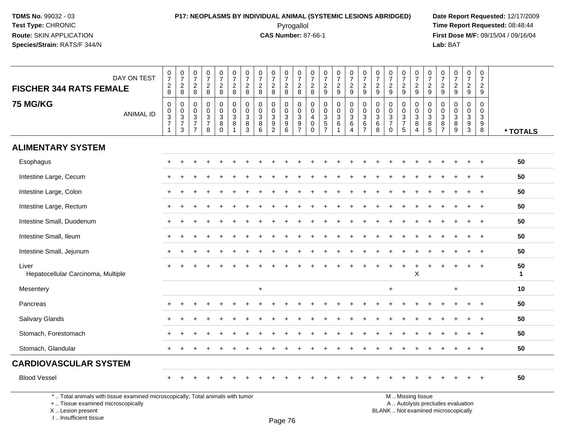# **P17: NEOPLASMS BY INDIVIDUAL ANIMAL (SYSTEMIC LESIONS ABRIDGED) Date Report Requested:** 12/17/2009 Pyrogallol **Time Report Requested:** 08:48:44

**First Dose M/F:** 09/15/04 / 09/16/04<br>Lab: BAT **Lab:** BAT

| DAY ON TEST<br><b>FISCHER 344 RATS FEMALE</b>                                   | $\frac{0}{7}$<br>$_{8}^2$                                    | $\frac{0}{7}$<br>$\overline{c}$<br>8                    | $\frac{0}{7}$<br>$\overline{c}$<br>8                                           | $\frac{0}{7}$<br>$\overline{c}$<br>8                                         | $\begin{smallmatrix}0\\7\end{smallmatrix}$<br>$\frac{2}{8}$ | $\frac{0}{7}$<br>$\overline{c}$<br>8                 | $\frac{0}{7}$<br>$\overline{c}$<br>8               | $\frac{0}{7}$<br>$\boldsymbol{2}$<br>8             | $\frac{0}{7}$<br>$\overline{c}$<br>8                                   | $\frac{0}{7}$<br>$_{8}^2$                                              | $\frac{0}{7}$<br>$\overline{a}$<br>8                           | $\frac{0}{7}$<br>$\overline{c}$<br>8                | $\frac{0}{7}$<br>$\overline{c}$<br>9           | $\frac{0}{7}$<br>$\overline{a}$<br>9 | $\frac{0}{7}$<br>$\frac{2}{9}$                                        | $\begin{array}{c} 0 \\ 7 \end{array}$<br>$\frac{2}{9}$      | $\frac{0}{7}$<br>$\sqrt{2}$<br>9                    | $\frac{0}{7}$<br>$\overline{c}$<br>9                                           | $\frac{0}{7}$<br>$\sqrt{2}$<br>9                                | 0<br>$\overline{7}$<br>$\overline{2}$<br>9 | $\frac{0}{7}$<br>$\frac{2}{9}$                                                                   | $\frac{0}{7}$<br>$\overline{a}$<br>9              | $\frac{0}{7}$<br>$\overline{2}$<br>9                     | $\frac{0}{7}$<br>$\boldsymbol{2}$<br>9                                   | 0<br>$\overline{7}$<br>$\overline{2}$<br>9 |                   |
|---------------------------------------------------------------------------------|--------------------------------------------------------------|---------------------------------------------------------|--------------------------------------------------------------------------------|------------------------------------------------------------------------------|-------------------------------------------------------------|------------------------------------------------------|----------------------------------------------------|----------------------------------------------------|------------------------------------------------------------------------|------------------------------------------------------------------------|----------------------------------------------------------------|-----------------------------------------------------|------------------------------------------------|--------------------------------------|-----------------------------------------------------------------------|-------------------------------------------------------------|-----------------------------------------------------|--------------------------------------------------------------------------------|-----------------------------------------------------------------|--------------------------------------------|--------------------------------------------------------------------------------------------------|---------------------------------------------------|----------------------------------------------------------|--------------------------------------------------------------------------|--------------------------------------------|-------------------|
| <b>75 MG/KG</b><br><b>ANIMAL ID</b>                                             | $\pmb{0}$<br>$\mathbf 0$<br>$\overline{3}$<br>$\overline{7}$ | 0<br>$\mathbf 0$<br>$\mathbf{3}$<br>$\overline{7}$<br>3 | $\mathbf 0$<br>$\mathbf 0$<br>$\mathbf{3}$<br>$\overline{7}$<br>$\overline{7}$ | $\mathbf 0$<br>$\pmb{0}$<br>$\ensuremath{\mathsf{3}}$<br>$\overline{7}$<br>8 | $\mathbf 0$<br>$\mathbf 0$<br>$\mathsf 3$<br>8<br>$\Omega$  | $\mathbf 0$<br>$\mathbf 0$<br>$\mathbf{3}$<br>8<br>1 | $\mathbf{0}$<br>$\Omega$<br>$\mathbf{3}$<br>8<br>3 | $\mathbf 0$<br>$\mathbf 0$<br>$\sqrt{3}$<br>8<br>6 | $\mathbf 0$<br>0<br>$\mathbf{3}$<br>$\boldsymbol{9}$<br>$\overline{2}$ | 0<br>$\mathbf 0$<br>$\ensuremath{\mathsf{3}}$<br>$\boldsymbol{9}$<br>6 | $\mathbf 0$<br>0<br>$\ensuremath{\mathsf{3}}$<br>$\frac{9}{7}$ | 0<br>$\mathbf 0$<br>$\overline{4}$<br>0<br>$\Omega$ | 0<br>$\pmb{0}$<br>$\mathbf 3$<br>$\frac{5}{7}$ | $\mathbf 0$<br>0<br>3<br>$\,6\,$     | $\mathbf 0$<br>$\mathbf 0$<br>$\sqrt{3}$<br>$\,6\,$<br>$\overline{4}$ | $\mathbf 0$<br>0<br>$\sqrt{3}$<br>$\,6\,$<br>$\overline{7}$ | $\mathbf 0$<br>$\mathbf 0$<br>$\mathbf 3$<br>6<br>8 | 0<br>$\mathbf 0$<br>$\ensuremath{\mathsf{3}}$<br>$\overline{7}$<br>$\mathbf 0$ | $\mathbf 0$<br>$\mathbf 0$<br>$\sqrt{3}$<br>$\overline{7}$<br>5 | $\mathbf 0$<br>$\Omega$<br>3<br>8<br>4     | $\mathbf 0$<br>$\mathbf 0$<br>$\ensuremath{\mathsf{3}}$<br>$\begin{array}{c} 8 \\ 5 \end{array}$ | $\mathbf 0$<br>0<br>$\mathbf{3}$<br>$\frac{8}{7}$ | $\mathbf 0$<br>$\mathbf 0$<br>$\mathbf{3}$<br>$_{9}^{8}$ | $\mathbf 0$<br>$\mathbf 0$<br>$\ensuremath{\mathsf{3}}$<br>$\frac{9}{3}$ | $\Omega$<br>$\Omega$<br>3<br>9<br>8        | * TOTALS          |
| <b>ALIMENTARY SYSTEM</b>                                                        |                                                              |                                                         |                                                                                |                                                                              |                                                             |                                                      |                                                    |                                                    |                                                                        |                                                                        |                                                                |                                                     |                                                |                                      |                                                                       |                                                             |                                                     |                                                                                |                                                                 |                                            |                                                                                                  |                                                   |                                                          |                                                                          |                                            |                   |
| Esophagus                                                                       |                                                              |                                                         |                                                                                |                                                                              |                                                             |                                                      |                                                    |                                                    |                                                                        |                                                                        |                                                                |                                                     |                                                |                                      |                                                                       |                                                             |                                                     |                                                                                |                                                                 |                                            |                                                                                                  |                                                   |                                                          |                                                                          | $\ddot{}$                                  | 50                |
| Intestine Large, Cecum                                                          |                                                              |                                                         |                                                                                |                                                                              |                                                             |                                                      |                                                    |                                                    |                                                                        |                                                                        |                                                                |                                                     |                                                |                                      |                                                                       |                                                             |                                                     |                                                                                |                                                                 |                                            |                                                                                                  |                                                   |                                                          |                                                                          |                                            | 50                |
| Intestine Large, Colon                                                          | $+$                                                          |                                                         |                                                                                |                                                                              |                                                             |                                                      |                                                    |                                                    |                                                                        |                                                                        |                                                                |                                                     |                                                |                                      |                                                                       |                                                             |                                                     |                                                                                |                                                                 |                                            |                                                                                                  |                                                   |                                                          |                                                                          | $\div$                                     | 50                |
| Intestine Large, Rectum                                                         |                                                              |                                                         |                                                                                |                                                                              |                                                             |                                                      |                                                    |                                                    |                                                                        |                                                                        |                                                                |                                                     |                                                |                                      |                                                                       |                                                             |                                                     |                                                                                |                                                                 |                                            |                                                                                                  |                                                   |                                                          |                                                                          | $\div$                                     | 50                |
| Intestine Small, Duodenum                                                       |                                                              |                                                         |                                                                                |                                                                              |                                                             |                                                      |                                                    |                                                    |                                                                        |                                                                        |                                                                |                                                     |                                                |                                      |                                                                       |                                                             |                                                     |                                                                                |                                                                 |                                            |                                                                                                  |                                                   |                                                          |                                                                          |                                            | 50                |
| Intestine Small, Ileum                                                          | $+$                                                          |                                                         |                                                                                |                                                                              |                                                             |                                                      |                                                    |                                                    |                                                                        |                                                                        |                                                                |                                                     |                                                |                                      |                                                                       |                                                             |                                                     |                                                                                |                                                                 |                                            |                                                                                                  |                                                   |                                                          |                                                                          | $\overline{+}$                             | 50                |
| Intestine Small, Jejunum                                                        | $+$                                                          |                                                         |                                                                                |                                                                              |                                                             |                                                      |                                                    |                                                    |                                                                        |                                                                        |                                                                |                                                     |                                                |                                      |                                                                       |                                                             |                                                     |                                                                                |                                                                 |                                            |                                                                                                  |                                                   |                                                          |                                                                          | $\ddot{}$                                  | 50                |
| Liver<br>Hepatocellular Carcinoma, Multiple                                     |                                                              |                                                         |                                                                                |                                                                              |                                                             |                                                      |                                                    |                                                    |                                                                        |                                                                        |                                                                |                                                     |                                                |                                      |                                                                       |                                                             |                                                     |                                                                                |                                                                 | X                                          |                                                                                                  |                                                   |                                                          |                                                                          |                                            | 50<br>$\mathbf 1$ |
| Mesentery                                                                       |                                                              |                                                         |                                                                                |                                                                              |                                                             |                                                      |                                                    | $\ddot{}$                                          |                                                                        |                                                                        |                                                                |                                                     |                                                |                                      |                                                                       |                                                             |                                                     | $\ddot{}$                                                                      |                                                                 |                                            |                                                                                                  |                                                   | $+$                                                      |                                                                          |                                            | 10                |
| Pancreas                                                                        |                                                              |                                                         |                                                                                |                                                                              |                                                             |                                                      |                                                    |                                                    |                                                                        |                                                                        |                                                                |                                                     |                                                |                                      |                                                                       |                                                             |                                                     |                                                                                |                                                                 |                                            |                                                                                                  |                                                   |                                                          |                                                                          |                                            | 50                |
| <b>Salivary Glands</b>                                                          |                                                              |                                                         |                                                                                |                                                                              |                                                             |                                                      |                                                    |                                                    |                                                                        |                                                                        |                                                                |                                                     |                                                |                                      |                                                                       |                                                             |                                                     |                                                                                |                                                                 |                                            |                                                                                                  |                                                   |                                                          |                                                                          |                                            | 50                |
| Stomach, Forestomach                                                            |                                                              |                                                         |                                                                                |                                                                              |                                                             |                                                      |                                                    |                                                    |                                                                        |                                                                        |                                                                |                                                     |                                                |                                      |                                                                       |                                                             |                                                     |                                                                                |                                                                 |                                            |                                                                                                  |                                                   |                                                          |                                                                          |                                            | 50                |
| Stomach, Glandular                                                              | $+$                                                          | $\div$                                                  |                                                                                |                                                                              |                                                             |                                                      |                                                    |                                                    |                                                                        |                                                                        |                                                                |                                                     |                                                |                                      |                                                                       |                                                             |                                                     |                                                                                |                                                                 |                                            |                                                                                                  |                                                   |                                                          |                                                                          | $\div$                                     | 50                |
| <b>CARDIOVASCULAR SYSTEM</b>                                                    |                                                              |                                                         |                                                                                |                                                                              |                                                             |                                                      |                                                    |                                                    |                                                                        |                                                                        |                                                                |                                                     |                                                |                                      |                                                                       |                                                             |                                                     |                                                                                |                                                                 |                                            |                                                                                                  |                                                   |                                                          |                                                                          |                                            |                   |
| <b>Blood Vessel</b>                                                             |                                                              |                                                         |                                                                                |                                                                              |                                                             |                                                      |                                                    |                                                    |                                                                        |                                                                        |                                                                |                                                     |                                                |                                      |                                                                       |                                                             |                                                     |                                                                                |                                                                 |                                            |                                                                                                  |                                                   |                                                          |                                                                          |                                            | 50                |
| *  Total animals with tissue examined microscopically; Total animals with tumor |                                                              |                                                         |                                                                                |                                                                              |                                                             |                                                      |                                                    |                                                    |                                                                        |                                                                        |                                                                |                                                     |                                                |                                      |                                                                       |                                                             |                                                     |                                                                                |                                                                 | M  Missing tissue                          |                                                                                                  |                                                   |                                                          |                                                                          |                                            |                   |

+ .. Tissue examined microscopically

 Lesion present BLANK .. Not examined microscopicallyX .. Lesion present

I .. Insufficient tissue

Page 76

M .. Missing tissue

y the contract of the contract of the contract of the contract of the contract of  $\mathsf A$  . Autolysis precludes evaluation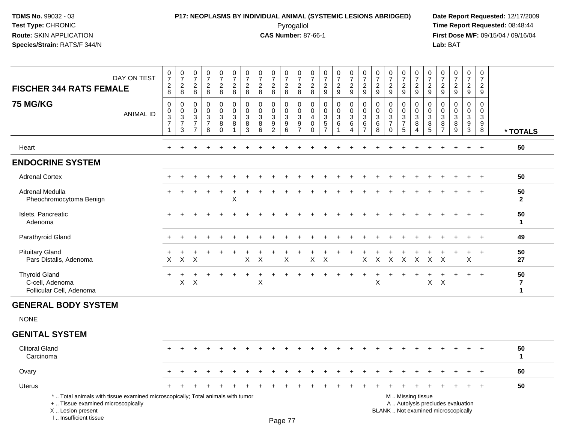# **P17: NEOPLASMS BY INDIVIDUAL ANIMAL (SYSTEMIC LESIONS ABRIDGED) Date Report Requested:** 12/17/2009 Pyrogallol Pyrogallol **Pyrogallol Time Report Requested:** 08:48:44<br>**CAS Number:** 87-66-1 **Time Report Requested:** 08/15/04 / 09/16/04

**First Dose M/F:** 09/15/04 / 09/16/04<br>Lab: BAT **Lab:** BAT

| <b>FISCHER 344 RATS FEMALE</b>                                      | DAY ON TEST      | $\frac{0}{7}$<br>$\overline{c}$<br>8                              | $\frac{0}{7}$<br>$\overline{c}$<br>8                                 | $\frac{0}{7}$<br>$\overline{2}$<br>8                                              | $\frac{0}{7}$<br>$\sqrt{2}$<br>8                                           | $\frac{0}{7}$<br>$\frac{2}{8}$                                                                   | $\frac{0}{7}$<br>$\overline{2}$<br>$\bf8$                                 | $\frac{0}{7}$<br>$\overline{c}$<br>8      | $\frac{0}{7}$<br>$\overline{2}$<br>8            | $\frac{0}{7}$<br>$\overline{c}$<br>8                                              | $\frac{0}{7}$<br>$_{\rm 8}^2$                                          | $\frac{0}{7}$<br>$\overline{2}$<br>8                    | $\frac{0}{7}$<br>$\boldsymbol{2}$<br>8 | $\frac{0}{7}$<br>$\sqrt{2}$<br>9                     | $\frac{0}{7}$<br>$\overline{2}$<br>9                         | $\frac{0}{7}$<br>$\sqrt{2}$<br>9 | $\frac{0}{7}$<br>$\overline{2}$<br>$\boldsymbol{9}$          | $\frac{0}{7}$<br>$\overline{c}$<br>9 | $\frac{0}{7}$<br>$\sqrt{2}$<br>9                             | $\frac{0}{7}$<br>$\overline{c}$<br>9 | $\frac{0}{7}$<br>$\overline{c}$<br>9 | $\frac{0}{7}$<br>$\overline{c}$<br>9                                      | 0<br>$\overline{7}$<br>$\overline{c}$<br>$\boldsymbol{9}$ | $\frac{0}{7}$<br>$\sqrt{2}$<br>$\boldsymbol{9}$         | $\frac{0}{7}$<br>$\overline{c}$<br>9                            | 0<br>$\overline{7}$<br>$\overline{a}$<br>9 |                    |
|---------------------------------------------------------------------|------------------|-------------------------------------------------------------------|----------------------------------------------------------------------|-----------------------------------------------------------------------------------|----------------------------------------------------------------------------|--------------------------------------------------------------------------------------------------|---------------------------------------------------------------------------|-------------------------------------------|-------------------------------------------------|-----------------------------------------------------------------------------------|------------------------------------------------------------------------|---------------------------------------------------------|----------------------------------------|------------------------------------------------------|--------------------------------------------------------------|----------------------------------|--------------------------------------------------------------|--------------------------------------|--------------------------------------------------------------|--------------------------------------|--------------------------------------|---------------------------------------------------------------------------|-----------------------------------------------------------|---------------------------------------------------------|-----------------------------------------------------------------|--------------------------------------------|--------------------|
| <b>75 MG/KG</b>                                                     | <b>ANIMAL ID</b> | $\mathbf 0$<br>$_{3}^{\rm 0}$<br>$\overline{7}$<br>$\overline{1}$ | 0<br>$\mathbf 0$<br>$\ensuremath{\mathsf{3}}$<br>$\overline{7}$<br>3 | 0<br>$\mathbf 0$<br>$\ensuremath{\mathsf{3}}$<br>$\overline{7}$<br>$\overline{7}$ | $\pmb{0}$<br>$\pmb{0}$<br>$\ensuremath{\mathsf{3}}$<br>$\overline{7}$<br>8 | $\begin{smallmatrix} 0\\0 \end{smallmatrix}$<br>$\ensuremath{\mathsf{3}}$<br>$\,8\,$<br>$\Omega$ | $\pmb{0}$<br>$\ddot{\mathbf{0}}$<br>$\overline{3}$<br>8<br>$\overline{1}$ | $\mathbf 0$<br>$\mathbf 0$<br>3<br>8<br>3 | $\mathbf 0$<br>0<br>$\mathbf{3}$<br>$\bf8$<br>6 | 0<br>$\pmb{0}$<br>$\ensuremath{\mathsf{3}}$<br>$\boldsymbol{9}$<br>$\overline{2}$ | 0<br>$\mathbf 0$<br>$\ensuremath{\mathsf{3}}$<br>$\boldsymbol{9}$<br>6 | 0<br>$\mathbf 0$<br>$\mathbf{3}$<br>9<br>$\overline{7}$ | 0<br>$\mathbf 0$<br>4<br>0<br>$\Omega$ | 0<br>$_{3}^{\rm 0}$<br>$\mathbf 5$<br>$\overline{7}$ | $\pmb{0}$<br>$\pmb{0}$<br>$\ensuremath{\mathsf{3}}$<br>$\,6$ | 0<br>$\mathbf 0$<br>3<br>6<br>4  | 0<br>$\mathbf 0$<br>$\mathbf 3$<br>$\,6\,$<br>$\overline{7}$ | 0<br>$\mathbf 0$<br>3<br>6<br>8      | 0<br>$\pmb{0}$<br>$\mathbf{3}$<br>$\overline{7}$<br>$\Omega$ | 0<br>0<br>3<br>$\overline{7}$<br>5   | 0<br>0<br>3<br>8<br>4                | $\mathbf 0$<br>$\mathbf 0$<br>$\overline{3}$<br>$\,8\,$<br>$\overline{5}$ | 0<br>0<br>$\mathbf{3}$<br>8<br>$\overline{7}$             | 0<br>$\mathbf 0$<br>$\ensuremath{\mathsf{3}}$<br>8<br>9 | 0<br>$\mathsf{O}\xspace$<br>$\mathfrak{S}$<br>9<br>$\mathbf{3}$ | 0<br>0<br>3<br>9<br>8                      | * TOTALS           |
| Heart                                                               |                  | $+$                                                               |                                                                      |                                                                                   |                                                                            |                                                                                                  |                                                                           |                                           |                                                 |                                                                                   |                                                                        |                                                         |                                        |                                                      |                                                              |                                  |                                                              |                                      |                                                              |                                      |                                      |                                                                           |                                                           |                                                         | $\ddot{}$                                                       | $+$                                        | 50                 |
| <b>ENDOCRINE SYSTEM</b>                                             |                  |                                                                   |                                                                      |                                                                                   |                                                                            |                                                                                                  |                                                                           |                                           |                                                 |                                                                                   |                                                                        |                                                         |                                        |                                                      |                                                              |                                  |                                                              |                                      |                                                              |                                      |                                      |                                                                           |                                                           |                                                         |                                                                 |                                            |                    |
| <b>Adrenal Cortex</b>                                               |                  |                                                                   |                                                                      |                                                                                   |                                                                            |                                                                                                  |                                                                           |                                           |                                                 |                                                                                   |                                                                        |                                                         |                                        |                                                      |                                                              |                                  |                                                              |                                      |                                                              |                                      |                                      |                                                                           |                                                           |                                                         |                                                                 |                                            | 50                 |
| Adrenal Medulla<br>Pheochromocytoma Benign                          |                  |                                                                   |                                                                      |                                                                                   |                                                                            |                                                                                                  | $\times$                                                                  |                                           |                                                 |                                                                                   |                                                                        |                                                         |                                        |                                                      |                                                              |                                  |                                                              |                                      |                                                              |                                      |                                      |                                                                           |                                                           |                                                         |                                                                 |                                            | 50<br>$\mathbf{2}$ |
| Islets, Pancreatic<br>Adenoma                                       |                  |                                                                   |                                                                      |                                                                                   |                                                                            |                                                                                                  |                                                                           |                                           |                                                 |                                                                                   |                                                                        |                                                         |                                        |                                                      |                                                              |                                  |                                                              |                                      |                                                              |                                      |                                      |                                                                           |                                                           |                                                         |                                                                 | $\ddot{}$                                  | 50<br>1            |
| Parathyroid Gland                                                   |                  |                                                                   |                                                                      |                                                                                   |                                                                            |                                                                                                  |                                                                           |                                           |                                                 |                                                                                   |                                                                        |                                                         |                                        |                                                      |                                                              |                                  |                                                              |                                      |                                                              |                                      |                                      |                                                                           |                                                           |                                                         |                                                                 | $\div$                                     | 49                 |
| <b>Pituitary Gland</b><br>Pars Distalis, Adenoma                    |                  | $\mathsf{X}$                                                      | $\mathsf{X}$                                                         | $\times$                                                                          |                                                                            |                                                                                                  |                                                                           | X                                         | $\boldsymbol{\mathsf{X}}$                       |                                                                                   | $\mathsf X$                                                            |                                                         | X                                      | X                                                    |                                                              |                                  | $\mathsf{X}$                                                 | $\mathsf{X}$                         | $\mathsf{X}$                                                 | $\mathsf{X}$                         | $\mathsf{X}$                         | $\mathsf{X}$                                                              | $\boldsymbol{\mathsf{X}}$                                 |                                                         | $\boldsymbol{\mathsf{X}}$                                       | $\ddot{}$                                  | 50<br>27           |
| <b>Thyroid Gland</b><br>C-cell, Adenoma<br>Follicular Cell, Adenoma |                  | $\div$                                                            | Χ                                                                    | $\mathsf X$                                                                       |                                                                            |                                                                                                  |                                                                           |                                           | $\mathbf +$<br>Χ                                |                                                                                   |                                                                        |                                                         |                                        |                                                      |                                                              |                                  |                                                              | $\ddot{}$<br>X                       |                                                              |                                      |                                      | X                                                                         | $\times$                                                  |                                                         | $\ddot{}$                                                       | $+$                                        | 50<br>7<br>1       |
| <b>GENERAL BODY SYSTEM</b>                                          |                  |                                                                   |                                                                      |                                                                                   |                                                                            |                                                                                                  |                                                                           |                                           |                                                 |                                                                                   |                                                                        |                                                         |                                        |                                                      |                                                              |                                  |                                                              |                                      |                                                              |                                      |                                      |                                                                           |                                                           |                                                         |                                                                 |                                            |                    |
| <b>NONE</b>                                                         |                  |                                                                   |                                                                      |                                                                                   |                                                                            |                                                                                                  |                                                                           |                                           |                                                 |                                                                                   |                                                                        |                                                         |                                        |                                                      |                                                              |                                  |                                                              |                                      |                                                              |                                      |                                      |                                                                           |                                                           |                                                         |                                                                 |                                            |                    |
|                                                                     |                  |                                                                   |                                                                      |                                                                                   |                                                                            |                                                                                                  |                                                                           |                                           |                                                 |                                                                                   |                                                                        |                                                         |                                        |                                                      |                                                              |                                  |                                                              |                                      |                                                              |                                      |                                      |                                                                           |                                                           |                                                         |                                                                 |                                            |                    |

| <b>Clitoral Gland</b><br>Carcinoma                                                                                    |  |  |  |  |  |  |  |  |  |                   |  |                                   |  | 50 |  |
|-----------------------------------------------------------------------------------------------------------------------|--|--|--|--|--|--|--|--|--|-------------------|--|-----------------------------------|--|----|--|
| Ovary                                                                                                                 |  |  |  |  |  |  |  |  |  |                   |  |                                   |  | 50 |  |
| Uterus                                                                                                                |  |  |  |  |  |  |  |  |  |                   |  |                                   |  | 50 |  |
| *  Total animals with tissue examined microscopically; Total animals with tumor<br>+  Tissue examined microscopically |  |  |  |  |  |  |  |  |  | M  Missing tissue |  | A  Autolysis precludes evaluation |  |    |  |

 Lesion present BLANK .. Not examined microscopicallyX .. Lesion present

I .. Insufficient tissue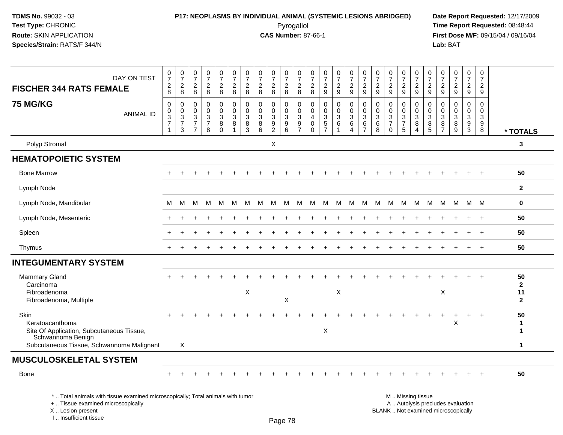I .. Insufficient tissue

# **P17: NEOPLASMS BY INDIVIDUAL ANIMAL (SYSTEMIC LESIONS ABRIDGED) Date Report Requested:** 12/17/2009 Pyrogallol Pyrogallol **Pyrogallol Time Report Requested:** 08:48:44<br>**CAS Number:** 87-66-1 **Time Report Requested:** 08/15/04 / 09/16/04

**First Dose M/F:** 09/15/04 / 09/16/04<br>Lab: BAT **Lab:** BAT

| DAY ON TEST<br><b>FISCHER 344 RATS FEMALE</b>                                                                                              | $\frac{0}{7}$<br>$\frac{2}{8}$                                 | $\frac{0}{7}$<br>$_{\rm 8}^2$              | $\frac{0}{7}$<br>$_{\rm 8}^2$                                              | $\frac{0}{7}$<br>$\frac{2}{8}$                                                 | $\begin{smallmatrix}0\\7\end{smallmatrix}$<br>$\frac{2}{8}$     | $\frac{0}{7}$<br>$\frac{2}{8}$  | $\frac{0}{7}$<br>$_{8}^2$                       | $\frac{0}{7}$<br>$_{\rm 8}^2$   | $\frac{0}{7}$<br>$_{\rm 8}^2$                   | $\frac{0}{7}$<br>$_{8}^2$                                 | $\frac{0}{7}$<br>$\frac{2}{8}$                    | $\frac{0}{7}$<br>$\frac{2}{8}$                                             | $\frac{0}{7}$<br>$\frac{2}{9}$         | $\frac{0}{7}$<br>$\frac{2}{9}$                                                 | $\frac{0}{7}$<br>$\frac{2}{9}$                             | $\frac{0}{7}$<br>$\frac{2}{9}$                              | $\frac{0}{7}$<br>$\frac{2}{9}$                                  | $\frac{0}{7}$<br>$\frac{2}{9}$                      | $\begin{smallmatrix}0\\7\end{smallmatrix}$<br>$\frac{2}{9}$                       | $\frac{0}{7}$<br>$\frac{2}{9}$                     | $\frac{0}{7}$<br>$\frac{2}{9}$                                           | 0<br>$\overline{7}$<br>$\frac{2}{9}$                | $\frac{0}{7}$<br>$\frac{2}{9}$                                  | $\begin{array}{c} 0 \\ 7 \end{array}$<br>$\overline{2}$<br>$\overline{9}$ | 0<br>$\overline{7}$<br>$\frac{2}{9}$                 |                                                   |
|--------------------------------------------------------------------------------------------------------------------------------------------|----------------------------------------------------------------|--------------------------------------------|----------------------------------------------------------------------------|--------------------------------------------------------------------------------|-----------------------------------------------------------------|---------------------------------|-------------------------------------------------|---------------------------------|-------------------------------------------------|-----------------------------------------------------------|---------------------------------------------------|----------------------------------------------------------------------------|----------------------------------------|--------------------------------------------------------------------------------|------------------------------------------------------------|-------------------------------------------------------------|-----------------------------------------------------------------|-----------------------------------------------------|-----------------------------------------------------------------------------------|----------------------------------------------------|--------------------------------------------------------------------------|-----------------------------------------------------|-----------------------------------------------------------------|---------------------------------------------------------------------------|------------------------------------------------------|---------------------------------------------------|
| <b>75 MG/KG</b><br><b>ANIMAL ID</b>                                                                                                        | $\Omega$<br>$\mathbf 0$<br>3<br>$\overline{7}$<br>$\mathbf{1}$ | $\,0\,$<br>$\frac{0}{3}$<br>$\overline{3}$ | 0<br>$\mathsf{O}\xspace$<br>$\sqrt{3}$<br>$\overline{7}$<br>$\overline{7}$ | $\mathbf 0$<br>$\mathbf 0$<br>$\ensuremath{\mathsf{3}}$<br>$\overline{7}$<br>8 | $\mathbf 0$<br>$\mathbf 0$<br>$\sqrt{3}$<br>$\,8\,$<br>$\Omega$ | 0<br>$\mathbf 0$<br>3<br>8<br>1 | 0<br>$\pmb{0}$<br>$\mathbf{3}$<br>$\frac{8}{3}$ | 0<br>$\mathbf 0$<br>3<br>8<br>6 | 0<br>$\mathbf 0$<br>$\sqrt{3}$<br>$\frac{9}{2}$ | $\mathbf 0$<br>$\mathbf 0$<br>$\sqrt{3}$<br>$\frac{9}{6}$ | 0<br>$\mathbf 0$<br>$\mathbf{3}$<br>$\frac{9}{7}$ | $\mathbf 0$<br>$\mathbf 0$<br>$\overline{4}$<br>$\mathbf 0$<br>$\mathbf 0$ | 0<br>$\mathbf 0$<br>3<br>$\frac{5}{7}$ | $\mathbf 0$<br>$\mathbf 0$<br>$\ensuremath{\mathsf{3}}$<br>6<br>$\overline{1}$ | 0<br>$\overline{0}$<br>$\mathbf{3}$<br>6<br>$\overline{4}$ | 0<br>$\mathbf 0$<br>$\mathbf{3}$<br>$\,6$<br>$\overline{7}$ | $\mathbf 0$<br>$\mathbf 0$<br>$\sqrt{3}$<br>$6\phantom{a}$<br>8 | 0<br>$\mathbf 0$<br>3<br>$\overline{7}$<br>$\Omega$ | $\mathbf 0$<br>$\mathbf 0$<br>$\sqrt{3}$<br>$\begin{array}{c} 7 \\ 5 \end{array}$ | 0<br>$\mathbf 0$<br>3<br>$\bf 8$<br>$\overline{4}$ | 0<br>$\mathbf 0$<br>$\mathbf{3}$<br>$^8$ 5                               | $\mathbf 0$<br>$\Omega$<br>3<br>8<br>$\overline{7}$ | $\mathbf 0$<br>0<br>$\mathbf{3}$<br>$\bf 8$<br>$\boldsymbol{9}$ | $\mathbf 0$<br>$\mathbf 0$<br>$\mathbf{3}$<br>$\frac{9}{3}$               | $\mathbf 0$<br>$\mathbf 0$<br>$\mathbf{3}$<br>9<br>8 | * TOTALS                                          |
| Polyp Stromal                                                                                                                              |                                                                |                                            |                                                                            |                                                                                |                                                                 |                                 |                                                 |                                 | X                                               |                                                           |                                                   |                                                                            |                                        |                                                                                |                                                            |                                                             |                                                                 |                                                     |                                                                                   |                                                    |                                                                          |                                                     |                                                                 |                                                                           |                                                      | 3                                                 |
| <b>HEMATOPOIETIC SYSTEM</b>                                                                                                                |                                                                |                                            |                                                                            |                                                                                |                                                                 |                                 |                                                 |                                 |                                                 |                                                           |                                                   |                                                                            |                                        |                                                                                |                                                            |                                                             |                                                                 |                                                     |                                                                                   |                                                    |                                                                          |                                                     |                                                                 |                                                                           |                                                      |                                                   |
| <b>Bone Marrow</b>                                                                                                                         |                                                                |                                            |                                                                            |                                                                                |                                                                 |                                 |                                                 |                                 |                                                 |                                                           |                                                   |                                                                            |                                        |                                                                                |                                                            |                                                             |                                                                 |                                                     |                                                                                   |                                                    |                                                                          |                                                     |                                                                 |                                                                           |                                                      | 50                                                |
| Lymph Node                                                                                                                                 |                                                                |                                            |                                                                            |                                                                                |                                                                 |                                 |                                                 |                                 |                                                 |                                                           |                                                   |                                                                            |                                        |                                                                                |                                                            |                                                             |                                                                 |                                                     |                                                                                   |                                                    |                                                                          |                                                     |                                                                 |                                                                           |                                                      | $\mathbf{2}$                                      |
| Lymph Node, Mandibular                                                                                                                     | м                                                              | M                                          | м                                                                          | м                                                                              | M                                                               | м                               | M                                               | M                               | M                                               | м                                                         | М                                                 | M                                                                          | M                                      | M                                                                              | M                                                          | M                                                           | М                                                               | M                                                   | M                                                                                 | M                                                  | M                                                                        | M                                                   | M                                                               |                                                                           | M M                                                  | $\mathbf 0$                                       |
| Lymph Node, Mesenteric                                                                                                                     |                                                                |                                            |                                                                            |                                                                                |                                                                 |                                 |                                                 |                                 |                                                 |                                                           |                                                   |                                                                            |                                        |                                                                                |                                                            |                                                             |                                                                 |                                                     |                                                                                   |                                                    |                                                                          |                                                     |                                                                 |                                                                           |                                                      | 50                                                |
| Spleen                                                                                                                                     |                                                                |                                            |                                                                            |                                                                                |                                                                 |                                 |                                                 |                                 |                                                 |                                                           |                                                   |                                                                            |                                        |                                                                                |                                                            |                                                             |                                                                 |                                                     |                                                                                   |                                                    |                                                                          |                                                     |                                                                 |                                                                           |                                                      | 50                                                |
| Thymus                                                                                                                                     | $\pm$                                                          | $\pm$                                      |                                                                            |                                                                                |                                                                 |                                 |                                                 |                                 |                                                 |                                                           |                                                   |                                                                            |                                        |                                                                                |                                                            |                                                             |                                                                 |                                                     |                                                                                   |                                                    |                                                                          |                                                     |                                                                 |                                                                           | $+$                                                  | 50                                                |
| <b>INTEGUMENTARY SYSTEM</b>                                                                                                                |                                                                |                                            |                                                                            |                                                                                |                                                                 |                                 |                                                 |                                 |                                                 |                                                           |                                                   |                                                                            |                                        |                                                                                |                                                            |                                                             |                                                                 |                                                     |                                                                                   |                                                    |                                                                          |                                                     |                                                                 |                                                                           |                                                      |                                                   |
| Mammary Gland<br>Carcinoma<br>Fibroadenoma<br>Fibroadenoma, Multiple                                                                       |                                                                |                                            |                                                                            |                                                                                |                                                                 |                                 | $\pmb{\times}$                                  |                                 |                                                 | $\times$                                                  |                                                   |                                                                            |                                        | $\boldsymbol{\mathsf{X}}$                                                      |                                                            |                                                             |                                                                 |                                                     |                                                                                   |                                                    |                                                                          | X                                                   |                                                                 |                                                                           |                                                      | 50<br>$\mathbf{2}$<br>11<br>$\overline{2}$        |
| Skin<br>Keratoacanthoma<br>Site Of Application, Subcutaneous Tissue,<br>Schwannoma Benign<br>Subcutaneous Tissue, Schwannoma Malignant     |                                                                | X                                          |                                                                            |                                                                                |                                                                 |                                 |                                                 |                                 |                                                 |                                                           |                                                   |                                                                            | X                                      |                                                                                |                                                            |                                                             |                                                                 |                                                     |                                                                                   |                                                    |                                                                          |                                                     | X                                                               |                                                                           | $+$                                                  | 50<br>$\mathbf 1$<br>$\mathbf{1}$<br>$\mathbf{1}$ |
| <b>MUSCULOSKELETAL SYSTEM</b>                                                                                                              |                                                                |                                            |                                                                            |                                                                                |                                                                 |                                 |                                                 |                                 |                                                 |                                                           |                                                   |                                                                            |                                        |                                                                                |                                                            |                                                             |                                                                 |                                                     |                                                                                   |                                                    |                                                                          |                                                     |                                                                 |                                                                           |                                                      |                                                   |
| <b>Bone</b>                                                                                                                                |                                                                |                                            |                                                                            |                                                                                |                                                                 |                                 |                                                 |                                 |                                                 |                                                           |                                                   |                                                                            |                                        |                                                                                |                                                            |                                                             |                                                                 |                                                     |                                                                                   |                                                    |                                                                          |                                                     |                                                                 |                                                                           |                                                      | 50                                                |
| *  Total animals with tissue examined microscopically; Total animals with tumor<br>+  Tissue examined microscopically<br>X  Lesion present |                                                                |                                            |                                                                            |                                                                                |                                                                 |                                 |                                                 |                                 |                                                 |                                                           |                                                   |                                                                            |                                        |                                                                                |                                                            |                                                             |                                                                 |                                                     |                                                                                   | M  Missing tissue                                  | A  Autolysis precludes evaluation<br>BLANK  Not examined microscopically |                                                     |                                                                 |                                                                           |                                                      |                                                   |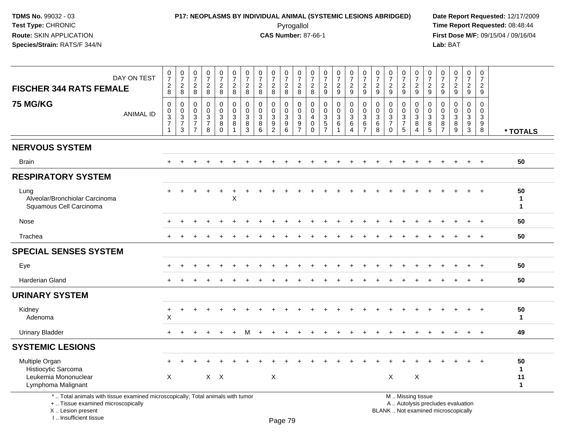# **P17: NEOPLASMS BY INDIVIDUAL ANIMAL (SYSTEMIC LESIONS ABRIDGED) Date Report Requested:** 12/17/2009 Pyrogallol Pyrogallol **Pyrogallol Time Report Requested:** 08:48:44<br>**CAS Number:** 87-66-1 **Time Report Requested:** 09/15/04 / 09/16/04

**First Dose M/F:** 09/15/04 / 09/16/04<br>Lab: BAT **Lab:** BAT

| DAY ON TEST<br><b>FISCHER 344 RATS FEMALE</b>                                                                         | $\begin{array}{c} 0 \\ 7 \end{array}$<br>$_{8}^{\rm 2}$                  | $\frac{0}{7}$<br>$\overline{c}$<br>8                                 | $\begin{smallmatrix}0\\7\end{smallmatrix}$<br>$\overline{2}$<br>8 | $\frac{0}{7}$<br>$\overline{c}$<br>$\,8\,$     | $\begin{array}{c} 0 \\ 7 \end{array}$<br>$_{\rm 8}^2$                                | $\begin{array}{c} 0 \\ 7 \\ 2 \end{array}$<br>8                         | $\frac{0}{7}$<br>$\overline{c}$<br>8 | $\frac{0}{7}$<br>$\overline{2}$<br>8                                      | $\begin{array}{c} 0 \\ 7 \end{array}$<br>$\overline{2}$<br>8         | $\begin{array}{c} 0 \\ 7 \end{array}$<br>$\frac{2}{8}$             | $\frac{0}{7}$<br>$\overline{2}$<br>8                    | $\frac{0}{7}$<br>$\overline{2}$<br>$\,8\,$ | $\frac{0}{7}$<br>$\frac{2}{9}$                                         | $\frac{0}{7}$<br>$\frac{2}{9}$                           | $\begin{smallmatrix}0\\7\end{smallmatrix}$<br>$\overline{2}$<br>$\mathsf g$ | $\frac{0}{7}$<br>$\sqrt{2}$<br>9                                | $\frac{0}{7}$<br>$\overline{2}$<br>$\boldsymbol{9}$ | $\frac{0}{7}$<br>$\frac{2}{9}$                                                     | $\frac{0}{7}$<br>$\overline{c}$<br>$9\,$ | $\begin{smallmatrix}0\\7\end{smallmatrix}$<br>$\frac{2}{9}$ | $\frac{0}{7}$<br>$\frac{2}{9}$              | $\frac{0}{7}$<br>$\frac{2}{9}$                            | $\begin{smallmatrix}0\\7\end{smallmatrix}$<br>$\frac{2}{9}$ | $\frac{0}{7}$<br>$\overline{2}$<br>9             | $\mathbf 0$<br>$\overline{7}$<br>$\overline{2}$<br>9 |                         |
|-----------------------------------------------------------------------------------------------------------------------|--------------------------------------------------------------------------|----------------------------------------------------------------------|-------------------------------------------------------------------|------------------------------------------------|--------------------------------------------------------------------------------------|-------------------------------------------------------------------------|--------------------------------------|---------------------------------------------------------------------------|----------------------------------------------------------------------|--------------------------------------------------------------------|---------------------------------------------------------|--------------------------------------------|------------------------------------------------------------------------|----------------------------------------------------------|-----------------------------------------------------------------------------|-----------------------------------------------------------------|-----------------------------------------------------|------------------------------------------------------------------------------------|------------------------------------------|-------------------------------------------------------------|---------------------------------------------|-----------------------------------------------------------|-------------------------------------------------------------|--------------------------------------------------|------------------------------------------------------|-------------------------|
| <b>75 MG/KG</b><br><b>ANIMAL ID</b>                                                                                   | $\pmb{0}$<br>$\pmb{0}$<br>$\sqrt{3}$<br>$\overline{7}$<br>$\overline{1}$ | 0<br>$\mathbf 0$<br>$\mathbf{3}$<br>$\overline{7}$<br>$\mathfrak{S}$ | $\pmb{0}$<br>$\mathbf 0$<br>3<br>$\overline{7}$<br>$\overline{7}$ | $\pmb{0}$<br>$\mathbf 0$<br>$\frac{3}{7}$<br>8 | $\pmb{0}$<br>$\pmb{0}$<br>$\ensuremath{\mathsf{3}}$<br>$\overline{8}$<br>$\mathbf 0$ | $\pmb{0}$<br>$\ddot{\mathbf{0}}$<br>$\mathbf{3}$<br>8<br>$\overline{1}$ | 0<br>$\mathbf 0$<br>3<br>8<br>3      | $\mathsf{O}\xspace$<br>$\mathbf 0$<br>$\mathbf{3}$<br>8<br>$6\phantom{1}$ | 0<br>$\mathbf 0$<br>$\mathbf{3}$<br>$\overline{9}$<br>$\overline{2}$ | $\mathbf 0$<br>$\mathsf{O}\xspace$<br>$\mathsf 3$<br>$\frac{9}{6}$ | 0<br>$\mathbf 0$<br>$\mathbf{3}$<br>9<br>$\overline{7}$ | 0<br>$\mathbf 0$<br>4<br>0<br>$\Omega$     | $\pmb{0}$<br>$\mathbf 0$<br>$\ensuremath{\mathsf{3}}$<br>$\frac{5}{7}$ | $\pmb{0}$<br>$\pmb{0}$<br>$\mathbf{3}$<br>$\overline{6}$ | 0<br>$\mathsf{O}\xspace$<br>$\mathbf{3}$<br>6<br>$\overline{4}$             | $\pmb{0}$<br>$\mathbf 0$<br>$\mathbf{3}$<br>6<br>$\overline{7}$ | 0<br>$\mathbf 0$<br>3<br>$6\phantom{1}6$<br>8       | $\mathsf{O}\xspace$<br>$\mathbf 0$<br>$\sqrt{3}$<br>$\overline{7}$<br>$\mathbf{0}$ | 0<br>$\mathbf 0$<br>$\frac{3}{7}$<br>5   | 0<br>$\mathbf 0$<br>3<br>8<br>$\overline{4}$                | $\mathbf 0$<br>$\mathbf 0$<br>$\frac{3}{8}$ | $\mathbf 0$<br>$\overline{0}$<br>3<br>8<br>$\overline{7}$ | $\mathbf 0$<br>$\mathbf 0$<br>$\mathbf{3}$<br>$\,8\,$<br>9  | $\mathsf 0$<br>$\mathbf 0$<br>3<br>$\frac{9}{3}$ | $\mathbf 0$<br>$\mathbf 0$<br>3<br>9<br>8            | * TOTALS                |
| <b>NERVOUS SYSTEM</b>                                                                                                 |                                                                          |                                                                      |                                                                   |                                                |                                                                                      |                                                                         |                                      |                                                                           |                                                                      |                                                                    |                                                         |                                            |                                                                        |                                                          |                                                                             |                                                                 |                                                     |                                                                                    |                                          |                                                             |                                             |                                                           |                                                             |                                                  |                                                      |                         |
| <b>Brain</b>                                                                                                          | $\pm$                                                                    |                                                                      |                                                                   |                                                |                                                                                      |                                                                         |                                      |                                                                           |                                                                      |                                                                    |                                                         |                                            |                                                                        |                                                          |                                                                             |                                                                 |                                                     |                                                                                    |                                          |                                                             |                                             |                                                           |                                                             |                                                  | $+$                                                  | 50                      |
| <b>RESPIRATORY SYSTEM</b>                                                                                             |                                                                          |                                                                      |                                                                   |                                                |                                                                                      |                                                                         |                                      |                                                                           |                                                                      |                                                                    |                                                         |                                            |                                                                        |                                                          |                                                                             |                                                                 |                                                     |                                                                                    |                                          |                                                             |                                             |                                                           |                                                             |                                                  |                                                      |                         |
| Lung<br>Alveolar/Bronchiolar Carcinoma<br>Squamous Cell Carcinoma                                                     | $+$                                                                      |                                                                      |                                                                   | $+$                                            | $+$                                                                                  | $\ddot{}$<br>X                                                          |                                      |                                                                           |                                                                      |                                                                    |                                                         |                                            |                                                                        |                                                          |                                                                             |                                                                 |                                                     |                                                                                    |                                          |                                                             |                                             |                                                           |                                                             |                                                  | $+$                                                  | 50<br>1<br>$\mathbf{1}$ |
| Nose                                                                                                                  |                                                                          |                                                                      |                                                                   |                                                |                                                                                      |                                                                         |                                      |                                                                           |                                                                      |                                                                    |                                                         |                                            |                                                                        |                                                          |                                                                             |                                                                 |                                                     |                                                                                    |                                          |                                                             |                                             |                                                           |                                                             |                                                  |                                                      | 50                      |
| Trachea                                                                                                               | $+$                                                                      |                                                                      |                                                                   |                                                |                                                                                      |                                                                         |                                      |                                                                           |                                                                      |                                                                    |                                                         |                                            |                                                                        |                                                          |                                                                             |                                                                 |                                                     |                                                                                    |                                          |                                                             |                                             |                                                           |                                                             |                                                  | $\ddot{}$                                            | 50                      |
| <b>SPECIAL SENSES SYSTEM</b>                                                                                          |                                                                          |                                                                      |                                                                   |                                                |                                                                                      |                                                                         |                                      |                                                                           |                                                                      |                                                                    |                                                         |                                            |                                                                        |                                                          |                                                                             |                                                                 |                                                     |                                                                                    |                                          |                                                             |                                             |                                                           |                                                             |                                                  |                                                      |                         |
| Eye                                                                                                                   |                                                                          |                                                                      |                                                                   |                                                |                                                                                      |                                                                         |                                      |                                                                           |                                                                      |                                                                    |                                                         |                                            |                                                                        |                                                          |                                                                             |                                                                 |                                                     |                                                                                    |                                          |                                                             |                                             |                                                           |                                                             |                                                  | $\pm$                                                | 50                      |
| <b>Harderian Gland</b>                                                                                                |                                                                          |                                                                      |                                                                   |                                                |                                                                                      |                                                                         |                                      |                                                                           |                                                                      |                                                                    |                                                         |                                            |                                                                        |                                                          |                                                                             |                                                                 |                                                     |                                                                                    |                                          |                                                             |                                             |                                                           |                                                             |                                                  |                                                      | 50                      |
| <b>URINARY SYSTEM</b>                                                                                                 |                                                                          |                                                                      |                                                                   |                                                |                                                                                      |                                                                         |                                      |                                                                           |                                                                      |                                                                    |                                                         |                                            |                                                                        |                                                          |                                                                             |                                                                 |                                                     |                                                                                    |                                          |                                                             |                                             |                                                           |                                                             |                                                  |                                                      |                         |
| Kidney<br>Adenoma                                                                                                     | $\ddot{}$<br>$\times$                                                    | $\ddot{}$                                                            |                                                                   |                                                |                                                                                      |                                                                         |                                      |                                                                           |                                                                      |                                                                    |                                                         |                                            |                                                                        |                                                          |                                                                             |                                                                 |                                                     |                                                                                    |                                          |                                                             |                                             |                                                           |                                                             |                                                  | $\ddot{}$                                            | 50<br>$\mathbf{1}$      |
| <b>Urinary Bladder</b>                                                                                                | $\ddot{}$                                                                |                                                                      |                                                                   |                                                |                                                                                      |                                                                         | м                                    |                                                                           |                                                                      |                                                                    |                                                         |                                            |                                                                        |                                                          |                                                                             |                                                                 |                                                     |                                                                                    |                                          |                                                             |                                             |                                                           |                                                             | $\ddot{}$                                        | $+$                                                  | 49                      |
| <b>SYSTEMIC LESIONS</b>                                                                                               |                                                                          |                                                                      |                                                                   |                                                |                                                                                      |                                                                         |                                      |                                                                           |                                                                      |                                                                    |                                                         |                                            |                                                                        |                                                          |                                                                             |                                                                 |                                                     |                                                                                    |                                          |                                                             |                                             |                                                           |                                                             |                                                  |                                                      |                         |
| Multiple Organ<br>Histiocytic Sarcoma<br>Leukemia Mononuclear<br>Lymphoma Malignant                                   | $\boldsymbol{\mathsf{X}}$                                                |                                                                      |                                                                   |                                                | $X$ $X$                                                                              |                                                                         |                                      |                                                                           | X                                                                    |                                                                    |                                                         |                                            |                                                                        |                                                          |                                                                             |                                                                 |                                                     | $\mathsf X$                                                                        |                                          | X                                                           |                                             |                                                           |                                                             | ÷.                                               | $\div$                                               | 50<br>1<br>11<br>1      |
| *  Total animals with tissue examined microscopically; Total animals with tumor<br>+  Tissue examined microscopically |                                                                          |                                                                      |                                                                   |                                                |                                                                                      |                                                                         |                                      |                                                                           |                                                                      |                                                                    |                                                         |                                            |                                                                        |                                                          |                                                                             |                                                                 |                                                     | M  Missing tissue                                                                  |                                          |                                                             |                                             |                                                           | A  Autolysis precludes evaluation                           |                                                  |                                                      |                         |

X .. Lesion present

I .. Insufficient tissue

Lesion present BLANK .. Not examined microscopically